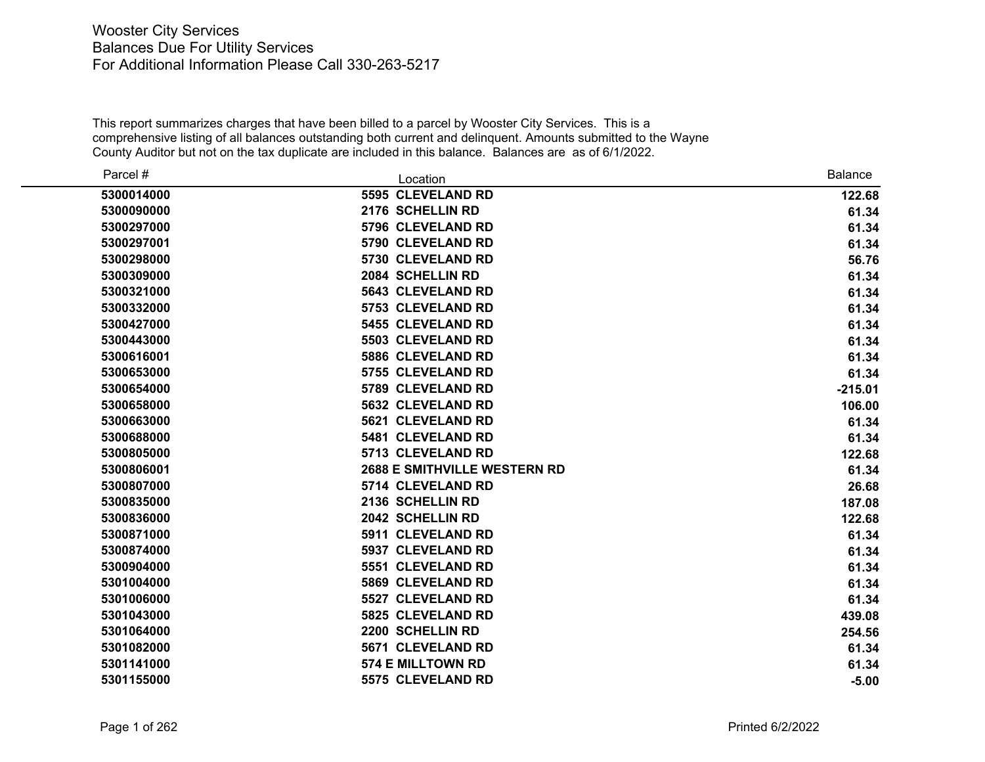| Parcel #   | Location                            | <b>Balance</b> |
|------------|-------------------------------------|----------------|
| 5300014000 | 5595 CLEVELAND RD                   | 122.68         |
| 5300090000 | 2176 SCHELLIN RD                    | 61.34          |
| 5300297000 | 5796 CLEVELAND RD                   | 61.34          |
| 5300297001 | 5790 CLEVELAND RD                   | 61.34          |
| 5300298000 | 5730 CLEVELAND RD                   | 56.76          |
| 5300309000 | 2084 SCHELLIN RD                    | 61.34          |
| 5300321000 | <b>5643 CLEVELAND RD</b>            | 61.34          |
| 5300332000 | 5753 CLEVELAND RD                   | 61.34          |
| 5300427000 | 5455 CLEVELAND RD                   | 61.34          |
| 5300443000 | 5503 CLEVELAND RD                   | 61.34          |
| 5300616001 | 5886 CLEVELAND RD                   | 61.34          |
| 5300653000 | 5755 CLEVELAND RD                   | 61.34          |
| 5300654000 | 5789 CLEVELAND RD                   | $-215.01$      |
| 5300658000 | <b>5632 CLEVELAND RD</b>            | 106.00         |
| 5300663000 | 5621 CLEVELAND RD                   | 61.34          |
| 5300688000 | 5481 CLEVELAND RD                   | 61.34          |
| 5300805000 | 5713 CLEVELAND RD                   | 122.68         |
| 5300806001 | <b>2688 E SMITHVILLE WESTERN RD</b> | 61.34          |
| 5300807000 | 5714 CLEVELAND RD                   | 26.68          |
| 5300835000 | 2136 SCHELLIN RD                    | 187.08         |
| 5300836000 | 2042 SCHELLIN RD                    | 122.68         |
| 5300871000 | 5911 CLEVELAND RD                   | 61.34          |
| 5300874000 | 5937 CLEVELAND RD                   | 61.34          |
| 5300904000 | 5551 CLEVELAND RD                   | 61.34          |
| 5301004000 | 5869 CLEVELAND RD                   | 61.34          |
| 5301006000 | 5527 CLEVELAND RD                   | 61.34          |
| 5301043000 | 5825 CLEVELAND RD                   | 439.08         |
| 5301064000 | 2200 SCHELLIN RD                    | 254.56         |
| 5301082000 | <b>5671 CLEVELAND RD</b>            | 61.34          |
| 5301141000 | <b>574 E MILLTOWN RD</b>            | 61.34          |
| 5301155000 | 5575 CLEVELAND RD                   | $-5.00$        |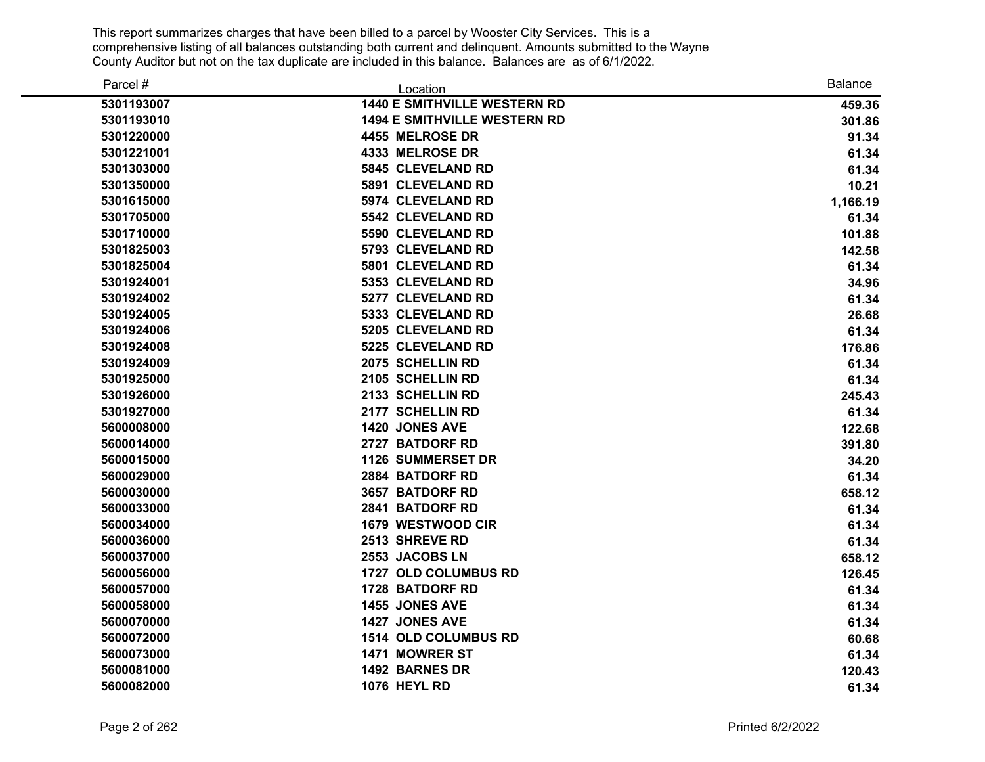| Parcel #   | Location                            | <b>Balance</b> |
|------------|-------------------------------------|----------------|
| 5301193007 | <b>1440 E SMITHVILLE WESTERN RD</b> | 459.36         |
| 5301193010 | <b>1494 E SMITHVILLE WESTERN RD</b> | 301.86         |
| 5301220000 | 4455 MELROSE DR                     | 91.34          |
| 5301221001 | <b>4333 MELROSE DR</b>              | 61.34          |
| 5301303000 | 5845 CLEVELAND RD                   | 61.34          |
| 5301350000 | 5891 CLEVELAND RD                   | 10.21          |
| 5301615000 | 5974 CLEVELAND RD                   | 1,166.19       |
| 5301705000 | 5542 CLEVELAND RD                   | 61.34          |
| 5301710000 | 5590 CLEVELAND RD                   | 101.88         |
| 5301825003 | 5793 CLEVELAND RD                   | 142.58         |
| 5301825004 | 5801 CLEVELAND RD                   | 61.34          |
| 5301924001 | 5353 CLEVELAND RD                   | 34.96          |
| 5301924002 | 5277 CLEVELAND RD                   | 61.34          |
| 5301924005 | 5333 CLEVELAND RD                   | 26.68          |
| 5301924006 | 5205 CLEVELAND RD                   | 61.34          |
| 5301924008 | 5225 CLEVELAND RD                   | 176.86         |
| 5301924009 | 2075 SCHELLIN RD                    | 61.34          |
| 5301925000 | 2105 SCHELLIN RD                    | 61.34          |
| 5301926000 | 2133 SCHELLIN RD                    | 245.43         |
| 5301927000 | 2177 SCHELLIN RD                    | 61.34          |
| 5600008000 | 1420 JONES AVE                      | 122.68         |
| 5600014000 | 2727 BATDORF RD                     | 391.80         |
| 5600015000 | <b>1126 SUMMERSET DR</b>            | 34.20          |
| 5600029000 | 2884 BATDORF RD                     | 61.34          |
| 5600030000 | 3657 BATDORF RD                     | 658.12         |
| 5600033000 | 2841 BATDORF RD                     | 61.34          |
| 5600034000 | 1679 WESTWOOD CIR                   | 61.34          |
| 5600036000 | 2513 SHREVE RD                      | 61.34          |
| 5600037000 | 2553 JACOBS LN                      | 658.12         |
| 5600056000 | 1727 OLD COLUMBUS RD                | 126.45         |
| 5600057000 | 1728 BATDORF RD                     | 61.34          |
| 5600058000 | 1455 JONES AVE                      | 61.34          |
| 5600070000 | 1427 JONES AVE                      | 61.34          |
| 5600072000 | 1514 OLD COLUMBUS RD                | 60.68          |
| 5600073000 | 1471 MOWRER ST                      | 61.34          |
| 5600081000 | 1492 BARNES DR                      | 120.43         |
| 5600082000 | <b>1076 HEYL RD</b>                 | 61.34          |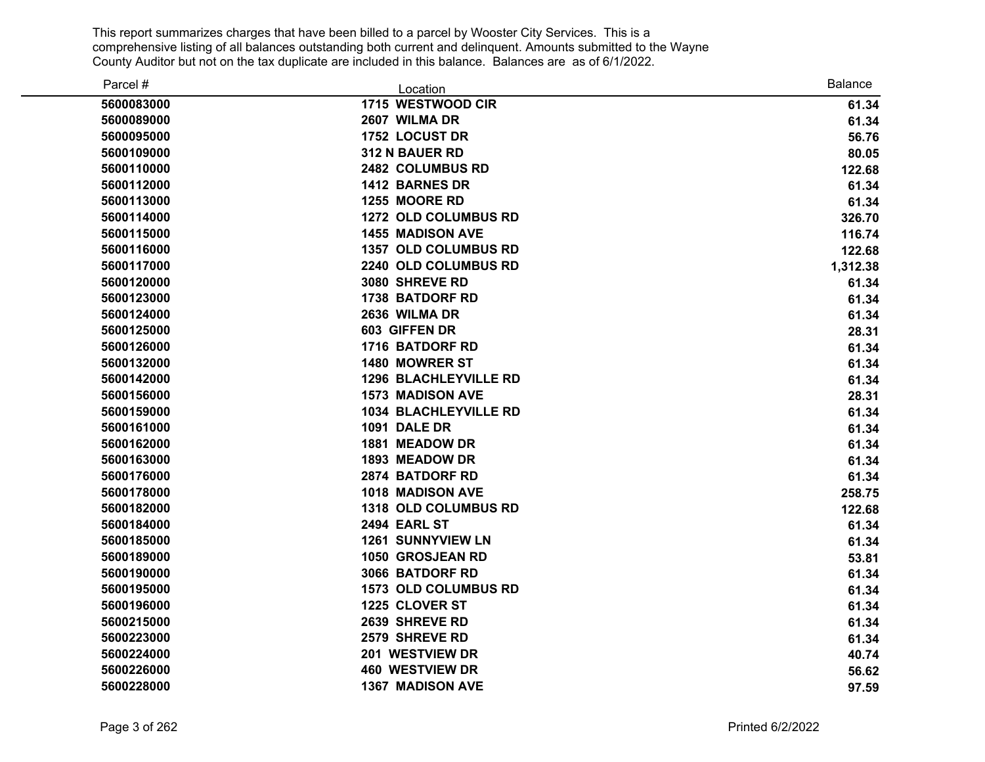| Parcel #   | Location                     | <b>Balance</b> |
|------------|------------------------------|----------------|
| 5600083000 | 1715 WESTWOOD CIR            | 61.34          |
| 5600089000 | 2607 WILMA DR                | 61.34          |
| 5600095000 | 1752 LOCUST DR               | 56.76          |
| 5600109000 | 312 N BAUER RD               | 80.05          |
| 5600110000 | 2482 COLUMBUS RD             | 122.68         |
| 5600112000 | 1412 BARNES DR               | 61.34          |
| 5600113000 | 1255 MOORE RD                | 61.34          |
| 5600114000 | 1272 OLD COLUMBUS RD         | 326.70         |
| 5600115000 | <b>1455 MADISON AVE</b>      | 116.74         |
| 5600116000 | 1357 OLD COLUMBUS RD         | 122.68         |
| 5600117000 | 2240 OLD COLUMBUS RD         | 1,312.38       |
| 5600120000 | 3080 SHREVE RD               | 61.34          |
| 5600123000 | <b>1738 BATDORF RD</b>       | 61.34          |
| 5600124000 | 2636 WILMA DR                | 61.34          |
| 5600125000 | 603 GIFFEN DR                | 28.31          |
| 5600126000 | <b>1716 BATDORF RD</b>       | 61.34          |
| 5600132000 | 1480 MOWRER ST               | 61.34          |
| 5600142000 | <b>1296 BLACHLEYVILLE RD</b> | 61.34          |
| 5600156000 | <b>1573 MADISON AVE</b>      | 28.31          |
| 5600159000 | <b>1034 BLACHLEYVILLE RD</b> | 61.34          |
| 5600161000 | <b>1091 DALE DR</b>          | 61.34          |
| 5600162000 | 1881 MEADOW DR               | 61.34          |
| 5600163000 | 1893 MEADOW DR               | 61.34          |
| 5600176000 | 2874 BATDORF RD              | 61.34          |
| 5600178000 | 1018 MADISON AVE             | 258.75         |
| 5600182000 | 1318 OLD COLUMBUS RD         | 122.68         |
| 5600184000 | 2494 EARL ST                 | 61.34          |
| 5600185000 | <b>1261 SUNNYVIEW LN</b>     | 61.34          |
| 5600189000 | 1050 GROSJEAN RD             | 53.81          |
| 5600190000 | 3066 BATDORF RD              | 61.34          |
| 5600195000 | <b>1573 OLD COLUMBUS RD</b>  | 61.34          |
| 5600196000 | 1225 CLOVER ST               | 61.34          |
| 5600215000 | 2639 SHREVE RD               | 61.34          |
| 5600223000 | 2579 SHREVE RD               | 61.34          |
| 5600224000 | 201 WESTVIEW DR              | 40.74          |
| 5600226000 | <b>460 WESTVIEW DR</b>       | 56.62          |
| 5600228000 | <b>1367 MADISON AVE</b>      | 97.59          |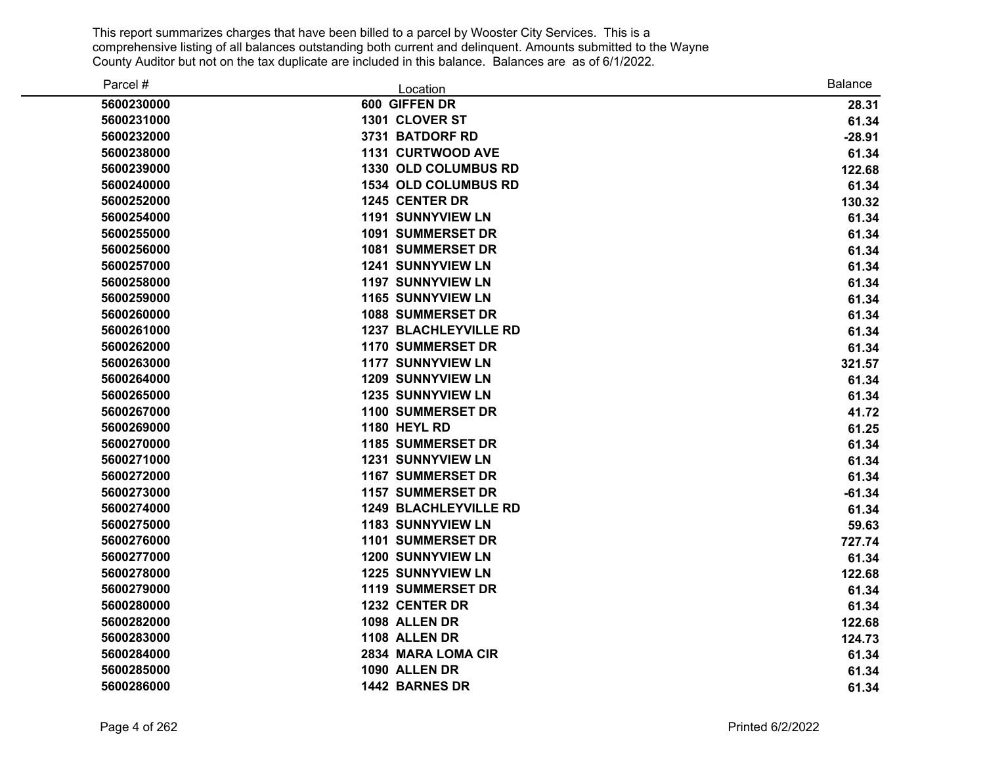| Parcel #   | Location                     | <b>Balance</b> |
|------------|------------------------------|----------------|
| 5600230000 | 600 GIFFEN DR                | 28.31          |
| 5600231000 | 1301 CLOVER ST               | 61.34          |
| 5600232000 | 3731 BATDORF RD              | $-28.91$       |
| 5600238000 | 1131 CURTWOOD AVE            | 61.34          |
| 5600239000 | 1330 OLD COLUMBUS RD         | 122.68         |
| 5600240000 | <b>1534 OLD COLUMBUS RD</b>  | 61.34          |
| 5600252000 | 1245 CENTER DR               | 130.32         |
| 5600254000 | <b>1191 SUNNYVIEW LN</b>     | 61.34          |
| 5600255000 | <b>1091 SUMMERSET DR</b>     | 61.34          |
| 5600256000 | <b>1081 SUMMERSET DR</b>     | 61.34          |
| 5600257000 | <b>1241 SUNNYVIEW LN</b>     | 61.34          |
| 5600258000 | <b>1197 SUNNYVIEW LN</b>     | 61.34          |
| 5600259000 | <b>1165 SUNNYVIEW LN</b>     | 61.34          |
| 5600260000 | <b>1088 SUMMERSET DR</b>     | 61.34          |
| 5600261000 | <b>1237 BLACHLEYVILLE RD</b> | 61.34          |
| 5600262000 | <b>1170 SUMMERSET DR</b>     | 61.34          |
| 5600263000 | <b>1177 SUNNYVIEW LN</b>     | 321.57         |
| 5600264000 | <b>1209 SUNNYVIEW LN</b>     | 61.34          |
| 5600265000 | <b>1235 SUNNYVIEW LN</b>     | 61.34          |
| 5600267000 | <b>1100 SUMMERSET DR</b>     | 41.72          |
| 5600269000 | <b>1180 HEYL RD</b>          | 61.25          |
| 5600270000 | <b>1185 SUMMERSET DR</b>     | 61.34          |
| 5600271000 | <b>1231 SUNNYVIEW LN</b>     | 61.34          |
| 5600272000 | <b>1167 SUMMERSET DR</b>     | 61.34          |
| 5600273000 | <b>1157 SUMMERSET DR</b>     | $-61.34$       |
| 5600274000 | <b>1249 BLACHLEYVILLE RD</b> | 61.34          |
| 5600275000 | <b>1183 SUNNYVIEW LN</b>     | 59.63          |
| 5600276000 | <b>1101 SUMMERSET DR</b>     | 727.74         |
| 5600277000 | <b>1200 SUNNYVIEW LN</b>     | 61.34          |
| 5600278000 | <b>1225 SUNNYVIEW LN</b>     | 122.68         |
| 5600279000 | <b>1119 SUMMERSET DR</b>     | 61.34          |
| 5600280000 | 1232 CENTER DR               | 61.34          |
| 5600282000 | 1098 ALLEN DR                | 122.68         |
| 5600283000 | 1108 ALLEN DR                | 124.73         |
| 5600284000 | 2834 MARA LOMA CIR           | 61.34          |
| 5600285000 | 1090 ALLEN DR                | 61.34          |
| 5600286000 | 1442 BARNES DR               | 61.34          |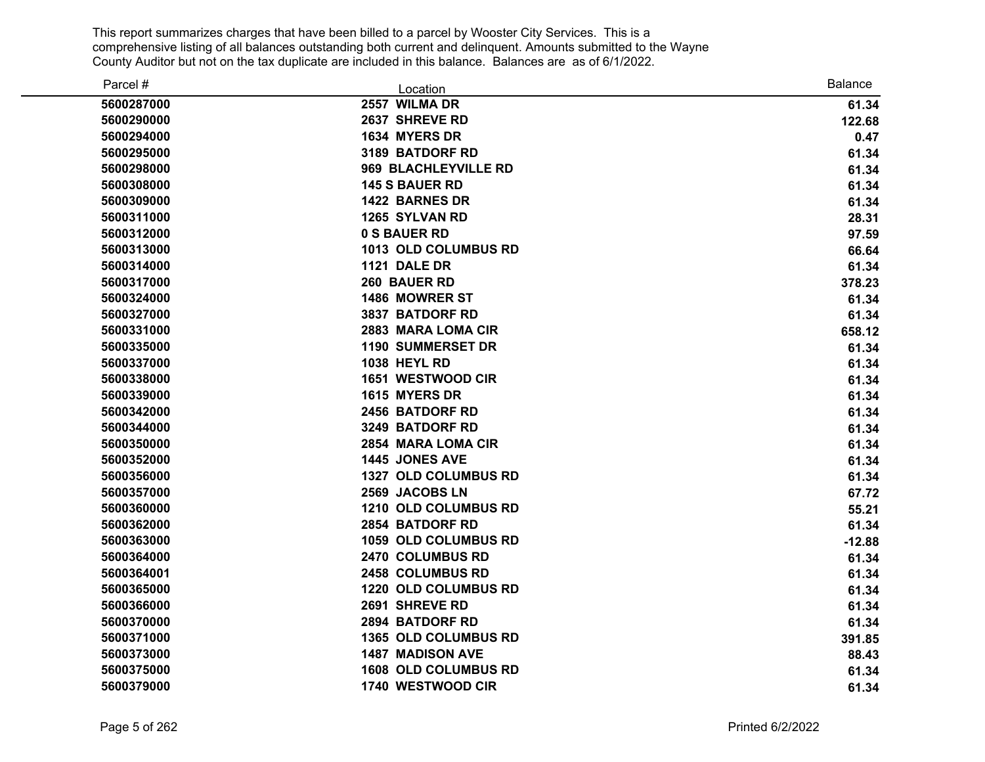| Parcel #   | Location                    | <b>Balance</b> |
|------------|-----------------------------|----------------|
| 5600287000 | 2557 WILMA DR               | 61.34          |
| 5600290000 | 2637 SHREVE RD              | 122.68         |
| 5600294000 | 1634 MYERS DR               | 0.47           |
| 5600295000 | 3189 BATDORF RD             | 61.34          |
| 5600298000 | 969 BLACHLEYVILLE RD        | 61.34          |
| 5600308000 | <b>145 S BAUER RD</b>       | 61.34          |
| 5600309000 | 1422 BARNES DR              | 61.34          |
| 5600311000 | 1265 SYLVAN RD              | 28.31          |
| 5600312000 | 0 S BAUER RD                | 97.59          |
| 5600313000 | 1013 OLD COLUMBUS RD        | 66.64          |
| 5600314000 | 1121 DALE DR                | 61.34          |
| 5600317000 | 260 BAUER RD                | 378.23         |
| 5600324000 | 1486 MOWRER ST              | 61.34          |
| 5600327000 | 3837 BATDORF RD             | 61.34          |
| 5600331000 | 2883 MARA LOMA CIR          | 658.12         |
| 5600335000 | <b>1190 SUMMERSET DR</b>    | 61.34          |
| 5600337000 | <b>1038 HEYL RD</b>         | 61.34          |
| 5600338000 | 1651 WESTWOOD CIR           | 61.34          |
| 5600339000 | 1615 MYERS DR               | 61.34          |
| 5600342000 | <b>2456 BATDORF RD</b>      | 61.34          |
| 5600344000 | 3249 BATDORF RD             | 61.34          |
| 5600350000 | 2854 MARA LOMA CIR          | 61.34          |
| 5600352000 | 1445 JONES AVE              | 61.34          |
| 5600356000 | 1327 OLD COLUMBUS RD        | 61.34          |
| 5600357000 | 2569 JACOBS LN              | 67.72          |
| 5600360000 | 1210 OLD COLUMBUS RD        | 55.21          |
| 5600362000 | 2854 BATDORF RD             | 61.34          |
| 5600363000 | 1059 OLD COLUMBUS RD        | $-12.88$       |
| 5600364000 | 2470 COLUMBUS RD            | 61.34          |
| 5600364001 | 2458 COLUMBUS RD            | 61.34          |
| 5600365000 | 1220 OLD COLUMBUS RD        | 61.34          |
| 5600366000 | 2691 SHREVE RD              | 61.34          |
| 5600370000 | 2894 BATDORF RD             | 61.34          |
| 5600371000 | 1365 OLD COLUMBUS RD        | 391.85         |
| 5600373000 | <b>1487 MADISON AVE</b>     | 88.43          |
| 5600375000 | <b>1608 OLD COLUMBUS RD</b> | 61.34          |
| 5600379000 | 1740 WESTWOOD CIR           | 61.34          |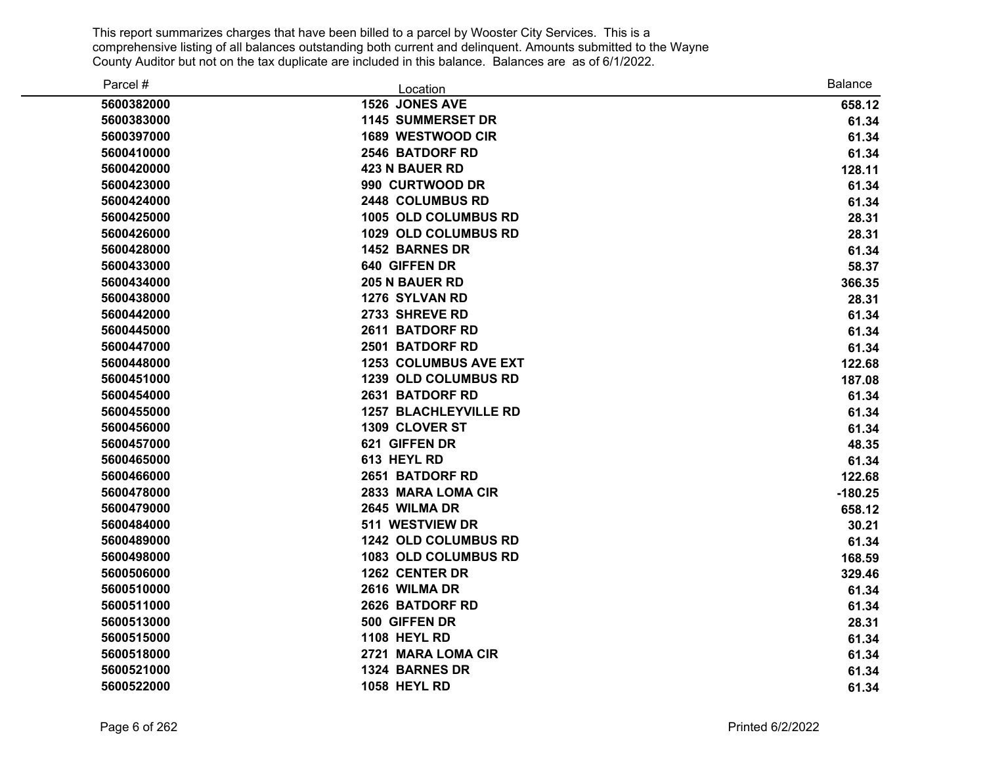| Parcel #   | Location                     | <b>Balance</b> |
|------------|------------------------------|----------------|
| 5600382000 | 1526 JONES AVE               | 658.12         |
| 5600383000 | <b>1145 SUMMERSET DR</b>     | 61.34          |
| 5600397000 | <b>1689 WESTWOOD CIR</b>     | 61.34          |
| 5600410000 | 2546 BATDORF RD              | 61.34          |
| 5600420000 | <b>423 N BAUER RD</b>        | 128.11         |
| 5600423000 | 990 CURTWOOD DR              | 61.34          |
| 5600424000 | 2448 COLUMBUS RD             | 61.34          |
| 5600425000 | 1005 OLD COLUMBUS RD         | 28.31          |
| 5600426000 | 1029 OLD COLUMBUS RD         | 28.31          |
| 5600428000 | 1452 BARNES DR               | 61.34          |
| 5600433000 | 640 GIFFEN DR                | 58.37          |
| 5600434000 | <b>205 N BAUER RD</b>        | 366.35         |
| 5600438000 | 1276 SYLVAN RD               | 28.31          |
| 5600442000 | 2733 SHREVE RD               | 61.34          |
| 5600445000 | 2611 BATDORF RD              | 61.34          |
| 5600447000 | 2501 BATDORF RD              | 61.34          |
| 5600448000 | <b>1253 COLUMBUS AVE EXT</b> | 122.68         |
| 5600451000 | 1239 OLD COLUMBUS RD         | 187.08         |
| 5600454000 | 2631 BATDORF RD              | 61.34          |
| 5600455000 | <b>1257 BLACHLEYVILLE RD</b> | 61.34          |
| 5600456000 | 1309 CLOVER ST               | 61.34          |
| 5600457000 | 621 GIFFEN DR                | 48.35          |
| 5600465000 | 613 HEYL RD                  | 61.34          |
| 5600466000 | 2651 BATDORF RD              | 122.68         |
| 5600478000 | 2833 MARA LOMA CIR           | $-180.25$      |
| 5600479000 | 2645 WILMA DR                | 658.12         |
| 5600484000 | 511 WESTVIEW DR              | 30.21          |
| 5600489000 | 1242 OLD COLUMBUS RD         | 61.34          |
| 5600498000 | 1083 OLD COLUMBUS RD         | 168.59         |
| 5600506000 | 1262 CENTER DR               | 329.46         |
| 5600510000 | 2616 WILMA DR                | 61.34          |
| 5600511000 | 2626 BATDORF RD              | 61.34          |
| 5600513000 | 500 GIFFEN DR                | 28.31          |
| 5600515000 | <b>1108 HEYL RD</b>          | 61.34          |
| 5600518000 | 2721 MARA LOMA CIR           | 61.34          |
| 5600521000 | 1324 BARNES DR               | 61.34          |
| 5600522000 | <b>1058 HEYL RD</b>          | 61.34          |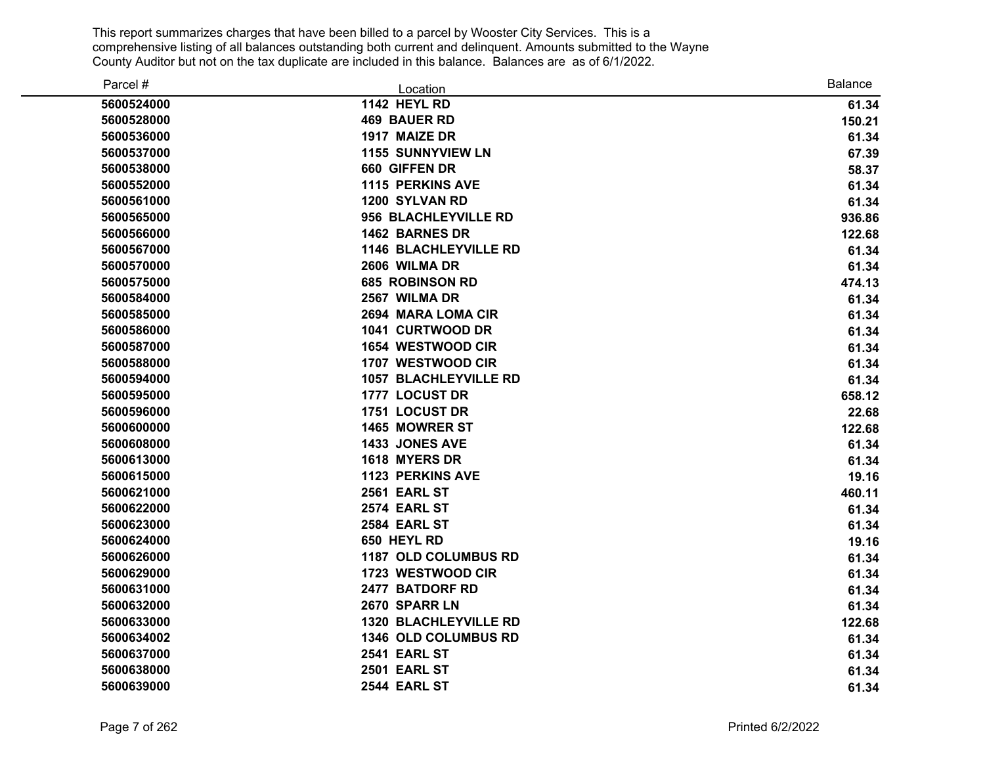| Parcel #   | Location                     | Balance |
|------------|------------------------------|---------|
| 5600524000 | <b>1142 HEYL RD</b>          | 61.34   |
| 5600528000 | <b>469 BAUER RD</b>          | 150.21  |
| 5600536000 | 1917 MAIZE DR                | 61.34   |
| 5600537000 | <b>1155 SUNNYVIEW LN</b>     | 67.39   |
| 5600538000 | 660 GIFFEN DR                | 58.37   |
| 5600552000 | <b>1115 PERKINS AVE</b>      | 61.34   |
| 5600561000 | 1200 SYLVAN RD               | 61.34   |
| 5600565000 | 956 BLACHLEYVILLE RD         | 936.86  |
| 5600566000 | 1462 BARNES DR               | 122.68  |
| 5600567000 | <b>1146 BLACHLEYVILLE RD</b> | 61.34   |
| 5600570000 | 2606 WILMA DR                | 61.34   |
| 5600575000 | <b>685 ROBINSON RD</b>       | 474.13  |
| 5600584000 | 2567 WILMA DR                | 61.34   |
| 5600585000 | 2694 MARA LOMA CIR           | 61.34   |
| 5600586000 | 1041 CURTWOOD DR             | 61.34   |
| 5600587000 | 1654 WESTWOOD CIR            | 61.34   |
| 5600588000 | 1707 WESTWOOD CIR            | 61.34   |
| 5600594000 | <b>1057 BLACHLEYVILLE RD</b> | 61.34   |
| 5600595000 | 1777 LOCUST DR               | 658.12  |
| 5600596000 | 1751 LOCUST DR               | 22.68   |
| 5600600000 | 1465 MOWRER ST               | 122.68  |
| 5600608000 | 1433 JONES AVE               | 61.34   |
| 5600613000 | 1618 MYERS DR                | 61.34   |
| 5600615000 | <b>1123 PERKINS AVE</b>      | 19.16   |
| 5600621000 | 2561 EARL ST                 | 460.11  |
| 5600622000 | 2574 EARL ST                 | 61.34   |
| 5600623000 | 2584 EARL ST                 | 61.34   |
| 5600624000 | 650 HEYL RD                  | 19.16   |
| 5600626000 | 1187 OLD COLUMBUS RD         | 61.34   |
| 5600629000 | 1723 WESTWOOD CIR            | 61.34   |
| 5600631000 | 2477 BATDORF RD              | 61.34   |
| 5600632000 | 2670 SPARR LN                | 61.34   |
| 5600633000 | <b>1320 BLACHLEYVILLE RD</b> | 122.68  |
| 5600634002 | 1346 OLD COLUMBUS RD         | 61.34   |
| 5600637000 | 2541 EARL ST                 | 61.34   |
| 5600638000 | <b>2501 EARL ST</b>          | 61.34   |
| 5600639000 | 2544 EARL ST                 | 61.34   |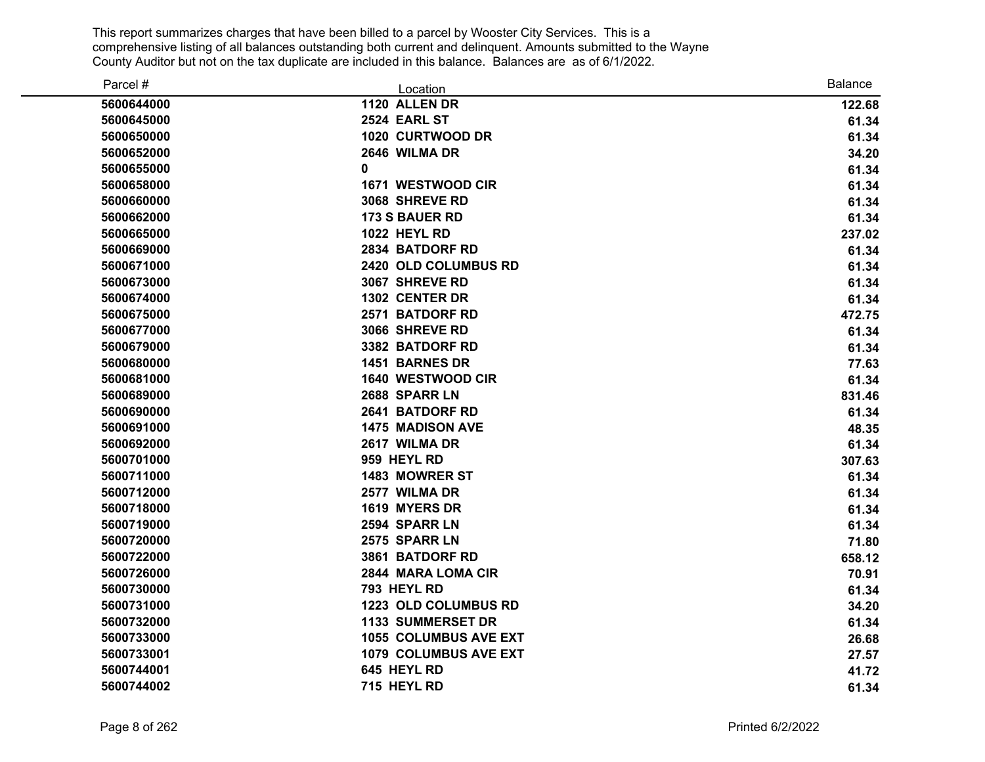| Parcel #   | Location                     | Balance |
|------------|------------------------------|---------|
| 5600644000 | 1120 ALLEN DR                | 122.68  |
| 5600645000 | 2524 EARL ST                 | 61.34   |
| 5600650000 | 1020 CURTWOOD DR             | 61.34   |
| 5600652000 | 2646 WILMA DR                | 34.20   |
| 5600655000 | 0                            | 61.34   |
| 5600658000 | 1671 WESTWOOD CIR            | 61.34   |
| 5600660000 | 3068 SHREVE RD               | 61.34   |
| 5600662000 | <b>173 S BAUER RD</b>        | 61.34   |
| 5600665000 | <b>1022 HEYL RD</b>          | 237.02  |
| 5600669000 | 2834 BATDORF RD              | 61.34   |
| 5600671000 | 2420 OLD COLUMBUS RD         | 61.34   |
| 5600673000 | 3067 SHREVE RD               | 61.34   |
| 5600674000 | 1302 CENTER DR               | 61.34   |
| 5600675000 | 2571 BATDORF RD              | 472.75  |
| 5600677000 | 3066 SHREVE RD               | 61.34   |
| 5600679000 | 3382 BATDORF RD              | 61.34   |
| 5600680000 | 1451 BARNES DR               | 77.63   |
| 5600681000 | 1640 WESTWOOD CIR            | 61.34   |
| 5600689000 | 2688 SPARR LN                | 831.46  |
| 5600690000 | 2641 BATDORF RD              | 61.34   |
| 5600691000 | 1475 MADISON AVE             | 48.35   |
| 5600692000 | 2617 WILMA DR                | 61.34   |
| 5600701000 | 959 HEYL RD                  | 307.63  |
| 5600711000 | 1483 MOWRER ST               | 61.34   |
| 5600712000 | 2577 WILMA DR                | 61.34   |
| 5600718000 | 1619 MYERS DR                | 61.34   |
| 5600719000 | 2594 SPARR LN                | 61.34   |
| 5600720000 | 2575 SPARR LN                | 71.80   |
| 5600722000 | 3861 BATDORF RD              | 658.12  |
| 5600726000 | 2844 MARA LOMA CIR           | 70.91   |
| 5600730000 | 793 HEYL RD                  | 61.34   |
| 5600731000 | 1223 OLD COLUMBUS RD         | 34.20   |
| 5600732000 | <b>1133 SUMMERSET DR</b>     | 61.34   |
| 5600733000 | <b>1055 COLUMBUS AVE EXT</b> | 26.68   |
| 5600733001 | 1079 COLUMBUS AVE EXT        | 27.57   |
| 5600744001 | 645 HEYL RD                  | 41.72   |
| 5600744002 | 715 HEYL RD                  | 61.34   |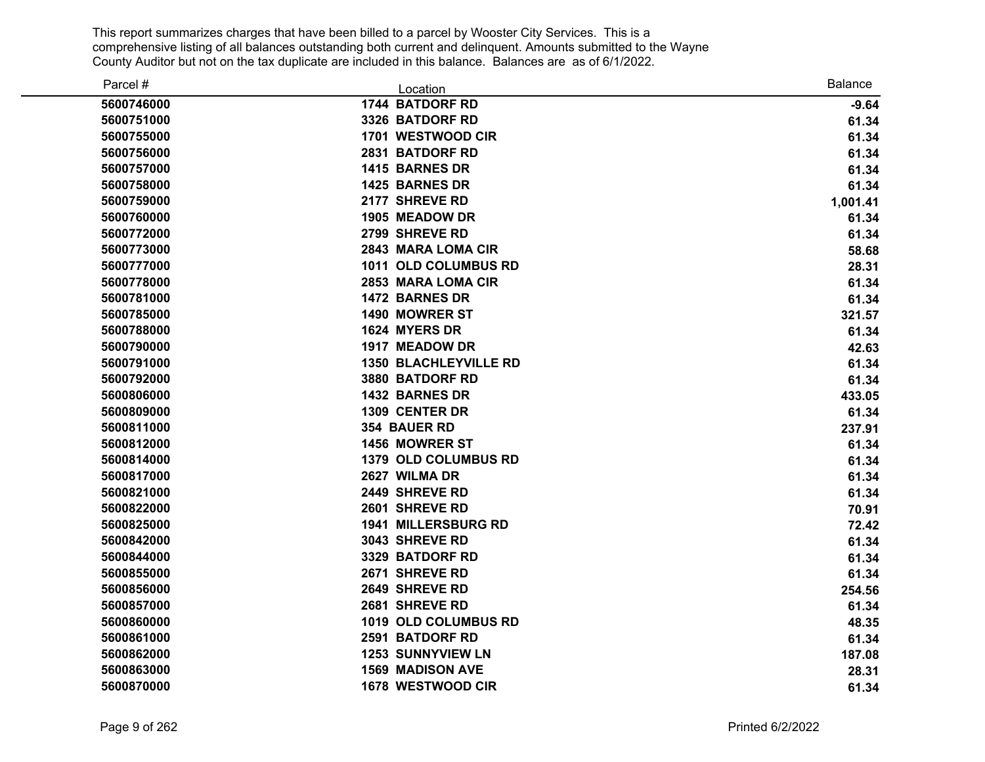| Parcel #   | Location                     | <b>Balance</b> |
|------------|------------------------------|----------------|
| 5600746000 | 1744 BATDORF RD              | $-9.64$        |
| 5600751000 | 3326 BATDORF RD              | 61.34          |
| 5600755000 | 1701 WESTWOOD CIR            | 61.34          |
| 5600756000 | 2831 BATDORF RD              | 61.34          |
| 5600757000 | 1415 BARNES DR               | 61.34          |
| 5600758000 | 1425 BARNES DR               | 61.34          |
| 5600759000 | 2177 SHREVE RD               | 1,001.41       |
| 5600760000 | 1905 MEADOW DR               | 61.34          |
| 5600772000 | 2799 SHREVE RD               | 61.34          |
| 5600773000 | 2843 MARA LOMA CIR           | 58.68          |
| 5600777000 | 1011 OLD COLUMBUS RD         | 28.31          |
| 5600778000 | 2853 MARA LOMA CIR           | 61.34          |
| 5600781000 | <b>1472 BARNES DR</b>        | 61.34          |
| 5600785000 | 1490 MOWRER ST               | 321.57         |
| 5600788000 | 1624 MYERS DR                | 61.34          |
| 5600790000 | 1917 MEADOW DR               | 42.63          |
| 5600791000 | <b>1350 BLACHLEYVILLE RD</b> | 61.34          |
| 5600792000 | 3880 BATDORF RD              | 61.34          |
| 5600806000 | 1432 BARNES DR               | 433.05         |
| 5600809000 | 1309 CENTER DR               | 61.34          |
| 5600811000 | 354 BAUER RD                 | 237.91         |
| 5600812000 | 1456 MOWRER ST               | 61.34          |
| 5600814000 | <b>1379 OLD COLUMBUS RD</b>  | 61.34          |
| 5600817000 | 2627 WILMA DR                | 61.34          |
| 5600821000 | 2449 SHREVE RD               | 61.34          |
| 5600822000 | 2601 SHREVE RD               | 70.91          |
| 5600825000 | <b>1941 MILLERSBURG RD</b>   | 72.42          |
| 5600842000 | 3043 SHREVE RD               | 61.34          |
| 5600844000 | 3329 BATDORF RD              | 61.34          |
| 5600855000 | 2671 SHREVE RD               | 61.34          |
| 5600856000 | 2649 SHREVE RD               | 254.56         |
| 5600857000 | 2681 SHREVE RD               | 61.34          |
| 5600860000 | 1019 OLD COLUMBUS RD         | 48.35          |
| 5600861000 | 2591 BATDORF RD              | 61.34          |
| 5600862000 | <b>1253 SUNNYVIEW LN</b>     | 187.08         |
| 5600863000 | <b>1569 MADISON AVE</b>      | 28.31          |
| 5600870000 | 1678 WESTWOOD CIR            | 61.34          |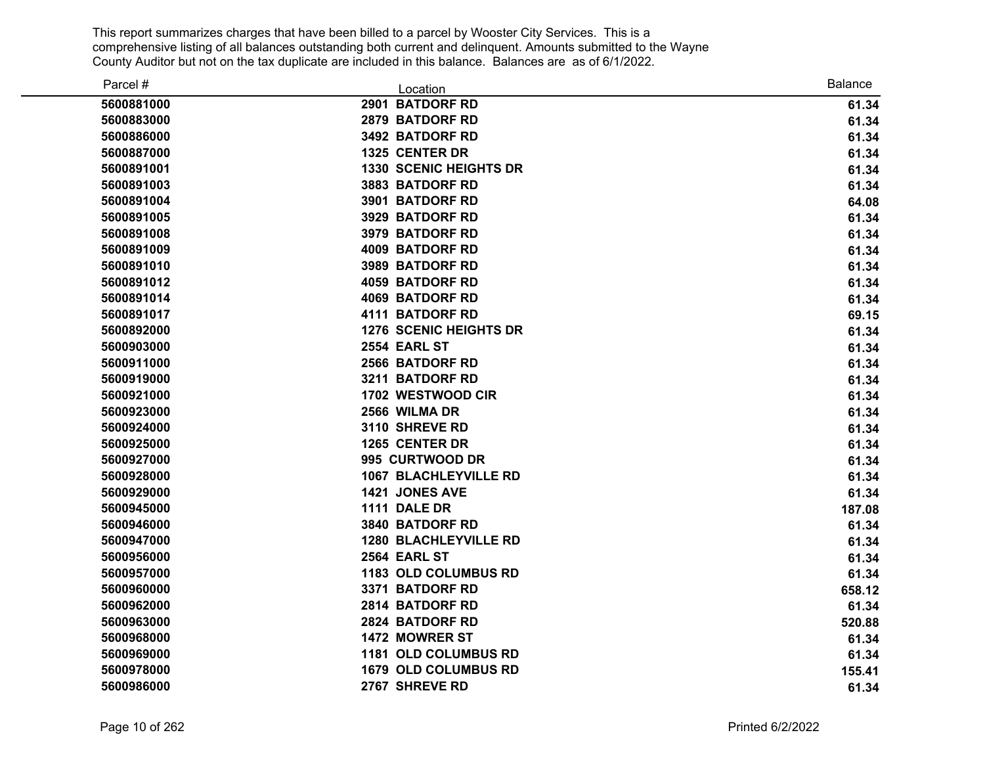| Parcel #   | Location                      | <b>Balance</b> |
|------------|-------------------------------|----------------|
| 5600881000 | 2901 BATDORF RD               | 61.34          |
| 5600883000 | 2879 BATDORF RD               | 61.34          |
| 5600886000 | 3492 BATDORF RD               | 61.34          |
| 5600887000 | 1325 CENTER DR                | 61.34          |
| 5600891001 | <b>1330 SCENIC HEIGHTS DR</b> | 61.34          |
| 5600891003 | 3883 BATDORF RD               | 61.34          |
| 5600891004 | 3901 BATDORF RD               | 64.08          |
| 5600891005 | 3929 BATDORF RD               | 61.34          |
| 5600891008 | <b>3979 BATDORF RD</b>        | 61.34          |
| 5600891009 | <b>4009 BATDORF RD</b>        | 61.34          |
| 5600891010 | 3989 BATDORF RD               | 61.34          |
| 5600891012 | <b>4059 BATDORF RD</b>        | 61.34          |
| 5600891014 | <b>4069 BATDORF RD</b>        | 61.34          |
| 5600891017 | <b>4111 BATDORF RD</b>        | 69.15          |
| 5600892000 | <b>1276 SCENIC HEIGHTS DR</b> | 61.34          |
| 5600903000 | <b>2554 EARL ST</b>           | 61.34          |
| 5600911000 | 2566 BATDORF RD               | 61.34          |
| 5600919000 | 3211 BATDORF RD               | 61.34          |
| 5600921000 | 1702 WESTWOOD CIR             | 61.34          |
| 5600923000 | 2566 WILMA DR                 | 61.34          |
| 5600924000 | 3110 SHREVE RD                | 61.34          |
| 5600925000 | 1265 CENTER DR                | 61.34          |
| 5600927000 | 995 CURTWOOD DR               | 61.34          |
| 5600928000 | <b>1067 BLACHLEYVILLE RD</b>  | 61.34          |
| 5600929000 | 1421 JONES AVE                | 61.34          |
| 5600945000 | 1111 DALE DR                  | 187.08         |
| 5600946000 | 3840 BATDORF RD               | 61.34          |
| 5600947000 | <b>1280 BLACHLEYVILLE RD</b>  | 61.34          |
| 5600956000 | <b>2564 EARL ST</b>           | 61.34          |
| 5600957000 | 1183 OLD COLUMBUS RD          | 61.34          |
| 5600960000 | 3371 BATDORF RD               | 658.12         |
| 5600962000 | 2814 BATDORF RD               | 61.34          |
| 5600963000 | 2824 BATDORF RD               | 520.88         |
| 5600968000 | 1472 MOWRER ST                | 61.34          |
| 5600969000 | 1181 OLD COLUMBUS RD          | 61.34          |
| 5600978000 | <b>1679 OLD COLUMBUS RD</b>   | 155.41         |
| 5600986000 | 2767 SHREVE RD                | 61.34          |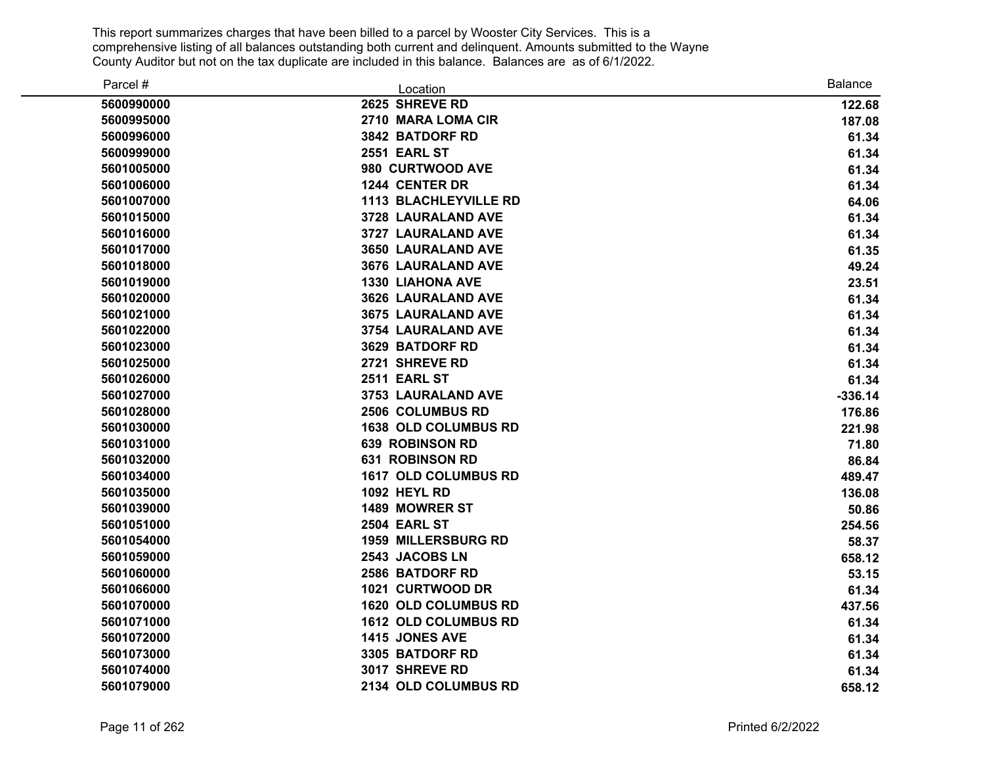| Parcel #   | Location                     | <b>Balance</b> |
|------------|------------------------------|----------------|
| 5600990000 | 2625 SHREVE RD               | 122.68         |
| 5600995000 | 2710 MARA LOMA CIR           | 187.08         |
| 5600996000 | 3842 BATDORF RD              | 61.34          |
| 5600999000 | <b>2551 EARL ST</b>          | 61.34          |
| 5601005000 | 980 CURTWOOD AVE             | 61.34          |
| 5601006000 | 1244 CENTER DR               | 61.34          |
| 5601007000 | <b>1113 BLACHLEYVILLE RD</b> | 64.06          |
| 5601015000 | 3728 LAURALAND AVE           | 61.34          |
| 5601016000 | 3727 LAURALAND AVE           | 61.34          |
| 5601017000 | <b>3650 LAURALAND AVE</b>    | 61.35          |
| 5601018000 | 3676 LAURALAND AVE           | 49.24          |
| 5601019000 | <b>1330 LIAHONA AVE</b>      | 23.51          |
| 5601020000 | <b>3626 LAURALAND AVE</b>    | 61.34          |
| 5601021000 | <b>3675 LAURALAND AVE</b>    | 61.34          |
| 5601022000 | 3754 LAURALAND AVE           | 61.34          |
| 5601023000 | 3629 BATDORF RD              | 61.34          |
| 5601025000 | 2721 SHREVE RD               | 61.34          |
| 5601026000 | <b>2511 EARL ST</b>          | 61.34          |
| 5601027000 | <b>3753 LAURALAND AVE</b>    | $-336.14$      |
| 5601028000 | 2506 COLUMBUS RD             | 176.86         |
| 5601030000 | <b>1638 OLD COLUMBUS RD</b>  | 221.98         |
| 5601031000 | <b>639 ROBINSON RD</b>       | 71.80          |
| 5601032000 | <b>631 ROBINSON RD</b>       | 86.84          |
| 5601034000 | <b>1617 OLD COLUMBUS RD</b>  | 489.47         |
| 5601035000 | <b>1092 HEYL RD</b>          | 136.08         |
| 5601039000 | 1489 MOWRER ST               | 50.86          |
| 5601051000 | <b>2504 EARL ST</b>          | 254.56         |
| 5601054000 | <b>1959 MILLERSBURG RD</b>   | 58.37          |
| 5601059000 | 2543 JACOBS LN               | 658.12         |
| 5601060000 | 2586 BATDORF RD              | 53.15          |
| 5601066000 | 1021 CURTWOOD DR             | 61.34          |
| 5601070000 | 1620 OLD COLUMBUS RD         | 437.56         |
| 5601071000 | 1612 OLD COLUMBUS RD         | 61.34          |
| 5601072000 | 1415 JONES AVE               | 61.34          |
| 5601073000 | 3305 BATDORF RD              | 61.34          |
| 5601074000 | 3017 SHREVE RD               | 61.34          |
| 5601079000 | 2134 OLD COLUMBUS RD         | 658.12         |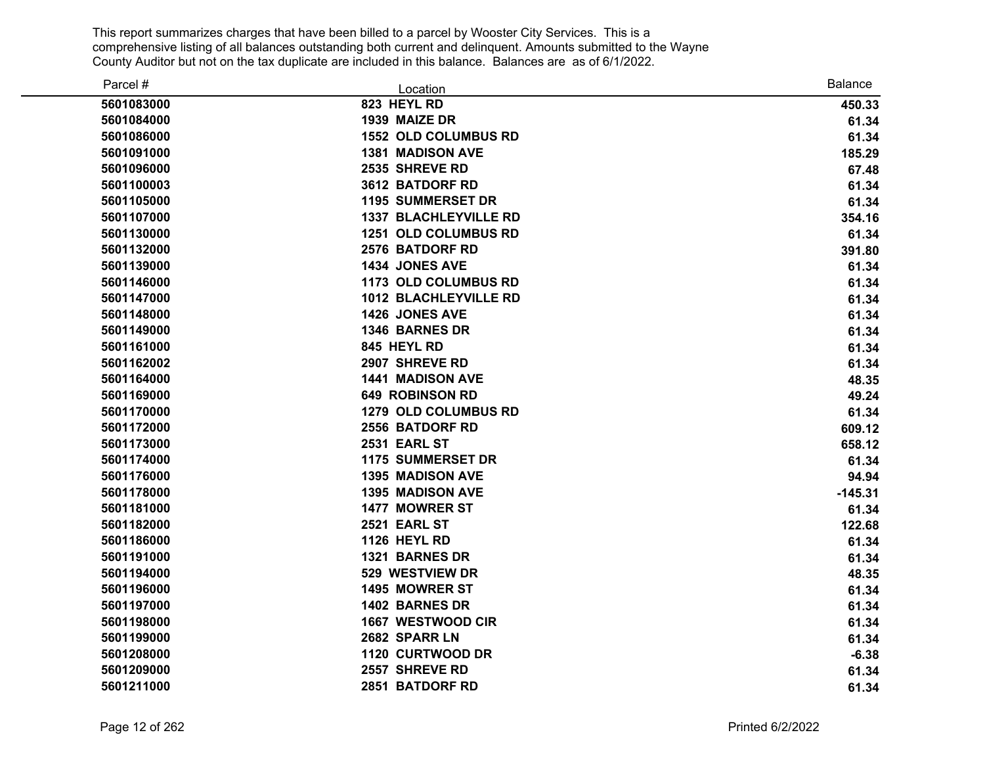| Parcel #   | Location                     | <b>Balance</b> |
|------------|------------------------------|----------------|
| 5601083000 | 823 HEYL RD                  | 450.33         |
| 5601084000 | 1939 MAIZE DR                | 61.34          |
| 5601086000 | <b>1552 OLD COLUMBUS RD</b>  | 61.34          |
| 5601091000 | <b>1381 MADISON AVE</b>      | 185.29         |
| 5601096000 | 2535 SHREVE RD               | 67.48          |
| 5601100003 | 3612 BATDORF RD              | 61.34          |
| 5601105000 | <b>1195 SUMMERSET DR</b>     | 61.34          |
| 5601107000 | <b>1337 BLACHLEYVILLE RD</b> | 354.16         |
| 5601130000 | <b>1251 OLD COLUMBUS RD</b>  | 61.34          |
| 5601132000 | 2576 BATDORF RD              | 391.80         |
| 5601139000 | 1434 JONES AVE               | 61.34          |
| 5601146000 | 1173 OLD COLUMBUS RD         | 61.34          |
| 5601147000 | <b>1012 BLACHLEYVILLE RD</b> | 61.34          |
| 5601148000 | 1426 JONES AVE               | 61.34          |
| 5601149000 | 1346 BARNES DR               | 61.34          |
| 5601161000 | 845 HEYL RD                  | 61.34          |
| 5601162002 | 2907 SHREVE RD               | 61.34          |
| 5601164000 | <b>1441 MADISON AVE</b>      | 48.35          |
| 5601169000 | <b>649 ROBINSON RD</b>       | 49.24          |
| 5601170000 | 1279 OLD COLUMBUS RD         | 61.34          |
| 5601172000 | 2556 BATDORF RD              | 609.12         |
| 5601173000 | <b>2531 EARL ST</b>          | 658.12         |
| 5601174000 | <b>1175 SUMMERSET DR</b>     | 61.34          |
| 5601176000 | <b>1395 MADISON AVE</b>      | 94.94          |
| 5601178000 | 1395 MADISON AVE             | $-145.31$      |
| 5601181000 | 1477 MOWRER ST               | 61.34          |
| 5601182000 | 2521 EARL ST                 | 122.68         |
| 5601186000 | <b>1126 HEYL RD</b>          | 61.34          |
| 5601191000 | 1321 BARNES DR               | 61.34          |
| 5601194000 | 529 WESTVIEW DR              | 48.35          |
| 5601196000 | 1495 MOWRER ST               | 61.34          |
| 5601197000 | 1402 BARNES DR               | 61.34          |
| 5601198000 | 1667 WESTWOOD CIR            | 61.34          |
| 5601199000 | 2682 SPARR LN                | 61.34          |
| 5601208000 | 1120 CURTWOOD DR             | $-6.38$        |
| 5601209000 | 2557 SHREVE RD               | 61.34          |
| 5601211000 | 2851 BATDORF RD              | 61.34          |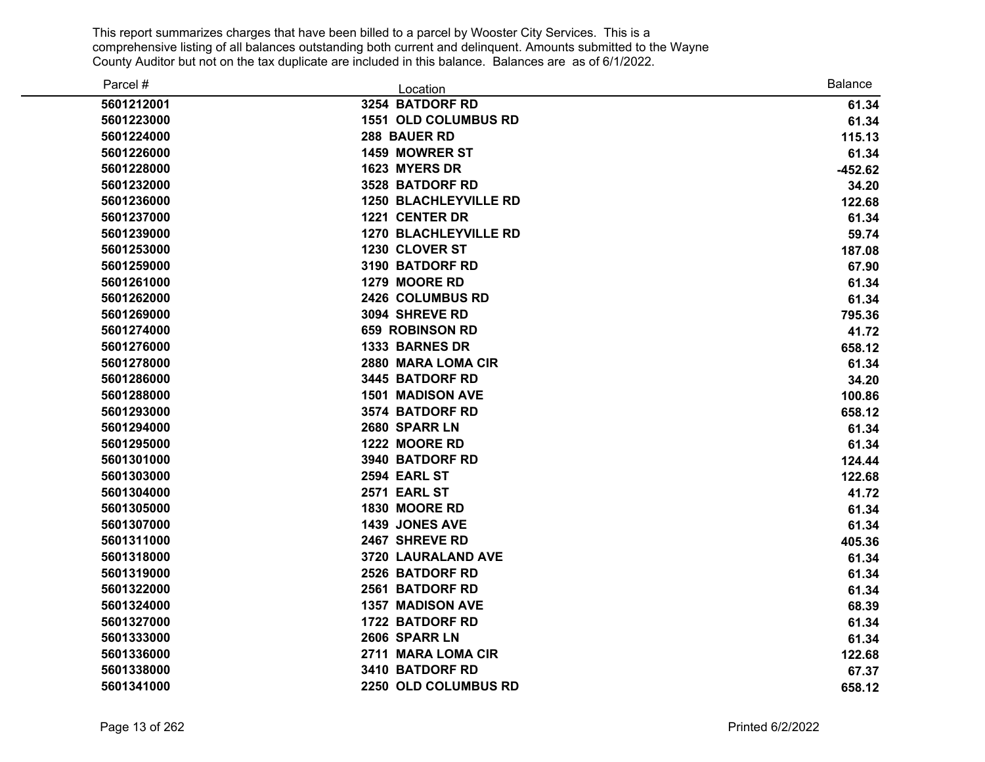| Parcel #   | Location                     | <b>Balance</b> |
|------------|------------------------------|----------------|
| 5601212001 | 3254 BATDORF RD              | 61.34          |
| 5601223000 | <b>1551 OLD COLUMBUS RD</b>  | 61.34          |
| 5601224000 | 288 BAUER RD                 | 115.13         |
| 5601226000 | 1459 MOWRER ST               | 61.34          |
| 5601228000 | 1623 MYERS DR                | $-452.62$      |
| 5601232000 | 3528 BATDORF RD              | 34.20          |
| 5601236000 | <b>1250 BLACHLEYVILLE RD</b> | 122.68         |
| 5601237000 | 1221 CENTER DR               | 61.34          |
| 5601239000 | <b>1270 BLACHLEYVILLE RD</b> | 59.74          |
| 5601253000 | 1230 CLOVER ST               | 187.08         |
| 5601259000 | 3190 BATDORF RD              | 67.90          |
| 5601261000 | 1279 MOORE RD                | 61.34          |
| 5601262000 | 2426 COLUMBUS RD             | 61.34          |
| 5601269000 | 3094 SHREVE RD               | 795.36         |
| 5601274000 | <b>659 ROBINSON RD</b>       | 41.72          |
| 5601276000 | 1333 BARNES DR               | 658.12         |
| 5601278000 | 2880 MARA LOMA CIR           | 61.34          |
| 5601286000 | 3445 BATDORF RD              | 34.20          |
| 5601288000 | <b>1501 MADISON AVE</b>      | 100.86         |
| 5601293000 | 3574 BATDORF RD              | 658.12         |
| 5601294000 | 2680 SPARR LN                | 61.34          |
| 5601295000 | 1222 MOORE RD                | 61.34          |
| 5601301000 | 3940 BATDORF RD              | 124.44         |
| 5601303000 | 2594 EARL ST                 | 122.68         |
| 5601304000 | 2571 EARL ST                 | 41.72          |
| 5601305000 | 1830 MOORE RD                | 61.34          |
| 5601307000 | 1439 JONES AVE               | 61.34          |
| 5601311000 | 2467 SHREVE RD               | 405.36         |
| 5601318000 | 3720 LAURALAND AVE           | 61.34          |
| 5601319000 | 2526 BATDORF RD              | 61.34          |
| 5601322000 | 2561 BATDORF RD              | 61.34          |
| 5601324000 | <b>1357 MADISON AVE</b>      | 68.39          |
| 5601327000 | 1722 BATDORF RD              | 61.34          |
| 5601333000 | 2606 SPARR LN                | 61.34          |
| 5601336000 | 2711 MARA LOMA CIR           | 122.68         |
| 5601338000 | 3410 BATDORF RD              | 67.37          |
| 5601341000 | 2250 OLD COLUMBUS RD         | 658.12         |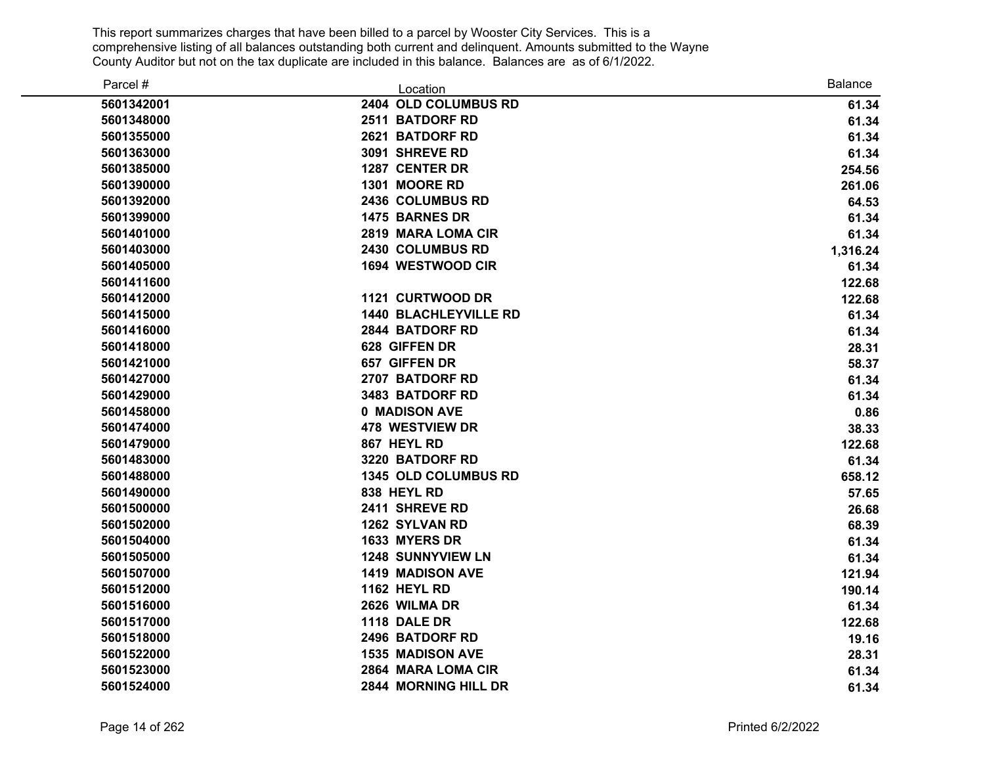| Parcel #   | Location                     | <b>Balance</b> |
|------------|------------------------------|----------------|
| 5601342001 | 2404 OLD COLUMBUS RD         | 61.34          |
| 5601348000 | 2511 BATDORF RD              | 61.34          |
| 5601355000 | 2621 BATDORF RD              | 61.34          |
| 5601363000 | 3091 SHREVE RD               | 61.34          |
| 5601385000 | 1287 CENTER DR               | 254.56         |
| 5601390000 | 1301 MOORE RD                | 261.06         |
| 5601392000 | 2436 COLUMBUS RD             | 64.53          |
| 5601399000 | 1475 BARNES DR               | 61.34          |
| 5601401000 | 2819 MARA LOMA CIR           | 61.34          |
| 5601403000 | 2430 COLUMBUS RD             | 1,316.24       |
| 5601405000 | 1694 WESTWOOD CIR            | 61.34          |
| 5601411600 |                              | 122.68         |
| 5601412000 | 1121 CURTWOOD DR             | 122.68         |
| 5601415000 | <b>1440 BLACHLEYVILLE RD</b> | 61.34          |
| 5601416000 | 2844 BATDORF RD              | 61.34          |
| 5601418000 | 628 GIFFEN DR                | 28.31          |
| 5601421000 | 657 GIFFEN DR                | 58.37          |
| 5601427000 | 2707 BATDORF RD              | 61.34          |
| 5601429000 | 3483 BATDORF RD              | 61.34          |
| 5601458000 | 0 MADISON AVE                | 0.86           |
| 5601474000 | <b>478 WESTVIEW DR</b>       | 38.33          |
| 5601479000 | 867 HEYL RD                  | 122.68         |
| 5601483000 | 3220 BATDORF RD              | 61.34          |
| 5601488000 | 1345 OLD COLUMBUS RD         | 658.12         |
| 5601490000 | 838 HEYL RD                  | 57.65          |
| 5601500000 | 2411 SHREVE RD               | 26.68          |
| 5601502000 | 1262 SYLVAN RD               | 68.39          |
| 5601504000 | 1633 MYERS DR                | 61.34          |
| 5601505000 | <b>1248 SUNNYVIEW LN</b>     | 61.34          |
| 5601507000 | <b>1419 MADISON AVE</b>      | 121.94         |
| 5601512000 | <b>1162 HEYL RD</b>          | 190.14         |
| 5601516000 | 2626 WILMA DR                | 61.34          |
| 5601517000 | 1118 DALE DR                 | 122.68         |
| 5601518000 | 2496 BATDORF RD              | 19.16          |
| 5601522000 | <b>1535 MADISON AVE</b>      | 28.31          |
| 5601523000 | 2864 MARA LOMA CIR           | 61.34          |
| 5601524000 | 2844 MORNING HILL DR         | 61.34          |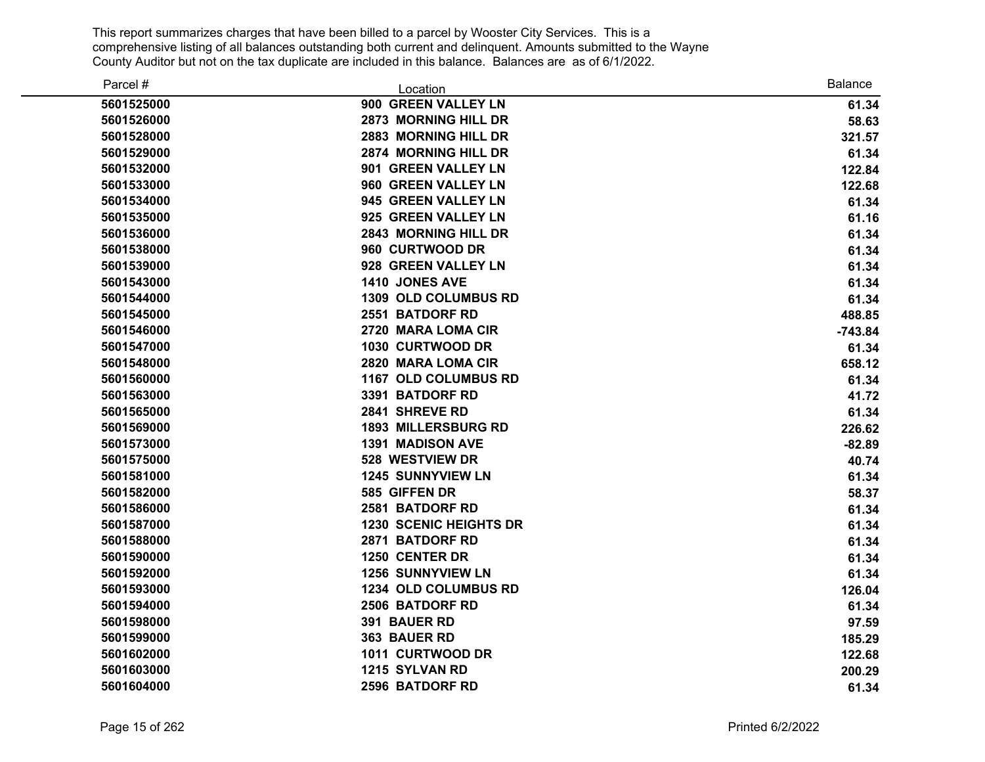| Parcel #   | Location                      | <b>Balance</b> |
|------------|-------------------------------|----------------|
| 5601525000 | 900 GREEN VALLEY LN           | 61.34          |
| 5601526000 | 2873 MORNING HILL DR          | 58.63          |
| 5601528000 | 2883 MORNING HILL DR          | 321.57         |
| 5601529000 | 2874 MORNING HILL DR          | 61.34          |
| 5601532000 | 901 GREEN VALLEY LN           | 122.84         |
| 5601533000 | 960 GREEN VALLEY LN           | 122.68         |
| 5601534000 | 945 GREEN VALLEY LN           | 61.34          |
| 5601535000 | 925 GREEN VALLEY LN           | 61.16          |
| 5601536000 | <b>2843 MORNING HILL DR</b>   | 61.34          |
| 5601538000 | 960 CURTWOOD DR               | 61.34          |
| 5601539000 | 928 GREEN VALLEY LN           | 61.34          |
| 5601543000 | 1410 JONES AVE                | 61.34          |
| 5601544000 | <b>1309 OLD COLUMBUS RD</b>   | 61.34          |
| 5601545000 | 2551 BATDORF RD               | 488.85         |
| 5601546000 | 2720 MARA LOMA CIR            | $-743.84$      |
| 5601547000 | 1030 CURTWOOD DR              | 61.34          |
| 5601548000 | 2820 MARA LOMA CIR            | 658.12         |
| 5601560000 | <b>1167 OLD COLUMBUS RD</b>   | 61.34          |
| 5601563000 | 3391 BATDORF RD               | 41.72          |
| 5601565000 | 2841 SHREVE RD                | 61.34          |
| 5601569000 | <b>1893 MILLERSBURG RD</b>    | 226.62         |
| 5601573000 | <b>1391 MADISON AVE</b>       | $-82.89$       |
| 5601575000 | 528 WESTVIEW DR               | 40.74          |
| 5601581000 | <b>1245 SUNNYVIEW LN</b>      | 61.34          |
| 5601582000 | 585 GIFFEN DR                 | 58.37          |
| 5601586000 | 2581 BATDORF RD               | 61.34          |
| 5601587000 | <b>1230 SCENIC HEIGHTS DR</b> | 61.34          |
| 5601588000 | 2871 BATDORF RD               | 61.34          |
| 5601590000 | 1250 CENTER DR                | 61.34          |
| 5601592000 | <b>1256 SUNNYVIEW LN</b>      | 61.34          |
| 5601593000 | 1234 OLD COLUMBUS RD          | 126.04         |
| 5601594000 | 2506 BATDORF RD               | 61.34          |
| 5601598000 | 391 BAUER RD                  | 97.59          |
| 5601599000 | 363 BAUER RD                  | 185.29         |
| 5601602000 | 1011 CURTWOOD DR              | 122.68         |
| 5601603000 | 1215 SYLVAN RD                | 200.29         |
| 5601604000 | 2596 BATDORF RD               | 61.34          |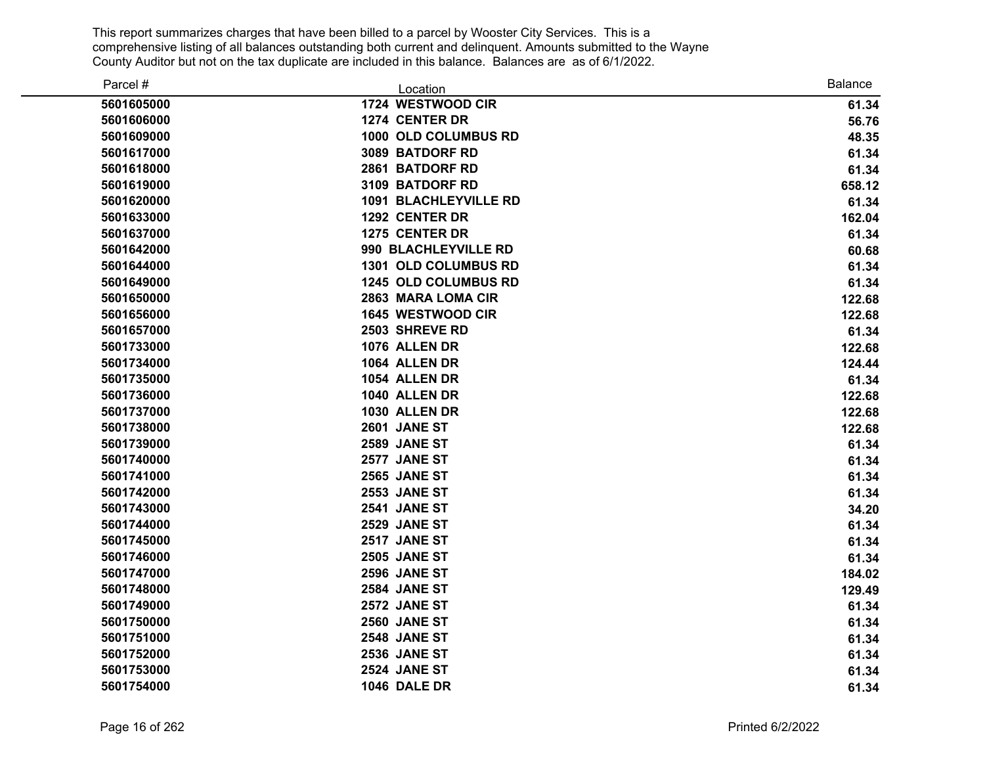| Parcel #   | Location                     | <b>Balance</b> |
|------------|------------------------------|----------------|
| 5601605000 | 1724 WESTWOOD CIR            | 61.34          |
| 5601606000 | 1274 CENTER DR               | 56.76          |
| 5601609000 | 1000 OLD COLUMBUS RD         | 48.35          |
| 5601617000 | 3089 BATDORF RD              | 61.34          |
| 5601618000 | 2861 BATDORF RD              | 61.34          |
| 5601619000 | 3109 BATDORF RD              | 658.12         |
| 5601620000 | <b>1091 BLACHLEYVILLE RD</b> | 61.34          |
| 5601633000 | 1292 CENTER DR               | 162.04         |
| 5601637000 | 1275 CENTER DR               | 61.34          |
| 5601642000 | 990 BLACHLEYVILLE RD         | 60.68          |
| 5601644000 | 1301 OLD COLUMBUS RD         | 61.34          |
| 5601649000 | 1245 OLD COLUMBUS RD         | 61.34          |
| 5601650000 | 2863 MARA LOMA CIR           | 122.68         |
| 5601656000 | 1645 WESTWOOD CIR            | 122.68         |
| 5601657000 | 2503 SHREVE RD               | 61.34          |
| 5601733000 | 1076 ALLEN DR                | 122.68         |
| 5601734000 | 1064 ALLEN DR                | 124.44         |
| 5601735000 | 1054 ALLEN DR                | 61.34          |
| 5601736000 | 1040 ALLEN DR                | 122.68         |
| 5601737000 | 1030 ALLEN DR                | 122.68         |
| 5601738000 | 2601 JANE ST                 | 122.68         |
| 5601739000 | 2589 JANE ST                 | 61.34          |
| 5601740000 | 2577 JANE ST                 | 61.34          |
| 5601741000 | <b>2565 JANE ST</b>          | 61.34          |
| 5601742000 | <b>2553 JANE ST</b>          | 61.34          |
| 5601743000 | 2541 JANE ST                 | 34.20          |
| 5601744000 | 2529 JANE ST                 | 61.34          |
| 5601745000 | 2517 JANE ST                 | 61.34          |
| 5601746000 | <b>2505 JANE ST</b>          | 61.34          |
| 5601747000 | 2596 JANE ST                 | 184.02         |
| 5601748000 | <b>2584 JANE ST</b>          | 129.49         |
| 5601749000 | 2572 JANE ST                 | 61.34          |
| 5601750000 | 2560 JANE ST                 | 61.34          |
| 5601751000 | 2548 JANE ST                 | 61.34          |
| 5601752000 | 2536 JANE ST                 | 61.34          |
| 5601753000 | <b>2524 JANE ST</b>          | 61.34          |
| 5601754000 | 1046 DALE DR                 | 61.34          |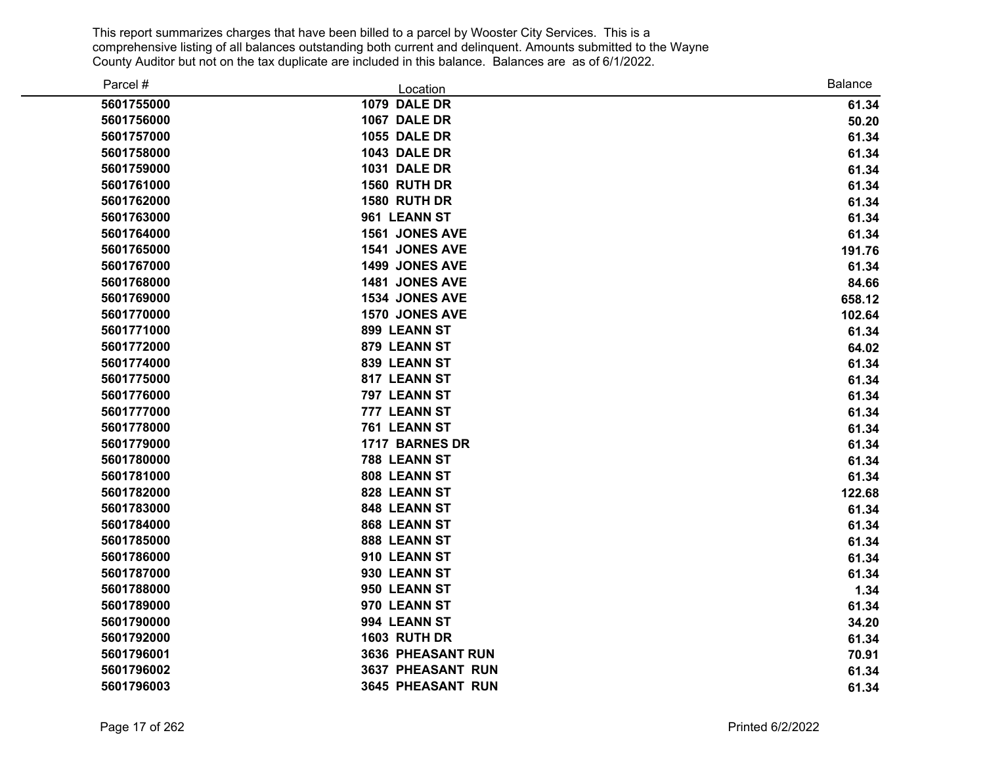| Parcel #   | Location            | <b>Balance</b> |
|------------|---------------------|----------------|
| 5601755000 | 1079 DALE DR        | 61.34          |
| 5601756000 | 1067 DALE DR        | 50.20          |
| 5601757000 | <b>1055 DALE DR</b> | 61.34          |
| 5601758000 | <b>1043 DALE DR</b> | 61.34          |
| 5601759000 | 1031 DALE DR        | 61.34          |
| 5601761000 | 1560 RUTH DR        | 61.34          |
| 5601762000 | 1580 RUTH DR        | 61.34          |
| 5601763000 | 961 LEANN ST        | 61.34          |
| 5601764000 | 1561 JONES AVE      | 61.34          |
| 5601765000 | 1541 JONES AVE      | 191.76         |
| 5601767000 | 1499 JONES AVE      | 61.34          |
| 5601768000 | 1481 JONES AVE      | 84.66          |
| 5601769000 | 1534 JONES AVE      | 658.12         |
| 5601770000 | 1570 JONES AVE      | 102.64         |
| 5601771000 | 899 LEANN ST        | 61.34          |
| 5601772000 | 879 LEANN ST        | 64.02          |
| 5601774000 | 839 LEANN ST        | 61.34          |
| 5601775000 | 817 LEANN ST        | 61.34          |
| 5601776000 | 797 LEANN ST        | 61.34          |
| 5601777000 | 777 LEANN ST        | 61.34          |
| 5601778000 | 761 LEANN ST        | 61.34          |
| 5601779000 | 1717 BARNES DR      | 61.34          |
| 5601780000 | 788 LEANN ST        | 61.34          |
| 5601781000 | 808 LEANN ST        | 61.34          |
| 5601782000 | 828 LEANN ST        | 122.68         |
| 5601783000 | 848 LEANN ST        | 61.34          |
| 5601784000 | 868 LEANN ST        | 61.34          |
| 5601785000 | 888 LEANN ST        | 61.34          |
| 5601786000 | 910 LEANN ST        | 61.34          |
| 5601787000 | 930 LEANN ST        | 61.34          |
| 5601788000 | 950 LEANN ST        | 1.34           |
| 5601789000 | 970 LEANN ST        | 61.34          |
| 5601790000 | 994 LEANN ST        | 34.20          |
| 5601792000 | <b>1603 RUTH DR</b> | 61.34          |
| 5601796001 | 3636 PHEASANT RUN   | 70.91          |
| 5601796002 | 3637 PHEASANT RUN   | 61.34          |
| 5601796003 | 3645 PHEASANT RUN   | 61.34          |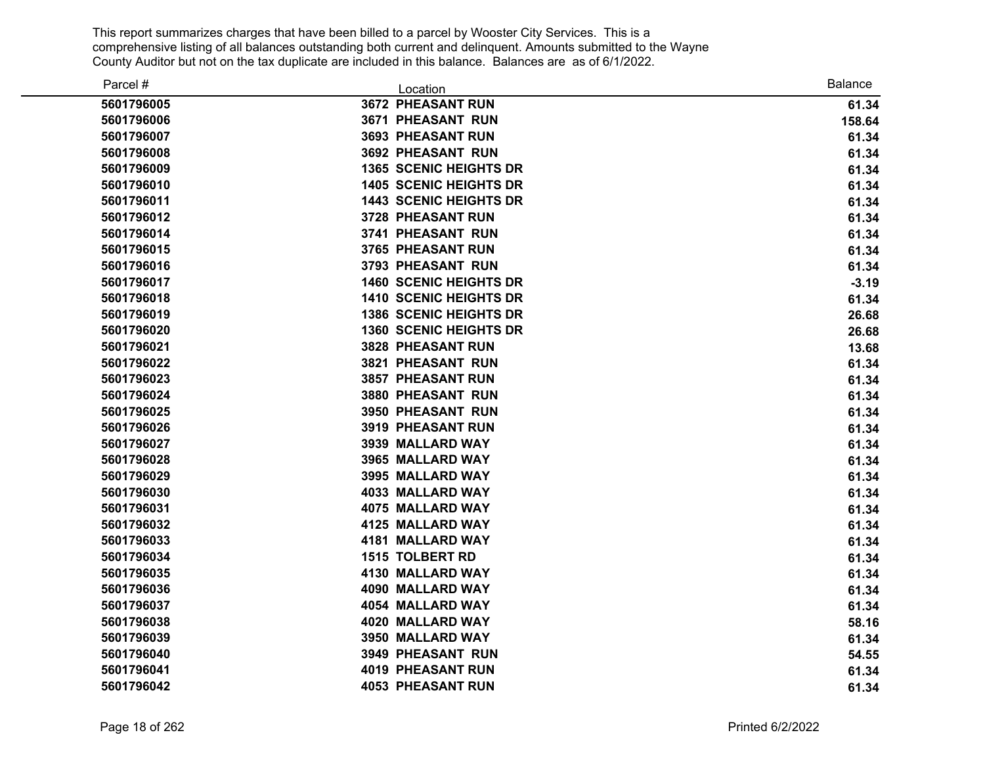| Parcel #   | Location                      | <b>Balance</b> |
|------------|-------------------------------|----------------|
| 5601796005 | 3672 PHEASANT RUN             | 61.34          |
| 5601796006 | 3671 PHEASANT RUN             | 158.64         |
| 5601796007 | 3693 PHEASANT RUN             | 61.34          |
| 5601796008 | <b>3692 PHEASANT RUN</b>      | 61.34          |
| 5601796009 | <b>1365 SCENIC HEIGHTS DR</b> | 61.34          |
| 5601796010 | <b>1405 SCENIC HEIGHTS DR</b> | 61.34          |
| 5601796011 | <b>1443 SCENIC HEIGHTS DR</b> | 61.34          |
| 5601796012 | 3728 PHEASANT RUN             | 61.34          |
| 5601796014 | <b>3741 PHEASANT RUN</b>      | 61.34          |
| 5601796015 | 3765 PHEASANT RUN             | 61.34          |
| 5601796016 | 3793 PHEASANT RUN             | 61.34          |
| 5601796017 | <b>1460 SCENIC HEIGHTS DR</b> | $-3.19$        |
| 5601796018 | <b>1410 SCENIC HEIGHTS DR</b> | 61.34          |
| 5601796019 | <b>1386 SCENIC HEIGHTS DR</b> | 26.68          |
| 5601796020 | <b>1360 SCENIC HEIGHTS DR</b> | 26.68          |
| 5601796021 | 3828 PHEASANT RUN             | 13.68          |
| 5601796022 | 3821 PHEASANT RUN             | 61.34          |
| 5601796023 | 3857 PHEASANT RUN             | 61.34          |
| 5601796024 | 3880 PHEASANT RUN             | 61.34          |
| 5601796025 | 3950 PHEASANT RUN             | 61.34          |
| 5601796026 | 3919 PHEASANT RUN             | 61.34          |
| 5601796027 | 3939 MALLARD WAY              | 61.34          |
| 5601796028 | 3965 MALLARD WAY              | 61.34          |
| 5601796029 | 3995 MALLARD WAY              | 61.34          |
| 5601796030 | 4033 MALLARD WAY              | 61.34          |
| 5601796031 | 4075 MALLARD WAY              | 61.34          |
| 5601796032 | 4125 MALLARD WAY              | 61.34          |
| 5601796033 | 4181 MALLARD WAY              | 61.34          |
| 5601796034 | <b>1515 TOLBERT RD</b>        | 61.34          |
| 5601796035 | 4130 MALLARD WAY              | 61.34          |
| 5601796036 | 4090 MALLARD WAY              | 61.34          |
| 5601796037 | 4054 MALLARD WAY              | 61.34          |
| 5601796038 | 4020 MALLARD WAY              | 58.16          |
| 5601796039 | 3950 MALLARD WAY              | 61.34          |
| 5601796040 | 3949 PHEASANT RUN             | 54.55          |
| 5601796041 | <b>4019 PHEASANT RUN</b>      | 61.34          |
| 5601796042 | <b>4053 PHEASANT RUN</b>      | 61.34          |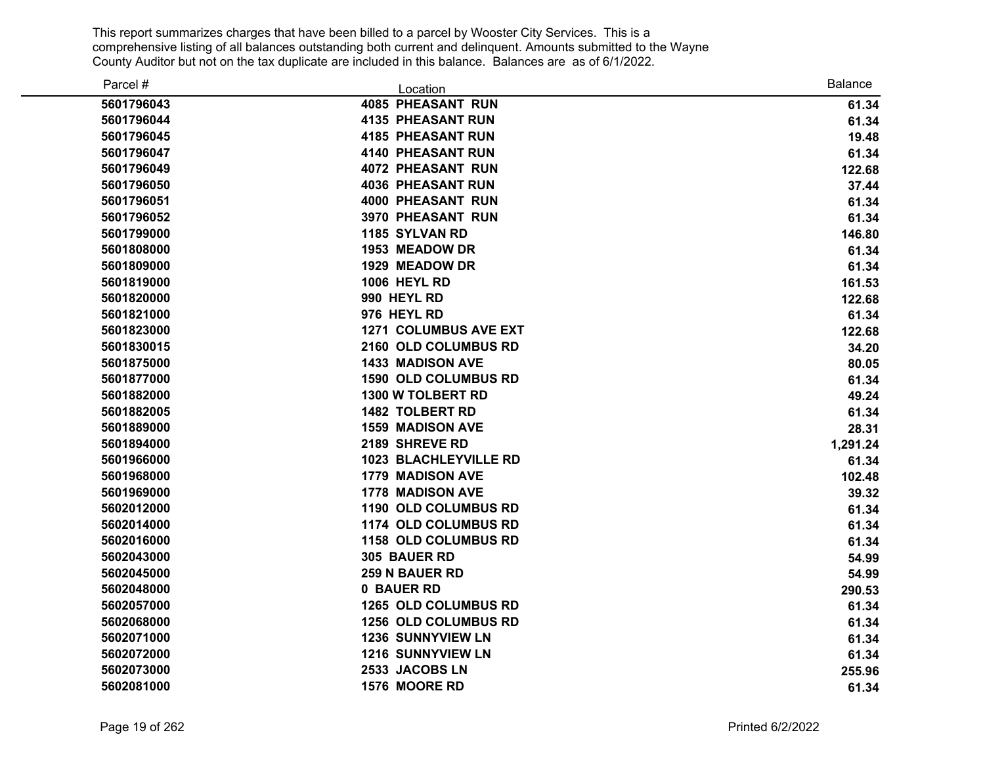| Parcel #   | Location                     | <b>Balance</b> |
|------------|------------------------------|----------------|
| 5601796043 | <b>4085 PHEASANT RUN</b>     | 61.34          |
| 5601796044 | <b>4135 PHEASANT RUN</b>     | 61.34          |
| 5601796045 | <b>4185 PHEASANT RUN</b>     | 19.48          |
| 5601796047 | <b>4140 PHEASANT RUN</b>     | 61.34          |
| 5601796049 | <b>4072 PHEASANT RUN</b>     | 122.68         |
| 5601796050 | <b>4036 PHEASANT RUN</b>     | 37.44          |
| 5601796051 | <b>4000 PHEASANT RUN</b>     | 61.34          |
| 5601796052 | <b>3970 PHEASANT RUN</b>     | 61.34          |
| 5601799000 | 1185 SYLVAN RD               | 146.80         |
| 5601808000 | 1953 MEADOW DR               | 61.34          |
| 5601809000 | 1929 MEADOW DR               | 61.34          |
| 5601819000 | <b>1006 HEYL RD</b>          | 161.53         |
| 5601820000 | 990 HEYL RD                  | 122.68         |
| 5601821000 | 976 HEYL RD                  | 61.34          |
| 5601823000 | <b>1271 COLUMBUS AVE EXT</b> | 122.68         |
| 5601830015 | 2160 OLD COLUMBUS RD         | 34.20          |
| 5601875000 | <b>1433 MADISON AVE</b>      | 80.05          |
| 5601877000 | <b>1590 OLD COLUMBUS RD</b>  | 61.34          |
| 5601882000 | 1300 W TOLBERT RD            | 49.24          |
| 5601882005 | <b>1482 TOLBERT RD</b>       | 61.34          |
| 5601889000 | <b>1559 MADISON AVE</b>      | 28.31          |
| 5601894000 | 2189 SHREVE RD               | 1,291.24       |
| 5601966000 | <b>1023 BLACHLEYVILLE RD</b> | 61.34          |
| 5601968000 | <b>1779 MADISON AVE</b>      | 102.48         |
| 5601969000 | 1778 MADISON AVE             | 39.32          |
| 5602012000 | 1190 OLD COLUMBUS RD         | 61.34          |
| 5602014000 | <b>1174 OLD COLUMBUS RD</b>  | 61.34          |
| 5602016000 | 1158 OLD COLUMBUS RD         | 61.34          |
| 5602043000 | 305 BAUER RD                 | 54.99          |
| 5602045000 | 259 N BAUER RD               | 54.99          |
| 5602048000 | 0 BAUER RD                   | 290.53         |
| 5602057000 | <b>1265 OLD COLUMBUS RD</b>  | 61.34          |
| 5602068000 | 1256 OLD COLUMBUS RD         | 61.34          |
| 5602071000 | <b>1236 SUNNYVIEW LN</b>     | 61.34          |
| 5602072000 | <b>1216 SUNNYVIEW LN</b>     | 61.34          |
| 5602073000 | 2533 JACOBS LN               | 255.96         |
| 5602081000 | 1576 MOORE RD                | 61.34          |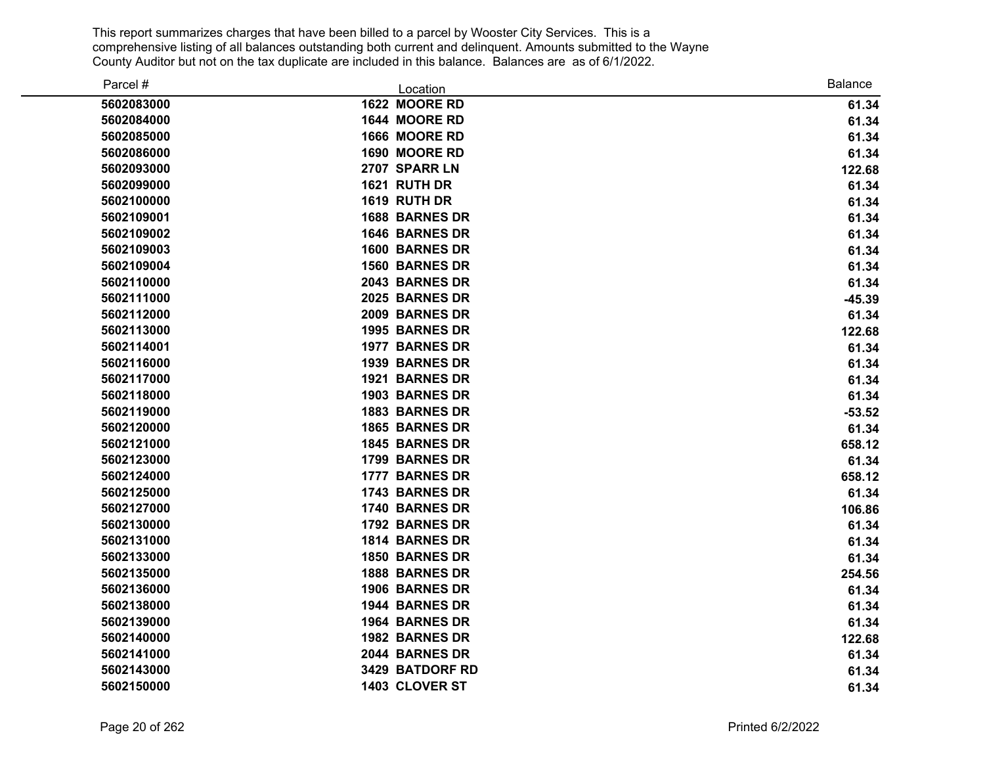| Parcel #   | Location              | <b>Balance</b> |
|------------|-----------------------|----------------|
| 5602083000 | 1622 MOORE RD         | 61.34          |
| 5602084000 | 1644 MOORE RD         | 61.34          |
| 5602085000 | 1666 MOORE RD         | 61.34          |
| 5602086000 | 1690 MOORE RD         | 61.34          |
| 5602093000 | 2707 SPARR LN         | 122.68         |
| 5602099000 | 1621 RUTH DR          | 61.34          |
| 5602100000 | 1619 RUTH DR          | 61.34          |
| 5602109001 | 1688 BARNES DR        | 61.34          |
| 5602109002 | 1646 BARNES DR        | 61.34          |
| 5602109003 | <b>1600 BARNES DR</b> | 61.34          |
| 5602109004 | <b>1560 BARNES DR</b> | 61.34          |
| 5602110000 | 2043 BARNES DR        | 61.34          |
| 5602111000 | 2025 BARNES DR        | $-45.39$       |
| 5602112000 | 2009 BARNES DR        | 61.34          |
| 5602113000 | 1995 BARNES DR        | 122.68         |
| 5602114001 | <b>1977 BARNES DR</b> | 61.34          |
| 5602116000 | 1939 BARNES DR        | 61.34          |
| 5602117000 | 1921 BARNES DR        | 61.34          |
| 5602118000 | 1903 BARNES DR        | 61.34          |
| 5602119000 | 1883 BARNES DR        | $-53.52$       |
| 5602120000 | 1865 BARNES DR        | 61.34          |
| 5602121000 | 1845 BARNES DR        | 658.12         |
| 5602123000 | 1799 BARNES DR        | 61.34          |
| 5602124000 | 1777 BARNES DR        | 658.12         |
| 5602125000 | 1743 BARNES DR        | 61.34          |
| 5602127000 | 1740 BARNES DR        | 106.86         |
| 5602130000 | 1792 BARNES DR        | 61.34          |
| 5602131000 | 1814 BARNES DR        | 61.34          |
| 5602133000 | <b>1850 BARNES DR</b> | 61.34          |
| 5602135000 | 1888 BARNES DR        | 254.56         |
| 5602136000 | 1906 BARNES DR        | 61.34          |
| 5602138000 | 1944 BARNES DR        | 61.34          |
| 5602139000 | 1964 BARNES DR        | 61.34          |
| 5602140000 | 1982 BARNES DR        | 122.68         |
| 5602141000 | 2044 BARNES DR        | 61.34          |
| 5602143000 | 3429 BATDORF RD       | 61.34          |
| 5602150000 | 1403 CLOVER ST        | 61.34          |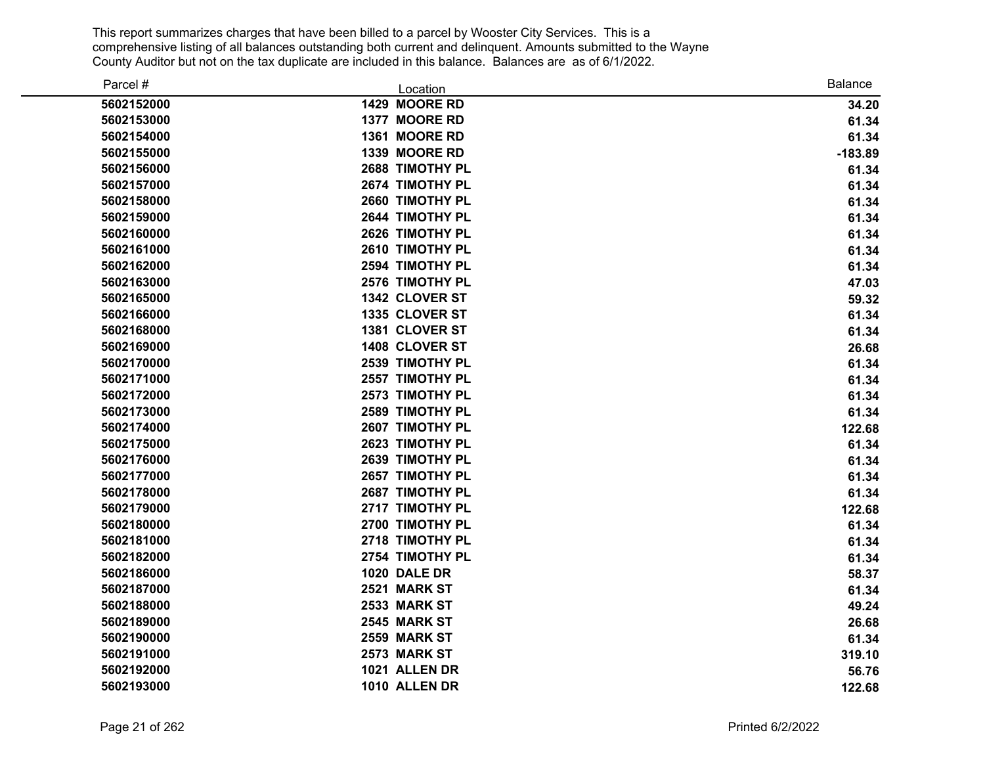| Parcel #   | Location        | <b>Balance</b> |
|------------|-----------------|----------------|
| 5602152000 | 1429 MOORE RD   | 34.20          |
| 5602153000 | 1377 MOORE RD   | 61.34          |
| 5602154000 | 1361 MOORE RD   | 61.34          |
| 5602155000 | 1339 MOORE RD   | $-183.89$      |
| 5602156000 | 2688 TIMOTHY PL | 61.34          |
| 5602157000 | 2674 TIMOTHY PL | 61.34          |
| 5602158000 | 2660 TIMOTHY PL | 61.34          |
| 5602159000 | 2644 TIMOTHY PL | 61.34          |
| 5602160000 | 2626 TIMOTHY PL | 61.34          |
| 5602161000 | 2610 TIMOTHY PL | 61.34          |
| 5602162000 | 2594 TIMOTHY PL | 61.34          |
| 5602163000 | 2576 TIMOTHY PL | 47.03          |
| 5602165000 | 1342 CLOVER ST  | 59.32          |
| 5602166000 | 1335 CLOVER ST  | 61.34          |
| 5602168000 | 1381 CLOVER ST  | 61.34          |
| 5602169000 | 1408 CLOVER ST  | 26.68          |
| 5602170000 | 2539 TIMOTHY PL | 61.34          |
| 5602171000 | 2557 TIMOTHY PL | 61.34          |
| 5602172000 | 2573 TIMOTHY PL | 61.34          |
| 5602173000 | 2589 TIMOTHY PL | 61.34          |
| 5602174000 | 2607 TIMOTHY PL | 122.68         |
| 5602175000 | 2623 TIMOTHY PL | 61.34          |
| 5602176000 | 2639 TIMOTHY PL | 61.34          |
| 5602177000 | 2657 TIMOTHY PL | 61.34          |
| 5602178000 | 2687 TIMOTHY PL | 61.34          |
| 5602179000 | 2717 TIMOTHY PL | 122.68         |
| 5602180000 | 2700 TIMOTHY PL | 61.34          |
| 5602181000 | 2718 TIMOTHY PL | 61.34          |
| 5602182000 | 2754 TIMOTHY PL | 61.34          |
| 5602186000 | 1020 DALE DR    | 58.37          |
| 5602187000 | 2521 MARK ST    | 61.34          |
| 5602188000 | 2533 MARK ST    | 49.24          |
| 5602189000 | 2545 MARK ST    | 26.68          |
| 5602190000 | 2559 MARK ST    | 61.34          |
| 5602191000 | 2573 MARK ST    | 319.10         |
| 5602192000 | 1021 ALLEN DR   | 56.76          |
| 5602193000 | 1010 ALLEN DR   | 122.68         |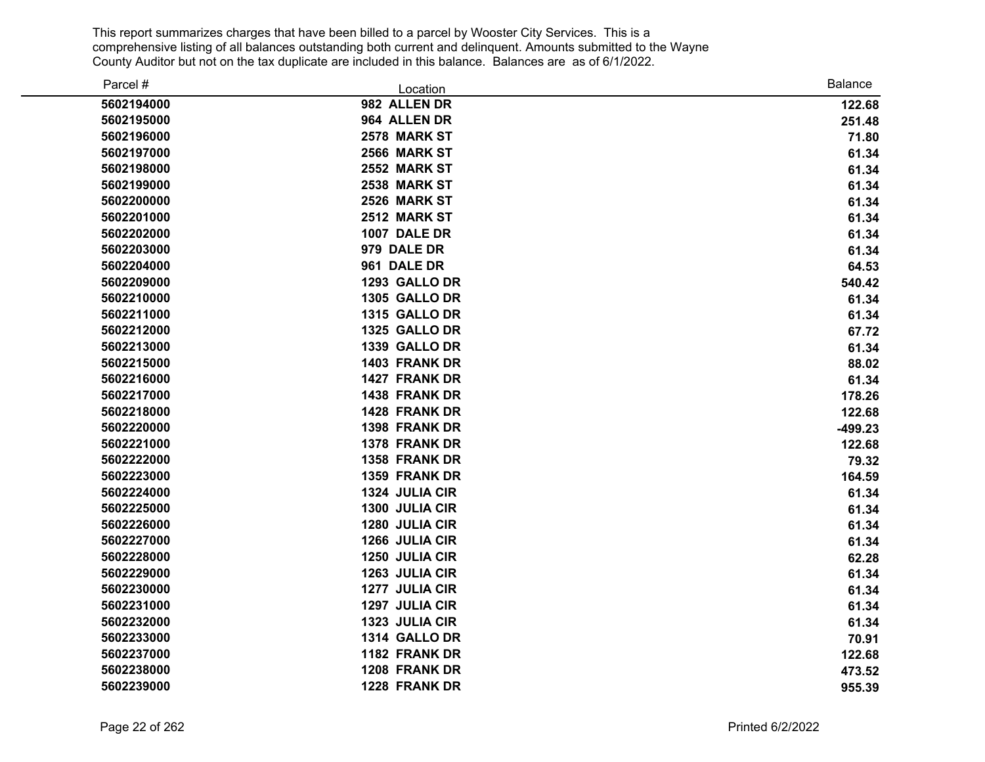| Parcel #   | Location            | Balance   |
|------------|---------------------|-----------|
| 5602194000 | 982 ALLEN DR        | 122.68    |
| 5602195000 | 964 ALLEN DR        | 251.48    |
| 5602196000 | 2578 MARK ST        | 71.80     |
| 5602197000 | <b>2566 MARK ST</b> | 61.34     |
| 5602198000 | 2552 MARK ST        | 61.34     |
| 5602199000 | 2538 MARK ST        | 61.34     |
| 5602200000 | 2526 MARK ST        | 61.34     |
| 5602201000 | 2512 MARK ST        | 61.34     |
| 5602202000 | 1007 DALE DR        | 61.34     |
| 5602203000 | 979 DALE DR         | 61.34     |
| 5602204000 | 961 DALE DR         | 64.53     |
| 5602209000 | 1293 GALLO DR       | 540.42    |
| 5602210000 | 1305 GALLO DR       | 61.34     |
| 5602211000 | 1315 GALLO DR       | 61.34     |
| 5602212000 | 1325 GALLO DR       | 67.72     |
| 5602213000 | 1339 GALLO DR       | 61.34     |
| 5602215000 | 1403 FRANK DR       | 88.02     |
| 5602216000 | 1427 FRANK DR       | 61.34     |
| 5602217000 | 1438 FRANK DR       | 178.26    |
| 5602218000 | 1428 FRANK DR       | 122.68    |
| 5602220000 | 1398 FRANK DR       | $-499.23$ |
| 5602221000 | 1378 FRANK DR       | 122.68    |
| 5602222000 | 1358 FRANK DR       | 79.32     |
| 5602223000 | 1359 FRANK DR       | 164.59    |
| 5602224000 | 1324 JULIA CIR      | 61.34     |
| 5602225000 | 1300 JULIA CIR      | 61.34     |
| 5602226000 | 1280 JULIA CIR      | 61.34     |
| 5602227000 | 1266 JULIA CIR      | 61.34     |
| 5602228000 | 1250 JULIA CIR      | 62.28     |
| 5602229000 | 1263 JULIA CIR      | 61.34     |
| 5602230000 | 1277 JULIA CIR      | 61.34     |
| 5602231000 | 1297 JULIA CIR      | 61.34     |
| 5602232000 | 1323 JULIA CIR      | 61.34     |
| 5602233000 | 1314 GALLO DR       | 70.91     |
| 5602237000 | 1182 FRANK DR       | 122.68    |
| 5602238000 | 1208 FRANK DR       | 473.52    |
| 5602239000 | 1228 FRANK DR       | 955.39    |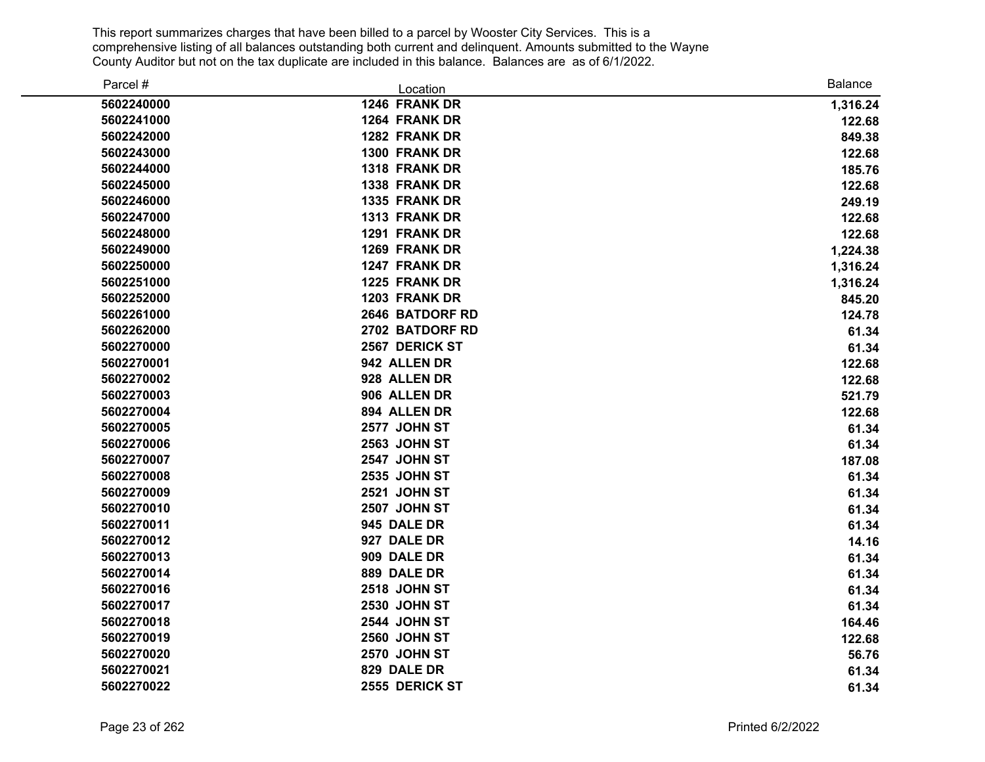| Parcel #   | Location            | Balance  |
|------------|---------------------|----------|
| 5602240000 | 1246 FRANK DR       | 1,316.24 |
| 5602241000 | 1264 FRANK DR       | 122.68   |
| 5602242000 | 1282 FRANK DR       | 849.38   |
| 5602243000 | 1300 FRANK DR       | 122.68   |
| 5602244000 | 1318 FRANK DR       | 185.76   |
| 5602245000 | 1338 FRANK DR       | 122.68   |
| 5602246000 | 1335 FRANK DR       | 249.19   |
| 5602247000 | 1313 FRANK DR       | 122.68   |
| 5602248000 | 1291 FRANK DR       | 122.68   |
| 5602249000 | 1269 FRANK DR       | 1,224.38 |
| 5602250000 | 1247 FRANK DR       | 1,316.24 |
| 5602251000 | 1225 FRANK DR       | 1,316.24 |
| 5602252000 | 1203 FRANK DR       | 845.20   |
| 5602261000 | 2646 BATDORF RD     | 124.78   |
| 5602262000 | 2702 BATDORF RD     | 61.34    |
| 5602270000 | 2567 DERICK ST      | 61.34    |
| 5602270001 | 942 ALLEN DR        | 122.68   |
| 5602270002 | 928 ALLEN DR        | 122.68   |
| 5602270003 | 906 ALLEN DR        | 521.79   |
| 5602270004 | 894 ALLEN DR        | 122.68   |
| 5602270005 | 2577 JOHN ST        | 61.34    |
| 5602270006 | <b>2563 JOHN ST</b> | 61.34    |
| 5602270007 | 2547 JOHN ST        | 187.08   |
| 5602270008 | <b>2535 JOHN ST</b> | 61.34    |
| 5602270009 | <b>2521 JOHN ST</b> | 61.34    |
| 5602270010 | 2507 JOHN ST        | 61.34    |
| 5602270011 | 945 DALE DR         | 61.34    |
| 5602270012 | 927 DALE DR         | 14.16    |
| 5602270013 | 909 DALE DR         | 61.34    |
| 5602270014 | 889 DALE DR         | 61.34    |
| 5602270016 | <b>2518 JOHN ST</b> | 61.34    |
| 5602270017 | <b>2530 JOHN ST</b> | 61.34    |
| 5602270018 | <b>2544 JOHN ST</b> | 164.46   |
| 5602270019 | <b>2560 JOHN ST</b> | 122.68   |
| 5602270020 | 2570 JOHN ST        | 56.76    |
| 5602270021 | 829 DALE DR         | 61.34    |
| 5602270022 | 2555 DERICK ST      | 61.34    |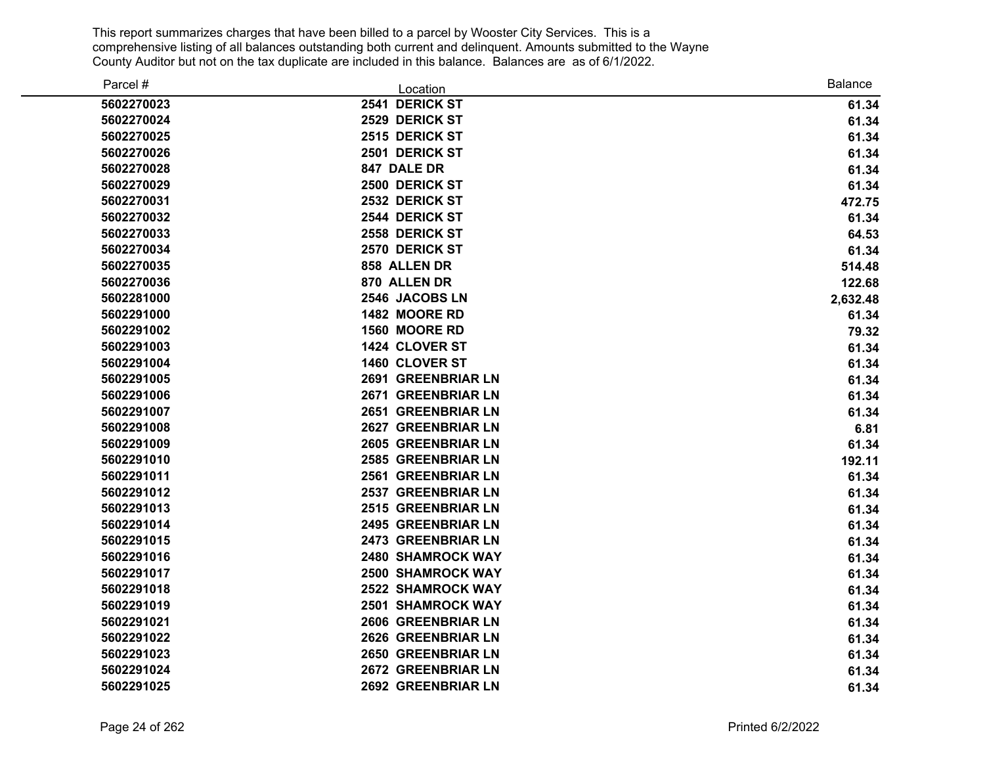| Parcel #   | Location                  | <b>Balance</b> |
|------------|---------------------------|----------------|
| 5602270023 | 2541 DERICK ST            | 61.34          |
| 5602270024 | 2529 DERICK ST            | 61.34          |
| 5602270025 | 2515 DERICK ST            | 61.34          |
| 5602270026 | 2501 DERICK ST            | 61.34          |
| 5602270028 | 847 DALE DR               | 61.34          |
| 5602270029 | 2500 DERICK ST            | 61.34          |
| 5602270031 | 2532 DERICK ST            | 472.75         |
| 5602270032 | 2544 DERICK ST            | 61.34          |
| 5602270033 | 2558 DERICK ST            | 64.53          |
| 5602270034 | 2570 DERICK ST            | 61.34          |
| 5602270035 | 858 ALLEN DR              | 514.48         |
| 5602270036 | 870 ALLEN DR              | 122.68         |
| 5602281000 | 2546 JACOBS LN            | 2,632.48       |
| 5602291000 | 1482 MOORE RD             | 61.34          |
| 5602291002 | 1560 MOORE RD             | 79.32          |
| 5602291003 | 1424 CLOVER ST            | 61.34          |
| 5602291004 | 1460 CLOVER ST            | 61.34          |
| 5602291005 | 2691 GREENBRIAR LN        | 61.34          |
| 5602291006 | 2671 GREENBRIAR LN        | 61.34          |
| 5602291007 | 2651 GREENBRIAR LN        | 61.34          |
| 5602291008 | 2627 GREENBRIAR LN        | 6.81           |
| 5602291009 | 2605 GREENBRIAR LN        | 61.34          |
| 5602291010 | <b>2585 GREENBRIAR LN</b> | 192.11         |
| 5602291011 | 2561 GREENBRIAR LN        | 61.34          |
| 5602291012 | 2537 GREENBRIAR LN        | 61.34          |
| 5602291013 | 2515 GREENBRIAR LN        | 61.34          |
| 5602291014 | 2495 GREENBRIAR LN        | 61.34          |
| 5602291015 | 2473 GREENBRIAR LN        | 61.34          |
| 5602291016 | 2480 SHAMROCK WAY         | 61.34          |
| 5602291017 | <b>2500 SHAMROCK WAY</b>  | 61.34          |
| 5602291018 | <b>2522 SHAMROCK WAY</b>  | 61.34          |
| 5602291019 | <b>2501 SHAMROCK WAY</b>  | 61.34          |
| 5602291021 | 2606 GREENBRIAR LN        | 61.34          |
| 5602291022 | 2626 GREENBRIAR LN        | 61.34          |
| 5602291023 | 2650 GREENBRIAR LN        | 61.34          |
| 5602291024 | 2672 GREENBRIAR LN        | 61.34          |
| 5602291025 | 2692 GREENBRIAR LN        | 61.34          |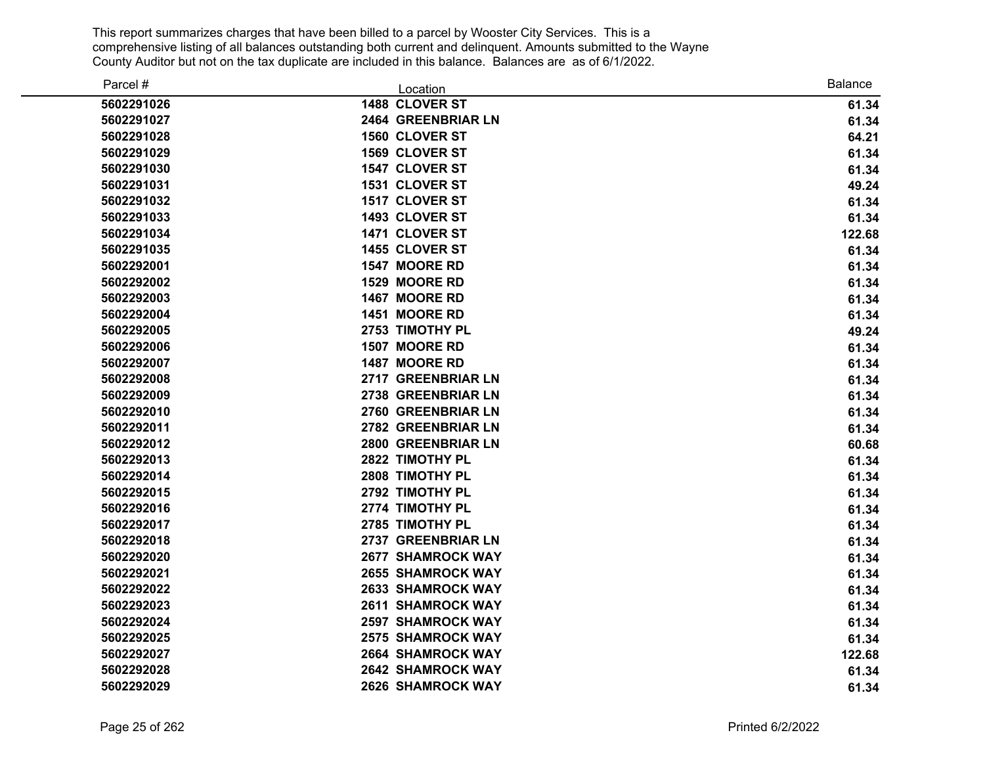| Parcel #   | Location                  | <b>Balance</b> |
|------------|---------------------------|----------------|
| 5602291026 | 1488 CLOVER ST            | 61.34          |
| 5602291027 | 2464 GREENBRIAR LN        | 61.34          |
| 5602291028 | 1560 CLOVER ST            | 64.21          |
| 5602291029 | 1569 CLOVER ST            | 61.34          |
| 5602291030 | 1547 CLOVER ST            | 61.34          |
| 5602291031 | 1531 CLOVER ST            | 49.24          |
| 5602291032 | 1517 CLOVER ST            | 61.34          |
| 5602291033 | 1493 CLOVER ST            | 61.34          |
| 5602291034 | 1471 CLOVER ST            | 122.68         |
| 5602291035 | 1455 CLOVER ST            | 61.34          |
| 5602292001 | 1547 MOORE RD             | 61.34          |
| 5602292002 | 1529 MOORE RD             | 61.34          |
| 5602292003 | 1467 MOORE RD             | 61.34          |
| 5602292004 | 1451 MOORE RD             | 61.34          |
| 5602292005 | 2753 TIMOTHY PL           | 49.24          |
| 5602292006 | 1507 MOORE RD             | 61.34          |
| 5602292007 | 1487 MOORE RD             | 61.34          |
| 5602292008 | 2717 GREENBRIAR LN        | 61.34          |
| 5602292009 | 2738 GREENBRIAR LN        | 61.34          |
| 5602292010 | 2760 GREENBRIAR LN        | 61.34          |
| 5602292011 | 2782 GREENBRIAR LN        | 61.34          |
| 5602292012 | <b>2800 GREENBRIAR LN</b> | 60.68          |
| 5602292013 | 2822 TIMOTHY PL           | 61.34          |
| 5602292014 | 2808 TIMOTHY PL           | 61.34          |
| 5602292015 | 2792 TIMOTHY PL           | 61.34          |
| 5602292016 | 2774 TIMOTHY PL           | 61.34          |
| 5602292017 | 2785 TIMOTHY PL           | 61.34          |
| 5602292018 | 2737 GREENBRIAR LN        | 61.34          |
| 5602292020 | <b>2677 SHAMROCK WAY</b>  | 61.34          |
| 5602292021 | <b>2655 SHAMROCK WAY</b>  | 61.34          |
| 5602292022 | <b>2633 SHAMROCK WAY</b>  | 61.34          |
| 5602292023 | <b>2611 SHAMROCK WAY</b>  | 61.34          |
| 5602292024 | <b>2597 SHAMROCK WAY</b>  | 61.34          |
| 5602292025 | <b>2575 SHAMROCK WAY</b>  | 61.34          |
| 5602292027 | <b>2664 SHAMROCK WAY</b>  | 122.68         |
| 5602292028 | <b>2642 SHAMROCK WAY</b>  | 61.34          |
| 5602292029 | <b>2626 SHAMROCK WAY</b>  | 61.34          |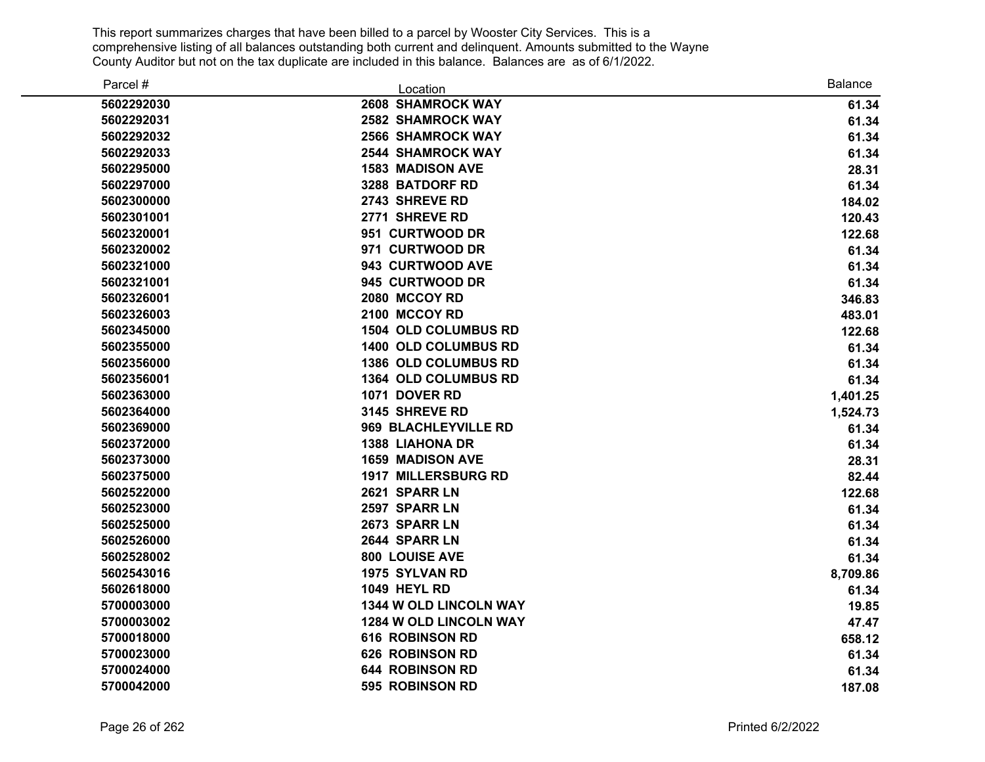| Parcel #   | Location                    | <b>Balance</b> |
|------------|-----------------------------|----------------|
| 5602292030 | <b>2608 SHAMROCK WAY</b>    | 61.34          |
| 5602292031 | <b>2582 SHAMROCK WAY</b>    | 61.34          |
| 5602292032 | <b>2566 SHAMROCK WAY</b>    | 61.34          |
| 5602292033 | <b>2544 SHAMROCK WAY</b>    | 61.34          |
| 5602295000 | <b>1583 MADISON AVE</b>     | 28.31          |
| 5602297000 | 3288 BATDORF RD             | 61.34          |
| 5602300000 | 2743 SHREVE RD              | 184.02         |
| 5602301001 | 2771 SHREVE RD              | 120.43         |
| 5602320001 | 951 CURTWOOD DR             | 122.68         |
| 5602320002 | 971 CURTWOOD DR             | 61.34          |
| 5602321000 | 943 CURTWOOD AVE            | 61.34          |
| 5602321001 | 945 CURTWOOD DR             | 61.34          |
| 5602326001 | 2080 MCCOY RD               | 346.83         |
| 5602326003 | 2100 MCCOY RD               | 483.01         |
| 5602345000 | <b>1504 OLD COLUMBUS RD</b> | 122.68         |
| 5602355000 | 1400 OLD COLUMBUS RD        | 61.34          |
| 5602356000 | 1386 OLD COLUMBUS RD        | 61.34          |
| 5602356001 | 1364 OLD COLUMBUS RD        | 61.34          |
| 5602363000 | 1071 DOVER RD               | 1,401.25       |
| 5602364000 | 3145 SHREVE RD              | 1,524.73       |
| 5602369000 | 969 BLACHLEYVILLE RD        | 61.34          |
| 5602372000 | <b>1388 LIAHONA DR</b>      | 61.34          |
| 5602373000 | <b>1659 MADISON AVE</b>     | 28.31          |
| 5602375000 | <b>1917 MILLERSBURG RD</b>  | 82.44          |
| 5602522000 | 2621 SPARR LN               | 122.68         |
| 5602523000 | 2597 SPARR LN               | 61.34          |
| 5602525000 | 2673 SPARR LN               | 61.34          |
| 5602526000 | 2644 SPARR LN               | 61.34          |
| 5602528002 | 800 LOUISE AVE              | 61.34          |
| 5602543016 | 1975 SYLVAN RD              | 8,709.86       |
| 5602618000 | <b>1049 HEYL RD</b>         | 61.34          |
| 5700003000 | 1344 W OLD LINCOLN WAY      | 19.85          |
| 5700003002 | 1284 W OLD LINCOLN WAY      | 47.47          |
| 5700018000 | <b>616 ROBINSON RD</b>      | 658.12         |
| 5700023000 | <b>626 ROBINSON RD</b>      | 61.34          |
| 5700024000 | 644 ROBINSON RD             | 61.34          |
| 5700042000 | 595 ROBINSON RD             | 187.08         |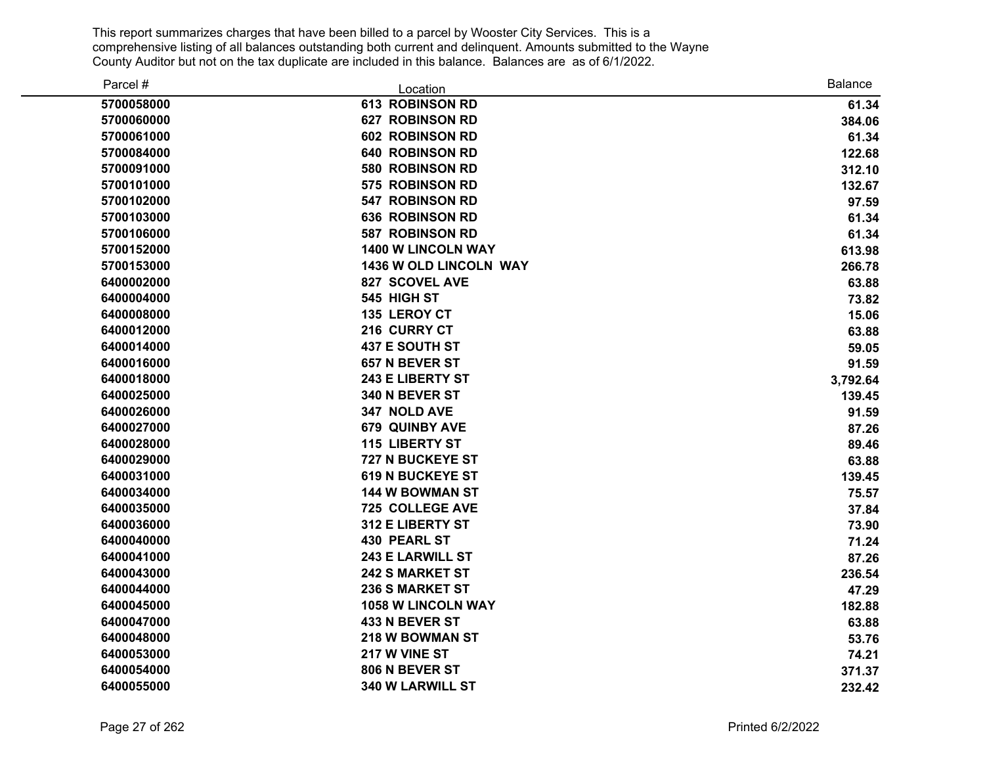| Parcel #   | Location                | <b>Balance</b> |
|------------|-------------------------|----------------|
| 5700058000 | <b>613 ROBINSON RD</b>  | 61.34          |
| 5700060000 | <b>627 ROBINSON RD</b>  | 384.06         |
| 5700061000 | <b>602 ROBINSON RD</b>  | 61.34          |
| 5700084000 | <b>640 ROBINSON RD</b>  | 122.68         |
| 5700091000 | 580 ROBINSON RD         | 312.10         |
| 5700101000 | 575 ROBINSON RD         | 132.67         |
| 5700102000 | <b>547 ROBINSON RD</b>  | 97.59          |
| 5700103000 | <b>636 ROBINSON RD</b>  | 61.34          |
| 5700106000 | <b>587 ROBINSON RD</b>  | 61.34          |
| 5700152000 | 1400 W LINCOLN WAY      | 613.98         |
| 5700153000 | 1436 W OLD LINCOLN WAY  | 266.78         |
| 6400002000 | 827 SCOVEL AVE          | 63.88          |
| 6400004000 | 545 HIGH ST             | 73.82          |
| 6400008000 | 135 LEROY CT            | 15.06          |
| 6400012000 | 216 CURRY CT            | 63.88          |
| 6400014000 | <b>437 E SOUTH ST</b>   | 59.05          |
| 6400016000 | 657 N BEVER ST          | 91.59          |
| 6400018000 | 243 E LIBERTY ST        | 3,792.64       |
| 6400025000 | 340 N BEVER ST          | 139.45         |
| 6400026000 | 347 NOLD AVE            | 91.59          |
| 6400027000 | <b>679 QUINBY AVE</b>   | 87.26          |
| 6400028000 | <b>115 LIBERTY ST</b>   | 89.46          |
| 6400029000 | 727 N BUCKEYE ST        | 63.88          |
| 6400031000 | <b>619 N BUCKEYE ST</b> | 139.45         |
| 6400034000 | 144 W BOWMAN ST         | 75.57          |
| 6400035000 | <b>725 COLLEGE AVE</b>  | 37.84          |
| 6400036000 | 312 E LIBERTY ST        | 73.90          |
| 6400040000 | <b>430 PEARL ST</b>     | 71.24          |
| 6400041000 | <b>243 E LARWILL ST</b> | 87.26          |
| 6400043000 | <b>242 S MARKET ST</b>  | 236.54         |
| 6400044000 | <b>236 S MARKET ST</b>  | 47.29          |
| 6400045000 | 1058 W LINCOLN WAY      | 182.88         |
| 6400047000 | 433 N BEVER ST          | 63.88          |
| 6400048000 | 218 W BOWMAN ST         | 53.76          |
| 6400053000 | 217 W VINE ST           | 74.21          |
| 6400054000 | 806 N BEVER ST          | 371.37         |
| 6400055000 | 340 W LARWILL ST        | 232.42         |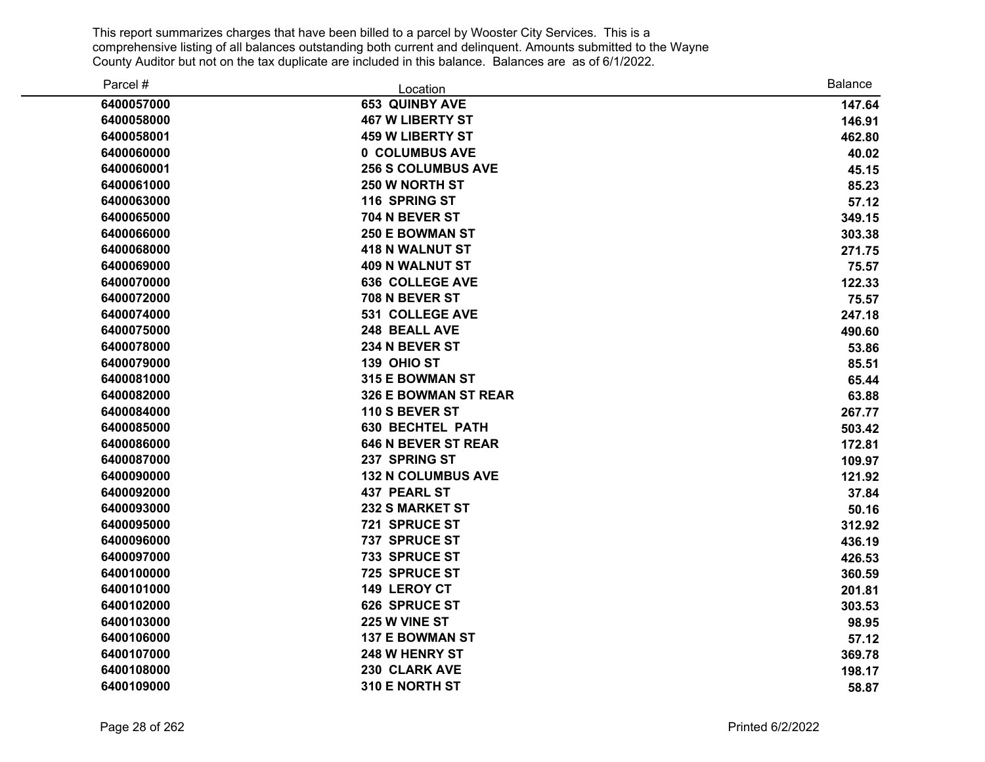| Parcel #   | Location                   | <b>Balance</b> |
|------------|----------------------------|----------------|
| 6400057000 | <b>653 QUINBY AVE</b>      | 147.64         |
| 6400058000 | <b>467 W LIBERTY ST</b>    | 146.91         |
| 6400058001 | <b>459 W LIBERTY ST</b>    | 462.80         |
| 6400060000 | 0 COLUMBUS AVE             | 40.02          |
| 6400060001 | <b>256 S COLUMBUS AVE</b>  | 45.15          |
| 6400061000 | 250 W NORTH ST             | 85.23          |
| 6400063000 | 116 SPRING ST              | 57.12          |
| 6400065000 | 704 N BEVER ST             | 349.15         |
| 6400066000 | <b>250 E BOWMAN ST</b>     | 303.38         |
| 6400068000 | <b>418 N WALNUT ST</b>     | 271.75         |
| 6400069000 | <b>409 N WALNUT ST</b>     | 75.57          |
| 6400070000 | <b>636 COLLEGE AVE</b>     | 122.33         |
| 6400072000 | 708 N BEVER ST             | 75.57          |
| 6400074000 | <b>531 COLLEGE AVE</b>     | 247.18         |
| 6400075000 | 248 BEALL AVE              | 490.60         |
| 6400078000 | 234 N BEVER ST             | 53.86          |
| 6400079000 | 139 OHIO ST                | 85.51          |
| 6400081000 | 315 E BOWMAN ST            | 65.44          |
| 6400082000 | 326 E BOWMAN ST REAR       | 63.88          |
| 6400084000 | 110 S BEVER ST             | 267.77         |
| 6400085000 | <b>630 BECHTEL PATH</b>    | 503.42         |
| 6400086000 | <b>646 N BEVER ST REAR</b> | 172.81         |
| 6400087000 | 237 SPRING ST              | 109.97         |
| 6400090000 | <b>132 N COLUMBUS AVE</b>  | 121.92         |
| 6400092000 | <b>437 PEARL ST</b>        | 37.84          |
| 6400093000 | <b>232 S MARKET ST</b>     | 50.16          |
| 6400095000 | 721 SPRUCE ST              | 312.92         |
| 6400096000 | 737 SPRUCE ST              | 436.19         |
| 6400097000 | 733 SPRUCE ST              | 426.53         |
| 6400100000 | 725 SPRUCE ST              | 360.59         |
| 6400101000 | 149 LEROY CT               | 201.81         |
| 6400102000 | 626 SPRUCE ST              | 303.53         |
| 6400103000 | 225 W VINE ST              | 98.95          |
| 6400106000 | <b>137 E BOWMAN ST</b>     | 57.12          |
| 6400107000 | 248 W HENRY ST             | 369.78         |
| 6400108000 | 230 CLARK AVE              | 198.17         |
| 6400109000 | 310 E NORTH ST             | 58.87          |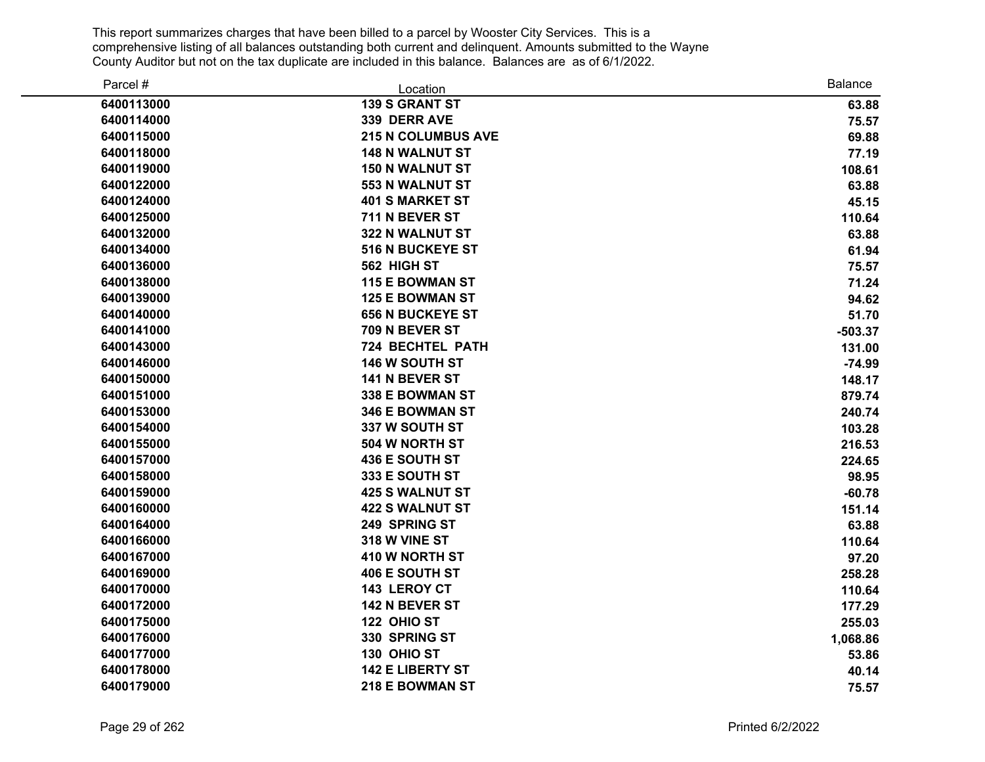| Parcel #   | Location                  | <b>Balance</b> |
|------------|---------------------------|----------------|
| 6400113000 | <b>139 S GRANT ST</b>     | 63.88          |
| 6400114000 | 339 DERR AVE              | 75.57          |
| 6400115000 | <b>215 N COLUMBUS AVE</b> | 69.88          |
| 6400118000 | <b>148 N WALNUT ST</b>    | 77.19          |
| 6400119000 | <b>150 N WALNUT ST</b>    | 108.61         |
| 6400122000 | 553 N WALNUT ST           | 63.88          |
| 6400124000 | <b>401 S MARKET ST</b>    | 45.15          |
| 6400125000 | 711 N BEVER ST            | 110.64         |
| 6400132000 | 322 N WALNUT ST           | 63.88          |
| 6400134000 | <b>516 N BUCKEYE ST</b>   | 61.94          |
| 6400136000 | 562 HIGH ST               | 75.57          |
| 6400138000 | <b>115 E BOWMAN ST</b>    | 71.24          |
| 6400139000 | <b>125 E BOWMAN ST</b>    | 94.62          |
| 6400140000 | <b>656 N BUCKEYE ST</b>   | 51.70          |
| 6400141000 | 709 N BEVER ST            | $-503.37$      |
| 6400143000 | 724 BECHTEL PATH          | 131.00         |
| 6400146000 | 146 W SOUTH ST            | $-74.99$       |
| 6400150000 | 141 N BEVER ST            | 148.17         |
| 6400151000 | 338 E BOWMAN ST           | 879.74         |
| 6400153000 | <b>346 E BOWMAN ST</b>    | 240.74         |
| 6400154000 | 337 W SOUTH ST            | 103.28         |
| 6400155000 | 504 W NORTH ST            | 216.53         |
| 6400157000 | 436 E SOUTH ST            | 224.65         |
| 6400158000 | 333 E SOUTH ST            | 98.95          |
| 6400159000 | <b>425 S WALNUT ST</b>    | $-60.78$       |
| 6400160000 | <b>422 S WALNUT ST</b>    | 151.14         |
| 6400164000 | 249 SPRING ST             | 63.88          |
| 6400166000 | 318 W VINE ST             | 110.64         |
| 6400167000 | 410 W NORTH ST            | 97.20          |
| 6400169000 | 406 E SOUTH ST            | 258.28         |
| 6400170000 | 143 LEROY CT              | 110.64         |
| 6400172000 | 142 N BEVER ST            | 177.29         |
| 6400175000 | 122 OHIO ST               | 255.03         |
| 6400176000 | 330 SPRING ST             | 1,068.86       |
| 6400177000 | 130 OHIO ST               | 53.86          |
| 6400178000 | <b>142 E LIBERTY ST</b>   | 40.14          |
| 6400179000 | 218 E BOWMAN ST           | 75.57          |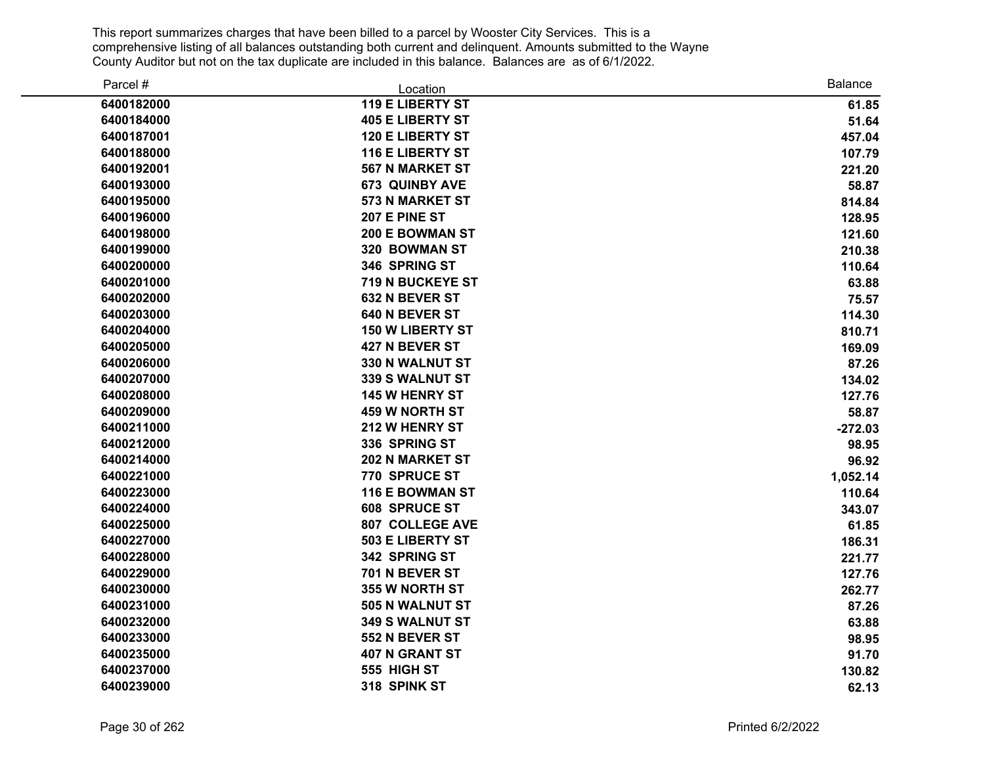| Parcel #   | Location                | <b>Balance</b> |
|------------|-------------------------|----------------|
| 6400182000 | <b>119 E LIBERTY ST</b> | 61.85          |
| 6400184000 | <b>405 E LIBERTY ST</b> | 51.64          |
| 6400187001 | <b>120 E LIBERTY ST</b> | 457.04         |
| 6400188000 | <b>116 E LIBERTY ST</b> | 107.79         |
| 6400192001 | <b>567 N MARKET ST</b>  | 221.20         |
| 6400193000 | <b>673 QUINBY AVE</b>   | 58.87          |
| 6400195000 | 573 N MARKET ST         | 814.84         |
| 6400196000 | 207 E PINE ST           | 128.95         |
| 6400198000 | <b>200 E BOWMAN ST</b>  | 121.60         |
| 6400199000 | 320 BOWMAN ST           | 210.38         |
| 6400200000 | 346 SPRING ST           | 110.64         |
| 6400201000 | 719 N BUCKEYE ST        | 63.88          |
| 6400202000 | 632 N BEVER ST          | 75.57          |
| 6400203000 | 640 N BEVER ST          | 114.30         |
| 6400204000 | <b>150 W LIBERTY ST</b> | 810.71         |
| 6400205000 | 427 N BEVER ST          | 169.09         |
| 6400206000 | 330 N WALNUT ST         | 87.26          |
| 6400207000 | 339 S WALNUT ST         | 134.02         |
| 6400208000 | <b>145 W HENRY ST</b>   | 127.76         |
| 6400209000 | <b>459 W NORTH ST</b>   | 58.87          |
| 6400211000 | 212 W HENRY ST          | $-272.03$      |
| 6400212000 | 336 SPRING ST           | 98.95          |
| 6400214000 | <b>202 N MARKET ST</b>  | 96.92          |
| 6400221000 | 770 SPRUCE ST           | 1,052.14       |
| 6400223000 | <b>116 E BOWMAN ST</b>  | 110.64         |
| 6400224000 | 608 SPRUCE ST           | 343.07         |
| 6400225000 | <b>807 COLLEGE AVE</b>  | 61.85          |
| 6400227000 | 503 E LIBERTY ST        | 186.31         |
| 6400228000 | 342 SPRING ST           | 221.77         |
| 6400229000 | 701 N BEVER ST          | 127.76         |
| 6400230000 | 355 W NORTH ST          | 262.77         |
| 6400231000 | 505 N WALNUT ST         | 87.26          |
| 6400232000 | <b>349 S WALNUT ST</b>  | 63.88          |
| 6400233000 | 552 N BEVER ST          | 98.95          |
| 6400235000 | <b>407 N GRANT ST</b>   | 91.70          |
| 6400237000 | 555 HIGH ST             | 130.82         |
| 6400239000 | 318 SPINK ST            | 62.13          |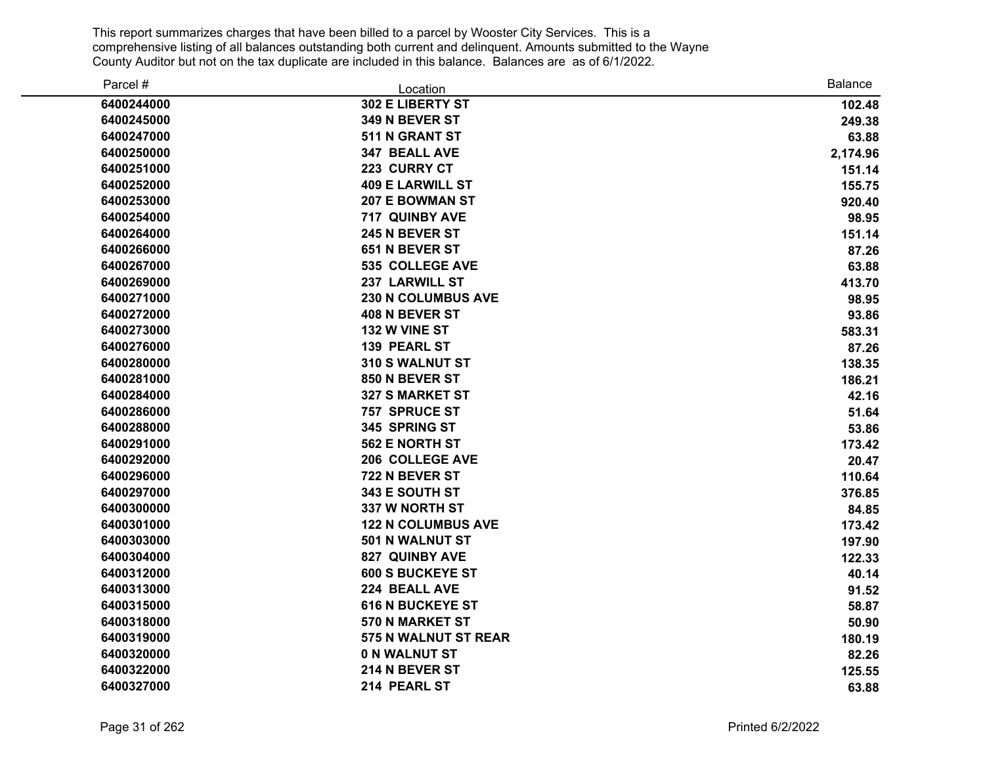| Parcel #   | Location                  | Balance  |
|------------|---------------------------|----------|
| 6400244000 | 302 E LIBERTY ST          | 102.48   |
| 6400245000 | 349 N BEVER ST            | 249.38   |
| 6400247000 | 511 N GRANT ST            | 63.88    |
| 6400250000 | 347 BEALL AVE             | 2,174.96 |
| 6400251000 | 223 CURRY CT              | 151.14   |
| 6400252000 | <b>409 E LARWILL ST</b>   | 155.75   |
| 6400253000 | <b>207 E BOWMAN ST</b>    | 920.40   |
| 6400254000 | 717 QUINBY AVE            | 98.95    |
| 6400264000 | 245 N BEVER ST            | 151.14   |
| 6400266000 | 651 N BEVER ST            | 87.26    |
| 6400267000 | 535 COLLEGE AVE           | 63.88    |
| 6400269000 | 237 LARWILL ST            | 413.70   |
| 6400271000 | <b>230 N COLUMBUS AVE</b> | 98.95    |
| 6400272000 | 408 N BEVER ST            | 93.86    |
| 6400273000 | 132 W VINE ST             | 583.31   |
| 6400276000 | 139 PEARL ST              | 87.26    |
| 6400280000 | 310 S WALNUT ST           | 138.35   |
| 6400281000 | 850 N BEVER ST            | 186.21   |
| 6400284000 | <b>327 S MARKET ST</b>    | 42.16    |
| 6400286000 | 757 SPRUCE ST             | 51.64    |
| 6400288000 | 345 SPRING ST             | 53.86    |
| 6400291000 | 562 E NORTH ST            | 173.42   |
| 6400292000 | 206 COLLEGE AVE           | 20.47    |
| 6400296000 | 722 N BEVER ST            | 110.64   |
| 6400297000 | 343 E SOUTH ST            | 376.85   |
| 6400300000 | 337 W NORTH ST            | 84.85    |
| 6400301000 | <b>122 N COLUMBUS AVE</b> | 173.42   |
| 6400303000 | 501 N WALNUT ST           | 197.90   |
| 6400304000 | <b>827 QUINBY AVE</b>     | 122.33   |
| 6400312000 | <b>600 S BUCKEYE ST</b>   | 40.14    |
| 6400313000 | 224 BEALL AVE             | 91.52    |
| 6400315000 | <b>616 N BUCKEYE ST</b>   | 58.87    |
| 6400318000 | 570 N MARKET ST           | 50.90    |
| 6400319000 | 575 N WALNUT ST REAR      | 180.19   |
| 6400320000 | <b>0 N WALNUT ST</b>      | 82.26    |
| 6400322000 | 214 N BEVER ST            | 125.55   |
| 6400327000 | 214 PEARL ST              | 63.88    |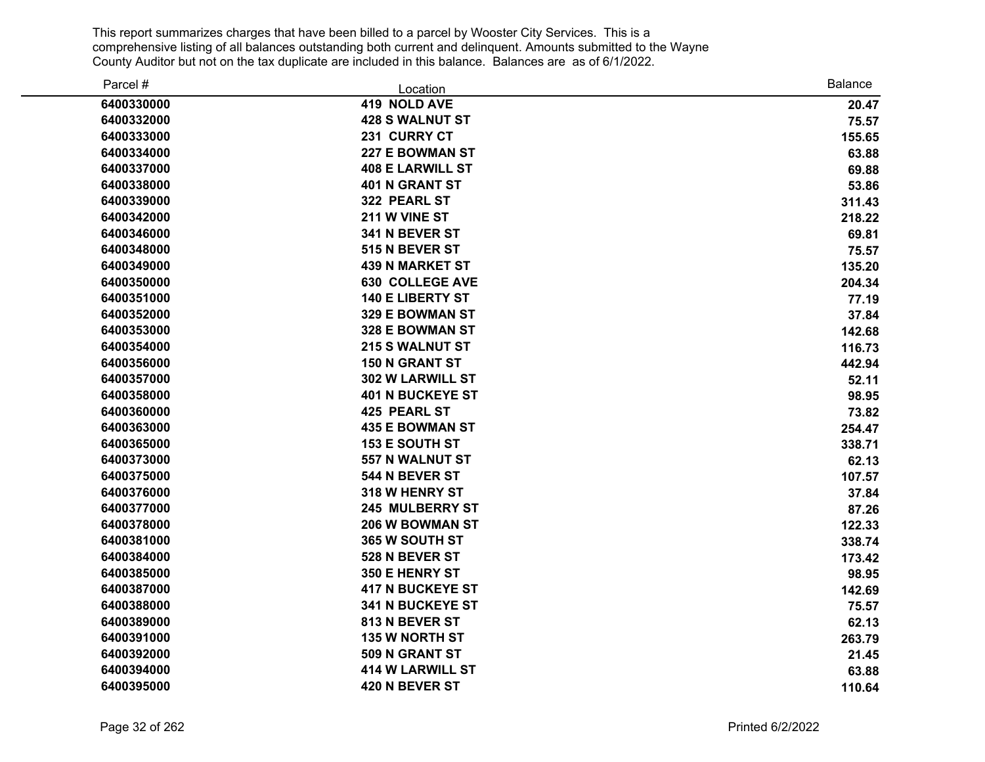| Parcel #   | Location                | <b>Balance</b> |
|------------|-------------------------|----------------|
| 6400330000 | 419 NOLD AVE            | 20.47          |
| 6400332000 | <b>428 S WALNUT ST</b>  | 75.57          |
| 6400333000 | 231 CURRY CT            | 155.65         |
| 6400334000 | <b>227 E BOWMAN ST</b>  | 63.88          |
| 6400337000 | <b>408 E LARWILL ST</b> | 69.88          |
| 6400338000 | <b>401 N GRANT ST</b>   | 53.86          |
| 6400339000 | 322 PEARL ST            | 311.43         |
| 6400342000 | 211 W VINE ST           | 218.22         |
| 6400346000 | 341 N BEVER ST          | 69.81          |
| 6400348000 | 515 N BEVER ST          | 75.57          |
| 6400349000 | <b>439 N MARKET ST</b>  | 135.20         |
| 6400350000 | <b>630 COLLEGE AVE</b>  | 204.34         |
| 6400351000 | <b>140 E LIBERTY ST</b> | 77.19          |
| 6400352000 | 329 E BOWMAN ST         | 37.84          |
| 6400353000 | 328 E BOWMAN ST         | 142.68         |
| 6400354000 | 215 S WALNUT ST         | 116.73         |
| 6400356000 | <b>150 N GRANT ST</b>   | 442.94         |
| 6400357000 | 302 W LARWILL ST        | 52.11          |
| 6400358000 | <b>401 N BUCKEYE ST</b> | 98.95          |
| 6400360000 | 425 PEARL ST            | 73.82          |
| 6400363000 | <b>435 E BOWMAN ST</b>  | 254.47         |
| 6400365000 | <b>153 E SOUTH ST</b>   | 338.71         |
| 6400373000 | 557 N WALNUT ST         | 62.13          |
| 6400375000 | 544 N BEVER ST          | 107.57         |
| 6400376000 | 318 W HENRY ST          | 37.84          |
| 6400377000 | <b>245 MULBERRY ST</b>  | 87.26          |
| 6400378000 | 206 W BOWMAN ST         | 122.33         |
| 6400381000 | 365 W SOUTH ST          | 338.74         |
| 6400384000 | 528 N BEVER ST          | 173.42         |
| 6400385000 | 350 E HENRY ST          | 98.95          |
| 6400387000 | <b>417 N BUCKEYE ST</b> | 142.69         |
| 6400388000 | 341 N BUCKEYE ST        | 75.57          |
| 6400389000 | 813 N BEVER ST          | 62.13          |
| 6400391000 | 135 W NORTH ST          | 263.79         |
| 6400392000 | 509 N GRANT ST          | 21.45          |
| 6400394000 | <b>414 W LARWILL ST</b> | 63.88          |
| 6400395000 | 420 N BEVER ST          | 110.64         |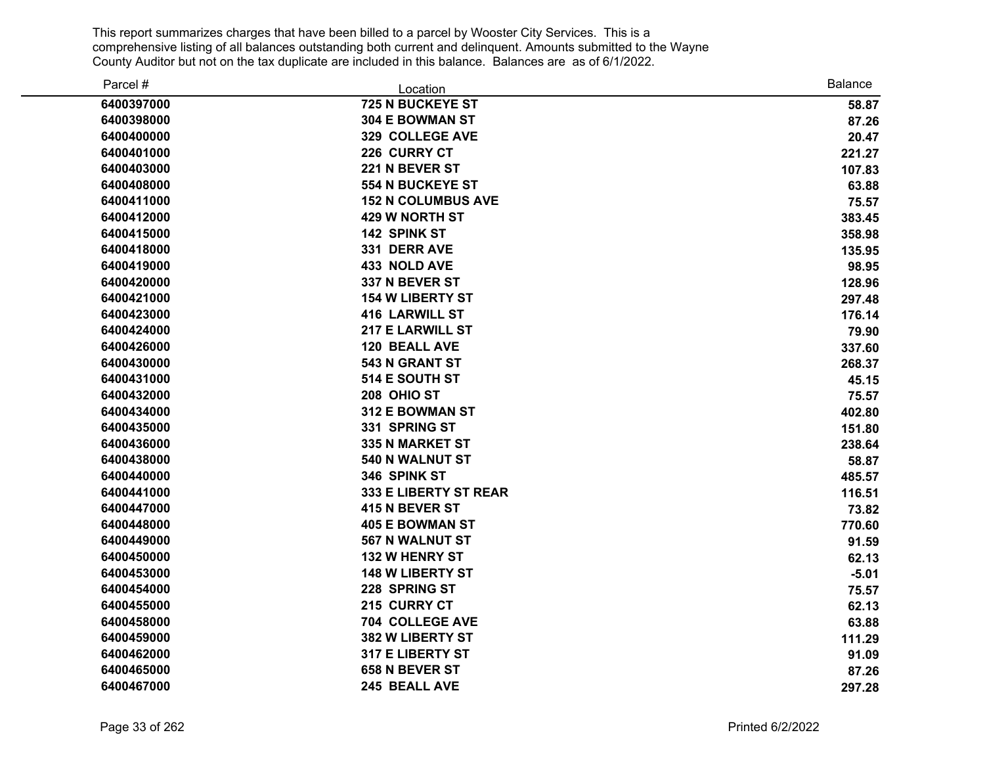| Parcel #   | Location                  | <b>Balance</b> |
|------------|---------------------------|----------------|
| 6400397000 | 725 N BUCKEYE ST          | 58.87          |
| 6400398000 | 304 E BOWMAN ST           | 87.26          |
| 6400400000 | 329 COLLEGE AVE           | 20.47          |
| 6400401000 | 226 CURRY CT              | 221.27         |
| 6400403000 | 221 N BEVER ST            | 107.83         |
| 6400408000 | <b>554 N BUCKEYE ST</b>   | 63.88          |
| 6400411000 | <b>152 N COLUMBUS AVE</b> | 75.57          |
| 6400412000 | <b>429 W NORTH ST</b>     | 383.45         |
| 6400415000 | 142 SPINK ST              | 358.98         |
| 6400418000 | 331 DERR AVE              | 135.95         |
| 6400419000 | 433 NOLD AVE              | 98.95          |
| 6400420000 | 337 N BEVER ST            | 128.96         |
| 6400421000 | <b>154 W LIBERTY ST</b>   | 297.48         |
| 6400423000 | <b>416 LARWILL ST</b>     | 176.14         |
| 6400424000 | <b>217 E LARWILL ST</b>   | 79.90          |
| 6400426000 | 120 BEALL AVE             | 337.60         |
| 6400430000 | 543 N GRANT ST            | 268.37         |
| 6400431000 | 514 E SOUTH ST            | 45.15          |
| 6400432000 | 208 OHIO ST               | 75.57          |
| 6400434000 | 312 E BOWMAN ST           | 402.80         |
| 6400435000 | 331 SPRING ST             | 151.80         |
| 6400436000 | 335 N MARKET ST           | 238.64         |
| 6400438000 | 540 N WALNUT ST           | 58.87          |
| 6400440000 | 346 SPINK ST              | 485.57         |
| 6400441000 | 333 E LIBERTY ST REAR     | 116.51         |
| 6400447000 | 415 N BEVER ST            | 73.82          |
| 6400448000 | <b>405 E BOWMAN ST</b>    | 770.60         |
| 6400449000 | <b>567 N WALNUT ST</b>    | 91.59          |
| 6400450000 | 132 W HENRY ST            | 62.13          |
| 6400453000 | <b>148 W LIBERTY ST</b>   | $-5.01$        |
| 6400454000 | 228 SPRING ST             | 75.57          |
| 6400455000 | 215 CURRY CT              | 62.13          |
| 6400458000 | 704 COLLEGE AVE           | 63.88          |
| 6400459000 | 382 W LIBERTY ST          | 111.29         |
| 6400462000 | 317 E LIBERTY ST          | 91.09          |
| 6400465000 | 658 N BEVER ST            | 87.26          |
| 6400467000 | 245 BEALL AVE             | 297.28         |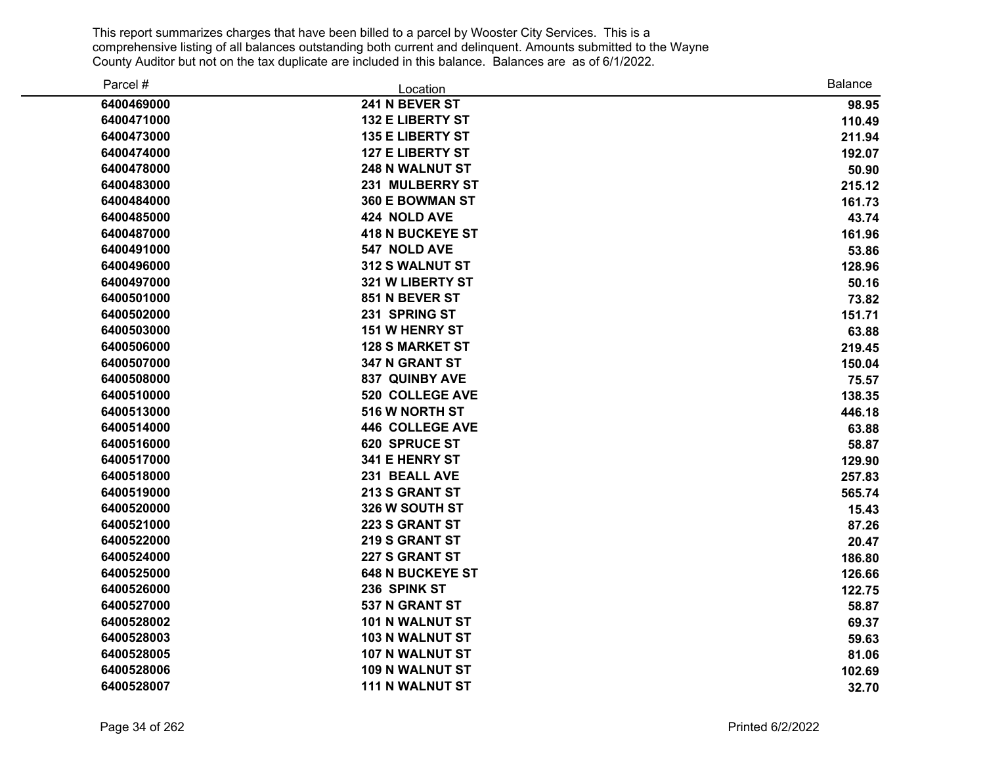| Parcel #   | Location                | <b>Balance</b> |
|------------|-------------------------|----------------|
| 6400469000 | 241 N BEVER ST          | 98.95          |
| 6400471000 | <b>132 E LIBERTY ST</b> | 110.49         |
| 6400473000 | <b>135 E LIBERTY ST</b> | 211.94         |
| 6400474000 | <b>127 E LIBERTY ST</b> | 192.07         |
| 6400478000 | <b>248 N WALNUT ST</b>  | 50.90          |
| 6400483000 | 231 MULBERRY ST         | 215.12         |
| 6400484000 | 360 E BOWMAN ST         | 161.73         |
| 6400485000 | 424 NOLD AVE            | 43.74          |
| 6400487000 | <b>418 N BUCKEYE ST</b> | 161.96         |
| 6400491000 | 547 NOLD AVE            | 53.86          |
| 6400496000 | 312 S WALNUT ST         | 128.96         |
| 6400497000 | 321 W LIBERTY ST        | 50.16          |
| 6400501000 | 851 N BEVER ST          | 73.82          |
| 6400502000 | 231 SPRING ST           | 151.71         |
| 6400503000 | <b>151 W HENRY ST</b>   | 63.88          |
| 6400506000 | <b>128 S MARKET ST</b>  | 219.45         |
| 6400507000 | 347 N GRANT ST          | 150.04         |
| 6400508000 | 837 QUINBY AVE          | 75.57          |
| 6400510000 | 520 COLLEGE AVE         | 138.35         |
| 6400513000 | 516 W NORTH ST          | 446.18         |
| 6400514000 | <b>446 COLLEGE AVE</b>  | 63.88          |
| 6400516000 | 620 SPRUCE ST           | 58.87          |
| 6400517000 | 341 E HENRY ST          | 129.90         |
| 6400518000 | 231 BEALL AVE           | 257.83         |
| 6400519000 | 213 S GRANT ST          | 565.74         |
| 6400520000 | 326 W SOUTH ST          | 15.43          |
| 6400521000 | 223 S GRANT ST          | 87.26          |
| 6400522000 | 219 S GRANT ST          | 20.47          |
| 6400524000 | 227 S GRANT ST          | 186.80         |
| 6400525000 | <b>648 N BUCKEYE ST</b> | 126.66         |
| 6400526000 | 236 SPINK ST            | 122.75         |
| 6400527000 | 537 N GRANT ST          | 58.87          |
| 6400528002 | 101 N WALNUT ST         | 69.37          |
| 6400528003 | <b>103 N WALNUT ST</b>  | 59.63          |
| 6400528005 | 107 N WALNUT ST         | 81.06          |
| 6400528006 | <b>109 N WALNUT ST</b>  | 102.69         |
| 6400528007 | <b>111 N WALNUT ST</b>  | 32.70          |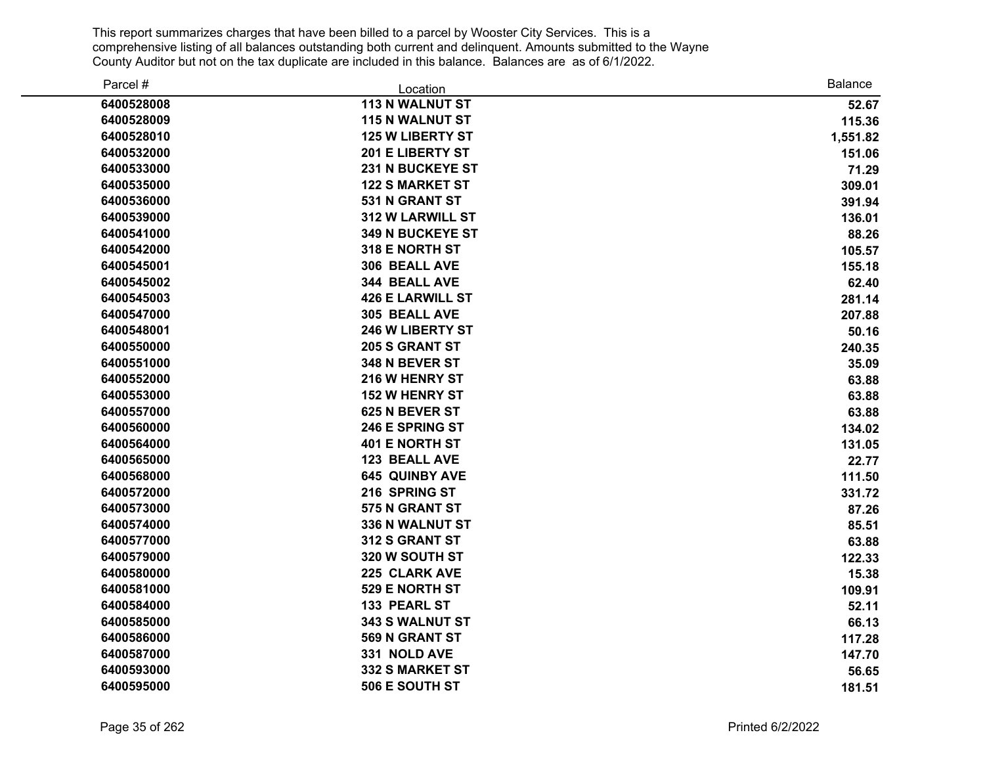| Parcel #   | Location                | <b>Balance</b> |
|------------|-------------------------|----------------|
| 6400528008 | <b>113 N WALNUT ST</b>  | 52.67          |
| 6400528009 | <b>115 N WALNUT ST</b>  | 115.36         |
| 6400528010 | <b>125 W LIBERTY ST</b> | 1,551.82       |
| 6400532000 | 201 E LIBERTY ST        | 151.06         |
| 6400533000 | <b>231 N BUCKEYE ST</b> | 71.29          |
| 6400535000 | <b>122 S MARKET ST</b>  | 309.01         |
| 6400536000 | 531 N GRANT ST          | 391.94         |
| 6400539000 | <b>312 W LARWILL ST</b> | 136.01         |
| 6400541000 | <b>349 N BUCKEYE ST</b> | 88.26          |
| 6400542000 | 318 E NORTH ST          | 105.57         |
| 6400545001 | 306 BEALL AVE           | 155.18         |
| 6400545002 | 344 BEALL AVE           | 62.40          |
| 6400545003 | <b>426 E LARWILL ST</b> | 281.14         |
| 6400547000 | 305 BEALL AVE           | 207.88         |
| 6400548001 | 246 W LIBERTY ST        | 50.16          |
| 6400550000 | <b>205 S GRANT ST</b>   | 240.35         |
| 6400551000 | 348 N BEVER ST          | 35.09          |
| 6400552000 | 216 W HENRY ST          | 63.88          |
| 6400553000 | <b>152 W HENRY ST</b>   | 63.88          |
| 6400557000 | 625 N BEVER ST          | 63.88          |
| 6400560000 | 246 E SPRING ST         | 134.02         |
| 6400564000 | <b>401 E NORTH ST</b>   | 131.05         |
| 6400565000 | <b>123 BEALL AVE</b>    | 22.77          |
| 6400568000 | <b>645 QUINBY AVE</b>   | 111.50         |
| 6400572000 | 216 SPRING ST           | 331.72         |
| 6400573000 | 575 N GRANT ST          | 87.26          |
| 6400574000 | 336 N WALNUT ST         | 85.51          |
| 6400577000 | 312 S GRANT ST          | 63.88          |
| 6400579000 | 320 W SOUTH ST          | 122.33         |
| 6400580000 | 225 CLARK AVE           | 15.38          |
| 6400581000 | 529 E NORTH ST          | 109.91         |
| 6400584000 | 133 PEARL ST            | 52.11          |
| 6400585000 | 343 S WALNUT ST         | 66.13          |
| 6400586000 | 569 N GRANT ST          | 117.28         |
| 6400587000 | 331 NOLD AVE            | 147.70         |
| 6400593000 | <b>332 S MARKET ST</b>  | 56.65          |
| 6400595000 | 506 E SOUTH ST          | 181.51         |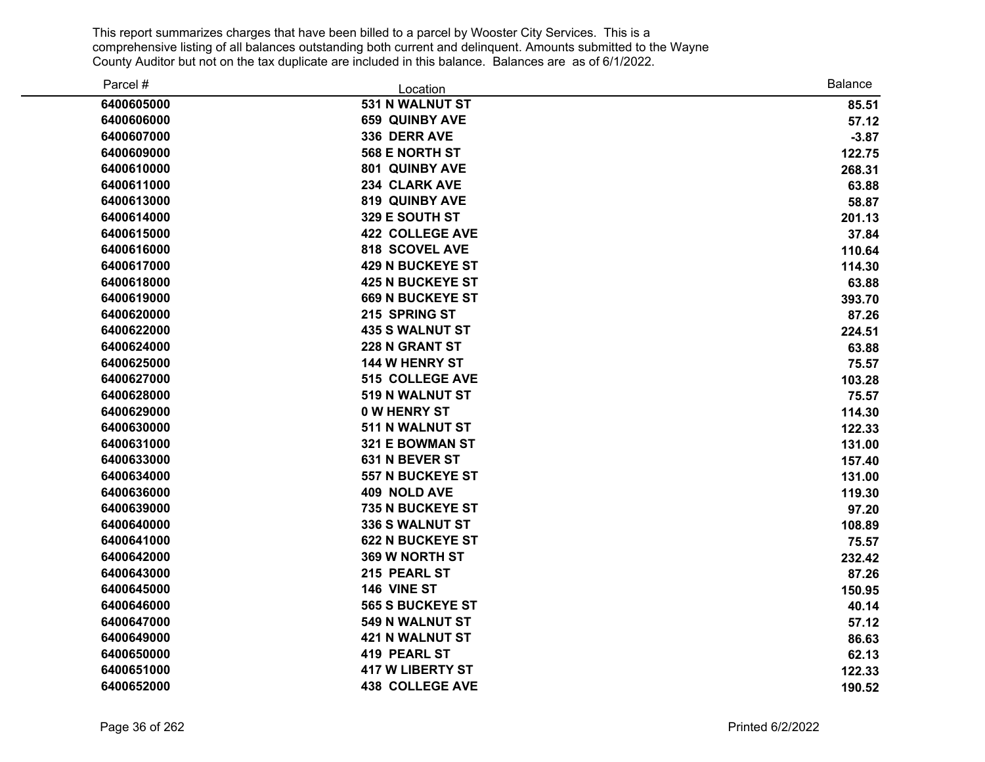| Parcel #   | Location                | <b>Balance</b> |
|------------|-------------------------|----------------|
| 6400605000 | 531 N WALNUT ST         | 85.51          |
| 6400606000 | <b>659 QUINBY AVE</b>   | 57.12          |
| 6400607000 | 336 DERR AVE            | $-3.87$        |
| 6400609000 | 568 E NORTH ST          | 122.75         |
| 6400610000 | 801 QUINBY AVE          | 268.31         |
| 6400611000 | 234 CLARK AVE           | 63.88          |
| 6400613000 | 819 QUINBY AVE          | 58.87          |
| 6400614000 | 329 E SOUTH ST          | 201.13         |
| 6400615000 | <b>422 COLLEGE AVE</b>  | 37.84          |
| 6400616000 | 818 SCOVEL AVE          | 110.64         |
| 6400617000 | <b>429 N BUCKEYE ST</b> | 114.30         |
| 6400618000 | <b>425 N BUCKEYE ST</b> | 63.88          |
| 6400619000 | <b>669 N BUCKEYE ST</b> | 393.70         |
| 6400620000 | 215 SPRING ST           | 87.26          |
| 6400622000 | <b>435 S WALNUT ST</b>  | 224.51         |
| 6400624000 | 228 N GRANT ST          | 63.88          |
| 6400625000 | <b>144 W HENRY ST</b>   | 75.57          |
| 6400627000 | <b>515 COLLEGE AVE</b>  | 103.28         |
| 6400628000 | 519 N WALNUT ST         | 75.57          |
| 6400629000 | <b>0 W HENRY ST</b>     | 114.30         |
| 6400630000 | 511 N WALNUT ST         | 122.33         |
| 6400631000 | 321 E BOWMAN ST         | 131.00         |
| 6400633000 | 631 N BEVER ST          | 157.40         |
| 6400634000 | <b>557 N BUCKEYE ST</b> | 131.00         |
| 6400636000 | 409 NOLD AVE            | 119.30         |
| 6400639000 | 735 N BUCKEYE ST        | 97.20          |
| 6400640000 | 336 S WALNUT ST         | 108.89         |
| 6400641000 | <b>622 N BUCKEYE ST</b> | 75.57          |
| 6400642000 | 369 W NORTH ST          | 232.42         |
| 6400643000 | 215 PEARL ST            | 87.26          |
| 6400645000 | 146 VINE ST             | 150.95         |
| 6400646000 | <b>565 S BUCKEYE ST</b> | 40.14          |
| 6400647000 | 549 N WALNUT ST         | 57.12          |
| 6400649000 | <b>421 N WALNUT ST</b>  | 86.63          |
| 6400650000 | <b>419 PEARL ST</b>     | 62.13          |
| 6400651000 | <b>417 W LIBERTY ST</b> | 122.33         |
| 6400652000 | <b>438 COLLEGE AVE</b>  | 190.52         |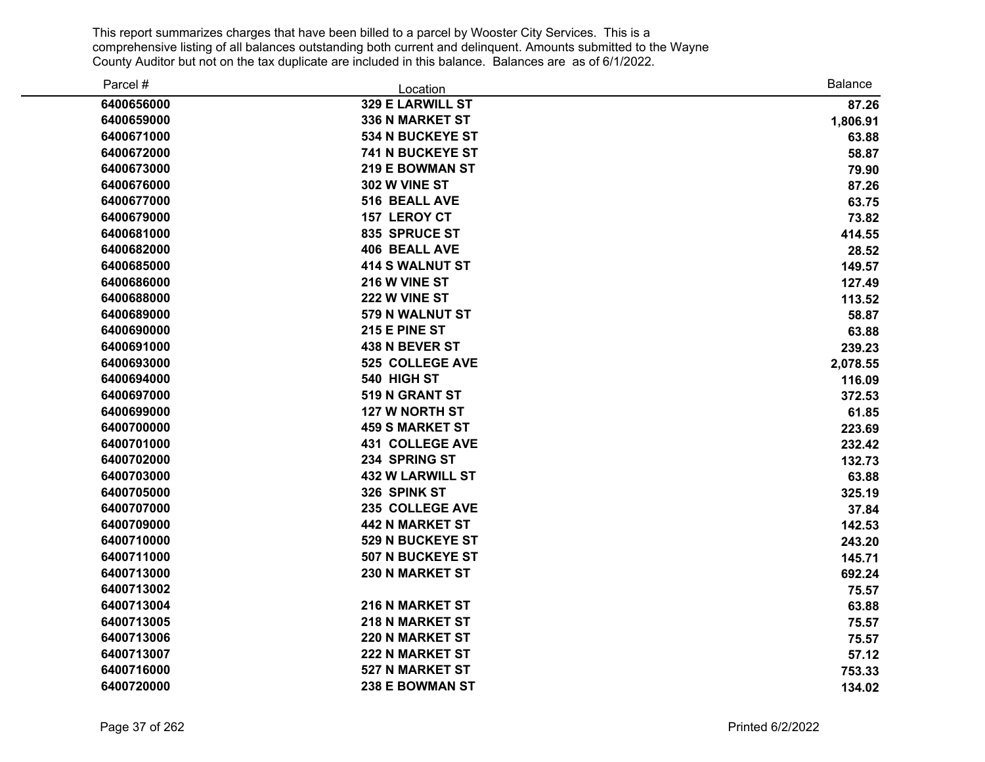| Parcel #   | Location                | <b>Balance</b> |
|------------|-------------------------|----------------|
| 6400656000 | 329 E LARWILL ST        | 87.26          |
| 6400659000 | <b>336 N MARKET ST</b>  | 1,806.91       |
| 6400671000 | <b>534 N BUCKEYE ST</b> | 63.88          |
| 6400672000 | <b>741 N BUCKEYE ST</b> | 58.87          |
| 6400673000 | 219 E BOWMAN ST         | 79.90          |
| 6400676000 | 302 W VINE ST           | 87.26          |
| 6400677000 | 516 BEALL AVE           | 63.75          |
| 6400679000 | 157 LEROY CT            | 73.82          |
| 6400681000 | 835 SPRUCE ST           | 414.55         |
| 6400682000 | <b>406 BEALL AVE</b>    | 28.52          |
| 6400685000 | <b>414 S WALNUT ST</b>  | 149.57         |
| 6400686000 | 216 W VINE ST           | 127.49         |
| 6400688000 | 222 W VINE ST           | 113.52         |
| 6400689000 | 579 N WALNUT ST         | 58.87          |
| 6400690000 | 215 E PINE ST           | 63.88          |
| 6400691000 | 438 N BEVER ST          | 239.23         |
| 6400693000 | 525 COLLEGE AVE         | 2,078.55       |
| 6400694000 | 540 HIGH ST             | 116.09         |
| 6400697000 | 519 N GRANT ST          | 372.53         |
| 6400699000 | <b>127 W NORTH ST</b>   | 61.85          |
| 6400700000 | <b>459 S MARKET ST</b>  | 223.69         |
| 6400701000 | <b>431 COLLEGE AVE</b>  | 232.42         |
| 6400702000 | 234 SPRING ST           | 132.73         |
| 6400703000 | <b>432 W LARWILL ST</b> | 63.88          |
| 6400705000 | 326 SPINK ST            | 325.19         |
| 6400707000 | 235 COLLEGE AVE         | 37.84          |
| 6400709000 | <b>442 N MARKET ST</b>  | 142.53         |
| 6400710000 | 529 N BUCKEYE ST        | 243.20         |
| 6400711000 | 507 N BUCKEYE ST        | 145.71         |
| 6400713000 | 230 N MARKET ST         | 692.24         |
| 6400713002 |                         | 75.57          |
| 6400713004 | 216 N MARKET ST         | 63.88          |
| 6400713005 | 218 N MARKET ST         | 75.57          |
| 6400713006 | 220 N MARKET ST         | 75.57          |
| 6400713007 | <b>222 N MARKET ST</b>  | 57.12          |
| 6400716000 | 527 N MARKET ST         | 753.33         |
| 6400720000 | 238 E BOWMAN ST         | 134.02         |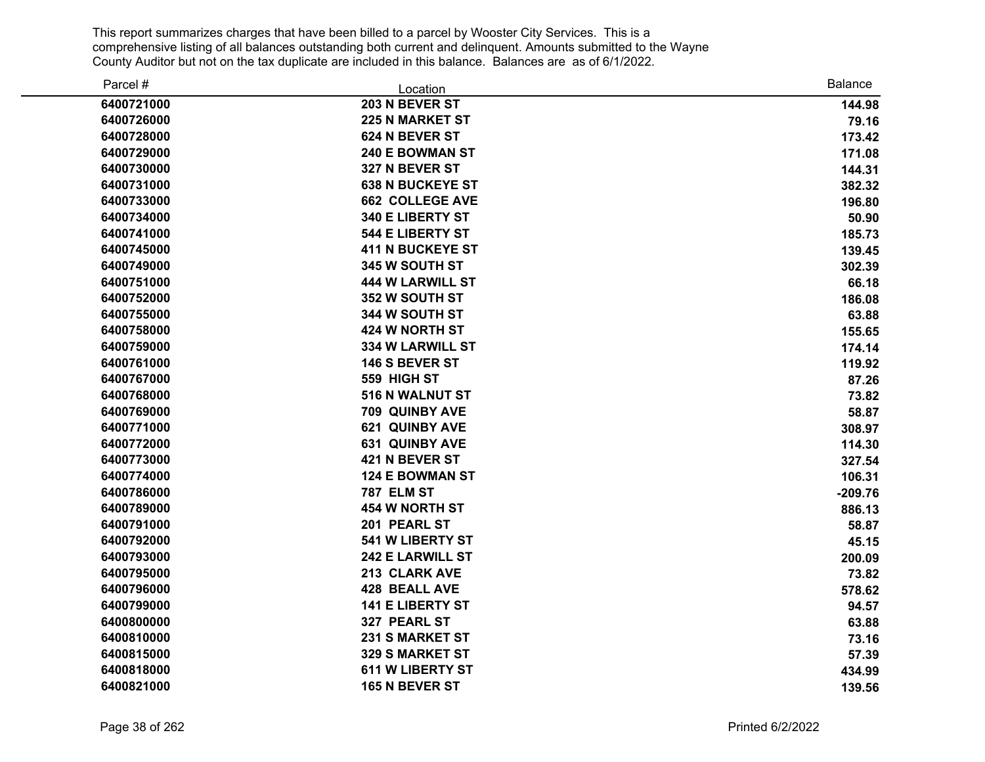| Parcel #   | Location                | <b>Balance</b> |
|------------|-------------------------|----------------|
| 6400721000 | 203 N BEVER ST          | 144.98         |
| 6400726000 | <b>225 N MARKET ST</b>  | 79.16          |
| 6400728000 | 624 N BEVER ST          | 173.42         |
| 6400729000 | 240 E BOWMAN ST         | 171.08         |
| 6400730000 | 327 N BEVER ST          | 144.31         |
| 6400731000 | <b>638 N BUCKEYE ST</b> | 382.32         |
| 6400733000 | <b>662 COLLEGE AVE</b>  | 196.80         |
| 6400734000 | 340 E LIBERTY ST        | 50.90          |
| 6400741000 | <b>544 E LIBERTY ST</b> | 185.73         |
| 6400745000 | <b>411 N BUCKEYE ST</b> | 139.45         |
| 6400749000 | 345 W SOUTH ST          | 302.39         |
| 6400751000 | <b>444 W LARWILL ST</b> | 66.18          |
| 6400752000 | 352 W SOUTH ST          | 186.08         |
| 6400755000 | 344 W SOUTH ST          | 63.88          |
| 6400758000 | 424 W NORTH ST          | 155.65         |
| 6400759000 | <b>334 W LARWILL ST</b> | 174.14         |
| 6400761000 | 146 S BEVER ST          | 119.92         |
| 6400767000 | 559 HIGH ST             | 87.26          |
| 6400768000 | 516 N WALNUT ST         | 73.82          |
| 6400769000 | 709 QUINBY AVE          | 58.87          |
| 6400771000 | <b>621 QUINBY AVE</b>   | 308.97         |
| 6400772000 | <b>631 QUINBY AVE</b>   | 114.30         |
| 6400773000 | 421 N BEVER ST          | 327.54         |
| 6400774000 | <b>124 E BOWMAN ST</b>  | 106.31         |
| 6400786000 | <b>787 ELM ST</b>       | $-209.76$      |
| 6400789000 | 454 W NORTH ST          | 886.13         |
| 6400791000 | 201 PEARL ST            | 58.87          |
| 6400792000 | 541 W LIBERTY ST        | 45.15          |
| 6400793000 | <b>242 E LARWILL ST</b> | 200.09         |
| 6400795000 | 213 CLARK AVE           | 73.82          |
| 6400796000 | <b>428 BEALL AVE</b>    | 578.62         |
| 6400799000 | <b>141 E LIBERTY ST</b> | 94.57          |
| 6400800000 | 327 PEARL ST            | 63.88          |
| 6400810000 | <b>231 S MARKET ST</b>  | 73.16          |
| 6400815000 | <b>329 S MARKET ST</b>  | 57.39          |
| 6400818000 | <b>611 W LIBERTY ST</b> | 434.99         |
| 6400821000 | 165 N BEVER ST          | 139.56         |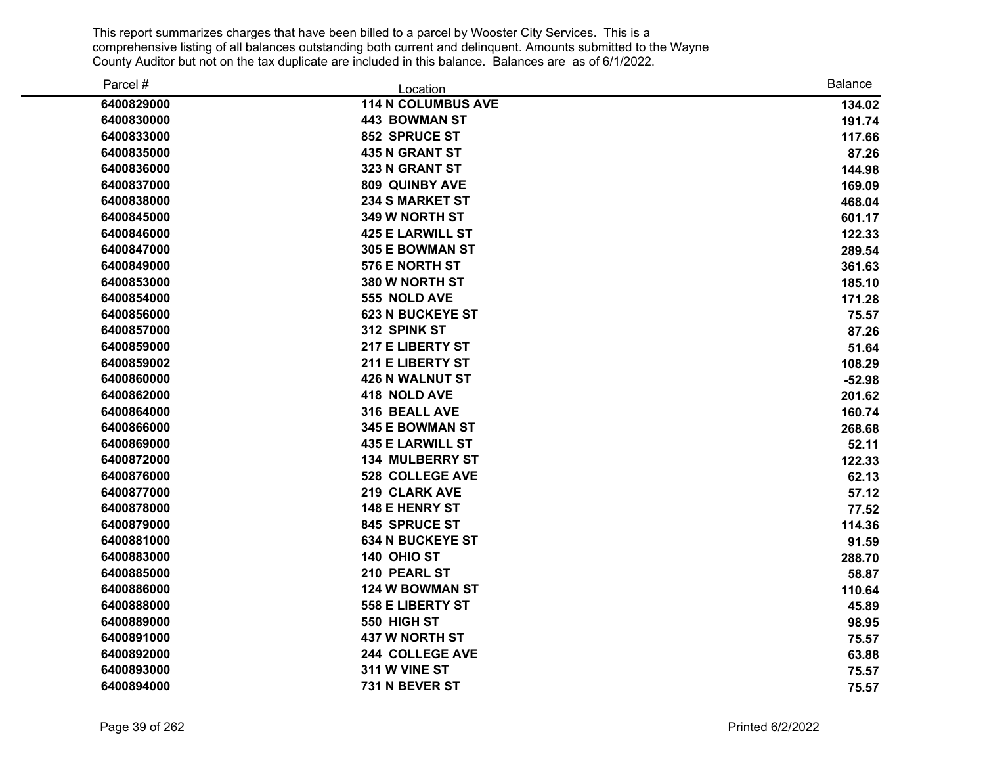| Parcel #   | Location                  | Balance  |
|------------|---------------------------|----------|
| 6400829000 | <b>114 N COLUMBUS AVE</b> | 134.02   |
| 6400830000 | <b>443 BOWMAN ST</b>      | 191.74   |
| 6400833000 | 852 SPRUCE ST             | 117.66   |
| 6400835000 | <b>435 N GRANT ST</b>     | 87.26    |
| 6400836000 | 323 N GRANT ST            | 144.98   |
| 6400837000 | 809 QUINBY AVE            | 169.09   |
| 6400838000 | <b>234 S MARKET ST</b>    | 468.04   |
| 6400845000 | 349 W NORTH ST            | 601.17   |
| 6400846000 | <b>425 E LARWILL ST</b>   | 122.33   |
| 6400847000 | 305 E BOWMAN ST           | 289.54   |
| 6400849000 | 576 E NORTH ST            | 361.63   |
| 6400853000 | 380 W NORTH ST            | 185.10   |
| 6400854000 | 555 NOLD AVE              | 171.28   |
| 6400856000 | <b>623 N BUCKEYE ST</b>   | 75.57    |
| 6400857000 | 312 SPINK ST              | 87.26    |
| 6400859000 | 217 E LIBERTY ST          | 51.64    |
| 6400859002 | 211 E LIBERTY ST          | 108.29   |
| 6400860000 | <b>426 N WALNUT ST</b>    | $-52.98$ |
| 6400862000 | 418 NOLD AVE              | 201.62   |
| 6400864000 | 316 BEALL AVE             | 160.74   |
| 6400866000 | 345 E BOWMAN ST           | 268.68   |
| 6400869000 | <b>435 E LARWILL ST</b>   | 52.11    |
| 6400872000 | <b>134 MULBERRY ST</b>    | 122.33   |
| 6400876000 | <b>528 COLLEGE AVE</b>    | 62.13    |
| 6400877000 | 219 CLARK AVE             | 57.12    |
| 6400878000 | <b>148 E HENRY ST</b>     | 77.52    |
| 6400879000 | 845 SPRUCE ST             | 114.36   |
| 6400881000 | <b>634 N BUCKEYE ST</b>   | 91.59    |
| 6400883000 | 140 OHIO ST               | 288.70   |
| 6400885000 | 210 PEARL ST              | 58.87    |
| 6400886000 | 124 W BOWMAN ST           | 110.64   |
| 6400888000 | <b>558 E LIBERTY ST</b>   | 45.89    |
| 6400889000 | 550 HIGH ST               | 98.95    |
| 6400891000 | 437 W NORTH ST            | 75.57    |
| 6400892000 | 244 COLLEGE AVE           | 63.88    |
| 6400893000 | 311 W VINE ST             | 75.57    |
| 6400894000 | 731 N BEVER ST            | 75.57    |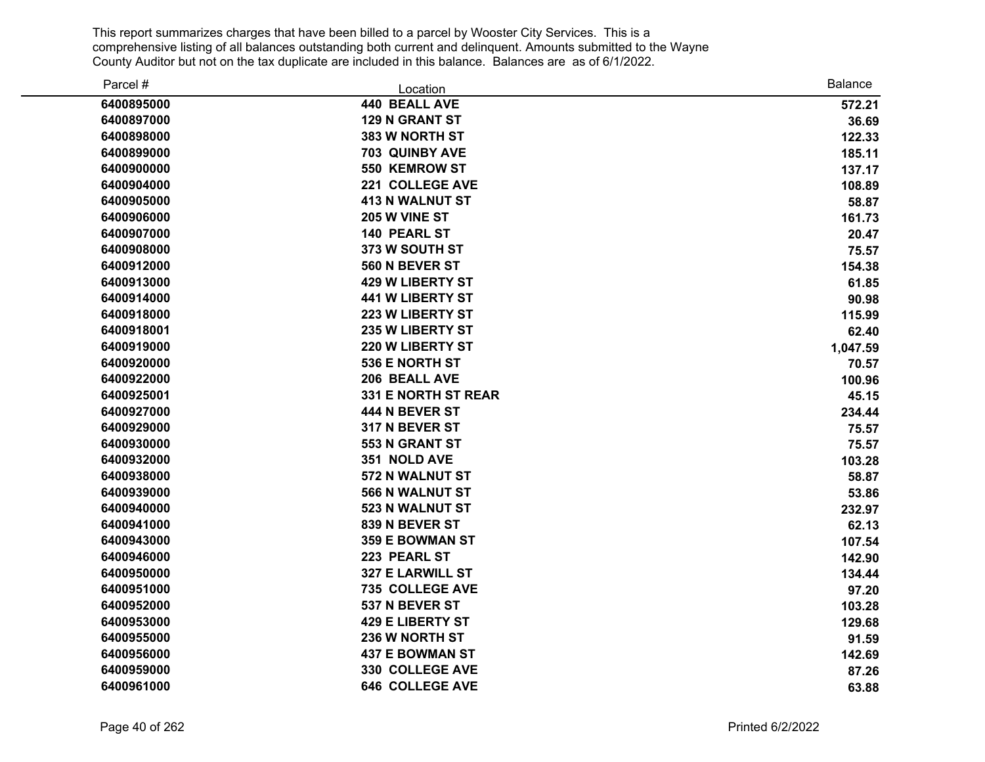| Parcel #   | Location                | <b>Balance</b> |
|------------|-------------------------|----------------|
| 6400895000 | <b>440 BEALL AVE</b>    | 572.21         |
| 6400897000 | 129 N GRANT ST          | 36.69          |
| 6400898000 | 383 W NORTH ST          | 122.33         |
| 6400899000 | <b>703 QUINBY AVE</b>   | 185.11         |
| 6400900000 | 550 KEMROW ST           | 137.17         |
| 6400904000 | 221 COLLEGE AVE         | 108.89         |
| 6400905000 | <b>413 N WALNUT ST</b>  | 58.87          |
| 6400906000 | 205 W VINE ST           | 161.73         |
| 6400907000 | 140 PEARL ST            | 20.47          |
| 6400908000 | 373 W SOUTH ST          | 75.57          |
| 6400912000 | 560 N BEVER ST          | 154.38         |
| 6400913000 | <b>429 W LIBERTY ST</b> | 61.85          |
| 6400914000 | <b>441 W LIBERTY ST</b> | 90.98          |
| 6400918000 | <b>223 W LIBERTY ST</b> | 115.99         |
| 6400918001 | <b>235 W LIBERTY ST</b> | 62.40          |
| 6400919000 | 220 W LIBERTY ST        | 1,047.59       |
| 6400920000 | 536 E NORTH ST          | 70.57          |
| 6400922000 | 206 BEALL AVE           | 100.96         |
| 6400925001 | 331 E NORTH ST REAR     | 45.15          |
| 6400927000 | 444 N BEVER ST          | 234.44         |
| 6400929000 | 317 N BEVER ST          | 75.57          |
| 6400930000 | 553 N GRANT ST          | 75.57          |
| 6400932000 | 351 NOLD AVE            | 103.28         |
| 6400938000 | 572 N WALNUT ST         | 58.87          |
| 6400939000 | 566 N WALNUT ST         | 53.86          |
| 6400940000 | 523 N WALNUT ST         | 232.97         |
| 6400941000 | 839 N BEVER ST          | 62.13          |
| 6400943000 | <b>359 E BOWMAN ST</b>  | 107.54         |
| 6400946000 | 223 PEARL ST            | 142.90         |
| 6400950000 | 327 E LARWILL ST        | 134.44         |
| 6400951000 | 735 COLLEGE AVE         | 97.20          |
| 6400952000 | 537 N BEVER ST          | 103.28         |
| 6400953000 | <b>429 E LIBERTY ST</b> | 129.68         |
| 6400955000 | 236 W NORTH ST          | 91.59          |
| 6400956000 | <b>437 E BOWMAN ST</b>  | 142.69         |
| 6400959000 | 330 COLLEGE AVE         | 87.26          |
| 6400961000 | <b>646 COLLEGE AVE</b>  | 63.88          |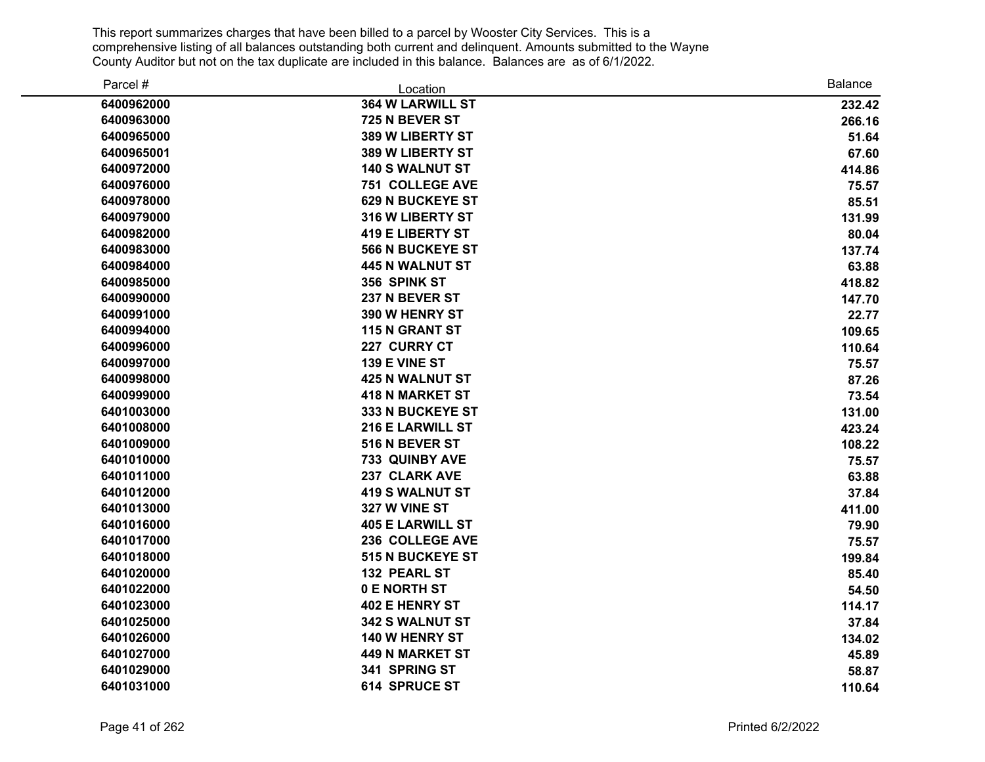| Parcel #   | Location                | <b>Balance</b> |
|------------|-------------------------|----------------|
| 6400962000 | <b>364 W LARWILL ST</b> | 232.42         |
| 6400963000 | 725 N BEVER ST          | 266.16         |
| 6400965000 | 389 W LIBERTY ST        | 51.64          |
| 6400965001 | 389 W LIBERTY ST        | 67.60          |
| 6400972000 | <b>140 S WALNUT ST</b>  | 414.86         |
| 6400976000 | <b>751 COLLEGE AVE</b>  | 75.57          |
| 6400978000 | <b>629 N BUCKEYE ST</b> | 85.51          |
| 6400979000 | 316 W LIBERTY ST        | 131.99         |
| 6400982000 | <b>419 E LIBERTY ST</b> | 80.04          |
| 6400983000 | <b>566 N BUCKEYE ST</b> | 137.74         |
| 6400984000 | <b>445 N WALNUT ST</b>  | 63.88          |
| 6400985000 | 356 SPINK ST            | 418.82         |
| 6400990000 | 237 N BEVER ST          | 147.70         |
| 6400991000 | 390 W HENRY ST          | 22.77          |
| 6400994000 | 115 N GRANT ST          | 109.65         |
| 6400996000 | 227 CURRY CT            | 110.64         |
| 6400997000 | 139 E VINE ST           | 75.57          |
| 6400998000 | <b>425 N WALNUT ST</b>  | 87.26          |
| 6400999000 | <b>418 N MARKET ST</b>  | 73.54          |
| 6401003000 | 333 N BUCKEYE ST        | 131.00         |
| 6401008000 | 216 E LARWILL ST        | 423.24         |
| 6401009000 | 516 N BEVER ST          | 108.22         |
| 6401010000 | 733 QUINBY AVE          | 75.57          |
| 6401011000 | 237 CLARK AVE           | 63.88          |
| 6401012000 | <b>419 S WALNUT ST</b>  | 37.84          |
| 6401013000 | 327 W VINE ST           | 411.00         |
| 6401016000 | <b>405 E LARWILL ST</b> | 79.90          |
| 6401017000 | 236 COLLEGE AVE         | 75.57          |
| 6401018000 | 515 N BUCKEYE ST        | 199.84         |
| 6401020000 | 132 PEARL ST            | 85.40          |
| 6401022000 | 0 E NORTH ST            | 54.50          |
| 6401023000 | 402 E HENRY ST          | 114.17         |
| 6401025000 | 342 S WALNUT ST         | 37.84          |
| 6401026000 | 140 W HENRY ST          | 134.02         |
| 6401027000 | <b>449 N MARKET ST</b>  | 45.89          |
| 6401029000 | 341 SPRING ST           | 58.87          |
| 6401031000 | 614 SPRUCE ST           | 110.64         |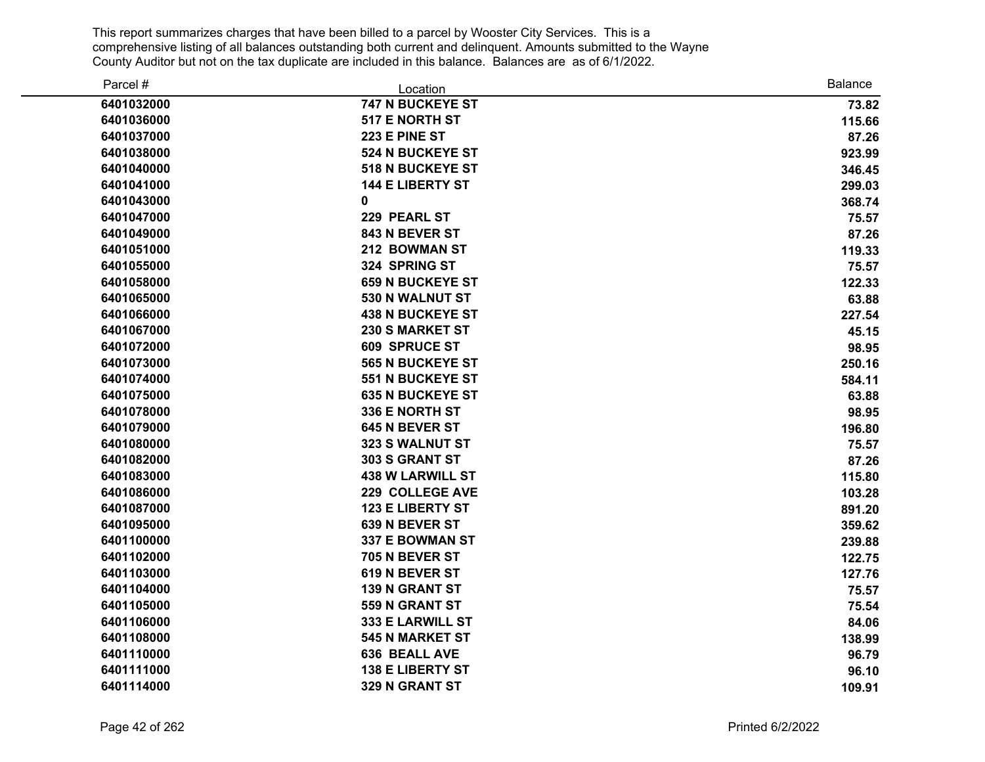| Parcel #   | Location                | <b>Balance</b> |
|------------|-------------------------|----------------|
| 6401032000 | 747 N BUCKEYE ST        | 73.82          |
| 6401036000 | 517 E NORTH ST          | 115.66         |
| 6401037000 | 223 E PINE ST           | 87.26          |
| 6401038000 | <b>524 N BUCKEYE ST</b> | 923.99         |
| 6401040000 | <b>518 N BUCKEYE ST</b> | 346.45         |
| 6401041000 | <b>144 E LIBERTY ST</b> | 299.03         |
| 6401043000 | 0                       | 368.74         |
| 6401047000 | 229 PEARL ST            | 75.57          |
| 6401049000 | 843 N BEVER ST          | 87.26          |
| 6401051000 | 212 BOWMAN ST           | 119.33         |
| 6401055000 | 324 SPRING ST           | 75.57          |
| 6401058000 | <b>659 N BUCKEYE ST</b> | 122.33         |
| 6401065000 | 530 N WALNUT ST         | 63.88          |
| 6401066000 | <b>438 N BUCKEYE ST</b> | 227.54         |
| 6401067000 | 230 S MARKET ST         | 45.15          |
| 6401072000 | <b>609 SPRUCE ST</b>    | 98.95          |
| 6401073000 | <b>565 N BUCKEYE ST</b> | 250.16         |
| 6401074000 | <b>551 N BUCKEYE ST</b> | 584.11         |
| 6401075000 | <b>635 N BUCKEYE ST</b> | 63.88          |
| 6401078000 | 336 E NORTH ST          | 98.95          |
| 6401079000 | 645 N BEVER ST          | 196.80         |
| 6401080000 | 323 S WALNUT ST         | 75.57          |
| 6401082000 | 303 S GRANT ST          | 87.26          |
| 6401083000 | <b>438 W LARWILL ST</b> | 115.80         |
| 6401086000 | 229 COLLEGE AVE         | 103.28         |
| 6401087000 | <b>123 E LIBERTY ST</b> | 891.20         |
| 6401095000 | 639 N BEVER ST          | 359.62         |
| 6401100000 | 337 E BOWMAN ST         | 239.88         |
| 6401102000 | 705 N BEVER ST          | 122.75         |
| 6401103000 | 619 N BEVER ST          | 127.76         |
| 6401104000 | <b>139 N GRANT ST</b>   | 75.57          |
| 6401105000 | 559 N GRANT ST          | 75.54          |
| 6401106000 | 333 E LARWILL ST        | 84.06          |
| 6401108000 | <b>545 N MARKET ST</b>  | 138.99         |
| 6401110000 | 636 BEALL AVE           | 96.79          |
| 6401111000 | <b>138 E LIBERTY ST</b> | 96.10          |
| 6401114000 | 329 N GRANT ST          | 109.91         |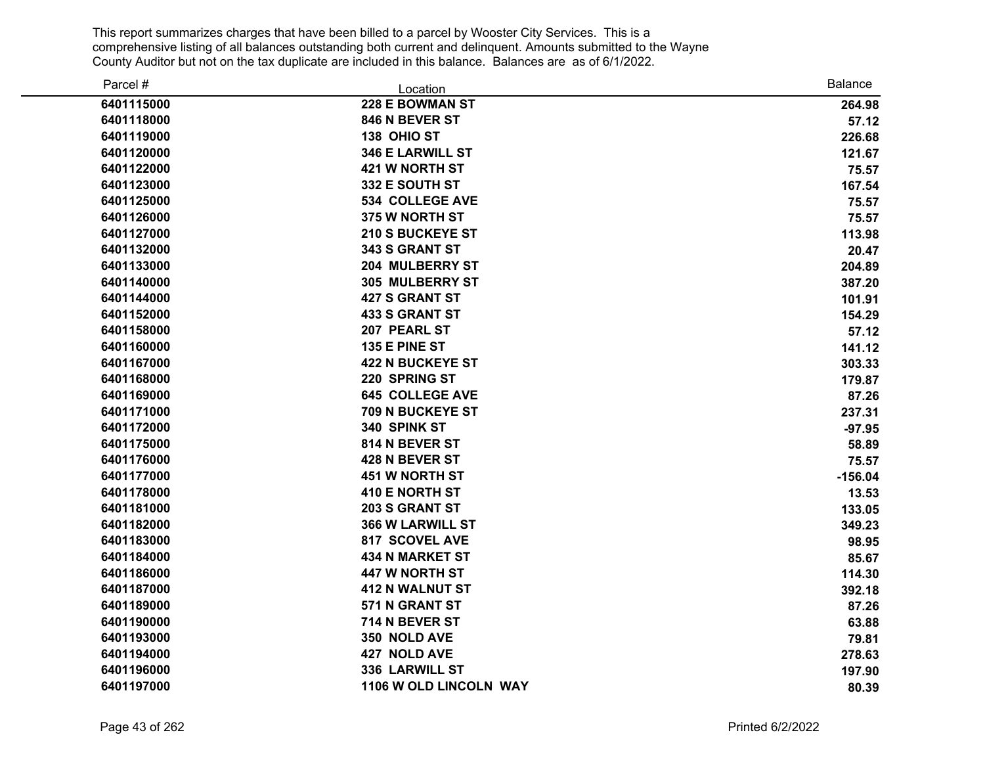| Parcel #   | Location                | <b>Balance</b> |
|------------|-------------------------|----------------|
| 6401115000 | 228 E BOWMAN ST         | 264.98         |
| 6401118000 | 846 N BEVER ST          | 57.12          |
| 6401119000 | 138 OHIO ST             | 226.68         |
| 6401120000 | 346 E LARWILL ST        | 121.67         |
| 6401122000 | 421 W NORTH ST          | 75.57          |
| 6401123000 | 332 E SOUTH ST          | 167.54         |
| 6401125000 | <b>534 COLLEGE AVE</b>  | 75.57          |
| 6401126000 | 375 W NORTH ST          | 75.57          |
| 6401127000 | <b>210 S BUCKEYE ST</b> | 113.98         |
| 6401132000 | 343 S GRANT ST          | 20.47          |
| 6401133000 | 204 MULBERRY ST         | 204.89         |
| 6401140000 | <b>305 MULBERRY ST</b>  | 387.20         |
| 6401144000 | <b>427 S GRANT ST</b>   | 101.91         |
| 6401152000 | <b>433 S GRANT ST</b>   | 154.29         |
| 6401158000 | 207 PEARL ST            | 57.12          |
| 6401160000 | 135 E PINE ST           | 141.12         |
| 6401167000 | <b>422 N BUCKEYE ST</b> | 303.33         |
| 6401168000 | 220 SPRING ST           | 179.87         |
| 6401169000 | <b>645 COLLEGE AVE</b>  | 87.26          |
| 6401171000 | 709 N BUCKEYE ST        | 237.31         |
| 6401172000 | 340 SPINK ST            | $-97.95$       |
| 6401175000 | 814 N BEVER ST          | 58.89          |
| 6401176000 | 428 N BEVER ST          | 75.57          |
| 6401177000 | <b>451 W NORTH ST</b>   | $-156.04$      |
| 6401178000 | 410 E NORTH ST          | 13.53          |
| 6401181000 | 203 S GRANT ST          | 133.05         |
| 6401182000 | 366 W LARWILL ST        | 349.23         |
| 6401183000 | 817 SCOVEL AVE          | 98.95          |
| 6401184000 | <b>434 N MARKET ST</b>  | 85.67          |
| 6401186000 | 447 W NORTH ST          | 114.30         |
| 6401187000 | <b>412 N WALNUT ST</b>  | 392.18         |
| 6401189000 | 571 N GRANT ST          | 87.26          |
| 6401190000 | 714 N BEVER ST          | 63.88          |
| 6401193000 | 350 NOLD AVE            | 79.81          |
| 6401194000 | 427 NOLD AVE            | 278.63         |
| 6401196000 | 336 LARWILL ST          | 197.90         |
| 6401197000 | 1106 W OLD LINCOLN WAY  | 80.39          |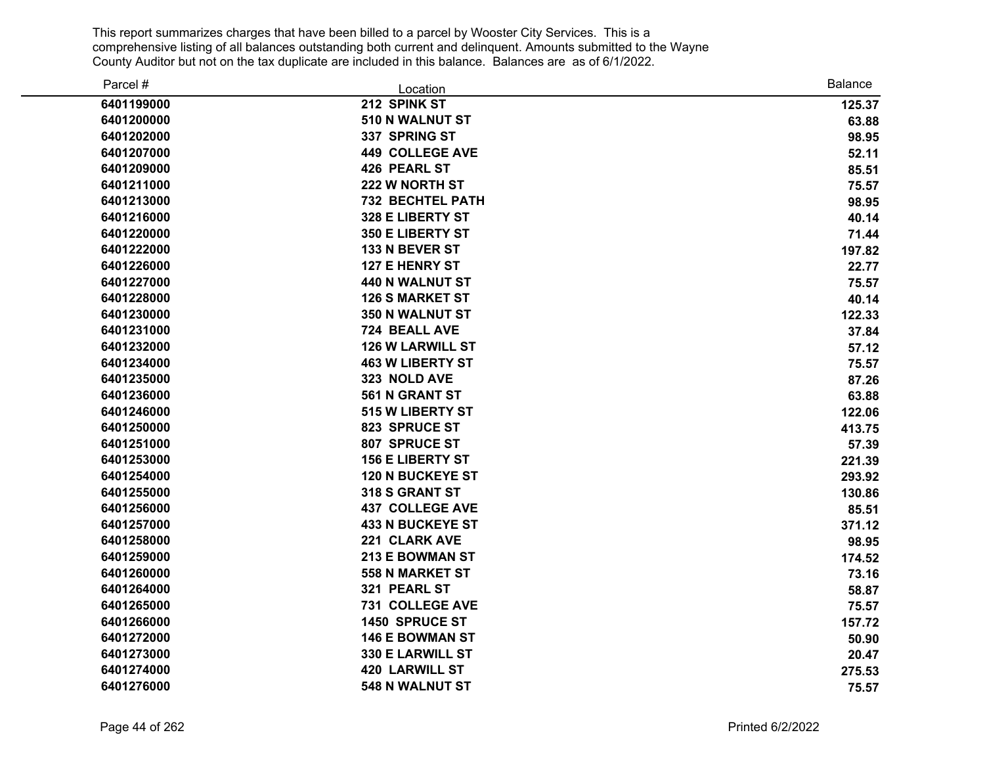| Parcel #   | Location                | <b>Balance</b> |
|------------|-------------------------|----------------|
| 6401199000 | 212 SPINK ST            | 125.37         |
| 6401200000 | 510 N WALNUT ST         | 63.88          |
| 6401202000 | 337 SPRING ST           | 98.95          |
| 6401207000 | <b>449 COLLEGE AVE</b>  | 52.11          |
| 6401209000 | 426 PEARL ST            | 85.51          |
| 6401211000 | 222 W NORTH ST          | 75.57          |
| 6401213000 | <b>732 BECHTEL PATH</b> | 98.95          |
| 6401216000 | 328 E LIBERTY ST        | 40.14          |
| 6401220000 | 350 E LIBERTY ST        | 71.44          |
| 6401222000 | 133 N BEVER ST          | 197.82         |
| 6401226000 | 127 E HENRY ST          | 22.77          |
| 6401227000 | <b>440 N WALNUT ST</b>  | 75.57          |
| 6401228000 | <b>126 S MARKET ST</b>  | 40.14          |
| 6401230000 | 350 N WALNUT ST         | 122.33         |
| 6401231000 | 724 BEALL AVE           | 37.84          |
| 6401232000 | <b>126 W LARWILL ST</b> | 57.12          |
| 6401234000 | <b>463 W LIBERTY ST</b> | 75.57          |
| 6401235000 | 323 NOLD AVE            | 87.26          |
| 6401236000 | 561 N GRANT ST          | 63.88          |
| 6401246000 | 515 W LIBERTY ST        | 122.06         |
| 6401250000 | 823 SPRUCE ST           | 413.75         |
| 6401251000 | 807 SPRUCE ST           | 57.39          |
| 6401253000 | <b>156 E LIBERTY ST</b> | 221.39         |
| 6401254000 | <b>120 N BUCKEYE ST</b> | 293.92         |
| 6401255000 | 318 S GRANT ST          | 130.86         |
| 6401256000 | <b>437 COLLEGE AVE</b>  | 85.51          |
| 6401257000 | <b>433 N BUCKEYE ST</b> | 371.12         |
| 6401258000 | 221 CLARK AVE           | 98.95          |
| 6401259000 | 213 E BOWMAN ST         | 174.52         |
| 6401260000 | <b>558 N MARKET ST</b>  | 73.16          |
| 6401264000 | 321 PEARL ST            | 58.87          |
| 6401265000 | 731 COLLEGE AVE         | 75.57          |
| 6401266000 | 1450 SPRUCE ST          | 157.72         |
| 6401272000 | <b>146 E BOWMAN ST</b>  | 50.90          |
| 6401273000 | 330 E LARWILL ST        | 20.47          |
| 6401274000 | <b>420 LARWILL ST</b>   | 275.53         |
| 6401276000 | <b>548 N WALNUT ST</b>  | 75.57          |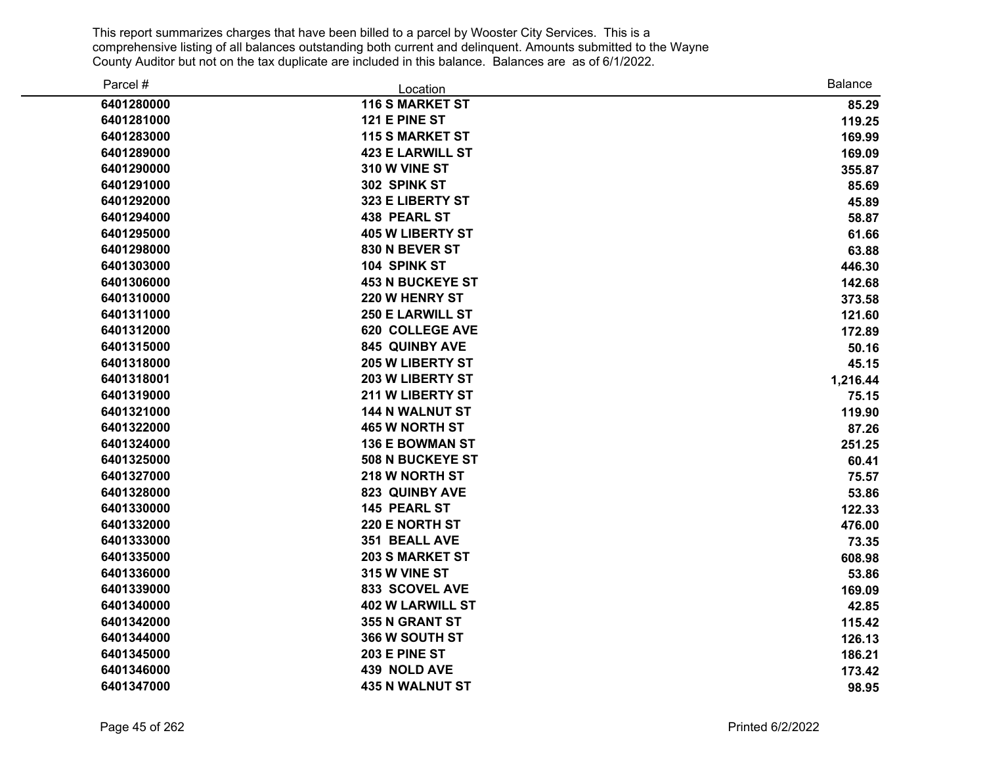| Parcel #   | Location                | <b>Balance</b> |
|------------|-------------------------|----------------|
| 6401280000 | <b>116 S MARKET ST</b>  | 85.29          |
| 6401281000 | 121 E PINE ST           | 119.25         |
| 6401283000 | <b>115 S MARKET ST</b>  | 169.99         |
| 6401289000 | <b>423 E LARWILL ST</b> | 169.09         |
| 6401290000 | 310 W VINE ST           | 355.87         |
| 6401291000 | 302 SPINK ST            | 85.69          |
| 6401292000 | 323 E LIBERTY ST        | 45.89          |
| 6401294000 | <b>438 PEARL ST</b>     | 58.87          |
| 6401295000 | <b>405 W LIBERTY ST</b> | 61.66          |
| 6401298000 | 830 N BEVER ST          | 63.88          |
| 6401303000 | 104 SPINK ST            | 446.30         |
| 6401306000 | <b>453 N BUCKEYE ST</b> | 142.68         |
| 6401310000 | 220 W HENRY ST          | 373.58         |
| 6401311000 | <b>250 E LARWILL ST</b> | 121.60         |
| 6401312000 | <b>620 COLLEGE AVE</b>  | 172.89         |
| 6401315000 | 845 QUINBY AVE          | 50.16          |
| 6401318000 | 205 W LIBERTY ST        | 45.15          |
| 6401318001 | 203 W LIBERTY ST        | 1,216.44       |
| 6401319000 | 211 W LIBERTY ST        | 75.15          |
| 6401321000 | <b>144 N WALNUT ST</b>  | 119.90         |
| 6401322000 | <b>465 W NORTH ST</b>   | 87.26          |
| 6401324000 | <b>136 E BOWMAN ST</b>  | 251.25         |
| 6401325000 | <b>508 N BUCKEYE ST</b> | 60.41          |
| 6401327000 | 218 W NORTH ST          | 75.57          |
| 6401328000 | 823 QUINBY AVE          | 53.86          |
| 6401330000 | 145 PEARL ST            | 122.33         |
| 6401332000 | 220 E NORTH ST          | 476.00         |
| 6401333000 | 351 BEALL AVE           | 73.35          |
| 6401335000 | <b>203 S MARKET ST</b>  | 608.98         |
| 6401336000 | 315 W VINE ST           | 53.86          |
| 6401339000 | 833 SCOVEL AVE          | 169.09         |
| 6401340000 | <b>402 W LARWILL ST</b> | 42.85          |
| 6401342000 | 355 N GRANT ST          | 115.42         |
| 6401344000 | 366 W SOUTH ST          | 126.13         |
| 6401345000 | 203 E PINE ST           | 186.21         |
| 6401346000 | 439 NOLD AVE            | 173.42         |
| 6401347000 | <b>435 N WALNUT ST</b>  | 98.95          |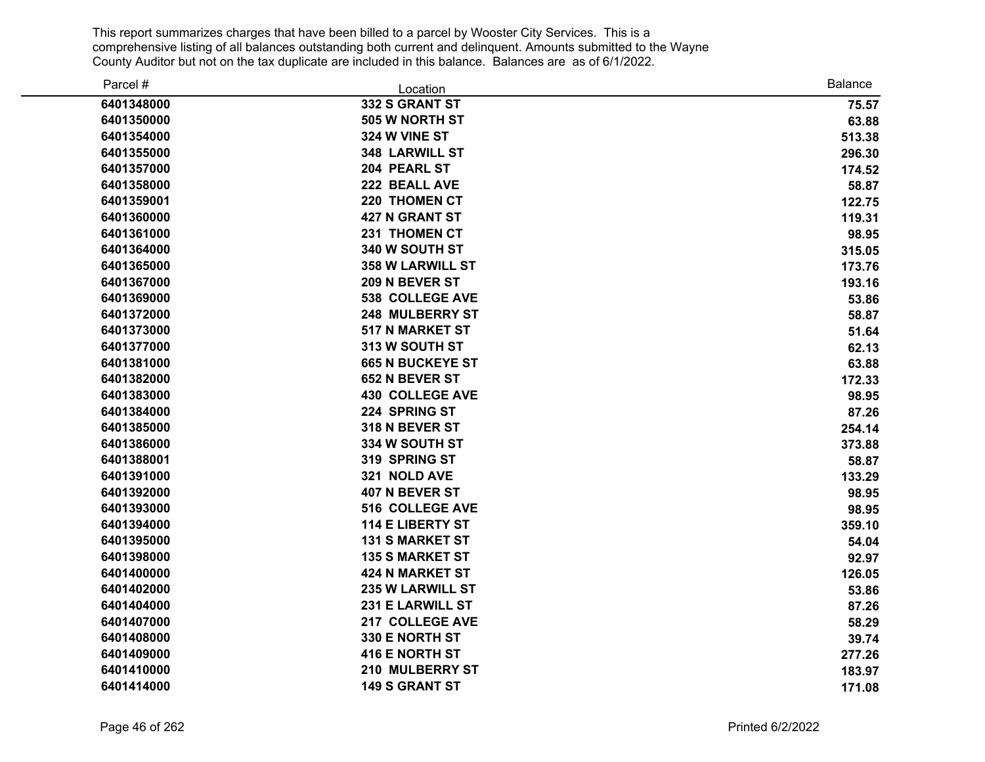| Parcel #   | Location                | <b>Balance</b> |
|------------|-------------------------|----------------|
| 6401348000 | 332 S GRANT ST          | 75.57          |
| 6401350000 | 505 W NORTH ST          | 63.88          |
| 6401354000 | 324 W VINE ST           | 513.38         |
| 6401355000 | 348 LARWILL ST          | 296.30         |
| 6401357000 | 204 PEARL ST            | 174.52         |
| 6401358000 | 222 BEALL AVE           | 58.87          |
| 6401359001 | 220 THOMEN CT           | 122.75         |
| 6401360000 | <b>427 N GRANT ST</b>   | 119.31         |
| 6401361000 | 231 THOMEN CT           | 98.95          |
| 6401364000 | 340 W SOUTH ST          | 315.05         |
| 6401365000 | <b>358 W LARWILL ST</b> | 173.76         |
| 6401367000 | 209 N BEVER ST          | 193.16         |
| 6401369000 | <b>538 COLLEGE AVE</b>  | 53.86          |
| 6401372000 | 248 MULBERRY ST         | 58.87          |
| 6401373000 | 517 N MARKET ST         | 51.64          |
| 6401377000 | 313 W SOUTH ST          | 62.13          |
| 6401381000 | <b>665 N BUCKEYE ST</b> | 63.88          |
| 6401382000 | 652 N BEVER ST          | 172.33         |
| 6401383000 | <b>430 COLLEGE AVE</b>  | 98.95          |
| 6401384000 | 224 SPRING ST           | 87.26          |
| 6401385000 | 318 N BEVER ST          | 254.14         |
| 6401386000 | 334 W SOUTH ST          | 373.88         |
| 6401388001 | 319 SPRING ST           | 58.87          |
| 6401391000 | 321 NOLD AVE            | 133.29         |
| 6401392000 | 407 N BEVER ST          | 98.95          |
| 6401393000 | 516 COLLEGE AVE         | 98.95          |
| 6401394000 | <b>114 E LIBERTY ST</b> | 359.10         |
| 6401395000 | <b>131 S MARKET ST</b>  | 54.04          |
| 6401398000 | <b>135 S MARKET ST</b>  | 92.97          |
| 6401400000 | <b>424 N MARKET ST</b>  | 126.05         |
| 6401402000 | <b>235 W LARWILL ST</b> | 53.86          |
| 6401404000 | 231 E LARWILL ST        | 87.26          |
| 6401407000 | 217 COLLEGE AVE         | 58.29          |
| 6401408000 | 330 E NORTH ST          | 39.74          |
| 6401409000 | 416 E NORTH ST          | 277.26         |
| 6401410000 | 210 MULBERRY ST         | 183.97         |
| 6401414000 | <b>149 S GRANT ST</b>   | 171.08         |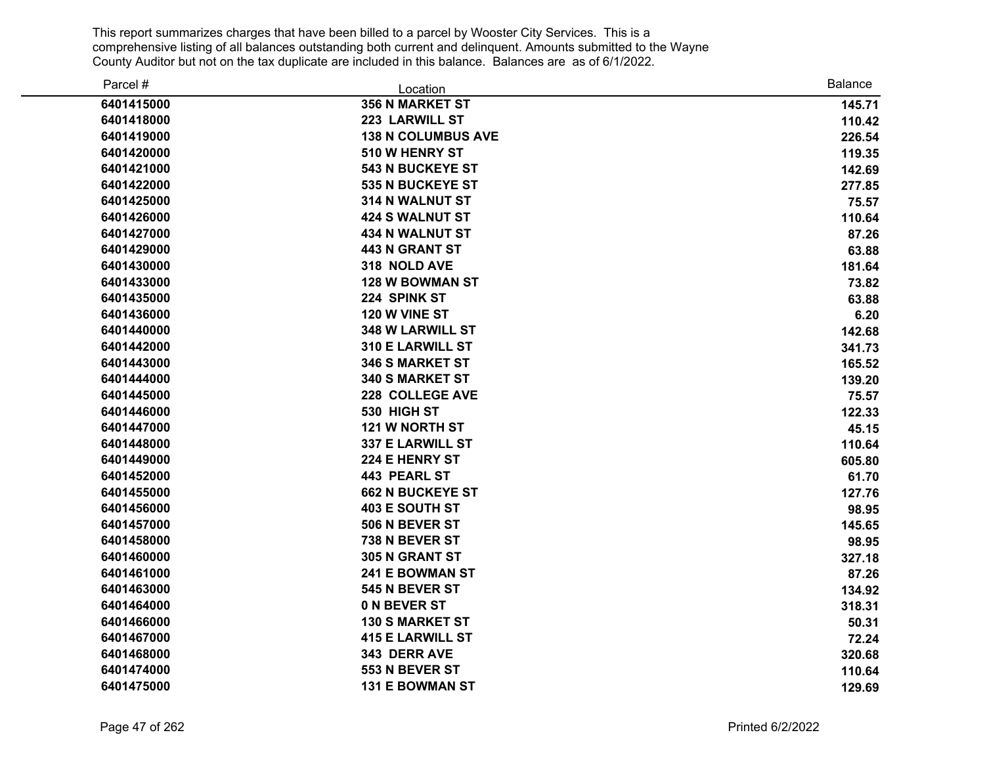| Parcel #   | Location                  | <b>Balance</b> |
|------------|---------------------------|----------------|
| 6401415000 | <b>356 N MARKET ST</b>    | 145.71         |
| 6401418000 | 223 LARWILL ST            | 110.42         |
| 6401419000 | <b>138 N COLUMBUS AVE</b> | 226.54         |
| 6401420000 | 510 W HENRY ST            | 119.35         |
| 6401421000 | <b>543 N BUCKEYE ST</b>   | 142.69         |
| 6401422000 | 535 N BUCKEYE ST          | 277.85         |
| 6401425000 | 314 N WALNUT ST           | 75.57          |
| 6401426000 | <b>424 S WALNUT ST</b>    | 110.64         |
| 6401427000 | <b>434 N WALNUT ST</b>    | 87.26          |
| 6401429000 | <b>443 N GRANT ST</b>     | 63.88          |
| 6401430000 | 318 NOLD AVE              | 181.64         |
| 6401433000 | <b>128 W BOWMAN ST</b>    | 73.82          |
| 6401435000 | 224 SPINK ST              | 63.88          |
| 6401436000 | 120 W VINE ST             | 6.20           |
| 6401440000 | 348 W LARWILL ST          | 142.68         |
| 6401442000 | <b>310 E LARWILL ST</b>   | 341.73         |
| 6401443000 | <b>346 S MARKET ST</b>    | 165.52         |
| 6401444000 | <b>340 S MARKET ST</b>    | 139.20         |
| 6401445000 | 228 COLLEGE AVE           | 75.57          |
| 6401446000 | 530 HIGH ST               | 122.33         |
| 6401447000 | 121 W NORTH ST            | 45.15          |
| 6401448000 | 337 E LARWILL ST          | 110.64         |
| 6401449000 | 224 E HENRY ST            | 605.80         |
| 6401452000 | <b>443 PEARL ST</b>       | 61.70          |
| 6401455000 | <b>662 N BUCKEYE ST</b>   | 127.76         |
| 6401456000 | 403 E SOUTH ST            | 98.95          |
| 6401457000 | 506 N BEVER ST            | 145.65         |
| 6401458000 | 738 N BEVER ST            | 98.95          |
| 6401460000 | 305 N GRANT ST            | 327.18         |
| 6401461000 | <b>241 E BOWMAN ST</b>    | 87.26          |
| 6401463000 | 545 N BEVER ST            | 134.92         |
| 6401464000 | 0 N BEVER ST              | 318.31         |
| 6401466000 | <b>130 S MARKET ST</b>    | 50.31          |
| 6401467000 | <b>415 E LARWILL ST</b>   | 72.24          |
| 6401468000 | 343 DERR AVE              | 320.68         |
| 6401474000 | 553 N BEVER ST            | 110.64         |
| 6401475000 | <b>131 E BOWMAN ST</b>    | 129.69         |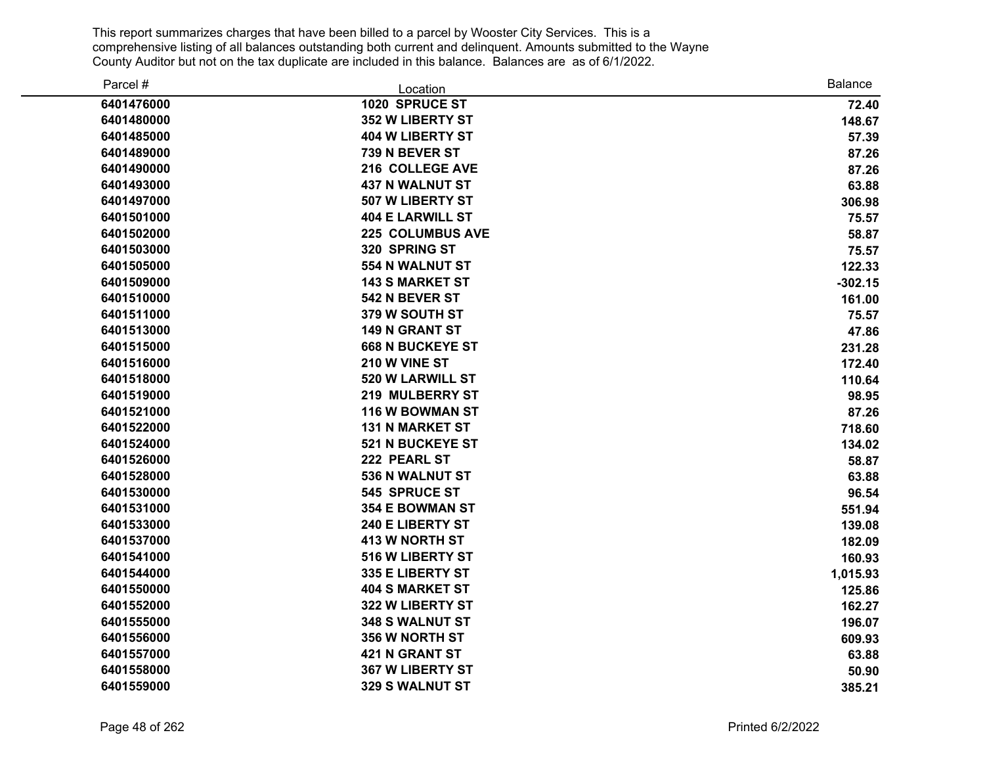| Parcel #   | Location                | <b>Balance</b> |
|------------|-------------------------|----------------|
| 6401476000 | 1020 SPRUCE ST          | 72.40          |
| 6401480000 | <b>352 W LIBERTY ST</b> | 148.67         |
| 6401485000 | 404 W LIBERTY ST        | 57.39          |
| 6401489000 | 739 N BEVER ST          | 87.26          |
| 6401490000 | 216 COLLEGE AVE         | 87.26          |
| 6401493000 | <b>437 N WALNUT ST</b>  | 63.88          |
| 6401497000 | 507 W LIBERTY ST        | 306.98         |
| 6401501000 | <b>404 E LARWILL ST</b> | 75.57          |
| 6401502000 | 225 COLUMBUS AVE        | 58.87          |
| 6401503000 | 320 SPRING ST           | 75.57          |
| 6401505000 | 554 N WALNUT ST         | 122.33         |
| 6401509000 | <b>143 S MARKET ST</b>  | $-302.15$      |
| 6401510000 | 542 N BEVER ST          | 161.00         |
| 6401511000 | 379 W SOUTH ST          | 75.57          |
| 6401513000 | <b>149 N GRANT ST</b>   | 47.86          |
| 6401515000 | <b>668 N BUCKEYE ST</b> | 231.28         |
| 6401516000 | 210 W VINE ST           | 172.40         |
| 6401518000 | 520 W LARWILL ST        | 110.64         |
| 6401519000 | 219 MULBERRY ST         | 98.95          |
| 6401521000 | 116 W BOWMAN ST         | 87.26          |
| 6401522000 | <b>131 N MARKET ST</b>  | 718.60         |
| 6401524000 | 521 N BUCKEYE ST        | 134.02         |
| 6401526000 | 222 PEARL ST            | 58.87          |
| 6401528000 | 536 N WALNUT ST         | 63.88          |
| 6401530000 | 545 SPRUCE ST           | 96.54          |
| 6401531000 | <b>354 E BOWMAN ST</b>  | 551.94         |
| 6401533000 | 240 E LIBERTY ST        | 139.08         |
| 6401537000 | <b>413 W NORTH ST</b>   | 182.09         |
| 6401541000 | 516 W LIBERTY ST        | 160.93         |
| 6401544000 | 335 E LIBERTY ST        | 1,015.93       |
| 6401550000 | <b>404 S MARKET ST</b>  | 125.86         |
| 6401552000 | 322 W LIBERTY ST        | 162.27         |
| 6401555000 | 348 S WALNUT ST         | 196.07         |
| 6401556000 | 356 W NORTH ST          | 609.93         |
| 6401557000 | 421 N GRANT ST          | 63.88          |
| 6401558000 | <b>367 W LIBERTY ST</b> | 50.90          |
| 6401559000 | 329 S WALNUT ST         | 385.21         |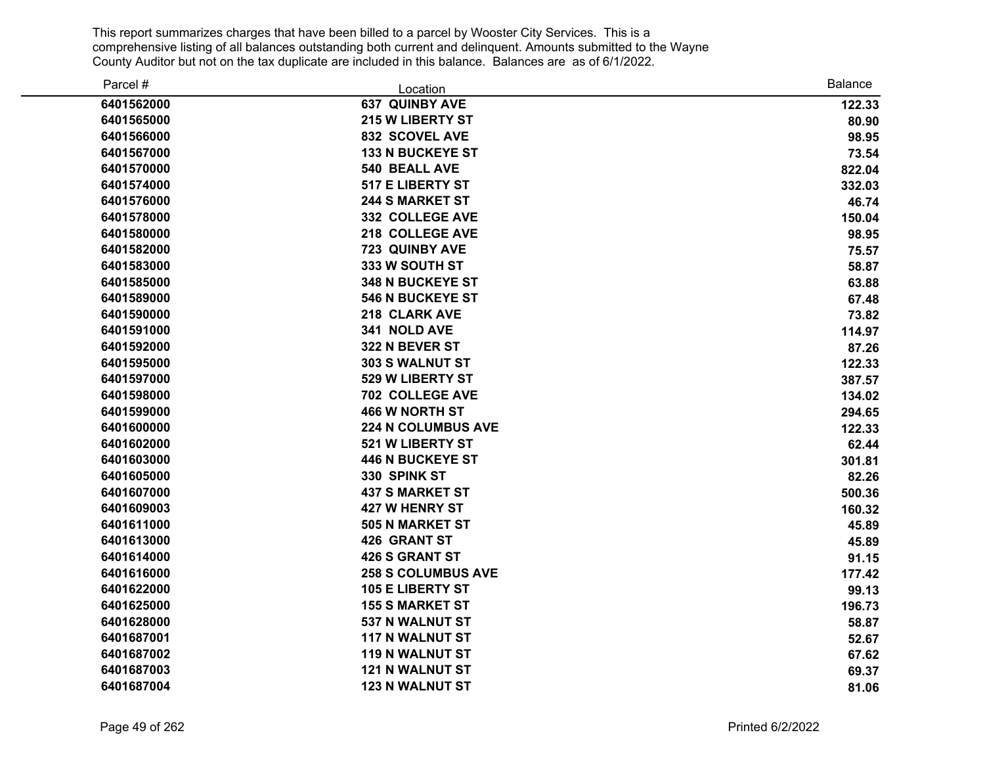| Parcel #   | Location                  | <b>Balance</b> |
|------------|---------------------------|----------------|
| 6401562000 | <b>637 QUINBY AVE</b>     | 122.33         |
| 6401565000 | <b>215 W LIBERTY ST</b>   | 80.90          |
| 6401566000 | 832 SCOVEL AVE            | 98.95          |
| 6401567000 | <b>133 N BUCKEYE ST</b>   | 73.54          |
| 6401570000 | 540 BEALL AVE             | 822.04         |
| 6401574000 | 517 E LIBERTY ST          | 332.03         |
| 6401576000 | <b>244 S MARKET ST</b>    | 46.74          |
| 6401578000 | 332 COLLEGE AVE           | 150.04         |
| 6401580000 | 218 COLLEGE AVE           | 98.95          |
| 6401582000 | 723 QUINBY AVE            | 75.57          |
| 6401583000 | 333 W SOUTH ST            | 58.87          |
| 6401585000 | <b>348 N BUCKEYE ST</b>   | 63.88          |
| 6401589000 | <b>546 N BUCKEYE ST</b>   | 67.48          |
| 6401590000 | 218 CLARK AVE             | 73.82          |
| 6401591000 | 341 NOLD AVE              | 114.97         |
| 6401592000 | 322 N BEVER ST            | 87.26          |
| 6401595000 | 303 S WALNUT ST           | 122.33         |
| 6401597000 | 529 W LIBERTY ST          | 387.57         |
| 6401598000 | 702 COLLEGE AVE           | 134.02         |
| 6401599000 | <b>466 W NORTH ST</b>     | 294.65         |
| 6401600000 | <b>224 N COLUMBUS AVE</b> | 122.33         |
| 6401602000 | 521 W LIBERTY ST          | 62.44          |
| 6401603000 | <b>446 N BUCKEYE ST</b>   | 301.81         |
| 6401605000 | 330 SPINK ST              | 82.26          |
| 6401607000 | <b>437 S MARKET ST</b>    | 500.36         |
| 6401609003 | 427 W HENRY ST            | 160.32         |
| 6401611000 | 505 N MARKET ST           | 45.89          |
| 6401613000 | <b>426 GRANT ST</b>       | 45.89          |
| 6401614000 | <b>426 S GRANT ST</b>     | 91.15          |
| 6401616000 | <b>258 S COLUMBUS AVE</b> | 177.42         |
| 6401622000 | <b>105 E LIBERTY ST</b>   | 99.13          |
| 6401625000 | <b>155 S MARKET ST</b>    | 196.73         |
| 6401628000 | 537 N WALNUT ST           | 58.87          |
| 6401687001 | <b>117 N WALNUT ST</b>    | 52.67          |
| 6401687002 | <b>119 N WALNUT ST</b>    | 67.62          |
| 6401687003 | <b>121 N WALNUT ST</b>    | 69.37          |
| 6401687004 | <b>123 N WALNUT ST</b>    | 81.06          |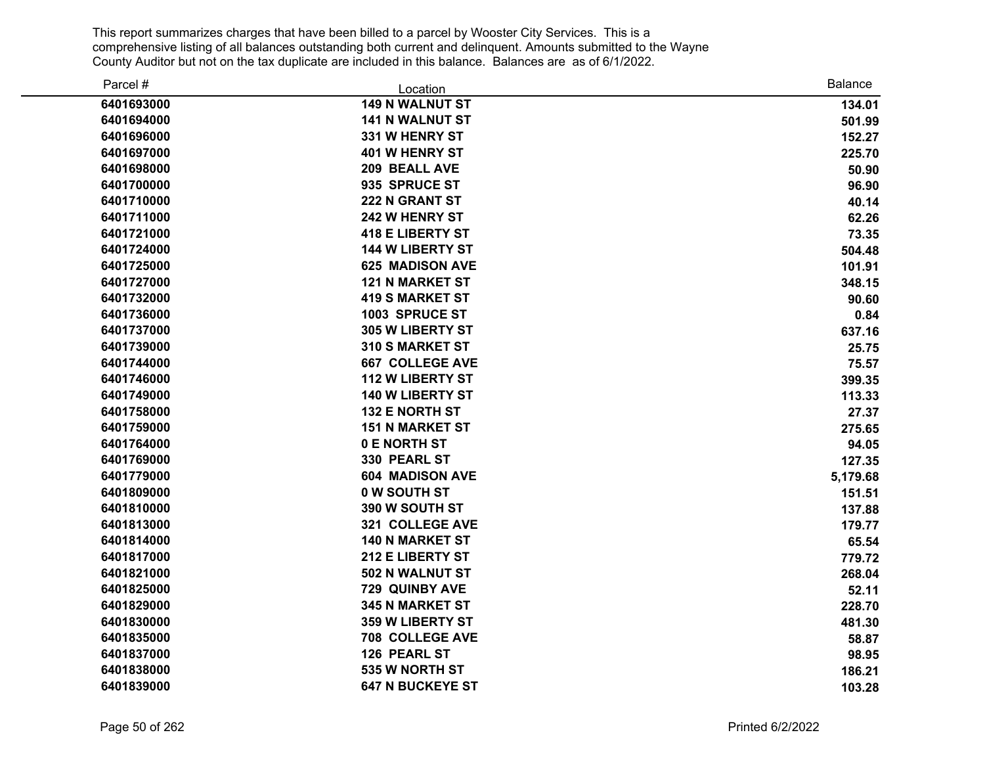| Parcel #   | Location                | <b>Balance</b> |
|------------|-------------------------|----------------|
| 6401693000 | <b>149 N WALNUT ST</b>  | 134.01         |
| 6401694000 | <b>141 N WALNUT ST</b>  | 501.99         |
| 6401696000 | 331 W HENRY ST          | 152.27         |
| 6401697000 | <b>401 W HENRY ST</b>   | 225.70         |
| 6401698000 | 209 BEALL AVE           | 50.90          |
| 6401700000 | 935 SPRUCE ST           | 96.90          |
| 6401710000 | 222 N GRANT ST          | 40.14          |
| 6401711000 | 242 W HENRY ST          | 62.26          |
| 6401721000 | <b>418 E LIBERTY ST</b> | 73.35          |
| 6401724000 | <b>144 W LIBERTY ST</b> | 504.48         |
| 6401725000 | <b>625 MADISON AVE</b>  | 101.91         |
| 6401727000 | <b>121 N MARKET ST</b>  | 348.15         |
| 6401732000 | <b>419 S MARKET ST</b>  | 90.60          |
| 6401736000 | 1003 SPRUCE ST          | 0.84           |
| 6401737000 | 305 W LIBERTY ST        | 637.16         |
| 6401739000 | 310 S MARKET ST         | 25.75          |
| 6401744000 | <b>667 COLLEGE AVE</b>  | 75.57          |
| 6401746000 | <b>112 W LIBERTY ST</b> | 399.35         |
| 6401749000 | 140 W LIBERTY ST        | 113.33         |
| 6401758000 | <b>132 E NORTH ST</b>   | 27.37          |
| 6401759000 | <b>151 N MARKET ST</b>  | 275.65         |
| 6401764000 | 0 E NORTH ST            | 94.05          |
| 6401769000 | 330 PEARL ST            | 127.35         |
| 6401779000 | <b>604 MADISON AVE</b>  | 5,179.68       |
| 6401809000 | 0 W SOUTH ST            | 151.51         |
| 6401810000 | 390 W SOUTH ST          | 137.88         |
| 6401813000 | 321 COLLEGE AVE         | 179.77         |
| 6401814000 | <b>140 N MARKET ST</b>  | 65.54          |
| 6401817000 | 212 E LIBERTY ST        | 779.72         |
| 6401821000 | 502 N WALNUT ST         | 268.04         |
| 6401825000 | 729 QUINBY AVE          | 52.11          |
| 6401829000 | <b>345 N MARKET ST</b>  | 228.70         |
| 6401830000 | <b>359 W LIBERTY ST</b> | 481.30         |
| 6401835000 | <b>708 COLLEGE AVE</b>  | 58.87          |
| 6401837000 | 126 PEARL ST            | 98.95          |
| 6401838000 | 535 W NORTH ST          | 186.21         |
| 6401839000 | <b>647 N BUCKEYE ST</b> | 103.28         |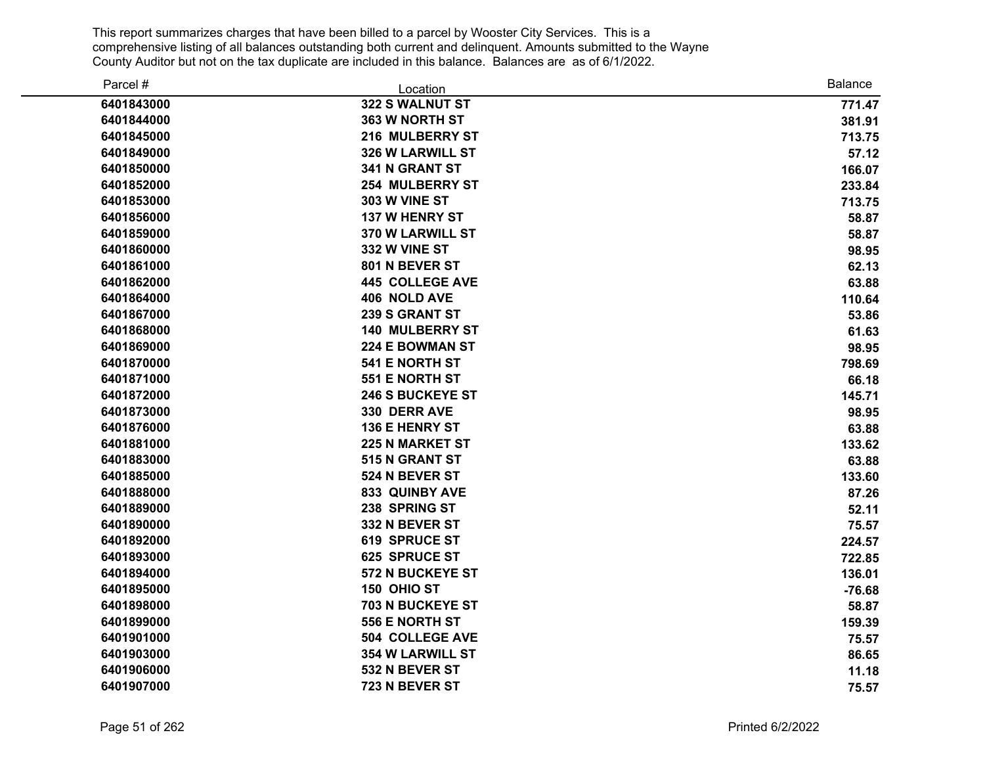| Parcel #   | Location                | <b>Balance</b> |
|------------|-------------------------|----------------|
| 6401843000 | 322 S WALNUT ST         | 771.47         |
| 6401844000 | 363 W NORTH ST          | 381.91         |
| 6401845000 | 216 MULBERRY ST         | 713.75         |
| 6401849000 | <b>326 W LARWILL ST</b> | 57.12          |
| 6401850000 | 341 N GRANT ST          | 166.07         |
| 6401852000 | <b>254 MULBERRY ST</b>  | 233.84         |
| 6401853000 | 303 W VINE ST           | 713.75         |
| 6401856000 | <b>137 W HENRY ST</b>   | 58.87          |
| 6401859000 | <b>370 W LARWILL ST</b> | 58.87          |
| 6401860000 | 332 W VINE ST           | 98.95          |
| 6401861000 | 801 N BEVER ST          | 62.13          |
| 6401862000 | <b>445 COLLEGE AVE</b>  | 63.88          |
| 6401864000 | 406 NOLD AVE            | 110.64         |
| 6401867000 | 239 S GRANT ST          | 53.86          |
| 6401868000 | <b>140 MULBERRY ST</b>  | 61.63          |
| 6401869000 | <b>224 E BOWMAN ST</b>  | 98.95          |
| 6401870000 | 541 E NORTH ST          | 798.69         |
| 6401871000 | 551 E NORTH ST          | 66.18          |
| 6401872000 | <b>246 S BUCKEYE ST</b> | 145.71         |
| 6401873000 | 330 DERR AVE            | 98.95          |
| 6401876000 | 136 E HENRY ST          | 63.88          |
| 6401881000 | <b>225 N MARKET ST</b>  | 133.62         |
| 6401883000 | 515 N GRANT ST          | 63.88          |
| 6401885000 | 524 N BEVER ST          | 133.60         |
| 6401888000 | <b>833 QUINBY AVE</b>   | 87.26          |
| 6401889000 | 238 SPRING ST           | 52.11          |
| 6401890000 | 332 N BEVER ST          | 75.57          |
| 6401892000 | <b>619 SPRUCE ST</b>    | 224.57         |
| 6401893000 | <b>625 SPRUCE ST</b>    | 722.85         |
| 6401894000 | 572 N BUCKEYE ST        | 136.01         |
| 6401895000 | 150 OHIO ST             | $-76.68$       |
| 6401898000 | 703 N BUCKEYE ST        | 58.87          |
| 6401899000 | 556 E NORTH ST          | 159.39         |
| 6401901000 | <b>504 COLLEGE AVE</b>  | 75.57          |
| 6401903000 | <b>354 W LARWILL ST</b> | 86.65          |
| 6401906000 | 532 N BEVER ST          | 11.18          |
| 6401907000 | 723 N BEVER ST          | 75.57          |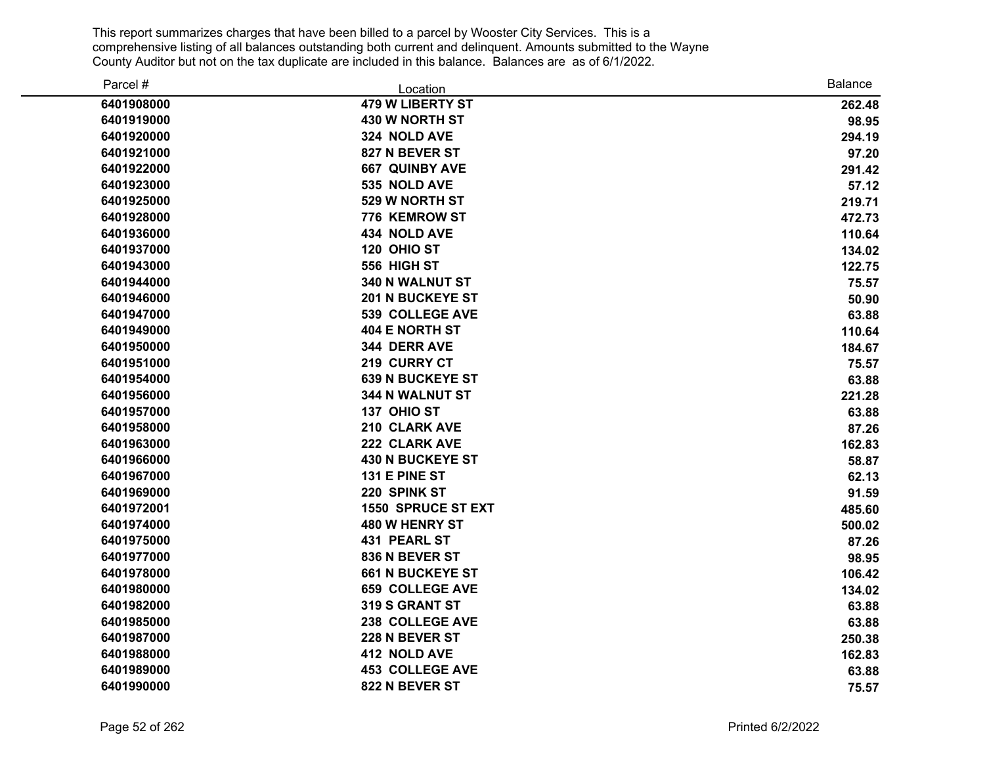| Parcel #   | Location                  | <b>Balance</b> |
|------------|---------------------------|----------------|
| 6401908000 | <b>479 W LIBERTY ST</b>   | 262.48         |
| 6401919000 | 430 W NORTH ST            | 98.95          |
| 6401920000 | 324 NOLD AVE              | 294.19         |
| 6401921000 | 827 N BEVER ST            | 97.20          |
| 6401922000 | <b>667 QUINBY AVE</b>     | 291.42         |
| 6401923000 | 535 NOLD AVE              | 57.12          |
| 6401925000 | 529 W NORTH ST            | 219.71         |
| 6401928000 | 776 KEMROW ST             | 472.73         |
| 6401936000 | 434 NOLD AVE              | 110.64         |
| 6401937000 | 120 OHIO ST               | 134.02         |
| 6401943000 | 556 HIGH ST               | 122.75         |
| 6401944000 | 340 N WALNUT ST           | 75.57          |
| 6401946000 | <b>201 N BUCKEYE ST</b>   | 50.90          |
| 6401947000 | <b>539 COLLEGE AVE</b>    | 63.88          |
| 6401949000 | <b>404 E NORTH ST</b>     | 110.64         |
| 6401950000 | 344 DERR AVE              | 184.67         |
| 6401951000 | 219 CURRY CT              | 75.57          |
| 6401954000 | <b>639 N BUCKEYE ST</b>   | 63.88          |
| 6401956000 | 344 N WALNUT ST           | 221.28         |
| 6401957000 | 137 OHIO ST               | 63.88          |
| 6401958000 | 210 CLARK AVE             | 87.26          |
| 6401963000 | 222 CLARK AVE             | 162.83         |
| 6401966000 | <b>430 N BUCKEYE ST</b>   | 58.87          |
| 6401967000 | 131 E PINE ST             | 62.13          |
| 6401969000 | 220 SPINK ST              | 91.59          |
| 6401972001 | <b>1550 SPRUCE ST EXT</b> | 485.60         |
| 6401974000 | 480 W HENRY ST            | 500.02         |
| 6401975000 | 431 PEARL ST              | 87.26          |
| 6401977000 | 836 N BEVER ST            | 98.95          |
| 6401978000 | <b>661 N BUCKEYE ST</b>   | 106.42         |
| 6401980000 | <b>659 COLLEGE AVE</b>    | 134.02         |
| 6401982000 | 319 S GRANT ST            | 63.88          |
| 6401985000 | 238 COLLEGE AVE           | 63.88          |
| 6401987000 | 228 N BEVER ST            | 250.38         |
| 6401988000 | 412 NOLD AVE              | 162.83         |
| 6401989000 | <b>453 COLLEGE AVE</b>    | 63.88          |
| 6401990000 | 822 N BEVER ST            | 75.57          |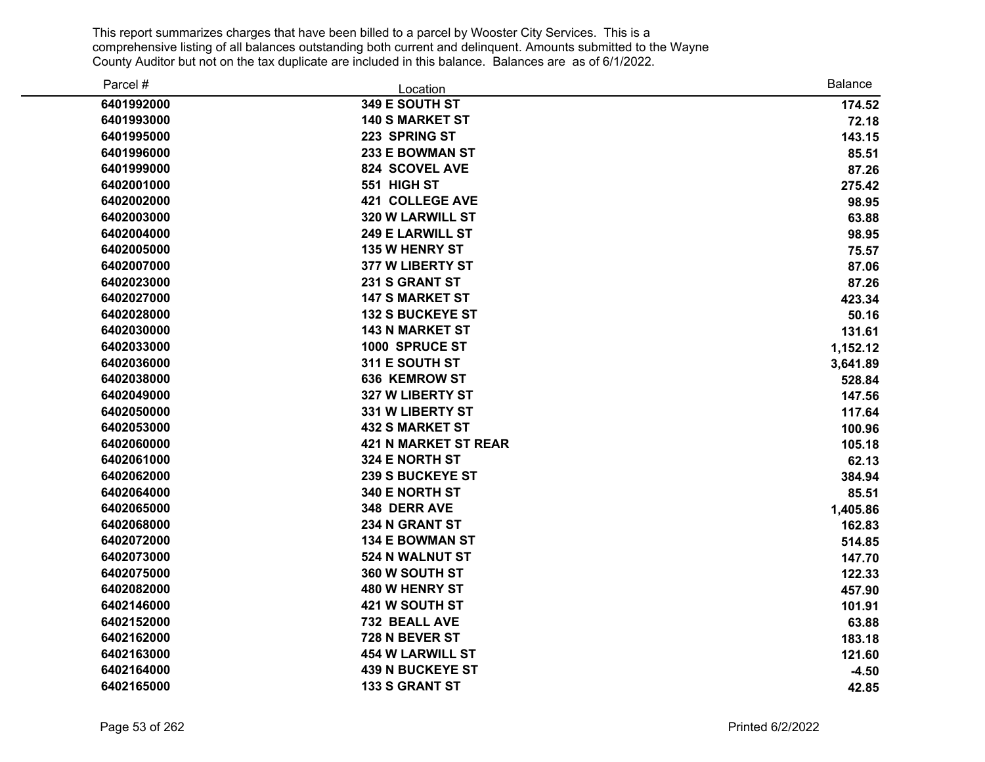| Parcel #   | Location                    | <b>Balance</b> |
|------------|-----------------------------|----------------|
| 6401992000 | 349 E SOUTH ST              | 174.52         |
| 6401993000 | <b>140 S MARKET ST</b>      | 72.18          |
| 6401995000 | 223 SPRING ST               | 143.15         |
| 6401996000 | 233 E BOWMAN ST             | 85.51          |
| 6401999000 | 824 SCOVEL AVE              | 87.26          |
| 6402001000 | 551 HIGH ST                 | 275.42         |
| 6402002000 | <b>421 COLLEGE AVE</b>      | 98.95          |
| 6402003000 | <b>320 W LARWILL ST</b>     | 63.88          |
| 6402004000 | <b>249 E LARWILL ST</b>     | 98.95          |
| 6402005000 | <b>135 W HENRY ST</b>       | 75.57          |
| 6402007000 | 377 W LIBERTY ST            | 87.06          |
| 6402023000 | 231 S GRANT ST              | 87.26          |
| 6402027000 | <b>147 S MARKET ST</b>      | 423.34         |
| 6402028000 | <b>132 S BUCKEYE ST</b>     | 50.16          |
| 6402030000 | <b>143 N MARKET ST</b>      | 131.61         |
| 6402033000 | 1000 SPRUCE ST              | 1,152.12       |
| 6402036000 | 311 E SOUTH ST              | 3,641.89       |
| 6402038000 | <b>636 KEMROW ST</b>        | 528.84         |
| 6402049000 | 327 W LIBERTY ST            | 147.56         |
| 6402050000 | 331 W LIBERTY ST            | 117.64         |
| 6402053000 | <b>432 S MARKET ST</b>      | 100.96         |
| 6402060000 | <b>421 N MARKET ST REAR</b> | 105.18         |
| 6402061000 | 324 E NORTH ST              | 62.13          |
| 6402062000 | <b>239 S BUCKEYE ST</b>     | 384.94         |
| 6402064000 | 340 E NORTH ST              | 85.51          |
| 6402065000 | 348 DERR AVE                | 1,405.86       |
| 6402068000 | 234 N GRANT ST              | 162.83         |
| 6402072000 | <b>134 E BOWMAN ST</b>      | 514.85         |
| 6402073000 | 524 N WALNUT ST             | 147.70         |
| 6402075000 | 360 W SOUTH ST              | 122.33         |
| 6402082000 | 480 W HENRY ST              | 457.90         |
| 6402146000 | 421 W SOUTH ST              | 101.91         |
| 6402152000 | 732 BEALL AVE               | 63.88          |
| 6402162000 | 728 N BEVER ST              | 183.18         |
| 6402163000 | <b>454 W LARWILL ST</b>     | 121.60         |
| 6402164000 | <b>439 N BUCKEYE ST</b>     | $-4.50$        |
| 6402165000 | <b>133 S GRANT ST</b>       | 42.85          |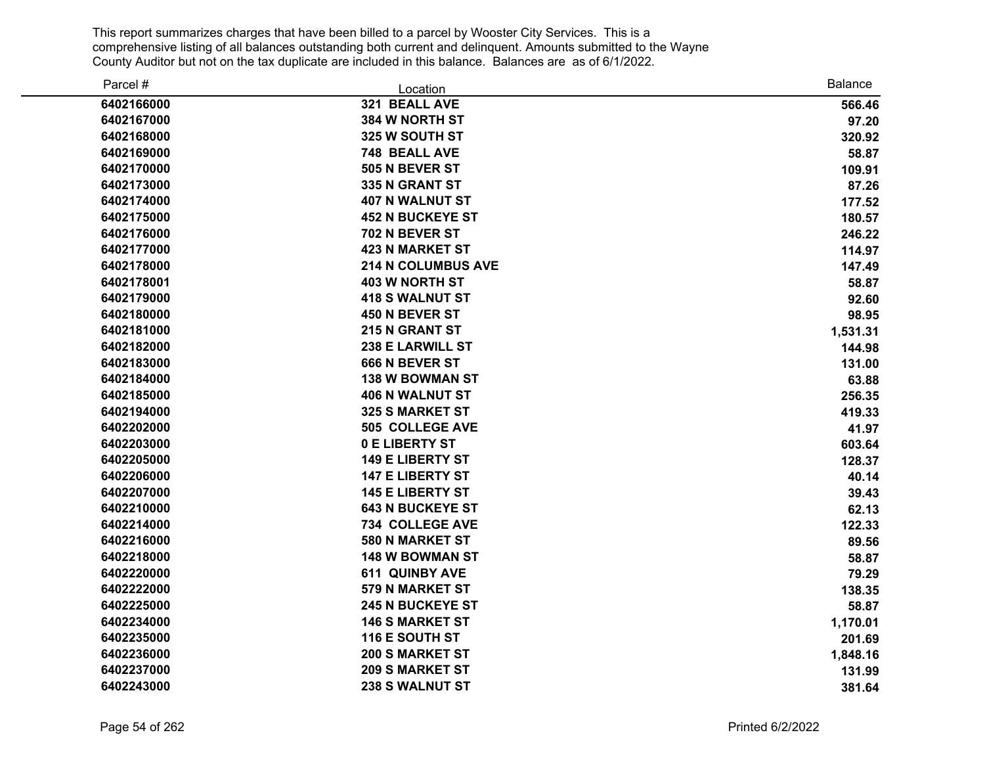| Parcel #   | Location                  | <b>Balance</b> |
|------------|---------------------------|----------------|
| 6402166000 | 321 BEALL AVE             | 566.46         |
| 6402167000 | 384 W NORTH ST            | 97.20          |
| 6402168000 | 325 W SOUTH ST            | 320.92         |
| 6402169000 | 748 BEALL AVE             | 58.87          |
| 6402170000 | 505 N BEVER ST            | 109.91         |
| 6402173000 | 335 N GRANT ST            | 87.26          |
| 6402174000 | <b>407 N WALNUT ST</b>    | 177.52         |
| 6402175000 | <b>452 N BUCKEYE ST</b>   | 180.57         |
| 6402176000 | 702 N BEVER ST            | 246.22         |
| 6402177000 | <b>423 N MARKET ST</b>    | 114.97         |
| 6402178000 | <b>214 N COLUMBUS AVE</b> | 147.49         |
| 6402178001 | <b>403 W NORTH ST</b>     | 58.87          |
| 6402179000 | <b>418 S WALNUT ST</b>    | 92.60          |
| 6402180000 | 450 N BEVER ST            | 98.95          |
| 6402181000 | <b>215 N GRANT ST</b>     | 1,531.31       |
| 6402182000 | 238 E LARWILL ST          | 144.98         |
| 6402183000 | 666 N BEVER ST            | 131.00         |
| 6402184000 | <b>138 W BOWMAN ST</b>    | 63.88          |
| 6402185000 | <b>406 N WALNUT ST</b>    | 256.35         |
| 6402194000 | <b>325 S MARKET ST</b>    | 419.33         |
| 6402202000 | 505 COLLEGE AVE           | 41.97          |
| 6402203000 | 0 E LIBERTY ST            | 603.64         |
| 6402205000 | <b>149 E LIBERTY ST</b>   | 128.37         |
| 6402206000 | <b>147 E LIBERTY ST</b>   | 40.14          |
| 6402207000 | <b>145 E LIBERTY ST</b>   | 39.43          |
| 6402210000 | <b>643 N BUCKEYE ST</b>   | 62.13          |
| 6402214000 | <b>734 COLLEGE AVE</b>    | 122.33         |
| 6402216000 | 580 N MARKET ST           | 89.56          |
| 6402218000 | 148 W BOWMAN ST           | 58.87          |
| 6402220000 | <b>611 QUINBY AVE</b>     | 79.29          |
| 6402222000 | 579 N MARKET ST           | 138.35         |
| 6402225000 | <b>245 N BUCKEYE ST</b>   | 58.87          |
| 6402234000 | <b>146 S MARKET ST</b>    | 1,170.01       |
| 6402235000 | 116 E SOUTH ST            | 201.69         |
| 6402236000 | <b>200 S MARKET ST</b>    | 1,848.16       |
| 6402237000 | <b>209 S MARKET ST</b>    | 131.99         |
| 6402243000 | 238 S WALNUT ST           | 381.64         |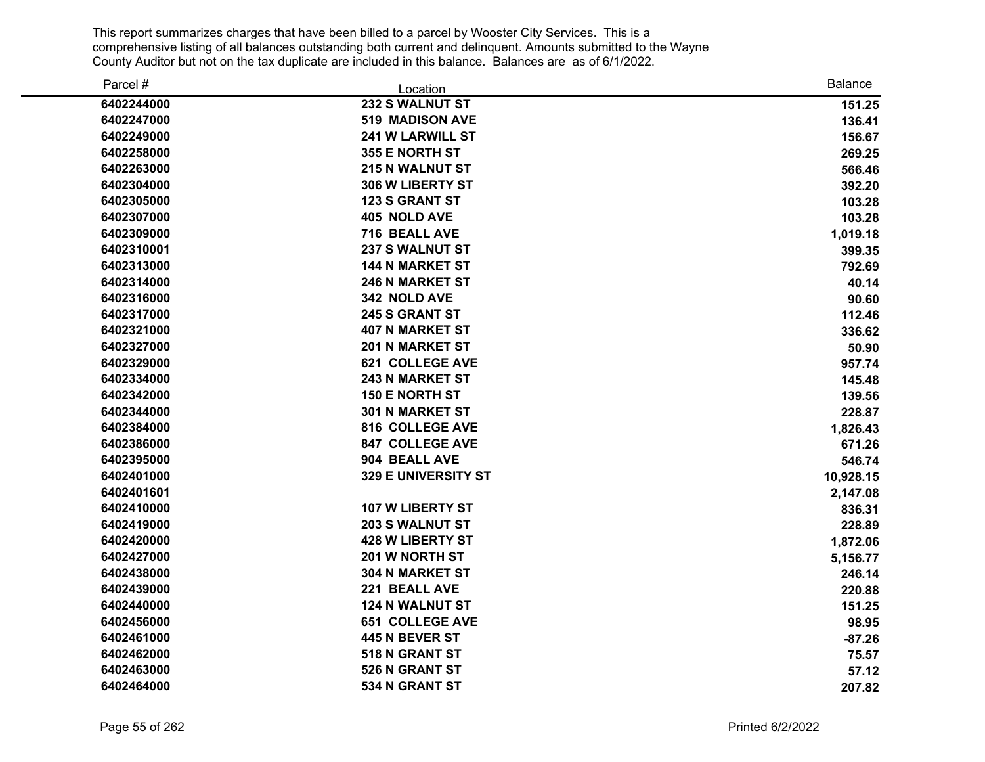| Parcel #   | Location                | Balance   |
|------------|-------------------------|-----------|
| 6402244000 | 232 S WALNUT ST         | 151.25    |
| 6402247000 | <b>519 MADISON AVE</b>  | 136.41    |
| 6402249000 | <b>241 W LARWILL ST</b> | 156.67    |
| 6402258000 | 355 E NORTH ST          | 269.25    |
| 6402263000 | <b>215 N WALNUT ST</b>  | 566.46    |
| 6402304000 | 306 W LIBERTY ST        | 392.20    |
| 6402305000 | <b>123 S GRANT ST</b>   | 103.28    |
| 6402307000 | 405 NOLD AVE            | 103.28    |
| 6402309000 | 716 BEALL AVE           | 1,019.18  |
| 6402310001 | <b>237 S WALNUT ST</b>  | 399.35    |
| 6402313000 | <b>144 N MARKET ST</b>  | 792.69    |
| 6402314000 | <b>246 N MARKET ST</b>  | 40.14     |
| 6402316000 | 342 NOLD AVE            | 90.60     |
| 6402317000 | 245 S GRANT ST          | 112.46    |
| 6402321000 | <b>407 N MARKET ST</b>  | 336.62    |
| 6402327000 | <b>201 N MARKET ST</b>  | 50.90     |
| 6402329000 | <b>621 COLLEGE AVE</b>  | 957.74    |
| 6402334000 | <b>243 N MARKET ST</b>  | 145.48    |
| 6402342000 | <b>150 E NORTH ST</b>   | 139.56    |
| 6402344000 | <b>301 N MARKET ST</b>  | 228.87    |
| 6402384000 | 816 COLLEGE AVE         | 1,826.43  |
| 6402386000 | <b>847 COLLEGE AVE</b>  | 671.26    |
| 6402395000 | 904 BEALL AVE           | 546.74    |
| 6402401000 | 329 E UNIVERSITY ST     | 10,928.15 |
| 6402401601 |                         | 2,147.08  |
| 6402410000 | 107 W LIBERTY ST        | 836.31    |
| 6402419000 | <b>203 S WALNUT ST</b>  | 228.89    |
| 6402420000 | <b>428 W LIBERTY ST</b> | 1,872.06  |
| 6402427000 | 201 W NORTH ST          | 5,156.77  |
| 6402438000 | 304 N MARKET ST         | 246.14    |
| 6402439000 | 221 BEALL AVE           | 220.88    |
| 6402440000 | <b>124 N WALNUT ST</b>  | 151.25    |
| 6402456000 | <b>651 COLLEGE AVE</b>  | 98.95     |
| 6402461000 | 445 N BEVER ST          | $-87.26$  |
| 6402462000 | 518 N GRANT ST          | 75.57     |
| 6402463000 | 526 N GRANT ST          | 57.12     |
| 6402464000 | 534 N GRANT ST          | 207.82    |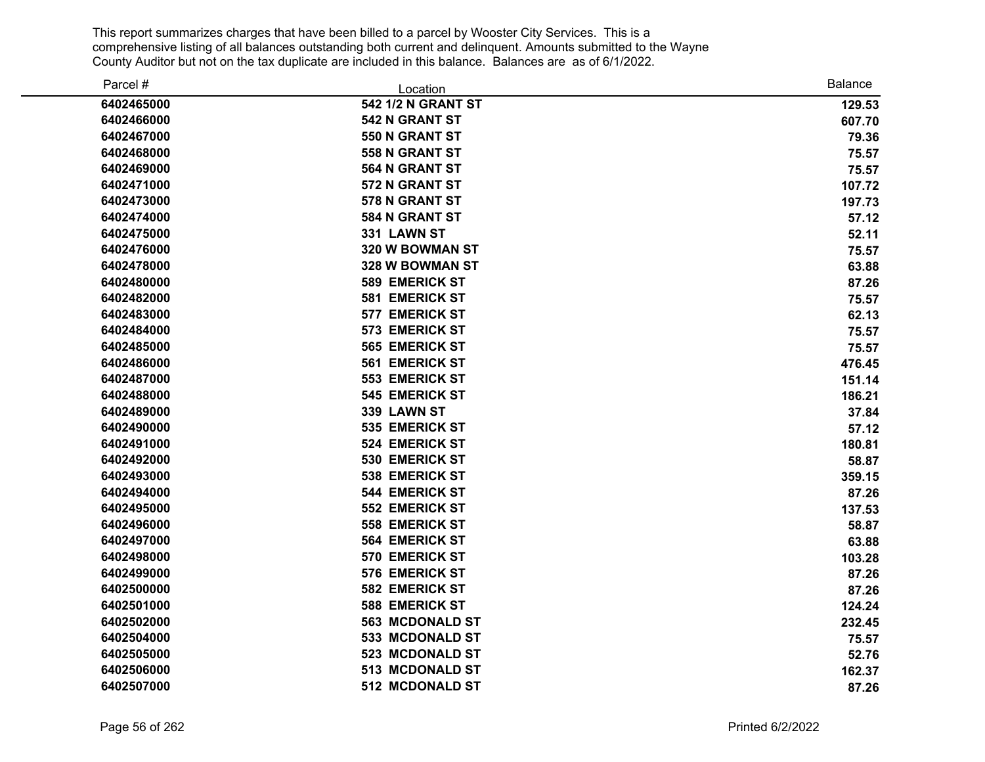| Parcel #   | Location               | <b>Balance</b> |
|------------|------------------------|----------------|
| 6402465000 | 542 1/2 N GRANT ST     | 129.53         |
| 6402466000 | 542 N GRANT ST         | 607.70         |
| 6402467000 | 550 N GRANT ST         | 79.36          |
| 6402468000 | 558 N GRANT ST         | 75.57          |
| 6402469000 | 564 N GRANT ST         | 75.57          |
| 6402471000 | 572 N GRANT ST         | 107.72         |
| 6402473000 | 578 N GRANT ST         | 197.73         |
| 6402474000 | 584 N GRANT ST         | 57.12          |
| 6402475000 | 331 LAWN ST            | 52.11          |
| 6402476000 | 320 W BOWMAN ST        | 75.57          |
| 6402478000 | 328 W BOWMAN ST        | 63.88          |
| 6402480000 | <b>589 EMERICK ST</b>  | 87.26          |
| 6402482000 | 581 EMERICK ST         | 75.57          |
| 6402483000 | 577 EMERICK ST         | 62.13          |
| 6402484000 | 573 EMERICK ST         | 75.57          |
| 6402485000 | 565 EMERICK ST         | 75.57          |
| 6402486000 | 561 EMERICK ST         | 476.45         |
| 6402487000 | <b>553 EMERICK ST</b>  | 151.14         |
| 6402488000 | <b>545 EMERICK ST</b>  | 186.21         |
| 6402489000 | 339 LAWN ST            | 37.84          |
| 6402490000 | 535 EMERICK ST         | 57.12          |
| 6402491000 | <b>524 EMERICK ST</b>  | 180.81         |
| 6402492000 | <b>530 EMERICK ST</b>  | 58.87          |
| 6402493000 | <b>538 EMERICK ST</b>  | 359.15         |
| 6402494000 | <b>544 EMERICK ST</b>  | 87.26          |
| 6402495000 | <b>552 EMERICK ST</b>  | 137.53         |
| 6402496000 | <b>558 EMERICK ST</b>  | 58.87          |
| 6402497000 | 564 EMERICK ST         | 63.88          |
| 6402498000 | <b>570 EMERICK ST</b>  | 103.28         |
| 6402499000 | 576 EMERICK ST         | 87.26          |
| 6402500000 | <b>582 EMERICK ST</b>  | 87.26          |
| 6402501000 | <b>588 EMERICK ST</b>  | 124.24         |
| 6402502000 | <b>563 MCDONALD ST</b> | 232.45         |
| 6402504000 | 533 MCDONALD ST        | 75.57          |
| 6402505000 | 523 MCDONALD ST        | 52.76          |
| 6402506000 | 513 MCDONALD ST        | 162.37         |
| 6402507000 | 512 MCDONALD ST        | 87.26          |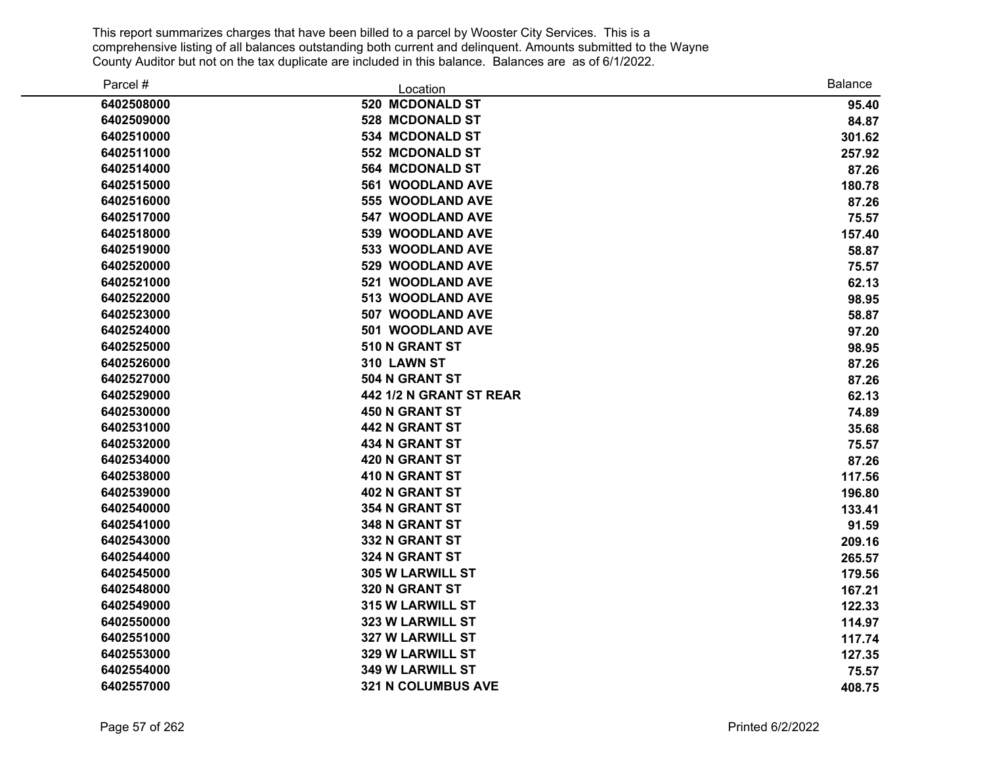| Parcel #   | Location                  | <b>Balance</b> |
|------------|---------------------------|----------------|
| 6402508000 | 520 MCDONALD ST           | 95.40          |
| 6402509000 | 528 MCDONALD ST           | 84.87          |
| 6402510000 | 534 MCDONALD ST           | 301.62         |
| 6402511000 | <b>552 MCDONALD ST</b>    | 257.92         |
| 6402514000 | <b>564 MCDONALD ST</b>    | 87.26          |
| 6402515000 | <b>561 WOODLAND AVE</b>   | 180.78         |
| 6402516000 | 555 WOODLAND AVE          | 87.26          |
| 6402517000 | 547 WOODLAND AVE          | 75.57          |
| 6402518000 | 539 WOODLAND AVE          | 157.40         |
| 6402519000 | <b>533 WOODLAND AVE</b>   | 58.87          |
| 6402520000 | 529 WOODLAND AVE          | 75.57          |
| 6402521000 | 521 WOODLAND AVE          | 62.13          |
| 6402522000 | 513 WOODLAND AVE          | 98.95          |
| 6402523000 | 507 WOODLAND AVE          | 58.87          |
| 6402524000 | 501 WOODLAND AVE          | 97.20          |
| 6402525000 | 510 N GRANT ST            | 98.95          |
| 6402526000 | 310 LAWN ST               | 87.26          |
| 6402527000 | 504 N GRANT ST            | 87.26          |
| 6402529000 | 442 1/2 N GRANT ST REAR   | 62.13          |
| 6402530000 | <b>450 N GRANT ST</b>     | 74.89          |
| 6402531000 | <b>442 N GRANT ST</b>     | 35.68          |
| 6402532000 | <b>434 N GRANT ST</b>     | 75.57          |
| 6402534000 | 420 N GRANT ST            | 87.26          |
| 6402538000 | 410 N GRANT ST            | 117.56         |
| 6402539000 | <b>402 N GRANT ST</b>     | 196.80         |
| 6402540000 | 354 N GRANT ST            | 133.41         |
| 6402541000 | 348 N GRANT ST            | 91.59          |
| 6402543000 | 332 N GRANT ST            | 209.16         |
| 6402544000 | 324 N GRANT ST            | 265.57         |
| 6402545000 | 305 W LARWILL ST          | 179.56         |
| 6402548000 | 320 N GRANT ST            | 167.21         |
| 6402549000 | 315 W LARWILL ST          | 122.33         |
| 6402550000 | 323 W LARWILL ST          | 114.97         |
| 6402551000 | 327 W LARWILL ST          | 117.74         |
| 6402553000 | 329 W LARWILL ST          | 127.35         |
| 6402554000 | <b>349 W LARWILL ST</b>   | 75.57          |
| 6402557000 | <b>321 N COLUMBUS AVE</b> | 408.75         |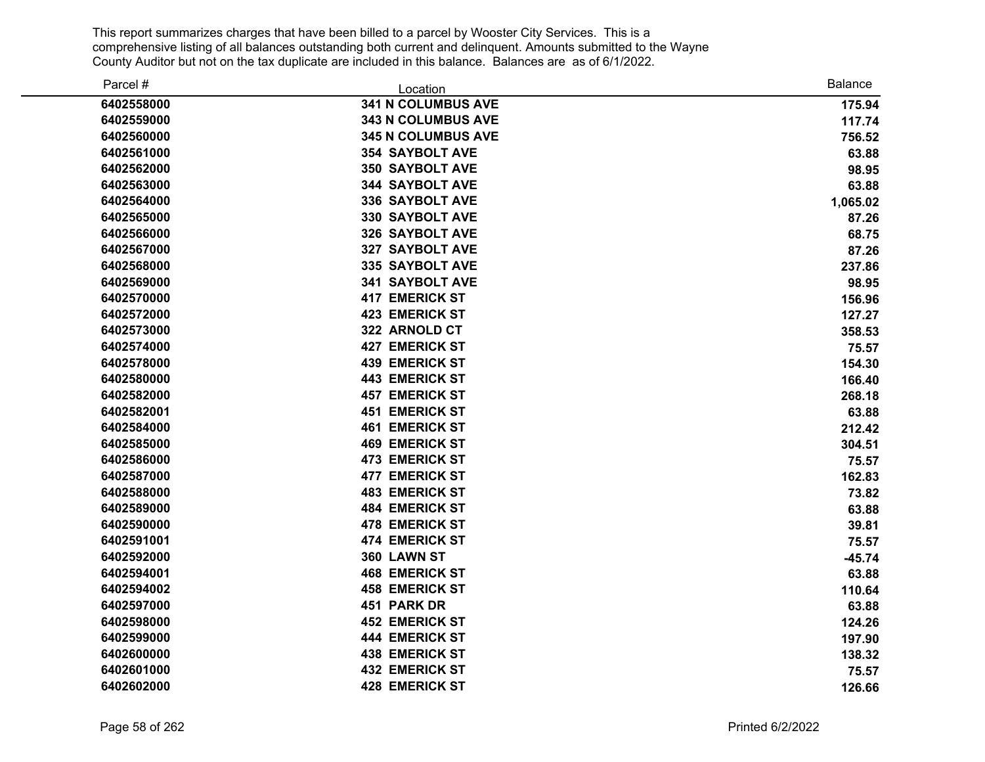| Parcel #   | Location                  | Balance  |
|------------|---------------------------|----------|
| 6402558000 | <b>341 N COLUMBUS AVE</b> | 175.94   |
| 6402559000 | 343 N COLUMBUS AVE        | 117.74   |
| 6402560000 | <b>345 N COLUMBUS AVE</b> | 756.52   |
| 6402561000 | <b>354 SAYBOLT AVE</b>    | 63.88    |
| 6402562000 | <b>350 SAYBOLT AVE</b>    | 98.95    |
| 6402563000 | <b>344 SAYBOLT AVE</b>    | 63.88    |
| 6402564000 | 336 SAYBOLT AVE           | 1,065.02 |
| 6402565000 | 330 SAYBOLT AVE           | 87.26    |
| 6402566000 | <b>326 SAYBOLT AVE</b>    | 68.75    |
| 6402567000 | 327 SAYBOLT AVE           | 87.26    |
| 6402568000 | 335 SAYBOLT AVE           | 237.86   |
| 6402569000 | 341 SAYBOLT AVE           | 98.95    |
| 6402570000 | <b>417 EMERICK ST</b>     | 156.96   |
| 6402572000 | <b>423 EMERICK ST</b>     | 127.27   |
| 6402573000 | 322 ARNOLD CT             | 358.53   |
| 6402574000 | <b>427 EMERICK ST</b>     | 75.57    |
| 6402578000 | <b>439 EMERICK ST</b>     | 154.30   |
| 6402580000 | <b>443 EMERICK ST</b>     | 166.40   |
| 6402582000 | <b>457 EMERICK ST</b>     | 268.18   |
| 6402582001 | <b>451 EMERICK ST</b>     | 63.88    |
| 6402584000 | <b>461 EMERICK ST</b>     | 212.42   |
| 6402585000 | <b>469 EMERICK ST</b>     | 304.51   |
| 6402586000 | <b>473 EMERICK ST</b>     | 75.57    |
| 6402587000 | <b>477 EMERICK ST</b>     | 162.83   |
| 6402588000 | <b>483 EMERICK ST</b>     | 73.82    |
| 6402589000 | <b>484 EMERICK ST</b>     | 63.88    |
| 6402590000 | <b>478 EMERICK ST</b>     | 39.81    |
| 6402591001 | <b>474 EMERICK ST</b>     | 75.57    |
| 6402592000 | 360 LAWN ST               | $-45.74$ |
| 6402594001 | <b>468 EMERICK ST</b>     | 63.88    |
| 6402594002 | <b>458 EMERICK ST</b>     | 110.64   |
| 6402597000 | 451 PARK DR               | 63.88    |
| 6402598000 | <b>452 EMERICK ST</b>     | 124.26   |
| 6402599000 | <b>444 EMERICK ST</b>     | 197.90   |
| 6402600000 | <b>438 EMERICK ST</b>     | 138.32   |
| 6402601000 | <b>432 EMERICK ST</b>     | 75.57    |
| 6402602000 | <b>428 EMERICK ST</b>     | 126.66   |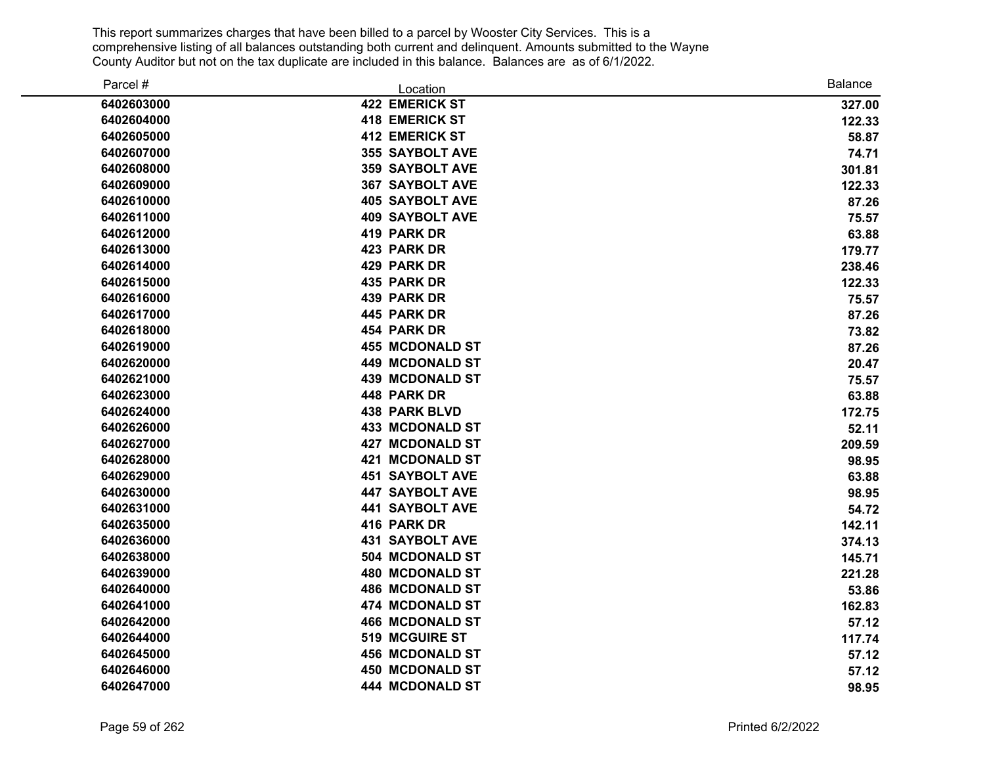| Parcel #   | Location               | <b>Balance</b> |
|------------|------------------------|----------------|
| 6402603000 | <b>422 EMERICK ST</b>  | 327.00         |
| 6402604000 | <b>418 EMERICK ST</b>  | 122.33         |
| 6402605000 | <b>412 EMERICK ST</b>  | 58.87          |
| 6402607000 | <b>355 SAYBOLT AVE</b> | 74.71          |
| 6402608000 | <b>359 SAYBOLT AVE</b> | 301.81         |
| 6402609000 | <b>367 SAYBOLT AVE</b> | 122.33         |
| 6402610000 | <b>405 SAYBOLT AVE</b> | 87.26          |
| 6402611000 | <b>409 SAYBOLT AVE</b> | 75.57          |
| 6402612000 | 419 PARK DR            | 63.88          |
| 6402613000 | 423 PARK DR            | 179.77         |
| 6402614000 | 429 PARK DR            | 238.46         |
| 6402615000 | 435 PARK DR            | 122.33         |
| 6402616000 | 439 PARK DR            | 75.57          |
| 6402617000 | 445 PARK DR            | 87.26          |
| 6402618000 | 454 PARK DR            | 73.82          |
| 6402619000 | <b>455 MCDONALD ST</b> | 87.26          |
| 6402620000 | <b>449 MCDONALD ST</b> | 20.47          |
| 6402621000 | <b>439 MCDONALD ST</b> | 75.57          |
| 6402623000 | 448 PARK DR            | 63.88          |
| 6402624000 | <b>438 PARK BLVD</b>   | 172.75         |
| 6402626000 | <b>433 MCDONALD ST</b> | 52.11          |
| 6402627000 | <b>427 MCDONALD ST</b> | 209.59         |
| 6402628000 | <b>421 MCDONALD ST</b> | 98.95          |
| 6402629000 | <b>451 SAYBOLT AVE</b> | 63.88          |
| 6402630000 | <b>447 SAYBOLT AVE</b> | 98.95          |
| 6402631000 | <b>441 SAYBOLT AVE</b> | 54.72          |
| 6402635000 | 416 PARK DR            | 142.11         |
| 6402636000 | <b>431 SAYBOLT AVE</b> | 374.13         |
| 6402638000 | 504 MCDONALD ST        | 145.71         |
| 6402639000 | <b>480 MCDONALD ST</b> | 221.28         |
| 6402640000 | <b>486 MCDONALD ST</b> | 53.86          |
| 6402641000 | 474 MCDONALD ST        | 162.83         |
| 6402642000 | <b>466 MCDONALD ST</b> | 57.12          |
| 6402644000 | 519 MCGUIRE ST         | 117.74         |
| 6402645000 | <b>456 MCDONALD ST</b> | 57.12          |
| 6402646000 | <b>450 MCDONALD ST</b> | 57.12          |
| 6402647000 | 444 MCDONALD ST        | 98.95          |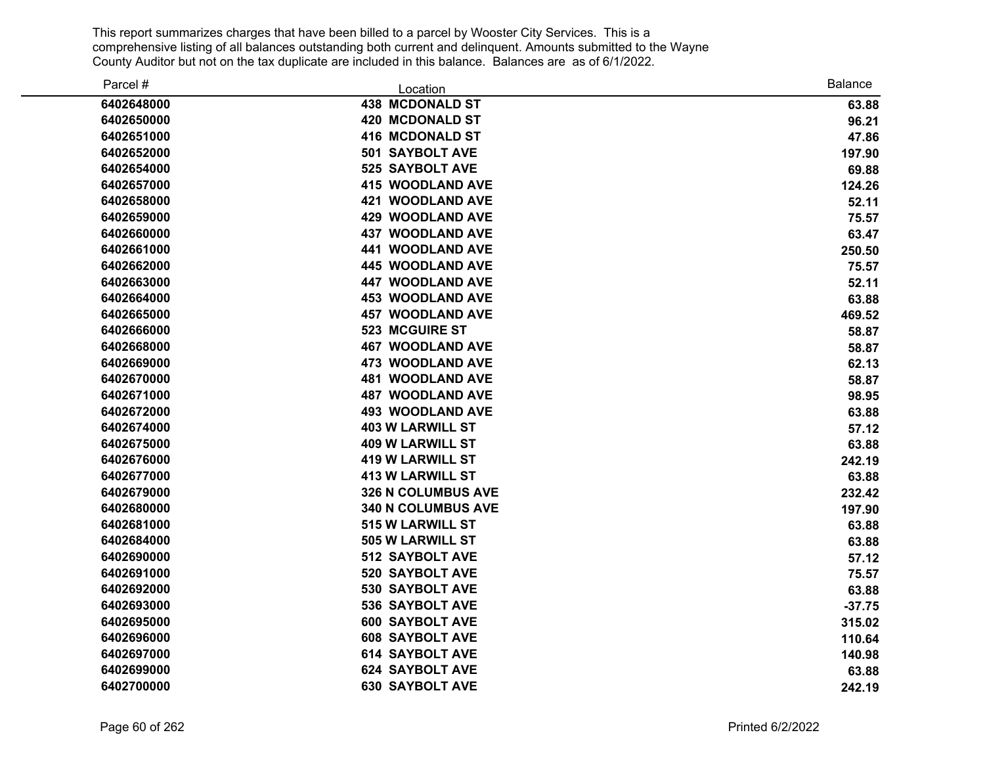| Parcel #   | Location                  | <b>Balance</b> |
|------------|---------------------------|----------------|
| 6402648000 | <b>438 MCDONALD ST</b>    | 63.88          |
| 6402650000 | <b>420 MCDONALD ST</b>    | 96.21          |
| 6402651000 | <b>416 MCDONALD ST</b>    | 47.86          |
| 6402652000 | <b>501 SAYBOLT AVE</b>    | 197.90         |
| 6402654000 | <b>525 SAYBOLT AVE</b>    | 69.88          |
| 6402657000 | <b>415 WOODLAND AVE</b>   | 124.26         |
| 6402658000 | <b>421 WOODLAND AVE</b>   | 52.11          |
| 6402659000 | <b>429 WOODLAND AVE</b>   | 75.57          |
| 6402660000 | <b>437 WOODLAND AVE</b>   | 63.47          |
| 6402661000 | <b>441 WOODLAND AVE</b>   | 250.50         |
| 6402662000 | 445 WOODLAND AVE          | 75.57          |
| 6402663000 | <b>447 WOODLAND AVE</b>   | 52.11          |
| 6402664000 | <b>453 WOODLAND AVE</b>   | 63.88          |
| 6402665000 | <b>457 WOODLAND AVE</b>   | 469.52         |
| 6402666000 | 523 MCGUIRE ST            | 58.87          |
| 6402668000 | <b>467 WOODLAND AVE</b>   | 58.87          |
| 6402669000 | <b>473 WOODLAND AVE</b>   | 62.13          |
| 6402670000 | <b>481 WOODLAND AVE</b>   | 58.87          |
| 6402671000 | <b>487 WOODLAND AVE</b>   | 98.95          |
| 6402672000 | <b>493 WOODLAND AVE</b>   | 63.88          |
| 6402674000 | <b>403 W LARWILL ST</b>   | 57.12          |
| 6402675000 | <b>409 W LARWILL ST</b>   | 63.88          |
| 6402676000 | <b>419 W LARWILL ST</b>   | 242.19         |
| 6402677000 | <b>413 W LARWILL ST</b>   | 63.88          |
| 6402679000 | 326 N COLUMBUS AVE        | 232.42         |
| 6402680000 | <b>340 N COLUMBUS AVE</b> | 197.90         |
| 6402681000 | 515 W LARWILL ST          | 63.88          |
| 6402684000 | <b>505 W LARWILL ST</b>   | 63.88          |
| 6402690000 | 512 SAYBOLT AVE           | 57.12          |
| 6402691000 | 520 SAYBOLT AVE           | 75.57          |
| 6402692000 | 530 SAYBOLT AVE           | 63.88          |
| 6402693000 | 536 SAYBOLT AVE           | $-37.75$       |
| 6402695000 | <b>600 SAYBOLT AVE</b>    | 315.02         |
| 6402696000 | <b>608 SAYBOLT AVE</b>    | 110.64         |
| 6402697000 | <b>614 SAYBOLT AVE</b>    | 140.98         |
| 6402699000 | <b>624 SAYBOLT AVE</b>    | 63.88          |
| 6402700000 | <b>630 SAYBOLT AVE</b>    | 242.19         |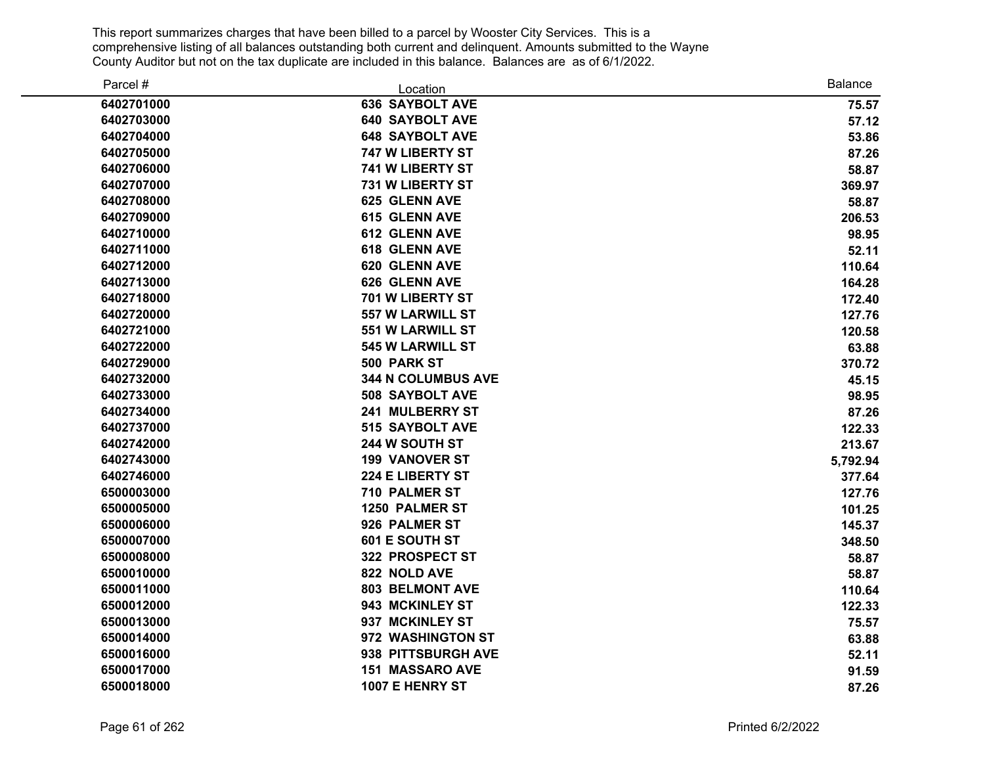| Parcel #   | Location                  | <b>Balance</b> |
|------------|---------------------------|----------------|
| 6402701000 | <b>636 SAYBOLT AVE</b>    | 75.57          |
| 6402703000 | <b>640 SAYBOLT AVE</b>    | 57.12          |
| 6402704000 | <b>648 SAYBOLT AVE</b>    | 53.86          |
| 6402705000 | 747 W LIBERTY ST          | 87.26          |
| 6402706000 | 741 W LIBERTY ST          | 58.87          |
| 6402707000 | <b>731 W LIBERTY ST</b>   | 369.97         |
| 6402708000 | 625 GLENN AVE             | 58.87          |
| 6402709000 | <b>615 GLENN AVE</b>      | 206.53         |
| 6402710000 | 612 GLENN AVE             | 98.95          |
| 6402711000 | 618 GLENN AVE             | 52.11          |
| 6402712000 | 620 GLENN AVE             | 110.64         |
| 6402713000 | 626 GLENN AVE             | 164.28         |
| 6402718000 | 701 W LIBERTY ST          | 172.40         |
| 6402720000 | <b>557 W LARWILL ST</b>   | 127.76         |
| 6402721000 | <b>551 W LARWILL ST</b>   | 120.58         |
| 6402722000 | 545 W LARWILL ST          | 63.88          |
| 6402729000 | 500 PARK ST               | 370.72         |
| 6402732000 | <b>344 N COLUMBUS AVE</b> | 45.15          |
| 6402733000 | <b>508 SAYBOLT AVE</b>    | 98.95          |
| 6402734000 | 241 MULBERRY ST           | 87.26          |
| 6402737000 | 515 SAYBOLT AVE           | 122.33         |
| 6402742000 | 244 W SOUTH ST            | 213.67         |
| 6402743000 | <b>199 VANOVER ST</b>     | 5,792.94       |
| 6402746000 | 224 E LIBERTY ST          | 377.64         |
| 6500003000 | 710 PALMER ST             | 127.76         |
| 6500005000 | <b>1250 PALMER ST</b>     | 101.25         |
| 6500006000 | 926 PALMER ST             | 145.37         |
| 6500007000 | 601 E SOUTH ST            | 348.50         |
| 6500008000 | 322 PROSPECT ST           | 58.87          |
| 6500010000 | 822 NOLD AVE              | 58.87          |
| 6500011000 | <b>803 BELMONT AVE</b>    | 110.64         |
| 6500012000 | 943 MCKINLEY ST           | 122.33         |
| 6500013000 | 937 MCKINLEY ST           | 75.57          |
| 6500014000 | 972 WASHINGTON ST         | 63.88          |
| 6500016000 | 938 PITTSBURGH AVE        | 52.11          |
| 6500017000 | <b>151 MASSARO AVE</b>    | 91.59          |
| 6500018000 | 1007 E HENRY ST           | 87.26          |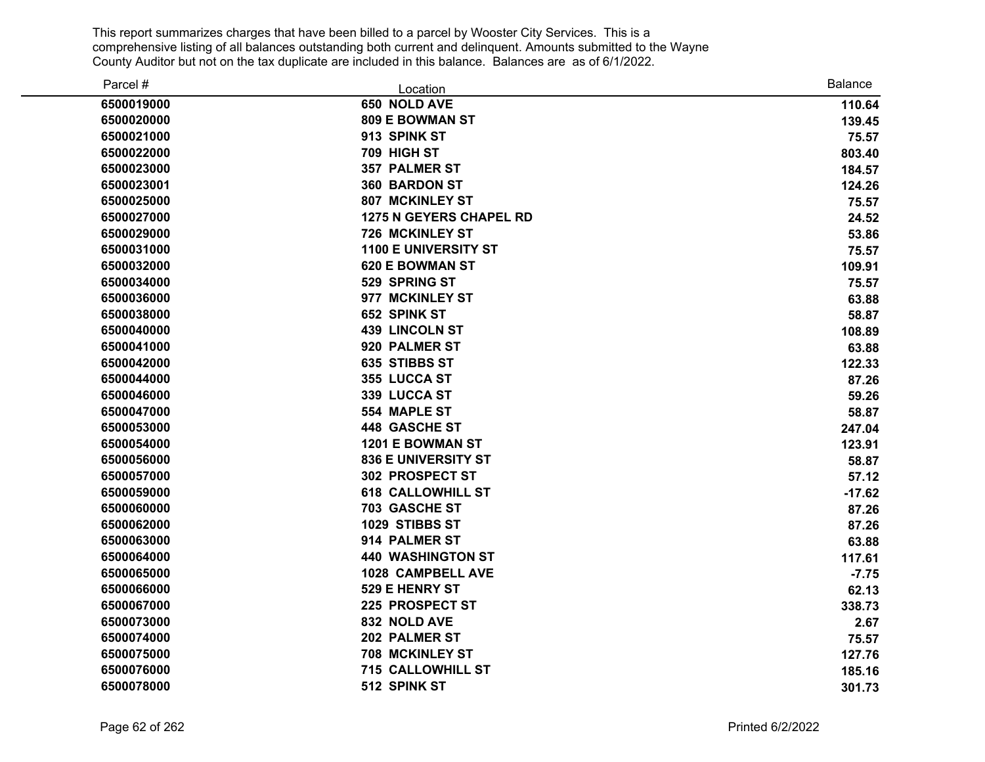| Parcel #   | Location                       | <b>Balance</b> |
|------------|--------------------------------|----------------|
| 6500019000 | 650 NOLD AVE                   | 110.64         |
| 6500020000 | 809 E BOWMAN ST                | 139.45         |
| 6500021000 | 913 SPINK ST                   | 75.57          |
| 6500022000 | 709 HIGH ST                    | 803.40         |
| 6500023000 | 357 PALMER ST                  | 184.57         |
| 6500023001 | 360 BARDON ST                  | 124.26         |
| 6500025000 | <b>807 MCKINLEY ST</b>         | 75.57          |
| 6500027000 | <b>1275 N GEYERS CHAPEL RD</b> | 24.52          |
| 6500029000 | 726 MCKINLEY ST                | 53.86          |
| 6500031000 | <b>1100 E UNIVERSITY ST</b>    | 75.57          |
| 6500032000 | <b>620 E BOWMAN ST</b>         | 109.91         |
| 6500034000 | 529 SPRING ST                  | 75.57          |
| 6500036000 | 977 MCKINLEY ST                | 63.88          |
| 6500038000 | 652 SPINK ST                   | 58.87          |
| 6500040000 | <b>439 LINCOLN ST</b>          | 108.89         |
| 6500041000 | 920 PALMER ST                  | 63.88          |
| 6500042000 | 635 STIBBS ST                  | 122.33         |
| 6500044000 | 355 LUCCA ST                   | 87.26          |
| 6500046000 | 339 LUCCA ST                   | 59.26          |
| 6500047000 | 554 MAPLE ST                   | 58.87          |
| 6500053000 | 448 GASCHE ST                  | 247.04         |
| 6500054000 | 1201 E BOWMAN ST               | 123.91         |
| 6500056000 | <b>836 E UNIVERSITY ST</b>     | 58.87          |
| 6500057000 | 302 PROSPECT ST                | 57.12          |
| 6500059000 | <b>618 CALLOWHILL ST</b>       | $-17.62$       |
| 6500060000 | 703 GASCHE ST                  | 87.26          |
| 6500062000 | 1029 STIBBS ST                 | 87.26          |
| 6500063000 | 914 PALMER ST                  | 63.88          |
| 6500064000 | <b>440 WASHINGTON ST</b>       | 117.61         |
| 6500065000 | 1028 CAMPBELL AVE              | $-7.75$        |
| 6500066000 | 529 E HENRY ST                 | 62.13          |
| 6500067000 | 225 PROSPECT ST                | 338.73         |
| 6500073000 | 832 NOLD AVE                   | 2.67           |
| 6500074000 | 202 PALMER ST                  | 75.57          |
| 6500075000 | <b>708 MCKINLEY ST</b>         | 127.76         |
| 6500076000 | <b>715 CALLOWHILL ST</b>       | 185.16         |
| 6500078000 | 512 SPINK ST                   | 301.73         |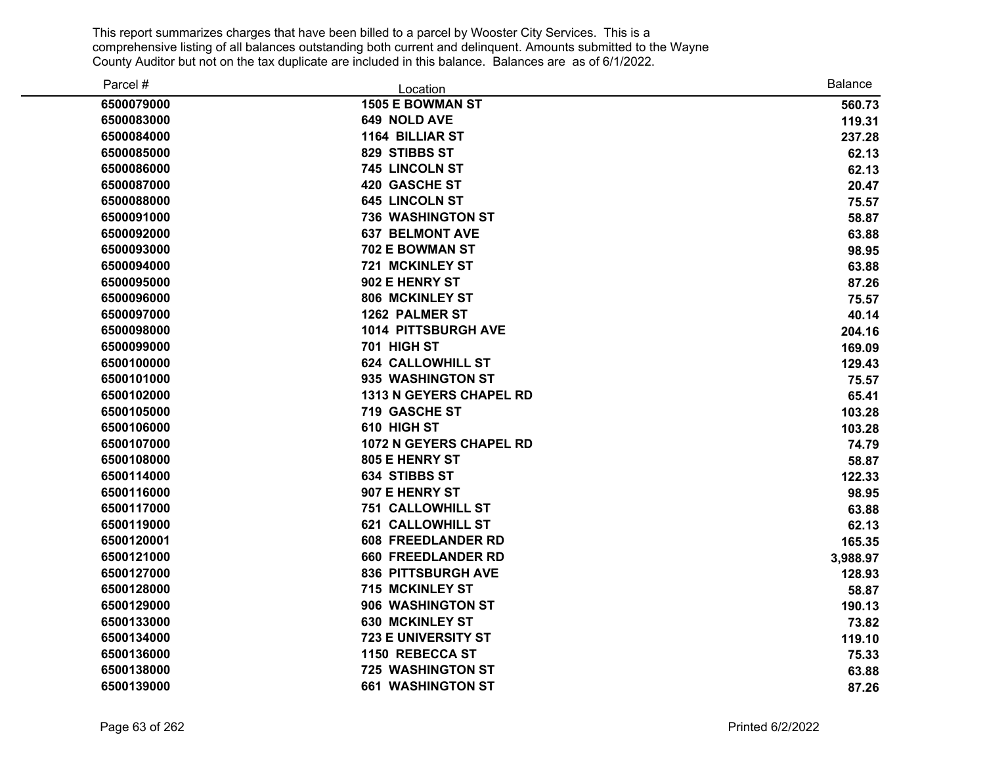| Parcel #   | Location                       | <b>Balance</b> |
|------------|--------------------------------|----------------|
| 6500079000 | 1505 E BOWMAN ST               | 560.73         |
| 6500083000 | 649 NOLD AVE                   | 119.31         |
| 6500084000 | <b>1164 BILLIAR ST</b>         | 237.28         |
| 6500085000 | 829 STIBBS ST                  | 62.13          |
| 6500086000 | 745 LINCOLN ST                 | 62.13          |
| 6500087000 | <b>420 GASCHE ST</b>           | 20.47          |
| 6500088000 | <b>645 LINCOLN ST</b>          | 75.57          |
| 6500091000 | <b>736 WASHINGTON ST</b>       | 58.87          |
| 6500092000 | <b>637 BELMONT AVE</b>         | 63.88          |
| 6500093000 | 702 E BOWMAN ST                | 98.95          |
| 6500094000 | <b>721 MCKINLEY ST</b>         | 63.88          |
| 6500095000 | 902 E HENRY ST                 | 87.26          |
| 6500096000 | 806 MCKINLEY ST                | 75.57          |
| 6500097000 | <b>1262 PALMER ST</b>          | 40.14          |
| 6500098000 | 1014 PITTSBURGH AVE            | 204.16         |
| 6500099000 | 701 HIGH ST                    | 169.09         |
| 6500100000 | <b>624 CALLOWHILL ST</b>       | 129.43         |
| 6500101000 | 935 WASHINGTON ST              | 75.57          |
| 6500102000 | <b>1313 N GEYERS CHAPEL RD</b> | 65.41          |
| 6500105000 | <b>719 GASCHE ST</b>           | 103.28         |
| 6500106000 | 610 HIGH ST                    | 103.28         |
| 6500107000 | <b>1072 N GEYERS CHAPEL RD</b> | 74.79          |
| 6500108000 | <b>805 E HENRY ST</b>          | 58.87          |
| 6500114000 | <b>634 STIBBS ST</b>           | 122.33         |
| 6500116000 | 907 E HENRY ST                 | 98.95          |
| 6500117000 | <b>751 CALLOWHILL ST</b>       | 63.88          |
| 6500119000 | <b>621 CALLOWHILL ST</b>       | 62.13          |
| 6500120001 | <b>608 FREEDLANDER RD</b>      | 165.35         |
| 6500121000 | <b>660 FREEDLANDER RD</b>      | 3,988.97       |
| 6500127000 | <b>836 PITTSBURGH AVE</b>      | 128.93         |
| 6500128000 | 715 MCKINLEY ST                | 58.87          |
| 6500129000 | 906 WASHINGTON ST              | 190.13         |
| 6500133000 | <b>630 MCKINLEY ST</b>         | 73.82          |
| 6500134000 | 723 E UNIVERSITY ST            | 119.10         |
| 6500136000 | 1150 REBECCA ST                | 75.33          |
| 6500138000 | <b>725 WASHINGTON ST</b>       | 63.88          |
| 6500139000 | <b>661 WASHINGTON ST</b>       | 87.26          |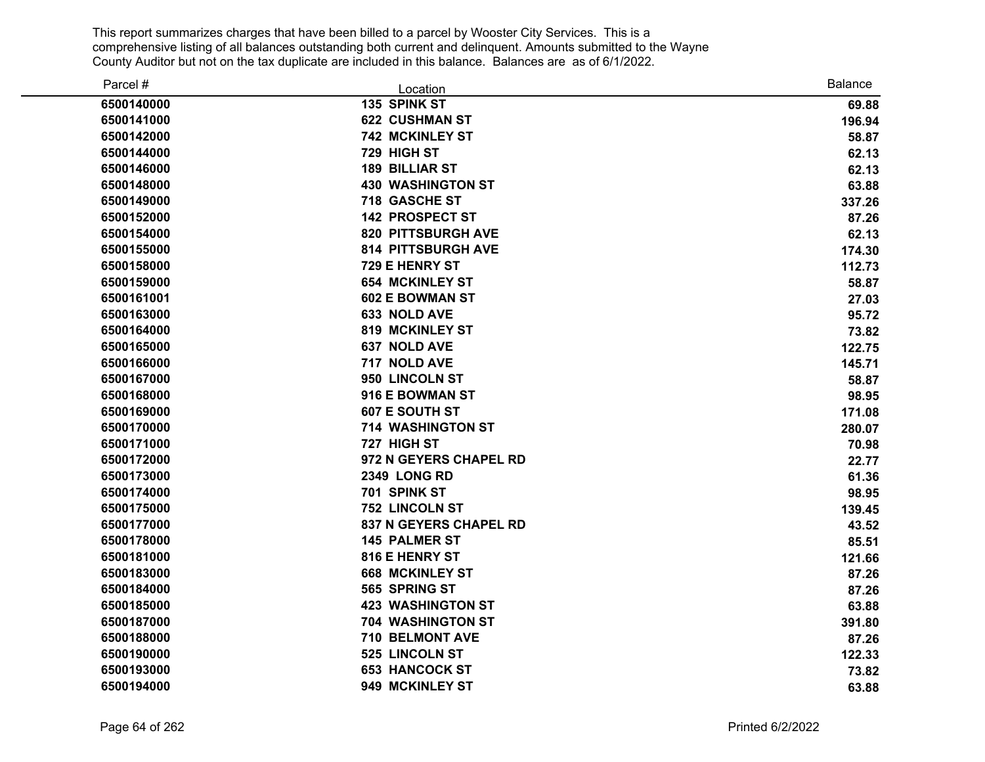| Parcel #   | Location                      | <b>Balance</b> |
|------------|-------------------------------|----------------|
| 6500140000 | 135 SPINK ST                  | 69.88          |
| 6500141000 | <b>622 CUSHMAN ST</b>         | 196.94         |
| 6500142000 | 742 MCKINLEY ST               | 58.87          |
| 6500144000 | 729 HIGH ST                   | 62.13          |
| 6500146000 | <b>189 BILLIAR ST</b>         | 62.13          |
| 6500148000 | <b>430 WASHINGTON ST</b>      | 63.88          |
| 6500149000 | 718 GASCHE ST                 | 337.26         |
| 6500152000 | <b>142 PROSPECT ST</b>        | 87.26          |
| 6500154000 | <b>820 PITTSBURGH AVE</b>     | 62.13          |
| 6500155000 | <b>814 PITTSBURGH AVE</b>     | 174.30         |
| 6500158000 | 729 E HENRY ST                | 112.73         |
| 6500159000 | <b>654 MCKINLEY ST</b>        | 58.87          |
| 6500161001 | <b>602 E BOWMAN ST</b>        | 27.03          |
| 6500163000 | 633 NOLD AVE                  | 95.72          |
| 6500164000 | <b>819 MCKINLEY ST</b>        | 73.82          |
| 6500165000 | 637 NOLD AVE                  | 122.75         |
| 6500166000 | 717 NOLD AVE                  | 145.71         |
| 6500167000 | 950 LINCOLN ST                | 58.87          |
| 6500168000 | 916 E BOWMAN ST               | 98.95          |
| 6500169000 | 607 E SOUTH ST                | 171.08         |
| 6500170000 | <b>714 WASHINGTON ST</b>      | 280.07         |
| 6500171000 | 727 HIGH ST                   | 70.98          |
| 6500172000 | 972 N GEYERS CHAPEL RD        | 22.77          |
| 6500173000 | <b>2349 LONG RD</b>           | 61.36          |
| 6500174000 | 701 SPINK ST                  | 98.95          |
| 6500175000 | <b>752 LINCOLN ST</b>         | 139.45         |
| 6500177000 | <b>837 N GEYERS CHAPEL RD</b> | 43.52          |
| 6500178000 | <b>145 PALMER ST</b>          | 85.51          |
| 6500181000 | 816 E HENRY ST                | 121.66         |
| 6500183000 | <b>668 MCKINLEY ST</b>        | 87.26          |
| 6500184000 | 565 SPRING ST                 | 87.26          |
| 6500185000 | <b>423 WASHINGTON ST</b>      | 63.88          |
| 6500187000 | <b>704 WASHINGTON ST</b>      | 391.80         |
| 6500188000 | 710 BELMONT AVE               | 87.26          |
| 6500190000 | 525 LINCOLN ST                | 122.33         |
| 6500193000 | <b>653 HANCOCK ST</b>         | 73.82          |
| 6500194000 | 949 MCKINLEY ST               | 63.88          |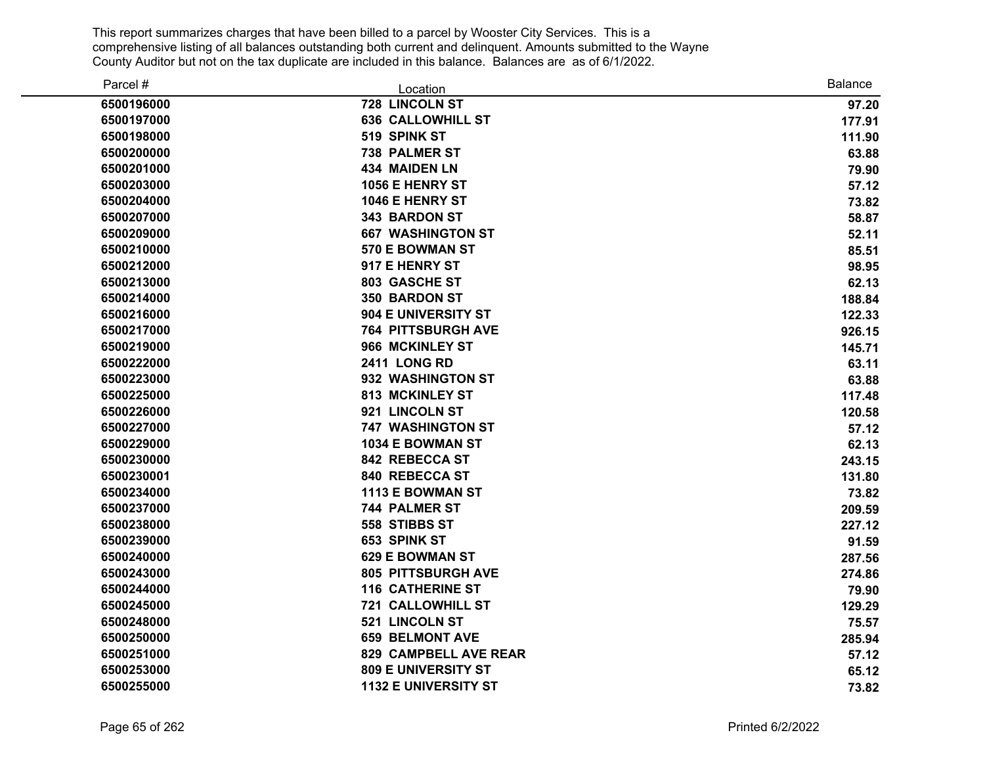| Parcel #   | Location                    | <b>Balance</b> |
|------------|-----------------------------|----------------|
| 6500196000 | 728 LINCOLN ST              | 97.20          |
| 6500197000 | <b>636 CALLOWHILL ST</b>    | 177.91         |
| 6500198000 | 519 SPINK ST                | 111.90         |
| 6500200000 | 738 PALMER ST               | 63.88          |
| 6500201000 | <b>434 MAIDEN LN</b>        | 79.90          |
| 6500203000 | 1056 E HENRY ST             | 57.12          |
| 6500204000 | 1046 E HENRY ST             | 73.82          |
| 6500207000 | 343 BARDON ST               | 58.87          |
| 6500209000 | <b>667 WASHINGTON ST</b>    | 52.11          |
| 6500210000 | 570 E BOWMAN ST             | 85.51          |
| 6500212000 | 917 E HENRY ST              | 98.95          |
| 6500213000 | 803 GASCHE ST               | 62.13          |
| 6500214000 | <b>350 BARDON ST</b>        | 188.84         |
| 6500216000 | 904 E UNIVERSITY ST         | 122.33         |
| 6500217000 | <b>764 PITTSBURGH AVE</b>   | 926.15         |
| 6500219000 | 966 MCKINLEY ST             | 145.71         |
| 6500222000 | <b>2411 LONG RD</b>         | 63.11          |
| 6500223000 | 932 WASHINGTON ST           | 63.88          |
| 6500225000 | <b>813 MCKINLEY ST</b>      | 117.48         |
| 6500226000 | 921 LINCOLN ST              | 120.58         |
| 6500227000 | <b>747 WASHINGTON ST</b>    | 57.12          |
| 6500229000 | 1034 E BOWMAN ST            | 62.13          |
| 6500230000 | 842 REBECCA ST              | 243.15         |
| 6500230001 | 840 REBECCA ST              | 131.80         |
| 6500234000 | 1113 E BOWMAN ST            | 73.82          |
| 6500237000 | <b>744 PALMER ST</b>        | 209.59         |
| 6500238000 | 558 STIBBS ST               | 227.12         |
| 6500239000 | 653 SPINK ST                | 91.59          |
| 6500240000 | <b>629 E BOWMAN ST</b>      | 287.56         |
| 6500243000 | <b>805 PITTSBURGH AVE</b>   | 274.86         |
| 6500244000 | <b>116 CATHERINE ST</b>     | 79.90          |
| 6500245000 | <b>721 CALLOWHILL ST</b>    | 129.29         |
| 6500248000 | 521 LINCOLN ST              | 75.57          |
| 6500250000 | <b>659 BELMONT AVE</b>      | 285.94         |
| 6500251000 | 829 CAMPBELL AVE REAR       | 57.12          |
| 6500253000 | <b>809 E UNIVERSITY ST</b>  | 65.12          |
| 6500255000 | <b>1132 E UNIVERSITY ST</b> | 73.82          |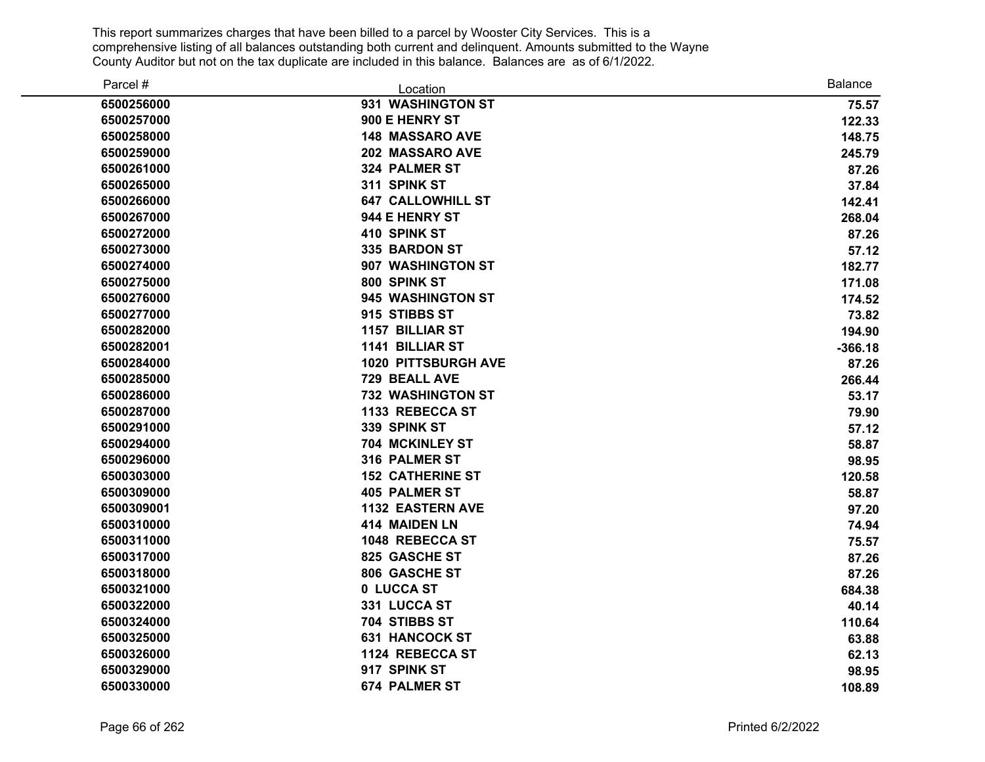| Parcel #   | Location                 | <b>Balance</b> |
|------------|--------------------------|----------------|
| 6500256000 | 931 WASHINGTON ST        | 75.57          |
| 6500257000 | 900 E HENRY ST           | 122.33         |
| 6500258000 | <b>148 MASSARO AVE</b>   | 148.75         |
| 6500259000 | 202 MASSARO AVE          | 245.79         |
| 6500261000 | <b>324 PALMER ST</b>     | 87.26          |
| 6500265000 | 311 SPINK ST             | 37.84          |
| 6500266000 | <b>647 CALLOWHILL ST</b> | 142.41         |
| 6500267000 | 944 E HENRY ST           | 268.04         |
| 6500272000 | 410 SPINK ST             | 87.26          |
| 6500273000 | 335 BARDON ST            | 57.12          |
| 6500274000 | 907 WASHINGTON ST        | 182.77         |
| 6500275000 | 800 SPINK ST             | 171.08         |
| 6500276000 | 945 WASHINGTON ST        | 174.52         |
| 6500277000 | 915 STIBBS ST            | 73.82          |
| 6500282000 | <b>1157 BILLIAR ST</b>   | 194.90         |
| 6500282001 | <b>1141 BILLIAR ST</b>   | $-366.18$      |
| 6500284000 | 1020 PITTSBURGH AVE      | 87.26          |
| 6500285000 | 729 BEALL AVE            | 266.44         |
| 6500286000 | <b>732 WASHINGTON ST</b> | 53.17          |
| 6500287000 | 1133 REBECCA ST          | 79.90          |
| 6500291000 | 339 SPINK ST             | 57.12          |
| 6500294000 | 704 MCKINLEY ST          | 58.87          |
| 6500296000 | 316 PALMER ST            | 98.95          |
| 6500303000 | <b>152 CATHERINE ST</b>  | 120.58         |
| 6500309000 | <b>405 PALMER ST</b>     | 58.87          |
| 6500309001 | <b>1132 EASTERN AVE</b>  | 97.20          |
| 6500310000 | 414 MAIDEN LN            | 74.94          |
| 6500311000 | 1048 REBECCA ST          | 75.57          |
| 6500317000 | 825 GASCHE ST            | 87.26          |
| 6500318000 | 806 GASCHE ST            | 87.26          |
| 6500321000 | 0 LUCCA ST               | 684.38         |
| 6500322000 | 331 LUCCA ST             | 40.14          |
| 6500324000 | 704 STIBBS ST            | 110.64         |
| 6500325000 | <b>631 HANCOCK ST</b>    | 63.88          |
| 6500326000 | 1124 REBECCA ST          | 62.13          |
| 6500329000 | 917 SPINK ST             | 98.95          |
| 6500330000 | <b>674 PALMER ST</b>     | 108.89         |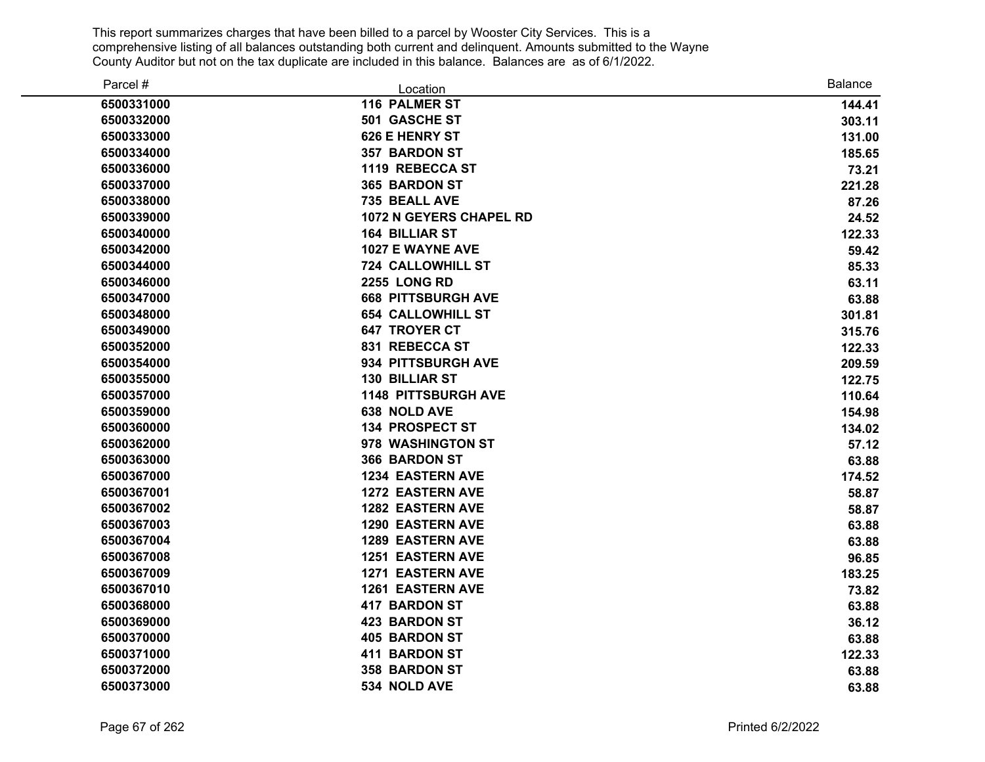| Parcel #   | Location                       | <b>Balance</b> |
|------------|--------------------------------|----------------|
| 6500331000 | 116 PALMER ST                  | 144.41         |
| 6500332000 | 501 GASCHE ST                  | 303.11         |
| 6500333000 | 626 E HENRY ST                 | 131.00         |
| 6500334000 | <b>357 BARDON ST</b>           | 185.65         |
| 6500336000 | 1119 REBECCA ST                | 73.21          |
| 6500337000 | 365 BARDON ST                  | 221.28         |
| 6500338000 | 735 BEALL AVE                  | 87.26          |
| 6500339000 | <b>1072 N GEYERS CHAPEL RD</b> | 24.52          |
| 6500340000 | <b>164 BILLIAR ST</b>          | 122.33         |
| 6500342000 | 1027 E WAYNE AVE               | 59.42          |
| 6500344000 | <b>724 CALLOWHILL ST</b>       | 85.33          |
| 6500346000 | <b>2255 LONG RD</b>            | 63.11          |
| 6500347000 | <b>668 PITTSBURGH AVE</b>      | 63.88          |
| 6500348000 | <b>654 CALLOWHILL ST</b>       | 301.81         |
| 6500349000 | <b>647 TROYER CT</b>           | 315.76         |
| 6500352000 | 831 REBECCA ST                 | 122.33         |
| 6500354000 | 934 PITTSBURGH AVE             | 209.59         |
| 6500355000 | <b>130 BILLIAR ST</b>          | 122.75         |
| 6500357000 | <b>1148 PITTSBURGH AVE</b>     | 110.64         |
| 6500359000 | <b>638 NOLD AVE</b>            | 154.98         |
| 6500360000 | <b>134 PROSPECT ST</b>         | 134.02         |
| 6500362000 | 978 WASHINGTON ST              | 57.12          |
| 6500363000 | 366 BARDON ST                  | 63.88          |
| 6500367000 | <b>1234 EASTERN AVE</b>        | 174.52         |
| 6500367001 | <b>1272 EASTERN AVE</b>        | 58.87          |
| 6500367002 | <b>1282 EASTERN AVE</b>        | 58.87          |
| 6500367003 | <b>1290 EASTERN AVE</b>        | 63.88          |
| 6500367004 | <b>1289 EASTERN AVE</b>        | 63.88          |
| 6500367008 | <b>1251 EASTERN AVE</b>        | 96.85          |
| 6500367009 | <b>1271 EASTERN AVE</b>        | 183.25         |
| 6500367010 | <b>1261 EASTERN AVE</b>        | 73.82          |
| 6500368000 | <b>417 BARDON ST</b>           | 63.88          |
| 6500369000 | <b>423 BARDON ST</b>           | 36.12          |
| 6500370000 | <b>405 BARDON ST</b>           | 63.88          |
| 6500371000 | <b>411 BARDON ST</b>           | 122.33         |
| 6500372000 | 358 BARDON ST                  | 63.88          |
| 6500373000 | 534 NOLD AVE                   | 63.88          |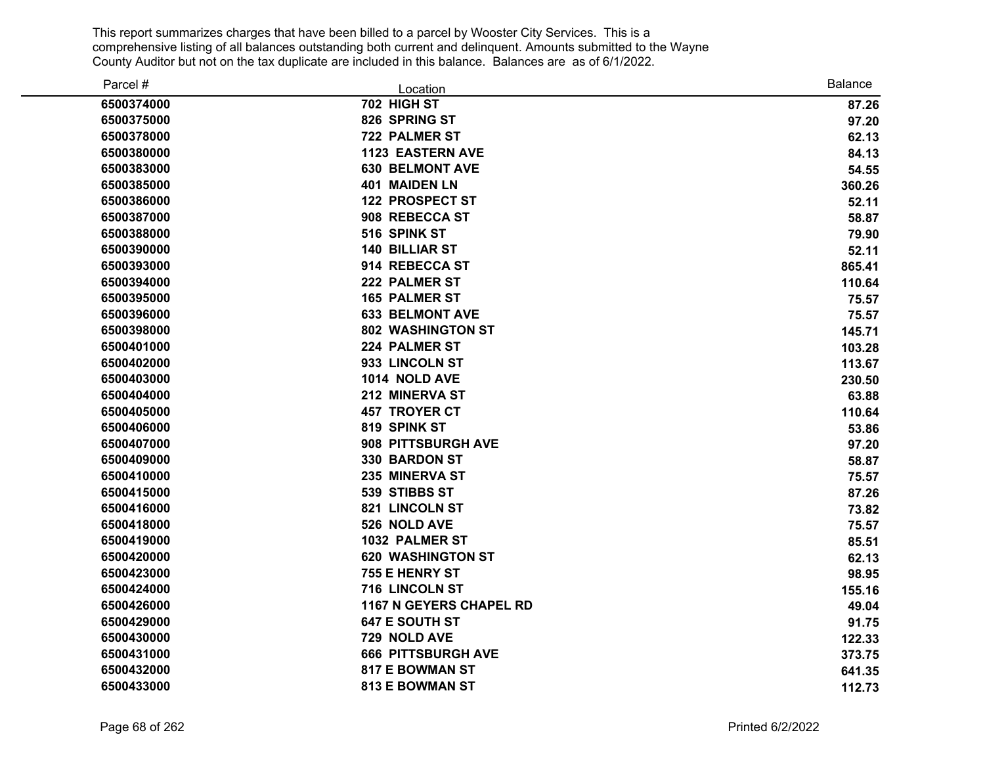| Parcel #   | Location                       | <b>Balance</b> |
|------------|--------------------------------|----------------|
| 6500374000 | 702 HIGH ST                    | 87.26          |
| 6500375000 | 826 SPRING ST                  | 97.20          |
| 6500378000 | <b>722 PALMER ST</b>           | 62.13          |
| 6500380000 | <b>1123 EASTERN AVE</b>        | 84.13          |
| 6500383000 | <b>630 BELMONT AVE</b>         | 54.55          |
| 6500385000 | 401 MAIDEN LN                  | 360.26         |
| 6500386000 | <b>122 PROSPECT ST</b>         | 52.11          |
| 6500387000 | 908 REBECCA ST                 | 58.87          |
| 6500388000 | 516 SPINK ST                   | 79.90          |
| 6500390000 | <b>140 BILLIAR ST</b>          | 52.11          |
| 6500393000 | 914 REBECCA ST                 | 865.41         |
| 6500394000 | 222 PALMER ST                  | 110.64         |
| 6500395000 | <b>165 PALMER ST</b>           | 75.57          |
| 6500396000 | <b>633 BELMONT AVE</b>         | 75.57          |
| 6500398000 | <b>802 WASHINGTON ST</b>       | 145.71         |
| 6500401000 | 224 PALMER ST                  | 103.28         |
| 6500402000 | 933 LINCOLN ST                 | 113.67         |
| 6500403000 | 1014 NOLD AVE                  | 230.50         |
| 6500404000 | 212 MINERVA ST                 | 63.88          |
| 6500405000 | <b>457 TROYER CT</b>           | 110.64         |
| 6500406000 | 819 SPINK ST                   | 53.86          |
| 6500407000 | 908 PITTSBURGH AVE             | 97.20          |
| 6500409000 | 330 BARDON ST                  | 58.87          |
| 6500410000 | 235 MINERVA ST                 | 75.57          |
| 6500415000 | 539 STIBBS ST                  | 87.26          |
| 6500416000 | 821 LINCOLN ST                 | 73.82          |
| 6500418000 | 526 NOLD AVE                   | 75.57          |
| 6500419000 | 1032 PALMER ST                 | 85.51          |
| 6500420000 | <b>620 WASHINGTON ST</b>       | 62.13          |
| 6500423000 | 755 E HENRY ST                 | 98.95          |
| 6500424000 | 716 LINCOLN ST                 | 155.16         |
| 6500426000 | <b>1167 N GEYERS CHAPEL RD</b> | 49.04          |
| 6500429000 | 647 E SOUTH ST                 | 91.75          |
| 6500430000 | 729 NOLD AVE                   | 122.33         |
| 6500431000 | <b>666 PITTSBURGH AVE</b>      | 373.75         |
| 6500432000 | <b>817 E BOWMAN ST</b>         | 641.35         |
| 6500433000 | <b>813 E BOWMAN ST</b>         | 112.73         |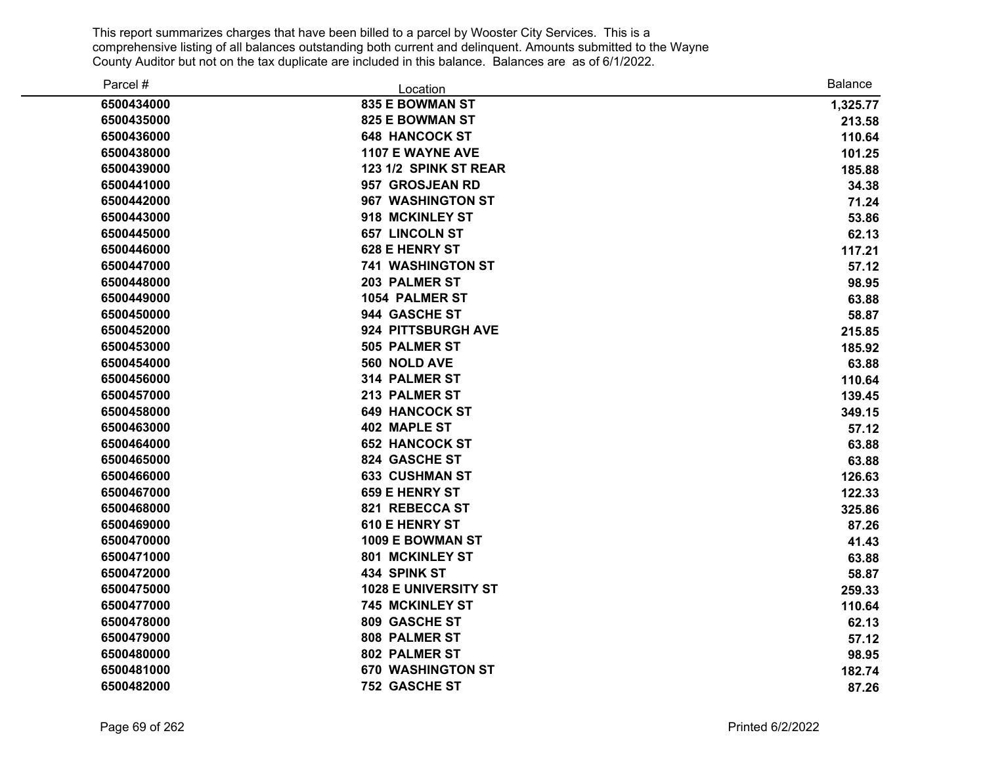| Parcel #   | Location                    | <b>Balance</b> |
|------------|-----------------------------|----------------|
| 6500434000 | 835 E BOWMAN ST             | 1,325.77       |
| 6500435000 | <b>825 E BOWMAN ST</b>      | 213.58         |
| 6500436000 | <b>648 HANCOCK ST</b>       | 110.64         |
| 6500438000 | <b>1107 E WAYNE AVE</b>     | 101.25         |
| 6500439000 | 123 1/2 SPINK ST REAR       | 185.88         |
| 6500441000 | 957 GROSJEAN RD             | 34.38          |
| 6500442000 | 967 WASHINGTON ST           | 71.24          |
| 6500443000 | 918 MCKINLEY ST             | 53.86          |
| 6500445000 | <b>657 LINCOLN ST</b>       | 62.13          |
| 6500446000 | 628 E HENRY ST              | 117.21         |
| 6500447000 | <b>741 WASHINGTON ST</b>    | 57.12          |
| 6500448000 | 203 PALMER ST               | 98.95          |
| 6500449000 | <b>1054 PALMER ST</b>       | 63.88          |
| 6500450000 | 944 GASCHE ST               | 58.87          |
| 6500452000 | 924 PITTSBURGH AVE          | 215.85         |
| 6500453000 | 505 PALMER ST               | 185.92         |
| 6500454000 | 560 NOLD AVE                | 63.88          |
| 6500456000 | 314 PALMER ST               | 110.64         |
| 6500457000 | 213 PALMER ST               | 139.45         |
| 6500458000 | <b>649 HANCOCK ST</b>       | 349.15         |
| 6500463000 | <b>402 MAPLE ST</b>         | 57.12          |
| 6500464000 | <b>652 HANCOCK ST</b>       | 63.88          |
| 6500465000 | 824 GASCHE ST               | 63.88          |
| 6500466000 | <b>633 CUSHMAN ST</b>       | 126.63         |
| 6500467000 | <b>659 E HENRY ST</b>       | 122.33         |
| 6500468000 | 821 REBECCA ST              | 325.86         |
| 6500469000 | <b>610 E HENRY ST</b>       | 87.26          |
| 6500470000 | 1009 E BOWMAN ST            | 41.43          |
| 6500471000 | 801 MCKINLEY ST             | 63.88          |
| 6500472000 | 434 SPINK ST                | 58.87          |
| 6500475000 | <b>1028 E UNIVERSITY ST</b> | 259.33         |
| 6500477000 | 745 MCKINLEY ST             | 110.64         |
| 6500478000 | 809 GASCHE ST               | 62.13          |
| 6500479000 | 808 PALMER ST               | 57.12          |
| 6500480000 | 802 PALMER ST               | 98.95          |
| 6500481000 | <b>670 WASHINGTON ST</b>    | 182.74         |
| 6500482000 | 752 GASCHE ST               | 87.26          |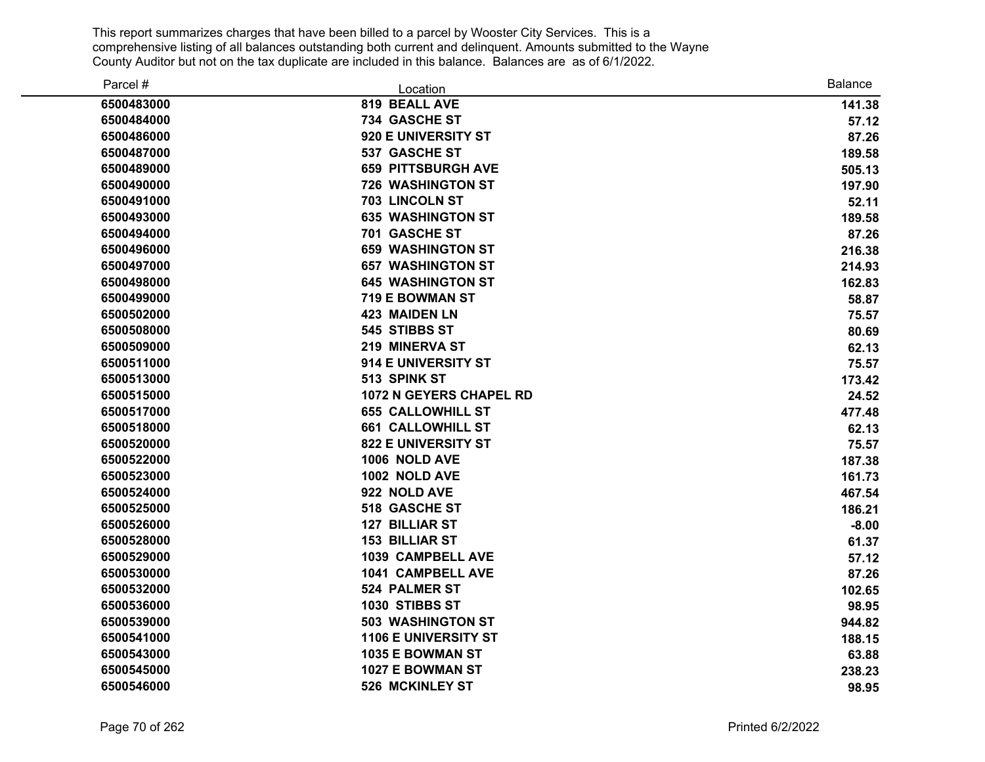| Parcel #   | Location                       | <b>Balance</b> |
|------------|--------------------------------|----------------|
| 6500483000 | 819 BEALL AVE                  | 141.38         |
| 6500484000 | 734 GASCHE ST                  | 57.12          |
| 6500486000 | 920 E UNIVERSITY ST            | 87.26          |
| 6500487000 | 537 GASCHE ST                  | 189.58         |
| 6500489000 | <b>659 PITTSBURGH AVE</b>      | 505.13         |
| 6500490000 | <b>726 WASHINGTON ST</b>       | 197.90         |
| 6500491000 | <b>703 LINCOLN ST</b>          | 52.11          |
| 6500493000 | <b>635 WASHINGTON ST</b>       | 189.58         |
| 6500494000 | 701 GASCHE ST                  | 87.26          |
| 6500496000 | <b>659 WASHINGTON ST</b>       | 216.38         |
| 6500497000 | <b>657 WASHINGTON ST</b>       | 214.93         |
| 6500498000 | <b>645 WASHINGTON ST</b>       | 162.83         |
| 6500499000 | 719 E BOWMAN ST                | 58.87          |
| 6500502000 | <b>423 MAIDEN LN</b>           | 75.57          |
| 6500508000 | 545 STIBBS ST                  | 80.69          |
| 6500509000 | 219 MINERVA ST                 | 62.13          |
| 6500511000 | 914 E UNIVERSITY ST            | 75.57          |
| 6500513000 | 513 SPINK ST                   | 173.42         |
| 6500515000 | <b>1072 N GEYERS CHAPEL RD</b> | 24.52          |
| 6500517000 | <b>655 CALLOWHILL ST</b>       | 477.48         |
| 6500518000 | <b>661 CALLOWHILL ST</b>       | 62.13          |
| 6500520000 | <b>822 E UNIVERSITY ST</b>     | 75.57          |
| 6500522000 | 1006 NOLD AVE                  | 187.38         |
| 6500523000 | 1002 NOLD AVE                  | 161.73         |
| 6500524000 | 922 NOLD AVE                   | 467.54         |
| 6500525000 | 518 GASCHE ST                  | 186.21         |
| 6500526000 | 127 BILLIAR ST                 | $-8.00$        |
| 6500528000 | <b>153 BILLIAR ST</b>          | 61.37          |
| 6500529000 | 1039 CAMPBELL AVE              | 57.12          |
| 6500530000 | 1041 CAMPBELL AVE              | 87.26          |
| 6500532000 | <b>524 PALMER ST</b>           | 102.65         |
| 6500536000 | 1030 STIBBS ST                 | 98.95          |
| 6500539000 | <b>503 WASHINGTON ST</b>       | 944.82         |
| 6500541000 | <b>1106 E UNIVERSITY ST</b>    | 188.15         |
| 6500543000 | 1035 E BOWMAN ST               | 63.88          |
| 6500545000 | <b>1027 E BOWMAN ST</b>        | 238.23         |
| 6500546000 | <b>526 MCKINLEY ST</b>         | 98.95          |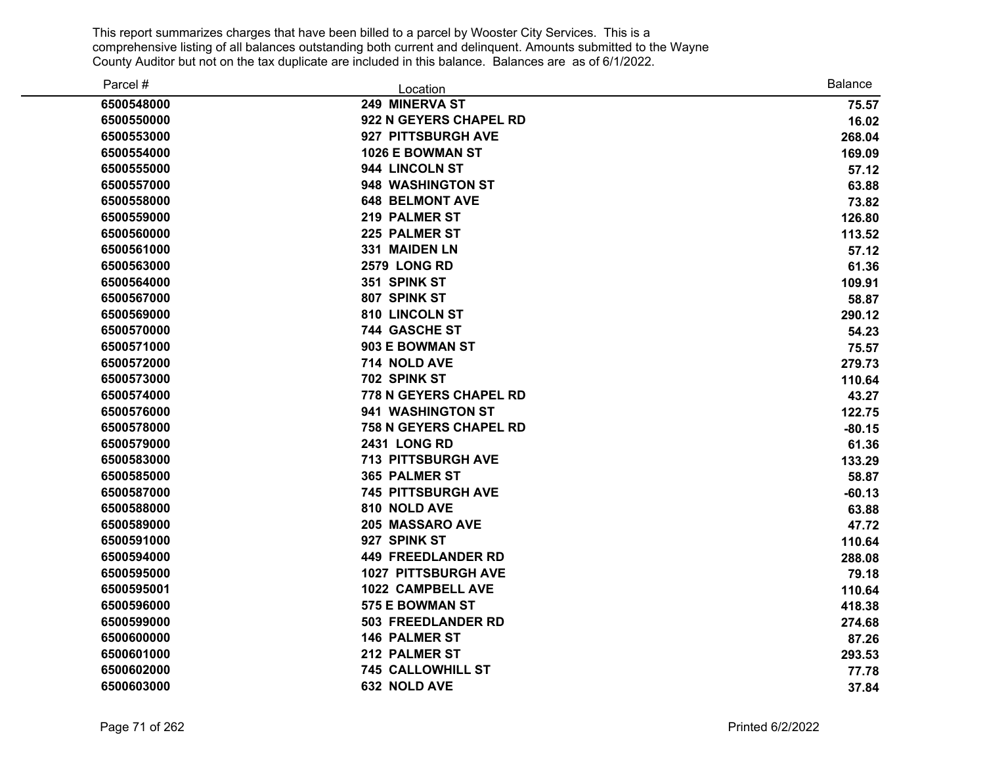| Parcel #   | Location                      | Balance  |
|------------|-------------------------------|----------|
| 6500548000 | 249 MINERVA ST                | 75.57    |
| 6500550000 | 922 N GEYERS CHAPEL RD        | 16.02    |
| 6500553000 | 927 PITTSBURGH AVE            | 268.04   |
| 6500554000 | 1026 E BOWMAN ST              | 169.09   |
| 6500555000 | 944 LINCOLN ST                | 57.12    |
| 6500557000 | 948 WASHINGTON ST             | 63.88    |
| 6500558000 | <b>648 BELMONT AVE</b>        | 73.82    |
| 6500559000 | 219 PALMER ST                 | 126.80   |
| 6500560000 | 225 PALMER ST                 | 113.52   |
| 6500561000 | 331 MAIDEN LN                 | 57.12    |
| 6500563000 | <b>2579 LONG RD</b>           | 61.36    |
| 6500564000 | 351 SPINK ST                  | 109.91   |
| 6500567000 | 807 SPINK ST                  | 58.87    |
| 6500569000 | 810 LINCOLN ST                | 290.12   |
| 6500570000 | 744 GASCHE ST                 | 54.23    |
| 6500571000 | 903 E BOWMAN ST               | 75.57    |
| 6500572000 | 714 NOLD AVE                  | 279.73   |
| 6500573000 | 702 SPINK ST                  | 110.64   |
| 6500574000 | <b>778 N GEYERS CHAPEL RD</b> | 43.27    |
| 6500576000 | 941 WASHINGTON ST             | 122.75   |
| 6500578000 | <b>758 N GEYERS CHAPEL RD</b> | $-80.15$ |
| 6500579000 | <b>2431 LONG RD</b>           | 61.36    |
| 6500583000 | <b>713 PITTSBURGH AVE</b>     | 133.29   |
| 6500585000 | 365 PALMER ST                 | 58.87    |
| 6500587000 | <b>745 PITTSBURGH AVE</b>     | $-60.13$ |
| 6500588000 | 810 NOLD AVE                  | 63.88    |
| 6500589000 | 205 MASSARO AVE               | 47.72    |
| 6500591000 | 927 SPINK ST                  | 110.64   |
| 6500594000 | <b>449 FREEDLANDER RD</b>     | 288.08   |
| 6500595000 | <b>1027 PITTSBURGH AVE</b>    | 79.18    |
| 6500595001 | 1022 CAMPBELL AVE             | 110.64   |
| 6500596000 | 575 E BOWMAN ST               | 418.38   |
| 6500599000 | 503 FREEDLANDER RD            | 274.68   |
| 6500600000 | <b>146 PALMER ST</b>          | 87.26    |
| 6500601000 | 212 PALMER ST                 | 293.53   |
| 6500602000 | <b>745 CALLOWHILL ST</b>      | 77.78    |
| 6500603000 | 632 NOLD AVE                  | 37.84    |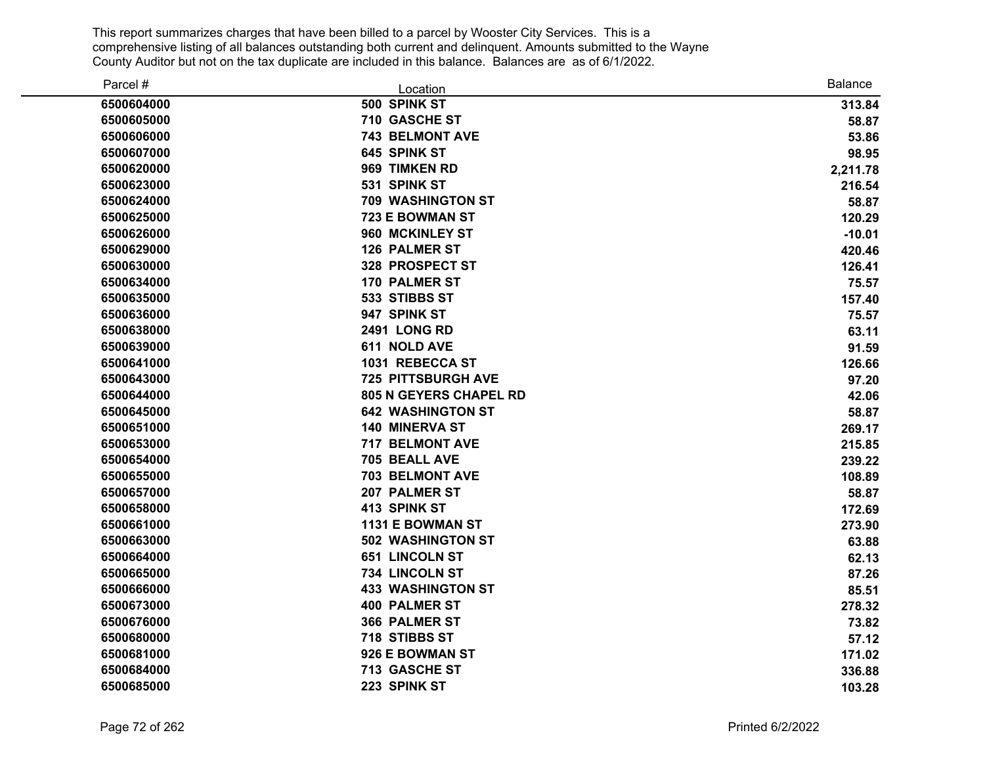| Parcel #   | Location                      | <b>Balance</b> |
|------------|-------------------------------|----------------|
| 6500604000 | 500 SPINK ST                  | 313.84         |
| 6500605000 | 710 GASCHE ST                 | 58.87          |
| 6500606000 | <b>743 BELMONT AVE</b>        | 53.86          |
| 6500607000 | 645 SPINK ST                  | 98.95          |
| 6500620000 | 969 TIMKEN RD                 | 2,211.78       |
| 6500623000 | 531 SPINK ST                  | 216.54         |
| 6500624000 | <b>709 WASHINGTON ST</b>      | 58.87          |
| 6500625000 | 723 E BOWMAN ST               | 120.29         |
| 6500626000 | 960 MCKINLEY ST               | $-10.01$       |
| 6500629000 | <b>126 PALMER ST</b>          | 420.46         |
| 6500630000 | 328 PROSPECT ST               | 126.41         |
| 6500634000 | <b>170 PALMER ST</b>          | 75.57          |
| 6500635000 | 533 STIBBS ST                 | 157.40         |
| 6500636000 | 947 SPINK ST                  | 75.57          |
| 6500638000 | 2491 LONG RD                  | 63.11          |
| 6500639000 | 611 NOLD AVE                  | 91.59          |
| 6500641000 | 1031 REBECCA ST               | 126.66         |
| 6500643000 | <b>725 PITTSBURGH AVE</b>     | 97.20          |
| 6500644000 | <b>805 N GEYERS CHAPEL RD</b> | 42.06          |
| 6500645000 | <b>642 WASHINGTON ST</b>      | 58.87          |
| 6500651000 | <b>140 MINERVA ST</b>         | 269.17         |
| 6500653000 | 717 BELMONT AVE               | 215.85         |
| 6500654000 | 705 BEALL AVE                 | 239.22         |
| 6500655000 | <b>703 BELMONT AVE</b>        | 108.89         |
| 6500657000 | 207 PALMER ST                 | 58.87          |
| 6500658000 | 413 SPINK ST                  | 172.69         |
| 6500661000 | 1131 E BOWMAN ST              | 273.90         |
| 6500663000 | <b>502 WASHINGTON ST</b>      | 63.88          |
| 6500664000 | <b>651 LINCOLN ST</b>         | 62.13          |
| 6500665000 | 734 LINCOLN ST                | 87.26          |
| 6500666000 | <b>433 WASHINGTON ST</b>      | 85.51          |
| 6500673000 | <b>400 PALMER ST</b>          | 278.32         |
| 6500676000 | 366 PALMER ST                 | 73.82          |
| 6500680000 | 718 STIBBS ST                 | 57.12          |
| 6500681000 | 926 E BOWMAN ST               | 171.02         |
| 6500684000 | 713 GASCHE ST                 | 336.88         |
| 6500685000 | 223 SPINK ST                  | 103.28         |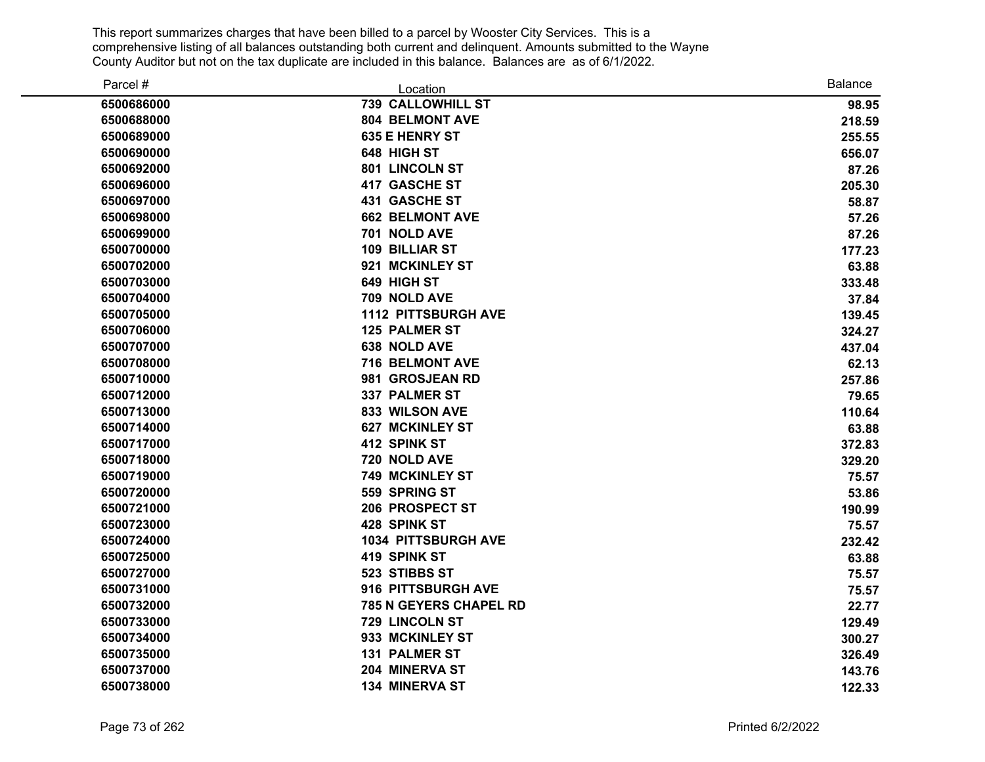| Parcel #   | Location                      | <b>Balance</b> |
|------------|-------------------------------|----------------|
| 6500686000 | <b>739 CALLOWHILL ST</b>      | 98.95          |
| 6500688000 | <b>804 BELMONT AVE</b>        | 218.59         |
| 6500689000 | <b>635 E HENRY ST</b>         | 255.55         |
| 6500690000 | 648 HIGH ST                   | 656.07         |
| 6500692000 | 801 LINCOLN ST                | 87.26          |
| 6500696000 | <b>417 GASCHE ST</b>          | 205.30         |
| 6500697000 | 431 GASCHE ST                 | 58.87          |
| 6500698000 | <b>662 BELMONT AVE</b>        | 57.26          |
| 6500699000 | 701 NOLD AVE                  | 87.26          |
| 6500700000 | 109 BILLIAR ST                | 177.23         |
| 6500702000 | 921 MCKINLEY ST               | 63.88          |
| 6500703000 | 649 HIGH ST                   | 333.48         |
| 6500704000 | 709 NOLD AVE                  | 37.84          |
| 6500705000 | <b>1112 PITTSBURGH AVE</b>    | 139.45         |
| 6500706000 | <b>125 PALMER ST</b>          | 324.27         |
| 6500707000 | 638 NOLD AVE                  | 437.04         |
| 6500708000 | 716 BELMONT AVE               | 62.13          |
| 6500710000 | 981 GROSJEAN RD               | 257.86         |
| 6500712000 | <b>337 PALMER ST</b>          | 79.65          |
| 6500713000 | 833 WILSON AVE                | 110.64         |
| 6500714000 | <b>627 MCKINLEY ST</b>        | 63.88          |
| 6500717000 | 412 SPINK ST                  | 372.83         |
| 6500718000 | 720 NOLD AVE                  | 329.20         |
| 6500719000 | <b>749 MCKINLEY ST</b>        | 75.57          |
| 6500720000 | 559 SPRING ST                 | 53.86          |
| 6500721000 | 206 PROSPECT ST               | 190.99         |
| 6500723000 | 428 SPINK ST                  | 75.57          |
| 6500724000 | <b>1034 PITTSBURGH AVE</b>    | 232.42         |
| 6500725000 | 419 SPINK ST                  | 63.88          |
| 6500727000 | 523 STIBBS ST                 | 75.57          |
| 6500731000 | 916 PITTSBURGH AVE            | 75.57          |
| 6500732000 | <b>785 N GEYERS CHAPEL RD</b> | 22.77          |
| 6500733000 | 729 LINCOLN ST                | 129.49         |
| 6500734000 | 933 MCKINLEY ST               | 300.27         |
| 6500735000 | <b>131 PALMER ST</b>          | 326.49         |
| 6500737000 | 204 MINERVA ST                | 143.76         |
| 6500738000 | <b>134 MINERVA ST</b>         | 122.33         |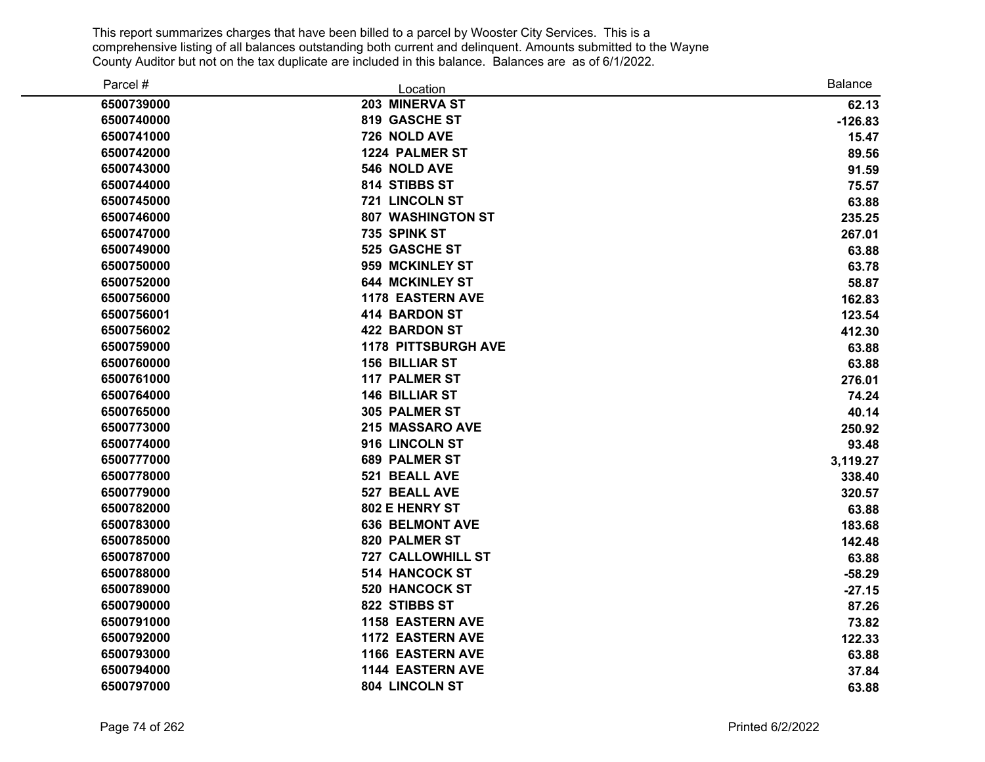| Parcel #   | Location                   | <b>Balance</b> |
|------------|----------------------------|----------------|
| 6500739000 | 203 MINERVA ST             | 62.13          |
| 6500740000 | 819 GASCHE ST              | $-126.83$      |
| 6500741000 | 726 NOLD AVE               | 15.47          |
| 6500742000 | 1224 PALMER ST             | 89.56          |
| 6500743000 | 546 NOLD AVE               | 91.59          |
| 6500744000 | 814 STIBBS ST              | 75.57          |
| 6500745000 | 721 LINCOLN ST             | 63.88          |
| 6500746000 | <b>807 WASHINGTON ST</b>   | 235.25         |
| 6500747000 | 735 SPINK ST               | 267.01         |
| 6500749000 | 525 GASCHE ST              | 63.88          |
| 6500750000 | 959 MCKINLEY ST            | 63.78          |
| 6500752000 | <b>644 MCKINLEY ST</b>     | 58.87          |
| 6500756000 | <b>1178 EASTERN AVE</b>    | 162.83         |
| 6500756001 | <b>414 BARDON ST</b>       | 123.54         |
| 6500756002 | <b>422 BARDON ST</b>       | 412.30         |
| 6500759000 | <b>1178 PITTSBURGH AVE</b> | 63.88          |
| 6500760000 | <b>156 BILLIAR ST</b>      | 63.88          |
| 6500761000 | <b>117 PALMER ST</b>       | 276.01         |
| 6500764000 | <b>146 BILLIAR ST</b>      | 74.24          |
| 6500765000 | <b>305 PALMER ST</b>       | 40.14          |
| 6500773000 | 215 MASSARO AVE            | 250.92         |
| 6500774000 | 916 LINCOLN ST             | 93.48          |
| 6500777000 | <b>689 PALMER ST</b>       | 3,119.27       |
| 6500778000 | 521 BEALL AVE              | 338.40         |
| 6500779000 | 527 BEALL AVE              | 320.57         |
| 6500782000 | 802 E HENRY ST             | 63.88          |
| 6500783000 | <b>636 BELMONT AVE</b>     | 183.68         |
| 6500785000 | 820 PALMER ST              | 142.48         |
| 6500787000 | <b>727 CALLOWHILL ST</b>   | 63.88          |
| 6500788000 | <b>514 HANCOCK ST</b>      | $-58.29$       |
| 6500789000 | 520 HANCOCK ST             | $-27.15$       |
| 6500790000 | 822 STIBBS ST              | 87.26          |
| 6500791000 | <b>1158 EASTERN AVE</b>    | 73.82          |
| 6500792000 | <b>1172 EASTERN AVE</b>    | 122.33         |
| 6500793000 | <b>1166 EASTERN AVE</b>    | 63.88          |
| 6500794000 | <b>1144 EASTERN AVE</b>    | 37.84          |
| 6500797000 | 804 LINCOLN ST             | 63.88          |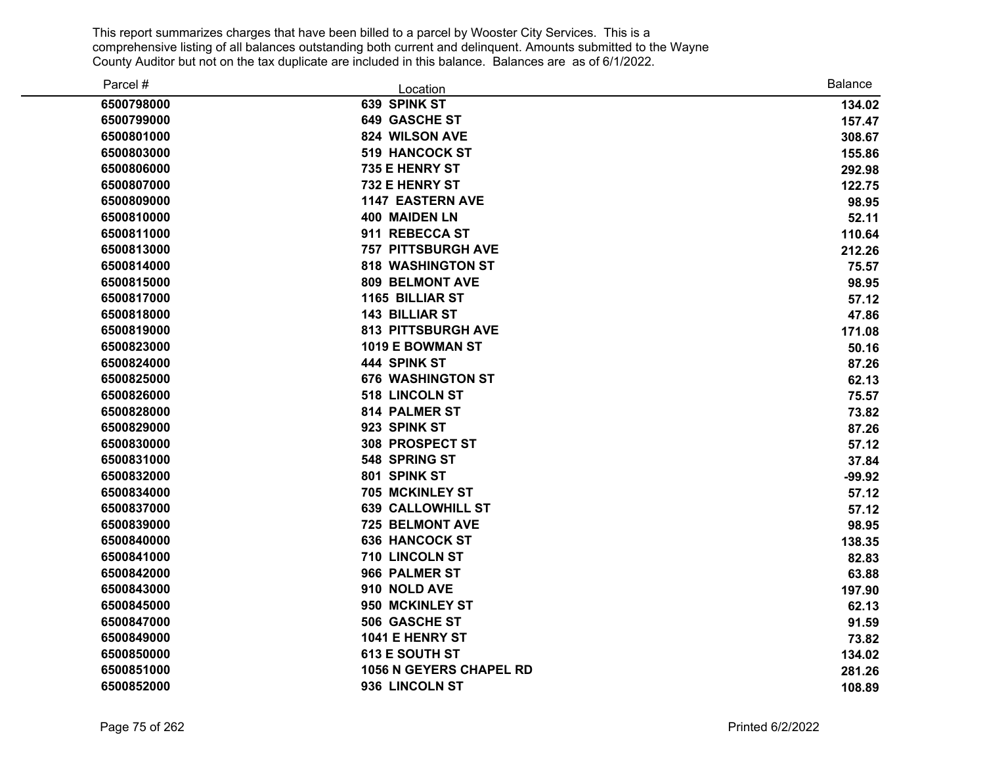| Parcel #   | Location                       | <b>Balance</b> |
|------------|--------------------------------|----------------|
| 6500798000 | 639 SPINK ST                   | 134.02         |
| 6500799000 | <b>649 GASCHE ST</b>           | 157.47         |
| 6500801000 | 824 WILSON AVE                 | 308.67         |
| 6500803000 | <b>519 HANCOCK ST</b>          | 155.86         |
| 6500806000 | 735 E HENRY ST                 | 292.98         |
| 6500807000 | 732 E HENRY ST                 | 122.75         |
| 6500809000 | <b>1147 EASTERN AVE</b>        | 98.95          |
| 6500810000 | <b>400 MAIDEN LN</b>           | 52.11          |
| 6500811000 | 911 REBECCA ST                 | 110.64         |
| 6500813000 | <b>757 PITTSBURGH AVE</b>      | 212.26         |
| 6500814000 | <b>818 WASHINGTON ST</b>       | 75.57          |
| 6500815000 | <b>809 BELMONT AVE</b>         | 98.95          |
| 6500817000 | <b>1165 BILLIAR ST</b>         | 57.12          |
| 6500818000 | <b>143 BILLIAR ST</b>          | 47.86          |
| 6500819000 | <b>813 PITTSBURGH AVE</b>      | 171.08         |
| 6500823000 | 1019 E BOWMAN ST               | 50.16          |
| 6500824000 | 444 SPINK ST                   | 87.26          |
| 6500825000 | <b>676 WASHINGTON ST</b>       | 62.13          |
| 6500826000 | 518 LINCOLN ST                 | 75.57          |
| 6500828000 | 814 PALMER ST                  | 73.82          |
| 6500829000 | 923 SPINK ST                   | 87.26          |
| 6500830000 | <b>308 PROSPECT ST</b>         | 57.12          |
| 6500831000 | 548 SPRING ST                  | 37.84          |
| 6500832000 | 801 SPINK ST                   | $-99.92$       |
| 6500834000 | 705 MCKINLEY ST                | 57.12          |
| 6500837000 | <b>639 CALLOWHILL ST</b>       | 57.12          |
| 6500839000 | <b>725 BELMONT AVE</b>         | 98.95          |
| 6500840000 | <b>636 HANCOCK ST</b>          | 138.35         |
| 6500841000 | 710 LINCOLN ST                 | 82.83          |
| 6500842000 | 966 PALMER ST                  | 63.88          |
| 6500843000 | 910 NOLD AVE                   | 197.90         |
| 6500845000 | 950 MCKINLEY ST                | 62.13          |
| 6500847000 | 506 GASCHE ST                  | 91.59          |
| 6500849000 | 1041 E HENRY ST                | 73.82          |
| 6500850000 | <b>613 E SOUTH ST</b>          | 134.02         |
| 6500851000 | <b>1056 N GEYERS CHAPEL RD</b> | 281.26         |
| 6500852000 | 936 LINCOLN ST                 | 108.89         |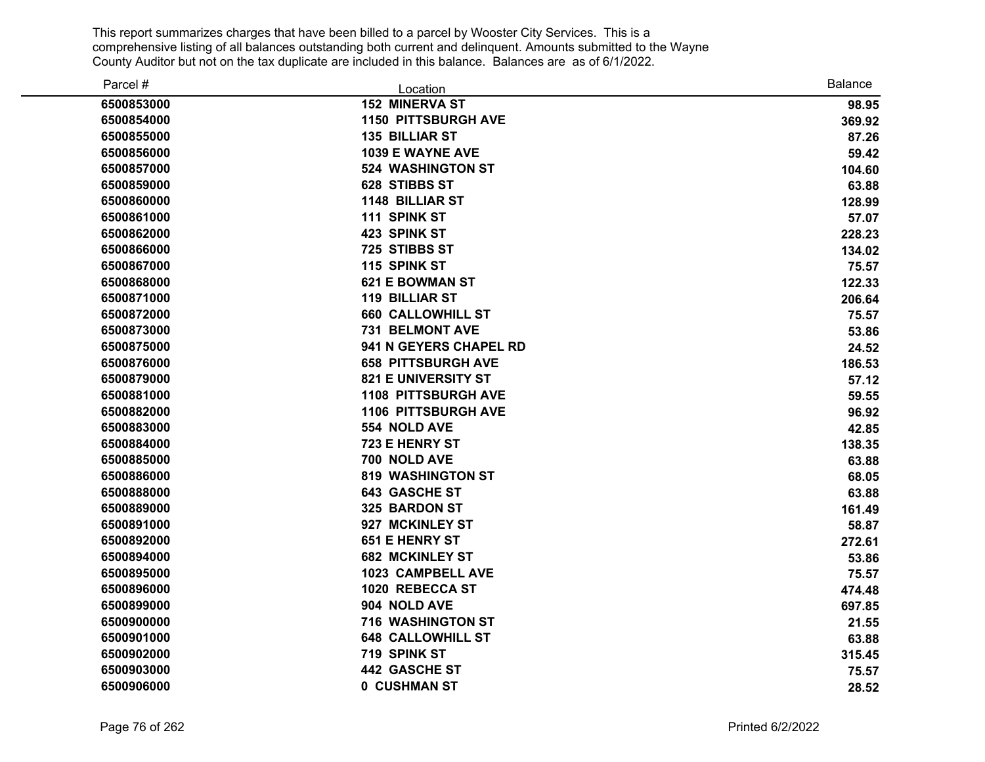| Parcel #   | Location                   | <b>Balance</b> |
|------------|----------------------------|----------------|
| 6500853000 | <b>152 MINERVA ST</b>      | 98.95          |
| 6500854000 | <b>1150 PITTSBURGH AVE</b> | 369.92         |
| 6500855000 | <b>135 BILLIAR ST</b>      | 87.26          |
| 6500856000 | 1039 E WAYNE AVE           | 59.42          |
| 6500857000 | <b>524 WASHINGTON ST</b>   | 104.60         |
| 6500859000 | 628 STIBBS ST              | 63.88          |
| 6500860000 | <b>1148 BILLIAR ST</b>     | 128.99         |
| 6500861000 | 111 SPINK ST               | 57.07          |
| 6500862000 | 423 SPINK ST               | 228.23         |
| 6500866000 | 725 STIBBS ST              | 134.02         |
| 6500867000 | 115 SPINK ST               | 75.57          |
| 6500868000 | <b>621 E BOWMAN ST</b>     | 122.33         |
| 6500871000 | <b>119 BILLIAR ST</b>      | 206.64         |
| 6500872000 | <b>660 CALLOWHILL ST</b>   | 75.57          |
| 6500873000 | 731 BELMONT AVE            | 53.86          |
| 6500875000 | 941 N GEYERS CHAPEL RD     | 24.52          |
| 6500876000 | <b>658 PITTSBURGH AVE</b>  | 186.53         |
| 6500879000 | <b>821 E UNIVERSITY ST</b> | 57.12          |
| 6500881000 | <b>1108 PITTSBURGH AVE</b> | 59.55          |
| 6500882000 | <b>1106 PITTSBURGH AVE</b> | 96.92          |
| 6500883000 | 554 NOLD AVE               | 42.85          |
| 6500884000 | 723 E HENRY ST             | 138.35         |
| 6500885000 | 700 NOLD AVE               | 63.88          |
| 6500886000 | <b>819 WASHINGTON ST</b>   | 68.05          |
| 6500888000 | <b>643 GASCHE ST</b>       | 63.88          |
| 6500889000 | 325 BARDON ST              | 161.49         |
| 6500891000 | 927 MCKINLEY ST            | 58.87          |
| 6500892000 | 651 E HENRY ST             | 272.61         |
| 6500894000 | <b>682 MCKINLEY ST</b>     | 53.86          |
| 6500895000 | 1023 CAMPBELL AVE          | 75.57          |
| 6500896000 | 1020 REBECCA ST            | 474.48         |
| 6500899000 | 904 NOLD AVE               | 697.85         |
| 6500900000 | <b>716 WASHINGTON ST</b>   | 21.55          |
| 6500901000 | <b>648 CALLOWHILL ST</b>   | 63.88          |
| 6500902000 | 719 SPINK ST               | 315.45         |
| 6500903000 | <b>442 GASCHE ST</b>       | 75.57          |
| 6500906000 | 0 CUSHMAN ST               | 28.52          |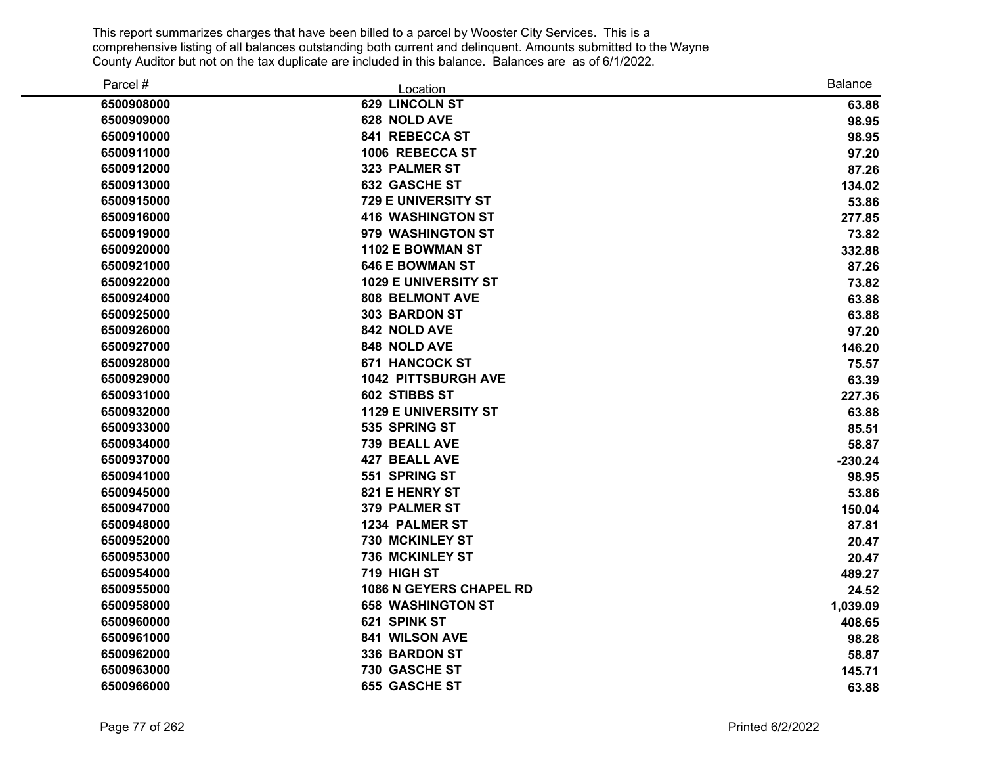| Parcel #   | Location                       | <b>Balance</b> |
|------------|--------------------------------|----------------|
| 6500908000 | 629 LINCOLN ST                 | 63.88          |
| 6500909000 | 628 NOLD AVE                   | 98.95          |
| 6500910000 | 841 REBECCA ST                 | 98.95          |
| 6500911000 | 1006 REBECCA ST                | 97.20          |
| 6500912000 | 323 PALMER ST                  | 87.26          |
| 6500913000 | 632 GASCHE ST                  | 134.02         |
| 6500915000 | 729 E UNIVERSITY ST            | 53.86          |
| 6500916000 | <b>416 WASHINGTON ST</b>       | 277.85         |
| 6500919000 | 979 WASHINGTON ST              | 73.82          |
| 6500920000 | 1102 E BOWMAN ST               | 332.88         |
| 6500921000 | <b>646 E BOWMAN ST</b>         | 87.26          |
| 6500922000 | <b>1029 E UNIVERSITY ST</b>    | 73.82          |
| 6500924000 | <b>808 BELMONT AVE</b>         | 63.88          |
| 6500925000 | 303 BARDON ST                  | 63.88          |
| 6500926000 | 842 NOLD AVE                   | 97.20          |
| 6500927000 | 848 NOLD AVE                   | 146.20         |
| 6500928000 | <b>671 HANCOCK ST</b>          | 75.57          |
| 6500929000 | <b>1042 PITTSBURGH AVE</b>     | 63.39          |
| 6500931000 | 602 STIBBS ST                  | 227.36         |
| 6500932000 | <b>1129 E UNIVERSITY ST</b>    | 63.88          |
| 6500933000 | 535 SPRING ST                  | 85.51          |
| 6500934000 | 739 BEALL AVE                  | 58.87          |
| 6500937000 | <b>427 BEALL AVE</b>           | $-230.24$      |
| 6500941000 | 551 SPRING ST                  | 98.95          |
| 6500945000 | 821 E HENRY ST                 | 53.86          |
| 6500947000 | 379 PALMER ST                  | 150.04         |
| 6500948000 | 1234 PALMER ST                 | 87.81          |
| 6500952000 | <b>730 MCKINLEY ST</b>         | 20.47          |
| 6500953000 | 736 MCKINLEY ST                | 20.47          |
| 6500954000 | 719 HIGH ST                    | 489.27         |
| 6500955000 | <b>1086 N GEYERS CHAPEL RD</b> | 24.52          |
| 6500958000 | <b>658 WASHINGTON ST</b>       | 1,039.09       |
| 6500960000 | 621 SPINK ST                   | 408.65         |
| 6500961000 | 841 WILSON AVE                 | 98.28          |
| 6500962000 | 336 BARDON ST                  | 58.87          |
| 6500963000 | 730 GASCHE ST                  | 145.71         |
| 6500966000 | <b>655 GASCHE ST</b>           | 63.88          |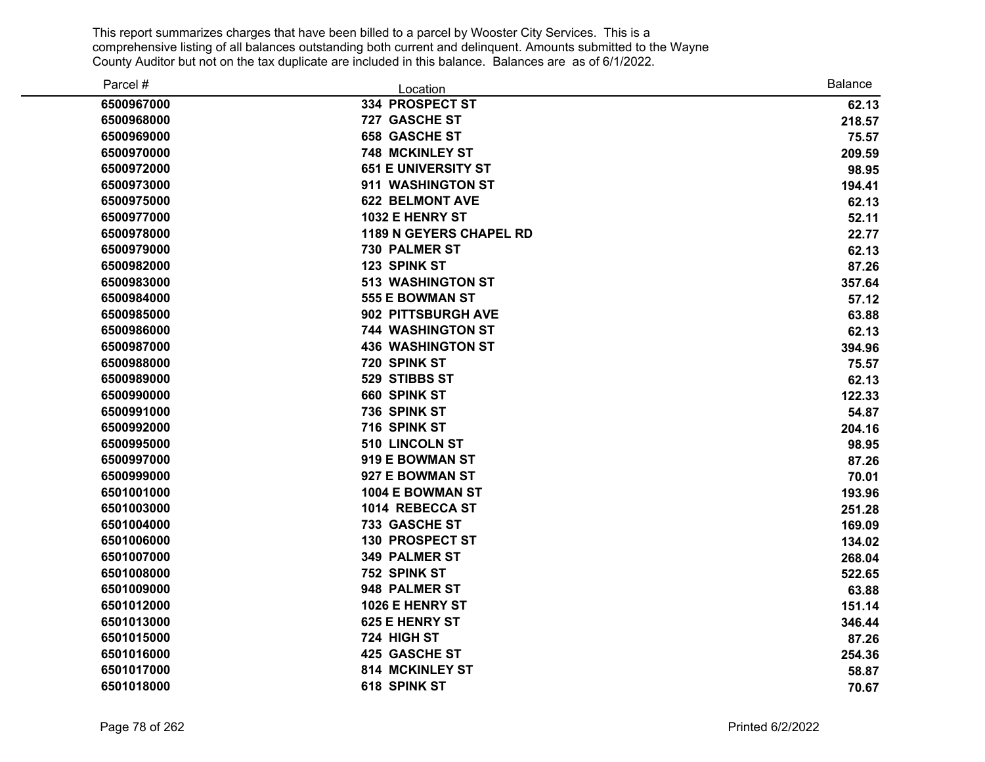| Parcel #   | Location                       | <b>Balance</b> |
|------------|--------------------------------|----------------|
| 6500967000 | 334 PROSPECT ST                | 62.13          |
| 6500968000 | 727 GASCHE ST                  | 218.57         |
| 6500969000 | <b>658 GASCHE ST</b>           | 75.57          |
| 6500970000 | <b>748 MCKINLEY ST</b>         | 209.59         |
| 6500972000 | <b>651 E UNIVERSITY ST</b>     | 98.95          |
| 6500973000 | 911 WASHINGTON ST              | 194.41         |
| 6500975000 | <b>622 BELMONT AVE</b>         | 62.13          |
| 6500977000 | 1032 E HENRY ST                | 52.11          |
| 6500978000 | <b>1189 N GEYERS CHAPEL RD</b> | 22.77          |
| 6500979000 | 730 PALMER ST                  | 62.13          |
| 6500982000 | 123 SPINK ST                   | 87.26          |
| 6500983000 | <b>513 WASHINGTON ST</b>       | 357.64         |
| 6500984000 | <b>555 E BOWMAN ST</b>         | 57.12          |
| 6500985000 | 902 PITTSBURGH AVE             | 63.88          |
| 6500986000 | <b>744 WASHINGTON ST</b>       | 62.13          |
| 6500987000 | <b>436 WASHINGTON ST</b>       | 394.96         |
| 6500988000 | 720 SPINK ST                   | 75.57          |
| 6500989000 | 529 STIBBS ST                  | 62.13          |
| 6500990000 | 660 SPINK ST                   | 122.33         |
| 6500991000 | 736 SPINK ST                   | 54.87          |
| 6500992000 | 716 SPINK ST                   | 204.16         |
| 6500995000 | 510 LINCOLN ST                 | 98.95          |
| 6500997000 | 919 E BOWMAN ST                | 87.26          |
| 6500999000 | 927 E BOWMAN ST                | 70.01          |
| 6501001000 | 1004 E BOWMAN ST               | 193.96         |
| 6501003000 | 1014 REBECCA ST                | 251.28         |
| 6501004000 | 733 GASCHE ST                  | 169.09         |
| 6501006000 | <b>130 PROSPECT ST</b>         | 134.02         |
| 6501007000 | 349 PALMER ST                  | 268.04         |
| 6501008000 | 752 SPINK ST                   | 522.65         |
| 6501009000 | 948 PALMER ST                  | 63.88          |
| 6501012000 | 1026 E HENRY ST                | 151.14         |
| 6501013000 | <b>625 E HENRY ST</b>          | 346.44         |
| 6501015000 | 724 HIGH ST                    | 87.26          |
| 6501016000 | 425 GASCHE ST                  | 254.36         |
| 6501017000 | 814 MCKINLEY ST                | 58.87          |
| 6501018000 | 618 SPINK ST                   | 70.67          |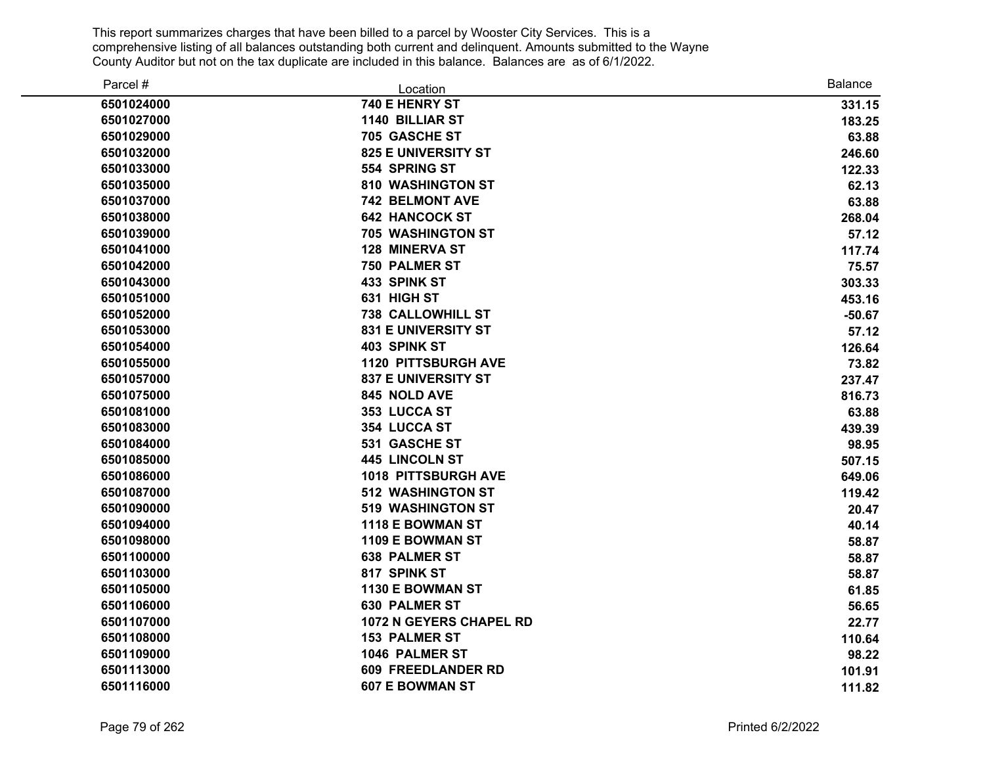| Parcel #   | Location                       | <b>Balance</b> |
|------------|--------------------------------|----------------|
| 6501024000 | 740 E HENRY ST                 | 331.15         |
| 6501027000 | <b>1140 BILLIAR ST</b>         | 183.25         |
| 6501029000 | 705 GASCHE ST                  | 63.88          |
| 6501032000 | <b>825 E UNIVERSITY ST</b>     | 246.60         |
| 6501033000 | 554 SPRING ST                  | 122.33         |
| 6501035000 | <b>810 WASHINGTON ST</b>       | 62.13          |
| 6501037000 | <b>742 BELMONT AVE</b>         | 63.88          |
| 6501038000 | <b>642 HANCOCK ST</b>          | 268.04         |
| 6501039000 | <b>705 WASHINGTON ST</b>       | 57.12          |
| 6501041000 | <b>128 MINERVA ST</b>          | 117.74         |
| 6501042000 | <b>750 PALMER ST</b>           | 75.57          |
| 6501043000 | 433 SPINK ST                   | 303.33         |
| 6501051000 | 631 HIGH ST                    | 453.16         |
| 6501052000 | <b>738 CALLOWHILL ST</b>       | $-50.67$       |
| 6501053000 | <b>831 E UNIVERSITY ST</b>     | 57.12          |
| 6501054000 | <b>403 SPINK ST</b>            | 126.64         |
| 6501055000 | <b>1120 PITTSBURGH AVE</b>     | 73.82          |
| 6501057000 | <b>837 E UNIVERSITY ST</b>     | 237.47         |
| 6501075000 | 845 NOLD AVE                   | 816.73         |
| 6501081000 | 353 LUCCA ST                   | 63.88          |
| 6501083000 | 354 LUCCA ST                   | 439.39         |
| 6501084000 | 531 GASCHE ST                  | 98.95          |
| 6501085000 | 445 LINCOLN ST                 | 507.15         |
| 6501086000 | <b>1018 PITTSBURGH AVE</b>     | 649.06         |
| 6501087000 | <b>512 WASHINGTON ST</b>       | 119.42         |
| 6501090000 | <b>519 WASHINGTON ST</b>       | 20.47          |
| 6501094000 | 1118 E BOWMAN ST               | 40.14          |
| 6501098000 | 1109 E BOWMAN ST               | 58.87          |
| 6501100000 | <b>638 PALMER ST</b>           | 58.87          |
| 6501103000 | 817 SPINK ST                   | 58.87          |
| 6501105000 | 1130 E BOWMAN ST               | 61.85          |
| 6501106000 | <b>630 PALMER ST</b>           | 56.65          |
| 6501107000 | <b>1072 N GEYERS CHAPEL RD</b> | 22.77          |
| 6501108000 | <b>153 PALMER ST</b>           | 110.64         |
| 6501109000 | 1046 PALMER ST                 | 98.22          |
| 6501113000 | <b>609 FREEDLANDER RD</b>      | 101.91         |
| 6501116000 | <b>607 E BOWMAN ST</b>         | 111.82         |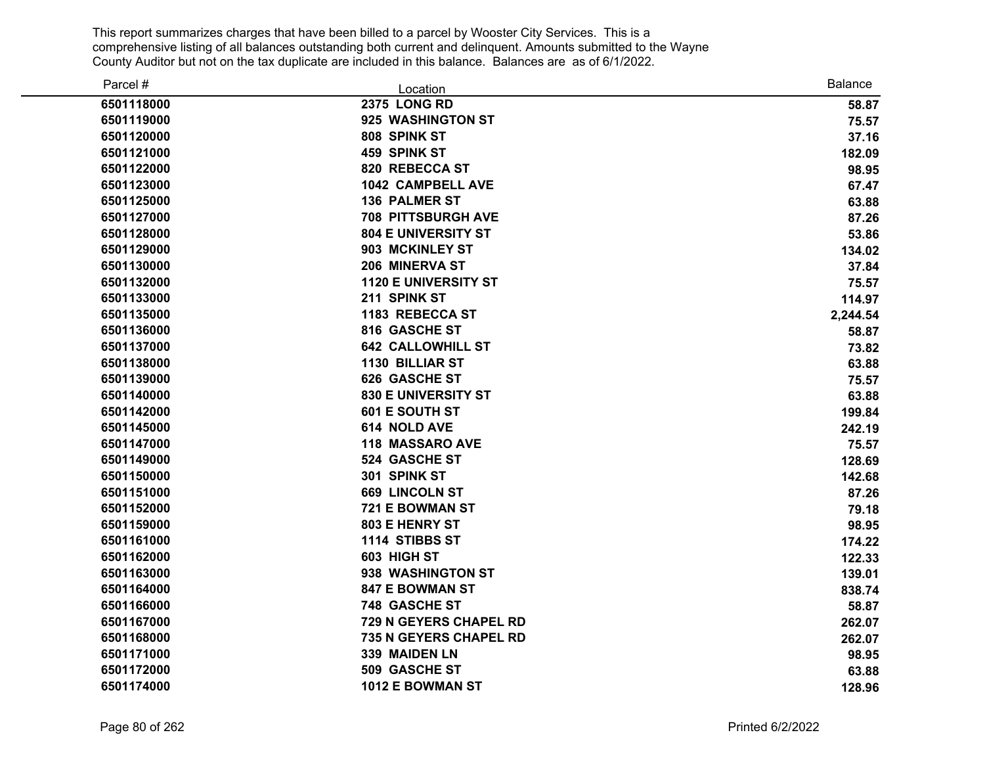| Parcel #   | Location                    | <b>Balance</b> |
|------------|-----------------------------|----------------|
| 6501118000 | <b>2375 LONG RD</b>         | 58.87          |
| 6501119000 | 925 WASHINGTON ST           | 75.57          |
| 6501120000 | 808 SPINK ST                | 37.16          |
| 6501121000 | 459 SPINK ST                | 182.09         |
| 6501122000 | 820 REBECCA ST              | 98.95          |
| 6501123000 | <b>1042 CAMPBELL AVE</b>    | 67.47          |
| 6501125000 | <b>136 PALMER ST</b>        | 63.88          |
| 6501127000 | <b>708 PITTSBURGH AVE</b>   | 87.26          |
| 6501128000 | <b>804 E UNIVERSITY ST</b>  | 53.86          |
| 6501129000 | 903 MCKINLEY ST             | 134.02         |
| 6501130000 | 206 MINERVA ST              | 37.84          |
| 6501132000 | <b>1120 E UNIVERSITY ST</b> | 75.57          |
| 6501133000 | 211 SPINK ST                | 114.97         |
| 6501135000 | 1183 REBECCA ST             | 2,244.54       |
| 6501136000 | 816 GASCHE ST               | 58.87          |
| 6501137000 | <b>642 CALLOWHILL ST</b>    | 73.82          |
| 6501138000 | <b>1130 BILLIAR ST</b>      | 63.88          |
| 6501139000 | 626 GASCHE ST               | 75.57          |
| 6501140000 | 830 E UNIVERSITY ST         | 63.88          |
| 6501142000 | 601 E SOUTH ST              | 199.84         |
| 6501145000 | 614 NOLD AVE                | 242.19         |
| 6501147000 | <b>118 MASSARO AVE</b>      | 75.57          |
| 6501149000 | <b>524 GASCHE ST</b>        | 128.69         |
| 6501150000 | 301 SPINK ST                | 142.68         |
| 6501151000 | <b>669 LINCOLN ST</b>       | 87.26          |
| 6501152000 | 721 E BOWMAN ST             | 79.18          |
| 6501159000 | 803 E HENRY ST              | 98.95          |
| 6501161000 | 1114 STIBBS ST              | 174.22         |
| 6501162000 | 603 HIGH ST                 | 122.33         |
| 6501163000 | 938 WASHINGTON ST           | 139.01         |
| 6501164000 | <b>847 E BOWMAN ST</b>      | 838.74         |
| 6501166000 | 748 GASCHE ST               | 58.87          |
| 6501167000 | 729 N GEYERS CHAPEL RD      | 262.07         |
| 6501168000 | 735 N GEYERS CHAPEL RD      | 262.07         |
| 6501171000 | 339 MAIDEN LN               | 98.95          |
| 6501172000 | 509 GASCHE ST               | 63.88          |
| 6501174000 | 1012 E BOWMAN ST            | 128.96         |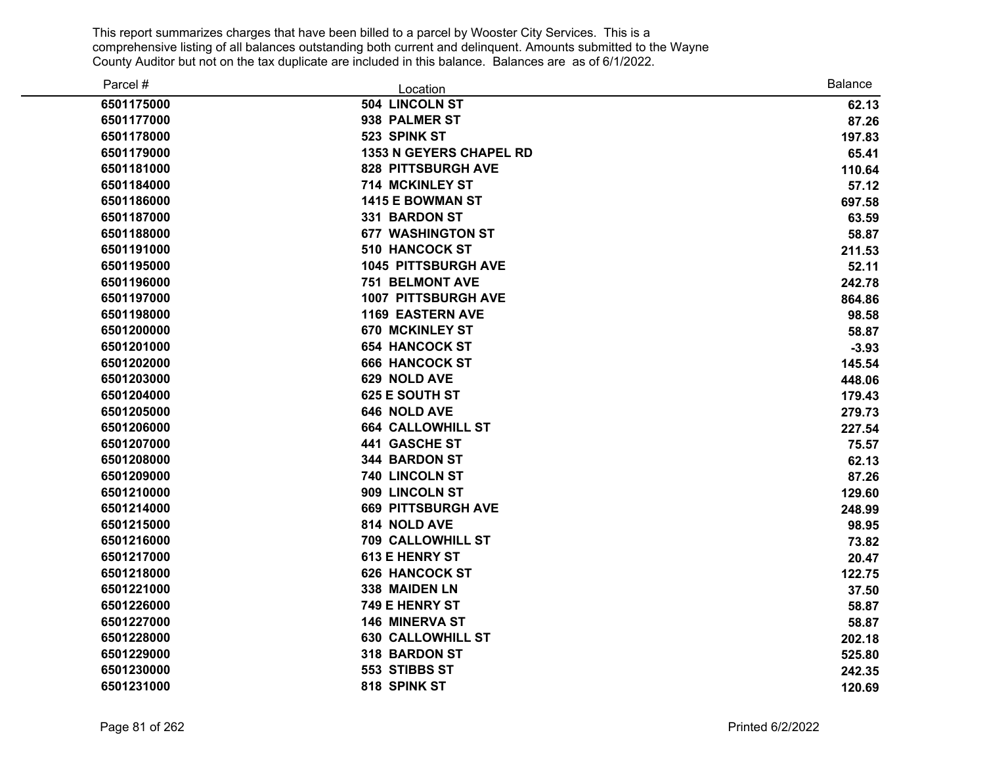| Parcel #   | Location                       | <b>Balance</b> |
|------------|--------------------------------|----------------|
| 6501175000 | 504 LINCOLN ST                 | 62.13          |
| 6501177000 | 938 PALMER ST                  | 87.26          |
| 6501178000 | 523 SPINK ST                   | 197.83         |
| 6501179000 | <b>1353 N GEYERS CHAPEL RD</b> | 65.41          |
| 6501181000 | <b>828 PITTSBURGH AVE</b>      | 110.64         |
| 6501184000 | 714 MCKINLEY ST                | 57.12          |
| 6501186000 | 1415 E BOWMAN ST               | 697.58         |
| 6501187000 | 331 BARDON ST                  | 63.59          |
| 6501188000 | <b>677 WASHINGTON ST</b>       | 58.87          |
| 6501191000 | <b>510 HANCOCK ST</b>          | 211.53         |
| 6501195000 | <b>1045 PITTSBURGH AVE</b>     | 52.11          |
| 6501196000 | <b>751 BELMONT AVE</b>         | 242.78         |
| 6501197000 | <b>1007 PITTSBURGH AVE</b>     | 864.86         |
| 6501198000 | <b>1169 EASTERN AVE</b>        | 98.58          |
| 6501200000 | <b>670 MCKINLEY ST</b>         | 58.87          |
| 6501201000 | <b>654 HANCOCK ST</b>          | $-3.93$        |
| 6501202000 | <b>666 HANCOCK ST</b>          | 145.54         |
| 6501203000 | 629 NOLD AVE                   | 448.06         |
| 6501204000 | 625 E SOUTH ST                 | 179.43         |
| 6501205000 | 646 NOLD AVE                   | 279.73         |
| 6501206000 | <b>664 CALLOWHILL ST</b>       | 227.54         |
| 6501207000 | 441 GASCHE ST                  | 75.57          |
| 6501208000 | <b>344 BARDON ST</b>           | 62.13          |
| 6501209000 | 740 LINCOLN ST                 | 87.26          |
| 6501210000 | 909 LINCOLN ST                 | 129.60         |
| 6501214000 | <b>669 PITTSBURGH AVE</b>      | 248.99         |
| 6501215000 | 814 NOLD AVE                   | 98.95          |
| 6501216000 | <b>709 CALLOWHILL ST</b>       | 73.82          |
| 6501217000 | 613 E HENRY ST                 | 20.47          |
| 6501218000 | <b>626 HANCOCK ST</b>          | 122.75         |
| 6501221000 | 338 MAIDEN LN                  | 37.50          |
| 6501226000 | 749 E HENRY ST                 | 58.87          |
| 6501227000 | <b>146 MINERVA ST</b>          | 58.87          |
| 6501228000 | <b>630 CALLOWHILL ST</b>       | 202.18         |
| 6501229000 | 318 BARDON ST                  | 525.80         |
| 6501230000 | 553 STIBBS ST                  | 242.35         |
| 6501231000 | 818 SPINK ST                   | 120.69         |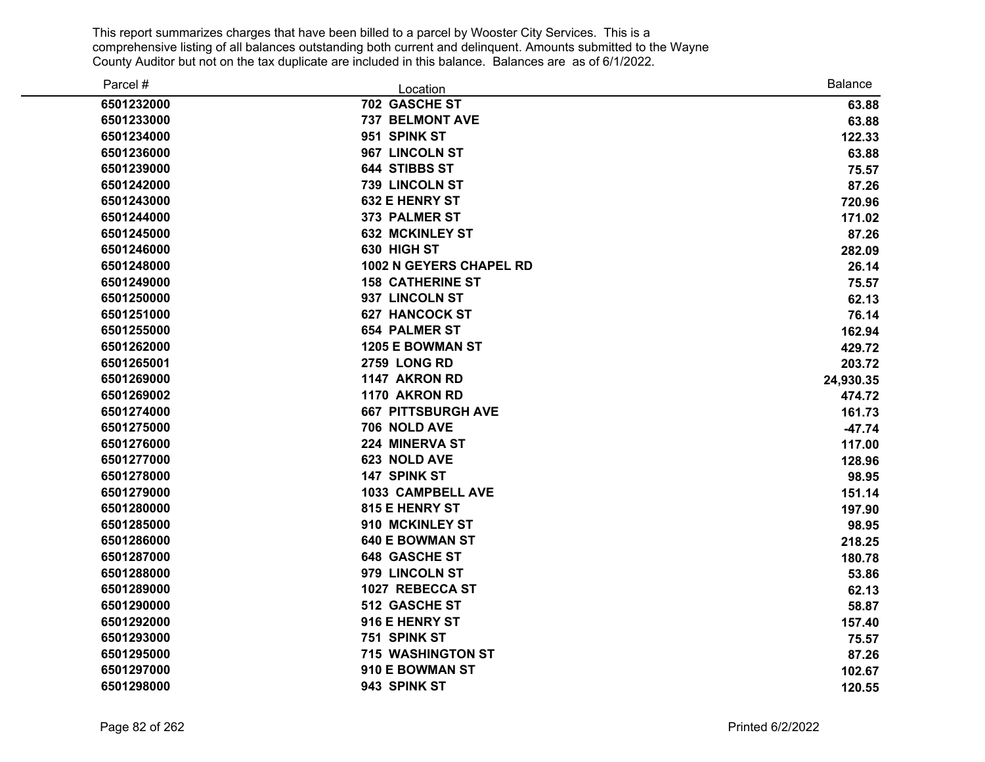| Parcel #   | Location                       | <b>Balance</b> |
|------------|--------------------------------|----------------|
| 6501232000 | 702 GASCHE ST                  | 63.88          |
| 6501233000 | <b>737 BELMONT AVE</b>         | 63.88          |
| 6501234000 | 951 SPINK ST                   | 122.33         |
| 6501236000 | 967 LINCOLN ST                 | 63.88          |
| 6501239000 | <b>644 STIBBS ST</b>           | 75.57          |
| 6501242000 | 739 LINCOLN ST                 | 87.26          |
| 6501243000 | <b>632 E HENRY ST</b>          | 720.96         |
| 6501244000 | 373 PALMER ST                  | 171.02         |
| 6501245000 | <b>632 MCKINLEY ST</b>         | 87.26          |
| 6501246000 | 630 HIGH ST                    | 282.09         |
| 6501248000 | <b>1002 N GEYERS CHAPEL RD</b> | 26.14          |
| 6501249000 | <b>158 CATHERINE ST</b>        | 75.57          |
| 6501250000 | 937 LINCOLN ST                 | 62.13          |
| 6501251000 | <b>627 HANCOCK ST</b>          | 76.14          |
| 6501255000 | <b>654 PALMER ST</b>           | 162.94         |
| 6501262000 | 1205 E BOWMAN ST               | 429.72         |
| 6501265001 | <b>2759 LONG RD</b>            | 203.72         |
| 6501269000 | 1147 AKRON RD                  | 24,930.35      |
| 6501269002 | 1170 AKRON RD                  | 474.72         |
| 6501274000 | <b>667 PITTSBURGH AVE</b>      | 161.73         |
| 6501275000 | 706 NOLD AVE                   | $-47.74$       |
| 6501276000 | 224 MINERVA ST                 | 117.00         |
| 6501277000 | 623 NOLD AVE                   | 128.96         |
| 6501278000 | 147 SPINK ST                   | 98.95          |
| 6501279000 | <b>1033 CAMPBELL AVE</b>       | 151.14         |
| 6501280000 | 815 E HENRY ST                 | 197.90         |
| 6501285000 | 910 MCKINLEY ST                | 98.95          |
| 6501286000 | <b>640 E BOWMAN ST</b>         | 218.25         |
| 6501287000 | <b>648 GASCHE ST</b>           | 180.78         |
| 6501288000 | 979 LINCOLN ST                 | 53.86          |
| 6501289000 | 1027 REBECCA ST                | 62.13          |
| 6501290000 | 512 GASCHE ST                  | 58.87          |
| 6501292000 | 916 E HENRY ST                 | 157.40         |
| 6501293000 | 751 SPINK ST                   | 75.57          |
| 6501295000 | <b>715 WASHINGTON ST</b>       | 87.26          |
| 6501297000 | 910 E BOWMAN ST                | 102.67         |
| 6501298000 | 943 SPINK ST                   | 120.55         |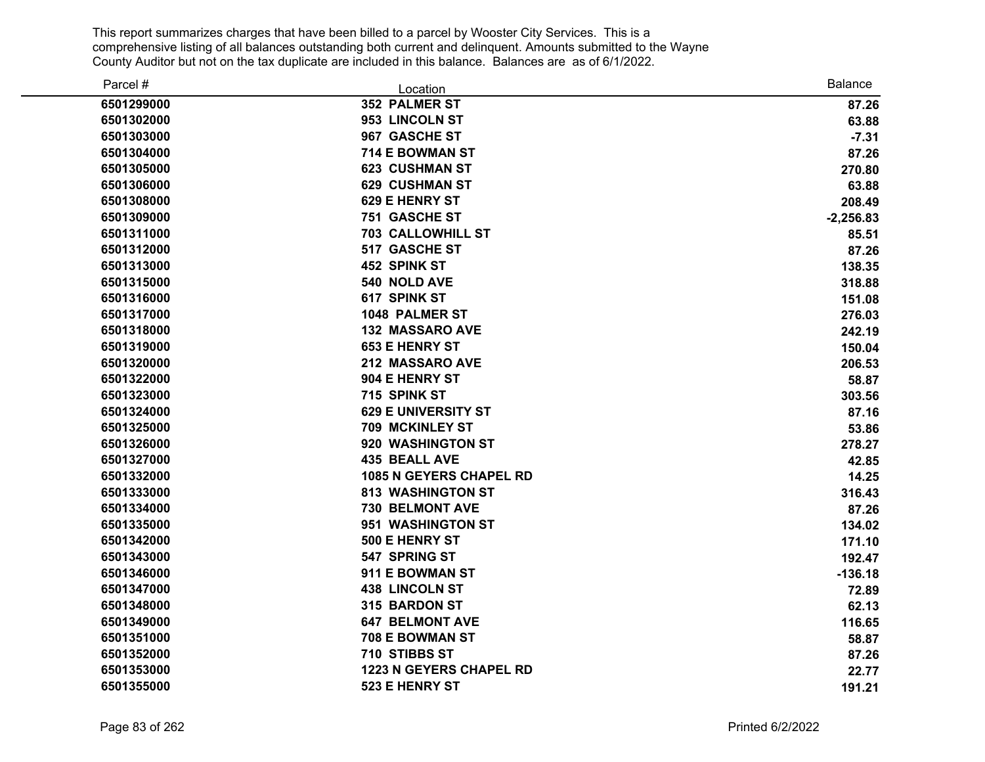| Parcel #   | Location                       | <b>Balance</b> |
|------------|--------------------------------|----------------|
| 6501299000 | 352 PALMER ST                  | 87.26          |
| 6501302000 | 953 LINCOLN ST                 | 63.88          |
| 6501303000 | 967 GASCHE ST                  | $-7.31$        |
| 6501304000 | 714 E BOWMAN ST                | 87.26          |
| 6501305000 | <b>623 CUSHMAN ST</b>          | 270.80         |
| 6501306000 | <b>629 CUSHMAN ST</b>          | 63.88          |
| 6501308000 | 629 E HENRY ST                 | 208.49         |
| 6501309000 | <b>751 GASCHE ST</b>           | $-2,256.83$    |
| 6501311000 | <b>703 CALLOWHILL ST</b>       | 85.51          |
| 6501312000 | 517 GASCHE ST                  | 87.26          |
| 6501313000 | 452 SPINK ST                   | 138.35         |
| 6501315000 | 540 NOLD AVE                   | 318.88         |
| 6501316000 | 617 SPINK ST                   | 151.08         |
| 6501317000 | 1048 PALMER ST                 | 276.03         |
| 6501318000 | <b>132 MASSARO AVE</b>         | 242.19         |
| 6501319000 | <b>653 E HENRY ST</b>          | 150.04         |
| 6501320000 | 212 MASSARO AVE                | 206.53         |
| 6501322000 | 904 E HENRY ST                 | 58.87          |
| 6501323000 | 715 SPINK ST                   | 303.56         |
| 6501324000 | <b>629 E UNIVERSITY ST</b>     | 87.16          |
| 6501325000 | 709 MCKINLEY ST                | 53.86          |
| 6501326000 | 920 WASHINGTON ST              | 278.27         |
| 6501327000 | <b>435 BEALL AVE</b>           | 42.85          |
| 6501332000 | <b>1085 N GEYERS CHAPEL RD</b> | 14.25          |
| 6501333000 | <b>813 WASHINGTON ST</b>       | 316.43         |
| 6501334000 | 730 BELMONT AVE                | 87.26          |
| 6501335000 | 951 WASHINGTON ST              | 134.02         |
| 6501342000 | 500 E HENRY ST                 | 171.10         |
| 6501343000 | 547 SPRING ST                  | 192.47         |
| 6501346000 | 911 E BOWMAN ST                | $-136.18$      |
| 6501347000 | <b>438 LINCOLN ST</b>          | 72.89          |
| 6501348000 | 315 BARDON ST                  | 62.13          |
| 6501349000 | <b>647 BELMONT AVE</b>         | 116.65         |
| 6501351000 | 708 E BOWMAN ST                | 58.87          |
| 6501352000 | 710 STIBBS ST                  | 87.26          |
| 6501353000 | <b>1223 N GEYERS CHAPEL RD</b> | 22.77          |
| 6501355000 | 523 E HENRY ST                 | 191.21         |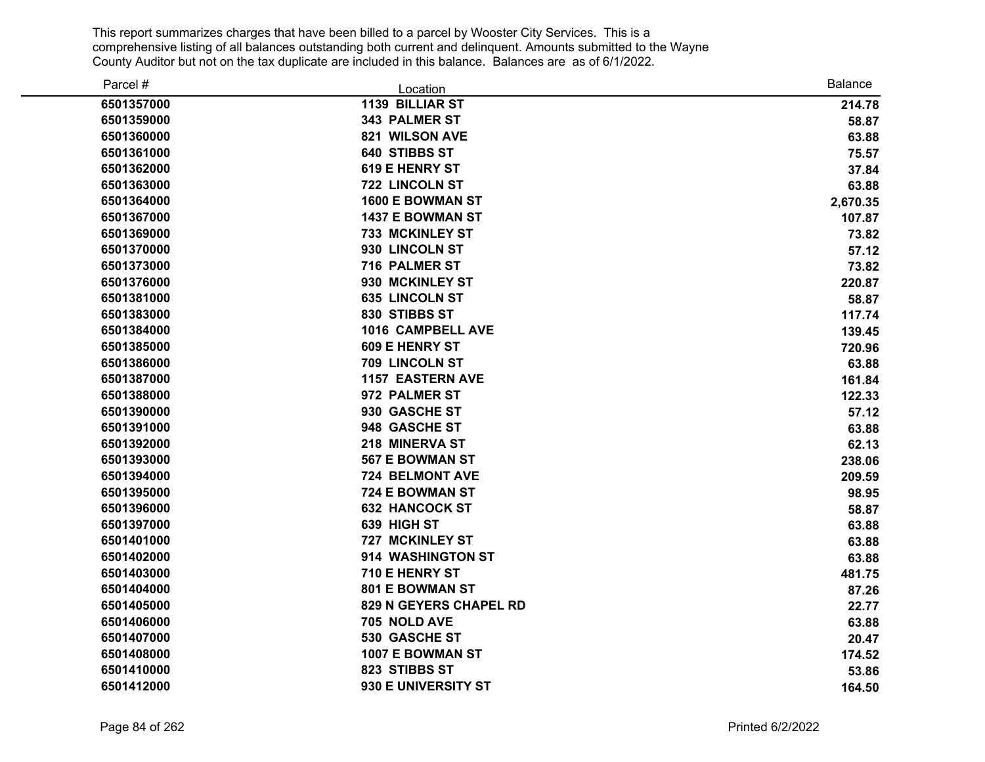| Parcel #   | Location                | Balance  |
|------------|-------------------------|----------|
| 6501357000 | 1139 BILLIAR ST         | 214.78   |
| 6501359000 | 343 PALMER ST           | 58.87    |
| 6501360000 | 821 WILSON AVE          | 63.88    |
| 6501361000 | <b>640 STIBBS ST</b>    | 75.57    |
| 6501362000 | <b>619 E HENRY ST</b>   | 37.84    |
| 6501363000 | 722 LINCOLN ST          | 63.88    |
| 6501364000 | 1600 E BOWMAN ST        | 2,670.35 |
| 6501367000 | 1437 E BOWMAN ST        | 107.87   |
| 6501369000 | <b>733 MCKINLEY ST</b>  | 73.82    |
| 6501370000 | 930 LINCOLN ST          | 57.12    |
| 6501373000 | 716 PALMER ST           | 73.82    |
| 6501376000 | 930 MCKINLEY ST         | 220.87   |
| 6501381000 | <b>635 LINCOLN ST</b>   | 58.87    |
| 6501383000 | 830 STIBBS ST           | 117.74   |
| 6501384000 | 1016 CAMPBELL AVE       | 139.45   |
| 6501385000 | <b>609 E HENRY ST</b>   | 720.96   |
| 6501386000 | 709 LINCOLN ST          | 63.88    |
| 6501387000 | <b>1157 EASTERN AVE</b> | 161.84   |
| 6501388000 | 972 PALMER ST           | 122.33   |
| 6501390000 | 930 GASCHE ST           | 57.12    |
| 6501391000 | 948 GASCHE ST           | 63.88    |
| 6501392000 | 218 MINERVA ST          | 62.13    |
| 6501393000 | <b>567 E BOWMAN ST</b>  | 238.06   |
| 6501394000 | 724 BELMONT AVE         | 209.59   |
| 6501395000 | 724 E BOWMAN ST         | 98.95    |
| 6501396000 | <b>632 HANCOCK ST</b>   | 58.87    |
| 6501397000 | 639 HIGH ST             | 63.88    |
| 6501401000 | 727 MCKINLEY ST         | 63.88    |
| 6501402000 | 914 WASHINGTON ST       | 63.88    |
| 6501403000 | 710 E HENRY ST          | 481.75   |
| 6501404000 | <b>801 E BOWMAN ST</b>  | 87.26    |
| 6501405000 | 829 N GEYERS CHAPEL RD  | 22.77    |
| 6501406000 | 705 NOLD AVE            | 63.88    |
| 6501407000 | 530 GASCHE ST           | 20.47    |
| 6501408000 | 1007 E BOWMAN ST        | 174.52   |
| 6501410000 | 823 STIBBS ST           | 53.86    |
| 6501412000 | 930 E UNIVERSITY ST     | 164.50   |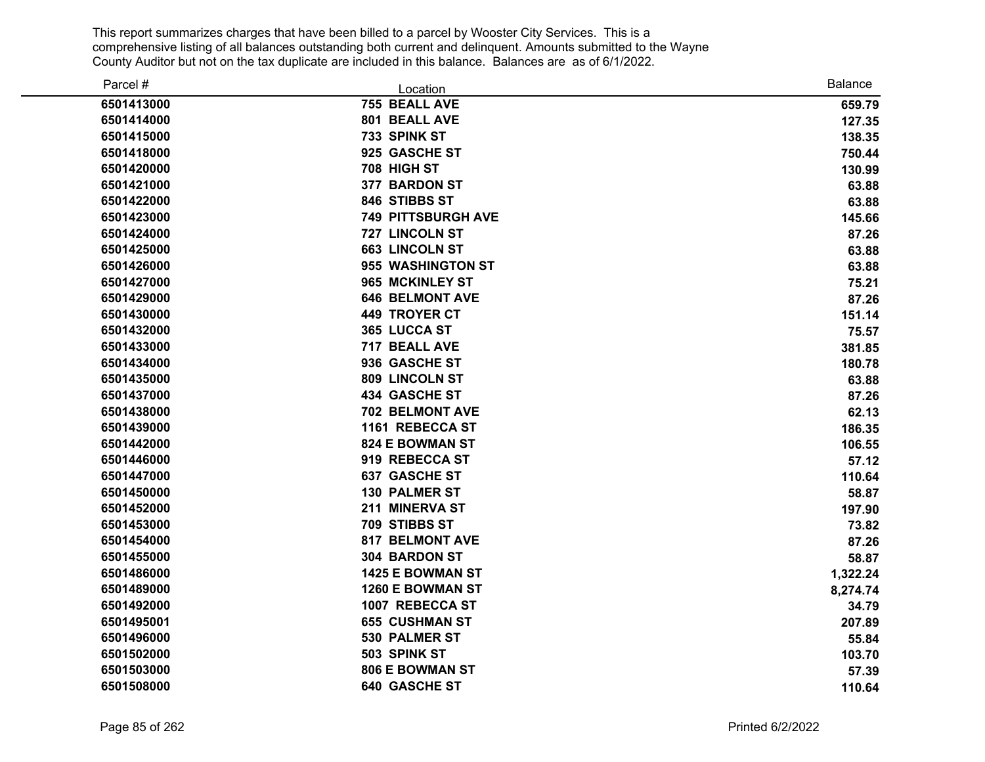| Parcel #   | Location                  | <b>Balance</b> |
|------------|---------------------------|----------------|
| 6501413000 | 755 BEALL AVE             | 659.79         |
| 6501414000 | 801 BEALL AVE             | 127.35         |
| 6501415000 | 733 SPINK ST              | 138.35         |
| 6501418000 | 925 GASCHE ST             | 750.44         |
| 6501420000 | 708 HIGH ST               | 130.99         |
| 6501421000 | 377 BARDON ST             | 63.88          |
| 6501422000 | 846 STIBBS ST             | 63.88          |
| 6501423000 | <b>749 PITTSBURGH AVE</b> | 145.66         |
| 6501424000 | 727 LINCOLN ST            | 87.26          |
| 6501425000 | <b>663 LINCOLN ST</b>     | 63.88          |
| 6501426000 | 955 WASHINGTON ST         | 63.88          |
| 6501427000 | 965 MCKINLEY ST           | 75.21          |
| 6501429000 | <b>646 BELMONT AVE</b>    | 87.26          |
| 6501430000 | <b>449 TROYER CT</b>      | 151.14         |
| 6501432000 | 365 LUCCA ST              | 75.57          |
| 6501433000 | 717 BEALL AVE             | 381.85         |
| 6501434000 | 936 GASCHE ST             | 180.78         |
| 6501435000 | 809 LINCOLN ST            | 63.88          |
| 6501437000 | <b>434 GASCHE ST</b>      | 87.26          |
| 6501438000 | 702 BELMONT AVE           | 62.13          |
| 6501439000 | 1161 REBECCA ST           | 186.35         |
| 6501442000 | <b>824 E BOWMAN ST</b>    | 106.55         |
| 6501446000 | 919 REBECCA ST            | 57.12          |
| 6501447000 | <b>637 GASCHE ST</b>      | 110.64         |
| 6501450000 | <b>130 PALMER ST</b>      | 58.87          |
| 6501452000 | 211 MINERVA ST            | 197.90         |
| 6501453000 | 709 STIBBS ST             | 73.82          |
| 6501454000 | <b>817 BELMONT AVE</b>    | 87.26          |
| 6501455000 | 304 BARDON ST             | 58.87          |
| 6501486000 | 1425 E BOWMAN ST          | 1,322.24       |
| 6501489000 | 1260 E BOWMAN ST          | 8,274.74       |
| 6501492000 | 1007 REBECCA ST           | 34.79          |
| 6501495001 | <b>655 CUSHMAN ST</b>     | 207.89         |
| 6501496000 | 530 PALMER ST             | 55.84          |
| 6501502000 | 503 SPINK ST              | 103.70         |
| 6501503000 | <b>806 E BOWMAN ST</b>    | 57.39          |
| 6501508000 | <b>640 GASCHE ST</b>      | 110.64         |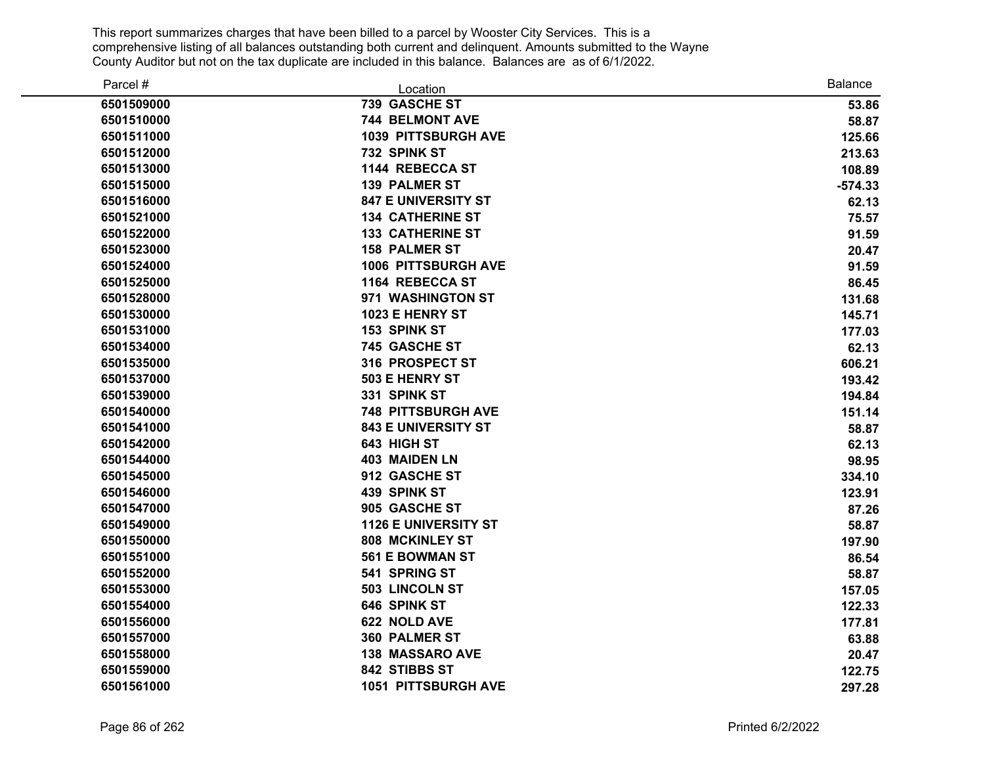| Parcel #   | Location                    | <b>Balance</b> |
|------------|-----------------------------|----------------|
| 6501509000 | 739 GASCHE ST               | 53.86          |
| 6501510000 | 744 BELMONT AVE             | 58.87          |
| 6501511000 | <b>1039 PITTSBURGH AVE</b>  | 125.66         |
| 6501512000 | 732 SPINK ST                | 213.63         |
| 6501513000 | 1144 REBECCA ST             | 108.89         |
| 6501515000 | <b>139 PALMER ST</b>        | $-574.33$      |
| 6501516000 | <b>847 E UNIVERSITY ST</b>  | 62.13          |
| 6501521000 | <b>134 CATHERINE ST</b>     | 75.57          |
| 6501522000 | <b>133 CATHERINE ST</b>     | 91.59          |
| 6501523000 | <b>158 PALMER ST</b>        | 20.47          |
| 6501524000 | 1006 PITTSBURGH AVE         | 91.59          |
| 6501525000 | 1164 REBECCA ST             | 86.45          |
| 6501528000 | 971 WASHINGTON ST           | 131.68         |
| 6501530000 | 1023 E HENRY ST             | 145.71         |
| 6501531000 | 153 SPINK ST                | 177.03         |
| 6501534000 | <b>745 GASCHE ST</b>        | 62.13          |
| 6501535000 | 316 PROSPECT ST             | 606.21         |
| 6501537000 | 503 E HENRY ST              | 193.42         |
| 6501539000 | 331 SPINK ST                | 194.84         |
| 6501540000 | <b>748 PITTSBURGH AVE</b>   | 151.14         |
| 6501541000 | <b>843 E UNIVERSITY ST</b>  | 58.87          |
| 6501542000 | 643 HIGH ST                 | 62.13          |
| 6501544000 | <b>403 MAIDEN LN</b>        | 98.95          |
| 6501545000 | 912 GASCHE ST               | 334.10         |
| 6501546000 | 439 SPINK ST                | 123.91         |
| 6501547000 | 905 GASCHE ST               | 87.26          |
| 6501549000 | <b>1126 E UNIVERSITY ST</b> | 58.87          |
| 6501550000 | <b>808 MCKINLEY ST</b>      | 197.90         |
| 6501551000 | <b>561 E BOWMAN ST</b>      | 86.54          |
| 6501552000 | 541 SPRING ST               | 58.87          |
| 6501553000 | 503 LINCOLN ST              | 157.05         |
| 6501554000 | 646 SPINK ST                | 122.33         |
| 6501556000 | 622 NOLD AVE                | 177.81         |
| 6501557000 | 360 PALMER ST               | 63.88          |
| 6501558000 | <b>138 MASSARO AVE</b>      | 20.47          |
| 6501559000 | 842 STIBBS ST               | 122.75         |
| 6501561000 | 1051 PITTSBURGH AVE         | 297.28         |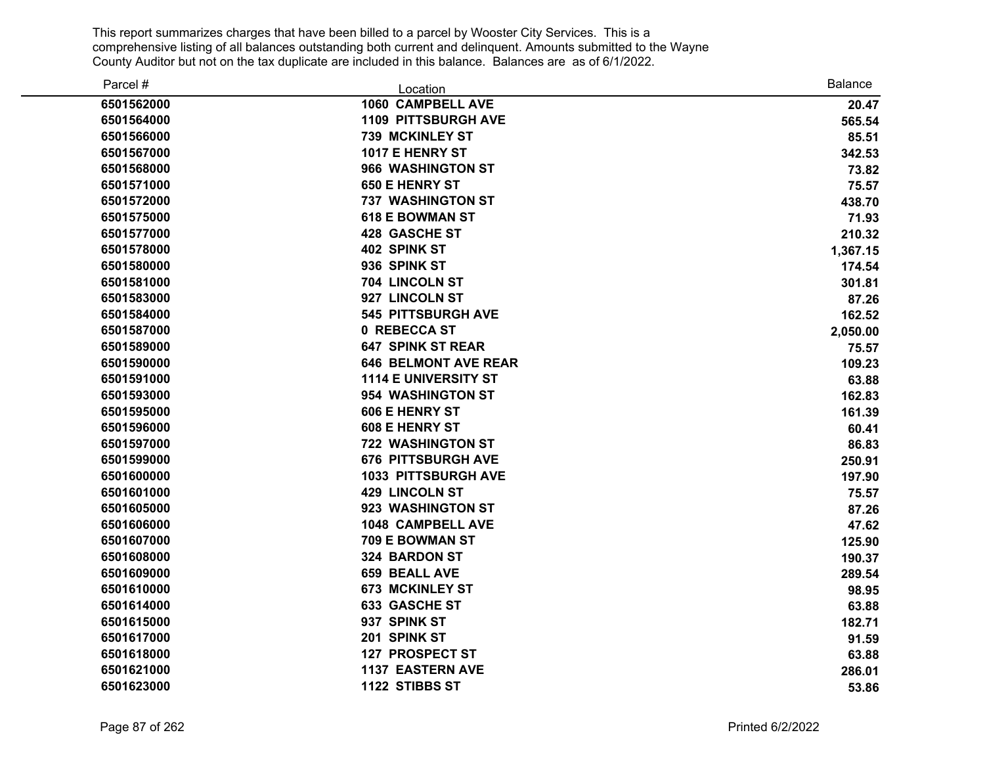| Parcel #   | Location                    | <b>Balance</b> |
|------------|-----------------------------|----------------|
| 6501562000 | 1060 CAMPBELL AVE           | 20.47          |
| 6501564000 | <b>1109 PITTSBURGH AVE</b>  | 565.54         |
| 6501566000 | <b>739 MCKINLEY ST</b>      | 85.51          |
| 6501567000 | 1017 E HENRY ST             | 342.53         |
| 6501568000 | 966 WASHINGTON ST           | 73.82          |
| 6501571000 | <b>650 E HENRY ST</b>       | 75.57          |
| 6501572000 | <b>737 WASHINGTON ST</b>    | 438.70         |
| 6501575000 | <b>618 E BOWMAN ST</b>      | 71.93          |
| 6501577000 | 428 GASCHE ST               | 210.32         |
| 6501578000 | 402 SPINK ST                | 1,367.15       |
| 6501580000 | 936 SPINK ST                | 174.54         |
| 6501581000 | 704 LINCOLN ST              | 301.81         |
| 6501583000 | 927 LINCOLN ST              | 87.26          |
| 6501584000 | <b>545 PITTSBURGH AVE</b>   | 162.52         |
| 6501587000 | 0 REBECCA ST                | 2,050.00       |
| 6501589000 | <b>647 SPINK ST REAR</b>    | 75.57          |
| 6501590000 | <b>646 BELMONT AVE REAR</b> | 109.23         |
| 6501591000 | <b>1114 E UNIVERSITY ST</b> | 63.88          |
| 6501593000 | 954 WASHINGTON ST           | 162.83         |
| 6501595000 | <b>606 E HENRY ST</b>       | 161.39         |
| 6501596000 | 608 E HENRY ST              | 60.41          |
| 6501597000 | <b>722 WASHINGTON ST</b>    | 86.83          |
| 6501599000 | <b>676 PITTSBURGH AVE</b>   | 250.91         |
| 6501600000 | <b>1033 PITTSBURGH AVE</b>  | 197.90         |
| 6501601000 | <b>429 LINCOLN ST</b>       | 75.57          |
| 6501605000 | 923 WASHINGTON ST           | 87.26          |
| 6501606000 | <b>1048 CAMPBELL AVE</b>    | 47.62          |
| 6501607000 | 709 E BOWMAN ST             | 125.90         |
| 6501608000 | 324 BARDON ST               | 190.37         |
| 6501609000 | 659 BEALL AVE               | 289.54         |
| 6501610000 | <b>673 MCKINLEY ST</b>      | 98.95          |
| 6501614000 | 633 GASCHE ST               | 63.88          |
| 6501615000 | 937 SPINK ST                | 182.71         |
| 6501617000 | 201 SPINK ST                | 91.59          |
| 6501618000 | <b>127 PROSPECT ST</b>      | 63.88          |
| 6501621000 | <b>1137 EASTERN AVE</b>     | 286.01         |
| 6501623000 | 1122 STIBBS ST              | 53.86          |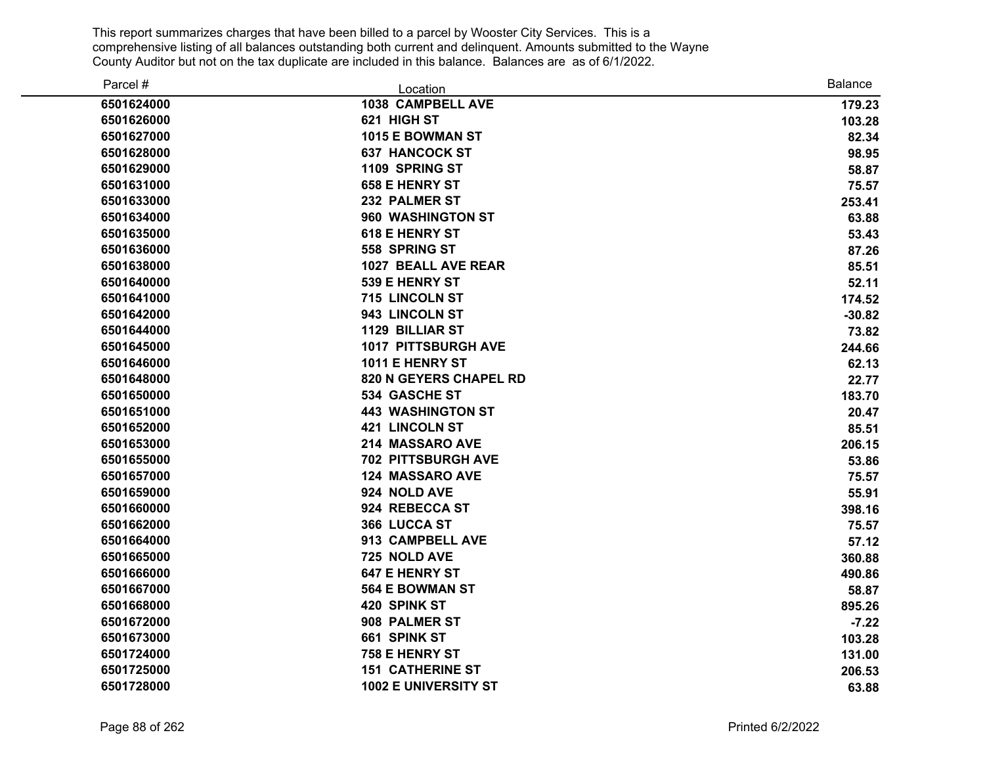| Parcel #   | Location                      | <b>Balance</b> |
|------------|-------------------------------|----------------|
| 6501624000 | 1038 CAMPBELL AVE             | 179.23         |
| 6501626000 | 621 HIGH ST                   | 103.28         |
| 6501627000 | 1015 E BOWMAN ST              | 82.34          |
| 6501628000 | <b>637 HANCOCK ST</b>         | 98.95          |
| 6501629000 | 1109 SPRING ST                | 58.87          |
| 6501631000 | <b>658 E HENRY ST</b>         | 75.57          |
| 6501633000 | 232 PALMER ST                 | 253.41         |
| 6501634000 | 960 WASHINGTON ST             | 63.88          |
| 6501635000 | <b>618 E HENRY ST</b>         | 53.43          |
| 6501636000 | 558 SPRING ST                 | 87.26          |
| 6501638000 | 1027 BEALL AVE REAR           | 85.51          |
| 6501640000 | 539 E HENRY ST                | 52.11          |
| 6501641000 | 715 LINCOLN ST                | 174.52         |
| 6501642000 | 943 LINCOLN ST                | $-30.82$       |
| 6501644000 | <b>1129 BILLIAR ST</b>        | 73.82          |
| 6501645000 | <b>1017 PITTSBURGH AVE</b>    | 244.66         |
| 6501646000 | 1011 E HENRY ST               | 62.13          |
| 6501648000 | <b>820 N GEYERS CHAPEL RD</b> | 22.77          |
| 6501650000 | 534 GASCHE ST                 | 183.70         |
| 6501651000 | <b>443 WASHINGTON ST</b>      | 20.47          |
| 6501652000 | <b>421 LINCOLN ST</b>         | 85.51          |
| 6501653000 | 214 MASSARO AVE               | 206.15         |
| 6501655000 | <b>702 PITTSBURGH AVE</b>     | 53.86          |
| 6501657000 | <b>124 MASSARO AVE</b>        | 75.57          |
| 6501659000 | 924 NOLD AVE                  | 55.91          |
| 6501660000 | 924 REBECCA ST                | 398.16         |
| 6501662000 | 366 LUCCA ST                  | 75.57          |
| 6501664000 | 913 CAMPBELL AVE              | 57.12          |
| 6501665000 | 725 NOLD AVE                  | 360.88         |
| 6501666000 | <b>647 E HENRY ST</b>         | 490.86         |
| 6501667000 | <b>564 E BOWMAN ST</b>        | 58.87          |
| 6501668000 | 420 SPINK ST                  | 895.26         |
| 6501672000 | 908 PALMER ST                 | $-7.22$        |
| 6501673000 | 661 SPINK ST                  | 103.28         |
| 6501724000 | 758 E HENRY ST                | 131.00         |
| 6501725000 | <b>151 CATHERINE ST</b>       | 206.53         |
| 6501728000 | 1002 E UNIVERSITY ST          | 63.88          |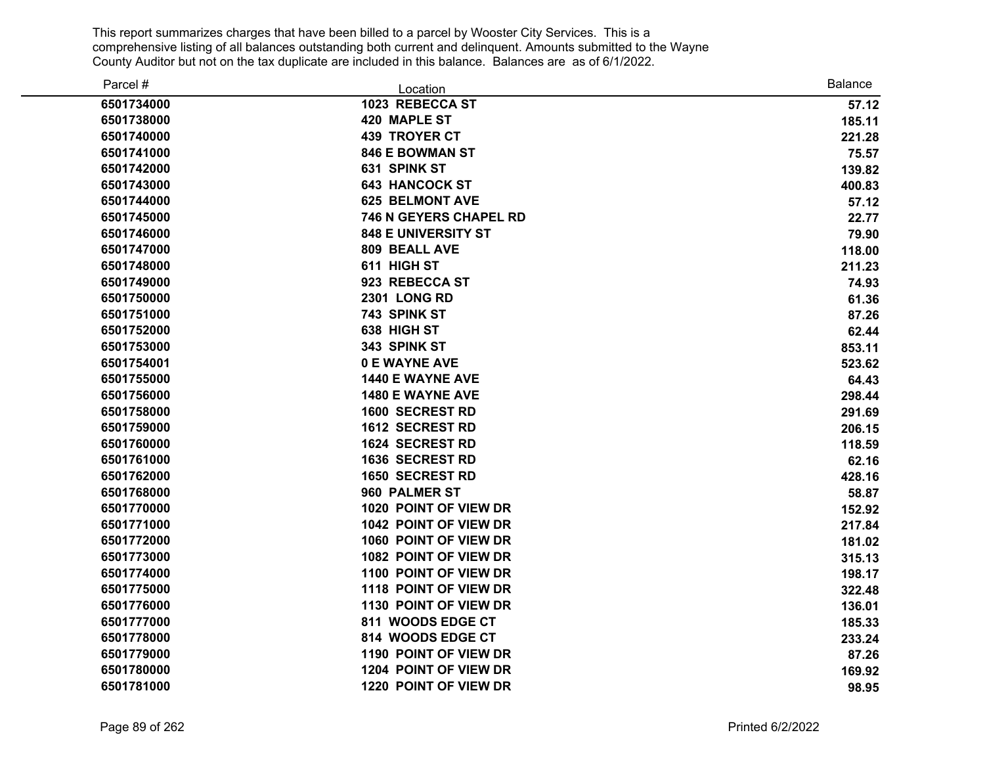| Parcel #   | Location                      | <b>Balance</b> |
|------------|-------------------------------|----------------|
| 6501734000 | 1023 REBECCA ST               | 57.12          |
| 6501738000 | 420 MAPLE ST                  | 185.11         |
| 6501740000 | <b>439 TROYER CT</b>          | 221.28         |
| 6501741000 | <b>846 E BOWMAN ST</b>        | 75.57          |
| 6501742000 | 631 SPINK ST                  | 139.82         |
| 6501743000 | <b>643 HANCOCK ST</b>         | 400.83         |
| 6501744000 | <b>625 BELMONT AVE</b>        | 57.12          |
| 6501745000 | <b>746 N GEYERS CHAPEL RD</b> | 22.77          |
| 6501746000 | <b>848 E UNIVERSITY ST</b>    | 79.90          |
| 6501747000 | 809 BEALL AVE                 | 118.00         |
| 6501748000 | 611 HIGH ST                   | 211.23         |
| 6501749000 | 923 REBECCA ST                | 74.93          |
| 6501750000 | <b>2301 LONG RD</b>           | 61.36          |
| 6501751000 | 743 SPINK ST                  | 87.26          |
| 6501752000 | 638 HIGH ST                   | 62.44          |
| 6501753000 | 343 SPINK ST                  | 853.11         |
| 6501754001 | 0 E WAYNE AVE                 | 523.62         |
| 6501755000 | 1440 E WAYNE AVE              | 64.43          |
| 6501756000 | <b>1480 E WAYNE AVE</b>       | 298.44         |
| 6501758000 | 1600 SECREST RD               | 291.69         |
| 6501759000 | <b>1612 SECREST RD</b>        | 206.15         |
| 6501760000 | 1624 SECREST RD               | 118.59         |
| 6501761000 | <b>1636 SECREST RD</b>        | 62.16          |
| 6501762000 | <b>1650 SECREST RD</b>        | 428.16         |
| 6501768000 | 960 PALMER ST                 | 58.87          |
| 6501770000 | 1020 POINT OF VIEW DR         | 152.92         |
| 6501771000 | 1042 POINT OF VIEW DR         | 217.84         |
| 6501772000 | 1060 POINT OF VIEW DR         | 181.02         |
| 6501773000 | 1082 POINT OF VIEW DR         | 315.13         |
| 6501774000 | 1100 POINT OF VIEW DR         | 198.17         |
| 6501775000 | 1118 POINT OF VIEW DR         | 322.48         |
| 6501776000 | 1130 POINT OF VIEW DR         | 136.01         |
| 6501777000 | 811 WOODS EDGE CT             | 185.33         |
| 6501778000 | 814 WOODS EDGE CT             | 233.24         |
| 6501779000 | 1190 POINT OF VIEW DR         | 87.26          |
| 6501780000 | 1204 POINT OF VIEW DR         | 169.92         |
| 6501781000 | 1220 POINT OF VIEW DR         | 98.95          |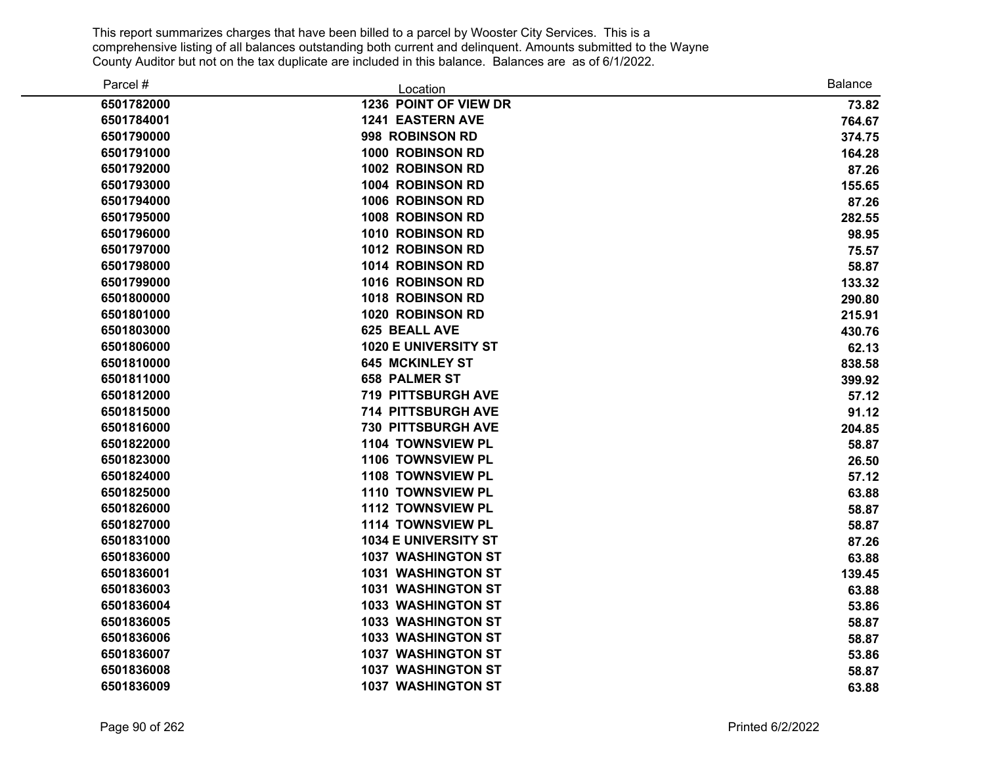| Parcel #   | Location                    | <b>Balance</b> |
|------------|-----------------------------|----------------|
| 6501782000 | 1236 POINT OF VIEW DR       | 73.82          |
| 6501784001 | <b>1241 EASTERN AVE</b>     | 764.67         |
| 6501790000 | 998 ROBINSON RD             | 374.75         |
| 6501791000 | 1000 ROBINSON RD            | 164.28         |
| 6501792000 | 1002 ROBINSON RD            | 87.26          |
| 6501793000 | 1004 ROBINSON RD            | 155.65         |
| 6501794000 | <b>1006 ROBINSON RD</b>     | 87.26          |
| 6501795000 | 1008 ROBINSON RD            | 282.55         |
| 6501796000 | 1010 ROBINSON RD            | 98.95          |
| 6501797000 | 1012 ROBINSON RD            | 75.57          |
| 6501798000 | 1014 ROBINSON RD            | 58.87          |
| 6501799000 | 1016 ROBINSON RD            | 133.32         |
| 6501800000 | 1018 ROBINSON RD            | 290.80         |
| 6501801000 | <b>1020 ROBINSON RD</b>     | 215.91         |
| 6501803000 | 625 BEALL AVE               | 430.76         |
| 6501806000 | 1020 E UNIVERSITY ST        | 62.13          |
| 6501810000 | <b>645 MCKINLEY ST</b>      | 838.58         |
| 6501811000 | <b>658 PALMER ST</b>        | 399.92         |
| 6501812000 | <b>719 PITTSBURGH AVE</b>   | 57.12          |
| 6501815000 | 714 PITTSBURGH AVE          | 91.12          |
| 6501816000 | <b>730 PITTSBURGH AVE</b>   | 204.85         |
| 6501822000 | <b>1104 TOWNSVIEW PL</b>    | 58.87          |
| 6501823000 | 1106 TOWNSVIEW PL           | 26.50          |
| 6501824000 | 1108 TOWNSVIEW PL           | 57.12          |
| 6501825000 | 1110 TOWNSVIEW PL           | 63.88          |
| 6501826000 | 1112 TOWNSVIEW PL           | 58.87          |
| 6501827000 | 1114 TOWNSVIEW PL           | 58.87          |
| 6501831000 | <b>1034 E UNIVERSITY ST</b> | 87.26          |
| 6501836000 | <b>1037 WASHINGTON ST</b>   | 63.88          |
| 6501836001 | <b>1031 WASHINGTON ST</b>   | 139.45         |
| 6501836003 | <b>1031 WASHINGTON ST</b>   | 63.88          |
| 6501836004 | 1033 WASHINGTON ST          | 53.86          |
| 6501836005 | 1033 WASHINGTON ST          | 58.87          |
| 6501836006 | 1033 WASHINGTON ST          | 58.87          |
| 6501836007 | <b>1037 WASHINGTON ST</b>   | 53.86          |
| 6501836008 | <b>1037 WASHINGTON ST</b>   | 58.87          |
| 6501836009 | <b>1037 WASHINGTON ST</b>   | 63.88          |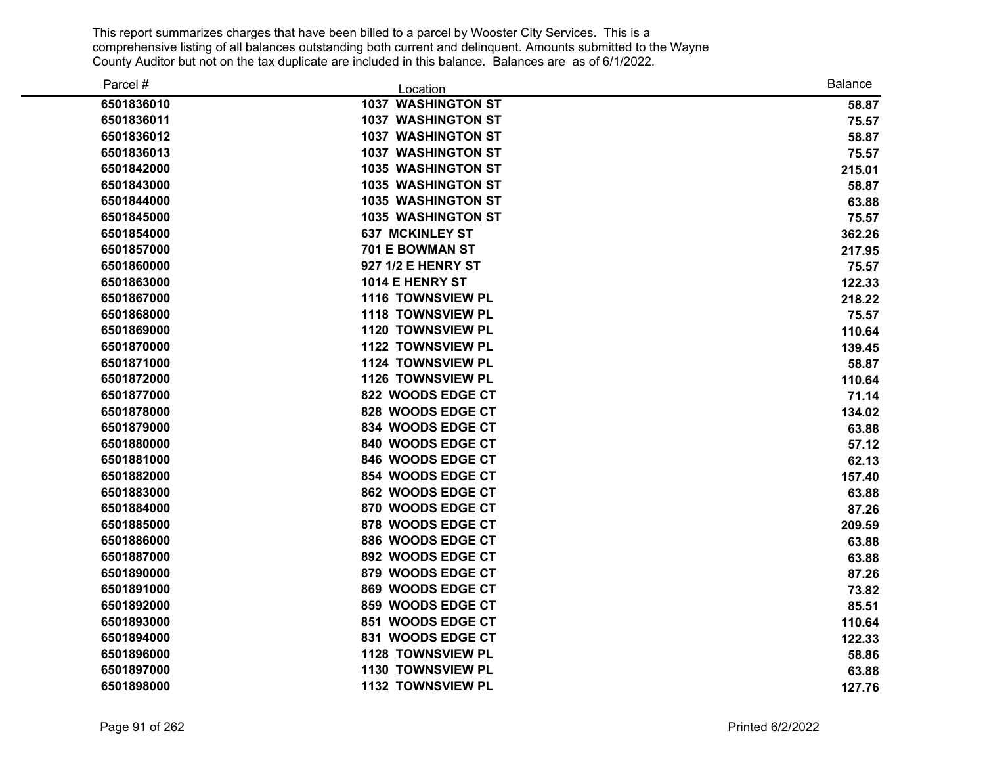| Parcel #   | Location                  | <b>Balance</b> |
|------------|---------------------------|----------------|
| 6501836010 | <b>1037 WASHINGTON ST</b> | 58.87          |
| 6501836011 | <b>1037 WASHINGTON ST</b> | 75.57          |
| 6501836012 | <b>1037 WASHINGTON ST</b> | 58.87          |
| 6501836013 | <b>1037 WASHINGTON ST</b> | 75.57          |
| 6501842000 | <b>1035 WASHINGTON ST</b> | 215.01         |
| 6501843000 | <b>1035 WASHINGTON ST</b> | 58.87          |
| 6501844000 | <b>1035 WASHINGTON ST</b> | 63.88          |
| 6501845000 | <b>1035 WASHINGTON ST</b> | 75.57          |
| 6501854000 | <b>637 MCKINLEY ST</b>    | 362.26         |
| 6501857000 | 701 E BOWMAN ST           | 217.95         |
| 6501860000 | 927 1/2 E HENRY ST        | 75.57          |
| 6501863000 | 1014 E HENRY ST           | 122.33         |
| 6501867000 | 1116 TOWNSVIEW PL         | 218.22         |
| 6501868000 | 1118 TOWNSVIEW PL         | 75.57          |
| 6501869000 | 1120 TOWNSVIEW PL         | 110.64         |
| 6501870000 | <b>1122 TOWNSVIEW PL</b>  | 139.45         |
| 6501871000 | 1124 TOWNSVIEW PL         | 58.87          |
| 6501872000 | <b>1126 TOWNSVIEW PL</b>  | 110.64         |
| 6501877000 | 822 WOODS EDGE CT         | 71.14          |
| 6501878000 | 828 WOODS EDGE CT         | 134.02         |
| 6501879000 | 834 WOODS EDGE CT         | 63.88          |
| 6501880000 | 840 WOODS EDGE CT         | 57.12          |
| 6501881000 | 846 WOODS EDGE CT         | 62.13          |
| 6501882000 | 854 WOODS EDGE CT         | 157.40         |
| 6501883000 | 862 WOODS EDGE CT         | 63.88          |
| 6501884000 | 870 WOODS EDGE CT         | 87.26          |
| 6501885000 | 878 WOODS EDGE CT         | 209.59         |
| 6501886000 | 886 WOODS EDGE CT         | 63.88          |
| 6501887000 | 892 WOODS EDGE CT         | 63.88          |
| 6501890000 | 879 WOODS EDGE CT         | 87.26          |
| 6501891000 | 869 WOODS EDGE CT         | 73.82          |
| 6501892000 | 859 WOODS EDGE CT         | 85.51          |
| 6501893000 | 851 WOODS EDGE CT         | 110.64         |
| 6501894000 | 831 WOODS EDGE CT         | 122.33         |
| 6501896000 | 1128 TOWNSVIEW PL         | 58.86          |
| 6501897000 | 1130 TOWNSVIEW PL         | 63.88          |
| 6501898000 | 1132 TOWNSVIEW PL         | 127.76         |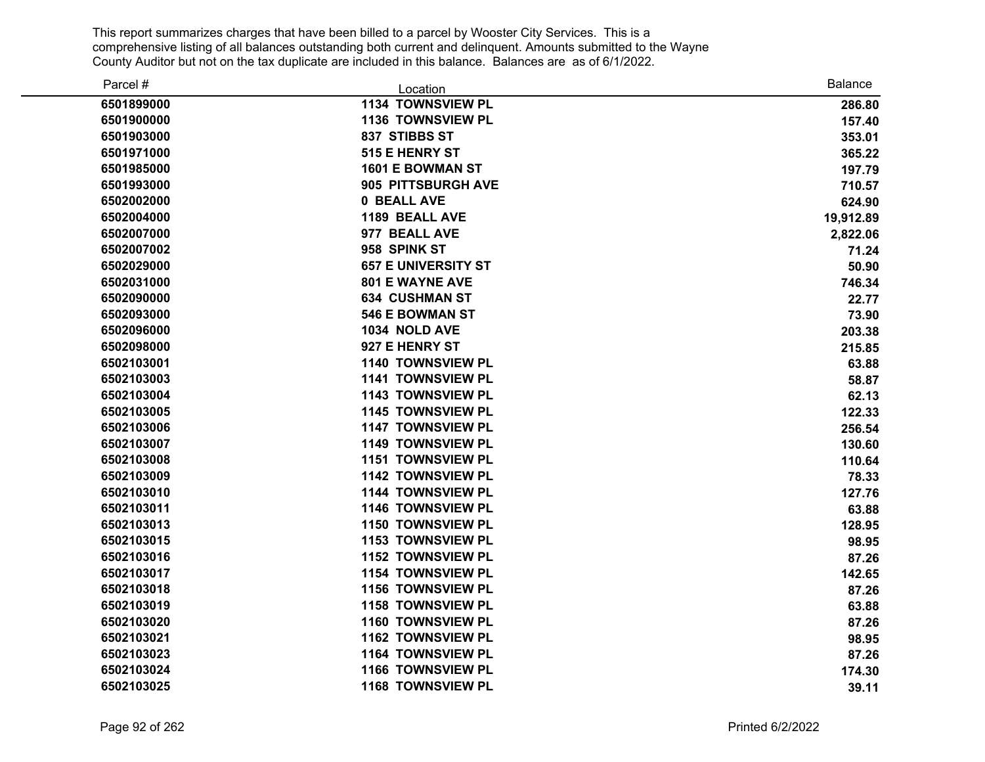| Parcel #   | Location                   | <b>Balance</b> |
|------------|----------------------------|----------------|
| 6501899000 | 1134 TOWNSVIEW PL          | 286.80         |
| 6501900000 | 1136 TOWNSVIEW PL          | 157.40         |
| 6501903000 | 837 STIBBS ST              | 353.01         |
| 6501971000 | 515 E HENRY ST             | 365.22         |
| 6501985000 | 1601 E BOWMAN ST           | 197.79         |
| 6501993000 | 905 PITTSBURGH AVE         | 710.57         |
| 6502002000 | 0 BEALL AVE                | 624.90         |
| 6502004000 | 1189 BEALL AVE             | 19,912.89      |
| 6502007000 | 977 BEALL AVE              | 2,822.06       |
| 6502007002 | 958 SPINK ST               | 71.24          |
| 6502029000 | <b>657 E UNIVERSITY ST</b> | 50.90          |
| 6502031000 | <b>801 E WAYNE AVE</b>     | 746.34         |
| 6502090000 | <b>634 CUSHMAN ST</b>      | 22.77          |
| 6502093000 | <b>546 E BOWMAN ST</b>     | 73.90          |
| 6502096000 | 1034 NOLD AVE              | 203.38         |
| 6502098000 | 927 E HENRY ST             | 215.85         |
| 6502103001 | 1140 TOWNSVIEW PL          | 63.88          |
| 6502103003 | 1141 TOWNSVIEW PL          | 58.87          |
| 6502103004 | 1143 TOWNSVIEW PL          | 62.13          |
| 6502103005 | 1145 TOWNSVIEW PL          | 122.33         |
| 6502103006 | <b>1147 TOWNSVIEW PL</b>   | 256.54         |
| 6502103007 | <b>1149 TOWNSVIEW PL</b>   | 130.60         |
| 6502103008 | <b>1151 TOWNSVIEW PL</b>   | 110.64         |
| 6502103009 | 1142 TOWNSVIEW PL          | 78.33          |
| 6502103010 | 1144 TOWNSVIEW PL          | 127.76         |
| 6502103011 | 1146 TOWNSVIEW PL          | 63.88          |
| 6502103013 | 1150 TOWNSVIEW PL          | 128.95         |
| 6502103015 | <b>1153 TOWNSVIEW PL</b>   | 98.95          |
| 6502103016 | 1152 TOWNSVIEW PL          | 87.26          |
| 6502103017 | 1154 TOWNSVIEW PL          | 142.65         |
| 6502103018 | 1156 TOWNSVIEW PL          | 87.26          |
| 6502103019 | 1158 TOWNSVIEW PL          | 63.88          |
| 6502103020 | 1160 TOWNSVIEW PL          | 87.26          |
| 6502103021 | 1162 TOWNSVIEW PL          | 98.95          |
| 6502103023 | 1164 TOWNSVIEW PL          | 87.26          |
| 6502103024 | 1166 TOWNSVIEW PL          | 174.30         |
| 6502103025 | 1168 TOWNSVIEW PL          | 39.11          |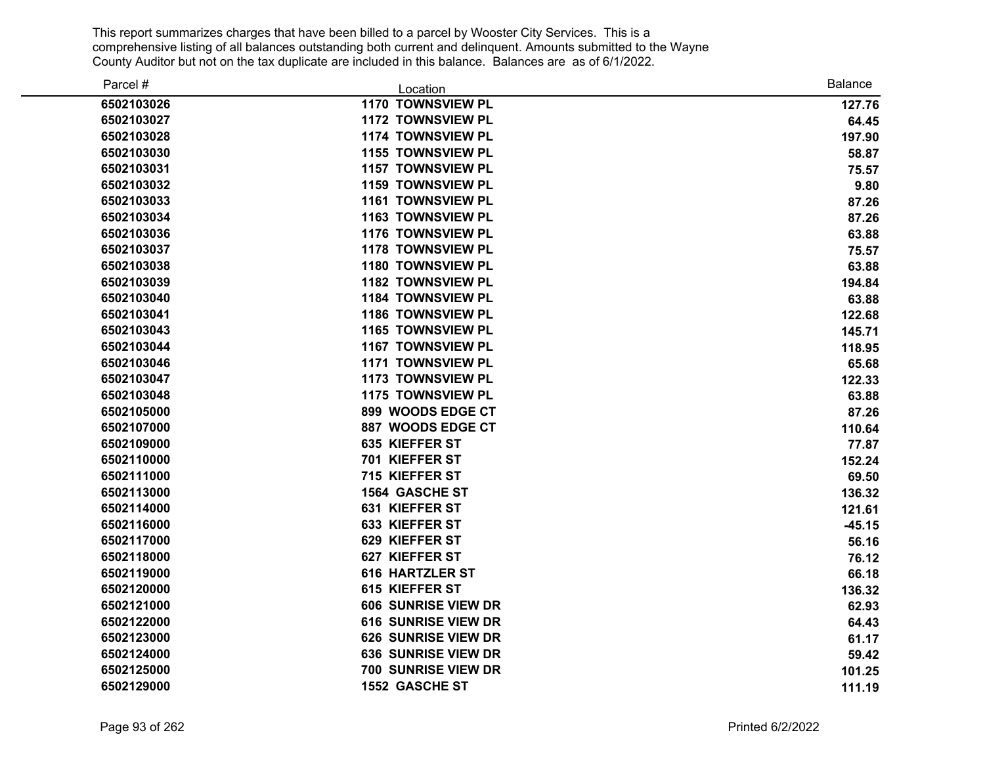| Parcel #   | Location                   | <b>Balance</b> |
|------------|----------------------------|----------------|
| 6502103026 | 1170 TOWNSVIEW PL          | 127.76         |
| 6502103027 | <b>1172 TOWNSVIEW PL</b>   | 64.45          |
| 6502103028 | 1174 TOWNSVIEW PL          | 197.90         |
| 6502103030 | <b>1155 TOWNSVIEW PL</b>   | 58.87          |
| 6502103031 | <b>1157 TOWNSVIEW PL</b>   | 75.57          |
| 6502103032 | <b>1159 TOWNSVIEW PL</b>   | 9.80           |
| 6502103033 | 1161 TOWNSVIEW PL          | 87.26          |
| 6502103034 | 1163 TOWNSVIEW PL          | 87.26          |
| 6502103036 | <b>1176 TOWNSVIEW PL</b>   | 63.88          |
| 6502103037 | <b>1178 TOWNSVIEW PL</b>   | 75.57          |
| 6502103038 | <b>1180 TOWNSVIEW PL</b>   | 63.88          |
| 6502103039 | 1182 TOWNSVIEW PL          | 194.84         |
| 6502103040 | 1184 TOWNSVIEW PL          | 63.88          |
| 6502103041 | 1186 TOWNSVIEW PL          | 122.68         |
| 6502103043 | 1165 TOWNSVIEW PL          | 145.71         |
| 6502103044 | 1167 TOWNSVIEW PL          | 118.95         |
| 6502103046 | 1171 TOWNSVIEW PL          | 65.68          |
| 6502103047 | 1173 TOWNSVIEW PL          | 122.33         |
| 6502103048 | 1175 TOWNSVIEW PL          | 63.88          |
| 6502105000 | 899 WOODS EDGE CT          | 87.26          |
| 6502107000 | 887 WOODS EDGE CT          | 110.64         |
| 6502109000 | 635 KIEFFER ST             | 77.87          |
| 6502110000 | 701 KIEFFER ST             | 152.24         |
| 6502111000 | 715 KIEFFER ST             | 69.50          |
| 6502113000 | <b>1564 GASCHE ST</b>      | 136.32         |
| 6502114000 | 631 KIEFFER ST             | 121.61         |
| 6502116000 | 633 KIEFFER ST             | $-45.15$       |
| 6502117000 | 629 KIEFFER ST             | 56.16          |
| 6502118000 | 627 KIEFFER ST             | 76.12          |
| 6502119000 | <b>616 HARTZLER ST</b>     | 66.18          |
| 6502120000 | 615 KIEFFER ST             | 136.32         |
| 6502121000 | 606 SUNRISE VIEW DR        | 62.93          |
| 6502122000 | <b>616 SUNRISE VIEW DR</b> | 64.43          |
| 6502123000 | <b>626 SUNRISE VIEW DR</b> | 61.17          |
| 6502124000 | <b>636 SUNRISE VIEW DR</b> | 59.42          |
| 6502125000 | 700 SUNRISE VIEW DR        | 101.25         |
| 6502129000 | 1552 GASCHE ST             | 111.19         |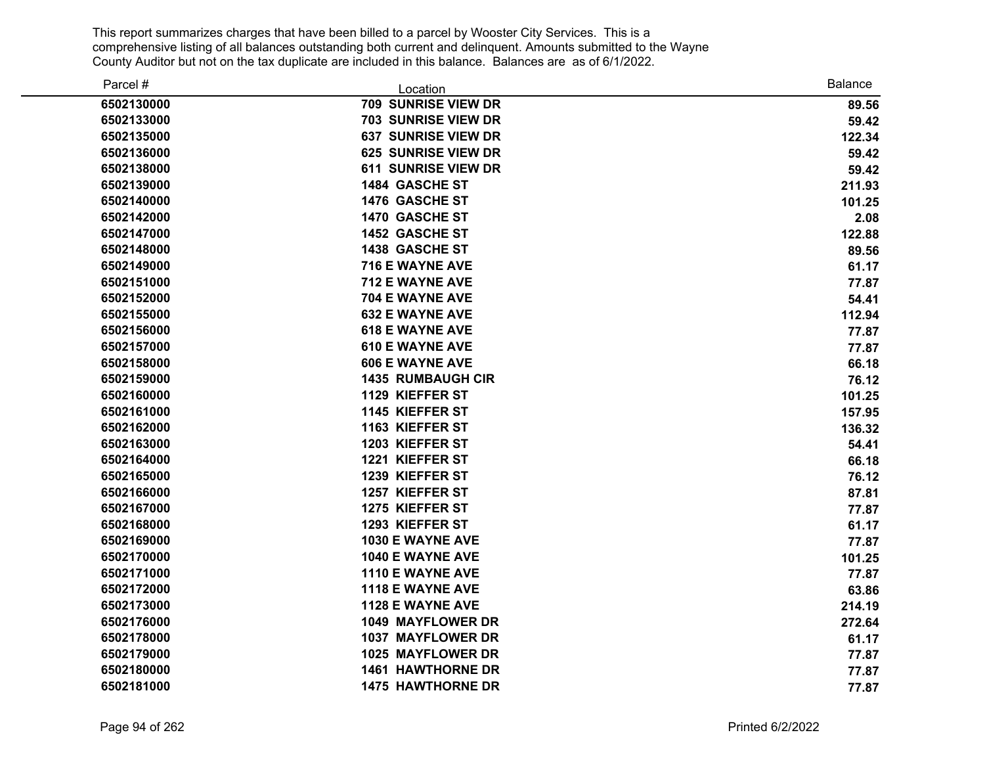| Parcel #   | Location                   | <b>Balance</b> |
|------------|----------------------------|----------------|
| 6502130000 | 709 SUNRISE VIEW DR        | 89.56          |
| 6502133000 | <b>703 SUNRISE VIEW DR</b> | 59.42          |
| 6502135000 | <b>637 SUNRISE VIEW DR</b> | 122.34         |
| 6502136000 | <b>625 SUNRISE VIEW DR</b> | 59.42          |
| 6502138000 | <b>611 SUNRISE VIEW DR</b> | 59.42          |
| 6502139000 | <b>1484 GASCHE ST</b>      | 211.93         |
| 6502140000 | 1476 GASCHE ST             | 101.25         |
| 6502142000 | 1470 GASCHE ST             | 2.08           |
| 6502147000 | 1452 GASCHE ST             | 122.88         |
| 6502148000 | 1438 GASCHE ST             | 89.56          |
| 6502149000 | 716 E WAYNE AVE            | 61.17          |
| 6502151000 | 712 E WAYNE AVE            | 77.87          |
| 6502152000 | 704 E WAYNE AVE            | 54.41          |
| 6502155000 | <b>632 E WAYNE AVE</b>     | 112.94         |
| 6502156000 | <b>618 E WAYNE AVE</b>     | 77.87          |
| 6502157000 | <b>610 E WAYNE AVE</b>     | 77.87          |
| 6502158000 | <b>606 E WAYNE AVE</b>     | 66.18          |
| 6502159000 | <b>1435 RUMBAUGH CIR</b>   | 76.12          |
| 6502160000 | 1129 KIEFFER ST            | 101.25         |
| 6502161000 | 1145 KIEFFER ST            | 157.95         |
| 6502162000 | 1163 KIEFFER ST            | 136.32         |
| 6502163000 | 1203 KIEFFER ST            | 54.41          |
| 6502164000 | 1221 KIEFFER ST            | 66.18          |
| 6502165000 | 1239 KIEFFER ST            | 76.12          |
| 6502166000 | 1257 KIEFFER ST            | 87.81          |
| 6502167000 | 1275 KIEFFER ST            | 77.87          |
| 6502168000 | 1293 KIEFFER ST            | 61.17          |
| 6502169000 | 1030 E WAYNE AVE           | 77.87          |
| 6502170000 | <b>1040 E WAYNE AVE</b>    | 101.25         |
| 6502171000 | 1110 E WAYNE AVE           | 77.87          |
| 6502172000 | 1118 E WAYNE AVE           | 63.86          |
| 6502173000 | 1128 E WAYNE AVE           | 214.19         |
| 6502176000 | 1049 MAYFLOWER DR          | 272.64         |
| 6502178000 | 1037 MAYFLOWER DR          | 61.17          |
| 6502179000 | 1025 MAYFLOWER DR          | 77.87          |
| 6502180000 | <b>1461 HAWTHORNE DR</b>   | 77.87          |
| 6502181000 | <b>1475 HAWTHORNE DR</b>   | 77.87          |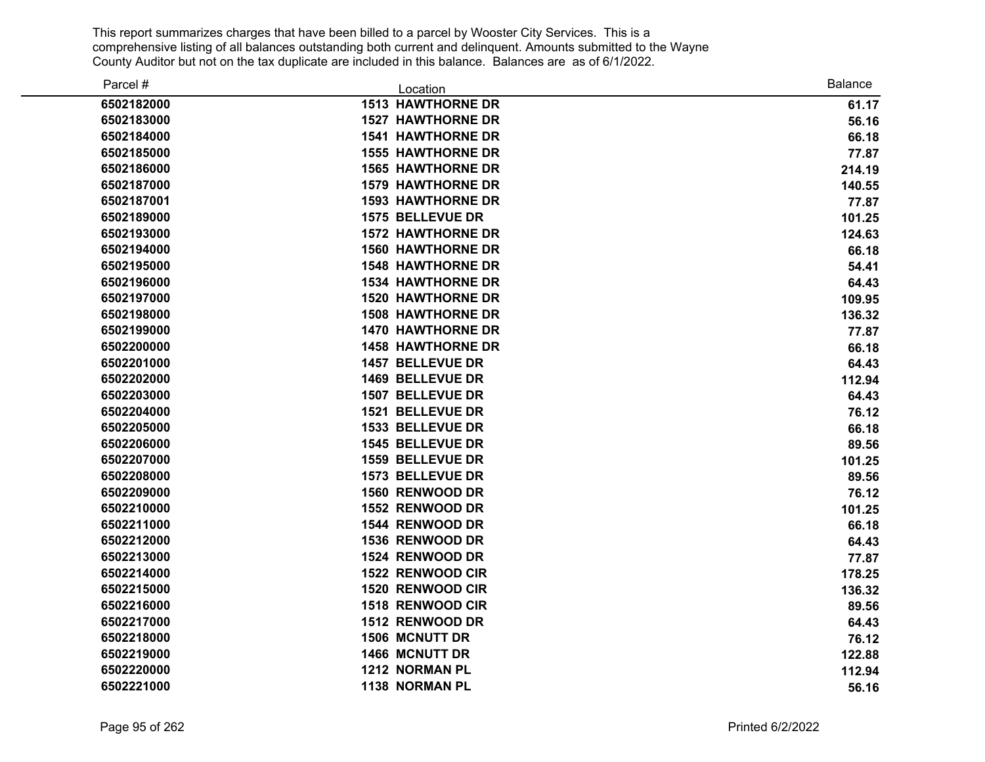| Parcel #   | Location                 | <b>Balance</b> |
|------------|--------------------------|----------------|
| 6502182000 | <b>1513 HAWTHORNE DR</b> | 61.17          |
| 6502183000 | <b>1527 HAWTHORNE DR</b> | 56.16          |
| 6502184000 | <b>1541 HAWTHORNE DR</b> | 66.18          |
| 6502185000 | <b>1555 HAWTHORNE DR</b> | 77.87          |
| 6502186000 | <b>1565 HAWTHORNE DR</b> | 214.19         |
| 6502187000 | <b>1579 HAWTHORNE DR</b> | 140.55         |
| 6502187001 | <b>1593 HAWTHORNE DR</b> | 77.87          |
| 6502189000 | 1575 BELLEVUE DR         | 101.25         |
| 6502193000 | <b>1572 HAWTHORNE DR</b> | 124.63         |
| 6502194000 | <b>1560 HAWTHORNE DR</b> | 66.18          |
| 6502195000 | <b>1548 HAWTHORNE DR</b> | 54.41          |
| 6502196000 | <b>1534 HAWTHORNE DR</b> | 64.43          |
| 6502197000 | <b>1520 HAWTHORNE DR</b> | 109.95         |
| 6502198000 | <b>1508 HAWTHORNE DR</b> | 136.32         |
| 6502199000 | <b>1470 HAWTHORNE DR</b> | 77.87          |
| 6502200000 | <b>1458 HAWTHORNE DR</b> | 66.18          |
| 6502201000 | 1457 BELLEVUE DR         | 64.43          |
| 6502202000 | 1469 BELLEVUE DR         | 112.94         |
| 6502203000 | 1507 BELLEVUE DR         | 64.43          |
| 6502204000 | 1521 BELLEVUE DR         | 76.12          |
| 6502205000 | 1533 BELLEVUE DR         | 66.18          |
| 6502206000 | <b>1545 BELLEVUE DR</b>  | 89.56          |
| 6502207000 | <b>1559 BELLEVUE DR</b>  | 101.25         |
| 6502208000 | 1573 BELLEVUE DR         | 89.56          |
| 6502209000 | 1560 RENWOOD DR          | 76.12          |
| 6502210000 | 1552 RENWOOD DR          | 101.25         |
| 6502211000 | 1544 RENWOOD DR          | 66.18          |
| 6502212000 | 1536 RENWOOD DR          | 64.43          |
| 6502213000 | 1524 RENWOOD DR          | 77.87          |
| 6502214000 | 1522 RENWOOD CIR         | 178.25         |
| 6502215000 | 1520 RENWOOD CIR         | 136.32         |
| 6502216000 | 1518 RENWOOD CIR         | 89.56          |
| 6502217000 | 1512 RENWOOD DR          | 64.43          |
| 6502218000 | <b>1506 MCNUTT DR</b>    | 76.12          |
| 6502219000 | <b>1466 MCNUTT DR</b>    | 122.88         |
| 6502220000 | 1212 NORMAN PL           | 112.94         |
| 6502221000 | 1138 NORMAN PL           | 56.16          |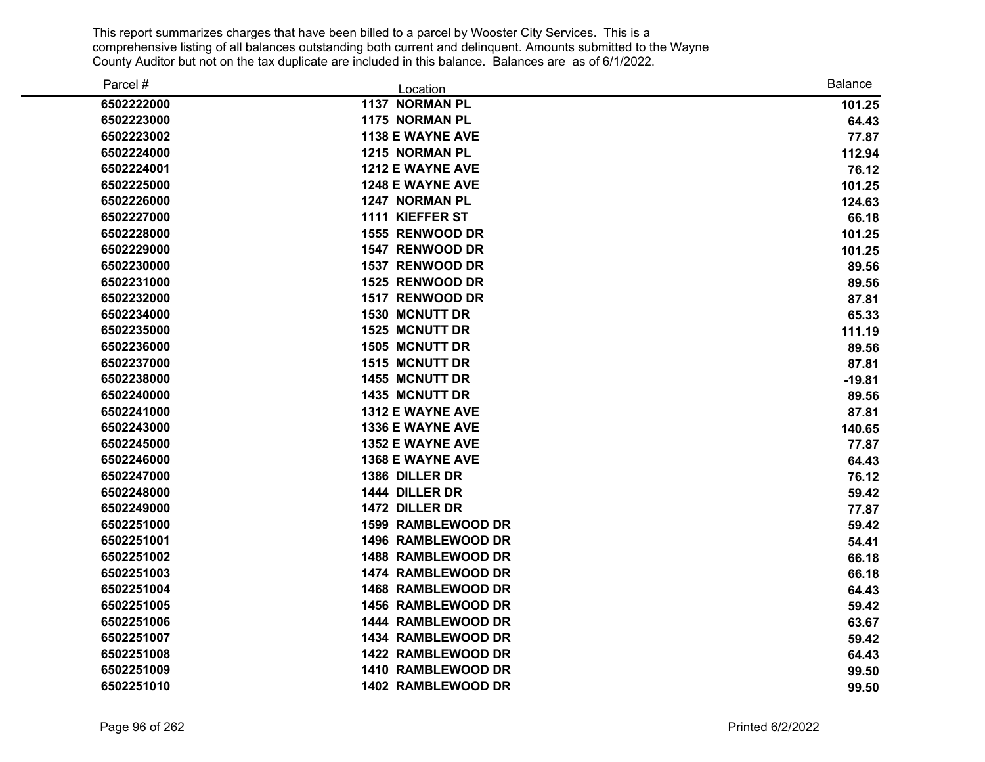| Parcel #   | Location                  | <b>Balance</b> |
|------------|---------------------------|----------------|
| 6502222000 | 1137 NORMAN PL            | 101.25         |
| 6502223000 | 1175 NORMAN PL            | 64.43          |
| 6502223002 | <b>1138 E WAYNE AVE</b>   | 77.87          |
| 6502224000 | <b>1215 NORMAN PL</b>     | 112.94         |
| 6502224001 | 1212 E WAYNE AVE          | 76.12          |
| 6502225000 | <b>1248 E WAYNE AVE</b>   | 101.25         |
| 6502226000 | <b>1247 NORMAN PL</b>     | 124.63         |
| 6502227000 | 1111 KIEFFER ST           | 66.18          |
| 6502228000 | 1555 RENWOOD DR           | 101.25         |
| 6502229000 | 1547 RENWOOD DR           | 101.25         |
| 6502230000 | 1537 RENWOOD DR           | 89.56          |
| 6502231000 | <b>1525 RENWOOD DR</b>    | 89.56          |
| 6502232000 | 1517 RENWOOD DR           | 87.81          |
| 6502234000 | <b>1530 MCNUTT DR</b>     | 65.33          |
| 6502235000 | <b>1525 MCNUTT DR</b>     | 111.19         |
| 6502236000 | <b>1505 MCNUTT DR</b>     | 89.56          |
| 6502237000 | <b>1515 MCNUTT DR</b>     | 87.81          |
| 6502238000 | 1455 MCNUTT DR            | $-19.81$       |
| 6502240000 | <b>1435 MCNUTT DR</b>     | 89.56          |
| 6502241000 | 1312 E WAYNE AVE          | 87.81          |
| 6502243000 | <b>1336 E WAYNE AVE</b>   | 140.65         |
| 6502245000 | 1352 E WAYNE AVE          | 77.87          |
| 6502246000 | <b>1368 E WAYNE AVE</b>   | 64.43          |
| 6502247000 | 1386 DILLER DR            | 76.12          |
| 6502248000 | 1444 DILLER DR            | 59.42          |
| 6502249000 | 1472 DILLER DR            | 77.87          |
| 6502251000 | <b>1599 RAMBLEWOOD DR</b> | 59.42          |
| 6502251001 | 1496 RAMBLEWOOD DR        | 54.41          |
| 6502251002 | 1488 RAMBLEWOOD DR        | 66.18          |
| 6502251003 | 1474 RAMBLEWOOD DR        | 66.18          |
| 6502251004 | 1468 RAMBLEWOOD DR        | 64.43          |
| 6502251005 | 1456 RAMBLEWOOD DR        | 59.42          |
| 6502251006 | 1444 RAMBLEWOOD DR        | 63.67          |
| 6502251007 | 1434 RAMBLEWOOD DR        | 59.42          |
| 6502251008 | 1422 RAMBLEWOOD DR        | 64.43          |
| 6502251009 | 1410 RAMBLEWOOD DR        | 99.50          |
| 6502251010 | 1402 RAMBLEWOOD DR        | 99.50          |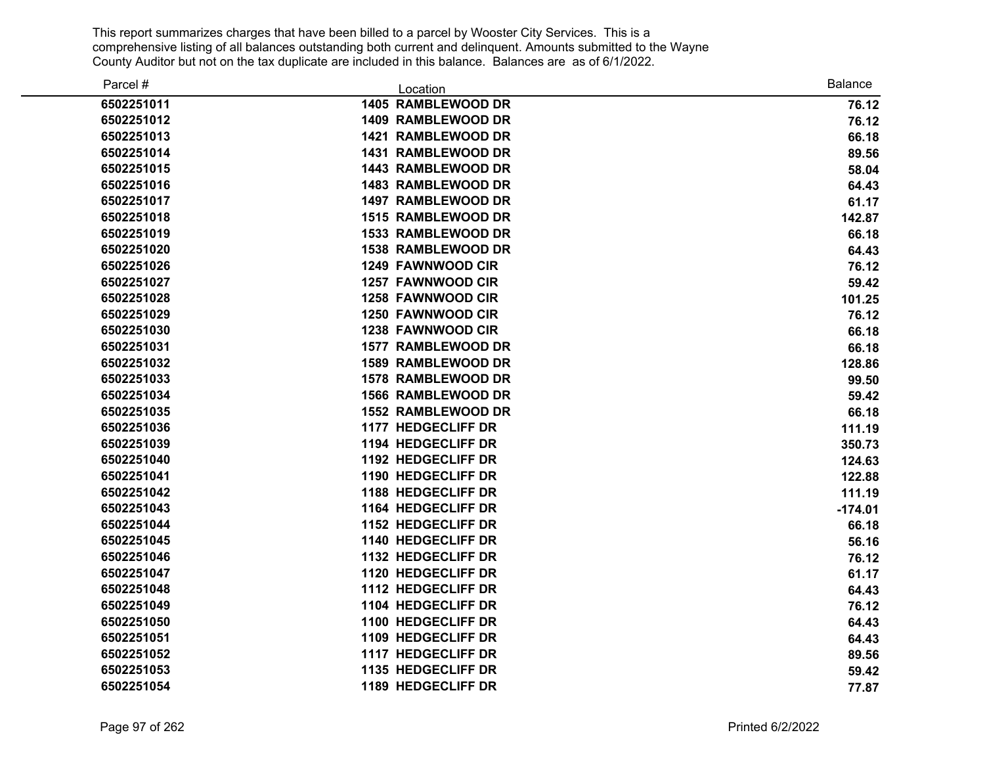| Parcel #   | Location                  | <b>Balance</b> |
|------------|---------------------------|----------------|
| 6502251011 | 1405 RAMBLEWOOD DR        | 76.12          |
| 6502251012 | 1409 RAMBLEWOOD DR        | 76.12          |
| 6502251013 | 1421 RAMBLEWOOD DR        | 66.18          |
| 6502251014 | <b>1431 RAMBLEWOOD DR</b> | 89.56          |
| 6502251015 | <b>1443 RAMBLEWOOD DR</b> | 58.04          |
| 6502251016 | <b>1483 RAMBLEWOOD DR</b> | 64.43          |
| 6502251017 | <b>1497 RAMBLEWOOD DR</b> | 61.17          |
| 6502251018 | 1515 RAMBLEWOOD DR        | 142.87         |
| 6502251019 | 1533 RAMBLEWOOD DR        | 66.18          |
| 6502251020 | <b>1538 RAMBLEWOOD DR</b> | 64.43          |
| 6502251026 | <b>1249 FAWNWOOD CIR</b>  | 76.12          |
| 6502251027 | 1257 FAWNWOOD CIR         | 59.42          |
| 6502251028 | <b>1258 FAWNWOOD CIR</b>  | 101.25         |
| 6502251029 | 1250 FAWNWOOD CIR         | 76.12          |
| 6502251030 | 1238 FAWNWOOD CIR         | 66.18          |
| 6502251031 | 1577 RAMBLEWOOD DR        | 66.18          |
| 6502251032 | <b>1589 RAMBLEWOOD DR</b> | 128.86         |
| 6502251033 | 1578 RAMBLEWOOD DR        | 99.50          |
| 6502251034 | 1566 RAMBLEWOOD DR        | 59.42          |
| 6502251035 | 1552 RAMBLEWOOD DR        | 66.18          |
| 6502251036 | 1177 HEDGECLIFF DR        | 111.19         |
| 6502251039 | 1194 HEDGECLIFF DR        | 350.73         |
| 6502251040 | 1192 HEDGECLIFF DR        | 124.63         |
| 6502251041 | 1190 HEDGECLIFF DR        | 122.88         |
| 6502251042 | <b>1188 HEDGECLIFF DR</b> | 111.19         |
| 6502251043 | 1164 HEDGECLIFF DR        | $-174.01$      |
| 6502251044 | 1152 HEDGECLIFF DR        | 66.18          |
| 6502251045 | 1140 HEDGECLIFF DR        | 56.16          |
| 6502251046 | <b>1132 HEDGECLIFF DR</b> | 76.12          |
| 6502251047 | 1120 HEDGECLIFF DR        | 61.17          |
| 6502251048 | 1112 HEDGECLIFF DR        | 64.43          |
| 6502251049 | 1104 HEDGECLIFF DR        | 76.12          |
| 6502251050 | 1100 HEDGECLIFF DR        | 64.43          |
| 6502251051 | 1109 HEDGECLIFF DR        | 64.43          |
| 6502251052 | 1117 HEDGECLIFF DR        | 89.56          |
| 6502251053 | 1135 HEDGECLIFF DR        | 59.42          |
| 6502251054 | 1189 HEDGECLIFF DR        | 77.87          |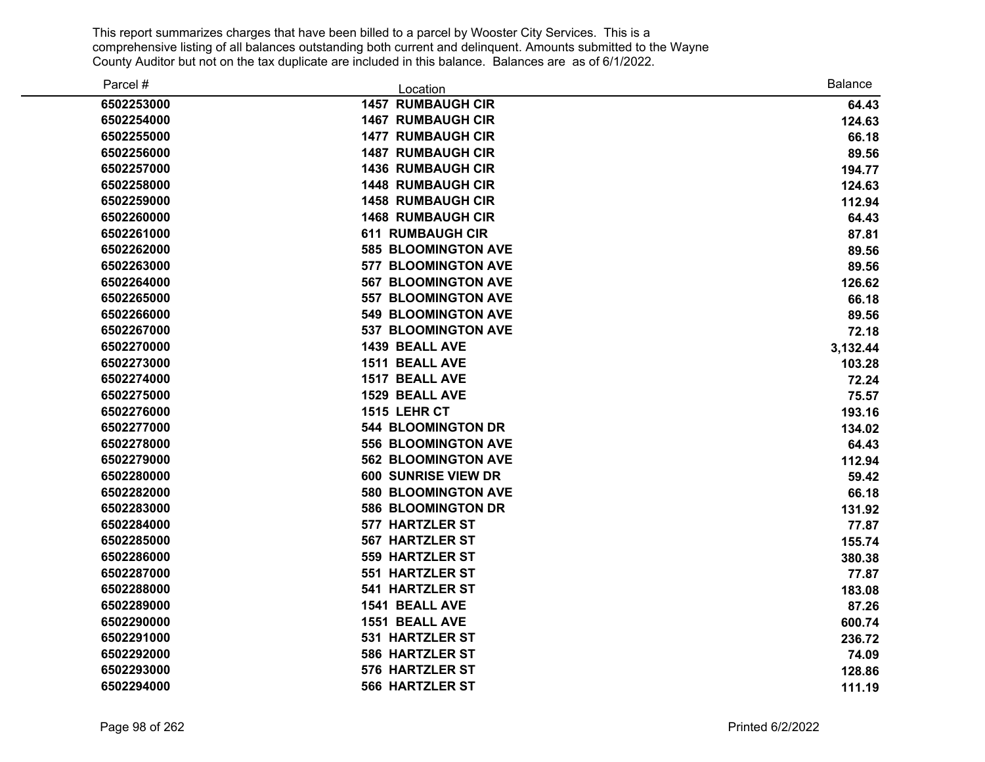| Parcel #   | Location                   | <b>Balance</b> |
|------------|----------------------------|----------------|
| 6502253000 | <b>1457 RUMBAUGH CIR</b>   | 64.43          |
| 6502254000 | <b>1467 RUMBAUGH CIR</b>   | 124.63         |
| 6502255000 | <b>1477 RUMBAUGH CIR</b>   | 66.18          |
| 6502256000 | <b>1487 RUMBAUGH CIR</b>   | 89.56          |
| 6502257000 | <b>1436 RUMBAUGH CIR</b>   | 194.77         |
| 6502258000 | <b>1448 RUMBAUGH CIR</b>   | 124.63         |
| 6502259000 | <b>1458 RUMBAUGH CIR</b>   | 112.94         |
| 6502260000 | <b>1468 RUMBAUGH CIR</b>   | 64.43          |
| 6502261000 | <b>611 RUMBAUGH CIR</b>    | 87.81          |
| 6502262000 | <b>585 BLOOMINGTON AVE</b> | 89.56          |
| 6502263000 | <b>577 BLOOMINGTON AVE</b> | 89.56          |
| 6502264000 | <b>567 BLOOMINGTON AVE</b> | 126.62         |
| 6502265000 | <b>557 BLOOMINGTON AVE</b> | 66.18          |
| 6502266000 | <b>549 BLOOMINGTON AVE</b> | 89.56          |
| 6502267000 | 537 BLOOMINGTON AVE        | 72.18          |
| 6502270000 | 1439 BEALL AVE             | 3,132.44       |
| 6502273000 | <b>1511 BEALL AVE</b>      | 103.28         |
| 6502274000 | 1517 BEALL AVE             | 72.24          |
| 6502275000 | 1529 BEALL AVE             | 75.57          |
| 6502276000 | 1515 LEHR CT               | 193.16         |
| 6502277000 | <b>544 BLOOMINGTON DR</b>  | 134.02         |
| 6502278000 | <b>556 BLOOMINGTON AVE</b> | 64.43          |
| 6502279000 | <b>562 BLOOMINGTON AVE</b> | 112.94         |
| 6502280000 | 600 SUNRISE VIEW DR        | 59.42          |
| 6502282000 | 580 BLOOMINGTON AVE        | 66.18          |
| 6502283000 | <b>586 BLOOMINGTON DR</b>  | 131.92         |
| 6502284000 | 577 HARTZLER ST            | 77.87          |
| 6502285000 | <b>567 HARTZLER ST</b>     | 155.74         |
| 6502286000 | <b>559 HARTZLER ST</b>     | 380.38         |
| 6502287000 | <b>551 HARTZLER ST</b>     | 77.87          |
| 6502288000 | <b>541 HARTZLER ST</b>     | 183.08         |
| 6502289000 | 1541 BEALL AVE             | 87.26          |
| 6502290000 | 1551 BEALL AVE             | 600.74         |
| 6502291000 | 531 HARTZLER ST            | 236.72         |
| 6502292000 | <b>586 HARTZLER ST</b>     | 74.09          |
| 6502293000 | 576 HARTZLER ST            | 128.86         |
| 6502294000 | <b>566 HARTZLER ST</b>     | 111.19         |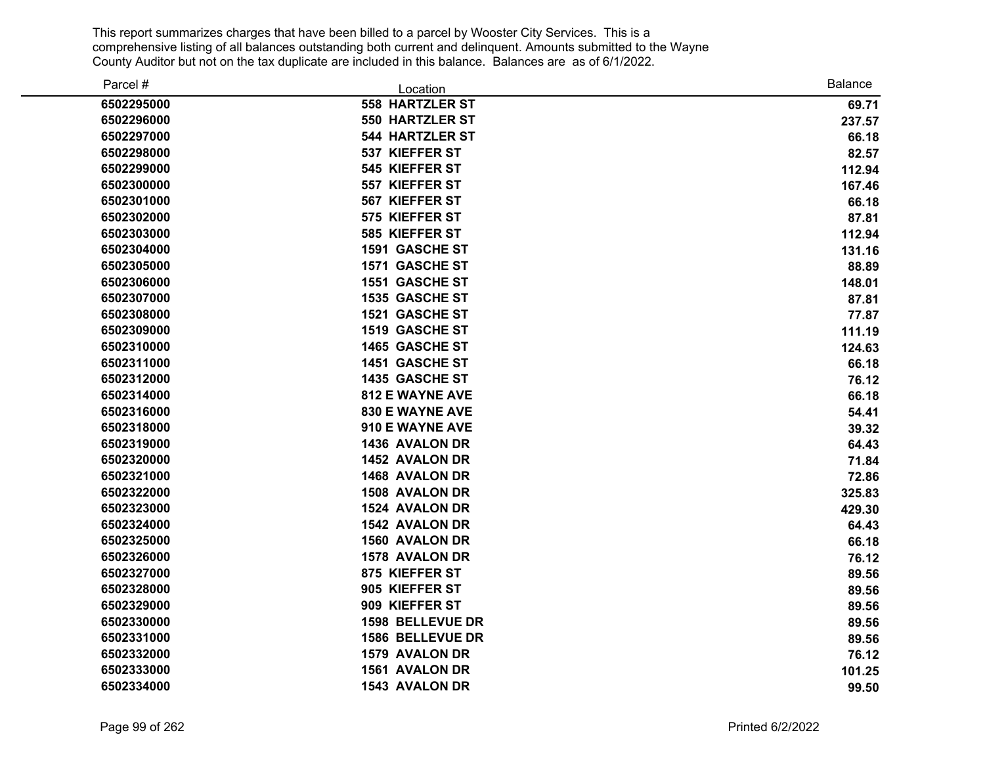| Parcel #   | Location               | <b>Balance</b> |
|------------|------------------------|----------------|
| 6502295000 | <b>558 HARTZLER ST</b> | 69.71          |
| 6502296000 | <b>550 HARTZLER ST</b> | 237.57         |
| 6502297000 | <b>544 HARTZLER ST</b> | 66.18          |
| 6502298000 | 537 KIEFFER ST         | 82.57          |
| 6502299000 | 545 KIEFFER ST         | 112.94         |
| 6502300000 | 557 KIEFFER ST         | 167.46         |
| 6502301000 | 567 KIEFFER ST         | 66.18          |
| 6502302000 | 575 KIEFFER ST         | 87.81          |
| 6502303000 | 585 KIEFFER ST         | 112.94         |
| 6502304000 | 1591 GASCHE ST         | 131.16         |
| 6502305000 | 1571 GASCHE ST         | 88.89          |
| 6502306000 | 1551 GASCHE ST         | 148.01         |
| 6502307000 | 1535 GASCHE ST         | 87.81          |
| 6502308000 | 1521 GASCHE ST         | 77.87          |
| 6502309000 | 1519 GASCHE ST         | 111.19         |
| 6502310000 | 1465 GASCHE ST         | 124.63         |
| 6502311000 | 1451 GASCHE ST         | 66.18          |
| 6502312000 | 1435 GASCHE ST         | 76.12          |
| 6502314000 | <b>812 E WAYNE AVE</b> | 66.18          |
| 6502316000 | <b>830 E WAYNE AVE</b> | 54.41          |
| 6502318000 | 910 E WAYNE AVE        | 39.32          |
| 6502319000 | 1436 AVALON DR         | 64.43          |
| 6502320000 | 1452 AVALON DR         | 71.84          |
| 6502321000 | 1468 AVALON DR         | 72.86          |
| 6502322000 | <b>1508 AVALON DR</b>  | 325.83         |
| 6502323000 | 1524 AVALON DR         | 429.30         |
| 6502324000 | 1542 AVALON DR         | 64.43          |
| 6502325000 | 1560 AVALON DR         | 66.18          |
| 6502326000 | 1578 AVALON DR         | 76.12          |
| 6502327000 | 875 KIEFFER ST         | 89.56          |
| 6502328000 | 905 KIEFFER ST         | 89.56          |
| 6502329000 | 909 KIEFFER ST         | 89.56          |
| 6502330000 | 1598 BELLEVUE DR       | 89.56          |
| 6502331000 | 1586 BELLEVUE DR       | 89.56          |
| 6502332000 | <b>1579 AVALON DR</b>  | 76.12          |
| 6502333000 | 1561 AVALON DR         | 101.25         |
| 6502334000 | 1543 AVALON DR         | 99.50          |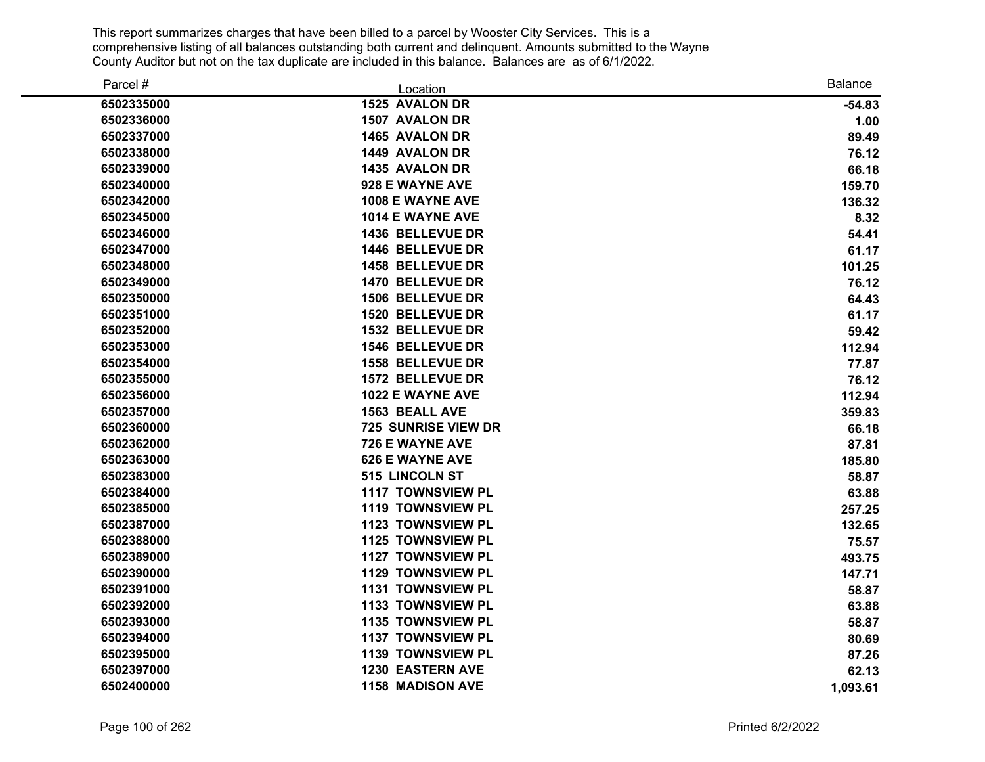| Parcel #   | Location                   | <b>Balance</b> |
|------------|----------------------------|----------------|
| 6502335000 | 1525 AVALON DR             | $-54.83$       |
| 6502336000 | 1507 AVALON DR             | 1.00           |
| 6502337000 | 1465 AVALON DR             | 89.49          |
| 6502338000 | 1449 AVALON DR             | 76.12          |
| 6502339000 | 1435 AVALON DR             | 66.18          |
| 6502340000 | 928 E WAYNE AVE            | 159.70         |
| 6502342000 | 1008 E WAYNE AVE           | 136.32         |
| 6502345000 | 1014 E WAYNE AVE           | 8.32           |
| 6502346000 | 1436 BELLEVUE DR           | 54.41          |
| 6502347000 | 1446 BELLEVUE DR           | 61.17          |
| 6502348000 | 1458 BELLEVUE DR           | 101.25         |
| 6502349000 | 1470 BELLEVUE DR           | 76.12          |
| 6502350000 | <b>1506 BELLEVUE DR</b>    | 64.43          |
| 6502351000 | 1520 BELLEVUE DR           | 61.17          |
| 6502352000 | 1532 BELLEVUE DR           | 59.42          |
| 6502353000 | 1546 BELLEVUE DR           | 112.94         |
| 6502354000 | 1558 BELLEVUE DR           | 77.87          |
| 6502355000 | <b>1572 BELLEVUE DR</b>    | 76.12          |
| 6502356000 | 1022 E WAYNE AVE           | 112.94         |
| 6502357000 | <b>1563 BEALL AVE</b>      | 359.83         |
| 6502360000 | <b>725 SUNRISE VIEW DR</b> | 66.18          |
| 6502362000 | 726 E WAYNE AVE            | 87.81          |
| 6502363000 | <b>626 E WAYNE AVE</b>     | 185.80         |
| 6502383000 | 515 LINCOLN ST             | 58.87          |
| 6502384000 | <b>1117 TOWNSVIEW PL</b>   | 63.88          |
| 6502385000 | <b>1119 TOWNSVIEW PL</b>   | 257.25         |
| 6502387000 | 1123 TOWNSVIEW PL          | 132.65         |
| 6502388000 | 1125 TOWNSVIEW PL          | 75.57          |
| 6502389000 | 1127 TOWNSVIEW PL          | 493.75         |
| 6502390000 | 1129 TOWNSVIEW PL          | 147.71         |
| 6502391000 | 1131 TOWNSVIEW PL          | 58.87          |
| 6502392000 | 1133 TOWNSVIEW PL          | 63.88          |
| 6502393000 | 1135 TOWNSVIEW PL          | 58.87          |
| 6502394000 | 1137 TOWNSVIEW PL          | 80.69          |
| 6502395000 | 1139 TOWNSVIEW PL          | 87.26          |
| 6502397000 | <b>1230 EASTERN AVE</b>    | 62.13          |
| 6502400000 | <b>1158 MADISON AVE</b>    | 1,093.61       |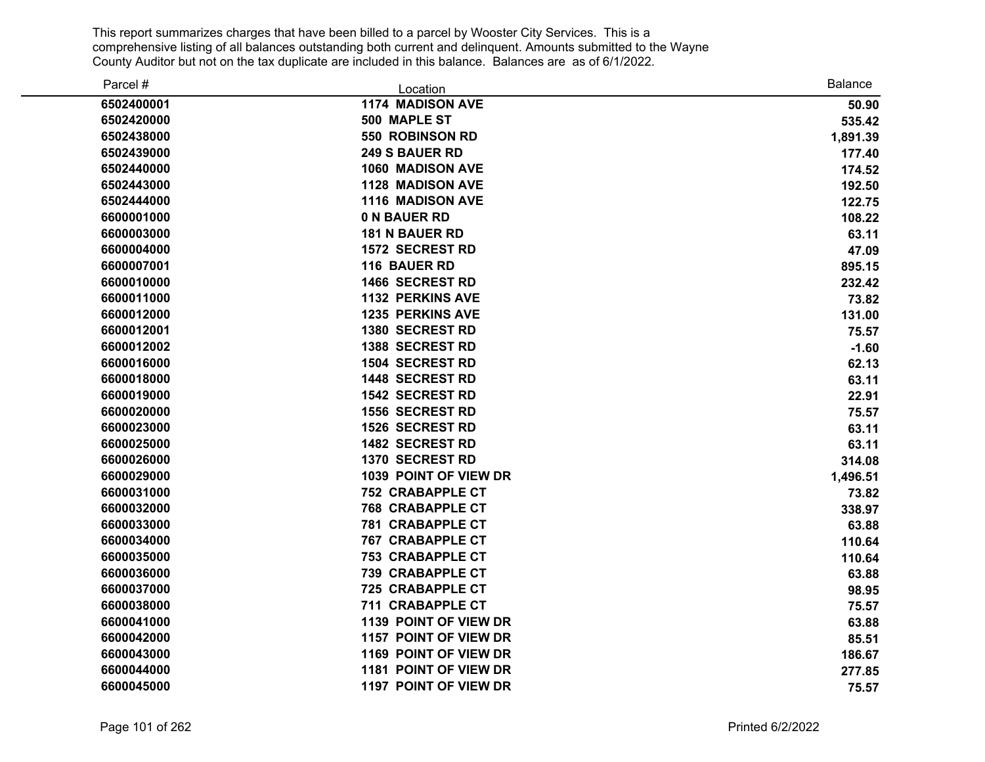| Parcel #   | Location                | <b>Balance</b> |
|------------|-------------------------|----------------|
| 6502400001 | 1174 MADISON AVE        | 50.90          |
| 6502420000 | 500 MAPLE ST            | 535.42         |
| 6502438000 | 550 ROBINSON RD         | 1,891.39       |
| 6502439000 | <b>249 S BAUER RD</b>   | 177.40         |
| 6502440000 | 1060 MADISON AVE        | 174.52         |
| 6502443000 | 1128 MADISON AVE        | 192.50         |
| 6502444000 | <b>1116 MADISON AVE</b> | 122.75         |
| 6600001000 | 0 N BAUER RD            | 108.22         |
| 6600003000 | <b>181 N BAUER RD</b>   | 63.11          |
| 6600004000 | <b>1572 SECREST RD</b>  | 47.09          |
| 6600007001 | 116 BAUER RD            | 895.15         |
| 6600010000 | 1466 SECREST RD         | 232.42         |
| 6600011000 | <b>1132 PERKINS AVE</b> | 73.82          |
| 6600012000 | <b>1235 PERKINS AVE</b> | 131.00         |
| 6600012001 | 1380 SECREST RD         | 75.57          |
| 6600012002 | 1388 SECREST RD         | $-1.60$        |
| 6600016000 | 1504 SECREST RD         | 62.13          |
| 6600018000 | 1448 SECREST RD         | 63.11          |
| 6600019000 | 1542 SECREST RD         | 22.91          |
| 6600020000 | <b>1556 SECREST RD</b>  | 75.57          |
| 6600023000 | 1526 SECREST RD         | 63.11          |
| 6600025000 | 1482 SECREST RD         | 63.11          |
| 6600026000 | 1370 SECREST RD         | 314.08         |
| 6600029000 | 1039 POINT OF VIEW DR   | 1,496.51       |
| 6600031000 | <b>752 CRABAPPLE CT</b> | 73.82          |
| 6600032000 | <b>768 CRABAPPLE CT</b> | 338.97         |
| 6600033000 | <b>781 CRABAPPLE CT</b> | 63.88          |
| 6600034000 | <b>767 CRABAPPLE CT</b> | 110.64         |
| 6600035000 | <b>753 CRABAPPLE CT</b> | 110.64         |
| 6600036000 | <b>739 CRABAPPLE CT</b> | 63.88          |
| 6600037000 | <b>725 CRABAPPLE CT</b> | 98.95          |
| 6600038000 | 711 CRABAPPLE CT        | 75.57          |
| 6600041000 | 1139 POINT OF VIEW DR   | 63.88          |
| 6600042000 | 1157 POINT OF VIEW DR   | 85.51          |
| 6600043000 | 1169 POINT OF VIEW DR   | 186.67         |
| 6600044000 | 1181 POINT OF VIEW DR   | 277.85         |
| 6600045000 | 1197 POINT OF VIEW DR   | 75.57          |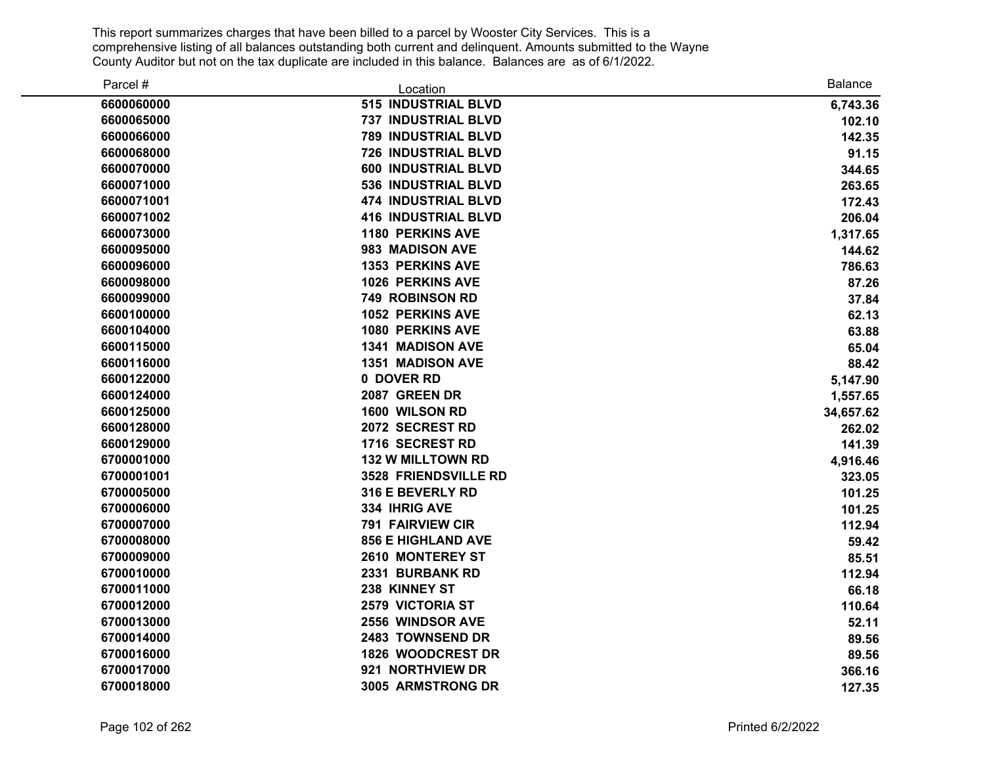| Parcel #   | Location                   | <b>Balance</b> |
|------------|----------------------------|----------------|
| 6600060000 | <b>515 INDUSTRIAL BLVD</b> | 6,743.36       |
| 6600065000 | <b>737 INDUSTRIAL BLVD</b> | 102.10         |
| 6600066000 | <b>789 INDUSTRIAL BLVD</b> | 142.35         |
| 6600068000 | 726 INDUSTRIAL BLVD        | 91.15          |
| 6600070000 | 600 INDUSTRIAL BLVD        | 344.65         |
| 6600071000 | 536 INDUSTRIAL BLVD        | 263.65         |
| 6600071001 | <b>474 INDUSTRIAL BLVD</b> | 172.43         |
| 6600071002 | <b>416 INDUSTRIAL BLVD</b> | 206.04         |
| 6600073000 | <b>1180 PERKINS AVE</b>    | 1,317.65       |
| 6600095000 | 983 MADISON AVE            | 144.62         |
| 6600096000 | <b>1353 PERKINS AVE</b>    | 786.63         |
| 6600098000 | <b>1026 PERKINS AVE</b>    | 87.26          |
| 6600099000 | <b>749 ROBINSON RD</b>     | 37.84          |
| 6600100000 | <b>1052 PERKINS AVE</b>    | 62.13          |
| 6600104000 | <b>1080 PERKINS AVE</b>    | 63.88          |
| 6600115000 | <b>1341 MADISON AVE</b>    | 65.04          |
| 6600116000 | <b>1351 MADISON AVE</b>    | 88.42          |
| 6600122000 | 0 DOVER RD                 | 5,147.90       |
| 6600124000 | 2087 GREEN DR              | 1,557.65       |
| 6600125000 | 1600 WILSON RD             | 34,657.62      |
| 6600128000 | 2072 SECREST RD            | 262.02         |
| 6600129000 | 1716 SECREST RD            | 141.39         |
| 6700001000 | <b>132 W MILLTOWN RD</b>   | 4,916.46       |
| 6700001001 | 3528 FRIENDSVILLE RD       | 323.05         |
| 6700005000 | 316 E BEVERLY RD           | 101.25         |
| 6700006000 | 334 IHRIG AVE              | 101.25         |
| 6700007000 | <b>791 FAIRVIEW CIR</b>    | 112.94         |
| 6700008000 | <b>856 E HIGHLAND AVE</b>  | 59.42          |
| 6700009000 | 2610 MONTEREY ST           | 85.51          |
| 6700010000 | 2331 BURBANK RD            | 112.94         |
| 6700011000 | 238 KINNEY ST              | 66.18          |
| 6700012000 | 2579 VICTORIA ST           | 110.64         |
| 6700013000 | 2556 WINDSOR AVE           | 52.11          |
| 6700014000 | 2483 TOWNSEND DR           | 89.56          |
| 6700016000 | <b>1826 WOODCREST DR</b>   | 89.56          |
| 6700017000 | 921 NORTHVIEW DR           | 366.16         |
| 6700018000 | 3005 ARMSTRONG DR          | 127.35         |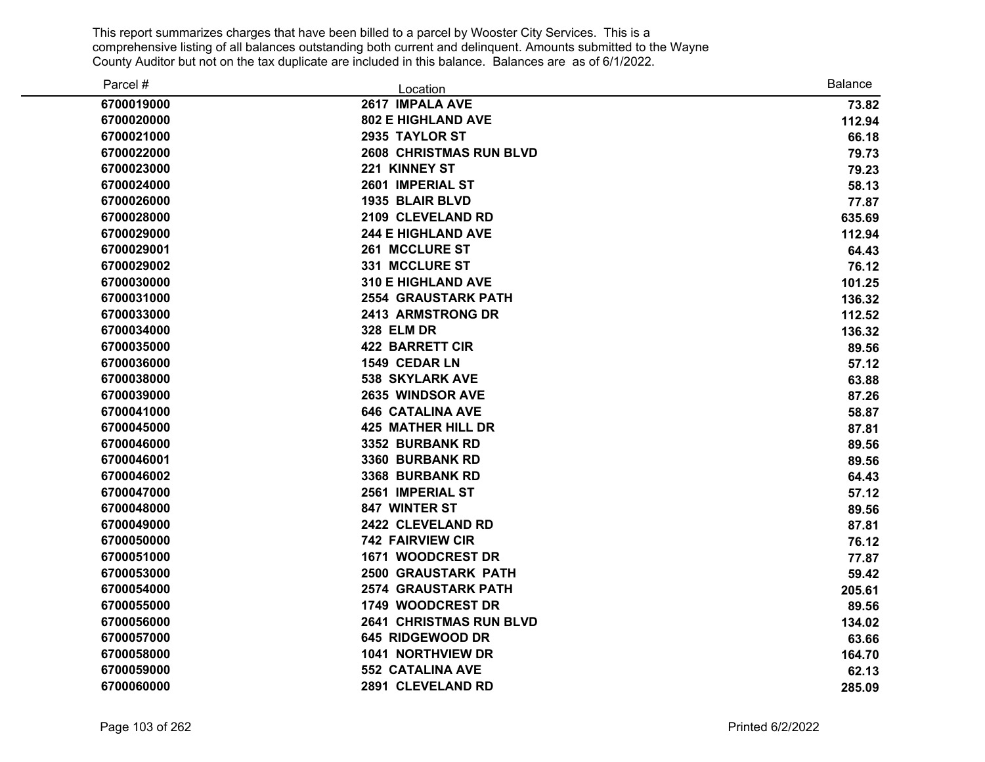| Parcel #   | Location                       | <b>Balance</b> |
|------------|--------------------------------|----------------|
| 6700019000 | 2617 IMPALA AVE                | 73.82          |
| 6700020000 | <b>802 E HIGHLAND AVE</b>      | 112.94         |
| 6700021000 | 2935 TAYLOR ST                 | 66.18          |
| 6700022000 | <b>2608 CHRISTMAS RUN BLVD</b> | 79.73          |
| 6700023000 | 221 KINNEY ST                  | 79.23          |
| 6700024000 | 2601 IMPERIAL ST               | 58.13          |
| 6700026000 | <b>1935 BLAIR BLVD</b>         | 77.87          |
| 6700028000 | 2109 CLEVELAND RD              | 635.69         |
| 6700029000 | <b>244 E HIGHLAND AVE</b>      | 112.94         |
| 6700029001 | <b>261 MCCLURE ST</b>          | 64.43          |
| 6700029002 | 331 MCCLURE ST                 | 76.12          |
| 6700030000 | <b>310 E HIGHLAND AVE</b>      | 101.25         |
| 6700031000 | <b>2554 GRAUSTARK PATH</b>     | 136.32         |
| 6700033000 | 2413 ARMSTRONG DR              | 112.52         |
| 6700034000 | <b>328 ELM DR</b>              | 136.32         |
| 6700035000 | <b>422 BARRETT CIR</b>         | 89.56          |
| 6700036000 | 1549 CEDAR LN                  | 57.12          |
| 6700038000 | <b>538 SKYLARK AVE</b>         | 63.88          |
| 6700039000 | 2635 WINDSOR AVE               | 87.26          |
| 6700041000 | <b>646 CATALINA AVE</b>        | 58.87          |
| 6700045000 | <b>425 MATHER HILL DR</b>      | 87.81          |
| 6700046000 | 3352 BURBANK RD                | 89.56          |
| 6700046001 | 3360 BURBANK RD                | 89.56          |
| 6700046002 | 3368 BURBANK RD                | 64.43          |
| 6700047000 | 2561 IMPERIAL ST               | 57.12          |
| 6700048000 | 847 WINTER ST                  | 89.56          |
| 6700049000 | 2422 CLEVELAND RD              | 87.81          |
| 6700050000 | <b>742 FAIRVIEW CIR</b>        | 76.12          |
| 6700051000 | 1671 WOODCREST DR              | 77.87          |
| 6700053000 | <b>2500 GRAUSTARK PATH</b>     | 59.42          |
| 6700054000 | <b>2574 GRAUSTARK PATH</b>     | 205.61         |
| 6700055000 | 1749 WOODCREST DR              | 89.56          |
| 6700056000 | <b>2641 CHRISTMAS RUN BLVD</b> | 134.02         |
| 6700057000 | 645 RIDGEWOOD DR               | 63.66          |
| 6700058000 | <b>1041 NORTHVIEW DR</b>       | 164.70         |
| 6700059000 | <b>552 CATALINA AVE</b>        | 62.13          |
| 6700060000 | 2891 CLEVELAND RD              | 285.09         |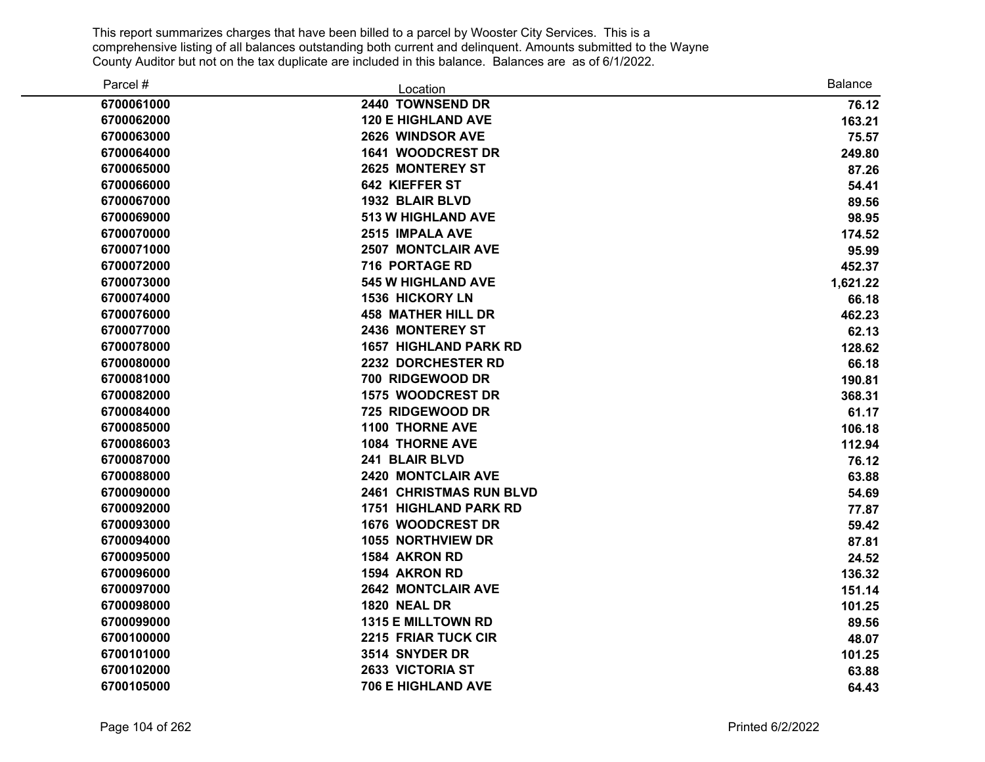| Parcel #   | Location                       | <b>Balance</b> |
|------------|--------------------------------|----------------|
| 6700061000 | 2440 TOWNSEND DR               | 76.12          |
| 6700062000 | <b>120 E HIGHLAND AVE</b>      | 163.21         |
| 6700063000 | 2626 WINDSOR AVE               | 75.57          |
| 6700064000 | 1641 WOODCREST DR              | 249.80         |
| 6700065000 | <b>2625 MONTEREY ST</b>        | 87.26          |
| 6700066000 | 642 KIEFFER ST                 | 54.41          |
| 6700067000 | 1932 BLAIR BLVD                | 89.56          |
| 6700069000 | <b>513 W HIGHLAND AVE</b>      | 98.95          |
| 6700070000 | 2515 IMPALA AVE                | 174.52         |
| 6700071000 | <b>2507 MONTCLAIR AVE</b>      | 95.99          |
| 6700072000 | 716 PORTAGE RD                 | 452.37         |
| 6700073000 | <b>545 W HIGHLAND AVE</b>      | 1,621.22       |
| 6700074000 | <b>1536 HICKORY LN</b>         | 66.18          |
| 6700076000 | <b>458 MATHER HILL DR</b>      | 462.23         |
| 6700077000 | 2436 MONTEREY ST               | 62.13          |
| 6700078000 | <b>1657 HIGHLAND PARK RD</b>   | 128.62         |
| 6700080000 | 2232 DORCHESTER RD             | 66.18          |
| 6700081000 | 700 RIDGEWOOD DR               | 190.81         |
| 6700082000 | 1575 WOODCREST DR              | 368.31         |
| 6700084000 | 725 RIDGEWOOD DR               | 61.17          |
| 6700085000 | <b>1100 THORNE AVE</b>         | 106.18         |
| 6700086003 | <b>1084 THORNE AVE</b>         | 112.94         |
| 6700087000 | 241 BLAIR BLVD                 | 76.12          |
| 6700088000 | 2420 MONTCLAIR AVE             | 63.88          |
| 6700090000 | <b>2461 CHRISTMAS RUN BLVD</b> | 54.69          |
| 6700092000 | <b>1751 HIGHLAND PARK RD</b>   | 77.87          |
| 6700093000 | 1676 WOODCREST DR              | 59.42          |
| 6700094000 | <b>1055 NORTHVIEW DR</b>       | 87.81          |
| 6700095000 | 1584 AKRON RD                  | 24.52          |
| 6700096000 | 1594 AKRON RD                  | 136.32         |
| 6700097000 | <b>2642 MONTCLAIR AVE</b>      | 151.14         |
| 6700098000 | 1820 NEAL DR                   | 101.25         |
| 6700099000 | 1315 E MILLTOWN RD             | 89.56          |
| 6700100000 | 2215 FRIAR TUCK CIR            | 48.07          |
| 6700101000 | 3514 SNYDER DR                 | 101.25         |
| 6700102000 | 2633 VICTORIA ST               | 63.88          |
| 6700105000 | <b>706 E HIGHLAND AVE</b>      | 64.43          |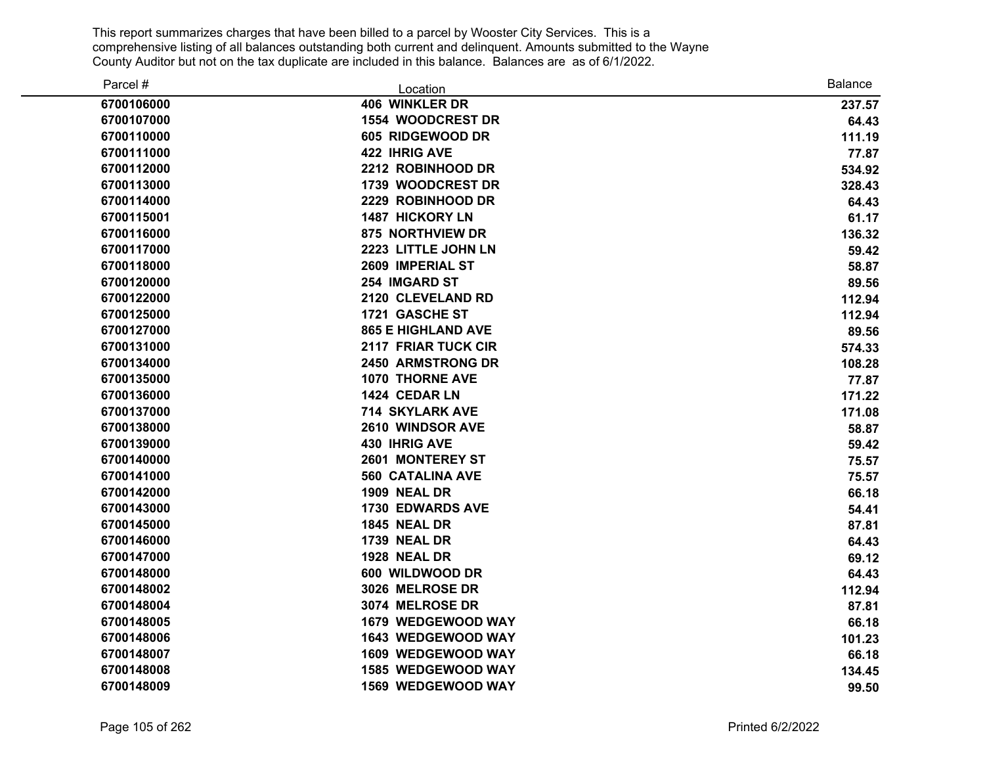| Parcel #   | Location                  | <b>Balance</b> |
|------------|---------------------------|----------------|
| 6700106000 | <b>406 WINKLER DR</b>     | 237.57         |
| 6700107000 | 1554 WOODCREST DR         | 64.43          |
| 6700110000 | 605 RIDGEWOOD DR          | 111.19         |
| 6700111000 | <b>422 IHRIG AVE</b>      | 77.87          |
| 6700112000 | 2212 ROBINHOOD DR         | 534.92         |
| 6700113000 | 1739 WOODCREST DR         | 328.43         |
| 6700114000 | 2229 ROBINHOOD DR         | 64.43          |
| 6700115001 | <b>1487 HICKORY LN</b>    | 61.17          |
| 6700116000 | 875 NORTHVIEW DR          | 136.32         |
| 6700117000 | 2223 LITTLE JOHN LN       | 59.42          |
| 6700118000 | 2609 IMPERIAL ST          | 58.87          |
| 6700120000 | 254 IMGARD ST             | 89.56          |
| 6700122000 | 2120 CLEVELAND RD         | 112.94         |
| 6700125000 | 1721 GASCHE ST            | 112.94         |
| 6700127000 | <b>865 E HIGHLAND AVE</b> | 89.56          |
| 6700131000 | 2117 FRIAR TUCK CIR       | 574.33         |
| 6700134000 | <b>2450 ARMSTRONG DR</b>  | 108.28         |
| 6700135000 | 1070 THORNE AVE           | 77.87          |
| 6700136000 | 1424 CEDAR LN             | 171.22         |
| 6700137000 | 714 SKYLARK AVE           | 171.08         |
| 6700138000 | 2610 WINDSOR AVE          | 58.87          |
| 6700139000 | 430 IHRIG AVE             | 59.42          |
| 6700140000 | 2601 MONTEREY ST          | 75.57          |
| 6700141000 | <b>560 CATALINA AVE</b>   | 75.57          |
| 6700142000 | <b>1909 NEAL DR</b>       | 66.18          |
| 6700143000 | <b>1730 EDWARDS AVE</b>   | 54.41          |
| 6700145000 | <b>1845 NEAL DR</b>       | 87.81          |
| 6700146000 | <b>1739 NEAL DR</b>       | 64.43          |
| 6700147000 | 1928 NEAL DR              | 69.12          |
| 6700148000 | 600 WILDWOOD DR           | 64.43          |
| 6700148002 | 3026 MELROSE DR           | 112.94         |
| 6700148004 | 3074 MELROSE DR           | 87.81          |
| 6700148005 | 1679 WEDGEWOOD WAY        | 66.18          |
| 6700148006 | 1643 WEDGEWOOD WAY        | 101.23         |
| 6700148007 | 1609 WEDGEWOOD WAY        | 66.18          |
| 6700148008 | 1585 WEDGEWOOD WAY        | 134.45         |
| 6700148009 | 1569 WEDGEWOOD WAY        | 99.50          |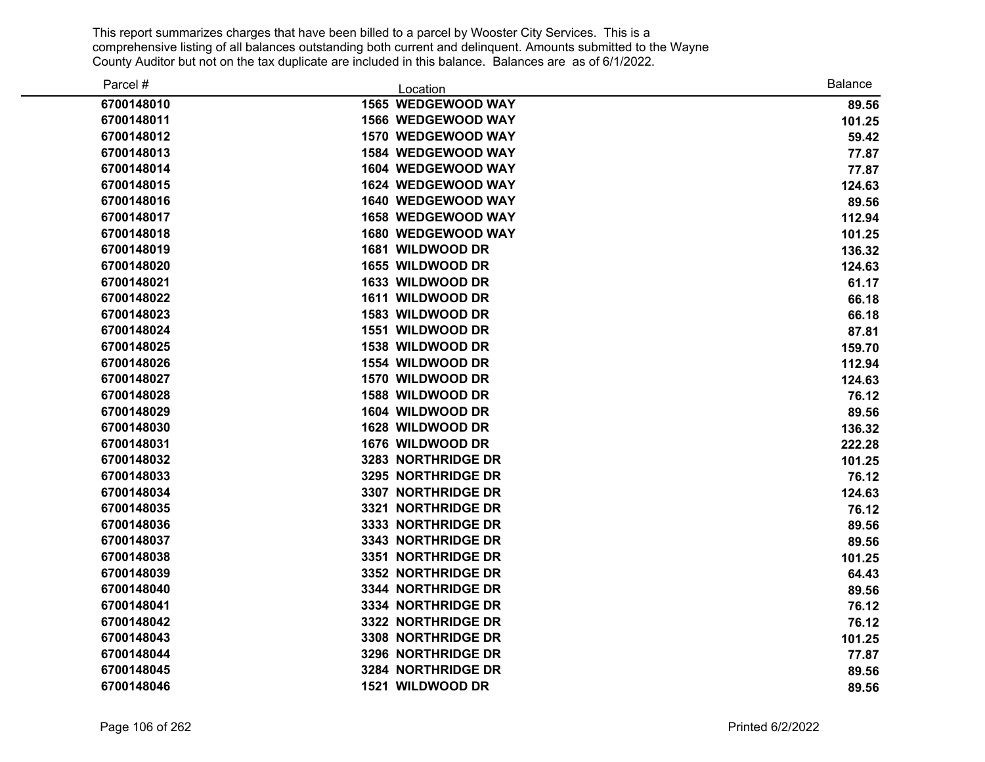| Parcel #   | Location                  | <b>Balance</b> |
|------------|---------------------------|----------------|
| 6700148010 | 1565 WEDGEWOOD WAY        | 89.56          |
| 6700148011 | 1566 WEDGEWOOD WAY        | 101.25         |
| 6700148012 | 1570 WEDGEWOOD WAY        | 59.42          |
| 6700148013 | 1584 WEDGEWOOD WAY        | 77.87          |
| 6700148014 | 1604 WEDGEWOOD WAY        | 77.87          |
| 6700148015 | 1624 WEDGEWOOD WAY        | 124.63         |
| 6700148016 | <b>1640 WEDGEWOOD WAY</b> | 89.56          |
| 6700148017 | 1658 WEDGEWOOD WAY        | 112.94         |
| 6700148018 | <b>1680 WEDGEWOOD WAY</b> | 101.25         |
| 6700148019 | 1681 WILDWOOD DR          | 136.32         |
| 6700148020 | 1655 WILDWOOD DR          | 124.63         |
| 6700148021 | 1633 WILDWOOD DR          | 61.17          |
| 6700148022 | 1611 WILDWOOD DR          | 66.18          |
| 6700148023 | 1583 WILDWOOD DR          | 66.18          |
| 6700148024 | 1551 WILDWOOD DR          | 87.81          |
| 6700148025 | 1538 WILDWOOD DR          | 159.70         |
| 6700148026 | 1554 WILDWOOD DR          | 112.94         |
| 6700148027 | 1570 WILDWOOD DR          | 124.63         |
| 6700148028 | 1588 WILDWOOD DR          | 76.12          |
| 6700148029 | 1604 WILDWOOD DR          | 89.56          |
| 6700148030 | 1628 WILDWOOD DR          | 136.32         |
| 6700148031 | 1676 WILDWOOD DR          | 222.28         |
| 6700148032 | 3283 NORTHRIDGE DR        | 101.25         |
| 6700148033 | 3295 NORTHRIDGE DR        | 76.12          |
| 6700148034 | 3307 NORTHRIDGE DR        | 124.63         |
| 6700148035 | 3321 NORTHRIDGE DR        | 76.12          |
| 6700148036 | 3333 NORTHRIDGE DR        | 89.56          |
| 6700148037 | 3343 NORTHRIDGE DR        | 89.56          |
| 6700148038 | 3351 NORTHRIDGE DR        | 101.25         |
| 6700148039 | 3352 NORTHRIDGE DR        | 64.43          |
| 6700148040 | 3344 NORTHRIDGE DR        | 89.56          |
| 6700148041 | 3334 NORTHRIDGE DR        | 76.12          |
| 6700148042 | 3322 NORTHRIDGE DR        | 76.12          |
| 6700148043 | 3308 NORTHRIDGE DR        | 101.25         |
| 6700148044 | 3296 NORTHRIDGE DR        | 77.87          |
| 6700148045 | 3284 NORTHRIDGE DR        | 89.56          |
| 6700148046 | 1521 WILDWOOD DR          | 89.56          |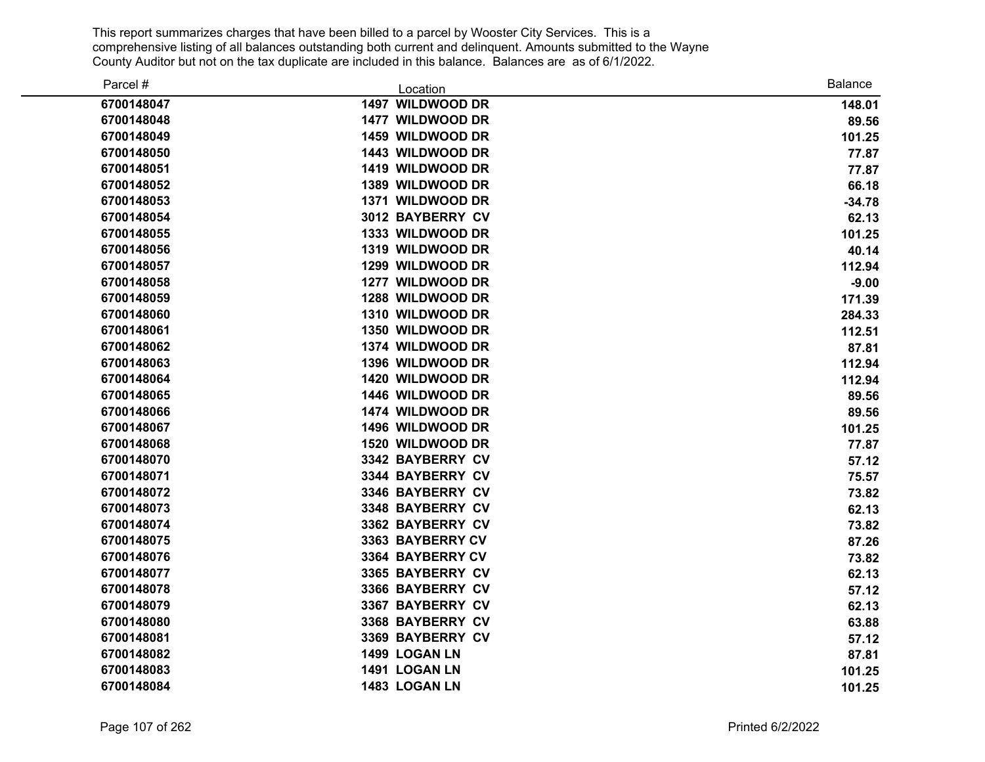| Parcel #   | Location         | <b>Balance</b> |
|------------|------------------|----------------|
| 6700148047 | 1497 WILDWOOD DR | 148.01         |
| 6700148048 | 1477 WILDWOOD DR | 89.56          |
| 6700148049 | 1459 WILDWOOD DR | 101.25         |
| 6700148050 | 1443 WILDWOOD DR | 77.87          |
| 6700148051 | 1419 WILDWOOD DR | 77.87          |
| 6700148052 | 1389 WILDWOOD DR | 66.18          |
| 6700148053 | 1371 WILDWOOD DR | $-34.78$       |
| 6700148054 | 3012 BAYBERRY CV | 62.13          |
| 6700148055 | 1333 WILDWOOD DR | 101.25         |
| 6700148056 | 1319 WILDWOOD DR | 40.14          |
| 6700148057 | 1299 WILDWOOD DR | 112.94         |
| 6700148058 | 1277 WILDWOOD DR | $-9.00$        |
| 6700148059 | 1288 WILDWOOD DR | 171.39         |
| 6700148060 | 1310 WILDWOOD DR | 284.33         |
| 6700148061 | 1350 WILDWOOD DR | 112.51         |
| 6700148062 | 1374 WILDWOOD DR | 87.81          |
| 6700148063 | 1396 WILDWOOD DR | 112.94         |
| 6700148064 | 1420 WILDWOOD DR | 112.94         |
| 6700148065 | 1446 WILDWOOD DR | 89.56          |
| 6700148066 | 1474 WILDWOOD DR | 89.56          |
| 6700148067 | 1496 WILDWOOD DR | 101.25         |
| 6700148068 | 1520 WILDWOOD DR | 77.87          |
| 6700148070 | 3342 BAYBERRY CV | 57.12          |
| 6700148071 | 3344 BAYBERRY CV | 75.57          |
| 6700148072 | 3346 BAYBERRY CV | 73.82          |
| 6700148073 | 3348 BAYBERRY CV | 62.13          |
| 6700148074 | 3362 BAYBERRY CV | 73.82          |
| 6700148075 | 3363 BAYBERRY CV | 87.26          |
| 6700148076 | 3364 BAYBERRY CV | 73.82          |
| 6700148077 | 3365 BAYBERRY CV | 62.13          |
| 6700148078 | 3366 BAYBERRY CV | 57.12          |
| 6700148079 | 3367 BAYBERRY CV | 62.13          |
| 6700148080 | 3368 BAYBERRY CV | 63.88          |
| 6700148081 | 3369 BAYBERRY CV | 57.12          |
| 6700148082 | 1499 LOGAN LN    | 87.81          |
| 6700148083 | 1491 LOGAN LN    | 101.25         |
| 6700148084 | 1483 LOGAN LN    | 101.25         |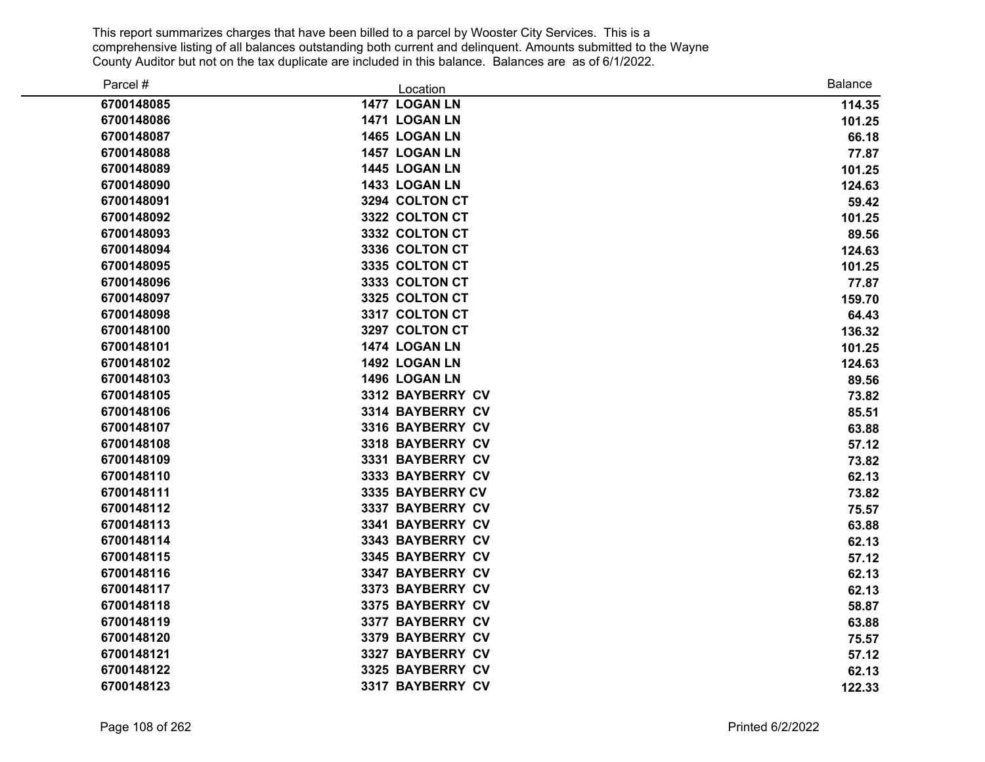| Parcel #   | Location         | <b>Balance</b> |
|------------|------------------|----------------|
| 6700148085 | 1477 LOGAN LN    | 114.35         |
| 6700148086 | 1471 LOGAN LN    | 101.25         |
| 6700148087 | 1465 LOGAN LN    | 66.18          |
| 6700148088 | 1457 LOGAN LN    | 77.87          |
| 6700148089 | 1445 LOGAN LN    | 101.25         |
| 6700148090 | 1433 LOGAN LN    | 124.63         |
| 6700148091 | 3294 COLTON CT   | 59.42          |
| 6700148092 | 3322 COLTON CT   | 101.25         |
| 6700148093 | 3332 COLTON CT   | 89.56          |
| 6700148094 | 3336 COLTON CT   | 124.63         |
| 6700148095 | 3335 COLTON CT   | 101.25         |
| 6700148096 | 3333 COLTON CT   | 77.87          |
| 6700148097 | 3325 COLTON CT   | 159.70         |
| 6700148098 | 3317 COLTON CT   | 64.43          |
| 6700148100 | 3297 COLTON CT   | 136.32         |
| 6700148101 | 1474 LOGAN LN    | 101.25         |
| 6700148102 | 1492 LOGAN LN    | 124.63         |
| 6700148103 | 1496 LOGAN LN    | 89.56          |
| 6700148105 | 3312 BAYBERRY CV | 73.82          |
| 6700148106 | 3314 BAYBERRY CV | 85.51          |
| 6700148107 | 3316 BAYBERRY CV | 63.88          |
| 6700148108 | 3318 BAYBERRY CV | 57.12          |
| 6700148109 | 3331 BAYBERRY CV | 73.82          |
| 6700148110 | 3333 BAYBERRY CV | 62.13          |
| 6700148111 | 3335 BAYBERRY CV | 73.82          |
| 6700148112 | 3337 BAYBERRY CV | 75.57          |
| 6700148113 | 3341 BAYBERRY CV | 63.88          |
| 6700148114 | 3343 BAYBERRY CV | 62.13          |
| 6700148115 | 3345 BAYBERRY CV | 57.12          |
| 6700148116 | 3347 BAYBERRY CV | 62.13          |
| 6700148117 | 3373 BAYBERRY CV | 62.13          |
| 6700148118 | 3375 BAYBERRY CV | 58.87          |
| 6700148119 | 3377 BAYBERRY CV | 63.88          |
| 6700148120 | 3379 BAYBERRY CV | 75.57          |
| 6700148121 | 3327 BAYBERRY CV | 57.12          |
| 6700148122 | 3325 BAYBERRY CV | 62.13          |
| 6700148123 | 3317 BAYBERRY CV | 122.33         |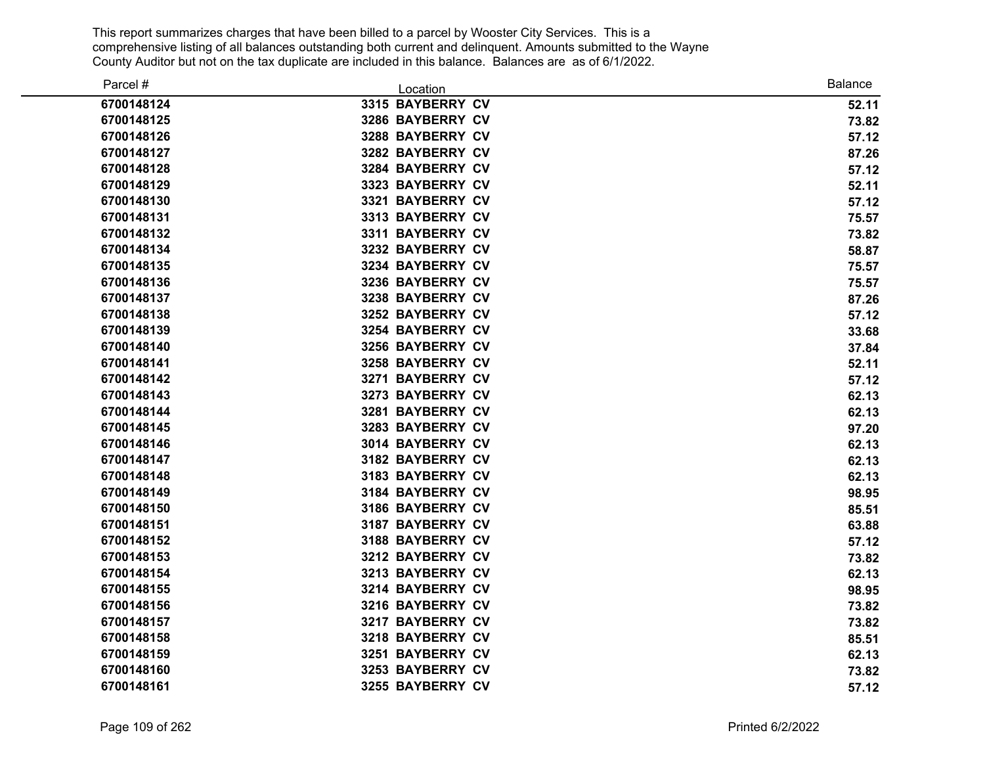| Parcel #   | Location         | <b>Balance</b> |
|------------|------------------|----------------|
| 6700148124 | 3315 BAYBERRY CV | 52.11          |
| 6700148125 | 3286 BAYBERRY CV | 73.82          |
| 6700148126 | 3288 BAYBERRY CV | 57.12          |
| 6700148127 | 3282 BAYBERRY CV | 87.26          |
| 6700148128 | 3284 BAYBERRY CV | 57.12          |
| 6700148129 | 3323 BAYBERRY CV | 52.11          |
| 6700148130 | 3321 BAYBERRY CV | 57.12          |
| 6700148131 | 3313 BAYBERRY CV | 75.57          |
| 6700148132 | 3311 BAYBERRY CV | 73.82          |
| 6700148134 | 3232 BAYBERRY CV | 58.87          |
| 6700148135 | 3234 BAYBERRY CV | 75.57          |
| 6700148136 | 3236 BAYBERRY CV | 75.57          |
| 6700148137 | 3238 BAYBERRY CV | 87.26          |
| 6700148138 | 3252 BAYBERRY CV | 57.12          |
| 6700148139 | 3254 BAYBERRY CV | 33.68          |
| 6700148140 | 3256 BAYBERRY CV | 37.84          |
| 6700148141 | 3258 BAYBERRY CV | 52.11          |
| 6700148142 | 3271 BAYBERRY CV | 57.12          |
| 6700148143 | 3273 BAYBERRY CV | 62.13          |
| 6700148144 | 3281 BAYBERRY CV | 62.13          |
| 6700148145 | 3283 BAYBERRY CV | 97.20          |
| 6700148146 | 3014 BAYBERRY CV | 62.13          |
| 6700148147 | 3182 BAYBERRY CV | 62.13          |
| 6700148148 | 3183 BAYBERRY CV | 62.13          |
| 6700148149 | 3184 BAYBERRY CV | 98.95          |
| 6700148150 | 3186 BAYBERRY CV | 85.51          |
| 6700148151 | 3187 BAYBERRY CV | 63.88          |
| 6700148152 | 3188 BAYBERRY CV | 57.12          |
| 6700148153 | 3212 BAYBERRY CV | 73.82          |
| 6700148154 | 3213 BAYBERRY CV | 62.13          |
| 6700148155 | 3214 BAYBERRY CV | 98.95          |
| 6700148156 | 3216 BAYBERRY CV | 73.82          |
| 6700148157 | 3217 BAYBERRY CV | 73.82          |
| 6700148158 | 3218 BAYBERRY CV | 85.51          |
| 6700148159 | 3251 BAYBERRY CV | 62.13          |
| 6700148160 | 3253 BAYBERRY CV | 73.82          |
| 6700148161 | 3255 BAYBERRY CV | 57.12          |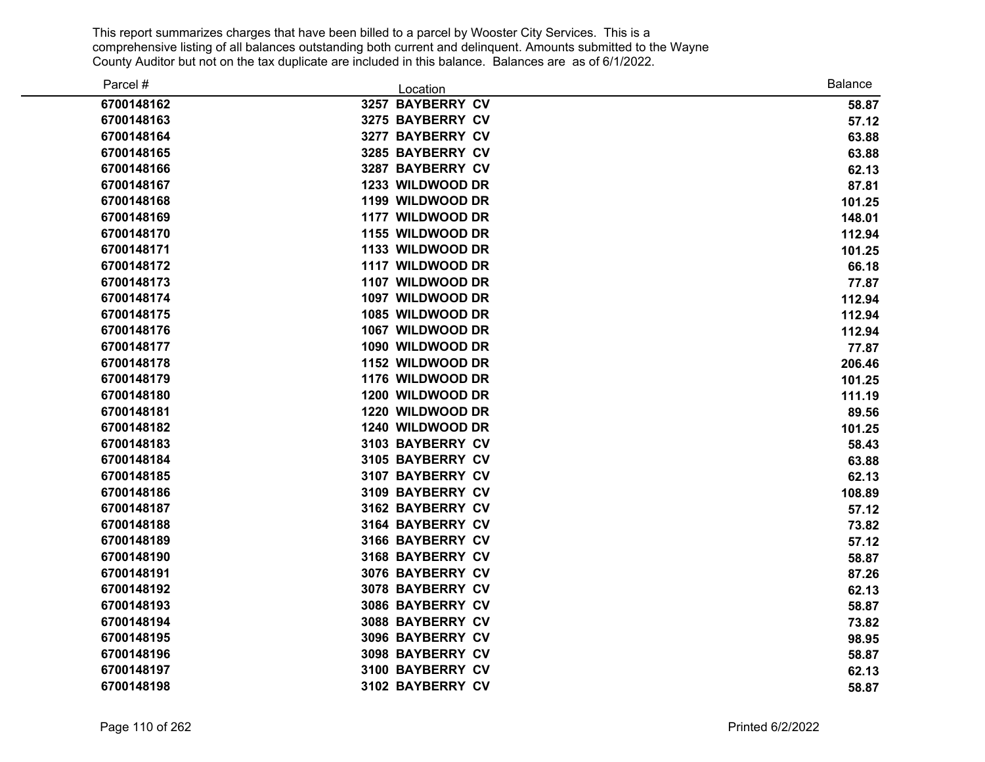| Parcel #   | Location         | <b>Balance</b> |
|------------|------------------|----------------|
| 6700148162 | 3257 BAYBERRY CV | 58.87          |
| 6700148163 | 3275 BAYBERRY CV | 57.12          |
| 6700148164 | 3277 BAYBERRY CV | 63.88          |
| 6700148165 | 3285 BAYBERRY CV | 63.88          |
| 6700148166 | 3287 BAYBERRY CV | 62.13          |
| 6700148167 | 1233 WILDWOOD DR | 87.81          |
| 6700148168 | 1199 WILDWOOD DR | 101.25         |
| 6700148169 | 1177 WILDWOOD DR | 148.01         |
| 6700148170 | 1155 WILDWOOD DR | 112.94         |
| 6700148171 | 1133 WILDWOOD DR | 101.25         |
| 6700148172 | 1117 WILDWOOD DR | 66.18          |
| 6700148173 | 1107 WILDWOOD DR | 77.87          |
| 6700148174 | 1097 WILDWOOD DR | 112.94         |
| 6700148175 | 1085 WILDWOOD DR | 112.94         |
| 6700148176 | 1067 WILDWOOD DR | 112.94         |
| 6700148177 | 1090 WILDWOOD DR | 77.87          |
| 6700148178 | 1152 WILDWOOD DR | 206.46         |
| 6700148179 | 1176 WILDWOOD DR | 101.25         |
| 6700148180 | 1200 WILDWOOD DR | 111.19         |
| 6700148181 | 1220 WILDWOOD DR | 89.56          |
| 6700148182 | 1240 WILDWOOD DR | 101.25         |
| 6700148183 | 3103 BAYBERRY CV | 58.43          |
| 6700148184 | 3105 BAYBERRY CV | 63.88          |
| 6700148185 | 3107 BAYBERRY CV | 62.13          |
| 6700148186 | 3109 BAYBERRY CV | 108.89         |
| 6700148187 | 3162 BAYBERRY CV | 57.12          |
| 6700148188 | 3164 BAYBERRY CV | 73.82          |
| 6700148189 | 3166 BAYBERRY CV | 57.12          |
| 6700148190 | 3168 BAYBERRY CV | 58.87          |
| 6700148191 | 3076 BAYBERRY CV | 87.26          |
| 6700148192 | 3078 BAYBERRY CV | 62.13          |
| 6700148193 | 3086 BAYBERRY CV | 58.87          |
| 6700148194 | 3088 BAYBERRY CV | 73.82          |
| 6700148195 | 3096 BAYBERRY CV | 98.95          |
| 6700148196 | 3098 BAYBERRY CV | 58.87          |
| 6700148197 | 3100 BAYBERRY CV | 62.13          |
| 6700148198 | 3102 BAYBERRY CV | 58.87          |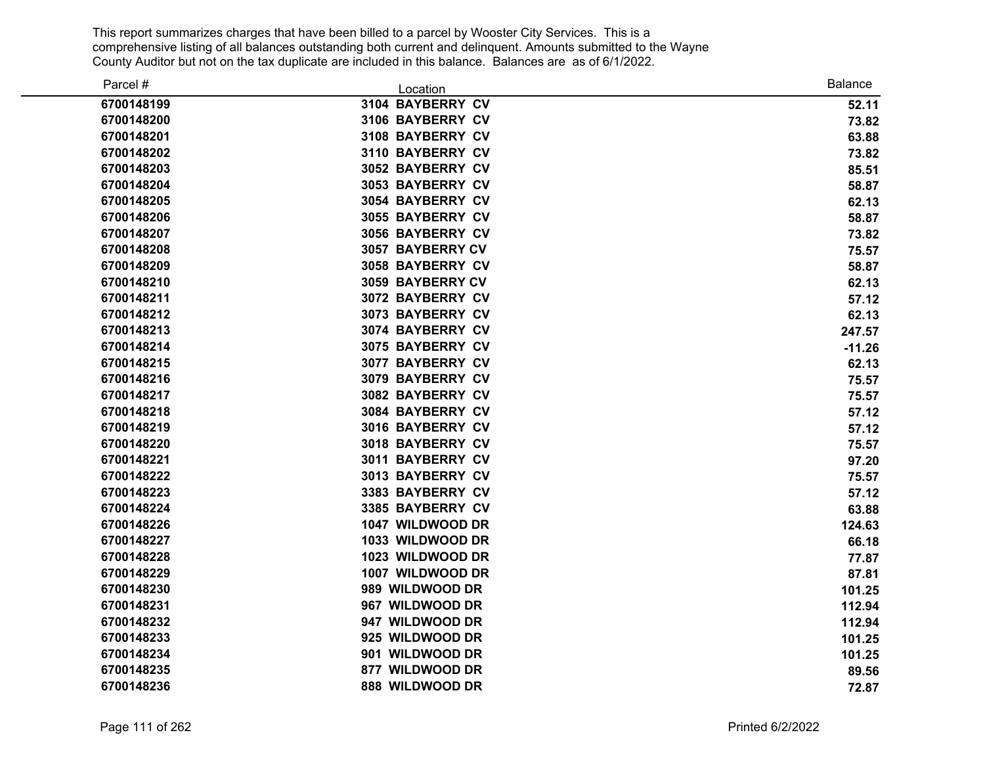| Parcel #   | Location                | <b>Balance</b> |
|------------|-------------------------|----------------|
| 6700148199 | 3104 BAYBERRY CV        | 52.11          |
| 6700148200 | 3106 BAYBERRY CV        | 73.82          |
| 6700148201 | 3108 BAYBERRY CV        | 63.88          |
| 6700148202 | 3110 BAYBERRY CV        | 73.82          |
| 6700148203 | 3052 BAYBERRY CV        | 85.51          |
| 6700148204 | <b>3053 BAYBERRY CV</b> | 58.87          |
| 6700148205 | 3054 BAYBERRY CV        | 62.13          |
| 6700148206 | 3055 BAYBERRY CV        | 58.87          |
| 6700148207 | 3056 BAYBERRY CV        | 73.82          |
| 6700148208 | 3057 BAYBERRY CV        | 75.57          |
| 6700148209 | 3058 BAYBERRY CV        | 58.87          |
| 6700148210 | 3059 BAYBERRY CV        | 62.13          |
| 6700148211 | 3072 BAYBERRY CV        | 57.12          |
| 6700148212 | 3073 BAYBERRY CV        | 62.13          |
| 6700148213 | 3074 BAYBERRY CV        | 247.57         |
| 6700148214 | 3075 BAYBERRY CV        | $-11.26$       |
| 6700148215 | 3077 BAYBERRY CV        | 62.13          |
| 6700148216 | 3079 BAYBERRY CV        | 75.57          |
| 6700148217 | 3082 BAYBERRY CV        | 75.57          |
| 6700148218 | 3084 BAYBERRY CV        | 57.12          |
| 6700148219 | 3016 BAYBERRY CV        | 57.12          |
| 6700148220 | 3018 BAYBERRY CV        | 75.57          |
| 6700148221 | 3011 BAYBERRY CV        | 97.20          |
| 6700148222 | 3013 BAYBERRY CV        | 75.57          |
| 6700148223 | 3383 BAYBERRY CV        | 57.12          |
| 6700148224 | 3385 BAYBERRY CV        | 63.88          |
| 6700148226 | 1047 WILDWOOD DR        | 124.63         |
| 6700148227 | 1033 WILDWOOD DR        | 66.18          |
| 6700148228 | 1023 WILDWOOD DR        | 77.87          |
| 6700148229 | 1007 WILDWOOD DR        | 87.81          |
| 6700148230 | 989 WILDWOOD DR         | 101.25         |
| 6700148231 | 967 WILDWOOD DR         | 112.94         |
| 6700148232 | 947 WILDWOOD DR         | 112.94         |
| 6700148233 | 925 WILDWOOD DR         | 101.25         |
| 6700148234 | 901 WILDWOOD DR         | 101.25         |
| 6700148235 | 877 WILDWOOD DR         | 89.56          |
| 6700148236 | 888 WILDWOOD DR         | 72.87          |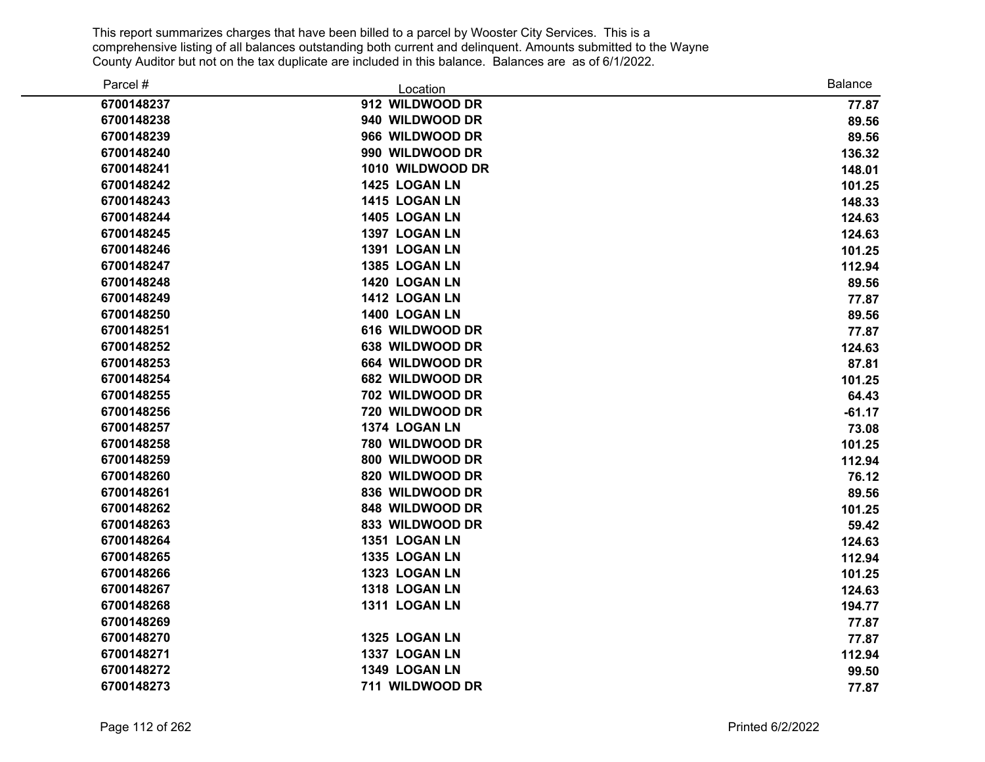| Parcel #   | Location         | <b>Balance</b> |
|------------|------------------|----------------|
| 6700148237 | 912 WILDWOOD DR  | 77.87          |
| 6700148238 | 940 WILDWOOD DR  | 89.56          |
| 6700148239 | 966 WILDWOOD DR  | 89.56          |
| 6700148240 | 990 WILDWOOD DR  | 136.32         |
| 6700148241 | 1010 WILDWOOD DR | 148.01         |
| 6700148242 | 1425 LOGAN LN    | 101.25         |
| 6700148243 | 1415 LOGAN LN    | 148.33         |
| 6700148244 | 1405 LOGAN LN    | 124.63         |
| 6700148245 | 1397 LOGAN LN    | 124.63         |
| 6700148246 | 1391 LOGAN LN    | 101.25         |
| 6700148247 | 1385 LOGAN LN    | 112.94         |
| 6700148248 | 1420 LOGAN LN    | 89.56          |
| 6700148249 | 1412 LOGAN LN    | 77.87          |
| 6700148250 | 1400 LOGAN LN    | 89.56          |
| 6700148251 | 616 WILDWOOD DR  | 77.87          |
| 6700148252 | 638 WILDWOOD DR  | 124.63         |
| 6700148253 | 664 WILDWOOD DR  | 87.81          |
| 6700148254 | 682 WILDWOOD DR  | 101.25         |
| 6700148255 | 702 WILDWOOD DR  | 64.43          |
| 6700148256 | 720 WILDWOOD DR  | $-61.17$       |
| 6700148257 | 1374 LOGAN LN    | 73.08          |
| 6700148258 | 780 WILDWOOD DR  | 101.25         |
| 6700148259 | 800 WILDWOOD DR  | 112.94         |
| 6700148260 | 820 WILDWOOD DR  | 76.12          |
| 6700148261 | 836 WILDWOOD DR  | 89.56          |
| 6700148262 | 848 WILDWOOD DR  | 101.25         |
| 6700148263 | 833 WILDWOOD DR  | 59.42          |
| 6700148264 | 1351 LOGAN LN    | 124.63         |
| 6700148265 | 1335 LOGAN LN    | 112.94         |
| 6700148266 | 1323 LOGAN LN    | 101.25         |
| 6700148267 | 1318 LOGAN LN    | 124.63         |
| 6700148268 | 1311 LOGAN LN    | 194.77         |
| 6700148269 |                  | 77.87          |
| 6700148270 | 1325 LOGAN LN    | 77.87          |
| 6700148271 | 1337 LOGAN LN    | 112.94         |
| 6700148272 | 1349 LOGAN LN    | 99.50          |
| 6700148273 | 711 WILDWOOD DR  | 77.87          |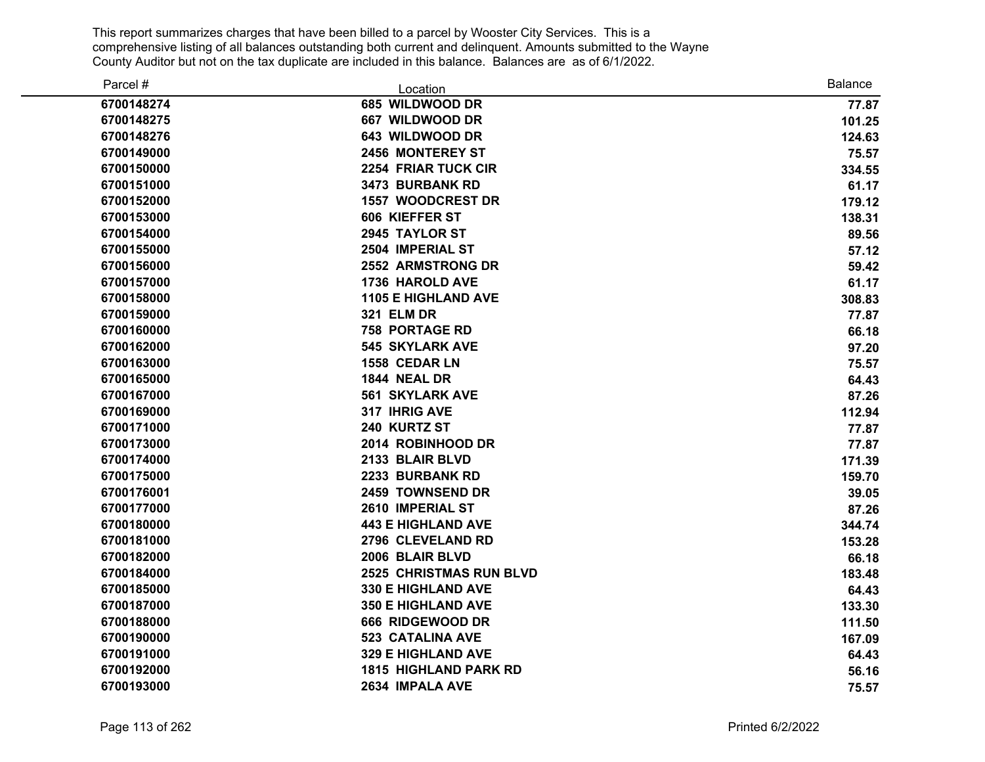| Parcel #   | Location                       | <b>Balance</b> |
|------------|--------------------------------|----------------|
| 6700148274 | 685 WILDWOOD DR                | 77.87          |
| 6700148275 | 667 WILDWOOD DR                | 101.25         |
| 6700148276 | 643 WILDWOOD DR                | 124.63         |
| 6700149000 | 2456 MONTEREY ST               | 75.57          |
| 6700150000 | 2254 FRIAR TUCK CIR            | 334.55         |
| 6700151000 | 3473 BURBANK RD                | 61.17          |
| 6700152000 | <b>1557 WOODCREST DR</b>       | 179.12         |
| 6700153000 | 606 KIEFFER ST                 | 138.31         |
| 6700154000 | 2945 TAYLOR ST                 | 89.56          |
| 6700155000 | 2504 IMPERIAL ST               | 57.12          |
| 6700156000 | <b>2552 ARMSTRONG DR</b>       | 59.42          |
| 6700157000 | 1736 HAROLD AVE                | 61.17          |
| 6700158000 | <b>1105 E HIGHLAND AVE</b>     | 308.83         |
| 6700159000 | <b>321 ELM DR</b>              | 77.87          |
| 6700160000 | <b>758 PORTAGE RD</b>          | 66.18          |
| 6700162000 | <b>545 SKYLARK AVE</b>         | 97.20          |
| 6700163000 | 1558 CEDAR LN                  | 75.57          |
| 6700165000 | 1844 NEAL DR                   | 64.43          |
| 6700167000 | <b>561 SKYLARK AVE</b>         | 87.26          |
| 6700169000 | 317 IHRIG AVE                  | 112.94         |
| 6700171000 | 240 KURTZ ST                   | 77.87          |
| 6700173000 | 2014 ROBINHOOD DR              | 77.87          |
| 6700174000 | 2133 BLAIR BLVD                | 171.39         |
| 6700175000 | 2233 BURBANK RD                | 159.70         |
| 6700176001 | 2459 TOWNSEND DR               | 39.05          |
| 6700177000 | 2610 IMPERIAL ST               | 87.26          |
| 6700180000 | <b>443 E HIGHLAND AVE</b>      | 344.74         |
| 6700181000 | 2796 CLEVELAND RD              | 153.28         |
| 6700182000 | 2006 BLAIR BLVD                | 66.18          |
| 6700184000 | <b>2525 CHRISTMAS RUN BLVD</b> | 183.48         |
| 6700185000 | 330 E HIGHLAND AVE             | 64.43          |
| 6700187000 | <b>350 E HIGHLAND AVE</b>      | 133.30         |
| 6700188000 | 666 RIDGEWOOD DR               | 111.50         |
| 6700190000 | <b>523 CATALINA AVE</b>        | 167.09         |
| 6700191000 | <b>329 E HIGHLAND AVE</b>      | 64.43          |
| 6700192000 | <b>1815 HIGHLAND PARK RD</b>   | 56.16          |
| 6700193000 | 2634 IMPALA AVE                | 75.57          |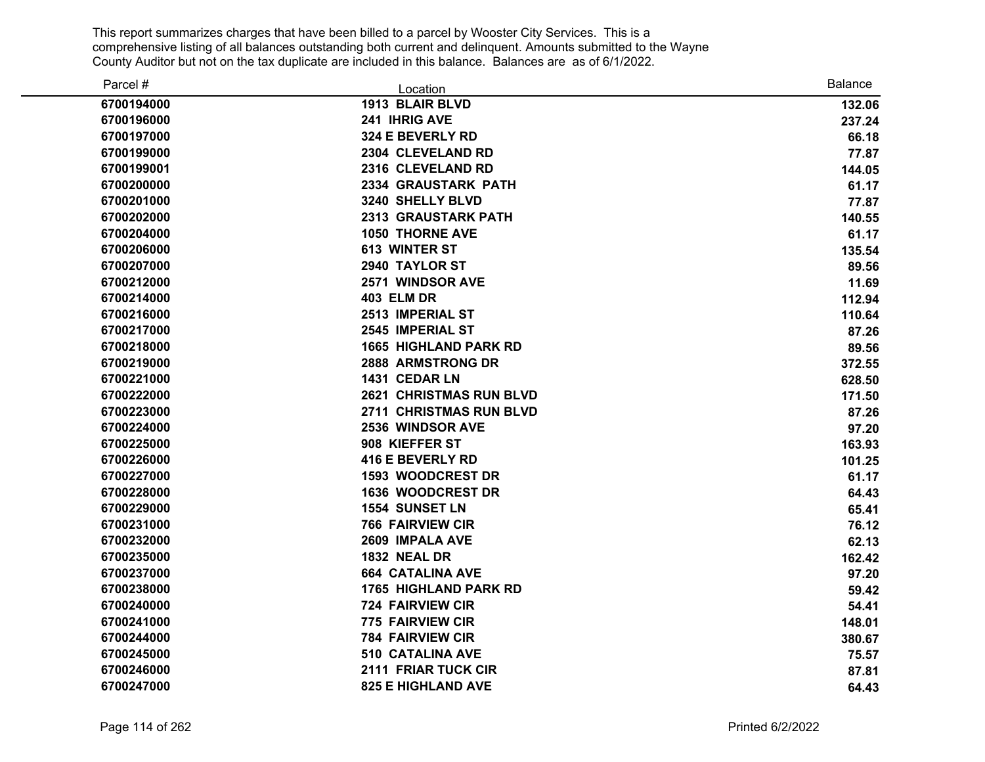| Parcel #   | Location                       | <b>Balance</b> |
|------------|--------------------------------|----------------|
| 6700194000 | 1913 BLAIR BLVD                | 132.06         |
| 6700196000 | 241 IHRIG AVE                  | 237.24         |
| 6700197000 | 324 E BEVERLY RD               | 66.18          |
| 6700199000 | 2304 CLEVELAND RD              | 77.87          |
| 6700199001 | 2316 CLEVELAND RD              | 144.05         |
| 6700200000 | <b>2334 GRAUSTARK PATH</b>     | 61.17          |
| 6700201000 | 3240 SHELLY BLVD               | 77.87          |
| 6700202000 | <b>2313 GRAUSTARK PATH</b>     | 140.55         |
| 6700204000 | <b>1050 THORNE AVE</b>         | 61.17          |
| 6700206000 | <b>613 WINTER ST</b>           | 135.54         |
| 6700207000 | 2940 TAYLOR ST                 | 89.56          |
| 6700212000 | 2571 WINDSOR AVE               | 11.69          |
| 6700214000 | <b>403 ELM DR</b>              | 112.94         |
| 6700216000 | 2513 IMPERIAL ST               | 110.64         |
| 6700217000 | 2545 IMPERIAL ST               | 87.26          |
| 6700218000 | <b>1665 HIGHLAND PARK RD</b>   | 89.56          |
| 6700219000 | 2888 ARMSTRONG DR              | 372.55         |
| 6700221000 | 1431 CEDAR LN                  | 628.50         |
| 6700222000 | <b>2621 CHRISTMAS RUN BLVD</b> | 171.50         |
| 6700223000 | 2711 CHRISTMAS RUN BLVD        | 87.26          |
| 6700224000 | 2536 WINDSOR AVE               | 97.20          |
| 6700225000 | 908 KIEFFER ST                 | 163.93         |
| 6700226000 | <b>416 E BEVERLY RD</b>        | 101.25         |
| 6700227000 | <b>1593 WOODCREST DR</b>       | 61.17          |
| 6700228000 | <b>1636 WOODCREST DR</b>       | 64.43          |
| 6700229000 | <b>1554 SUNSET LN</b>          | 65.41          |
| 6700231000 | <b>766 FAIRVIEW CIR</b>        | 76.12          |
| 6700232000 | 2609 IMPALA AVE                | 62.13          |
| 6700235000 | <b>1832 NEAL DR</b>            | 162.42         |
| 6700237000 | <b>664 CATALINA AVE</b>        | 97.20          |
| 6700238000 | <b>1765 HIGHLAND PARK RD</b>   | 59.42          |
| 6700240000 | <b>724 FAIRVIEW CIR</b>        | 54.41          |
| 6700241000 | <b>775 FAIRVIEW CIR</b>        | 148.01         |
| 6700244000 | <b>784 FAIRVIEW CIR</b>        | 380.67         |
| 6700245000 | <b>510 CATALINA AVE</b>        | 75.57          |
| 6700246000 | 2111 FRIAR TUCK CIR            | 87.81          |
| 6700247000 | <b>825 E HIGHLAND AVE</b>      | 64.43          |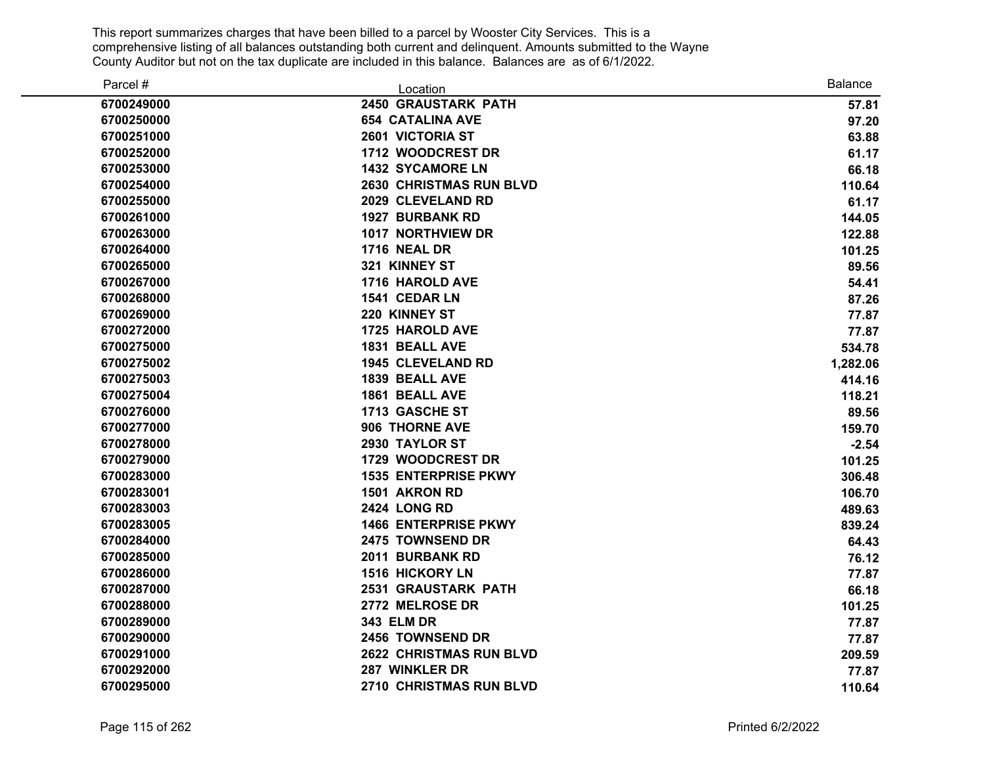| Parcel #   | Location                       | <b>Balance</b> |
|------------|--------------------------------|----------------|
| 6700249000 | <b>2450 GRAUSTARK PATH</b>     | 57.81          |
| 6700250000 | <b>654 CATALINA AVE</b>        | 97.20          |
| 6700251000 | 2601 VICTORIA ST               | 63.88          |
| 6700252000 | 1712 WOODCREST DR              | 61.17          |
| 6700253000 | <b>1432 SYCAMORE LN</b>        | 66.18          |
| 6700254000 | 2630 CHRISTMAS RUN BLVD        | 110.64         |
| 6700255000 | 2029 CLEVELAND RD              | 61.17          |
| 6700261000 | <b>1927 BURBANK RD</b>         | 144.05         |
| 6700263000 | 1017 NORTHVIEW DR              | 122.88         |
| 6700264000 | <b>1716 NEAL DR</b>            | 101.25         |
| 6700265000 | 321 KINNEY ST                  | 89.56          |
| 6700267000 | 1716 HAROLD AVE                | 54.41          |
| 6700268000 | 1541 CEDAR LN                  | 87.26          |
| 6700269000 | 220 KINNEY ST                  | 77.87          |
| 6700272000 | 1725 HAROLD AVE                | 77.87          |
| 6700275000 | 1831 BEALL AVE                 | 534.78         |
| 6700275002 | <b>1945 CLEVELAND RD</b>       | 1,282.06       |
| 6700275003 | 1839 BEALL AVE                 | 414.16         |
| 6700275004 | 1861 BEALL AVE                 | 118.21         |
| 6700276000 | 1713 GASCHE ST                 | 89.56          |
| 6700277000 | 906 THORNE AVE                 | 159.70         |
| 6700278000 | 2930 TAYLOR ST                 | $-2.54$        |
| 6700279000 | 1729 WOODCREST DR              | 101.25         |
| 6700283000 | <b>1535 ENTERPRISE PKWY</b>    | 306.48         |
| 6700283001 | 1501 AKRON RD                  | 106.70         |
| 6700283003 | <b>2424 LONG RD</b>            | 489.63         |
| 6700283005 | <b>1466 ENTERPRISE PKWY</b>    | 839.24         |
| 6700284000 | 2475 TOWNSEND DR               | 64.43          |
| 6700285000 | 2011 BURBANK RD                | 76.12          |
| 6700286000 | <b>1516 HICKORY LN</b>         | 77.87          |
| 6700287000 | <b>2531 GRAUSTARK PATH</b>     | 66.18          |
| 6700288000 | 2772 MELROSE DR                | 101.25         |
| 6700289000 | <b>343 ELM DR</b>              | 77.87          |
| 6700290000 | 2456 TOWNSEND DR               | 77.87          |
| 6700291000 | <b>2622 CHRISTMAS RUN BLVD</b> | 209.59         |
| 6700292000 | 287 WINKLER DR                 | 77.87          |
| 6700295000 | 2710 CHRISTMAS RUN BLVD        | 110.64         |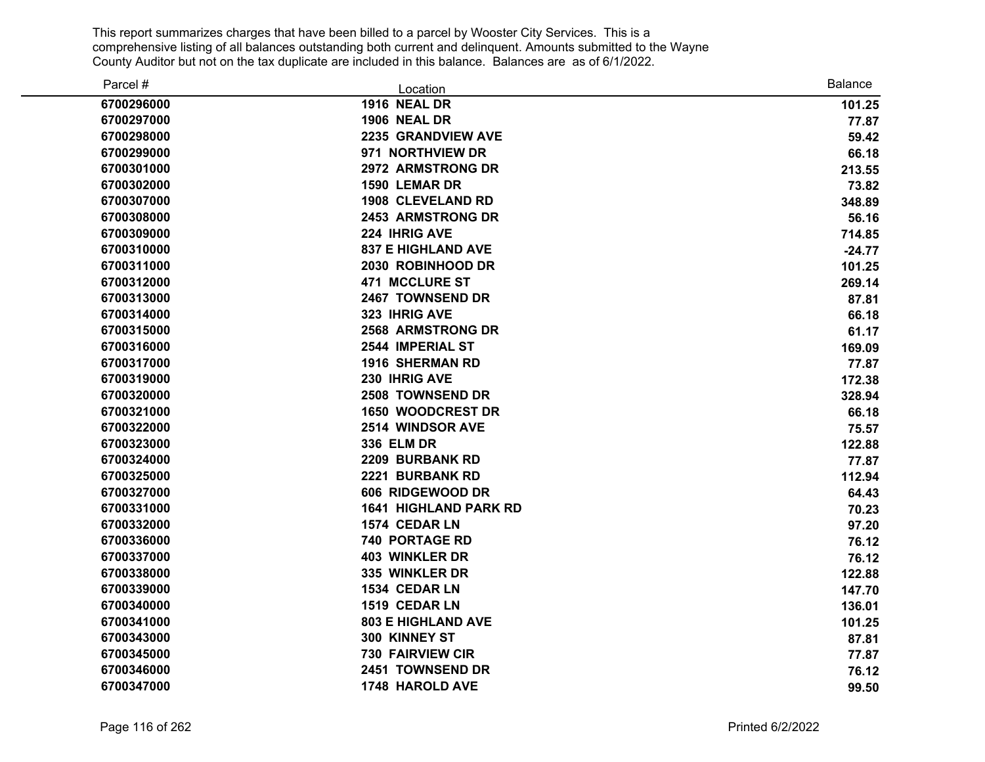| Parcel #   | Location                     | <b>Balance</b> |
|------------|------------------------------|----------------|
| 6700296000 | <b>1916 NEAL DR</b>          | 101.25         |
| 6700297000 | <b>1906 NEAL DR</b>          | 77.87          |
| 6700298000 | 2235 GRANDVIEW AVE           | 59.42          |
| 6700299000 | 971 NORTHVIEW DR             | 66.18          |
| 6700301000 | 2972 ARMSTRONG DR            | 213.55         |
| 6700302000 | 1590 LEMAR DR                | 73.82          |
| 6700307000 | <b>1908 CLEVELAND RD</b>     | 348.89         |
| 6700308000 | <b>2453 ARMSTRONG DR</b>     | 56.16          |
| 6700309000 | 224 IHRIG AVE                | 714.85         |
| 6700310000 | <b>837 E HIGHLAND AVE</b>    | $-24.77$       |
| 6700311000 | 2030 ROBINHOOD DR            | 101.25         |
| 6700312000 | 471 MCCLURE ST               | 269.14         |
| 6700313000 | 2467 TOWNSEND DR             | 87.81          |
| 6700314000 | 323 IHRIG AVE                | 66.18          |
| 6700315000 | <b>2568 ARMSTRONG DR</b>     | 61.17          |
| 6700316000 | 2544 IMPERIAL ST             | 169.09         |
| 6700317000 | <b>1916 SHERMAN RD</b>       | 77.87          |
| 6700319000 | 230 IHRIG AVE                | 172.38         |
| 6700320000 | 2508 TOWNSEND DR             | 328.94         |
| 6700321000 | <b>1650 WOODCREST DR</b>     | 66.18          |
| 6700322000 | 2514 WINDSOR AVE             | 75.57          |
| 6700323000 | 336 ELM DR                   | 122.88         |
| 6700324000 | 2209 BURBANK RD              | 77.87          |
| 6700325000 | 2221 BURBANK RD              | 112.94         |
| 6700327000 | 606 RIDGEWOOD DR             | 64.43          |
| 6700331000 | <b>1641 HIGHLAND PARK RD</b> | 70.23          |
| 6700332000 | 1574 CEDAR LN                | 97.20          |
| 6700336000 | 740 PORTAGE RD               | 76.12          |
| 6700337000 | <b>403 WINKLER DR</b>        | 76.12          |
| 6700338000 | 335 WINKLER DR               | 122.88         |
| 6700339000 | 1534 CEDAR LN                | 147.70         |
| 6700340000 | 1519 CEDAR LN                | 136.01         |
| 6700341000 | <b>803 E HIGHLAND AVE</b>    | 101.25         |
| 6700343000 | 300 KINNEY ST                | 87.81          |
| 6700345000 | <b>730 FAIRVIEW CIR</b>      | 77.87          |
| 6700346000 | 2451 TOWNSEND DR             | 76.12          |
| 6700347000 | 1748 HAROLD AVE              | 99.50          |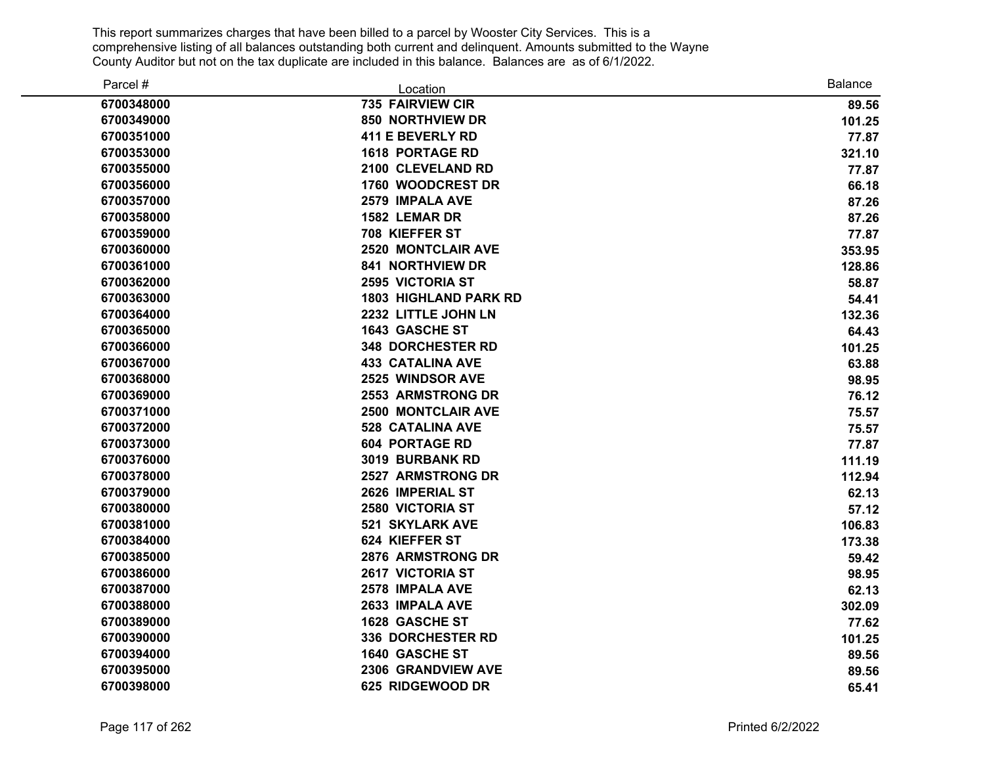| Parcel #   | Location                     | <b>Balance</b> |
|------------|------------------------------|----------------|
| 6700348000 | 735 FAIRVIEW CIR             | 89.56          |
| 6700349000 | 850 NORTHVIEW DR             | 101.25         |
| 6700351000 | <b>411 E BEVERLY RD</b>      | 77.87          |
| 6700353000 | <b>1618 PORTAGE RD</b>       | 321.10         |
| 6700355000 | 2100 CLEVELAND RD            | 77.87          |
| 6700356000 | 1760 WOODCREST DR            | 66.18          |
| 6700357000 | 2579 IMPALA AVE              | 87.26          |
| 6700358000 | 1582 LEMAR DR                | 87.26          |
| 6700359000 | 708 KIEFFER ST               | 77.87          |
| 6700360000 | <b>2520 MONTCLAIR AVE</b>    | 353.95         |
| 6700361000 | <b>841 NORTHVIEW DR</b>      | 128.86         |
| 6700362000 | <b>2595 VICTORIA ST</b>      | 58.87          |
| 6700363000 | <b>1803 HIGHLAND PARK RD</b> | 54.41          |
| 6700364000 | 2232 LITTLE JOHN LN          | 132.36         |
| 6700365000 | 1643 GASCHE ST               | 64.43          |
| 6700366000 | <b>348 DORCHESTER RD</b>     | 101.25         |
| 6700367000 | <b>433 CATALINA AVE</b>      | 63.88          |
| 6700368000 | 2525 WINDSOR AVE             | 98.95          |
| 6700369000 | <b>2553 ARMSTRONG DR</b>     | 76.12          |
| 6700371000 | <b>2500 MONTCLAIR AVE</b>    | 75.57          |
| 6700372000 | <b>528 CATALINA AVE</b>      | 75.57          |
| 6700373000 | <b>604 PORTAGE RD</b>        | 77.87          |
| 6700376000 | 3019 BURBANK RD              | 111.19         |
| 6700378000 | <b>2527 ARMSTRONG DR</b>     | 112.94         |
| 6700379000 | 2626 IMPERIAL ST             | 62.13          |
| 6700380000 | 2580 VICTORIA ST             | 57.12          |
| 6700381000 | <b>521 SKYLARK AVE</b>       | 106.83         |
| 6700384000 | 624 KIEFFER ST               | 173.38         |
| 6700385000 | 2876 ARMSTRONG DR            | 59.42          |
| 6700386000 | <b>2617 VICTORIA ST</b>      | 98.95          |
| 6700387000 | 2578 IMPALA AVE              | 62.13          |
| 6700388000 | 2633 IMPALA AVE              | 302.09         |
| 6700389000 | 1628 GASCHE ST               | 77.62          |
| 6700390000 | <b>336 DORCHESTER RD</b>     | 101.25         |
| 6700394000 | 1640 GASCHE ST               | 89.56          |
| 6700395000 | 2306 GRANDVIEW AVE           | 89.56          |
| 6700398000 | 625 RIDGEWOOD DR             | 65.41          |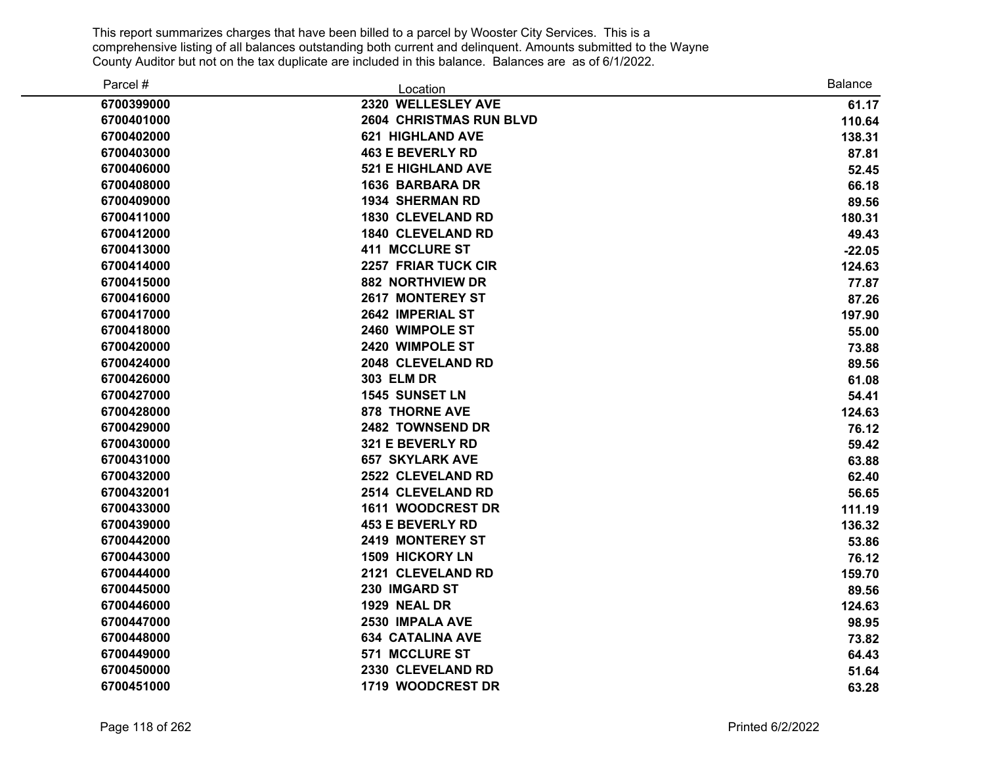| Parcel #   | Location                       | <b>Balance</b> |
|------------|--------------------------------|----------------|
| 6700399000 | 2320 WELLESLEY AVE             | 61.17          |
| 6700401000 | <b>2604 CHRISTMAS RUN BLVD</b> | 110.64         |
| 6700402000 | <b>621 HIGHLAND AVE</b>        | 138.31         |
| 6700403000 | <b>463 E BEVERLY RD</b>        | 87.81          |
| 6700406000 | <b>521 E HIGHLAND AVE</b>      | 52.45          |
| 6700408000 | <b>1636 BARBARA DR</b>         | 66.18          |
| 6700409000 | <b>1934 SHERMAN RD</b>         | 89.56          |
| 6700411000 | <b>1830 CLEVELAND RD</b>       | 180.31         |
| 6700412000 | <b>1840 CLEVELAND RD</b>       | 49.43          |
| 6700413000 | <b>411 MCCLURE ST</b>          | $-22.05$       |
| 6700414000 | 2257 FRIAR TUCK CIR            | 124.63         |
| 6700415000 | <b>882 NORTHVIEW DR</b>        | 77.87          |
| 6700416000 | <b>2617 MONTEREY ST</b>        | 87.26          |
| 6700417000 | 2642 IMPERIAL ST               | 197.90         |
| 6700418000 | 2460 WIMPOLE ST                | 55.00          |
| 6700420000 | 2420 WIMPOLE ST                | 73.88          |
| 6700424000 | 2048 CLEVELAND RD              | 89.56          |
| 6700426000 | <b>303 ELM DR</b>              | 61.08          |
| 6700427000 | <b>1545 SUNSET LN</b>          | 54.41          |
| 6700428000 | <b>878 THORNE AVE</b>          | 124.63         |
| 6700429000 | 2482 TOWNSEND DR               | 76.12          |
| 6700430000 | 321 E BEVERLY RD               | 59.42          |
| 6700431000 | <b>657 SKYLARK AVE</b>         | 63.88          |
| 6700432000 | 2522 CLEVELAND RD              | 62.40          |
| 6700432001 | 2514 CLEVELAND RD              | 56.65          |
| 6700433000 | <b>1611 WOODCREST DR</b>       | 111.19         |
| 6700439000 | <b>453 E BEVERLY RD</b>        | 136.32         |
| 6700442000 | <b>2419 MONTEREY ST</b>        | 53.86          |
| 6700443000 | <b>1509 HICKORY LN</b>         | 76.12          |
| 6700444000 | 2121 CLEVELAND RD              | 159.70         |
| 6700445000 | 230 IMGARD ST                  | 89.56          |
| 6700446000 | 1929 NEAL DR                   | 124.63         |
| 6700447000 | 2530 IMPALA AVE                | 98.95          |
| 6700448000 | <b>634 CATALINA AVE</b>        | 73.82          |
| 6700449000 | 571 MCCLURE ST                 | 64.43          |
| 6700450000 | 2330 CLEVELAND RD              | 51.64          |
| 6700451000 | 1719 WOODCREST DR              | 63.28          |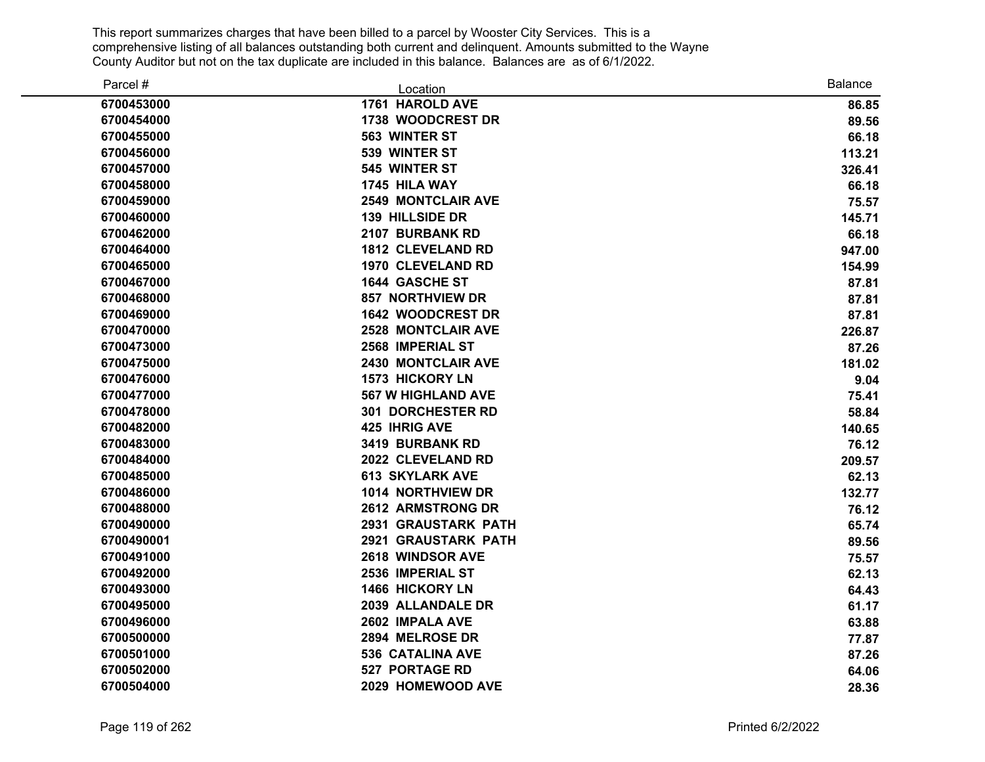| Parcel #   | Location                   | <b>Balance</b> |
|------------|----------------------------|----------------|
| 6700453000 | 1761 HAROLD AVE            | 86.85          |
| 6700454000 | 1738 WOODCREST DR          | 89.56          |
| 6700455000 | 563 WINTER ST              | 66.18          |
| 6700456000 | 539 WINTER ST              | 113.21         |
| 6700457000 | 545 WINTER ST              | 326.41         |
| 6700458000 | 1745 HILA WAY              | 66.18          |
| 6700459000 | <b>2549 MONTCLAIR AVE</b>  | 75.57          |
| 6700460000 | <b>139 HILLSIDE DR</b>     | 145.71         |
| 6700462000 | 2107 BURBANK RD            | 66.18          |
| 6700464000 | <b>1812 CLEVELAND RD</b>   | 947.00         |
| 6700465000 | <b>1970 CLEVELAND RD</b>   | 154.99         |
| 6700467000 | 1644 GASCHE ST             | 87.81          |
| 6700468000 | <b>857 NORTHVIEW DR</b>    | 87.81          |
| 6700469000 | <b>1642 WOODCREST DR</b>   | 87.81          |
| 6700470000 | <b>2528 MONTCLAIR AVE</b>  | 226.87         |
| 6700473000 | 2568 IMPERIAL ST           | 87.26          |
| 6700475000 | 2430 MONTCLAIR AVE         | 181.02         |
| 6700476000 | <b>1573 HICKORY LN</b>     | 9.04           |
| 6700477000 | <b>567 W HIGHLAND AVE</b>  | 75.41          |
| 6700478000 | <b>301 DORCHESTER RD</b>   | 58.84          |
| 6700482000 | <b>425 IHRIG AVE</b>       | 140.65         |
| 6700483000 | 3419 BURBANK RD            | 76.12          |
| 6700484000 | 2022 CLEVELAND RD          | 209.57         |
| 6700485000 | <b>613 SKYLARK AVE</b>     | 62.13          |
| 6700486000 | 1014 NORTHVIEW DR          | 132.77         |
| 6700488000 | 2612 ARMSTRONG DR          | 76.12          |
| 6700490000 | 2931 GRAUSTARK PATH        | 65.74          |
| 6700490001 | <b>2921 GRAUSTARK PATH</b> | 89.56          |
| 6700491000 | 2618 WINDSOR AVE           | 75.57          |
| 6700492000 | 2536 IMPERIAL ST           | 62.13          |
| 6700493000 | 1466 HICKORY LN            | 64.43          |
| 6700495000 | 2039 ALLANDALE DR          | 61.17          |
| 6700496000 | 2602 IMPALA AVE            | 63.88          |
| 6700500000 | 2894 MELROSE DR            | 77.87          |
| 6700501000 | <b>536 CATALINA AVE</b>    | 87.26          |
| 6700502000 | <b>527 PORTAGE RD</b>      | 64.06          |
| 6700504000 | 2029 HOMEWOOD AVE          | 28.36          |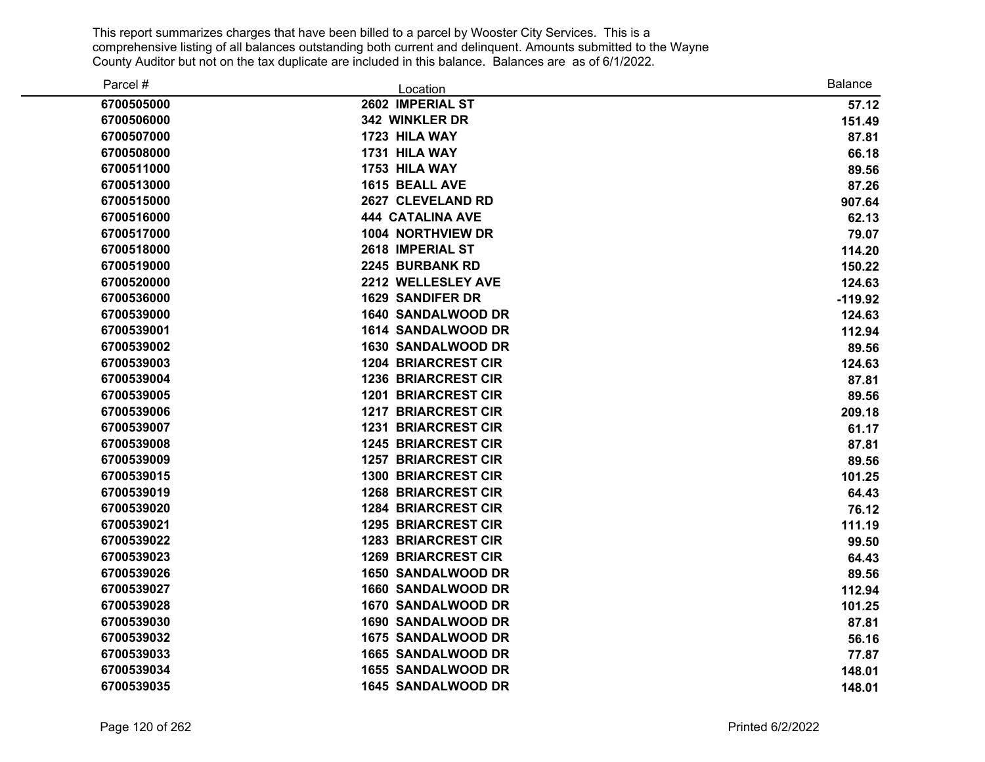| Parcel #   | Location                   | <b>Balance</b> |
|------------|----------------------------|----------------|
| 6700505000 | 2602 IMPERIAL ST           | 57.12          |
| 6700506000 | 342 WINKLER DR             | 151.49         |
| 6700507000 | 1723 HILA WAY              | 87.81          |
| 6700508000 | 1731 HILA WAY              | 66.18          |
| 6700511000 | 1753 HILA WAY              | 89.56          |
| 6700513000 | 1615 BEALL AVE             | 87.26          |
| 6700515000 | 2627 CLEVELAND RD          | 907.64         |
| 6700516000 | <b>444 CATALINA AVE</b>    | 62.13          |
| 6700517000 | <b>1004 NORTHVIEW DR</b>   | 79.07          |
| 6700518000 | 2618 IMPERIAL ST           | 114.20         |
| 6700519000 | 2245 BURBANK RD            | 150.22         |
| 6700520000 | 2212 WELLESLEY AVE         | 124.63         |
| 6700536000 | <b>1629 SANDIFER DR</b>    | $-119.92$      |
| 6700539000 | <b>1640 SANDALWOOD DR</b>  | 124.63         |
| 6700539001 | 1614 SANDALWOOD DR         | 112.94         |
| 6700539002 | <b>1630 SANDALWOOD DR</b>  | 89.56          |
| 6700539003 | <b>1204 BRIARCREST CIR</b> | 124.63         |
| 6700539004 | <b>1236 BRIARCREST CIR</b> | 87.81          |
| 6700539005 | <b>1201 BRIARCREST CIR</b> | 89.56          |
| 6700539006 | <b>1217 BRIARCREST CIR</b> | 209.18         |
| 6700539007 | <b>1231 BRIARCREST CIR</b> | 61.17          |
| 6700539008 | <b>1245 BRIARCREST CIR</b> | 87.81          |
| 6700539009 | <b>1257 BRIARCREST CIR</b> | 89.56          |
| 6700539015 | <b>1300 BRIARCREST CIR</b> | 101.25         |
| 6700539019 | <b>1268 BRIARCREST CIR</b> | 64.43          |
| 6700539020 | <b>1284 BRIARCREST CIR</b> | 76.12          |
| 6700539021 | <b>1295 BRIARCREST CIR</b> | 111.19         |
| 6700539022 | <b>1283 BRIARCREST CIR</b> | 99.50          |
| 6700539023 | <b>1269 BRIARCREST CIR</b> | 64.43          |
| 6700539026 | <b>1650 SANDALWOOD DR</b>  | 89.56          |
| 6700539027 | 1660 SANDALWOOD DR         | 112.94         |
| 6700539028 | 1670 SANDALWOOD DR         | 101.25         |
| 6700539030 | 1690 SANDALWOOD DR         | 87.81          |
| 6700539032 | 1675 SANDALWOOD DR         | 56.16          |
| 6700539033 | 1665 SANDALWOOD DR         | 77.87          |
| 6700539034 | <b>1655 SANDALWOOD DR</b>  | 148.01         |
| 6700539035 | 1645 SANDALWOOD DR         | 148.01         |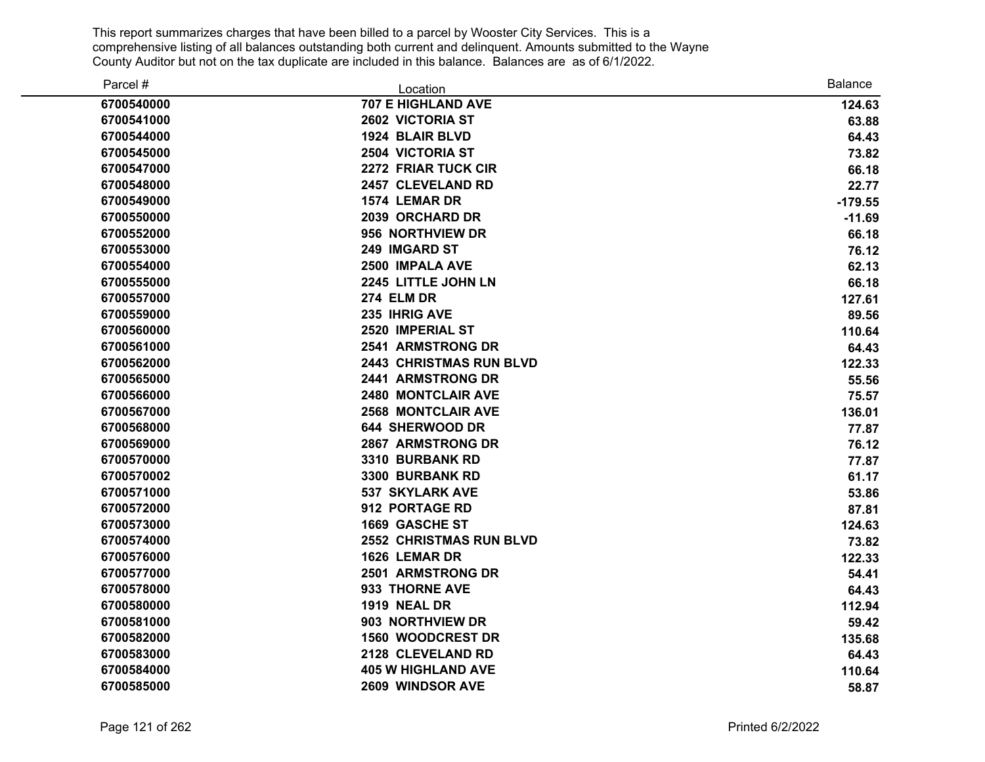| Parcel #   | Location                       | <b>Balance</b> |
|------------|--------------------------------|----------------|
| 6700540000 | <b>707 E HIGHLAND AVE</b>      | 124.63         |
| 6700541000 | 2602 VICTORIA ST               | 63.88          |
| 6700544000 | 1924 BLAIR BLVD                | 64.43          |
| 6700545000 | <b>2504 VICTORIA ST</b>        | 73.82          |
| 6700547000 | 2272 FRIAR TUCK CIR            | 66.18          |
| 6700548000 | 2457 CLEVELAND RD              | 22.77          |
| 6700549000 | 1574 LEMAR DR                  | $-179.55$      |
| 6700550000 | 2039 ORCHARD DR                | $-11.69$       |
| 6700552000 | 956 NORTHVIEW DR               | 66.18          |
| 6700553000 | 249 IMGARD ST                  | 76.12          |
| 6700554000 | 2500 IMPALA AVE                | 62.13          |
| 6700555000 | 2245 LITTLE JOHN LN            | 66.18          |
| 6700557000 | <b>274 ELM DR</b>              | 127.61         |
| 6700559000 | 235 IHRIG AVE                  | 89.56          |
| 6700560000 | 2520 IMPERIAL ST               | 110.64         |
| 6700561000 | <b>2541 ARMSTRONG DR</b>       | 64.43          |
| 6700562000 | <b>2443 CHRISTMAS RUN BLVD</b> | 122.33         |
| 6700565000 | 2441 ARMSTRONG DR              | 55.56          |
| 6700566000 | 2480 MONTCLAIR AVE             | 75.57          |
| 6700567000 | <b>2568 MONTCLAIR AVE</b>      | 136.01         |
| 6700568000 | <b>644 SHERWOOD DR</b>         | 77.87          |
| 6700569000 | 2867 ARMSTRONG DR              | 76.12          |
| 6700570000 | 3310 BURBANK RD                | 77.87          |
| 6700570002 | 3300 BURBANK RD                | 61.17          |
| 6700571000 | <b>537 SKYLARK AVE</b>         | 53.86          |
| 6700572000 | 912 PORTAGE RD                 | 87.81          |
| 6700573000 | 1669 GASCHE ST                 | 124.63         |
| 6700574000 | <b>2552 CHRISTMAS RUN BLVD</b> | 73.82          |
| 6700576000 | 1626 LEMAR DR                  | 122.33         |
| 6700577000 | 2501 ARMSTRONG DR              | 54.41          |
| 6700578000 | 933 THORNE AVE                 | 64.43          |
| 6700580000 | 1919 NEAL DR                   | 112.94         |
| 6700581000 | 903 NORTHVIEW DR               | 59.42          |
| 6700582000 | <b>1560 WOODCREST DR</b>       | 135.68         |
| 6700583000 | 2128 CLEVELAND RD              | 64.43          |
| 6700584000 | <b>405 W HIGHLAND AVE</b>      | 110.64         |
| 6700585000 | 2609 WINDSOR AVE               | 58.87          |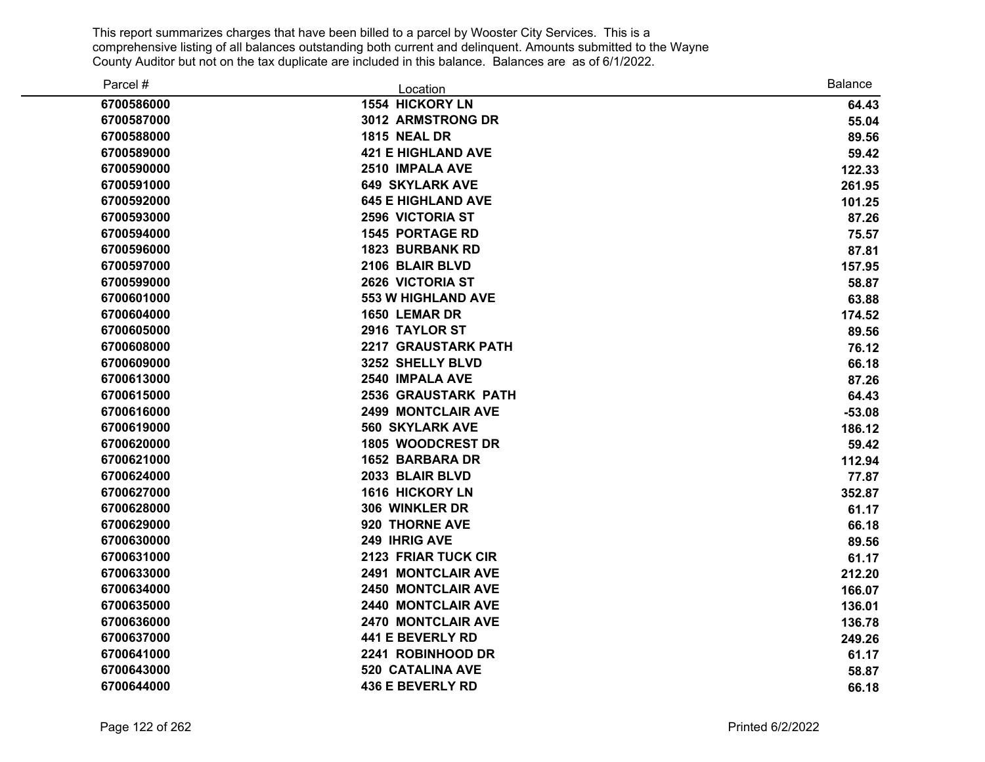| Parcel #   | Location                   | <b>Balance</b> |
|------------|----------------------------|----------------|
| 6700586000 | <b>1554 HICKORY LN</b>     | 64.43          |
| 6700587000 | 3012 ARMSTRONG DR          | 55.04          |
| 6700588000 | <b>1815 NEAL DR</b>        | 89.56          |
| 6700589000 | <b>421 E HIGHLAND AVE</b>  | 59.42          |
| 6700590000 | 2510 IMPALA AVE            | 122.33         |
| 6700591000 | <b>649 SKYLARK AVE</b>     | 261.95         |
| 6700592000 | <b>645 E HIGHLAND AVE</b>  | 101.25         |
| 6700593000 | <b>2596 VICTORIA ST</b>    | 87.26          |
| 6700594000 | <b>1545 PORTAGE RD</b>     | 75.57          |
| 6700596000 | <b>1823 BURBANK RD</b>     | 87.81          |
| 6700597000 | 2106 BLAIR BLVD            | 157.95         |
| 6700599000 | 2626 VICTORIA ST           | 58.87          |
| 6700601000 | <b>553 W HIGHLAND AVE</b>  | 63.88          |
| 6700604000 | 1650 LEMAR DR              | 174.52         |
| 6700605000 | 2916 TAYLOR ST             | 89.56          |
| 6700608000 | <b>2217 GRAUSTARK PATH</b> | 76.12          |
| 6700609000 | 3252 SHELLY BLVD           | 66.18          |
| 6700613000 | 2540 IMPALA AVE            | 87.26          |
| 6700615000 | <b>2536 GRAUSTARK PATH</b> | 64.43          |
| 6700616000 | <b>2499 MONTCLAIR AVE</b>  | $-53.08$       |
| 6700619000 | <b>560 SKYLARK AVE</b>     | 186.12         |
| 6700620000 | <b>1805 WOODCREST DR</b>   | 59.42          |
| 6700621000 | <b>1652 BARBARA DR</b>     | 112.94         |
| 6700624000 | 2033 BLAIR BLVD            | 77.87          |
| 6700627000 | <b>1616 HICKORY LN</b>     | 352.87         |
| 6700628000 | 306 WINKLER DR             | 61.17          |
| 6700629000 | 920 THORNE AVE             | 66.18          |
| 6700630000 | 249 IHRIG AVE              | 89.56          |
| 6700631000 | 2123 FRIAR TUCK CIR        | 61.17          |
| 6700633000 | <b>2491 MONTCLAIR AVE</b>  | 212.20         |
| 6700634000 | <b>2450 MONTCLAIR AVE</b>  | 166.07         |
| 6700635000 | 2440 MONTCLAIR AVE         | 136.01         |
| 6700636000 | 2470 MONTCLAIR AVE         | 136.78         |
| 6700637000 | 441 E BEVERLY RD           | 249.26         |
| 6700641000 | 2241 ROBINHOOD DR          | 61.17          |
| 6700643000 | 520 CATALINA AVE           | 58.87          |
| 6700644000 | <b>436 E BEVERLY RD</b>    | 66.18          |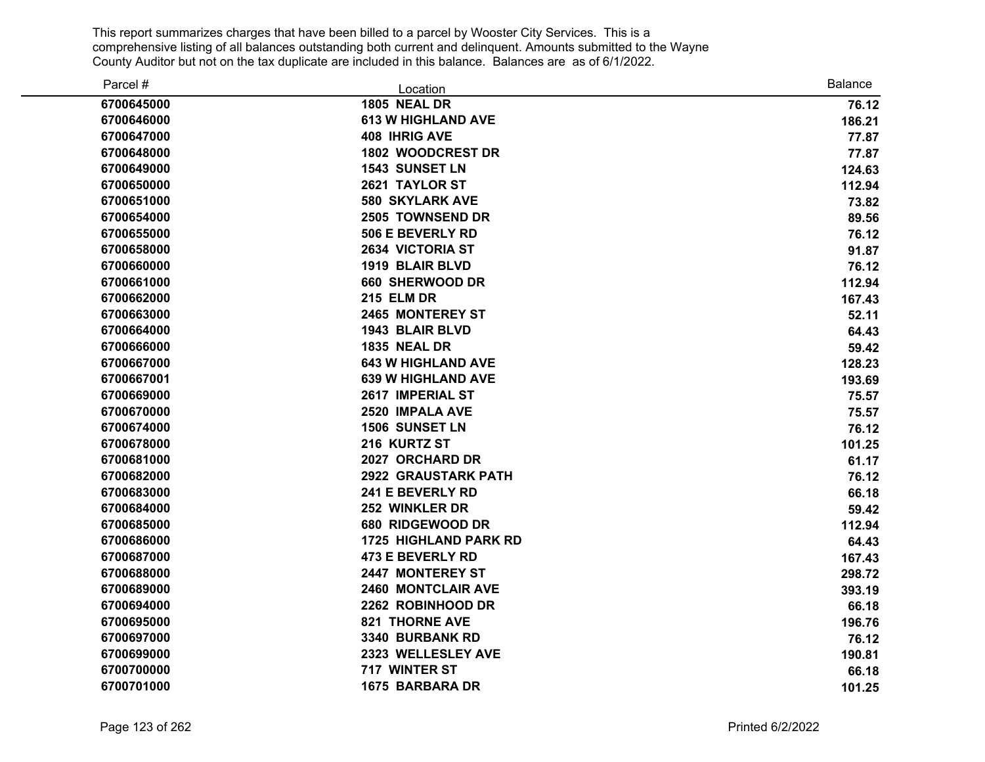| Parcel #   | Location                     | Balance |
|------------|------------------------------|---------|
| 6700645000 | <b>1805 NEAL DR</b>          | 76.12   |
| 6700646000 | <b>613 W HIGHLAND AVE</b>    | 186.21  |
| 6700647000 | <b>408 IHRIG AVE</b>         | 77.87   |
| 6700648000 | 1802 WOODCREST DR            | 77.87   |
| 6700649000 | <b>1543 SUNSET LN</b>        | 124.63  |
| 6700650000 | 2621 TAYLOR ST               | 112.94  |
| 6700651000 | <b>580 SKYLARK AVE</b>       | 73.82   |
| 6700654000 | 2505 TOWNSEND DR             | 89.56   |
| 6700655000 | 506 E BEVERLY RD             | 76.12   |
| 6700658000 | 2634 VICTORIA ST             | 91.87   |
| 6700660000 | 1919 BLAIR BLVD              | 76.12   |
| 6700661000 | 660 SHERWOOD DR              | 112.94  |
| 6700662000 | <b>215 ELM DR</b>            | 167.43  |
| 6700663000 | 2465 MONTEREY ST             | 52.11   |
| 6700664000 | 1943 BLAIR BLVD              | 64.43   |
| 6700666000 | <b>1835 NEAL DR</b>          | 59.42   |
| 6700667000 | <b>643 W HIGHLAND AVE</b>    | 128.23  |
| 6700667001 | <b>639 W HIGHLAND AVE</b>    | 193.69  |
| 6700669000 | 2617 IMPERIAL ST             | 75.57   |
| 6700670000 | 2520 IMPALA AVE              | 75.57   |
| 6700674000 | <b>1506 SUNSET LN</b>        | 76.12   |
| 6700678000 | 216 KURTZ ST                 | 101.25  |
| 6700681000 | 2027 ORCHARD DR              | 61.17   |
| 6700682000 | 2922 GRAUSTARK PATH          | 76.12   |
| 6700683000 | 241 E BEVERLY RD             | 66.18   |
| 6700684000 | 252 WINKLER DR               | 59.42   |
| 6700685000 | 680 RIDGEWOOD DR             | 112.94  |
| 6700686000 | <b>1725 HIGHLAND PARK RD</b> | 64.43   |
| 6700687000 | 473 E BEVERLY RD             | 167.43  |
| 6700688000 | 2447 MONTEREY ST             | 298.72  |
| 6700689000 | 2460 MONTCLAIR AVE           | 393.19  |
| 6700694000 | 2262 ROBINHOOD DR            | 66.18   |
| 6700695000 | <b>821 THORNE AVE</b>        | 196.76  |
| 6700697000 | 3340 BURBANK RD              | 76.12   |
| 6700699000 | 2323 WELLESLEY AVE           | 190.81  |
| 6700700000 | 717 WINTER ST                | 66.18   |
| 6700701000 | <b>1675 BARBARA DR</b>       | 101.25  |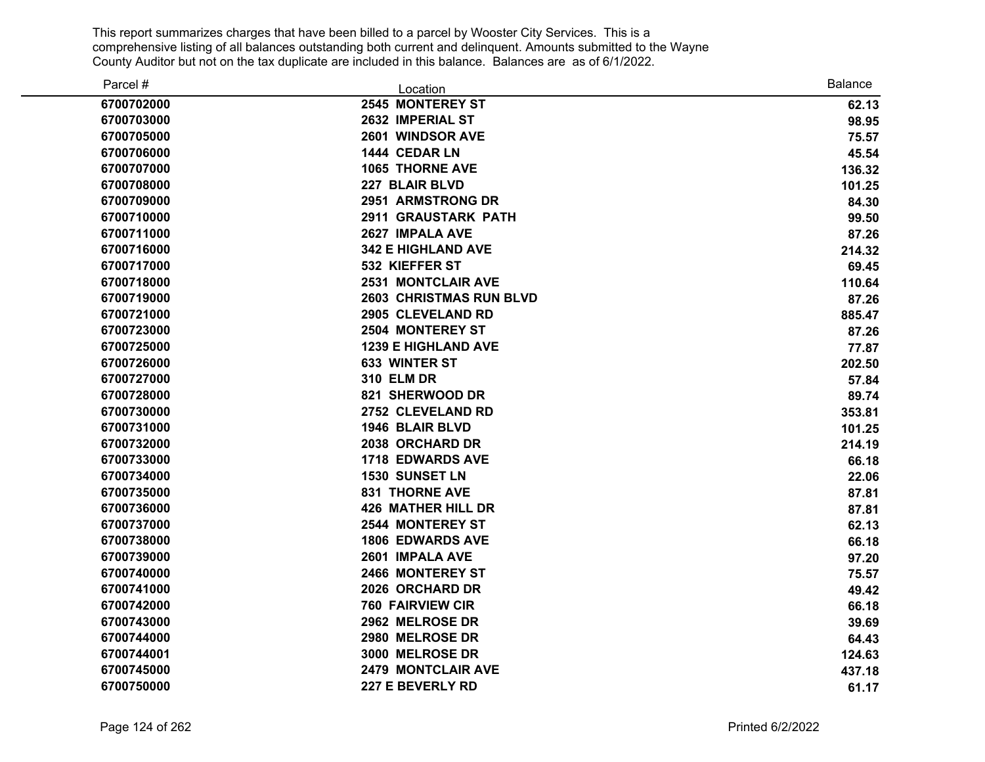| Parcel #   | Location                   | <b>Balance</b> |
|------------|----------------------------|----------------|
| 6700702000 | 2545 MONTEREY ST           | 62.13          |
| 6700703000 | 2632 IMPERIAL ST           | 98.95          |
| 6700705000 | 2601 WINDSOR AVE           | 75.57          |
| 6700706000 | 1444 CEDAR LN              | 45.54          |
| 6700707000 | 1065 THORNE AVE            | 136.32         |
| 6700708000 | 227 BLAIR BLVD             | 101.25         |
| 6700709000 | 2951 ARMSTRONG DR          | 84.30          |
| 6700710000 | 2911 GRAUSTARK PATH        | 99.50          |
| 6700711000 | 2627 IMPALA AVE            | 87.26          |
| 6700716000 | <b>342 E HIGHLAND AVE</b>  | 214.32         |
| 6700717000 | 532 KIEFFER ST             | 69.45          |
| 6700718000 | <b>2531 MONTCLAIR AVE</b>  | 110.64         |
| 6700719000 | 2603 CHRISTMAS RUN BLVD    | 87.26          |
| 6700721000 | 2905 CLEVELAND RD          | 885.47         |
| 6700723000 | 2504 MONTEREY ST           | 87.26          |
| 6700725000 | <b>1239 E HIGHLAND AVE</b> | 77.87          |
| 6700726000 | 633 WINTER ST              | 202.50         |
| 6700727000 | <b>310 ELM DR</b>          | 57.84          |
| 6700728000 | 821 SHERWOOD DR            | 89.74          |
| 6700730000 | 2752 CLEVELAND RD          | 353.81         |
| 6700731000 | 1946 BLAIR BLVD            | 101.25         |
| 6700732000 | 2038 ORCHARD DR            | 214.19         |
| 6700733000 | <b>1718 EDWARDS AVE</b>    | 66.18          |
| 6700734000 | <b>1530 SUNSET LN</b>      | 22.06          |
| 6700735000 | <b>831 THORNE AVE</b>      | 87.81          |
| 6700736000 | <b>426 MATHER HILL DR</b>  | 87.81          |
| 6700737000 | <b>2544 MONTEREY ST</b>    | 62.13          |
| 6700738000 | <b>1806 EDWARDS AVE</b>    | 66.18          |
| 6700739000 | 2601 IMPALA AVE            | 97.20          |
| 6700740000 | 2466 MONTEREY ST           | 75.57          |
| 6700741000 | 2026 ORCHARD DR            | 49.42          |
| 6700742000 | <b>760 FAIRVIEW CIR</b>    | 66.18          |
| 6700743000 | 2962 MELROSE DR            | 39.69          |
| 6700744000 | 2980 MELROSE DR            | 64.43          |
| 6700744001 | 3000 MELROSE DR            | 124.63         |
| 6700745000 | <b>2479 MONTCLAIR AVE</b>  | 437.18         |
| 6700750000 | 227 E BEVERLY RD           | 61.17          |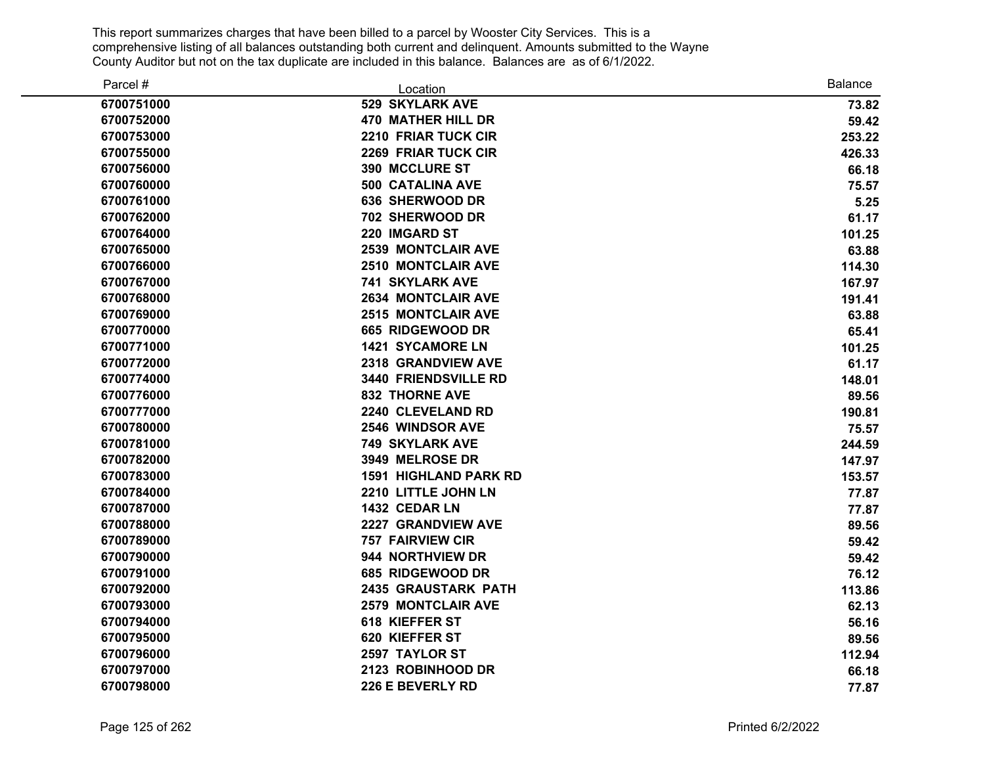| Parcel #   | Location                     | <b>Balance</b> |
|------------|------------------------------|----------------|
| 6700751000 | <b>529 SKYLARK AVE</b>       | 73.82          |
| 6700752000 | <b>470 MATHER HILL DR</b>    | 59.42          |
| 6700753000 | <b>2210 FRIAR TUCK CIR</b>   | 253.22         |
| 6700755000 | 2269 FRIAR TUCK CIR          | 426.33         |
| 6700756000 | 390 MCCLURE ST               | 66.18          |
| 6700760000 | <b>500 CATALINA AVE</b>      | 75.57          |
| 6700761000 | 636 SHERWOOD DR              | 5.25           |
| 6700762000 | 702 SHERWOOD DR              | 61.17          |
| 6700764000 | 220 IMGARD ST                | 101.25         |
| 6700765000 | <b>2539 MONTCLAIR AVE</b>    | 63.88          |
| 6700766000 | <b>2510 MONTCLAIR AVE</b>    | 114.30         |
| 6700767000 | <b>741 SKYLARK AVE</b>       | 167.97         |
| 6700768000 | <b>2634 MONTCLAIR AVE</b>    | 191.41         |
| 6700769000 | <b>2515 MONTCLAIR AVE</b>    | 63.88          |
| 6700770000 | 665 RIDGEWOOD DR             | 65.41          |
| 6700771000 | <b>1421 SYCAMORE LN</b>      | 101.25         |
| 6700772000 | 2318 GRANDVIEW AVE           | 61.17          |
| 6700774000 | 3440 FRIENDSVILLE RD         | 148.01         |
| 6700776000 | <b>832 THORNE AVE</b>        | 89.56          |
| 6700777000 | 2240 CLEVELAND RD            | 190.81         |
| 6700780000 | <b>2546 WINDSOR AVE</b>      | 75.57          |
| 6700781000 | <b>749 SKYLARK AVE</b>       | 244.59         |
| 6700782000 | 3949 MELROSE DR              | 147.97         |
| 6700783000 | <b>1591 HIGHLAND PARK RD</b> | 153.57         |
| 6700784000 | 2210 LITTLE JOHN LN          | 77.87          |
| 6700787000 | 1432 CEDAR LN                | 77.87          |
| 6700788000 | 2227 GRANDVIEW AVE           | 89.56          |
| 6700789000 | <b>757 FAIRVIEW CIR</b>      | 59.42          |
| 6700790000 | 944 NORTHVIEW DR             | 59.42          |
| 6700791000 | 685 RIDGEWOOD DR             | 76.12          |
| 6700792000 | 2435 GRAUSTARK PATH          | 113.86         |
| 6700793000 | <b>2579 MONTCLAIR AVE</b>    | 62.13          |
| 6700794000 | 618 KIEFFER ST               | 56.16          |
| 6700795000 | 620 KIEFFER ST               | 89.56          |
| 6700796000 | 2597 TAYLOR ST               | 112.94         |
| 6700797000 | 2123 ROBINHOOD DR            | 66.18          |
| 6700798000 | 226 E BEVERLY RD             | 77.87          |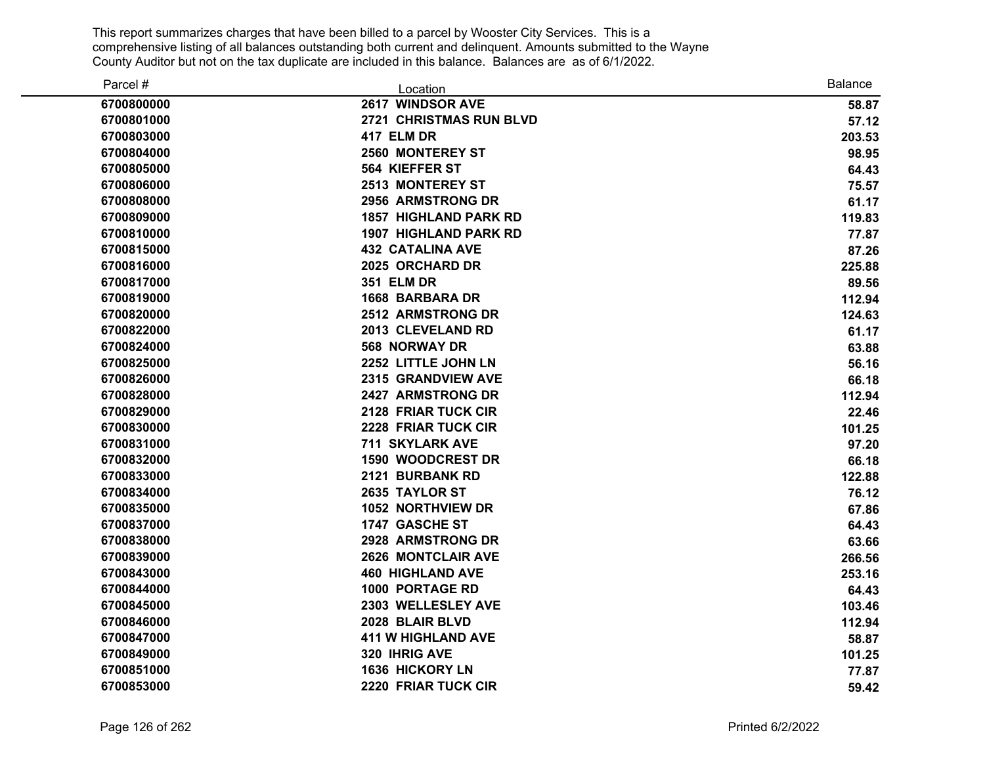| Parcel #   | Location                       | <b>Balance</b> |
|------------|--------------------------------|----------------|
| 6700800000 | 2617 WINDSOR AVE               | 58.87          |
| 6700801000 | <b>2721 CHRISTMAS RUN BLVD</b> | 57.12          |
| 6700803000 | 417 ELM DR                     | 203.53         |
| 6700804000 | 2560 MONTEREY ST               | 98.95          |
| 6700805000 | 564 KIEFFER ST                 | 64.43          |
| 6700806000 | 2513 MONTEREY ST               | 75.57          |
| 6700808000 | 2956 ARMSTRONG DR              | 61.17          |
| 6700809000 | <b>1857 HIGHLAND PARK RD</b>   | 119.83         |
| 6700810000 | <b>1907 HIGHLAND PARK RD</b>   | 77.87          |
| 6700815000 | <b>432 CATALINA AVE</b>        | 87.26          |
| 6700816000 | 2025 ORCHARD DR                | 225.88         |
| 6700817000 | <b>351 ELM DR</b>              | 89.56          |
| 6700819000 | <b>1668 BARBARA DR</b>         | 112.94         |
| 6700820000 | <b>2512 ARMSTRONG DR</b>       | 124.63         |
| 6700822000 | 2013 CLEVELAND RD              | 61.17          |
| 6700824000 | <b>568 NORWAY DR</b>           | 63.88          |
| 6700825000 | 2252 LITTLE JOHN LN            | 56.16          |
| 6700826000 | 2315 GRANDVIEW AVE             | 66.18          |
| 6700828000 | 2427 ARMSTRONG DR              | 112.94         |
| 6700829000 | 2128 FRIAR TUCK CIR            | 22.46          |
| 6700830000 | 2228 FRIAR TUCK CIR            | 101.25         |
| 6700831000 | 711 SKYLARK AVE                | 97.20          |
| 6700832000 | 1590 WOODCREST DR              | 66.18          |
| 6700833000 | 2121 BURBANK RD                | 122.88         |
| 6700834000 | 2635 TAYLOR ST                 | 76.12          |
| 6700835000 | <b>1052 NORTHVIEW DR</b>       | 67.86          |
| 6700837000 | 1747 GASCHE ST                 | 64.43          |
| 6700838000 | 2928 ARMSTRONG DR              | 63.66          |
| 6700839000 | <b>2626 MONTCLAIR AVE</b>      | 266.56         |
| 6700843000 | <b>460 HIGHLAND AVE</b>        | 253.16         |
| 6700844000 | <b>1000 PORTAGE RD</b>         | 64.43          |
| 6700845000 | 2303 WELLESLEY AVE             | 103.46         |
| 6700846000 | 2028 BLAIR BLVD                | 112.94         |
| 6700847000 | <b>411 W HIGHLAND AVE</b>      | 58.87          |
| 6700849000 | 320 IHRIG AVE                  | 101.25         |
| 6700851000 | <b>1636 HICKORY LN</b>         | 77.87          |
| 6700853000 | 2220 FRIAR TUCK CIR            | 59.42          |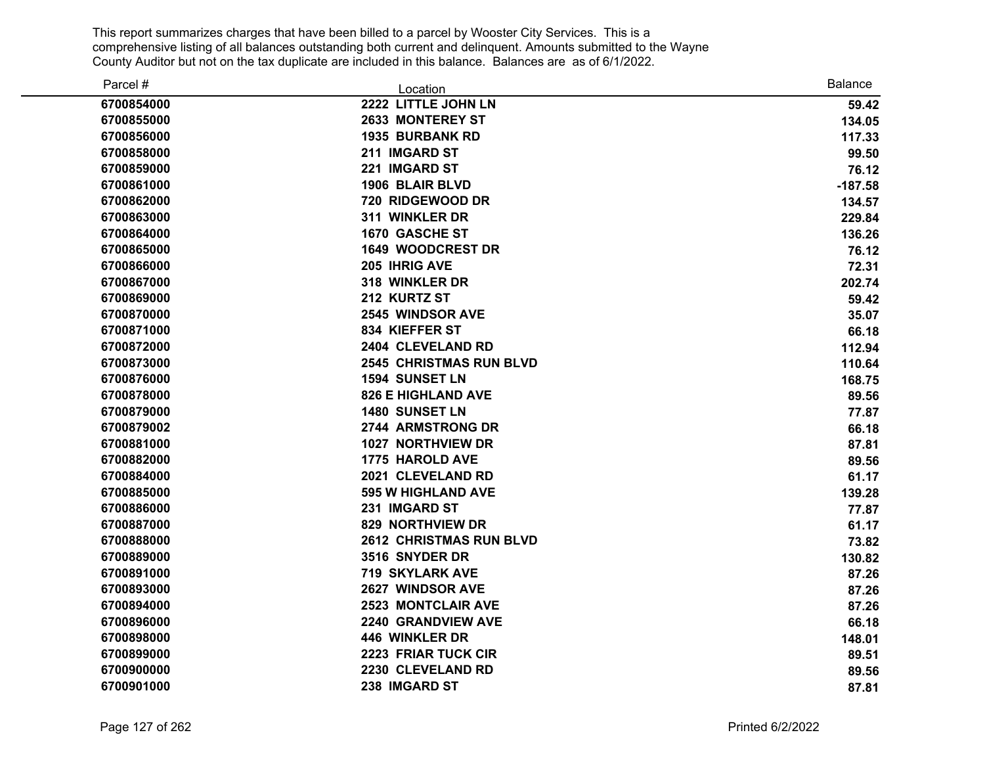| Parcel #   | Location                       | <b>Balance</b> |
|------------|--------------------------------|----------------|
| 6700854000 | 2222 LITTLE JOHN LN            | 59.42          |
| 6700855000 | 2633 MONTEREY ST               | 134.05         |
| 6700856000 | <b>1935 BURBANK RD</b>         | 117.33         |
| 6700858000 | 211 IMGARD ST                  | 99.50          |
| 6700859000 | 221 IMGARD ST                  | 76.12          |
| 6700861000 | 1906 BLAIR BLVD                | $-187.58$      |
| 6700862000 | 720 RIDGEWOOD DR               | 134.57         |
| 6700863000 | 311 WINKLER DR                 | 229.84         |
| 6700864000 | 1670 GASCHE ST                 | 136.26         |
| 6700865000 | <b>1649 WOODCREST DR</b>       | 76.12          |
| 6700866000 | 205 IHRIG AVE                  | 72.31          |
| 6700867000 | 318 WINKLER DR                 | 202.74         |
| 6700869000 | 212 KURTZ ST                   | 59.42          |
| 6700870000 | 2545 WINDSOR AVE               | 35.07          |
| 6700871000 | 834 KIEFFER ST                 | 66.18          |
| 6700872000 | 2404 CLEVELAND RD              | 112.94         |
| 6700873000 | <b>2545 CHRISTMAS RUN BLVD</b> | 110.64         |
| 6700876000 | 1594 SUNSET LN                 | 168.75         |
| 6700878000 | <b>826 E HIGHLAND AVE</b>      | 89.56          |
| 6700879000 | <b>1480 SUNSET LN</b>          | 77.87          |
| 6700879002 | 2744 ARMSTRONG DR              | 66.18          |
| 6700881000 | 1027 NORTHVIEW DR              | 87.81          |
| 6700882000 | 1775 HAROLD AVE                | 89.56          |
| 6700884000 | 2021 CLEVELAND RD              | 61.17          |
| 6700885000 | <b>595 W HIGHLAND AVE</b>      | 139.28         |
| 6700886000 | 231 IMGARD ST                  | 77.87          |
| 6700887000 | <b>829 NORTHVIEW DR</b>        | 61.17          |
| 6700888000 | <b>2612 CHRISTMAS RUN BLVD</b> | 73.82          |
| 6700889000 | 3516 SNYDER DR                 | 130.82         |
| 6700891000 | <b>719 SKYLARK AVE</b>         | 87.26          |
| 6700893000 | 2627 WINDSOR AVE               | 87.26          |
| 6700894000 | 2523 MONTCLAIR AVE             | 87.26          |
| 6700896000 | 2240 GRANDVIEW AVE             | 66.18          |
| 6700898000 | 446 WINKLER DR                 | 148.01         |
| 6700899000 | <b>2223 FRIAR TUCK CIR</b>     | 89.51          |
| 6700900000 | 2230 CLEVELAND RD              | 89.56          |
| 6700901000 | 238 IMGARD ST                  | 87.81          |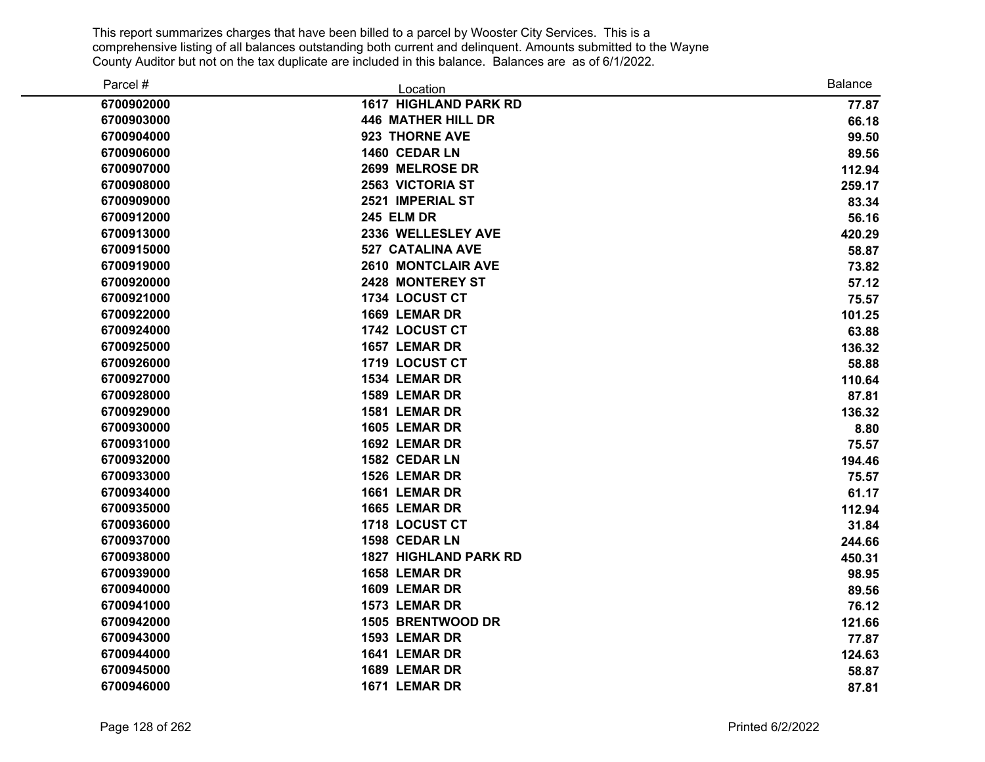| Parcel #   | Location                     | <b>Balance</b> |
|------------|------------------------------|----------------|
| 6700902000 | <b>1617 HIGHLAND PARK RD</b> | 77.87          |
| 6700903000 | <b>446 MATHER HILL DR</b>    | 66.18          |
| 6700904000 | 923 THORNE AVE               | 99.50          |
| 6700906000 | 1460 CEDAR LN                | 89.56          |
| 6700907000 | 2699 MELROSE DR              | 112.94         |
| 6700908000 | <b>2563 VICTORIA ST</b>      | 259.17         |
| 6700909000 | 2521 IMPERIAL ST             | 83.34          |
| 6700912000 | <b>245 ELM DR</b>            | 56.16          |
| 6700913000 | 2336 WELLESLEY AVE           | 420.29         |
| 6700915000 | <b>527 CATALINA AVE</b>      | 58.87          |
| 6700919000 | <b>2610 MONTCLAIR AVE</b>    | 73.82          |
| 6700920000 | <b>2428 MONTEREY ST</b>      | 57.12          |
| 6700921000 | 1734 LOCUST CT               | 75.57          |
| 6700922000 | 1669 LEMAR DR                | 101.25         |
| 6700924000 | 1742 LOCUST CT               | 63.88          |
| 6700925000 | 1657 LEMAR DR                | 136.32         |
| 6700926000 | 1719 LOCUST CT               | 58.88          |
| 6700927000 | 1534 LEMAR DR                | 110.64         |
| 6700928000 | 1589 LEMAR DR                | 87.81          |
| 6700929000 | 1581 LEMAR DR                | 136.32         |
| 6700930000 | 1605 LEMAR DR                | 8.80           |
| 6700931000 | 1692 LEMAR DR                | 75.57          |
| 6700932000 | 1582 CEDAR LN                | 194.46         |
| 6700933000 | 1526 LEMAR DR                | 75.57          |
| 6700934000 | 1661 LEMAR DR                | 61.17          |
| 6700935000 | 1665 LEMAR DR                | 112.94         |
| 6700936000 | 1718 LOCUST CT               | 31.84          |
| 6700937000 | 1598 CEDAR LN                | 244.66         |
| 6700938000 | <b>1827 HIGHLAND PARK RD</b> | 450.31         |
| 6700939000 | 1658 LEMAR DR                | 98.95          |
| 6700940000 | 1609 LEMAR DR                | 89.56          |
| 6700941000 | 1573 LEMAR DR                | 76.12          |
| 6700942000 | 1505 BRENTWOOD DR            | 121.66         |
| 6700943000 | 1593 LEMAR DR                | 77.87          |
| 6700944000 | 1641 LEMAR DR                | 124.63         |
| 6700945000 | 1689 LEMAR DR                | 58.87          |
| 6700946000 | 1671 LEMAR DR                | 87.81          |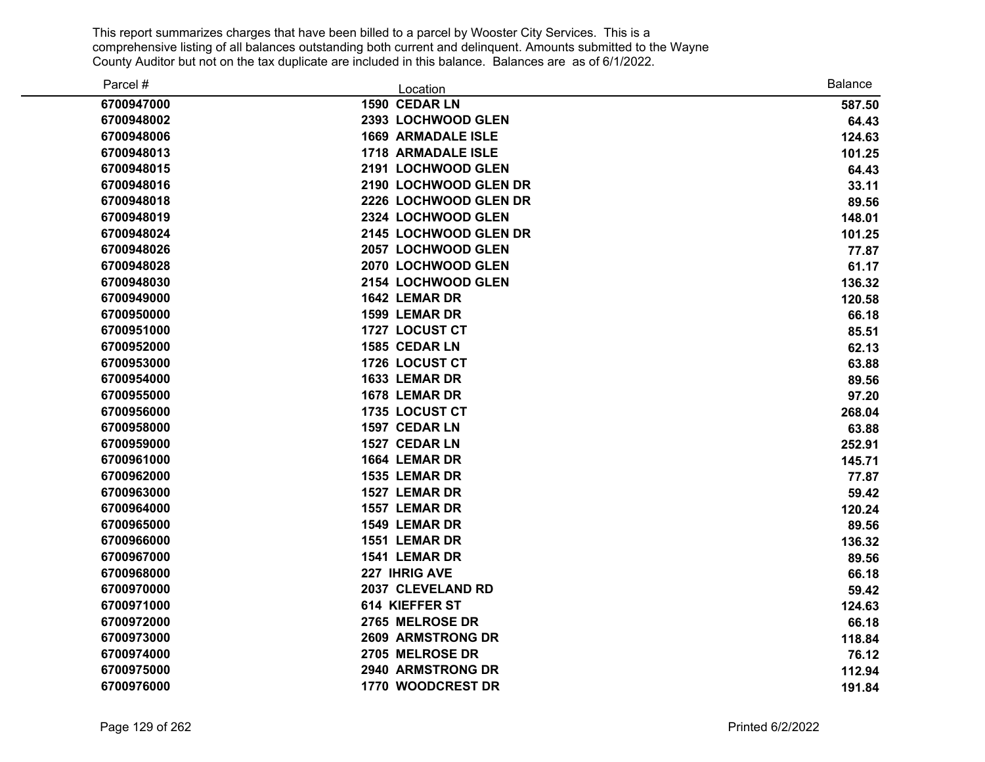| Parcel #   | Location                  | Balance |
|------------|---------------------------|---------|
| 6700947000 | 1590 CEDAR LN             | 587.50  |
| 6700948002 | 2393 LOCHWOOD GLEN        | 64.43   |
| 6700948006 | <b>1669 ARMADALE ISLE</b> | 124.63  |
| 6700948013 | 1718 ARMADALE ISLE        | 101.25  |
| 6700948015 | 2191 LOCHWOOD GLEN        | 64.43   |
| 6700948016 | 2190 LOCHWOOD GLEN DR     | 33.11   |
| 6700948018 | 2226 LOCHWOOD GLEN DR     | 89.56   |
| 6700948019 | 2324 LOCHWOOD GLEN        | 148.01  |
| 6700948024 | 2145 LOCHWOOD GLEN DR     | 101.25  |
| 6700948026 | 2057 LOCHWOOD GLEN        | 77.87   |
| 6700948028 | 2070 LOCHWOOD GLEN        | 61.17   |
| 6700948030 | 2154 LOCHWOOD GLEN        | 136.32  |
| 6700949000 | 1642 LEMAR DR             | 120.58  |
| 6700950000 | 1599 LEMAR DR             | 66.18   |
| 6700951000 | 1727 LOCUST CT            | 85.51   |
| 6700952000 | 1585 CEDAR LN             | 62.13   |
| 6700953000 | 1726 LOCUST CT            | 63.88   |
| 6700954000 | 1633 LEMAR DR             | 89.56   |
| 6700955000 | 1678 LEMAR DR             | 97.20   |
| 6700956000 | 1735 LOCUST CT            | 268.04  |
| 6700958000 | 1597 CEDAR LN             | 63.88   |
| 6700959000 | 1527 CEDAR LN             | 252.91  |
| 6700961000 | 1664 LEMAR DR             | 145.71  |
| 6700962000 | 1535 LEMAR DR             | 77.87   |
| 6700963000 | 1527 LEMAR DR             | 59.42   |
| 6700964000 | 1557 LEMAR DR             | 120.24  |
| 6700965000 | 1549 LEMAR DR             | 89.56   |
| 6700966000 | 1551 LEMAR DR             | 136.32  |
| 6700967000 | 1541 LEMAR DR             | 89.56   |
| 6700968000 | 227 IHRIG AVE             | 66.18   |
| 6700970000 | 2037 CLEVELAND RD         | 59.42   |
| 6700971000 | 614 KIEFFER ST            | 124.63  |
| 6700972000 | 2765 MELROSE DR           | 66.18   |
| 6700973000 | <b>2609 ARMSTRONG DR</b>  | 118.84  |
| 6700974000 | 2705 MELROSE DR           | 76.12   |
| 6700975000 | 2940 ARMSTRONG DR         | 112.94  |
| 6700976000 | 1770 WOODCREST DR         | 191.84  |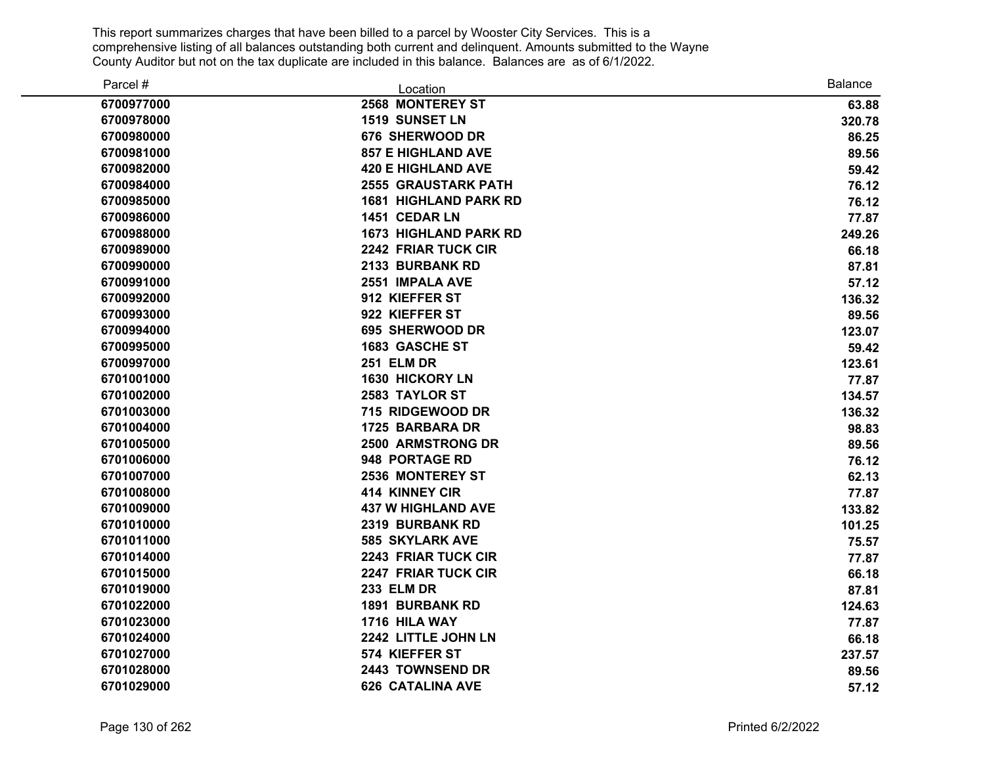| Parcel #   | Location                     | <b>Balance</b> |
|------------|------------------------------|----------------|
| 6700977000 | 2568 MONTEREY ST             | 63.88          |
| 6700978000 | 1519 SUNSET LN               | 320.78         |
| 6700980000 | 676 SHERWOOD DR              | 86.25          |
| 6700981000 | <b>857 E HIGHLAND AVE</b>    | 89.56          |
| 6700982000 | <b>420 E HIGHLAND AVE</b>    | 59.42          |
| 6700984000 | <b>2555 GRAUSTARK PATH</b>   | 76.12          |
| 6700985000 | <b>1681 HIGHLAND PARK RD</b> | 76.12          |
| 6700986000 | 1451 CEDAR LN                | 77.87          |
| 6700988000 | <b>1673 HIGHLAND PARK RD</b> | 249.26         |
| 6700989000 | 2242 FRIAR TUCK CIR          | 66.18          |
| 6700990000 | 2133 BURBANK RD              | 87.81          |
| 6700991000 | 2551 IMPALA AVE              | 57.12          |
| 6700992000 | 912 KIEFFER ST               | 136.32         |
| 6700993000 | 922 KIEFFER ST               | 89.56          |
| 6700994000 | 695 SHERWOOD DR              | 123.07         |
| 6700995000 | <b>1683 GASCHE ST</b>        | 59.42          |
| 6700997000 | <b>251 ELM DR</b>            | 123.61         |
| 6701001000 | <b>1630 HICKORY LN</b>       | 77.87          |
| 6701002000 | 2583 TAYLOR ST               | 134.57         |
| 6701003000 | 715 RIDGEWOOD DR             | 136.32         |
| 6701004000 | 1725 BARBARA DR              | 98.83          |
| 6701005000 | <b>2500 ARMSTRONG DR</b>     | 89.56          |
| 6701006000 | 948 PORTAGE RD               | 76.12          |
| 6701007000 | 2536 MONTEREY ST             | 62.13          |
| 6701008000 | <b>414 KINNEY CIR</b>        | 77.87          |
| 6701009000 | <b>437 W HIGHLAND AVE</b>    | 133.82         |
| 6701010000 | 2319 BURBANK RD              | 101.25         |
| 6701011000 | <b>585 SKYLARK AVE</b>       | 75.57          |
| 6701014000 | 2243 FRIAR TUCK CIR          | 77.87          |
| 6701015000 | 2247 FRIAR TUCK CIR          | 66.18          |
| 6701019000 | <b>233 ELM DR</b>            | 87.81          |
| 6701022000 | <b>1891 BURBANK RD</b>       | 124.63         |
| 6701023000 | 1716 HILA WAY                | 77.87          |
| 6701024000 | 2242 LITTLE JOHN LN          | 66.18          |
| 6701027000 | 574 KIEFFER ST               | 237.57         |
| 6701028000 | 2443 TOWNSEND DR             | 89.56          |
| 6701029000 | <b>626 CATALINA AVE</b>      | 57.12          |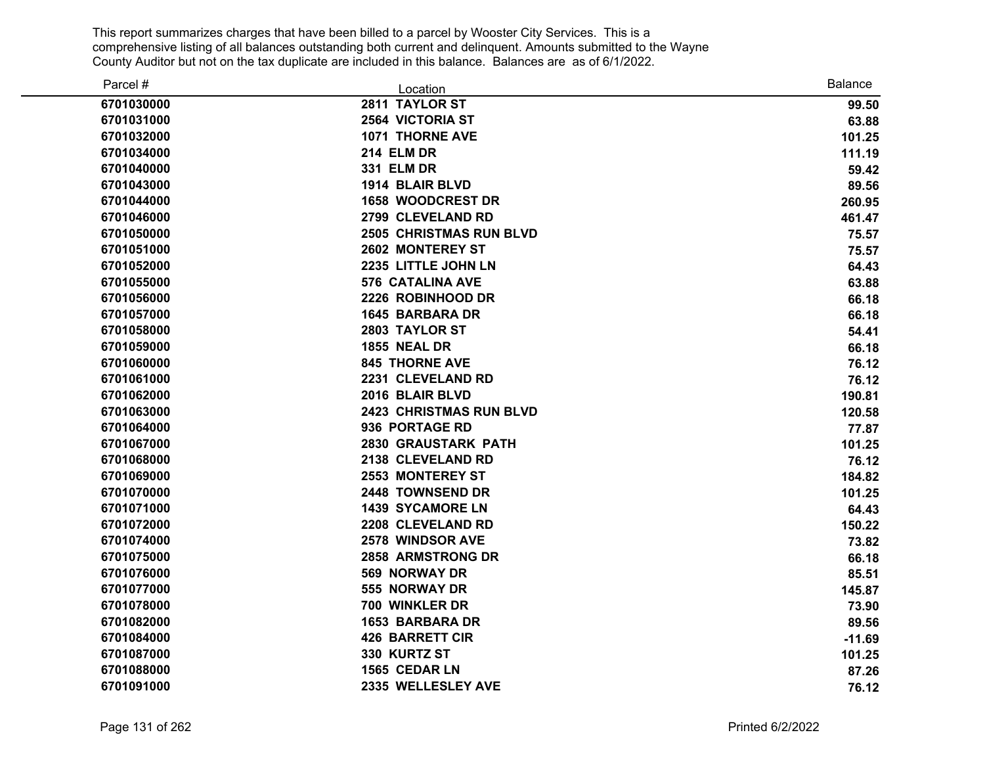| Parcel #   | Location                       | <b>Balance</b> |
|------------|--------------------------------|----------------|
| 6701030000 | 2811 TAYLOR ST                 | 99.50          |
| 6701031000 | 2564 VICTORIA ST               | 63.88          |
| 6701032000 | <b>1071 THORNE AVE</b>         | 101.25         |
| 6701034000 | <b>214 ELM DR</b>              | 111.19         |
| 6701040000 | 331 ELM DR                     | 59.42          |
| 6701043000 | 1914 BLAIR BLVD                | 89.56          |
| 6701044000 | 1658 WOODCREST DR              | 260.95         |
| 6701046000 | 2799 CLEVELAND RD              | 461.47         |
| 6701050000 | <b>2505 CHRISTMAS RUN BLVD</b> | 75.57          |
| 6701051000 | 2602 MONTEREY ST               | 75.57          |
| 6701052000 | 2235 LITTLE JOHN LN            | 64.43          |
| 6701055000 | <b>576 CATALINA AVE</b>        | 63.88          |
| 6701056000 | 2226 ROBINHOOD DR              | 66.18          |
| 6701057000 | <b>1645 BARBARA DR</b>         | 66.18          |
| 6701058000 | 2803 TAYLOR ST                 | 54.41          |
| 6701059000 | <b>1855 NEAL DR</b>            | 66.18          |
| 6701060000 | <b>845 THORNE AVE</b>          | 76.12          |
| 6701061000 | 2231 CLEVELAND RD              | 76.12          |
| 6701062000 | 2016 BLAIR BLVD                | 190.81         |
| 6701063000 | <b>2423 CHRISTMAS RUN BLVD</b> | 120.58         |
| 6701064000 | 936 PORTAGE RD                 | 77.87          |
| 6701067000 | 2830 GRAUSTARK PATH            | 101.25         |
| 6701068000 | 2138 CLEVELAND RD              | 76.12          |
| 6701069000 | 2553 MONTEREY ST               | 184.82         |
| 6701070000 | 2448 TOWNSEND DR               | 101.25         |
| 6701071000 | <b>1439 SYCAMORE LN</b>        | 64.43          |
| 6701072000 | 2208 CLEVELAND RD              | 150.22         |
| 6701074000 | <b>2578 WINDSOR AVE</b>        | 73.82          |
| 6701075000 | 2858 ARMSTRONG DR              | 66.18          |
| 6701076000 | 569 NORWAY DR                  | 85.51          |
| 6701077000 | 555 NORWAY DR                  | 145.87         |
| 6701078000 | 700 WINKLER DR                 | 73.90          |
| 6701082000 | <b>1653 BARBARA DR</b>         | 89.56          |
| 6701084000 | <b>426 BARRETT CIR</b>         | $-11.69$       |
| 6701087000 | 330 KURTZ ST                   | 101.25         |
| 6701088000 | 1565 CEDAR LN                  | 87.26          |
| 6701091000 | 2335 WELLESLEY AVE             | 76.12          |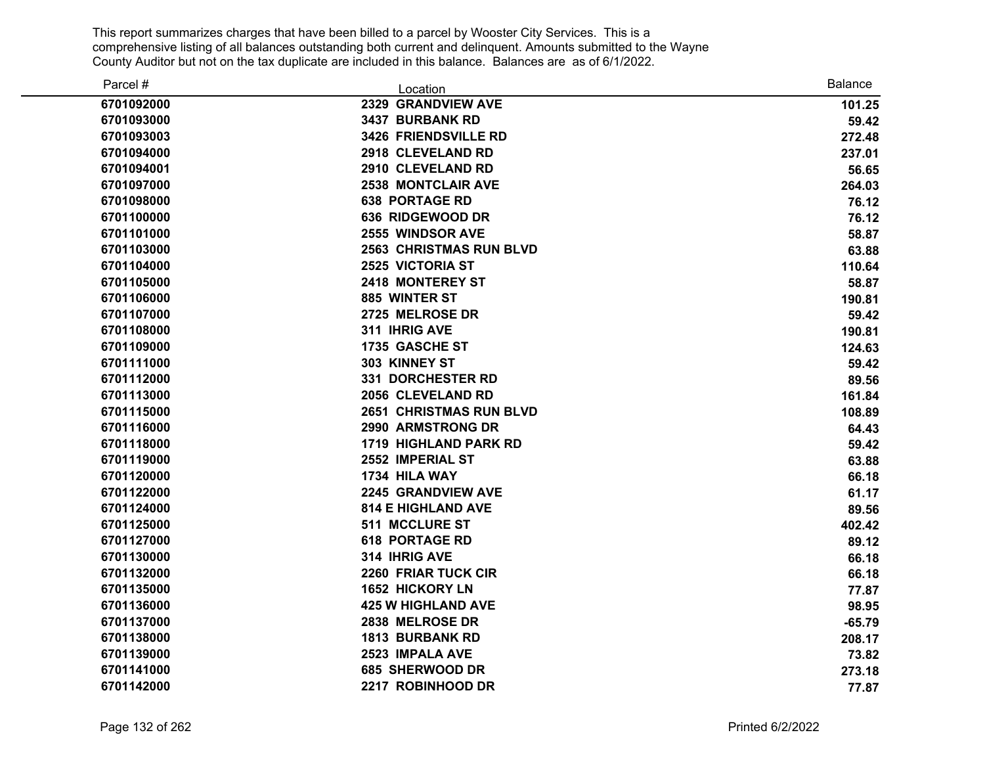| Parcel #   | Location                       | <b>Balance</b> |
|------------|--------------------------------|----------------|
| 6701092000 | 2329 GRANDVIEW AVE             | 101.25         |
| 6701093000 | 3437 BURBANK RD                | 59.42          |
| 6701093003 | 3426 FRIENDSVILLE RD           | 272.48         |
| 6701094000 | 2918 CLEVELAND RD              | 237.01         |
| 6701094001 | 2910 CLEVELAND RD              | 56.65          |
| 6701097000 | 2538 MONTCLAIR AVE             | 264.03         |
| 6701098000 | <b>638 PORTAGE RD</b>          | 76.12          |
| 6701100000 | 636 RIDGEWOOD DR               | 76.12          |
| 6701101000 | <b>2555 WINDSOR AVE</b>        | 58.87          |
| 6701103000 | <b>2563 CHRISTMAS RUN BLVD</b> | 63.88          |
| 6701104000 | 2525 VICTORIA ST               | 110.64         |
| 6701105000 | <b>2418 MONTEREY ST</b>        | 58.87          |
| 6701106000 | 885 WINTER ST                  | 190.81         |
| 6701107000 | 2725 MELROSE DR                | 59.42          |
| 6701108000 | 311 IHRIG AVE                  | 190.81         |
| 6701109000 | 1735 GASCHE ST                 | 124.63         |
| 6701111000 | 303 KINNEY ST                  | 59.42          |
| 6701112000 | <b>331 DORCHESTER RD</b>       | 89.56          |
| 6701113000 | 2056 CLEVELAND RD              | 161.84         |
| 6701115000 | <b>2651 CHRISTMAS RUN BLVD</b> | 108.89         |
| 6701116000 | 2990 ARMSTRONG DR              | 64.43          |
| 6701118000 | <b>1719 HIGHLAND PARK RD</b>   | 59.42          |
| 6701119000 | 2552 IMPERIAL ST               | 63.88          |
| 6701120000 | 1734 HILA WAY                  | 66.18          |
| 6701122000 | 2245 GRANDVIEW AVE             | 61.17          |
| 6701124000 | <b>814 E HIGHLAND AVE</b>      | 89.56          |
| 6701125000 | <b>511 MCCLURE ST</b>          | 402.42         |
| 6701127000 | <b>618 PORTAGE RD</b>          | 89.12          |
| 6701130000 | 314 IHRIG AVE                  | 66.18          |
| 6701132000 | 2260 FRIAR TUCK CIR            | 66.18          |
| 6701135000 | 1652 HICKORY LN                | 77.87          |
| 6701136000 | <b>425 W HIGHLAND AVE</b>      | 98.95          |
| 6701137000 | 2838 MELROSE DR                | $-65.79$       |
| 6701138000 | <b>1813 BURBANK RD</b>         | 208.17         |
| 6701139000 | 2523 IMPALA AVE                | 73.82          |
| 6701141000 | 685 SHERWOOD DR                | 273.18         |
| 6701142000 | 2217 ROBINHOOD DR              | 77.87          |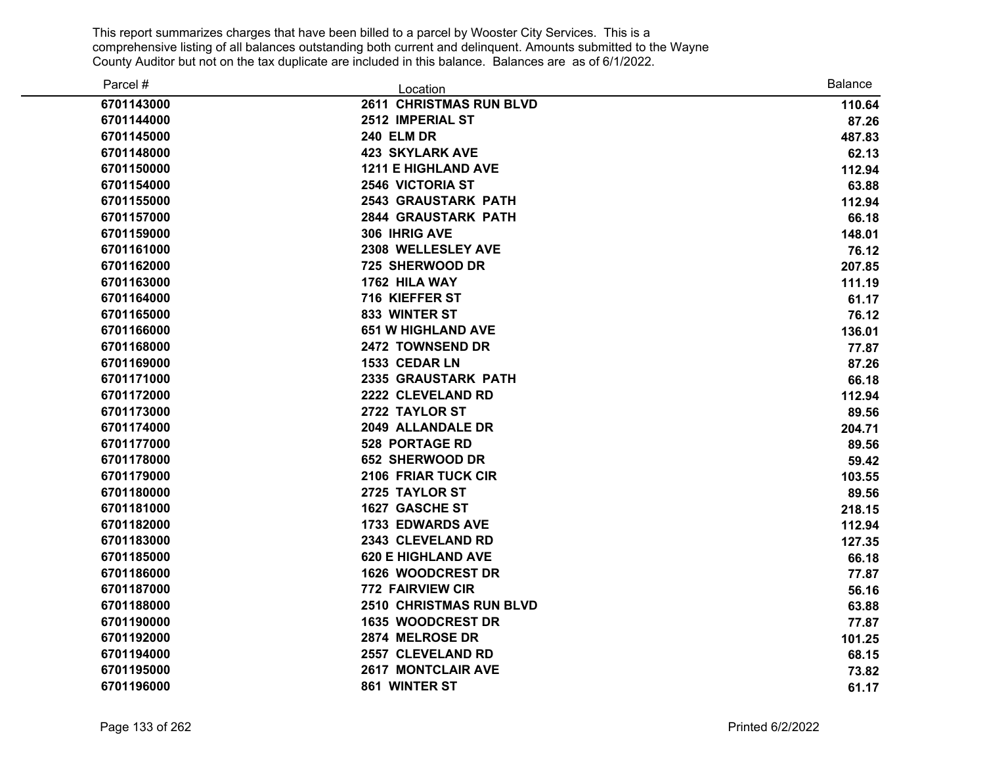| Parcel #   | Location                       | Balance |
|------------|--------------------------------|---------|
| 6701143000 | <b>2611 CHRISTMAS RUN BLVD</b> | 110.64  |
| 6701144000 | 2512 IMPERIAL ST               | 87.26   |
| 6701145000 | <b>240 ELM DR</b>              | 487.83  |
| 6701148000 | <b>423 SKYLARK AVE</b>         | 62.13   |
| 6701150000 | <b>1211 E HIGHLAND AVE</b>     | 112.94  |
| 6701154000 | <b>2546 VICTORIA ST</b>        | 63.88   |
| 6701155000 | <b>2543 GRAUSTARK PATH</b>     | 112.94  |
| 6701157000 | <b>2844 GRAUSTARK PATH</b>     | 66.18   |
| 6701159000 | 306 IHRIG AVE                  | 148.01  |
| 6701161000 | 2308 WELLESLEY AVE             | 76.12   |
| 6701162000 | 725 SHERWOOD DR                | 207.85  |
| 6701163000 | 1762 HILA WAY                  | 111.19  |
| 6701164000 | 716 KIEFFER ST                 | 61.17   |
| 6701165000 | 833 WINTER ST                  | 76.12   |
| 6701166000 | <b>651 W HIGHLAND AVE</b>      | 136.01  |
| 6701168000 | 2472 TOWNSEND DR               | 77.87   |
| 6701169000 | 1533 CEDAR LN                  | 87.26   |
| 6701171000 | 2335 GRAUSTARK PATH            | 66.18   |
| 6701172000 | 2222 CLEVELAND RD              | 112.94  |
| 6701173000 | 2722 TAYLOR ST                 | 89.56   |
| 6701174000 | 2049 ALLANDALE DR              | 204.71  |
| 6701177000 | <b>528 PORTAGE RD</b>          | 89.56   |
| 6701178000 | <b>652 SHERWOOD DR</b>         | 59.42   |
| 6701179000 | <b>2106 FRIAR TUCK CIR</b>     | 103.55  |
| 6701180000 | 2725 TAYLOR ST                 | 89.56   |
| 6701181000 | 1627 GASCHE ST                 | 218.15  |
| 6701182000 | <b>1733 EDWARDS AVE</b>        | 112.94  |
| 6701183000 | 2343 CLEVELAND RD              | 127.35  |
| 6701185000 | <b>620 E HIGHLAND AVE</b>      | 66.18   |
| 6701186000 | 1626 WOODCREST DR              | 77.87   |
| 6701187000 | <b>772 FAIRVIEW CIR</b>        | 56.16   |
| 6701188000 | <b>2510 CHRISTMAS RUN BLVD</b> | 63.88   |
| 6701190000 | <b>1635 WOODCREST DR</b>       | 77.87   |
| 6701192000 | 2874 MELROSE DR                | 101.25  |
| 6701194000 | 2557 CLEVELAND RD              | 68.15   |
| 6701195000 | <b>2617 MONTCLAIR AVE</b>      | 73.82   |
| 6701196000 | 861 WINTER ST                  | 61.17   |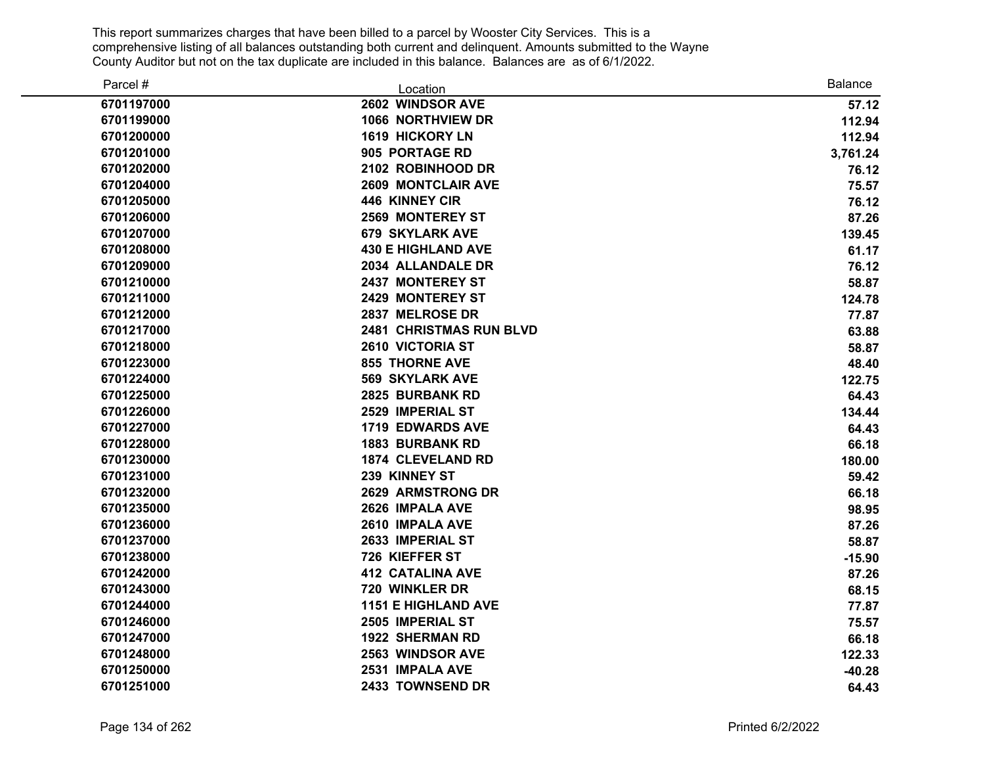| Parcel #   | Location                       | <b>Balance</b> |
|------------|--------------------------------|----------------|
| 6701197000 | 2602 WINDSOR AVE               | 57.12          |
| 6701199000 | <b>1066 NORTHVIEW DR</b>       | 112.94         |
| 6701200000 | <b>1619 HICKORY LN</b>         | 112.94         |
| 6701201000 | 905 PORTAGE RD                 | 3,761.24       |
| 6701202000 | 2102 ROBINHOOD DR              | 76.12          |
| 6701204000 | <b>2609 MONTCLAIR AVE</b>      | 75.57          |
| 6701205000 | <b>446 KINNEY CIR</b>          | 76.12          |
| 6701206000 | <b>2569 MONTEREY ST</b>        | 87.26          |
| 6701207000 | <b>679 SKYLARK AVE</b>         | 139.45         |
| 6701208000 | <b>430 E HIGHLAND AVE</b>      | 61.17          |
| 6701209000 | 2034 ALLANDALE DR              | 76.12          |
| 6701210000 | 2437 MONTEREY ST               | 58.87          |
| 6701211000 | <b>2429 MONTEREY ST</b>        | 124.78         |
| 6701212000 | 2837 MELROSE DR                | 77.87          |
| 6701217000 | <b>2481 CHRISTMAS RUN BLVD</b> | 63.88          |
| 6701218000 | 2610 VICTORIA ST               | 58.87          |
| 6701223000 | <b>855 THORNE AVE</b>          | 48.40          |
| 6701224000 | <b>569 SKYLARK AVE</b>         | 122.75         |
| 6701225000 | 2825 BURBANK RD                | 64.43          |
| 6701226000 | 2529 IMPERIAL ST               | 134.44         |
| 6701227000 | <b>1719 EDWARDS AVE</b>        | 64.43          |
| 6701228000 | <b>1883 BURBANK RD</b>         | 66.18          |
| 6701230000 | <b>1874 CLEVELAND RD</b>       | 180.00         |
| 6701231000 | 239 KINNEY ST                  | 59.42          |
| 6701232000 | 2629 ARMSTRONG DR              | 66.18          |
| 6701235000 | 2626 IMPALA AVE                | 98.95          |
| 6701236000 | 2610 IMPALA AVE                | 87.26          |
| 6701237000 | 2633 IMPERIAL ST               | 58.87          |
| 6701238000 | 726 KIEFFER ST                 | $-15.90$       |
| 6701242000 | <b>412 CATALINA AVE</b>        | 87.26          |
| 6701243000 | 720 WINKLER DR                 | 68.15          |
| 6701244000 | <b>1151 E HIGHLAND AVE</b>     | 77.87          |
| 6701246000 | 2505 IMPERIAL ST               | 75.57          |
| 6701247000 | <b>1922 SHERMAN RD</b>         | 66.18          |
| 6701248000 | 2563 WINDSOR AVE               | 122.33         |
| 6701250000 | 2531 IMPALA AVE                | $-40.28$       |
| 6701251000 | 2433 TOWNSEND DR               | 64.43          |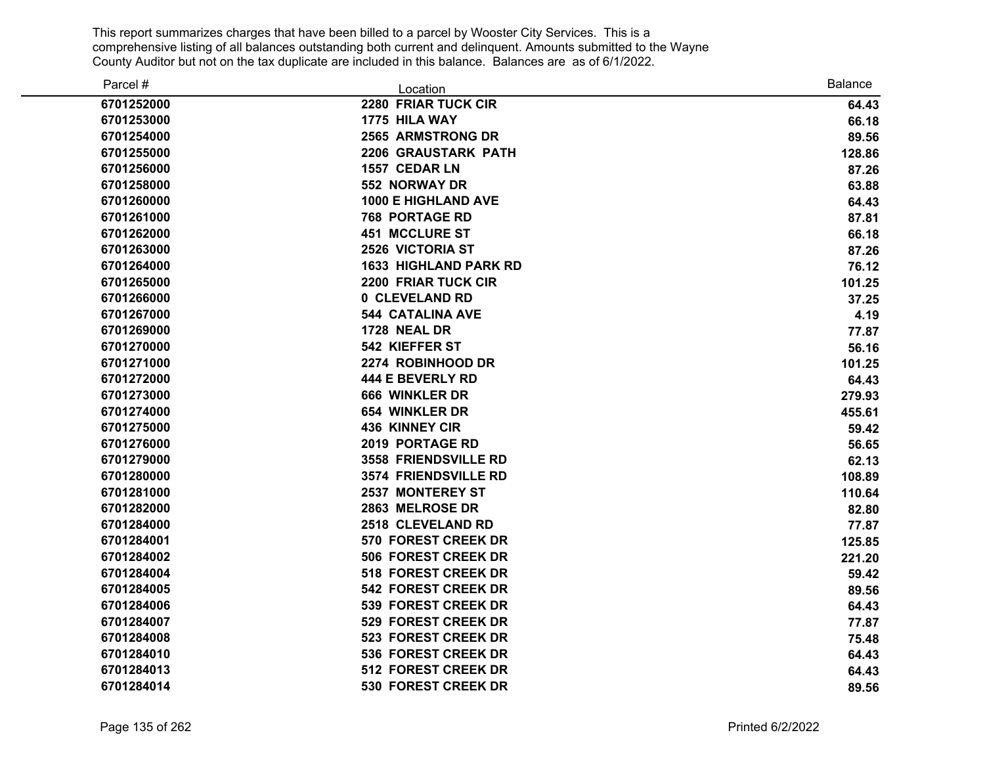| Parcel #   | Location                     | <b>Balance</b> |
|------------|------------------------------|----------------|
| 6701252000 | 2280 FRIAR TUCK CIR          | 64.43          |
| 6701253000 | 1775 HILA WAY                | 66.18          |
| 6701254000 | <b>2565 ARMSTRONG DR</b>     | 89.56          |
| 6701255000 | 2206 GRAUSTARK PATH          | 128.86         |
| 6701256000 | 1557 CEDAR LN                | 87.26          |
| 6701258000 | 552 NORWAY DR                | 63.88          |
| 6701260000 | <b>1000 E HIGHLAND AVE</b>   | 64.43          |
| 6701261000 | <b>768 PORTAGE RD</b>        | 87.81          |
| 6701262000 | 451 MCCLURE ST               | 66.18          |
| 6701263000 | <b>2526 VICTORIA ST</b>      | 87.26          |
| 6701264000 | <b>1633 HIGHLAND PARK RD</b> | 76.12          |
| 6701265000 | <b>2200 FRIAR TUCK CIR</b>   | 101.25         |
| 6701266000 | 0 CLEVELAND RD               | 37.25          |
| 6701267000 | <b>544 CATALINA AVE</b>      | 4.19           |
| 6701269000 | <b>1728 NEAL DR</b>          | 77.87          |
| 6701270000 | 542 KIEFFER ST               | 56.16          |
| 6701271000 | 2274 ROBINHOOD DR            | 101.25         |
| 6701272000 | 444 E BEVERLY RD             | 64.43          |
| 6701273000 | 666 WINKLER DR               | 279.93         |
| 6701274000 | <b>654 WINKLER DR</b>        | 455.61         |
| 6701275000 | <b>436 KINNEY CIR</b>        | 59.42          |
| 6701276000 | 2019 PORTAGE RD              | 56.65          |
| 6701279000 | <b>3558 FRIENDSVILLE RD</b>  | 62.13          |
| 6701280000 | 3574 FRIENDSVILLE RD         | 108.89         |
| 6701281000 | <b>2537 MONTEREY ST</b>      | 110.64         |
| 6701282000 | 2863 MELROSE DR              | 82.80          |
| 6701284000 | 2518 CLEVELAND RD            | 77.87          |
| 6701284001 | 570 FOREST CREEK DR          | 125.85         |
| 6701284002 | <b>506 FOREST CREEK DR</b>   | 221.20         |
| 6701284004 | <b>518 FOREST CREEK DR</b>   | 59.42          |
| 6701284005 | <b>542 FOREST CREEK DR</b>   | 89.56          |
| 6701284006 | 539 FOREST CREEK DR          | 64.43          |
| 6701284007 | 529 FOREST CREEK DR          | 77.87          |
| 6701284008 | 523 FOREST CREEK DR          | 75.48          |
| 6701284010 | 536 FOREST CREEK DR          | 64.43          |
| 6701284013 | 512 FOREST CREEK DR          | 64.43          |
| 6701284014 | 530 FOREST CREEK DR          | 89.56          |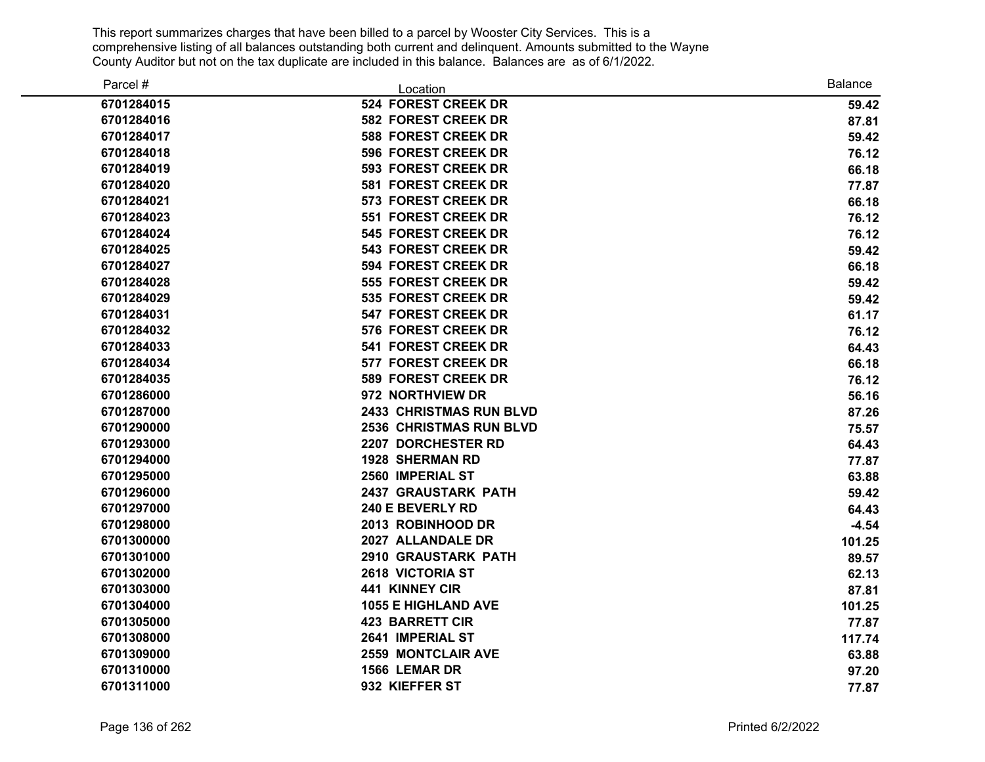| Parcel #   | Location                       | <b>Balance</b> |
|------------|--------------------------------|----------------|
| 6701284015 | 524 FOREST CREEK DR            | 59.42          |
| 6701284016 | <b>582 FOREST CREEK DR</b>     | 87.81          |
| 6701284017 | <b>588 FOREST CREEK DR</b>     | 59.42          |
| 6701284018 | <b>596 FOREST CREEK DR</b>     | 76.12          |
| 6701284019 | <b>593 FOREST CREEK DR</b>     | 66.18          |
| 6701284020 | 581 FOREST CREEK DR            | 77.87          |
| 6701284021 | 573 FOREST CREEK DR            | 66.18          |
| 6701284023 | 551 FOREST CREEK DR            | 76.12          |
| 6701284024 | <b>545 FOREST CREEK DR</b>     | 76.12          |
| 6701284025 | <b>543 FOREST CREEK DR</b>     | 59.42          |
| 6701284027 | 594 FOREST CREEK DR            | 66.18          |
| 6701284028 | 555 FOREST CREEK DR            | 59.42          |
| 6701284029 | 535 FOREST CREEK DR            | 59.42          |
| 6701284031 | <b>547 FOREST CREEK DR</b>     | 61.17          |
| 6701284032 | 576 FOREST CREEK DR            | 76.12          |
| 6701284033 | 541 FOREST CREEK DR            | 64.43          |
| 6701284034 | 577 FOREST CREEK DR            | 66.18          |
| 6701284035 | <b>589 FOREST CREEK DR</b>     | 76.12          |
| 6701286000 | 972 NORTHVIEW DR               | 56.16          |
| 6701287000 | <b>2433 CHRISTMAS RUN BLVD</b> | 87.26          |
| 6701290000 | <b>2536 CHRISTMAS RUN BLVD</b> | 75.57          |
| 6701293000 | 2207 DORCHESTER RD             | 64.43          |
| 6701294000 | <b>1928 SHERMAN RD</b>         | 77.87          |
| 6701295000 | 2560 IMPERIAL ST               | 63.88          |
| 6701296000 | <b>2437 GRAUSTARK PATH</b>     | 59.42          |
| 6701297000 | 240 E BEVERLY RD               | 64.43          |
| 6701298000 | 2013 ROBINHOOD DR              | $-4.54$        |
| 6701300000 | 2027 ALLANDALE DR              | 101.25         |
| 6701301000 | <b>2910 GRAUSTARK PATH</b>     | 89.57          |
| 6701302000 | 2618 VICTORIA ST               | 62.13          |
| 6701303000 | 441 KINNEY CIR                 | 87.81          |
| 6701304000 | <b>1055 E HIGHLAND AVE</b>     | 101.25         |
| 6701305000 | <b>423 BARRETT CIR</b>         | 77.87          |
| 6701308000 | 2641 IMPERIAL ST               | 117.74         |
| 6701309000 | <b>2559 MONTCLAIR AVE</b>      | 63.88          |
| 6701310000 | 1566 LEMAR DR                  | 97.20          |
| 6701311000 | 932 KIEFFER ST                 | 77.87          |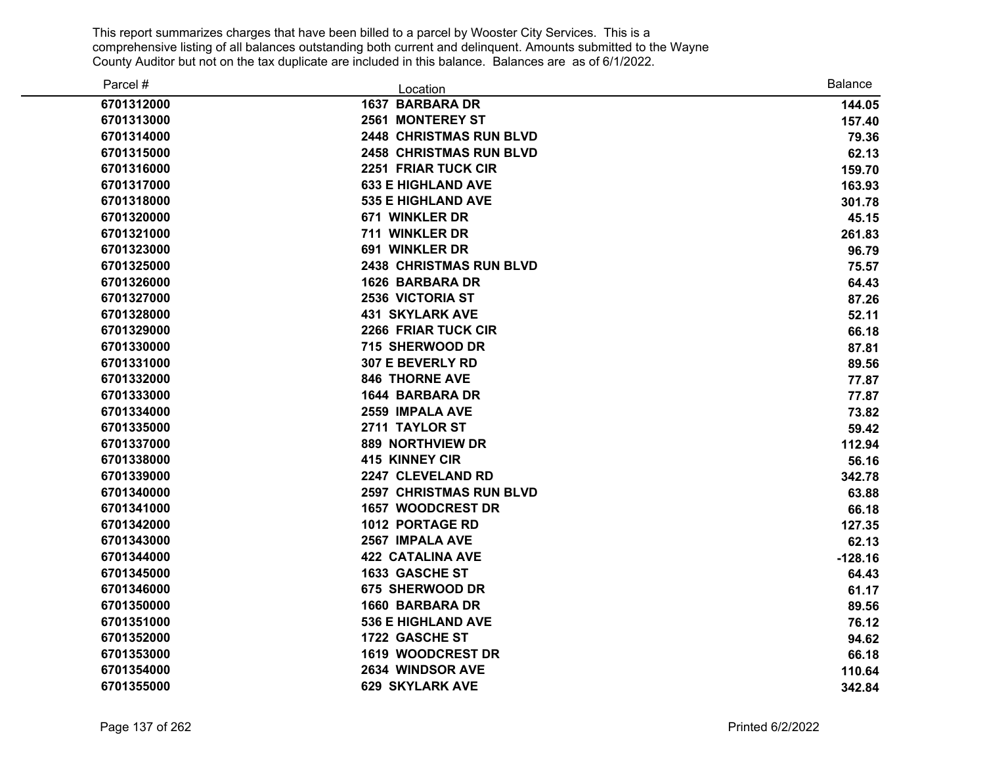| Parcel #   | Location                       | <b>Balance</b> |
|------------|--------------------------------|----------------|
| 6701312000 | <b>1637 BARBARA DR</b>         | 144.05         |
| 6701313000 | 2561 MONTEREY ST               | 157.40         |
| 6701314000 | <b>2448 CHRISTMAS RUN BLVD</b> | 79.36          |
| 6701315000 | <b>2458 CHRISTMAS RUN BLVD</b> | 62.13          |
| 6701316000 | <b>2251 FRIAR TUCK CIR</b>     | 159.70         |
| 6701317000 | <b>633 E HIGHLAND AVE</b>      | 163.93         |
| 6701318000 | <b>535 E HIGHLAND AVE</b>      | 301.78         |
| 6701320000 | 671 WINKLER DR                 | 45.15          |
| 6701321000 | 711 WINKLER DR                 | 261.83         |
| 6701323000 | 691 WINKLER DR                 | 96.79          |
| 6701325000 | <b>2438 CHRISTMAS RUN BLVD</b> | 75.57          |
| 6701326000 | <b>1626 BARBARA DR</b>         | 64.43          |
| 6701327000 | <b>2536 VICTORIA ST</b>        | 87.26          |
| 6701328000 | <b>431 SKYLARK AVE</b>         | 52.11          |
| 6701329000 | 2266 FRIAR TUCK CIR            | 66.18          |
| 6701330000 | 715 SHERWOOD DR                | 87.81          |
| 6701331000 | 307 E BEVERLY RD               | 89.56          |
| 6701332000 | <b>846 THORNE AVE</b>          | 77.87          |
| 6701333000 | <b>1644 BARBARA DR</b>         | 77.87          |
| 6701334000 | 2559 IMPALA AVE                | 73.82          |
| 6701335000 | 2711 TAYLOR ST                 | 59.42          |
| 6701337000 | <b>889 NORTHVIEW DR</b>        | 112.94         |
| 6701338000 | <b>415 KINNEY CIR</b>          | 56.16          |
| 6701339000 | 2247 CLEVELAND RD              | 342.78         |
| 6701340000 | <b>2597 CHRISTMAS RUN BLVD</b> | 63.88          |
| 6701341000 | <b>1657 WOODCREST DR</b>       | 66.18          |
| 6701342000 | 1012 PORTAGE RD                | 127.35         |
| 6701343000 | 2567 IMPALA AVE                | 62.13          |
| 6701344000 | <b>422 CATALINA AVE</b>        | $-128.16$      |
| 6701345000 | 1633 GASCHE ST                 | 64.43          |
| 6701346000 | 675 SHERWOOD DR                | 61.17          |
| 6701350000 | <b>1660 BARBARA DR</b>         | 89.56          |
| 6701351000 | <b>536 E HIGHLAND AVE</b>      | 76.12          |
| 6701352000 | 1722 GASCHE ST                 | 94.62          |
| 6701353000 | <b>1619 WOODCREST DR</b>       | 66.18          |
| 6701354000 | 2634 WINDSOR AVE               | 110.64         |
| 6701355000 | <b>629 SKYLARK AVE</b>         | 342.84         |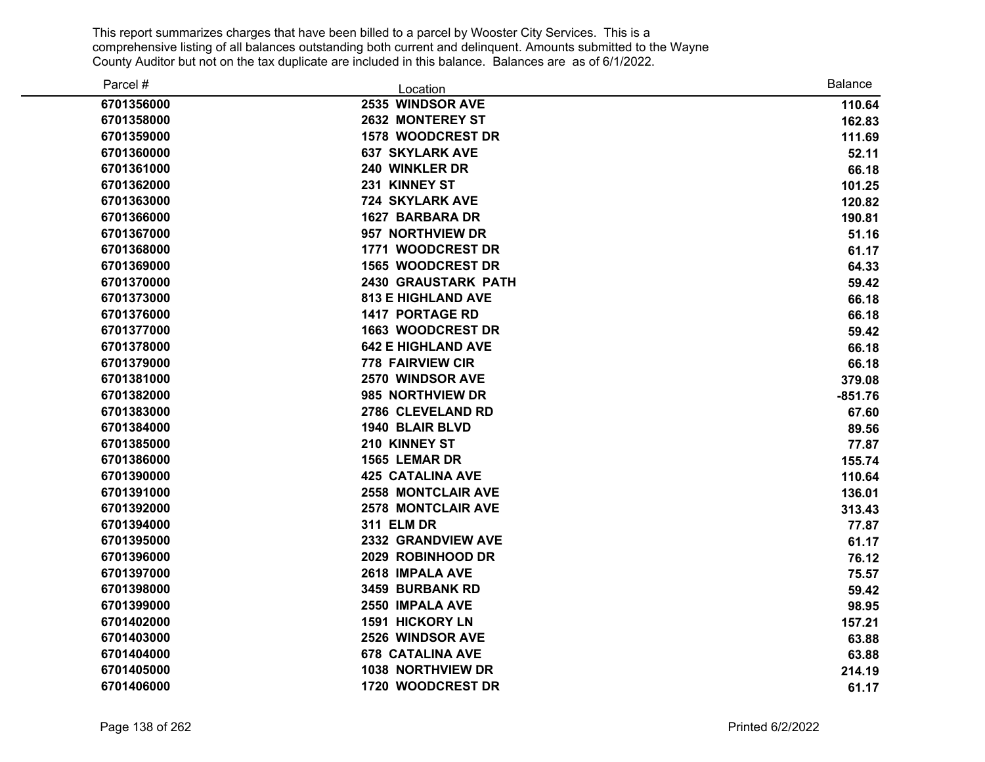| Parcel #   | Location                   | <b>Balance</b> |
|------------|----------------------------|----------------|
| 6701356000 | 2535 WINDSOR AVE           | 110.64         |
| 6701358000 | 2632 MONTEREY ST           | 162.83         |
| 6701359000 | 1578 WOODCREST DR          | 111.69         |
| 6701360000 | <b>637 SKYLARK AVE</b>     | 52.11          |
| 6701361000 | 240 WINKLER DR             | 66.18          |
| 6701362000 | 231 KINNEY ST              | 101.25         |
| 6701363000 | <b>724 SKYLARK AVE</b>     | 120.82         |
| 6701366000 | 1627 BARBARA DR            | 190.81         |
| 6701367000 | 957 NORTHVIEW DR           | 51.16          |
| 6701368000 | 1771 WOODCREST DR          | 61.17          |
| 6701369000 | <b>1565 WOODCREST DR</b>   | 64.33          |
| 6701370000 | <b>2430 GRAUSTARK PATH</b> | 59.42          |
| 6701373000 | <b>813 E HIGHLAND AVE</b>  | 66.18          |
| 6701376000 | <b>1417 PORTAGE RD</b>     | 66.18          |
| 6701377000 | <b>1663 WOODCREST DR</b>   | 59.42          |
| 6701378000 | <b>642 E HIGHLAND AVE</b>  | 66.18          |
| 6701379000 | <b>778 FAIRVIEW CIR</b>    | 66.18          |
| 6701381000 | 2570 WINDSOR AVE           | 379.08         |
| 6701382000 | 985 NORTHVIEW DR           | $-851.76$      |
| 6701383000 | 2786 CLEVELAND RD          | 67.60          |
| 6701384000 | 1940 BLAIR BLVD            | 89.56          |
| 6701385000 | 210 KINNEY ST              | 77.87          |
| 6701386000 | 1565 LEMAR DR              | 155.74         |
| 6701390000 | <b>425 CATALINA AVE</b>    | 110.64         |
| 6701391000 | <b>2558 MONTCLAIR AVE</b>  | 136.01         |
| 6701392000 | <b>2578 MONTCLAIR AVE</b>  | 313.43         |
| 6701394000 | <b>311 ELM DR</b>          | 77.87          |
| 6701395000 | 2332 GRANDVIEW AVE         | 61.17          |
| 6701396000 | 2029 ROBINHOOD DR          | 76.12          |
| 6701397000 | 2618 IMPALA AVE            | 75.57          |
| 6701398000 | 3459 BURBANK RD            | 59.42          |
| 6701399000 | 2550 IMPALA AVE            | 98.95          |
| 6701402000 | 1591 HICKORY LN            | 157.21         |
| 6701403000 | 2526 WINDSOR AVE           | 63.88          |
| 6701404000 | <b>678 CATALINA AVE</b>    | 63.88          |
| 6701405000 | 1038 NORTHVIEW DR          | 214.19         |
| 6701406000 | 1720 WOODCREST DR          | 61.17          |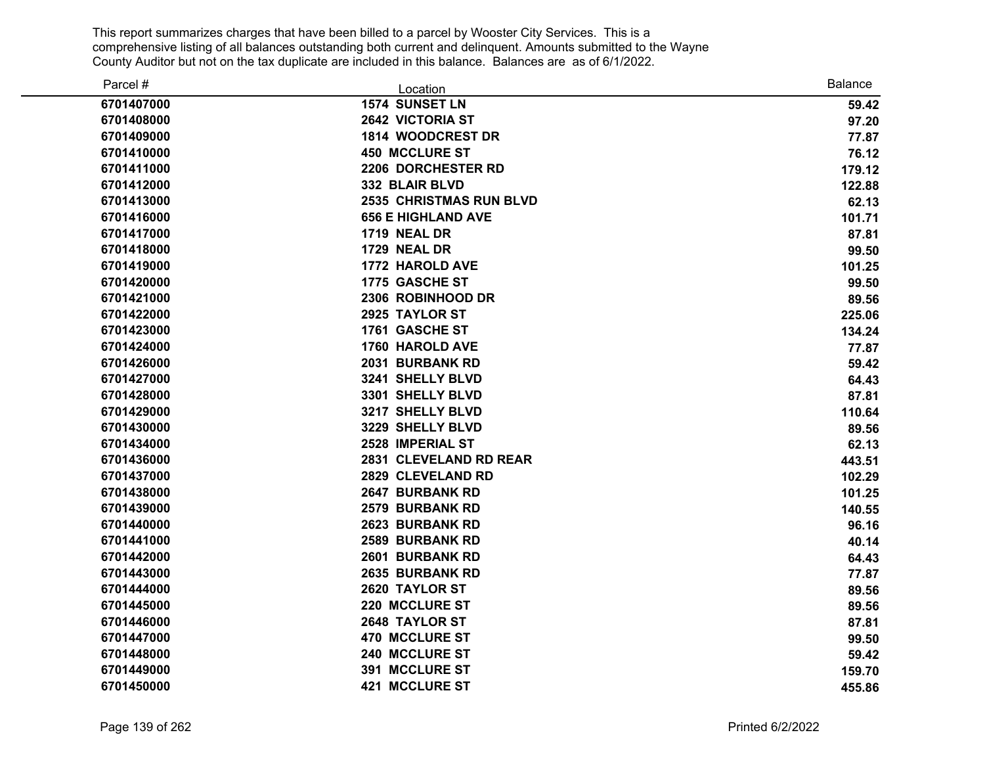| Parcel #   | Location                       | <b>Balance</b> |
|------------|--------------------------------|----------------|
| 6701407000 | 1574 SUNSET LN                 | 59.42          |
| 6701408000 | 2642 VICTORIA ST               | 97.20          |
| 6701409000 | 1814 WOODCREST DR              | 77.87          |
| 6701410000 | <b>450 MCCLURE ST</b>          | 76.12          |
| 6701411000 | 2206 DORCHESTER RD             | 179.12         |
| 6701412000 | 332 BLAIR BLVD                 | 122.88         |
| 6701413000 | <b>2535 CHRISTMAS RUN BLVD</b> | 62.13          |
| 6701416000 | <b>656 E HIGHLAND AVE</b>      | 101.71         |
| 6701417000 | <b>1719 NEAL DR</b>            | 87.81          |
| 6701418000 | 1729 NEAL DR                   | 99.50          |
| 6701419000 | 1772 HAROLD AVE                | 101.25         |
| 6701420000 | 1775 GASCHE ST                 | 99.50          |
| 6701421000 | 2306 ROBINHOOD DR              | 89.56          |
| 6701422000 | 2925 TAYLOR ST                 | 225.06         |
| 6701423000 | 1761 GASCHE ST                 | 134.24         |
| 6701424000 | 1760 HAROLD AVE                | 77.87          |
| 6701426000 | 2031 BURBANK RD                | 59.42          |
| 6701427000 | 3241 SHELLY BLVD               | 64.43          |
| 6701428000 | 3301 SHELLY BLVD               | 87.81          |
| 6701429000 | 3217 SHELLY BLVD               | 110.64         |
| 6701430000 | 3229 SHELLY BLVD               | 89.56          |
| 6701434000 | 2528 IMPERIAL ST               | 62.13          |
| 6701436000 | 2831 CLEVELAND RD REAR         | 443.51         |
| 6701437000 | 2829 CLEVELAND RD              | 102.29         |
| 6701438000 | 2647 BURBANK RD                | 101.25         |
| 6701439000 | <b>2579 BURBANK RD</b>         | 140.55         |
| 6701440000 | 2623 BURBANK RD                | 96.16          |
| 6701441000 | <b>2589 BURBANK RD</b>         | 40.14          |
| 6701442000 | 2601 BURBANK RD                | 64.43          |
| 6701443000 | 2635 BURBANK RD                | 77.87          |
| 6701444000 | 2620 TAYLOR ST                 | 89.56          |
| 6701445000 | 220 MCCLURE ST                 | 89.56          |
| 6701446000 | 2648 TAYLOR ST                 | 87.81          |
| 6701447000 | 470 MCCLURE ST                 | 99.50          |
| 6701448000 | 240 MCCLURE ST                 | 59.42          |
| 6701449000 | 391 MCCLURE ST                 | 159.70         |
| 6701450000 | <b>421 MCCLURE ST</b>          | 455.86         |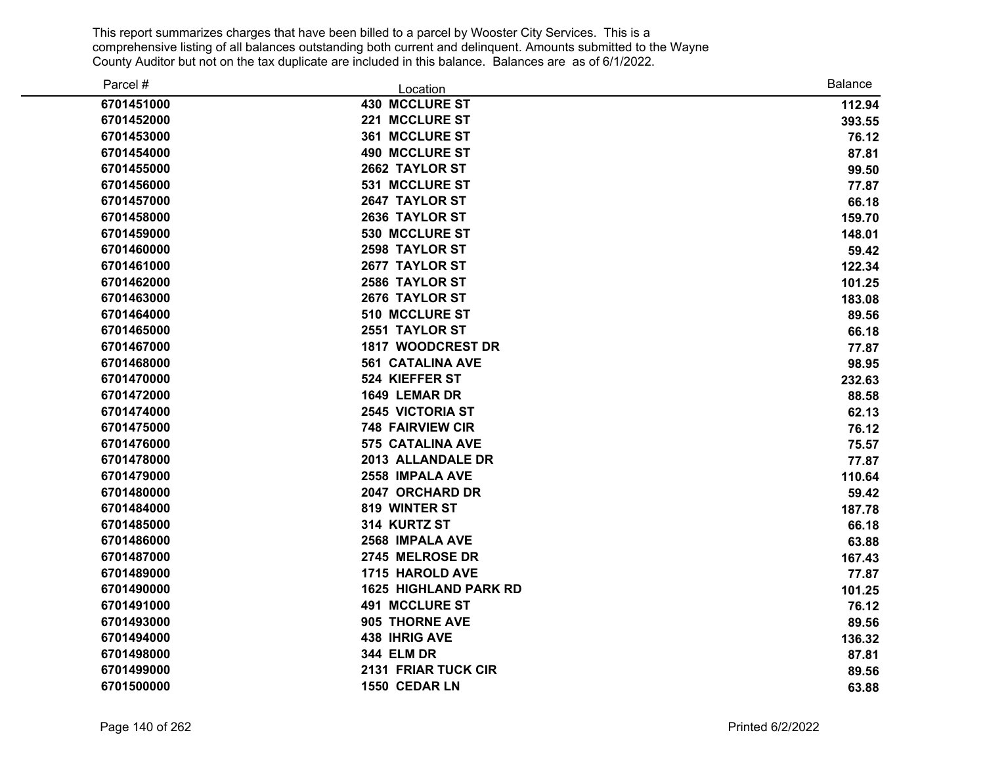| Parcel #   | Location                     | <b>Balance</b> |
|------------|------------------------------|----------------|
| 6701451000 | <b>430 MCCLURE ST</b>        | 112.94         |
| 6701452000 | 221 MCCLURE ST               | 393.55         |
| 6701453000 | 361 MCCLURE ST               | 76.12          |
| 6701454000 | <b>490 MCCLURE ST</b>        | 87.81          |
| 6701455000 | 2662 TAYLOR ST               | 99.50          |
| 6701456000 | 531 MCCLURE ST               | 77.87          |
| 6701457000 | 2647 TAYLOR ST               | 66.18          |
| 6701458000 | 2636 TAYLOR ST               | 159.70         |
| 6701459000 | 530 MCCLURE ST               | 148.01         |
| 6701460000 | 2598 TAYLOR ST               | 59.42          |
| 6701461000 | 2677 TAYLOR ST               | 122.34         |
| 6701462000 | 2586 TAYLOR ST               | 101.25         |
| 6701463000 | 2676 TAYLOR ST               | 183.08         |
| 6701464000 | 510 MCCLURE ST               | 89.56          |
| 6701465000 | 2551 TAYLOR ST               | 66.18          |
| 6701467000 | 1817 WOODCREST DR            | 77.87          |
| 6701468000 | <b>561 CATALINA AVE</b>      | 98.95          |
| 6701470000 | 524 KIEFFER ST               | 232.63         |
| 6701472000 | 1649 LEMAR DR                | 88.58          |
| 6701474000 | <b>2545 VICTORIA ST</b>      | 62.13          |
| 6701475000 | <b>748 FAIRVIEW CIR</b>      | 76.12          |
| 6701476000 | 575 CATALINA AVE             | 75.57          |
| 6701478000 | 2013 ALLANDALE DR            | 77.87          |
| 6701479000 | 2558 IMPALA AVE              | 110.64         |
| 6701480000 | 2047 ORCHARD DR              | 59.42          |
| 6701484000 | 819 WINTER ST                | 187.78         |
| 6701485000 | 314 KURTZ ST                 | 66.18          |
| 6701486000 | 2568 IMPALA AVE              | 63.88          |
| 6701487000 | 2745 MELROSE DR              | 167.43         |
| 6701489000 | 1715 HAROLD AVE              | 77.87          |
| 6701490000 | <b>1625 HIGHLAND PARK RD</b> | 101.25         |
| 6701491000 | <b>491 MCCLURE ST</b>        | 76.12          |
| 6701493000 | 905 THORNE AVE               | 89.56          |
| 6701494000 | 438 IHRIG AVE                | 136.32         |
| 6701498000 | <b>344 ELM DR</b>            | 87.81          |
| 6701499000 | 2131 FRIAR TUCK CIR          | 89.56          |
| 6701500000 | 1550 CEDAR LN                | 63.88          |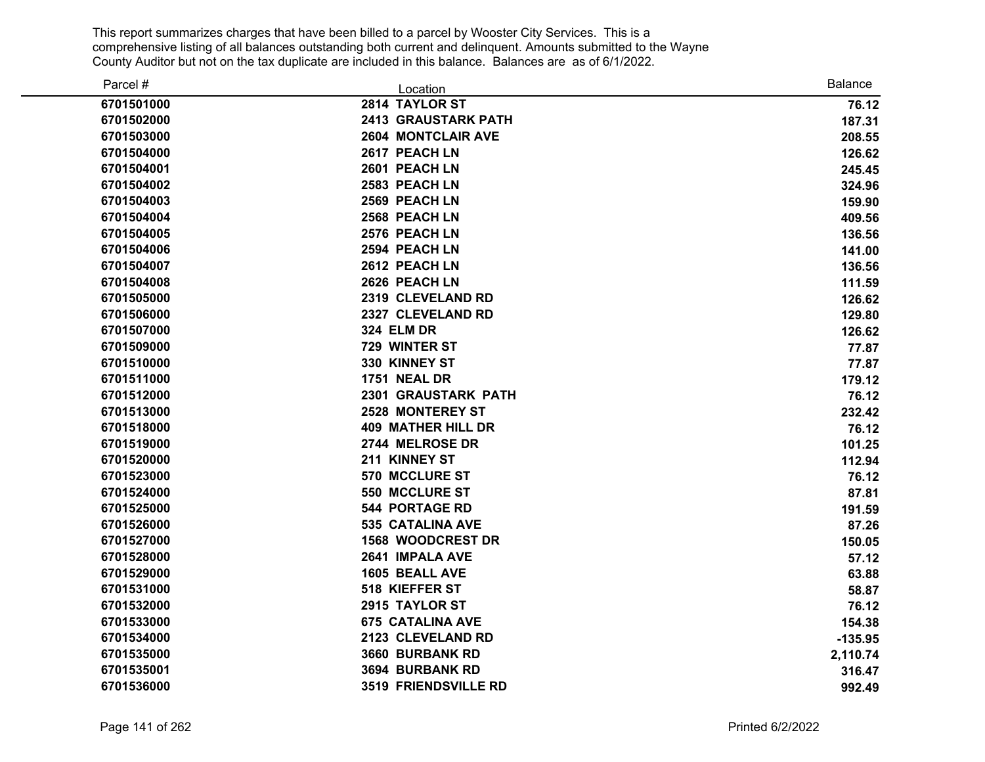| Parcel #   | Location                    | <b>Balance</b> |
|------------|-----------------------------|----------------|
| 6701501000 | 2814 TAYLOR ST              | 76.12          |
| 6701502000 | <b>2413 GRAUSTARK PATH</b>  | 187.31         |
| 6701503000 | <b>2604 MONTCLAIR AVE</b>   | 208.55         |
| 6701504000 | 2617 PEACH LN               | 126.62         |
| 6701504001 | 2601 PEACH LN               | 245.45         |
| 6701504002 | 2583 PEACH LN               | 324.96         |
| 6701504003 | 2569 PEACH LN               | 159.90         |
| 6701504004 | 2568 PEACH LN               | 409.56         |
| 6701504005 | 2576 PEACH LN               | 136.56         |
| 6701504006 | 2594 PEACH LN               | 141.00         |
| 6701504007 | 2612 PEACH LN               | 136.56         |
| 6701504008 | 2626 PEACH LN               | 111.59         |
| 6701505000 | 2319 CLEVELAND RD           | 126.62         |
| 6701506000 | 2327 CLEVELAND RD           | 129.80         |
| 6701507000 | <b>324 ELM DR</b>           | 126.62         |
| 6701509000 | 729 WINTER ST               | 77.87          |
| 6701510000 | 330 KINNEY ST               | 77.87          |
| 6701511000 | <b>1751 NEAL DR</b>         | 179.12         |
| 6701512000 | <b>2301 GRAUSTARK PATH</b>  | 76.12          |
| 6701513000 | <b>2528 MONTEREY ST</b>     | 232.42         |
| 6701518000 | <b>409 MATHER HILL DR</b>   | 76.12          |
| 6701519000 | 2744 MELROSE DR             | 101.25         |
| 6701520000 | 211 KINNEY ST               | 112.94         |
| 6701523000 | 570 MCCLURE ST              | 76.12          |
| 6701524000 | 550 MCCLURE ST              | 87.81          |
| 6701525000 | <b>544 PORTAGE RD</b>       | 191.59         |
| 6701526000 | <b>535 CATALINA AVE</b>     | 87.26          |
| 6701527000 | <b>1568 WOODCREST DR</b>    | 150.05         |
| 6701528000 | 2641 IMPALA AVE             | 57.12          |
| 6701529000 | 1605 BEALL AVE              | 63.88          |
| 6701531000 | 518 KIEFFER ST              | 58.87          |
| 6701532000 | 2915 TAYLOR ST              | 76.12          |
| 6701533000 | <b>675 CATALINA AVE</b>     | 154.38         |
| 6701534000 | 2123 CLEVELAND RD           | $-135.95$      |
| 6701535000 | 3660 BURBANK RD             | 2,110.74       |
| 6701535001 | 3694 BURBANK RD             | 316.47         |
| 6701536000 | <b>3519 FRIENDSVILLE RD</b> | 992.49         |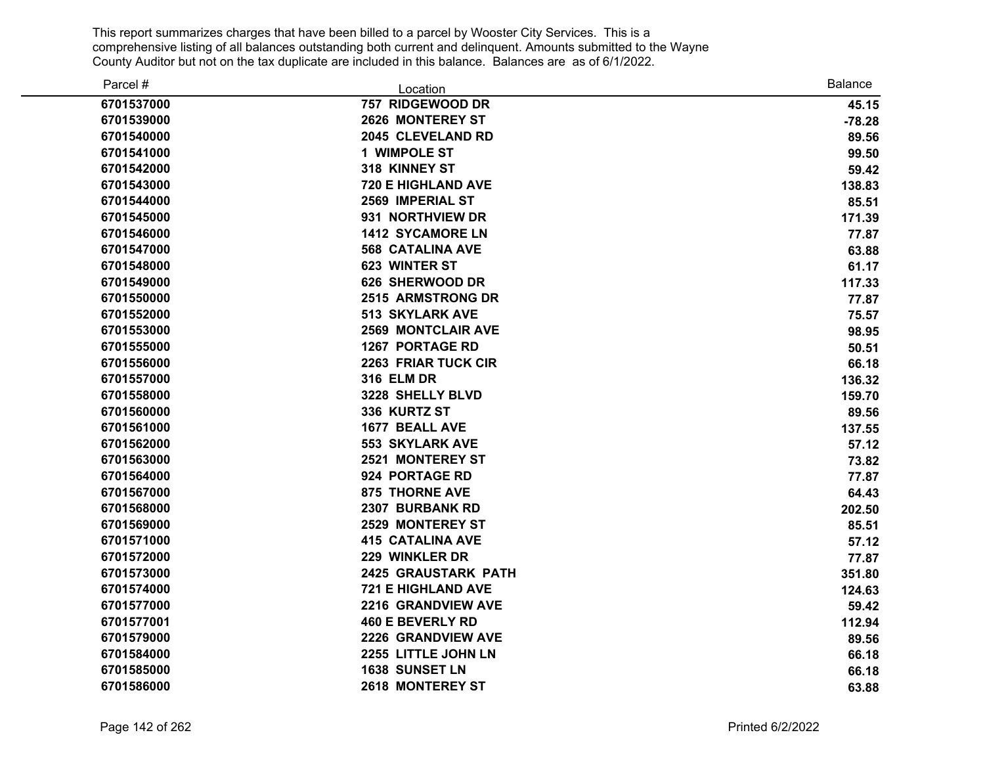| Parcel #   | Location                   | <b>Balance</b> |
|------------|----------------------------|----------------|
| 6701537000 | 757 RIDGEWOOD DR           | 45.15          |
| 6701539000 | 2626 MONTEREY ST           | $-78.28$       |
| 6701540000 | 2045 CLEVELAND RD          | 89.56          |
| 6701541000 | 1 WIMPOLE ST               | 99.50          |
| 6701542000 | 318 KINNEY ST              | 59.42          |
| 6701543000 | <b>720 E HIGHLAND AVE</b>  | 138.83         |
| 6701544000 | 2569 IMPERIAL ST           | 85.51          |
| 6701545000 | 931 NORTHVIEW DR           | 171.39         |
| 6701546000 | <b>1412 SYCAMORE LN</b>    | 77.87          |
| 6701547000 | <b>568 CATALINA AVE</b>    | 63.88          |
| 6701548000 | 623 WINTER ST              | 61.17          |
| 6701549000 | 626 SHERWOOD DR            | 117.33         |
| 6701550000 | <b>2515 ARMSTRONG DR</b>   | 77.87          |
| 6701552000 | <b>513 SKYLARK AVE</b>     | 75.57          |
| 6701553000 | <b>2569 MONTCLAIR AVE</b>  | 98.95          |
| 6701555000 | <b>1267 PORTAGE RD</b>     | 50.51          |
| 6701556000 | 2263 FRIAR TUCK CIR        | 66.18          |
| 6701557000 | <b>316 ELM DR</b>          | 136.32         |
| 6701558000 | 3228 SHELLY BLVD           | 159.70         |
| 6701560000 | 336 KURTZ ST               | 89.56          |
| 6701561000 | 1677 BEALL AVE             | 137.55         |
| 6701562000 | <b>553 SKYLARK AVE</b>     | 57.12          |
| 6701563000 | 2521 MONTEREY ST           | 73.82          |
| 6701564000 | 924 PORTAGE RD             | 77.87          |
| 6701567000 | <b>875 THORNE AVE</b>      | 64.43          |
| 6701568000 | 2307 BURBANK RD            | 202.50         |
| 6701569000 | <b>2529 MONTEREY ST</b>    | 85.51          |
| 6701571000 | <b>415 CATALINA AVE</b>    | 57.12          |
| 6701572000 | 229 WINKLER DR             | 77.87          |
| 6701573000 | <b>2425 GRAUSTARK PATH</b> | 351.80         |
| 6701574000 | <b>721 E HIGHLAND AVE</b>  | 124.63         |
| 6701577000 | 2216 GRANDVIEW AVE         | 59.42          |
| 6701577001 | <b>460 E BEVERLY RD</b>    | 112.94         |
| 6701579000 | 2226 GRANDVIEW AVE         | 89.56          |
| 6701584000 | 2255 LITTLE JOHN LN        | 66.18          |
| 6701585000 | 1638 SUNSET LN             | 66.18          |
| 6701586000 | 2618 MONTEREY ST           | 63.88          |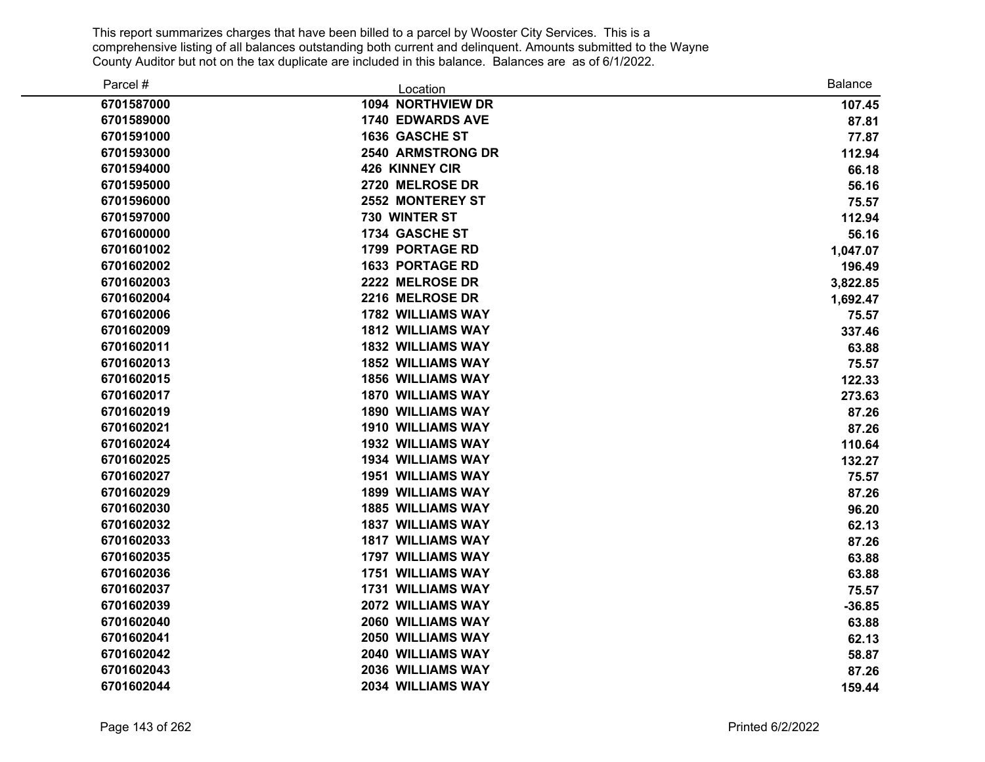| Parcel #   | Location                 | <b>Balance</b> |
|------------|--------------------------|----------------|
| 6701587000 | 1094 NORTHVIEW DR        | 107.45         |
| 6701589000 | <b>1740 EDWARDS AVE</b>  | 87.81          |
| 6701591000 | 1636 GASCHE ST           | 77.87          |
| 6701593000 | <b>2540 ARMSTRONG DR</b> | 112.94         |
| 6701594000 | 426 KINNEY CIR           | 66.18          |
| 6701595000 | 2720 MELROSE DR          | 56.16          |
| 6701596000 | 2552 MONTEREY ST         | 75.57          |
| 6701597000 | 730 WINTER ST            | 112.94         |
| 6701600000 | 1734 GASCHE ST           | 56.16          |
| 6701601002 | <b>1799 PORTAGE RD</b>   | 1,047.07       |
| 6701602002 | <b>1633 PORTAGE RD</b>   | 196.49         |
| 6701602003 | 2222 MELROSE DR          | 3,822.85       |
| 6701602004 | 2216 MELROSE DR          | 1,692.47       |
| 6701602006 | <b>1782 WILLIAMS WAY</b> | 75.57          |
| 6701602009 | <b>1812 WILLIAMS WAY</b> | 337.46         |
| 6701602011 | <b>1832 WILLIAMS WAY</b> | 63.88          |
| 6701602013 | <b>1852 WILLIAMS WAY</b> | 75.57          |
| 6701602015 | <b>1856 WILLIAMS WAY</b> | 122.33         |
| 6701602017 | <b>1870 WILLIAMS WAY</b> | 273.63         |
| 6701602019 | <b>1890 WILLIAMS WAY</b> | 87.26          |
| 6701602021 | <b>1910 WILLIAMS WAY</b> | 87.26          |
| 6701602024 | <b>1932 WILLIAMS WAY</b> | 110.64         |
| 6701602025 | <b>1934 WILLIAMS WAY</b> | 132.27         |
| 6701602027 | <b>1951 WILLIAMS WAY</b> | 75.57          |
| 6701602029 | <b>1899 WILLIAMS WAY</b> | 87.26          |
| 6701602030 | <b>1885 WILLIAMS WAY</b> | 96.20          |
| 6701602032 | <b>1837 WILLIAMS WAY</b> | 62.13          |
| 6701602033 | <b>1817 WILLIAMS WAY</b> | 87.26          |
| 6701602035 | <b>1797 WILLIAMS WAY</b> | 63.88          |
| 6701602036 | <b>1751 WILLIAMS WAY</b> | 63.88          |
| 6701602037 | <b>1731 WILLIAMS WAY</b> | 75.57          |
| 6701602039 | 2072 WILLIAMS WAY        | $-36.85$       |
| 6701602040 | 2060 WILLIAMS WAY        | 63.88          |
| 6701602041 | 2050 WILLIAMS WAY        | 62.13          |
| 6701602042 | 2040 WILLIAMS WAY        | 58.87          |
| 6701602043 | 2036 WILLIAMS WAY        | 87.26          |
| 6701602044 | 2034 WILLIAMS WAY        | 159.44         |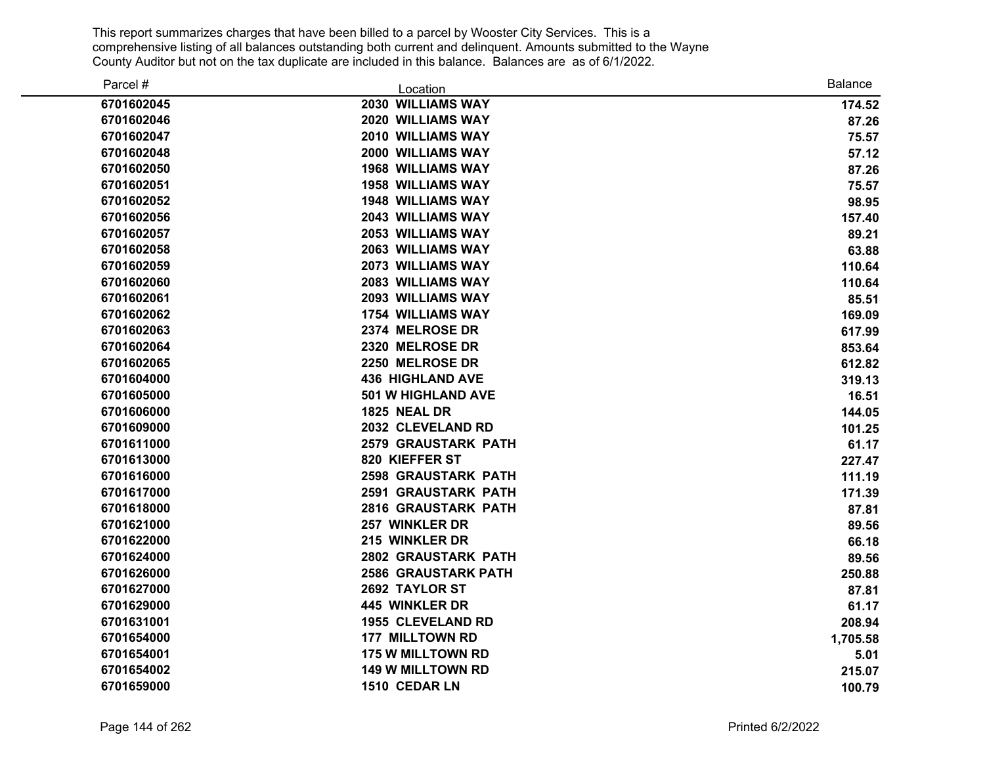| Parcel #   | Location                   | <b>Balance</b> |
|------------|----------------------------|----------------|
| 6701602045 | 2030 WILLIAMS WAY          | 174.52         |
| 6701602046 | 2020 WILLIAMS WAY          | 87.26          |
| 6701602047 | 2010 WILLIAMS WAY          | 75.57          |
| 6701602048 | 2000 WILLIAMS WAY          | 57.12          |
| 6701602050 | <b>1968 WILLIAMS WAY</b>   | 87.26          |
| 6701602051 | <b>1958 WILLIAMS WAY</b>   | 75.57          |
| 6701602052 | <b>1948 WILLIAMS WAY</b>   | 98.95          |
| 6701602056 | <b>2043 WILLIAMS WAY</b>   | 157.40         |
| 6701602057 | 2053 WILLIAMS WAY          | 89.21          |
| 6701602058 | 2063 WILLIAMS WAY          | 63.88          |
| 6701602059 | 2073 WILLIAMS WAY          | 110.64         |
| 6701602060 | 2083 WILLIAMS WAY          | 110.64         |
| 6701602061 | 2093 WILLIAMS WAY          | 85.51          |
| 6701602062 | <b>1754 WILLIAMS WAY</b>   | 169.09         |
| 6701602063 | 2374 MELROSE DR            | 617.99         |
| 6701602064 | 2320 MELROSE DR            | 853.64         |
| 6701602065 | 2250 MELROSE DR            | 612.82         |
| 6701604000 | <b>436 HIGHLAND AVE</b>    | 319.13         |
| 6701605000 | <b>501 W HIGHLAND AVE</b>  | 16.51          |
| 6701606000 | <b>1825 NEAL DR</b>        | 144.05         |
| 6701609000 | 2032 CLEVELAND RD          | 101.25         |
| 6701611000 | <b>2579 GRAUSTARK PATH</b> | 61.17          |
| 6701613000 | 820 KIEFFER ST             | 227.47         |
| 6701616000 | <b>2598 GRAUSTARK PATH</b> | 111.19         |
| 6701617000 | <b>2591 GRAUSTARK PATH</b> | 171.39         |
| 6701618000 | <b>2816 GRAUSTARK PATH</b> | 87.81          |
| 6701621000 | 257 WINKLER DR             | 89.56          |
| 6701622000 | 215 WINKLER DR             | 66.18          |
| 6701624000 | 2802 GRAUSTARK PATH        | 89.56          |
| 6701626000 | <b>2586 GRAUSTARK PATH</b> | 250.88         |
| 6701627000 | 2692 TAYLOR ST             | 87.81          |
| 6701629000 | 445 WINKLER DR             | 61.17          |
| 6701631001 | <b>1955 CLEVELAND RD</b>   | 208.94         |
| 6701654000 | <b>177 MILLTOWN RD</b>     | 1,705.58       |
| 6701654001 | <b>175 W MILLTOWN RD</b>   | 5.01           |
| 6701654002 | <b>149 W MILLTOWN RD</b>   | 215.07         |
| 6701659000 | 1510 CEDAR LN              | 100.79         |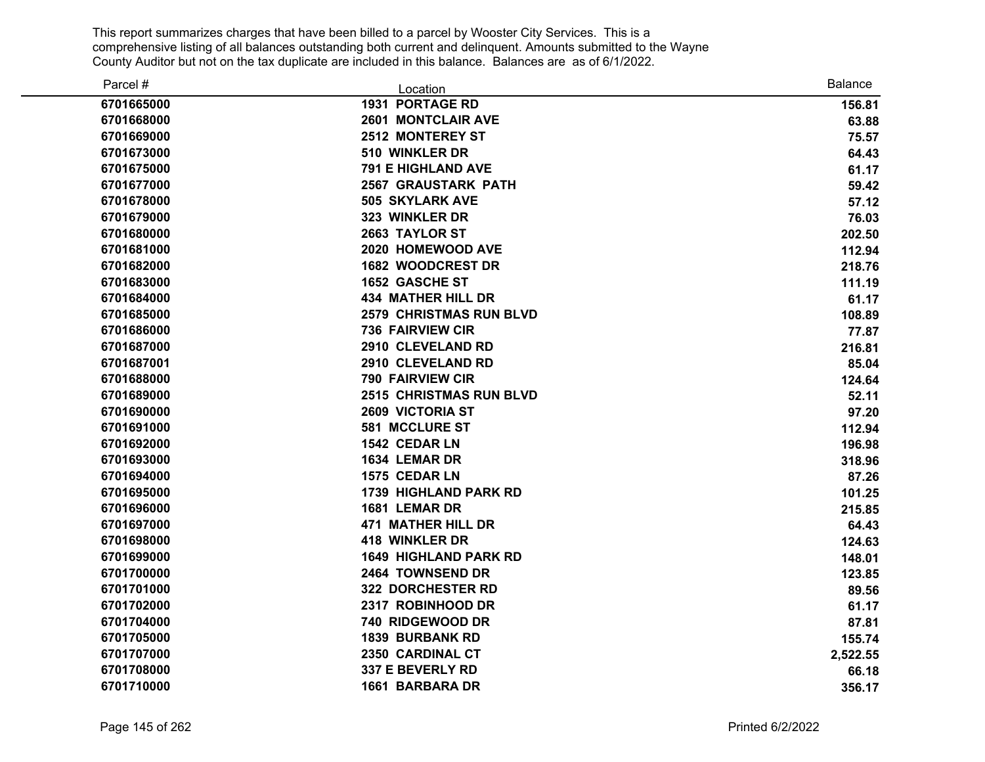| Parcel #   | Location                       | <b>Balance</b> |
|------------|--------------------------------|----------------|
| 6701665000 | <b>1931 PORTAGE RD</b>         | 156.81         |
| 6701668000 | <b>2601 MONTCLAIR AVE</b>      | 63.88          |
| 6701669000 | 2512 MONTEREY ST               | 75.57          |
| 6701673000 | 510 WINKLER DR                 | 64.43          |
| 6701675000 | <b>791 E HIGHLAND AVE</b>      | 61.17          |
| 6701677000 | <b>2567 GRAUSTARK PATH</b>     | 59.42          |
| 6701678000 | <b>505 SKYLARK AVE</b>         | 57.12          |
| 6701679000 | 323 WINKLER DR                 | 76.03          |
| 6701680000 | 2663 TAYLOR ST                 | 202.50         |
| 6701681000 | 2020 HOMEWOOD AVE              | 112.94         |
| 6701682000 | 1682 WOODCREST DR              | 218.76         |
| 6701683000 | <b>1652 GASCHE ST</b>          | 111.19         |
| 6701684000 | <b>434 MATHER HILL DR</b>      | 61.17          |
| 6701685000 | <b>2579 CHRISTMAS RUN BLVD</b> | 108.89         |
| 6701686000 | <b>736 FAIRVIEW CIR</b>        | 77.87          |
| 6701687000 | 2910 CLEVELAND RD              | 216.81         |
| 6701687001 | 2910 CLEVELAND RD              | 85.04          |
| 6701688000 | 790 FAIRVIEW CIR               | 124.64         |
| 6701689000 | <b>2515 CHRISTMAS RUN BLVD</b> | 52.11          |
| 6701690000 | <b>2609 VICTORIA ST</b>        | 97.20          |
| 6701691000 | 581 MCCLURE ST                 | 112.94         |
| 6701692000 | 1542 CEDAR LN                  | 196.98         |
| 6701693000 | 1634 LEMAR DR                  | 318.96         |
| 6701694000 | 1575 CEDAR LN                  | 87.26          |
| 6701695000 | <b>1739 HIGHLAND PARK RD</b>   | 101.25         |
| 6701696000 | 1681 LEMAR DR                  | 215.85         |
| 6701697000 | <b>471 MATHER HILL DR</b>      | 64.43          |
| 6701698000 | <b>418 WINKLER DR</b>          | 124.63         |
| 6701699000 | <b>1649 HIGHLAND PARK RD</b>   | 148.01         |
| 6701700000 | 2464 TOWNSEND DR               | 123.85         |
| 6701701000 | <b>322 DORCHESTER RD</b>       | 89.56          |
| 6701702000 | 2317 ROBINHOOD DR              | 61.17          |
| 6701704000 | 740 RIDGEWOOD DR               | 87.81          |
| 6701705000 | <b>1839 BURBANK RD</b>         | 155.74         |
| 6701707000 | 2350 CARDINAL CT               | 2,522.55       |
| 6701708000 | 337 E BEVERLY RD               | 66.18          |
| 6701710000 | <b>1661 BARBARA DR</b>         | 356.17         |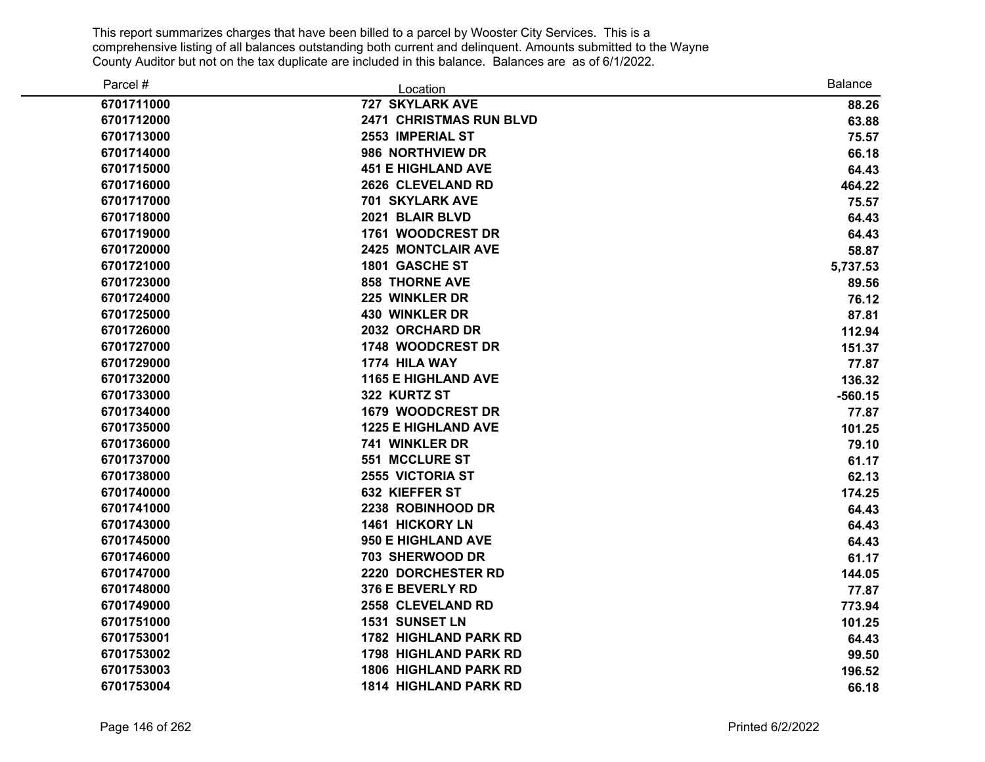| Parcel #   | Location                       | <b>Balance</b> |
|------------|--------------------------------|----------------|
| 6701711000 | <b>727 SKYLARK AVE</b>         | 88.26          |
| 6701712000 | <b>2471 CHRISTMAS RUN BLVD</b> | 63.88          |
| 6701713000 | 2553 IMPERIAL ST               | 75.57          |
| 6701714000 | 986 NORTHVIEW DR               | 66.18          |
| 6701715000 | <b>451 E HIGHLAND AVE</b>      | 64.43          |
| 6701716000 | 2626 CLEVELAND RD              | 464.22         |
| 6701717000 | <b>701 SKYLARK AVE</b>         | 75.57          |
| 6701718000 | 2021 BLAIR BLVD                | 64.43          |
| 6701719000 | 1761 WOODCREST DR              | 64.43          |
| 6701720000 | <b>2425 MONTCLAIR AVE</b>      | 58.87          |
| 6701721000 | 1801 GASCHE ST                 | 5,737.53       |
| 6701723000 | <b>858 THORNE AVE</b>          | 89.56          |
| 6701724000 | 225 WINKLER DR                 | 76.12          |
| 6701725000 | <b>430 WINKLER DR</b>          | 87.81          |
| 6701726000 | 2032 ORCHARD DR                | 112.94         |
| 6701727000 | 1748 WOODCREST DR              | 151.37         |
| 6701729000 | 1774 HILA WAY                  | 77.87          |
| 6701732000 | <b>1165 E HIGHLAND AVE</b>     | 136.32         |
| 6701733000 | 322 KURTZ ST                   | $-560.15$      |
| 6701734000 | <b>1679 WOODCREST DR</b>       | 77.87          |
| 6701735000 | <b>1225 E HIGHLAND AVE</b>     | 101.25         |
| 6701736000 | 741 WINKLER DR                 | 79.10          |
| 6701737000 | 551 MCCLURE ST                 | 61.17          |
| 6701738000 | <b>2555 VICTORIA ST</b>        | 62.13          |
| 6701740000 | <b>632 KIEFFER ST</b>          | 174.25         |
| 6701741000 | 2238 ROBINHOOD DR              | 64.43          |
| 6701743000 | <b>1461 HICKORY LN</b>         | 64.43          |
| 6701745000 | <b>950 E HIGHLAND AVE</b>      | 64.43          |
| 6701746000 | 703 SHERWOOD DR                | 61.17          |
| 6701747000 | 2220 DORCHESTER RD             | 144.05         |
| 6701748000 | 376 E BEVERLY RD               | 77.87          |
| 6701749000 | 2558 CLEVELAND RD              | 773.94         |
| 6701751000 | 1531 SUNSET LN                 | 101.25         |
| 6701753001 | <b>1782 HIGHLAND PARK RD</b>   | 64.43          |
| 6701753002 | <b>1798 HIGHLAND PARK RD</b>   | 99.50          |
| 6701753003 | <b>1806 HIGHLAND PARK RD</b>   | 196.52         |
| 6701753004 | <b>1814 HIGHLAND PARK RD</b>   | 66.18          |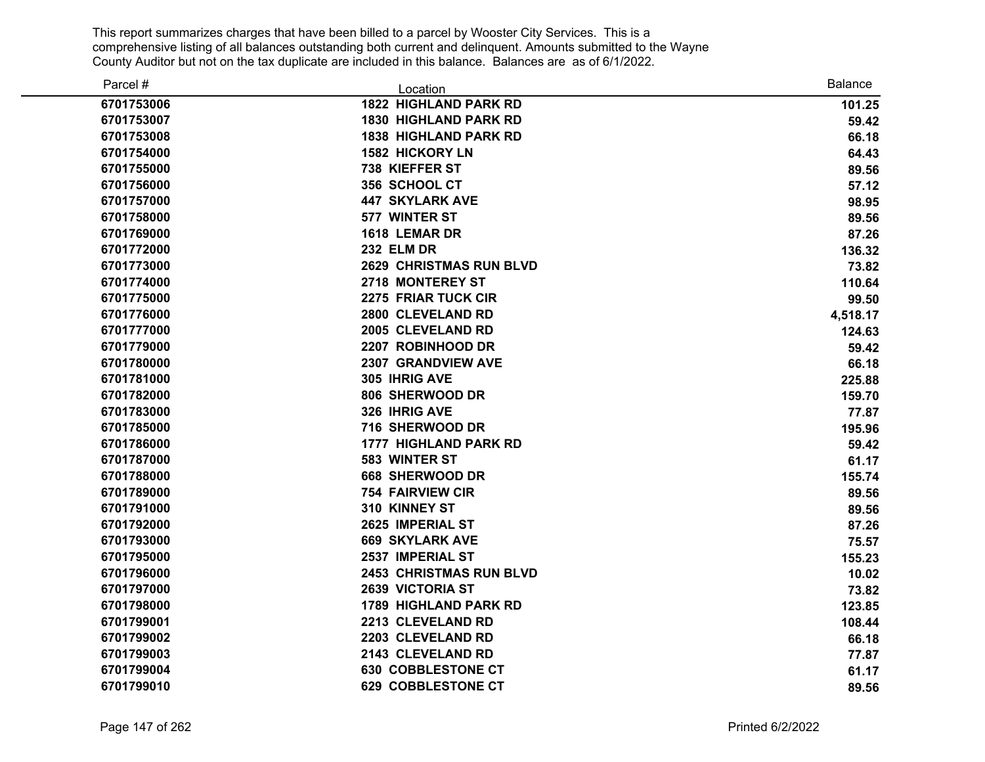| Parcel #   | Location                       | <b>Balance</b> |
|------------|--------------------------------|----------------|
| 6701753006 | <b>1822 HIGHLAND PARK RD</b>   | 101.25         |
| 6701753007 | <b>1830 HIGHLAND PARK RD</b>   | 59.42          |
| 6701753008 | <b>1838 HIGHLAND PARK RD</b>   | 66.18          |
| 6701754000 | <b>1582 HICKORY LN</b>         | 64.43          |
| 6701755000 | 738 KIEFFER ST                 | 89.56          |
| 6701756000 | 356 SCHOOL CT                  | 57.12          |
| 6701757000 | <b>447 SKYLARK AVE</b>         | 98.95          |
| 6701758000 | 577 WINTER ST                  | 89.56          |
| 6701769000 | 1618 LEMAR DR                  | 87.26          |
| 6701772000 | <b>232 ELM DR</b>              | 136.32         |
| 6701773000 | <b>2629 CHRISTMAS RUN BLVD</b> | 73.82          |
| 6701774000 | 2718 MONTEREY ST               | 110.64         |
| 6701775000 | <b>2275 FRIAR TUCK CIR</b>     | 99.50          |
| 6701776000 | 2800 CLEVELAND RD              | 4,518.17       |
| 6701777000 | 2005 CLEVELAND RD              | 124.63         |
| 6701779000 | 2207 ROBINHOOD DR              | 59.42          |
| 6701780000 | 2307 GRANDVIEW AVE             | 66.18          |
| 6701781000 | 305 IHRIG AVE                  | 225.88         |
| 6701782000 | 806 SHERWOOD DR                | 159.70         |
| 6701783000 | 326 IHRIG AVE                  | 77.87          |
| 6701785000 | 716 SHERWOOD DR                | 195.96         |
| 6701786000 | <b>1777 HIGHLAND PARK RD</b>   | 59.42          |
| 6701787000 | 583 WINTER ST                  | 61.17          |
| 6701788000 | 668 SHERWOOD DR                | 155.74         |
| 6701789000 | <b>754 FAIRVIEW CIR</b>        | 89.56          |
| 6701791000 | 310 KINNEY ST                  | 89.56          |
| 6701792000 | 2625 IMPERIAL ST               | 87.26          |
| 6701793000 | <b>669 SKYLARK AVE</b>         | 75.57          |
| 6701795000 | 2537 IMPERIAL ST               | 155.23         |
| 6701796000 | <b>2453 CHRISTMAS RUN BLVD</b> | 10.02          |
| 6701797000 | <b>2639 VICTORIA ST</b>        | 73.82          |
| 6701798000 | <b>1789 HIGHLAND PARK RD</b>   | 123.85         |
| 6701799001 | 2213 CLEVELAND RD              | 108.44         |
| 6701799002 | 2203 CLEVELAND RD              | 66.18          |
| 6701799003 | 2143 CLEVELAND RD              | 77.87          |
| 6701799004 | <b>630 COBBLESTONE CT</b>      | 61.17          |
| 6701799010 | <b>629 COBBLESTONE CT</b>      | 89.56          |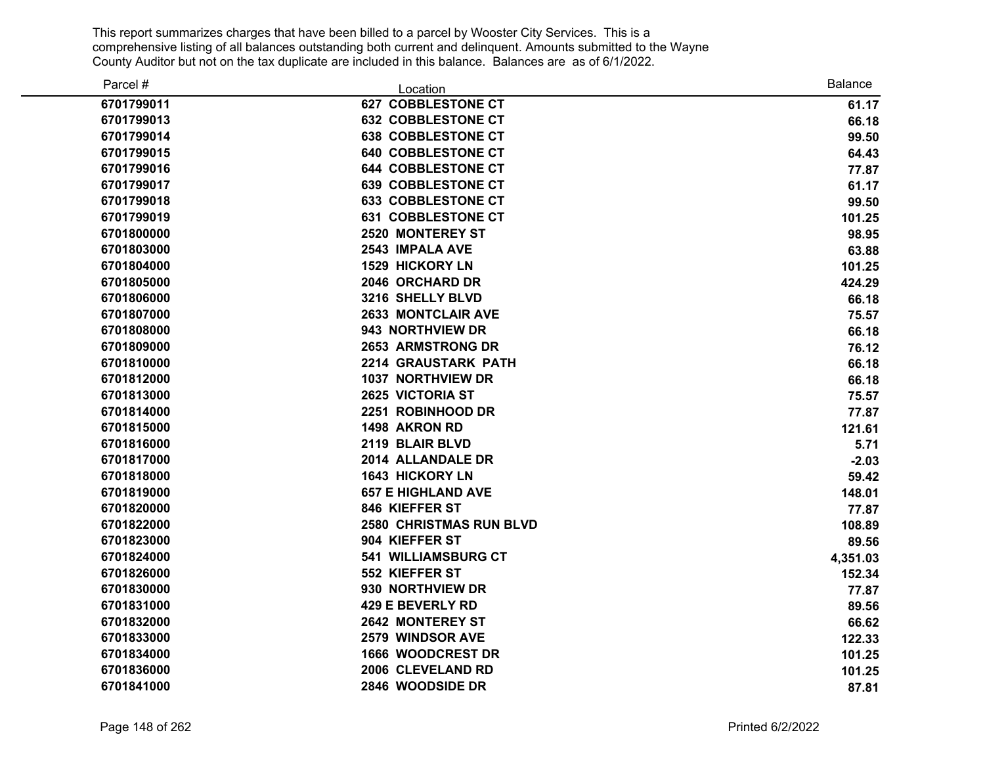| Parcel #   | Location                       | <b>Balance</b> |
|------------|--------------------------------|----------------|
| 6701799011 | <b>627 COBBLESTONE CT</b>      | 61.17          |
| 6701799013 | <b>632 COBBLESTONE CT</b>      | 66.18          |
| 6701799014 | <b>638 COBBLESTONE CT</b>      | 99.50          |
| 6701799015 | <b>640 COBBLESTONE CT</b>      | 64.43          |
| 6701799016 | <b>644 COBBLESTONE CT</b>      | 77.87          |
| 6701799017 | <b>639 COBBLESTONE CT</b>      | 61.17          |
| 6701799018 | <b>633 COBBLESTONE CT</b>      | 99.50          |
| 6701799019 | <b>631 COBBLESTONE CT</b>      | 101.25         |
| 6701800000 | <b>2520 MONTEREY ST</b>        | 98.95          |
| 6701803000 | 2543 IMPALA AVE                | 63.88          |
| 6701804000 | <b>1529 HICKORY LN</b>         | 101.25         |
| 6701805000 | 2046 ORCHARD DR                | 424.29         |
| 6701806000 | 3216 SHELLY BLVD               | 66.18          |
| 6701807000 | <b>2633 MONTCLAIR AVE</b>      | 75.57          |
| 6701808000 | 943 NORTHVIEW DR               | 66.18          |
| 6701809000 | <b>2653 ARMSTRONG DR</b>       | 76.12          |
| 6701810000 | 2214 GRAUSTARK PATH            | 66.18          |
| 6701812000 | <b>1037 NORTHVIEW DR</b>       | 66.18          |
| 6701813000 | 2625 VICTORIA ST               | 75.57          |
| 6701814000 | 2251 ROBINHOOD DR              | 77.87          |
| 6701815000 | 1498 AKRON RD                  | 121.61         |
| 6701816000 | 2119 BLAIR BLVD                | 5.71           |
| 6701817000 | 2014 ALLANDALE DR              | $-2.03$        |
| 6701818000 | <b>1643 HICKORY LN</b>         | 59.42          |
| 6701819000 | <b>657 E HIGHLAND AVE</b>      | 148.01         |
| 6701820000 | 846 KIEFFER ST                 | 77.87          |
| 6701822000 | <b>2580 CHRISTMAS RUN BLVD</b> | 108.89         |
| 6701823000 | 904 KIEFFER ST                 | 89.56          |
| 6701824000 | <b>541 WILLIAMSBURG CT</b>     | 4,351.03       |
| 6701826000 | 552 KIEFFER ST                 | 152.34         |
| 6701830000 | 930 NORTHVIEW DR               | 77.87          |
| 6701831000 | 429 E BEVERLY RD               | 89.56          |
| 6701832000 | <b>2642 MONTEREY ST</b>        | 66.62          |
| 6701833000 | 2579 WINDSOR AVE               | 122.33         |
| 6701834000 | <b>1666 WOODCREST DR</b>       | 101.25         |
| 6701836000 | 2006 CLEVELAND RD              | 101.25         |
| 6701841000 | 2846 WOODSIDE DR               | 87.81          |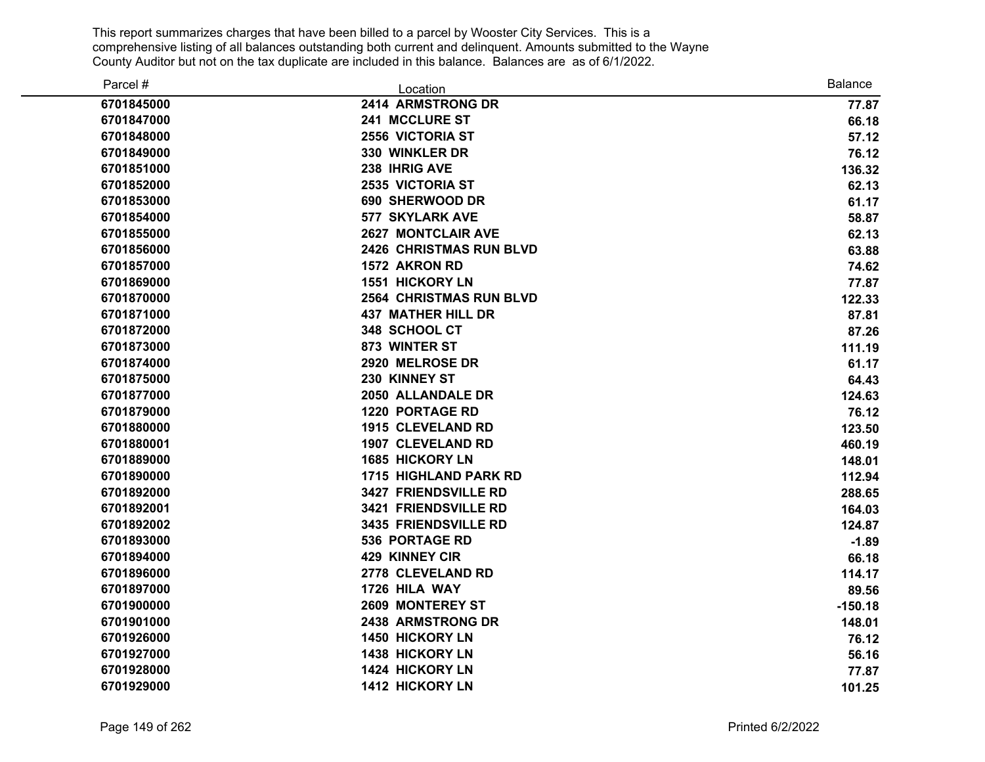| Parcel #   | Location                       | <b>Balance</b> |
|------------|--------------------------------|----------------|
| 6701845000 | 2414 ARMSTRONG DR              | 77.87          |
| 6701847000 | 241 MCCLURE ST                 | 66.18          |
| 6701848000 | 2556 VICTORIA ST               | 57.12          |
| 6701849000 | 330 WINKLER DR                 | 76.12          |
| 6701851000 | 238 IHRIG AVE                  | 136.32         |
| 6701852000 | 2535 VICTORIA ST               | 62.13          |
| 6701853000 | 690 SHERWOOD DR                | 61.17          |
| 6701854000 | <b>577 SKYLARK AVE</b>         | 58.87          |
| 6701855000 | <b>2627 MONTCLAIR AVE</b>      | 62.13          |
| 6701856000 | <b>2426 CHRISTMAS RUN BLVD</b> | 63.88          |
| 6701857000 | 1572 AKRON RD                  | 74.62          |
| 6701869000 | 1551 HICKORY LN                | 77.87          |
| 6701870000 | <b>2564 CHRISTMAS RUN BLVD</b> | 122.33         |
| 6701871000 | <b>437 MATHER HILL DR</b>      | 87.81          |
| 6701872000 | 348 SCHOOL CT                  | 87.26          |
| 6701873000 | 873 WINTER ST                  | 111.19         |
| 6701874000 | 2920 MELROSE DR                | 61.17          |
| 6701875000 | 230 KINNEY ST                  | 64.43          |
| 6701877000 | 2050 ALLANDALE DR              | 124.63         |
| 6701879000 | <b>1220 PORTAGE RD</b>         | 76.12          |
| 6701880000 | <b>1915 CLEVELAND RD</b>       | 123.50         |
| 6701880001 | 1907 CLEVELAND RD              | 460.19         |
| 6701889000 | <b>1685 HICKORY LN</b>         | 148.01         |
| 6701890000 | <b>1715 HIGHLAND PARK RD</b>   | 112.94         |
| 6701892000 | 3427 FRIENDSVILLE RD           | 288.65         |
| 6701892001 | 3421 FRIENDSVILLE RD           | 164.03         |
| 6701892002 | 3435 FRIENDSVILLE RD           | 124.87         |
| 6701893000 | <b>536 PORTAGE RD</b>          | $-1.89$        |
| 6701894000 | 429 KINNEY CIR                 | 66.18          |
| 6701896000 | 2778 CLEVELAND RD              | 114.17         |
| 6701897000 | 1726 HILA WAY                  | 89.56          |
| 6701900000 | 2609 MONTEREY ST               | $-150.18$      |
| 6701901000 | 2438 ARMSTRONG DR              | 148.01         |
| 6701926000 | <b>1450 HICKORY LN</b>         | 76.12          |
| 6701927000 | 1438 HICKORY LN                | 56.16          |
| 6701928000 | 1424 HICKORY LN                | 77.87          |
| 6701929000 | <b>1412 HICKORY LN</b>         | 101.25         |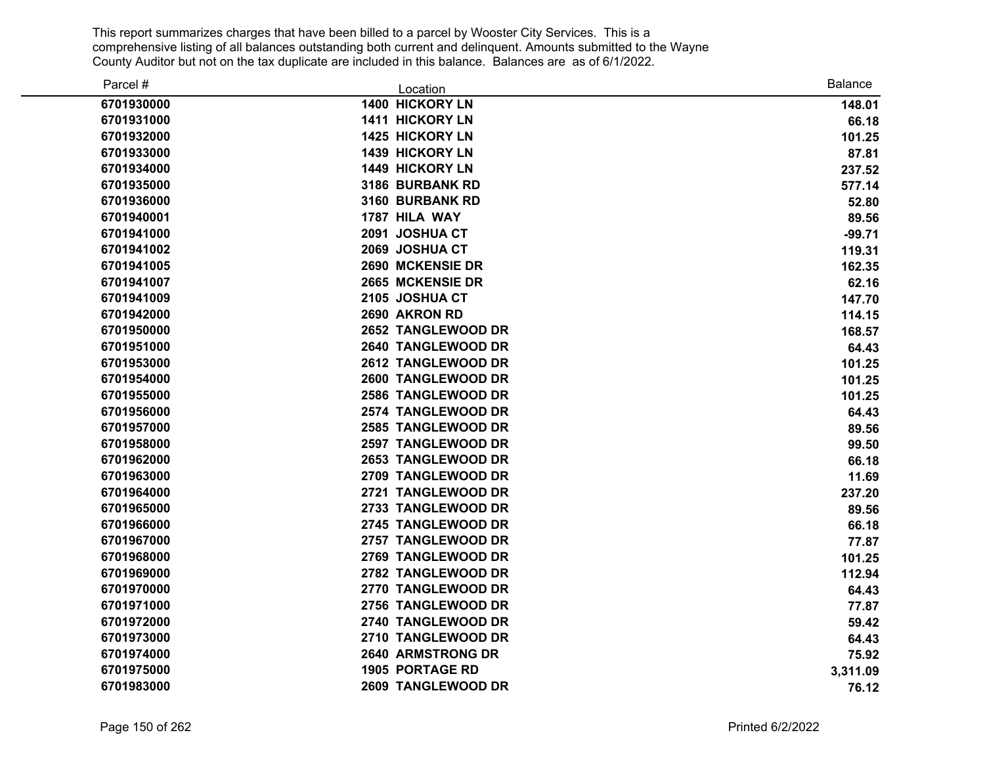| Parcel #   | Location                 | <b>Balance</b> |
|------------|--------------------------|----------------|
| 6701930000 | 1400 HICKORY LN          | 148.01         |
| 6701931000 | 1411 HICKORY LN          | 66.18          |
| 6701932000 | 1425 HICKORY LN          | 101.25         |
| 6701933000 | 1439 HICKORY LN          | 87.81          |
| 6701934000 | <b>1449 HICKORY LN</b>   | 237.52         |
| 6701935000 | 3186 BURBANK RD          | 577.14         |
| 6701936000 | 3160 BURBANK RD          | 52.80          |
| 6701940001 | 1787 HILA WAY            | 89.56          |
| 6701941000 | 2091 JOSHUA CT           | $-99.71$       |
| 6701941002 | 2069 JOSHUA CT           | 119.31         |
| 6701941005 | 2690 MCKENSIE DR         | 162.35         |
| 6701941007 | 2665 MCKENSIE DR         | 62.16          |
| 6701941009 | 2105 JOSHUA CT           | 147.70         |
| 6701942000 | 2690 AKRON RD            | 114.15         |
| 6701950000 | 2652 TANGLEWOOD DR       | 168.57         |
| 6701951000 | 2640 TANGLEWOOD DR       | 64.43          |
| 6701953000 | 2612 TANGLEWOOD DR       | 101.25         |
| 6701954000 | 2600 TANGLEWOOD DR       | 101.25         |
| 6701955000 | 2586 TANGLEWOOD DR       | 101.25         |
| 6701956000 | 2574 TANGLEWOOD DR       | 64.43          |
| 6701957000 | 2585 TANGLEWOOD DR       | 89.56          |
| 6701958000 | 2597 TANGLEWOOD DR       | 99.50          |
| 6701962000 | 2653 TANGLEWOOD DR       | 66.18          |
| 6701963000 | 2709 TANGLEWOOD DR       | 11.69          |
| 6701964000 | 2721 TANGLEWOOD DR       | 237.20         |
| 6701965000 | 2733 TANGLEWOOD DR       | 89.56          |
| 6701966000 | 2745 TANGLEWOOD DR       | 66.18          |
| 6701967000 | 2757 TANGLEWOOD DR       | 77.87          |
| 6701968000 | 2769 TANGLEWOOD DR       | 101.25         |
| 6701969000 | 2782 TANGLEWOOD DR       | 112.94         |
| 6701970000 | 2770 TANGLEWOOD DR       | 64.43          |
| 6701971000 | 2756 TANGLEWOOD DR       | 77.87          |
| 6701972000 | 2740 TANGLEWOOD DR       | 59.42          |
| 6701973000 | 2710 TANGLEWOOD DR       | 64.43          |
| 6701974000 | <b>2640 ARMSTRONG DR</b> | 75.92          |
| 6701975000 | 1905 PORTAGE RD          | 3,311.09       |
| 6701983000 | 2609 TANGLEWOOD DR       | 76.12          |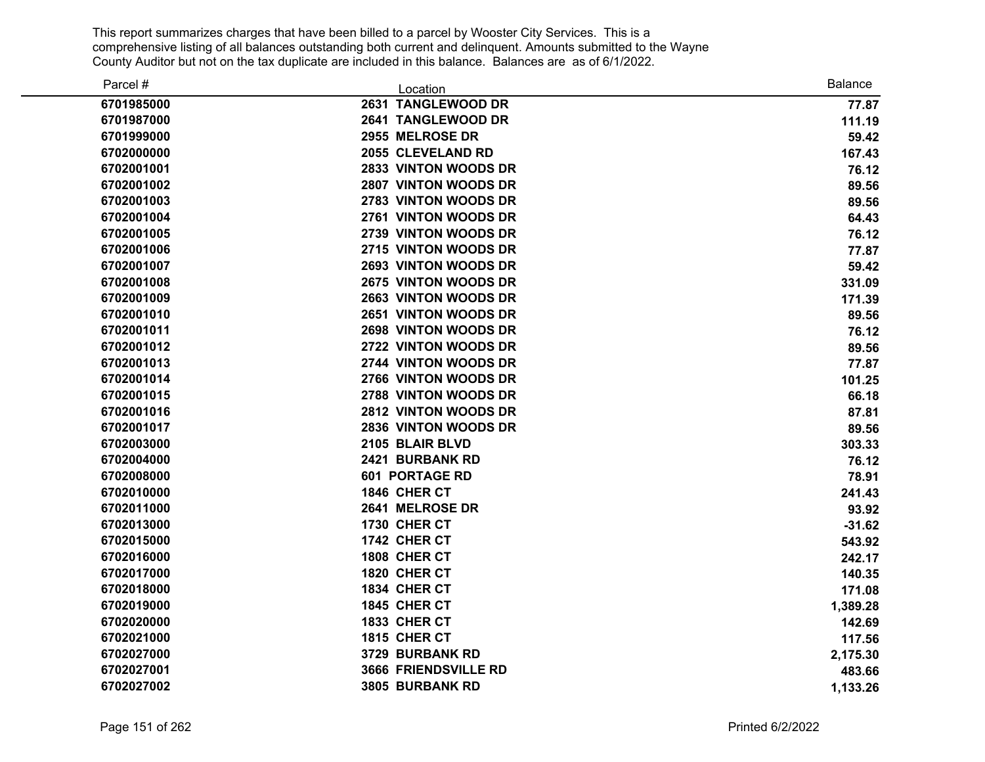| Parcel #   | Location              | <b>Balance</b> |
|------------|-----------------------|----------------|
| 6701985000 | 2631 TANGLEWOOD DR    | 77.87          |
| 6701987000 | 2641 TANGLEWOOD DR    | 111.19         |
| 6701999000 | 2955 MELROSE DR       | 59.42          |
| 6702000000 | 2055 CLEVELAND RD     | 167.43         |
| 6702001001 | 2833 VINTON WOODS DR  | 76.12          |
| 6702001002 | 2807 VINTON WOODS DR  | 89.56          |
| 6702001003 | 2783 VINTON WOODS DR  | 89.56          |
| 6702001004 | 2761 VINTON WOODS DR  | 64.43          |
| 6702001005 | 2739 VINTON WOODS DR  | 76.12          |
| 6702001006 | 2715 VINTON WOODS DR  | 77.87          |
| 6702001007 | 2693 VINTON WOODS DR  | 59.42          |
| 6702001008 | 2675 VINTON WOODS DR  | 331.09         |
| 6702001009 | 2663 VINTON WOODS DR  | 171.39         |
| 6702001010 | 2651 VINTON WOODS DR  | 89.56          |
| 6702001011 | 2698 VINTON WOODS DR  | 76.12          |
| 6702001012 | 2722 VINTON WOODS DR  | 89.56          |
| 6702001013 | 2744 VINTON WOODS DR  | 77.87          |
| 6702001014 | 2766 VINTON WOODS DR  | 101.25         |
| 6702001015 | 2788 VINTON WOODS DR  | 66.18          |
| 6702001016 | 2812 VINTON WOODS DR  | 87.81          |
| 6702001017 | 2836 VINTON WOODS DR  | 89.56          |
| 6702003000 | 2105 BLAIR BLVD       | 303.33         |
| 6702004000 | 2421 BURBANK RD       | 76.12          |
| 6702008000 | <b>601 PORTAGE RD</b> | 78.91          |
| 6702010000 | 1846 CHER CT          | 241.43         |
| 6702011000 | 2641 MELROSE DR       | 93.92          |
| 6702013000 | 1730 CHER CT          | $-31.62$       |
| 6702015000 | 1742 CHER CT          | 543.92         |
| 6702016000 | 1808 CHER CT          | 242.17         |
| 6702017000 | 1820 CHER CT          | 140.35         |
| 6702018000 | 1834 CHER CT          | 171.08         |
| 6702019000 | 1845 CHER CT          | 1,389.28       |
| 6702020000 | 1833 CHER CT          | 142.69         |
| 6702021000 | 1815 CHER CT          | 117.56         |
| 6702027000 | 3729 BURBANK RD       | 2,175.30       |
| 6702027001 | 3666 FRIENDSVILLE RD  | 483.66         |
| 6702027002 | 3805 BURBANK RD       | 1,133.26       |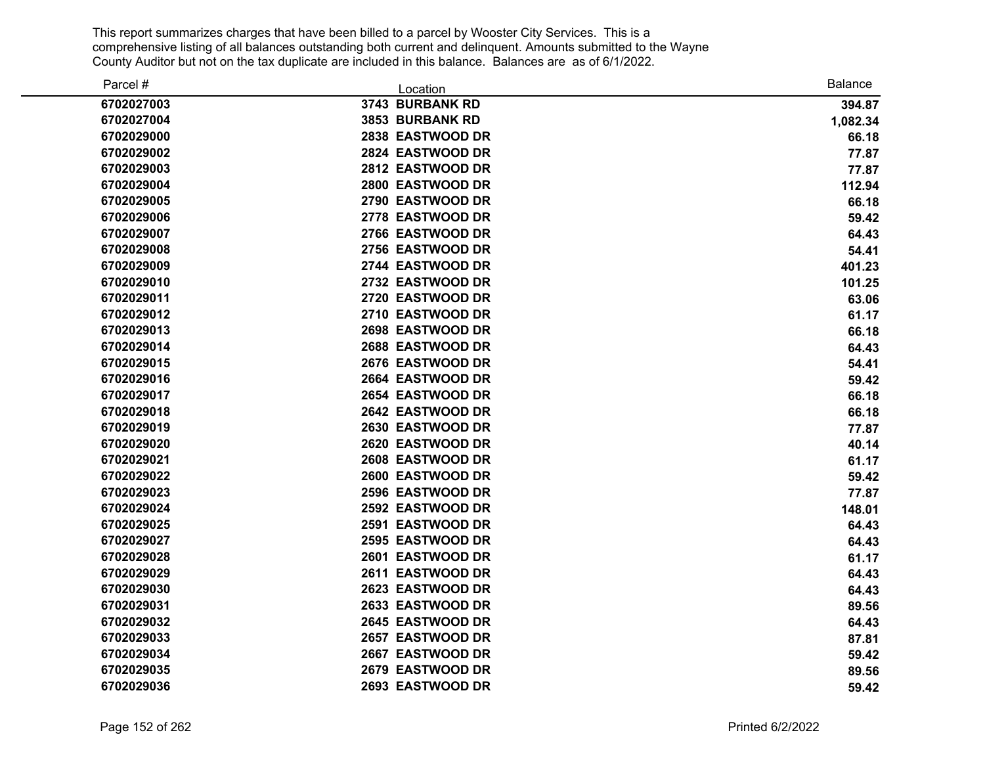| Parcel #   | Location         | <b>Balance</b> |
|------------|------------------|----------------|
| 6702027003 | 3743 BURBANK RD  | 394.87         |
| 6702027004 | 3853 BURBANK RD  | 1,082.34       |
| 6702029000 | 2838 EASTWOOD DR | 66.18          |
| 6702029002 | 2824 EASTWOOD DR | 77.87          |
| 6702029003 | 2812 EASTWOOD DR | 77.87          |
| 6702029004 | 2800 EASTWOOD DR | 112.94         |
| 6702029005 | 2790 EASTWOOD DR | 66.18          |
| 6702029006 | 2778 EASTWOOD DR | 59.42          |
| 6702029007 | 2766 EASTWOOD DR | 64.43          |
| 6702029008 | 2756 EASTWOOD DR | 54.41          |
| 6702029009 | 2744 EASTWOOD DR | 401.23         |
| 6702029010 | 2732 EASTWOOD DR | 101.25         |
| 6702029011 | 2720 EASTWOOD DR | 63.06          |
| 6702029012 | 2710 EASTWOOD DR | 61.17          |
| 6702029013 | 2698 EASTWOOD DR | 66.18          |
| 6702029014 | 2688 EASTWOOD DR | 64.43          |
| 6702029015 | 2676 EASTWOOD DR | 54.41          |
| 6702029016 | 2664 EASTWOOD DR | 59.42          |
| 6702029017 | 2654 EASTWOOD DR | 66.18          |
| 6702029018 | 2642 EASTWOOD DR | 66.18          |
| 6702029019 | 2630 EASTWOOD DR | 77.87          |
| 6702029020 | 2620 EASTWOOD DR | 40.14          |
| 6702029021 | 2608 EASTWOOD DR | 61.17          |
| 6702029022 | 2600 EASTWOOD DR | 59.42          |
| 6702029023 | 2596 EASTWOOD DR | 77.87          |
| 6702029024 | 2592 EASTWOOD DR | 148.01         |
| 6702029025 | 2591 EASTWOOD DR | 64.43          |
| 6702029027 | 2595 EASTWOOD DR | 64.43          |
| 6702029028 | 2601 EASTWOOD DR | 61.17          |
| 6702029029 | 2611 EASTWOOD DR | 64.43          |
| 6702029030 | 2623 EASTWOOD DR | 64.43          |
| 6702029031 | 2633 EASTWOOD DR | 89.56          |
| 6702029032 | 2645 EASTWOOD DR | 64.43          |
| 6702029033 | 2657 EASTWOOD DR | 87.81          |
| 6702029034 | 2667 EASTWOOD DR | 59.42          |
| 6702029035 | 2679 EASTWOOD DR | 89.56          |
| 6702029036 | 2693 EASTWOOD DR | 59.42          |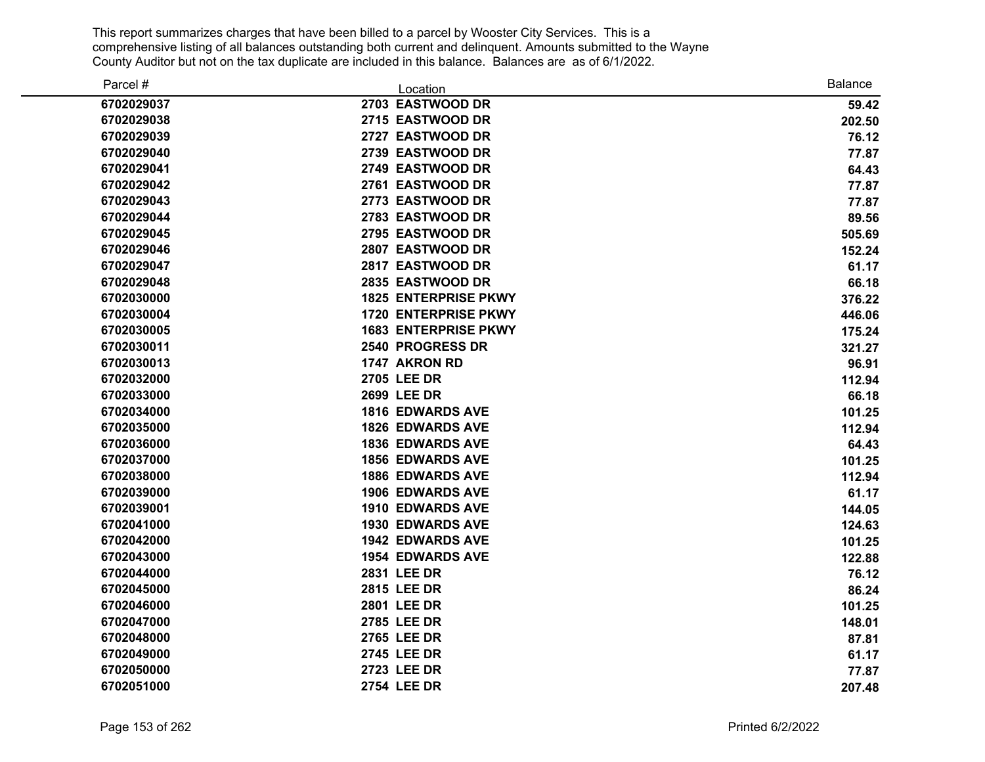| Parcel #   | Location                    | <b>Balance</b> |
|------------|-----------------------------|----------------|
| 6702029037 | 2703 EASTWOOD DR            | 59.42          |
| 6702029038 | 2715 EASTWOOD DR            | 202.50         |
| 6702029039 | 2727 EASTWOOD DR            | 76.12          |
| 6702029040 | 2739 EASTWOOD DR            | 77.87          |
| 6702029041 | 2749 EASTWOOD DR            | 64.43          |
| 6702029042 | 2761 EASTWOOD DR            | 77.87          |
| 6702029043 | 2773 EASTWOOD DR            | 77.87          |
| 6702029044 | 2783 EASTWOOD DR            | 89.56          |
| 6702029045 | 2795 EASTWOOD DR            | 505.69         |
| 6702029046 | 2807 EASTWOOD DR            | 152.24         |
| 6702029047 | 2817 EASTWOOD DR            | 61.17          |
| 6702029048 | 2835 EASTWOOD DR            | 66.18          |
| 6702030000 | <b>1825 ENTERPRISE PKWY</b> | 376.22         |
| 6702030004 | <b>1720 ENTERPRISE PKWY</b> | 446.06         |
| 6702030005 | <b>1683 ENTERPRISE PKWY</b> | 175.24         |
| 6702030011 | 2540 PROGRESS DR            | 321.27         |
| 6702030013 | 1747 AKRON RD               | 96.91          |
| 6702032000 | 2705 LEE DR                 | 112.94         |
| 6702033000 | 2699 LEE DR                 | 66.18          |
| 6702034000 | <b>1816 EDWARDS AVE</b>     | 101.25         |
| 6702035000 | <b>1826 EDWARDS AVE</b>     | 112.94         |
| 6702036000 | <b>1836 EDWARDS AVE</b>     | 64.43          |
| 6702037000 | <b>1856 EDWARDS AVE</b>     | 101.25         |
| 6702038000 | <b>1886 EDWARDS AVE</b>     | 112.94         |
| 6702039000 | <b>1906 EDWARDS AVE</b>     | 61.17          |
| 6702039001 | <b>1910 EDWARDS AVE</b>     | 144.05         |
| 6702041000 | <b>1930 EDWARDS AVE</b>     | 124.63         |
| 6702042000 | <b>1942 EDWARDS AVE</b>     | 101.25         |
| 6702043000 | <b>1954 EDWARDS AVE</b>     | 122.88         |
| 6702044000 | 2831 LEE DR                 | 76.12          |
| 6702045000 | <b>2815 LEE DR</b>          | 86.24          |
| 6702046000 | <b>2801 LEE DR</b>          | 101.25         |
| 6702047000 | 2785 LEE DR                 | 148.01         |
| 6702048000 | 2765 LEE DR                 | 87.81          |
| 6702049000 | 2745 LEE DR                 | 61.17          |
| 6702050000 | 2723 LEE DR                 | 77.87          |
| 6702051000 | 2754 LEE DR                 | 207.48         |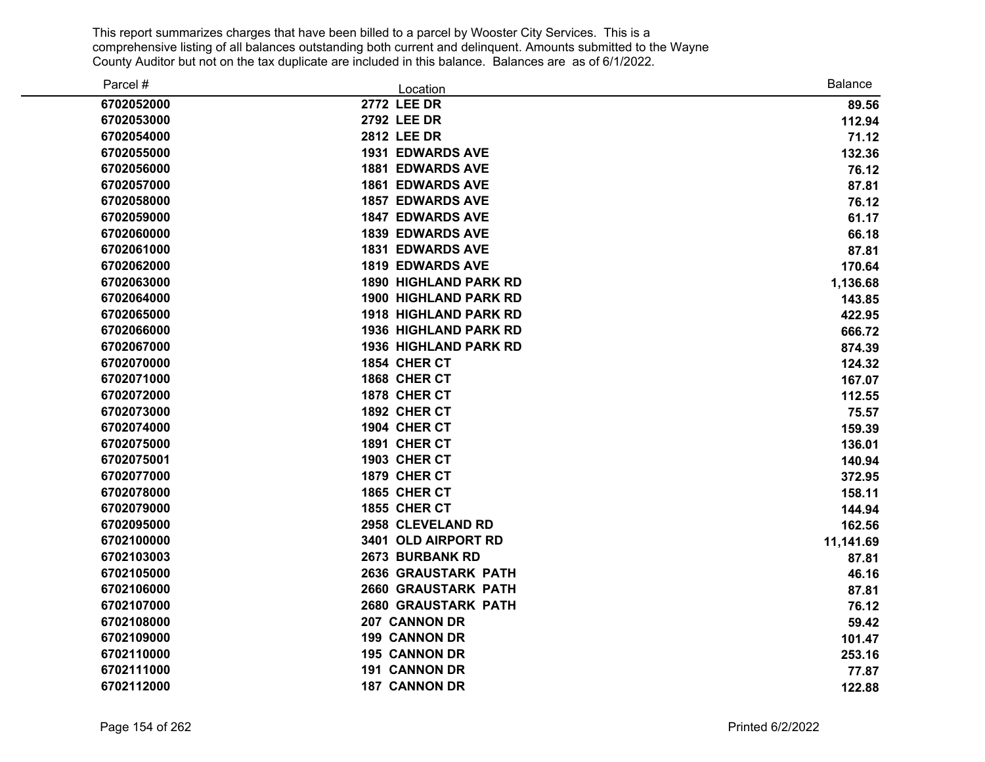| Parcel #   | Location                     | <b>Balance</b> |
|------------|------------------------------|----------------|
| 6702052000 | <b>2772 LEE DR</b>           | 89.56          |
| 6702053000 | <b>2792 LEE DR</b>           | 112.94         |
| 6702054000 | <b>2812 LEE DR</b>           | 71.12          |
| 6702055000 | <b>1931 EDWARDS AVE</b>      | 132.36         |
| 6702056000 | <b>1881 EDWARDS AVE</b>      | 76.12          |
| 6702057000 | <b>1861 EDWARDS AVE</b>      | 87.81          |
| 6702058000 | <b>1857 EDWARDS AVE</b>      | 76.12          |
| 6702059000 | <b>1847 EDWARDS AVE</b>      | 61.17          |
| 6702060000 | <b>1839 EDWARDS AVE</b>      | 66.18          |
| 6702061000 | <b>1831 EDWARDS AVE</b>      | 87.81          |
| 6702062000 | <b>1819 EDWARDS AVE</b>      | 170.64         |
| 6702063000 | <b>1890 HIGHLAND PARK RD</b> | 1,136.68       |
| 6702064000 | <b>1900 HIGHLAND PARK RD</b> | 143.85         |
| 6702065000 | <b>1918 HIGHLAND PARK RD</b> | 422.95         |
| 6702066000 | <b>1936 HIGHLAND PARK RD</b> | 666.72         |
| 6702067000 | <b>1936 HIGHLAND PARK RD</b> | 874.39         |
| 6702070000 | 1854 CHER CT                 | 124.32         |
| 6702071000 | 1868 CHER CT                 | 167.07         |
| 6702072000 | 1878 CHER CT                 | 112.55         |
| 6702073000 | 1892 CHER CT                 | 75.57          |
| 6702074000 | 1904 CHER CT                 | 159.39         |
| 6702075000 | 1891 CHER CT                 | 136.01         |
| 6702075001 | 1903 CHER CT                 | 140.94         |
| 6702077000 | 1879 CHER CT                 | 372.95         |
| 6702078000 | 1865 CHER CT                 | 158.11         |
| 6702079000 | <b>1855 CHER CT</b>          | 144.94         |
| 6702095000 | 2958 CLEVELAND RD            | 162.56         |
| 6702100000 | 3401 OLD AIRPORT RD          | 11,141.69      |
| 6702103003 | 2673 BURBANK RD              | 87.81          |
| 6702105000 | <b>2636 GRAUSTARK PATH</b>   | 46.16          |
| 6702106000 | <b>2660 GRAUSTARK PATH</b>   | 87.81          |
| 6702107000 | <b>2680 GRAUSTARK PATH</b>   | 76.12          |
| 6702108000 | 207 CANNON DR                | 59.42          |
| 6702109000 | <b>199 CANNON DR</b>         | 101.47         |
| 6702110000 | 195 CANNON DR                | 253.16         |
| 6702111000 | <b>191 CANNON DR</b>         | 77.87          |
| 6702112000 | <b>187 CANNON DR</b>         | 122.88         |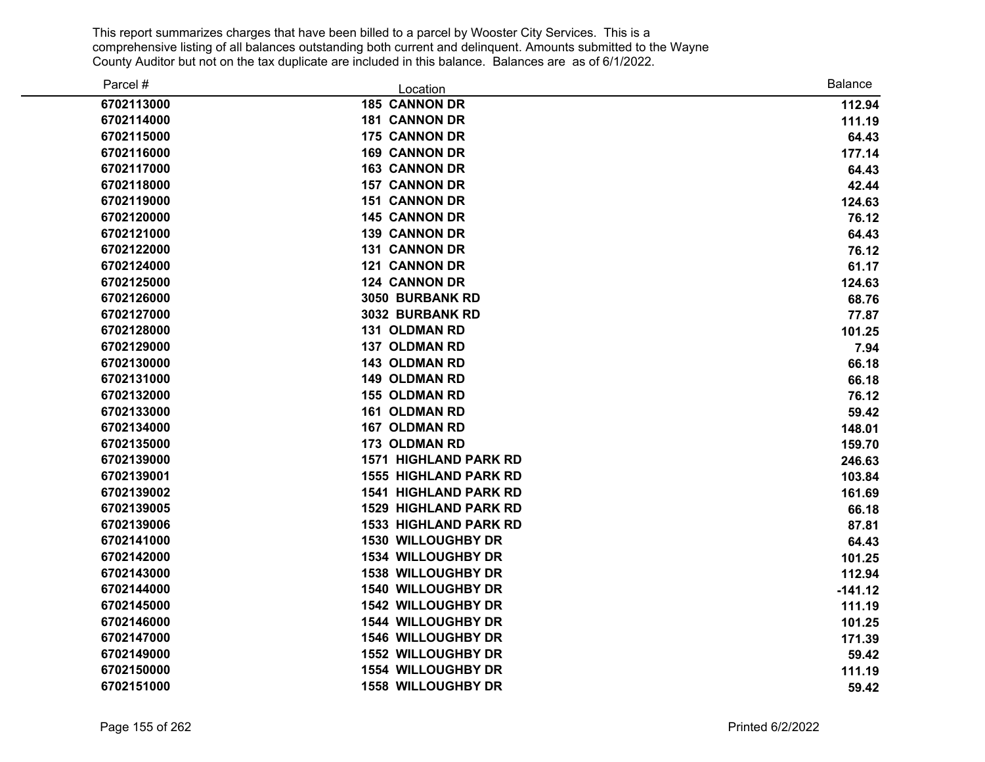| Parcel #   | Location                     | <b>Balance</b> |
|------------|------------------------------|----------------|
| 6702113000 | <b>185 CANNON DR</b>         | 112.94         |
| 6702114000 | <b>181 CANNON DR</b>         | 111.19         |
| 6702115000 | <b>175 CANNON DR</b>         | 64.43          |
| 6702116000 | <b>169 CANNON DR</b>         | 177.14         |
| 6702117000 | <b>163 CANNON DR</b>         | 64.43          |
| 6702118000 | <b>157 CANNON DR</b>         | 42.44          |
| 6702119000 | <b>151 CANNON DR</b>         | 124.63         |
| 6702120000 | <b>145 CANNON DR</b>         | 76.12          |
| 6702121000 | <b>139 CANNON DR</b>         | 64.43          |
| 6702122000 | <b>131 CANNON DR</b>         | 76.12          |
| 6702124000 | <b>121 CANNON DR</b>         | 61.17          |
| 6702125000 | <b>124 CANNON DR</b>         | 124.63         |
| 6702126000 | <b>3050 BURBANK RD</b>       | 68.76          |
| 6702127000 | 3032 BURBANK RD              | 77.87          |
| 6702128000 | <b>131 OLDMAN RD</b>         | 101.25         |
| 6702129000 | <b>137 OLDMAN RD</b>         | 7.94           |
| 6702130000 | <b>143 OLDMAN RD</b>         | 66.18          |
| 6702131000 | <b>149 OLDMAN RD</b>         | 66.18          |
| 6702132000 | <b>155 OLDMAN RD</b>         | 76.12          |
| 6702133000 | <b>161 OLDMAN RD</b>         | 59.42          |
| 6702134000 | <b>167 OLDMAN RD</b>         | 148.01         |
| 6702135000 | <b>173 OLDMAN RD</b>         | 159.70         |
| 6702139000 | <b>1571 HIGHLAND PARK RD</b> | 246.63         |
| 6702139001 | <b>1555 HIGHLAND PARK RD</b> | 103.84         |
| 6702139002 | <b>1541 HIGHLAND PARK RD</b> | 161.69         |
| 6702139005 | <b>1529 HIGHLAND PARK RD</b> | 66.18          |
| 6702139006 | <b>1533 HIGHLAND PARK RD</b> | 87.81          |
| 6702141000 | <b>1530 WILLOUGHBY DR</b>    | 64.43          |
| 6702142000 | <b>1534 WILLOUGHBY DR</b>    | 101.25         |
| 6702143000 | <b>1538 WILLOUGHBY DR</b>    | 112.94         |
| 6702144000 | <b>1540 WILLOUGHBY DR</b>    | $-141.12$      |
| 6702145000 | <b>1542 WILLOUGHBY DR</b>    | 111.19         |
| 6702146000 | <b>1544 WILLOUGHBY DR</b>    | 101.25         |
| 6702147000 | <b>1546 WILLOUGHBY DR</b>    | 171.39         |
| 6702149000 | <b>1552 WILLOUGHBY DR</b>    | 59.42          |
| 6702150000 | <b>1554 WILLOUGHBY DR</b>    | 111.19         |
| 6702151000 | <b>1558 WILLOUGHBY DR</b>    | 59.42          |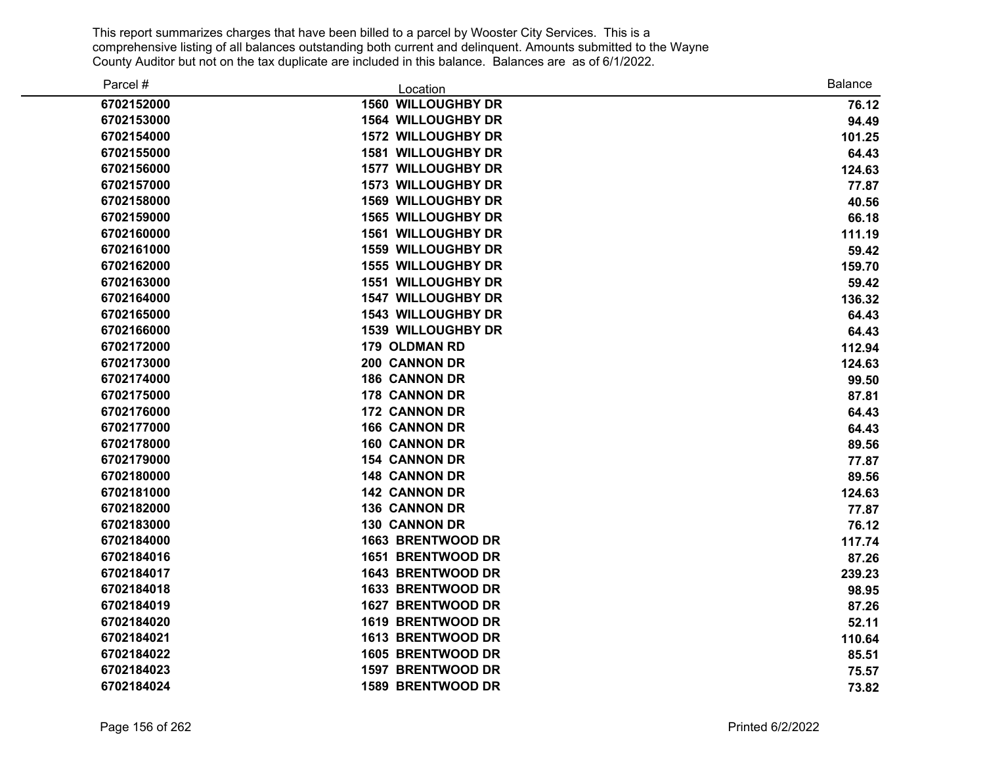| Parcel #   | Location                  | <b>Balance</b> |
|------------|---------------------------|----------------|
| 6702152000 | <b>1560 WILLOUGHBY DR</b> | 76.12          |
| 6702153000 | <b>1564 WILLOUGHBY DR</b> | 94.49          |
| 6702154000 | <b>1572 WILLOUGHBY DR</b> | 101.25         |
| 6702155000 | <b>1581 WILLOUGHBY DR</b> | 64.43          |
| 6702156000 | <b>1577 WILLOUGHBY DR</b> | 124.63         |
| 6702157000 | <b>1573 WILLOUGHBY DR</b> | 77.87          |
| 6702158000 | <b>1569 WILLOUGHBY DR</b> | 40.56          |
| 6702159000 | <b>1565 WILLOUGHBY DR</b> | 66.18          |
| 6702160000 | <b>1561 WILLOUGHBY DR</b> | 111.19         |
| 6702161000 | <b>1559 WILLOUGHBY DR</b> | 59.42          |
| 6702162000 | <b>1555 WILLOUGHBY DR</b> | 159.70         |
| 6702163000 | <b>1551 WILLOUGHBY DR</b> | 59.42          |
| 6702164000 | <b>1547 WILLOUGHBY DR</b> | 136.32         |
| 6702165000 | <b>1543 WILLOUGHBY DR</b> | 64.43          |
| 6702166000 | <b>1539 WILLOUGHBY DR</b> | 64.43          |
| 6702172000 | <b>179 OLDMAN RD</b>      | 112.94         |
| 6702173000 | 200 CANNON DR             | 124.63         |
| 6702174000 | <b>186 CANNON DR</b>      | 99.50          |
| 6702175000 | <b>178 CANNON DR</b>      | 87.81          |
| 6702176000 | <b>172 CANNON DR</b>      | 64.43          |
| 6702177000 | <b>166 CANNON DR</b>      | 64.43          |
| 6702178000 | <b>160 CANNON DR</b>      | 89.56          |
| 6702179000 | <b>154 CANNON DR</b>      | 77.87          |
| 6702180000 | <b>148 CANNON DR</b>      | 89.56          |
| 6702181000 | <b>142 CANNON DR</b>      | 124.63         |
| 6702182000 | <b>136 CANNON DR</b>      | 77.87          |
| 6702183000 | <b>130 CANNON DR</b>      | 76.12          |
| 6702184000 | <b>1663 BRENTWOOD DR</b>  | 117.74         |
| 6702184016 | <b>1651 BRENTWOOD DR</b>  | 87.26          |
| 6702184017 | 1643 BRENTWOOD DR         | 239.23         |
| 6702184018 | 1633 BRENTWOOD DR         | 98.95          |
| 6702184019 | 1627 BRENTWOOD DR         | 87.26          |
| 6702184020 | 1619 BRENTWOOD DR         | 52.11          |
| 6702184021 | 1613 BRENTWOOD DR         | 110.64         |
| 6702184022 | 1605 BRENTWOOD DR         | 85.51          |
| 6702184023 | 1597 BRENTWOOD DR         | 75.57          |
| 6702184024 | 1589 BRENTWOOD DR         | 73.82          |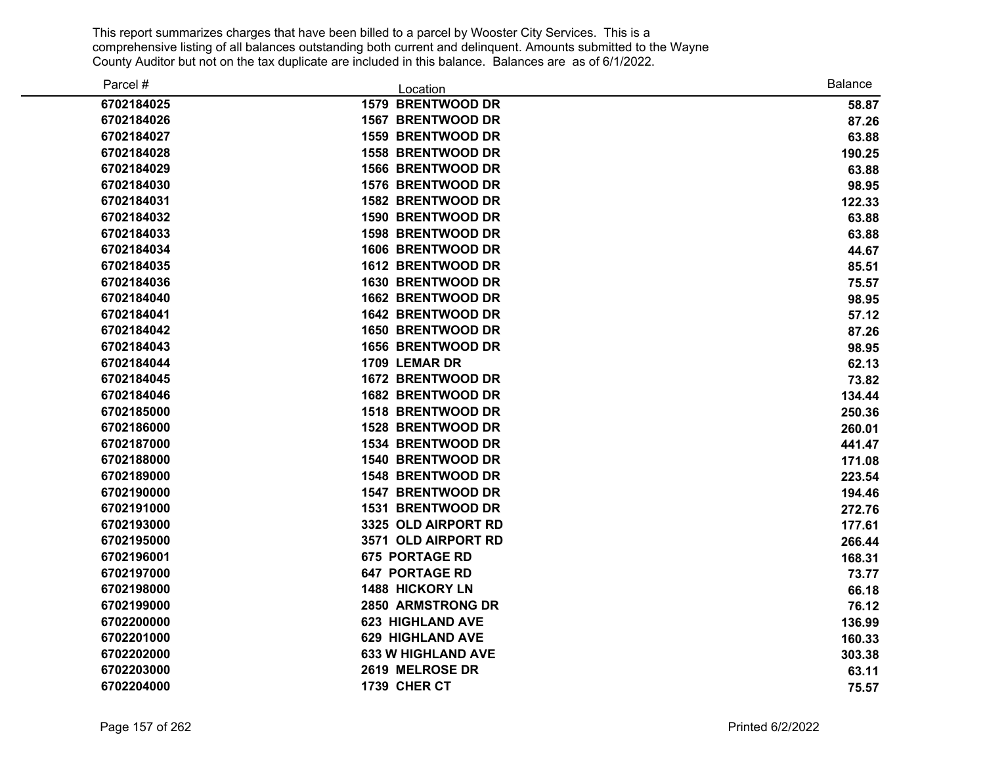| Parcel #   | Location                  | <b>Balance</b> |
|------------|---------------------------|----------------|
| 6702184025 | 1579 BRENTWOOD DR         | 58.87          |
| 6702184026 | 1567 BRENTWOOD DR         | 87.26          |
| 6702184027 | 1559 BRENTWOOD DR         | 63.88          |
| 6702184028 | <b>1558 BRENTWOOD DR</b>  | 190.25         |
| 6702184029 | <b>1566 BRENTWOOD DR</b>  | 63.88          |
| 6702184030 | <b>1576 BRENTWOOD DR</b>  | 98.95          |
| 6702184031 | <b>1582 BRENTWOOD DR</b>  | 122.33         |
| 6702184032 | 1590 BRENTWOOD DR         | 63.88          |
| 6702184033 | 1598 BRENTWOOD DR         | 63.88          |
| 6702184034 | 1606 BRENTWOOD DR         | 44.67          |
| 6702184035 | 1612 BRENTWOOD DR         | 85.51          |
| 6702184036 | <b>1630 BRENTWOOD DR</b>  | 75.57          |
| 6702184040 | 1662 BRENTWOOD DR         | 98.95          |
| 6702184041 | 1642 BRENTWOOD DR         | 57.12          |
| 6702184042 | 1650 BRENTWOOD DR         | 87.26          |
| 6702184043 | 1656 BRENTWOOD DR         | 98.95          |
| 6702184044 | 1709 LEMAR DR             | 62.13          |
| 6702184045 | 1672 BRENTWOOD DR         | 73.82          |
| 6702184046 | 1682 BRENTWOOD DR         | 134.44         |
| 6702185000 | 1518 BRENTWOOD DR         | 250.36         |
| 6702186000 | 1528 BRENTWOOD DR         | 260.01         |
| 6702187000 | <b>1534 BRENTWOOD DR</b>  | 441.47         |
| 6702188000 | 1540 BRENTWOOD DR         | 171.08         |
| 6702189000 | 1548 BRENTWOOD DR         | 223.54         |
| 6702190000 | 1547 BRENTWOOD DR         | 194.46         |
| 6702191000 | 1531 BRENTWOOD DR         | 272.76         |
| 6702193000 | 3325 OLD AIRPORT RD       | 177.61         |
| 6702195000 | 3571 OLD AIRPORT RD       | 266.44         |
| 6702196001 | <b>675 PORTAGE RD</b>     | 168.31         |
| 6702197000 | <b>647 PORTAGE RD</b>     | 73.77          |
| 6702198000 | <b>1488 HICKORY LN</b>    | 66.18          |
| 6702199000 | 2850 ARMSTRONG DR         | 76.12          |
| 6702200000 | <b>623 HIGHLAND AVE</b>   | 136.99         |
| 6702201000 | <b>629 HIGHLAND AVE</b>   | 160.33         |
| 6702202000 | <b>633 W HIGHLAND AVE</b> | 303.38         |
| 6702203000 | 2619 MELROSE DR           | 63.11          |
| 6702204000 | 1739 CHER CT              | 75.57          |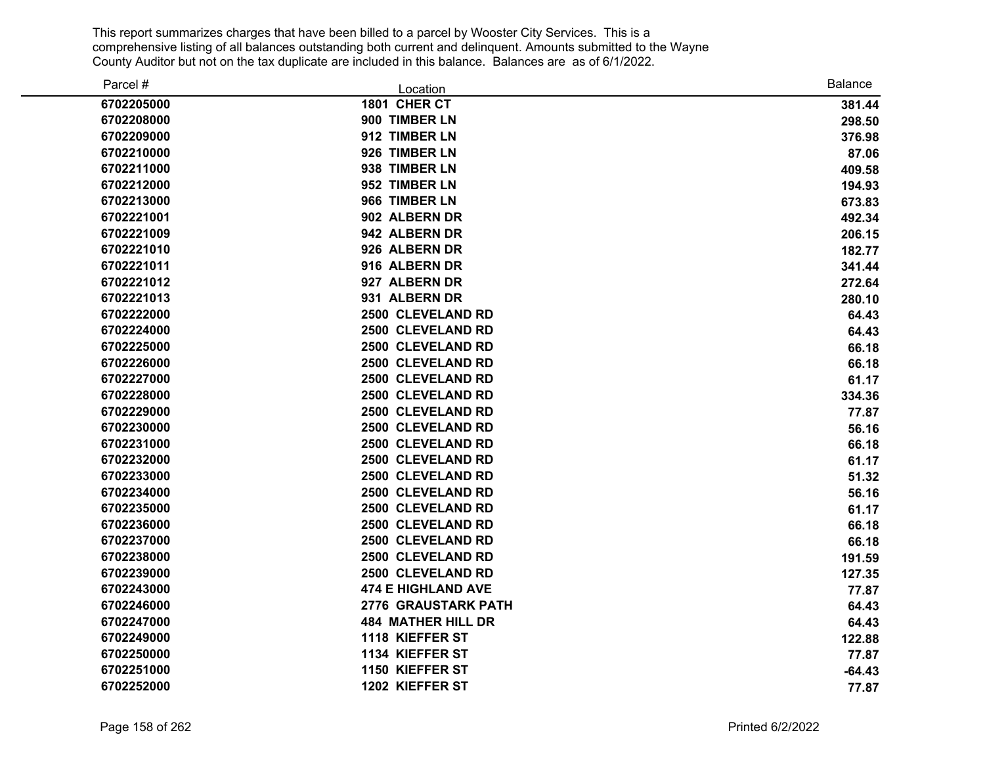| Parcel #   | Location                   | <b>Balance</b> |
|------------|----------------------------|----------------|
| 6702205000 | 1801 CHER CT               | 381.44         |
| 6702208000 | 900 TIMBER LN              | 298.50         |
| 6702209000 | 912 TIMBER LN              | 376.98         |
| 6702210000 | 926 TIMBER LN              | 87.06          |
| 6702211000 | 938 TIMBER LN              | 409.58         |
| 6702212000 | 952 TIMBER LN              | 194.93         |
| 6702213000 | 966 TIMBER LN              | 673.83         |
| 6702221001 | 902 ALBERN DR              | 492.34         |
| 6702221009 | 942 ALBERN DR              | 206.15         |
| 6702221010 | 926 ALBERN DR              | 182.77         |
| 6702221011 | 916 ALBERN DR              | 341.44         |
| 6702221012 | 927 ALBERN DR              | 272.64         |
| 6702221013 | 931 ALBERN DR              | 280.10         |
| 6702222000 | 2500 CLEVELAND RD          | 64.43          |
| 6702224000 | 2500 CLEVELAND RD          | 64.43          |
| 6702225000 | 2500 CLEVELAND RD          | 66.18          |
| 6702226000 | 2500 CLEVELAND RD          | 66.18          |
| 6702227000 | 2500 CLEVELAND RD          | 61.17          |
| 6702228000 | 2500 CLEVELAND RD          | 334.36         |
| 6702229000 | 2500 CLEVELAND RD          | 77.87          |
| 6702230000 | 2500 CLEVELAND RD          | 56.16          |
| 6702231000 | 2500 CLEVELAND RD          | 66.18          |
| 6702232000 | 2500 CLEVELAND RD          | 61.17          |
| 6702233000 | 2500 CLEVELAND RD          | 51.32          |
| 6702234000 | 2500 CLEVELAND RD          | 56.16          |
| 6702235000 | 2500 CLEVELAND RD          | 61.17          |
| 6702236000 | 2500 CLEVELAND RD          | 66.18          |
| 6702237000 | 2500 CLEVELAND RD          | 66.18          |
| 6702238000 | 2500 CLEVELAND RD          | 191.59         |
| 6702239000 | 2500 CLEVELAND RD          | 127.35         |
| 6702243000 | <b>474 E HIGHLAND AVE</b>  | 77.87          |
| 6702246000 | <b>2776 GRAUSTARK PATH</b> | 64.43          |
| 6702247000 | <b>484 MATHER HILL DR</b>  | 64.43          |
| 6702249000 | 1118 KIEFFER ST            | 122.88         |
| 6702250000 | 1134 KIEFFER ST            | 77.87          |
| 6702251000 | 1150 KIEFFER ST            | $-64.43$       |
| 6702252000 | 1202 KIEFFER ST            | 77.87          |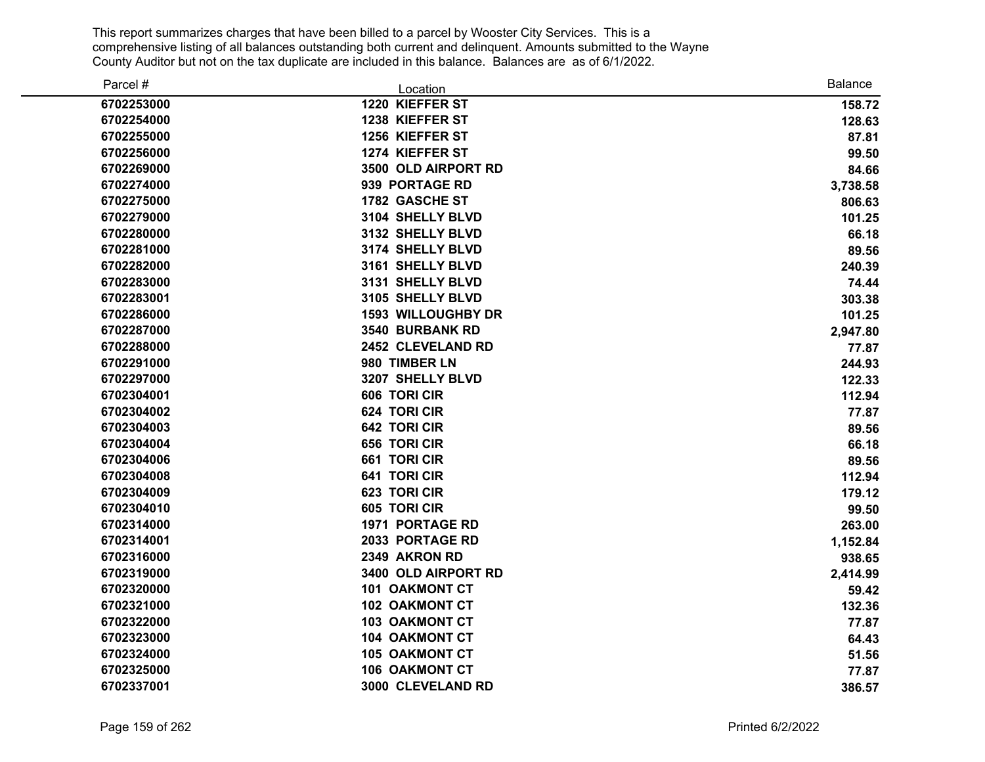| Parcel #   | Location                  | <b>Balance</b> |
|------------|---------------------------|----------------|
| 6702253000 | 1220 KIEFFER ST           | 158.72         |
| 6702254000 | 1238 KIEFFER ST           | 128.63         |
| 6702255000 | 1256 KIEFFER ST           | 87.81          |
| 6702256000 | 1274 KIEFFER ST           | 99.50          |
| 6702269000 | 3500 OLD AIRPORT RD       | 84.66          |
| 6702274000 | 939 PORTAGE RD            | 3,738.58       |
| 6702275000 | 1782 GASCHE ST            | 806.63         |
| 6702279000 | 3104 SHELLY BLVD          | 101.25         |
| 6702280000 | 3132 SHELLY BLVD          | 66.18          |
| 6702281000 | 3174 SHELLY BLVD          | 89.56          |
| 6702282000 | 3161 SHELLY BLVD          | 240.39         |
| 6702283000 | 3131 SHELLY BLVD          | 74.44          |
| 6702283001 | 3105 SHELLY BLVD          | 303.38         |
| 6702286000 | <b>1593 WILLOUGHBY DR</b> | 101.25         |
| 6702287000 | 3540 BURBANK RD           | 2,947.80       |
| 6702288000 | 2452 CLEVELAND RD         | 77.87          |
| 6702291000 | 980 TIMBER LN             | 244.93         |
| 6702297000 | 3207 SHELLY BLVD          | 122.33         |
| 6702304001 | 606 TORI CIR              | 112.94         |
| 6702304002 | 624 TORI CIR              | 77.87          |
| 6702304003 | <b>642 TORI CIR</b>       | 89.56          |
| 6702304004 | 656 TORI CIR              | 66.18          |
| 6702304006 | 661 TORI CIR              | 89.56          |
| 6702304008 | <b>641 TORI CIR</b>       | 112.94         |
| 6702304009 | 623 TORI CIR              | 179.12         |
| 6702304010 | 605 TORI CIR              | 99.50          |
| 6702314000 | 1971 PORTAGE RD           | 263.00         |
| 6702314001 | 2033 PORTAGE RD           | 1,152.84       |
| 6702316000 | 2349 AKRON RD             | 938.65         |
| 6702319000 | 3400 OLD AIRPORT RD       | 2,414.99       |
| 6702320000 | <b>101 OAKMONT CT</b>     | 59.42          |
| 6702321000 | <b>102 OAKMONT CT</b>     | 132.36         |
| 6702322000 | <b>103 OAKMONT CT</b>     | 77.87          |
| 6702323000 | <b>104 OAKMONT CT</b>     | 64.43          |
| 6702324000 | <b>105 OAKMONT CT</b>     | 51.56          |
| 6702325000 | <b>106 OAKMONT CT</b>     | 77.87          |
| 6702337001 | 3000 CLEVELAND RD         | 386.57         |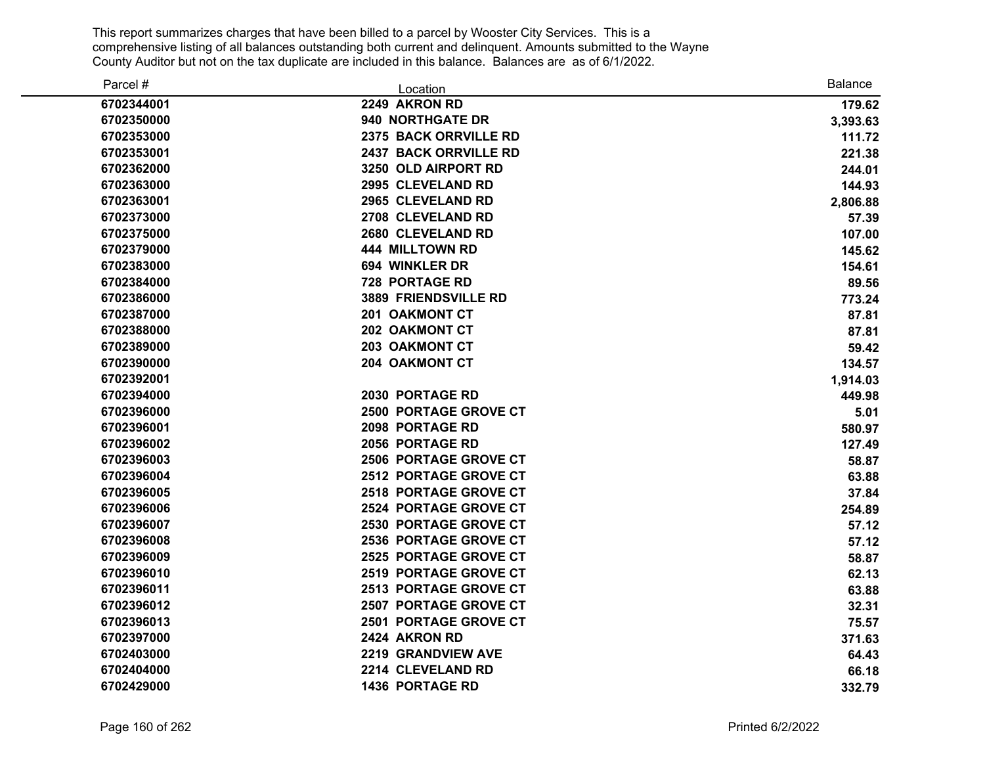| Parcel #   | Location                     | <b>Balance</b> |
|------------|------------------------------|----------------|
| 6702344001 | 2249 AKRON RD                | 179.62         |
| 6702350000 | 940 NORTHGATE DR             | 3,393.63       |
| 6702353000 | 2375 BACK ORRVILLE RD        | 111.72         |
| 6702353001 | 2437 BACK ORRVILLE RD        | 221.38         |
| 6702362000 | 3250 OLD AIRPORT RD          | 244.01         |
| 6702363000 | 2995 CLEVELAND RD            | 144.93         |
| 6702363001 | 2965 CLEVELAND RD            | 2,806.88       |
| 6702373000 | 2708 CLEVELAND RD            | 57.39          |
| 6702375000 | 2680 CLEVELAND RD            | 107.00         |
| 6702379000 | <b>444 MILLTOWN RD</b>       | 145.62         |
| 6702383000 | 694 WINKLER DR               | 154.61         |
| 6702384000 | <b>728 PORTAGE RD</b>        | 89.56          |
| 6702386000 | 3889 FRIENDSVILLE RD         | 773.24         |
| 6702387000 | 201 OAKMONT CT               | 87.81          |
| 6702388000 | 202 OAKMONT CT               | 87.81          |
| 6702389000 | <b>203 OAKMONT CT</b>        | 59.42          |
| 6702390000 | 204 OAKMONT CT               | 134.57         |
| 6702392001 |                              | 1,914.03       |
| 6702394000 | 2030 PORTAGE RD              | 449.98         |
| 6702396000 | <b>2500 PORTAGE GROVE CT</b> | 5.01           |
| 6702396001 | 2098 PORTAGE RD              | 580.97         |
| 6702396002 | 2056 PORTAGE RD              | 127.49         |
| 6702396003 | 2506 PORTAGE GROVE CT        | 58.87          |
| 6702396004 | 2512 PORTAGE GROVE CT        | 63.88          |
| 6702396005 | 2518 PORTAGE GROVE CT        | 37.84          |
| 6702396006 | 2524 PORTAGE GROVE CT        | 254.89         |
| 6702396007 | <b>2530 PORTAGE GROVE CT</b> | 57.12          |
| 6702396008 | 2536 PORTAGE GROVE CT        | 57.12          |
| 6702396009 | 2525 PORTAGE GROVE CT        | 58.87          |
| 6702396010 | 2519 PORTAGE GROVE CT        | 62.13          |
| 6702396011 | 2513 PORTAGE GROVE CT        | 63.88          |
| 6702396012 | 2507 PORTAGE GROVE CT        | 32.31          |
| 6702396013 | 2501 PORTAGE GROVE CT        | 75.57          |
| 6702397000 | 2424 AKRON RD                | 371.63         |
| 6702403000 | 2219 GRANDVIEW AVE           | 64.43          |
| 6702404000 | 2214 CLEVELAND RD            | 66.18          |
| 6702429000 | <b>1436 PORTAGE RD</b>       | 332.79         |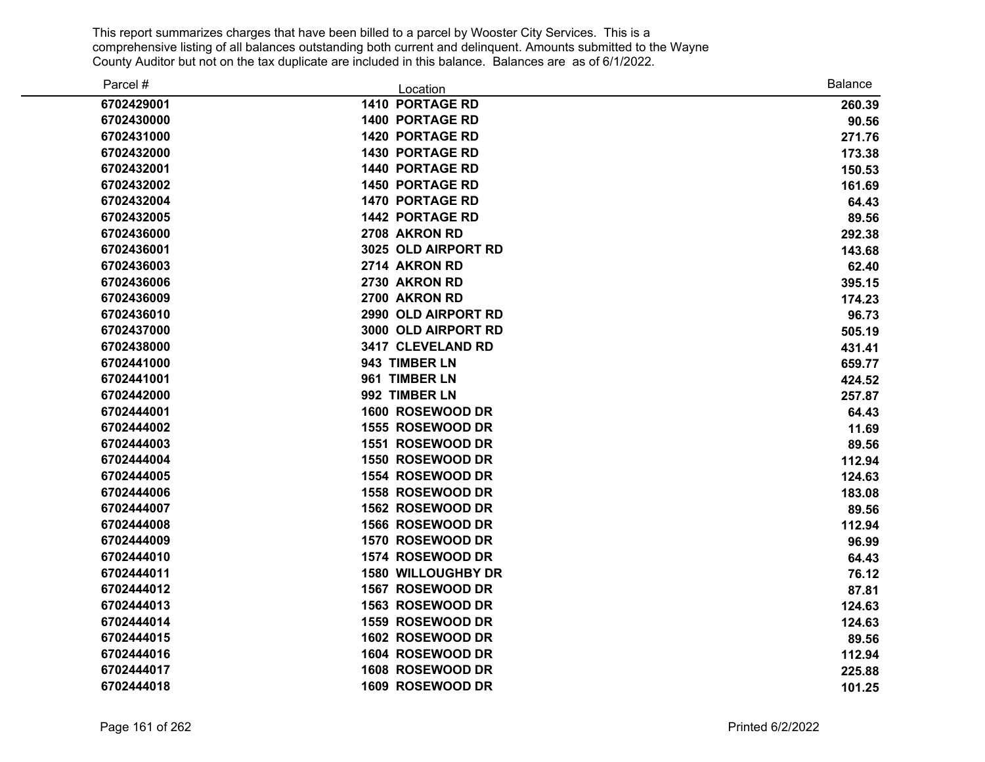| Parcel #   | Location                  | <b>Balance</b> |
|------------|---------------------------|----------------|
| 6702429001 | <b>1410 PORTAGE RD</b>    | 260.39         |
| 6702430000 | <b>1400 PORTAGE RD</b>    | 90.56          |
| 6702431000 | <b>1420 PORTAGE RD</b>    | 271.76         |
| 6702432000 | <b>1430 PORTAGE RD</b>    | 173.38         |
| 6702432001 | <b>1440 PORTAGE RD</b>    | 150.53         |
| 6702432002 | <b>1450 PORTAGE RD</b>    | 161.69         |
| 6702432004 | <b>1470 PORTAGE RD</b>    | 64.43          |
| 6702432005 | <b>1442 PORTAGE RD</b>    | 89.56          |
| 6702436000 | 2708 AKRON RD             | 292.38         |
| 6702436001 | 3025 OLD AIRPORT RD       | 143.68         |
| 6702436003 | 2714 AKRON RD             | 62.40          |
| 6702436006 | 2730 AKRON RD             | 395.15         |
| 6702436009 | 2700 AKRON RD             | 174.23         |
| 6702436010 | 2990 OLD AIRPORT RD       | 96.73          |
| 6702437000 | 3000 OLD AIRPORT RD       | 505.19         |
| 6702438000 | 3417 CLEVELAND RD         | 431.41         |
| 6702441000 | 943 TIMBER LN             | 659.77         |
| 6702441001 | 961 TIMBER LN             | 424.52         |
| 6702442000 | 992 TIMBER LN             | 257.87         |
| 6702444001 | 1600 ROSEWOOD DR          | 64.43          |
| 6702444002 | 1555 ROSEWOOD DR          | 11.69          |
| 6702444003 | 1551 ROSEWOOD DR          | 89.56          |
| 6702444004 | 1550 ROSEWOOD DR          | 112.94         |
| 6702444005 | 1554 ROSEWOOD DR          | 124.63         |
| 6702444006 | 1558 ROSEWOOD DR          | 183.08         |
| 6702444007 | 1562 ROSEWOOD DR          | 89.56          |
| 6702444008 | 1566 ROSEWOOD DR          | 112.94         |
| 6702444009 | 1570 ROSEWOOD DR          | 96.99          |
| 6702444010 | 1574 ROSEWOOD DR          | 64.43          |
| 6702444011 | <b>1580 WILLOUGHBY DR</b> | 76.12          |
| 6702444012 | 1567 ROSEWOOD DR          | 87.81          |
| 6702444013 | 1563 ROSEWOOD DR          | 124.63         |
| 6702444014 | 1559 ROSEWOOD DR          | 124.63         |
| 6702444015 | 1602 ROSEWOOD DR          | 89.56          |
| 6702444016 | 1604 ROSEWOOD DR          | 112.94         |
| 6702444017 | 1608 ROSEWOOD DR          | 225.88         |
| 6702444018 | 1609 ROSEWOOD DR          | 101.25         |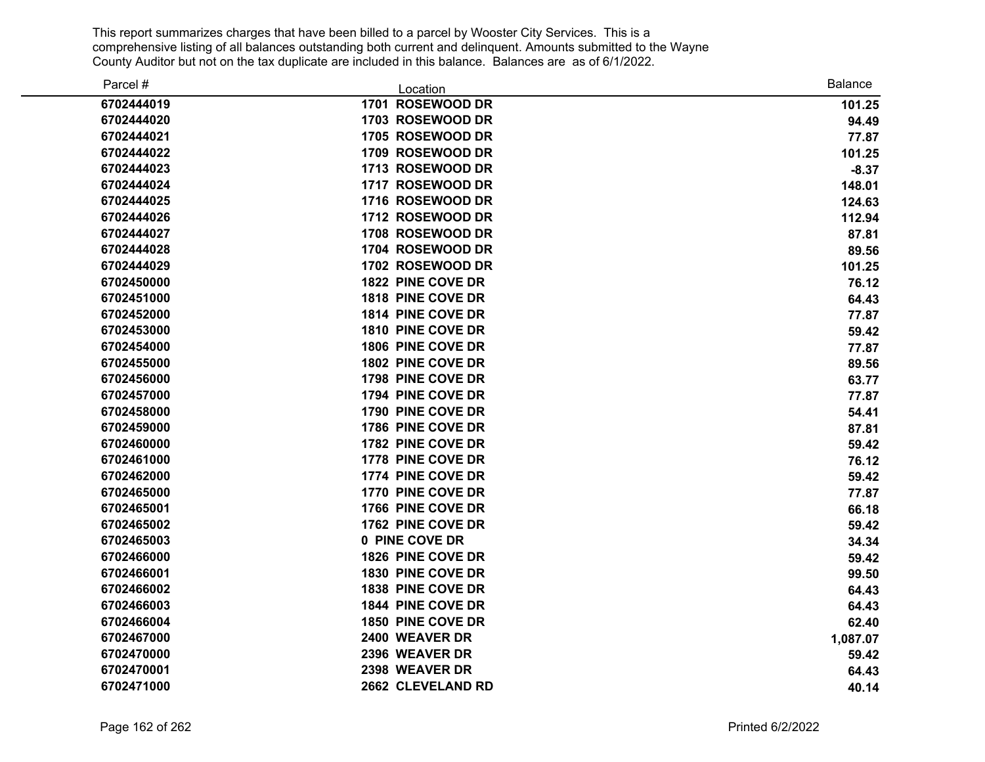| Parcel #   | Location          | <b>Balance</b> |
|------------|-------------------|----------------|
| 6702444019 | 1701 ROSEWOOD DR  | 101.25         |
| 6702444020 | 1703 ROSEWOOD DR  | 94.49          |
| 6702444021 | 1705 ROSEWOOD DR  | 77.87          |
| 6702444022 | 1709 ROSEWOOD DR  | 101.25         |
| 6702444023 | 1713 ROSEWOOD DR  | $-8.37$        |
| 6702444024 | 1717 ROSEWOOD DR  | 148.01         |
| 6702444025 | 1716 ROSEWOOD DR  | 124.63         |
| 6702444026 | 1712 ROSEWOOD DR  | 112.94         |
| 6702444027 | 1708 ROSEWOOD DR  | 87.81          |
| 6702444028 | 1704 ROSEWOOD DR  | 89.56          |
| 6702444029 | 1702 ROSEWOOD DR  | 101.25         |
| 6702450000 | 1822 PINE COVE DR | 76.12          |
| 6702451000 | 1818 PINE COVE DR | 64.43          |
| 6702452000 | 1814 PINE COVE DR | 77.87          |
| 6702453000 | 1810 PINE COVE DR | 59.42          |
| 6702454000 | 1806 PINE COVE DR | 77.87          |
| 6702455000 | 1802 PINE COVE DR | 89.56          |
| 6702456000 | 1798 PINE COVE DR | 63.77          |
| 6702457000 | 1794 PINE COVE DR | 77.87          |
| 6702458000 | 1790 PINE COVE DR | 54.41          |
| 6702459000 | 1786 PINE COVE DR | 87.81          |
| 6702460000 | 1782 PINE COVE DR | 59.42          |
| 6702461000 | 1778 PINE COVE DR | 76.12          |
| 6702462000 | 1774 PINE COVE DR | 59.42          |
| 6702465000 | 1770 PINE COVE DR | 77.87          |
| 6702465001 | 1766 PINE COVE DR | 66.18          |
| 6702465002 | 1762 PINE COVE DR | 59.42          |
| 6702465003 | 0 PINE COVE DR    | 34.34          |
| 6702466000 | 1826 PINE COVE DR | 59.42          |
| 6702466001 | 1830 PINE COVE DR | 99.50          |
| 6702466002 | 1838 PINE COVE DR | 64.43          |
| 6702466003 | 1844 PINE COVE DR | 64.43          |
| 6702466004 | 1850 PINE COVE DR | 62.40          |
| 6702467000 | 2400 WEAVER DR    | 1,087.07       |
| 6702470000 | 2396 WEAVER DR    | 59.42          |
| 6702470001 | 2398 WEAVER DR    | 64.43          |
| 6702471000 | 2662 CLEVELAND RD | 40.14          |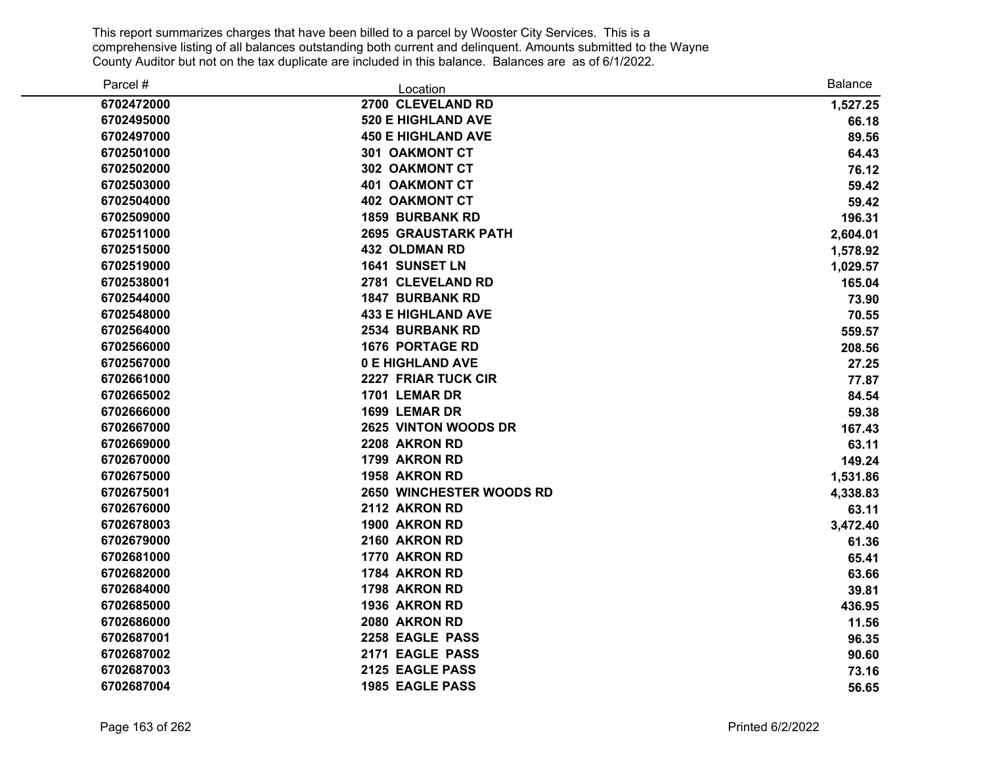| Parcel #   | Location                   | <b>Balance</b> |
|------------|----------------------------|----------------|
| 6702472000 | 2700 CLEVELAND RD          | 1,527.25       |
| 6702495000 | <b>520 E HIGHLAND AVE</b>  | 66.18          |
| 6702497000 | <b>450 E HIGHLAND AVE</b>  | 89.56          |
| 6702501000 | <b>301 OAKMONT CT</b>      | 64.43          |
| 6702502000 | 302 OAKMONT CT             | 76.12          |
| 6702503000 | <b>401 OAKMONT CT</b>      | 59.42          |
| 6702504000 | <b>402 OAKMONT CT</b>      | 59.42          |
| 6702509000 | <b>1859 BURBANK RD</b>     | 196.31         |
| 6702511000 | <b>2695 GRAUSTARK PATH</b> | 2,604.01       |
| 6702515000 | <b>432 OLDMAN RD</b>       | 1,578.92       |
| 6702519000 | 1641 SUNSET LN             | 1,029.57       |
| 6702538001 | 2781 CLEVELAND RD          | 165.04         |
| 6702544000 | <b>1847 BURBANK RD</b>     | 73.90          |
| 6702548000 | <b>433 E HIGHLAND AVE</b>  | 70.55          |
| 6702564000 | 2534 BURBANK RD            | 559.57         |
| 6702566000 | <b>1676 PORTAGE RD</b>     | 208.56         |
| 6702567000 | <b>0 E HIGHLAND AVE</b>    | 27.25          |
| 6702661000 | 2227 FRIAR TUCK CIR        | 77.87          |
| 6702665002 | 1701 LEMAR DR              | 84.54          |
| 6702666000 | 1699 LEMAR DR              | 59.38          |
| 6702667000 | 2625 VINTON WOODS DR       | 167.43         |
| 6702669000 | 2208 AKRON RD              | 63.11          |
| 6702670000 | 1799 AKRON RD              | 149.24         |
| 6702675000 | 1958 AKRON RD              | 1,531.86       |
| 6702675001 | 2650 WINCHESTER WOODS RD   | 4,338.83       |
| 6702676000 | 2112 AKRON RD              | 63.11          |
| 6702678003 | 1900 AKRON RD              | 3,472.40       |
| 6702679000 | 2160 AKRON RD              | 61.36          |
| 6702681000 | 1770 AKRON RD              | 65.41          |
| 6702682000 | 1784 AKRON RD              | 63.66          |
| 6702684000 | 1798 AKRON RD              | 39.81          |
| 6702685000 | 1936 AKRON RD              | 436.95         |
| 6702686000 | 2080 AKRON RD              | 11.56          |
| 6702687001 | 2258 EAGLE PASS            | 96.35          |
| 6702687002 | 2171 EAGLE PASS            | 90.60          |
| 6702687003 | 2125 EAGLE PASS            | 73.16          |
| 6702687004 | <b>1985 EAGLE PASS</b>     | 56.65          |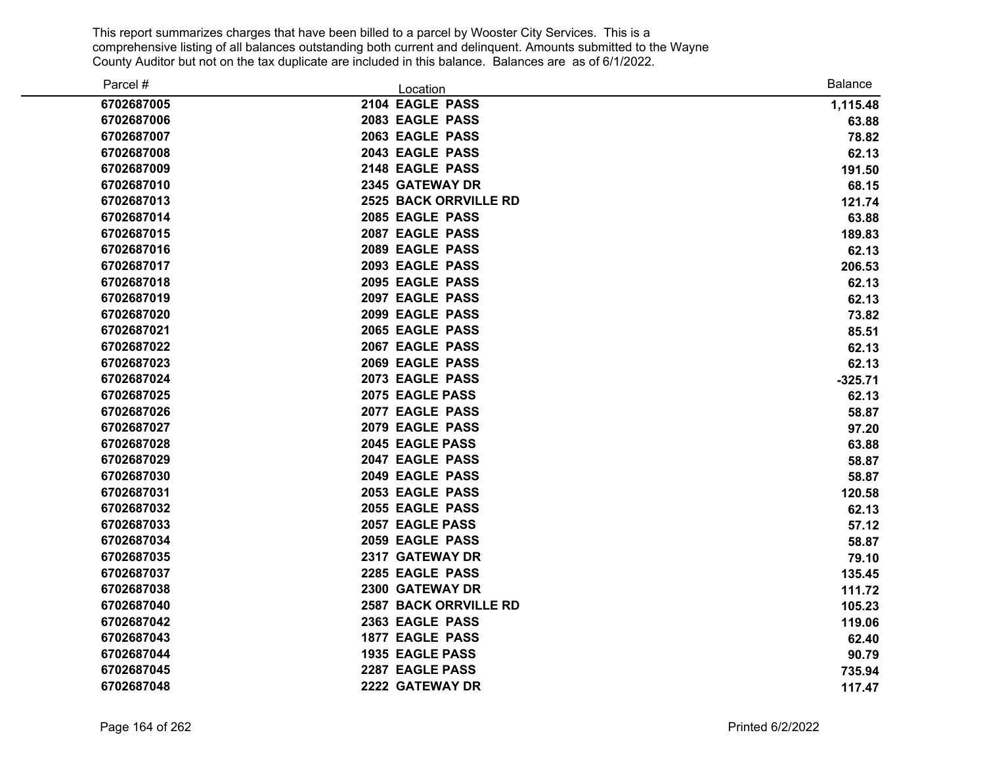| Parcel #   | Location                     | <b>Balance</b> |
|------------|------------------------------|----------------|
| 6702687005 | 2104 EAGLE PASS              | 1,115.48       |
| 6702687006 | 2083 EAGLE PASS              | 63.88          |
| 6702687007 | 2063 EAGLE PASS              | 78.82          |
| 6702687008 | 2043 EAGLE PASS              | 62.13          |
| 6702687009 | 2148 EAGLE PASS              | 191.50         |
| 6702687010 | 2345 GATEWAY DR              | 68.15          |
| 6702687013 | <b>2525 BACK ORRVILLE RD</b> | 121.74         |
| 6702687014 | 2085 EAGLE PASS              | 63.88          |
| 6702687015 | 2087 EAGLE PASS              | 189.83         |
| 6702687016 | 2089 EAGLE PASS              | 62.13          |
| 6702687017 | 2093 EAGLE PASS              | 206.53         |
| 6702687018 | 2095 EAGLE PASS              | 62.13          |
| 6702687019 | 2097 EAGLE PASS              | 62.13          |
| 6702687020 | 2099 EAGLE PASS              | 73.82          |
| 6702687021 | 2065 EAGLE PASS              | 85.51          |
| 6702687022 | 2067 EAGLE PASS              | 62.13          |
| 6702687023 | 2069 EAGLE PASS              | 62.13          |
| 6702687024 | 2073 EAGLE PASS              | $-325.71$      |
| 6702687025 | 2075 EAGLE PASS              | 62.13          |
| 6702687026 | 2077 EAGLE PASS              | 58.87          |
| 6702687027 | 2079 EAGLE PASS              | 97.20          |
| 6702687028 | 2045 EAGLE PASS              | 63.88          |
| 6702687029 | 2047 EAGLE PASS              | 58.87          |
| 6702687030 | 2049 EAGLE PASS              | 58.87          |
| 6702687031 | 2053 EAGLE PASS              | 120.58         |
| 6702687032 | 2055 EAGLE PASS              | 62.13          |
| 6702687033 | 2057 EAGLE PASS              | 57.12          |
| 6702687034 | 2059 EAGLE PASS              | 58.87          |
| 6702687035 | 2317 GATEWAY DR              | 79.10          |
| 6702687037 | 2285 EAGLE PASS              | 135.45         |
| 6702687038 | 2300 GATEWAY DR              | 111.72         |
| 6702687040 | <b>2587 BACK ORRVILLE RD</b> | 105.23         |
| 6702687042 | 2363 EAGLE PASS              | 119.06         |
| 6702687043 | <b>1877 EAGLE PASS</b>       | 62.40          |
| 6702687044 | <b>1935 EAGLE PASS</b>       | 90.79          |
| 6702687045 | 2287 EAGLE PASS              | 735.94         |
| 6702687048 | 2222 GATEWAY DR              | 117.47         |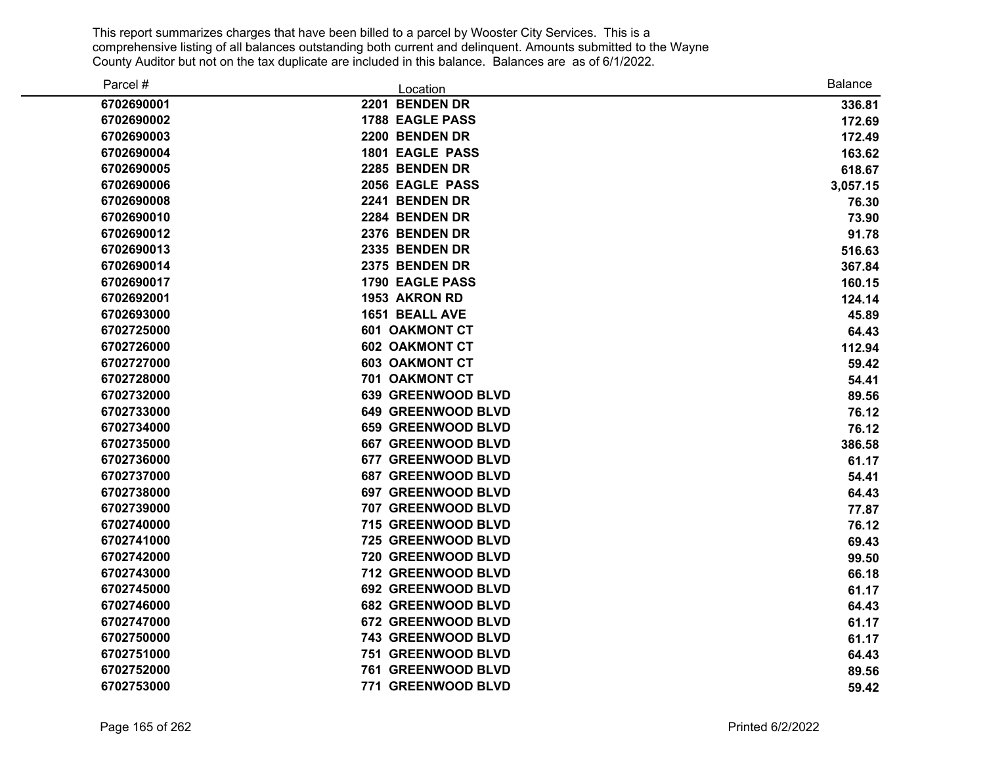| Parcel #   | Location                  | <b>Balance</b> |
|------------|---------------------------|----------------|
| 6702690001 | 2201 BENDEN DR            | 336.81         |
| 6702690002 | <b>1788 EAGLE PASS</b>    | 172.69         |
| 6702690003 | 2200 BENDEN DR            | 172.49         |
| 6702690004 | 1801 EAGLE PASS           | 163.62         |
| 6702690005 | 2285 BENDEN DR            | 618.67         |
| 6702690006 | 2056 EAGLE PASS           | 3,057.15       |
| 6702690008 | 2241 BENDEN DR            | 76.30          |
| 6702690010 | 2284 BENDEN DR            | 73.90          |
| 6702690012 | 2376 BENDEN DR            | 91.78          |
| 6702690013 | 2335 BENDEN DR            | 516.63         |
| 6702690014 | 2375 BENDEN DR            | 367.84         |
| 6702690017 | <b>1790 EAGLE PASS</b>    | 160.15         |
| 6702692001 | 1953 AKRON RD             | 124.14         |
| 6702693000 | 1651 BEALL AVE            | 45.89          |
| 6702725000 | <b>601 OAKMONT CT</b>     | 64.43          |
| 6702726000 | <b>602 OAKMONT CT</b>     | 112.94         |
| 6702727000 | <b>603 OAKMONT CT</b>     | 59.42          |
| 6702728000 | 701 OAKMONT CT            | 54.41          |
| 6702732000 | 639 GREENWOOD BLVD        | 89.56          |
| 6702733000 | <b>649 GREENWOOD BLVD</b> | 76.12          |
| 6702734000 | 659 GREENWOOD BLVD        | 76.12          |
| 6702735000 | <b>667 GREENWOOD BLVD</b> | 386.58         |
| 6702736000 | 677 GREENWOOD BLVD        | 61.17          |
| 6702737000 | <b>687 GREENWOOD BLVD</b> | 54.41          |
| 6702738000 | <b>697 GREENWOOD BLVD</b> | 64.43          |
| 6702739000 | 707 GREENWOOD BLVD        | 77.87          |
| 6702740000 | 715 GREENWOOD BLVD        | 76.12          |
| 6702741000 | 725 GREENWOOD BLVD        | 69.43          |
| 6702742000 | 720 GREENWOOD BLVD        | 99.50          |
| 6702743000 | 712 GREENWOOD BLVD        | 66.18          |
| 6702745000 | 692 GREENWOOD BLVD        | 61.17          |
| 6702746000 | <b>682 GREENWOOD BLVD</b> | 64.43          |
| 6702747000 | 672 GREENWOOD BLVD        | 61.17          |
| 6702750000 | 743 GREENWOOD BLVD        | 61.17          |
| 6702751000 | 751 GREENWOOD BLVD        | 64.43          |
| 6702752000 | 761 GREENWOOD BLVD        | 89.56          |
| 6702753000 | 771 GREENWOOD BLVD        | 59.42          |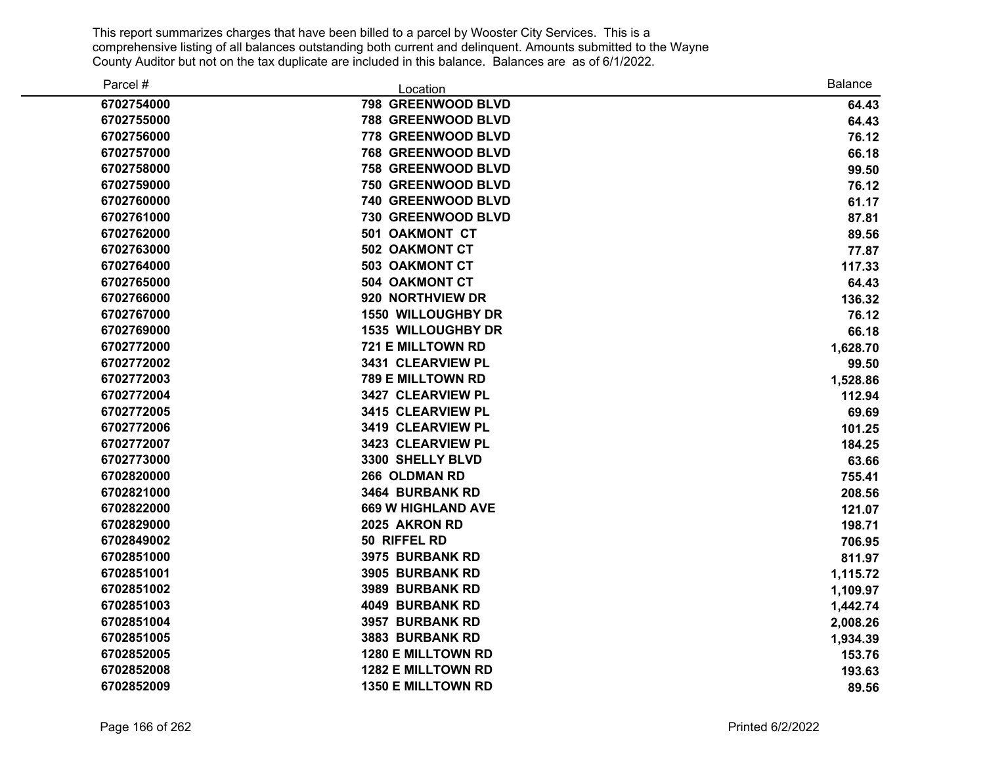| Parcel #   | Location                  | <b>Balance</b> |
|------------|---------------------------|----------------|
| 6702754000 | 798 GREENWOOD BLVD        | 64.43          |
| 6702755000 | 788 GREENWOOD BLVD        | 64.43          |
| 6702756000 | 778 GREENWOOD BLVD        | 76.12          |
| 6702757000 | <b>768 GREENWOOD BLVD</b> | 66.18          |
| 6702758000 | 758 GREENWOOD BLVD        | 99.50          |
| 6702759000 | 750 GREENWOOD BLVD        | 76.12          |
| 6702760000 | 740 GREENWOOD BLVD        | 61.17          |
| 6702761000 | 730 GREENWOOD BLVD        | 87.81          |
| 6702762000 | 501 OAKMONT CT            | 89.56          |
| 6702763000 | 502 OAKMONT CT            | 77.87          |
| 6702764000 | <b>503 OAKMONT CT</b>     | 117.33         |
| 6702765000 | 504 OAKMONT CT            | 64.43          |
| 6702766000 | 920 NORTHVIEW DR          | 136.32         |
| 6702767000 | <b>1550 WILLOUGHBY DR</b> | 76.12          |
| 6702769000 | <b>1535 WILLOUGHBY DR</b> | 66.18          |
| 6702772000 | 721 E MILLTOWN RD         | 1,628.70       |
| 6702772002 | 3431 CLEARVIEW PL         | 99.50          |
| 6702772003 | 789 E MILLTOWN RD         | 1,528.86       |
| 6702772004 | 3427 CLEARVIEW PL         | 112.94         |
| 6702772005 | 3415 CLEARVIEW PL         | 69.69          |
| 6702772006 | 3419 CLEARVIEW PL         | 101.25         |
| 6702772007 | 3423 CLEARVIEW PL         | 184.25         |
| 6702773000 | 3300 SHELLY BLVD          | 63.66          |
| 6702820000 | 266 OLDMAN RD             | 755.41         |
| 6702821000 | 3464 BURBANK RD           | 208.56         |
| 6702822000 | <b>669 W HIGHLAND AVE</b> | 121.07         |
| 6702829000 | 2025 AKRON RD             | 198.71         |
| 6702849002 | 50 RIFFEL RD              | 706.95         |
| 6702851000 | 3975 BURBANK RD           | 811.97         |
| 6702851001 | 3905 BURBANK RD           | 1,115.72       |
| 6702851002 | 3989 BURBANK RD           | 1,109.97       |
| 6702851003 | 4049 BURBANK RD           | 1,442.74       |
| 6702851004 | 3957 BURBANK RD           | 2,008.26       |
| 6702851005 | 3883 BURBANK RD           | 1,934.39       |
| 6702852005 | 1280 E MILLTOWN RD        | 153.76         |
| 6702852008 | 1282 E MILLTOWN RD        | 193.63         |
| 6702852009 | 1350 E MILLTOWN RD        | 89.56          |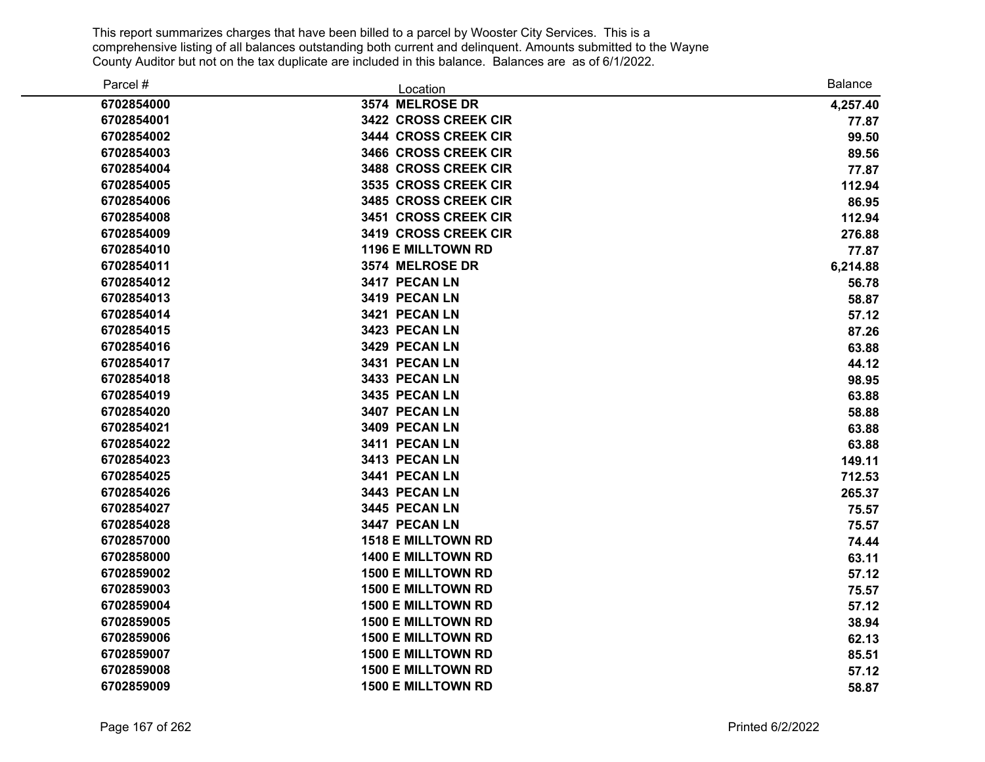| Parcel #   | Location                  | <b>Balance</b> |
|------------|---------------------------|----------------|
| 6702854000 | 3574 MELROSE DR           | 4,257.40       |
| 6702854001 | 3422 CROSS CREEK CIR      | 77.87          |
| 6702854002 | 3444 CROSS CREEK CIR      | 99.50          |
| 6702854003 | 3466 CROSS CREEK CIR      | 89.56          |
| 6702854004 | 3488 CROSS CREEK CIR      | 77.87          |
| 6702854005 | 3535 CROSS CREEK CIR      | 112.94         |
| 6702854006 | 3485 CROSS CREEK CIR      | 86.95          |
| 6702854008 | 3451 CROSS CREEK CIR      | 112.94         |
| 6702854009 | 3419 CROSS CREEK CIR      | 276.88         |
| 6702854010 | <b>1196 E MILLTOWN RD</b> | 77.87          |
| 6702854011 | 3574 MELROSE DR           | 6,214.88       |
| 6702854012 | 3417 PECAN LN             | 56.78          |
| 6702854013 | 3419 PECAN LN             | 58.87          |
| 6702854014 | 3421 PECAN LN             | 57.12          |
| 6702854015 | 3423 PECAN LN             | 87.26          |
| 6702854016 | 3429 PECAN LN             | 63.88          |
| 6702854017 | 3431 PECAN LN             | 44.12          |
| 6702854018 | 3433 PECAN LN             | 98.95          |
| 6702854019 | 3435 PECAN LN             | 63.88          |
| 6702854020 | 3407 PECAN LN             | 58.88          |
| 6702854021 | 3409 PECAN LN             | 63.88          |
| 6702854022 | 3411 PECAN LN             | 63.88          |
| 6702854023 | 3413 PECAN LN             | 149.11         |
| 6702854025 | 3441 PECAN LN             | 712.53         |
| 6702854026 | 3443 PECAN LN             | 265.37         |
| 6702854027 | 3445 PECAN LN             | 75.57          |
| 6702854028 | 3447 PECAN LN             | 75.57          |
| 6702857000 | <b>1518 E MILLTOWN RD</b> | 74.44          |
| 6702858000 | <b>1400 E MILLTOWN RD</b> | 63.11          |
| 6702859002 | <b>1500 E MILLTOWN RD</b> | 57.12          |
| 6702859003 | <b>1500 E MILLTOWN RD</b> | 75.57          |
| 6702859004 | <b>1500 E MILLTOWN RD</b> | 57.12          |
| 6702859005 | <b>1500 E MILLTOWN RD</b> | 38.94          |
| 6702859006 | <b>1500 E MILLTOWN RD</b> | 62.13          |
| 6702859007 | <b>1500 E MILLTOWN RD</b> | 85.51          |
| 6702859008 | <b>1500 E MILLTOWN RD</b> | 57.12          |
| 6702859009 | <b>1500 E MILLTOWN RD</b> | 58.87          |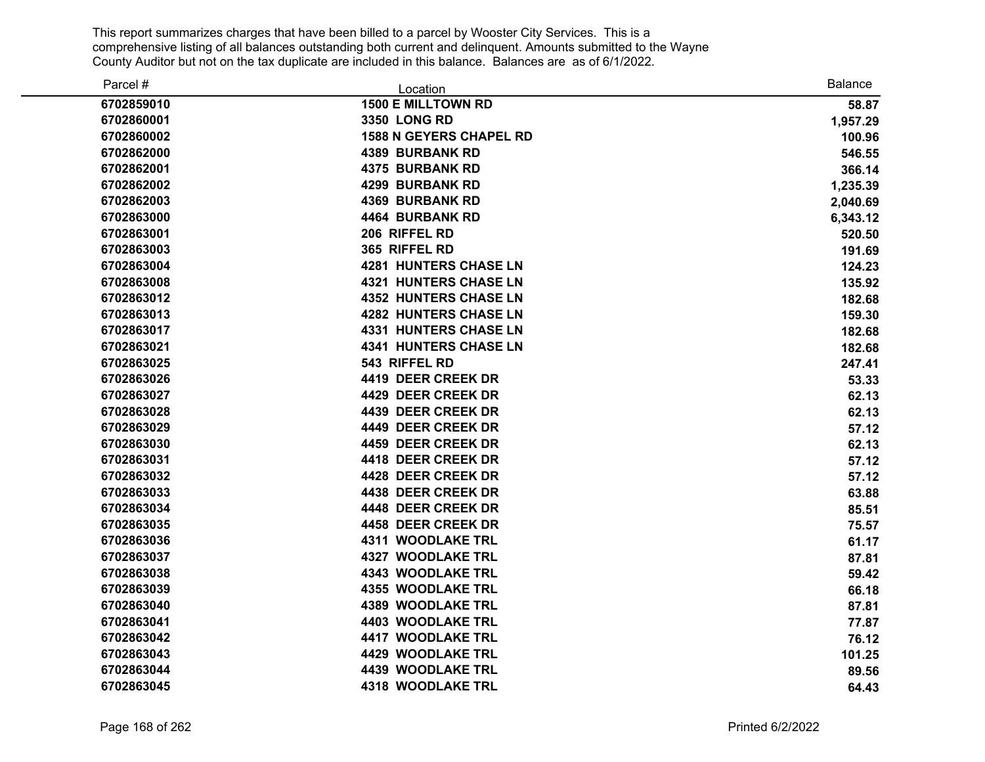| Parcel #   | Location                       | <b>Balance</b> |
|------------|--------------------------------|----------------|
| 6702859010 | <b>1500 E MILLTOWN RD</b>      | 58.87          |
| 6702860001 | 3350 LONG RD                   | 1,957.29       |
| 6702860002 | <b>1588 N GEYERS CHAPEL RD</b> | 100.96         |
| 6702862000 | <b>4389 BURBANK RD</b>         | 546.55         |
| 6702862001 | <b>4375 BURBANK RD</b>         | 366.14         |
| 6702862002 | <b>4299 BURBANK RD</b>         | 1,235.39       |
| 6702862003 | <b>4369 BURBANK RD</b>         | 2,040.69       |
| 6702863000 | <b>4464 BURBANK RD</b>         | 6,343.12       |
| 6702863001 | 206 RIFFEL RD                  | 520.50         |
| 6702863003 | 365 RIFFEL RD                  | 191.69         |
| 6702863004 | <b>4281 HUNTERS CHASE LN</b>   | 124.23         |
| 6702863008 | <b>4321 HUNTERS CHASE LN</b>   | 135.92         |
| 6702863012 | <b>4352 HUNTERS CHASE LN</b>   | 182.68         |
| 6702863013 | <b>4282 HUNTERS CHASE LN</b>   | 159.30         |
| 6702863017 | <b>4331 HUNTERS CHASE LN</b>   | 182.68         |
| 6702863021 | <b>4341 HUNTERS CHASE LN</b>   | 182.68         |
| 6702863025 | 543 RIFFEL RD                  | 247.41         |
| 6702863026 | 4419 DEER CREEK DR             | 53.33          |
| 6702863027 | 4429 DEER CREEK DR             | 62.13          |
| 6702863028 | 4439 DEER CREEK DR             | 62.13          |
| 6702863029 | 4449 DEER CREEK DR             | 57.12          |
| 6702863030 | 4459 DEER CREEK DR             | 62.13          |
| 6702863031 | 4418 DEER CREEK DR             | 57.12          |
| 6702863032 | 4428 DEER CREEK DR             | 57.12          |
| 6702863033 | 4438 DEER CREEK DR             | 63.88          |
| 6702863034 | 4448 DEER CREEK DR             | 85.51          |
| 6702863035 | 4458 DEER CREEK DR             | 75.57          |
| 6702863036 | <b>4311 WOODLAKE TRL</b>       | 61.17          |
| 6702863037 | <b>4327 WOODLAKE TRL</b>       | 87.81          |
| 6702863038 | <b>4343 WOODLAKE TRL</b>       | 59.42          |
| 6702863039 | <b>4355 WOODLAKE TRL</b>       | 66.18          |
| 6702863040 | <b>4389 WOODLAKE TRL</b>       | 87.81          |
| 6702863041 | <b>4403 WOODLAKE TRL</b>       | 77.87          |
| 6702863042 | <b>4417 WOODLAKE TRL</b>       | 76.12          |
| 6702863043 | 4429 WOODLAKE TRL              | 101.25         |
| 6702863044 | <b>4439 WOODLAKE TRL</b>       | 89.56          |
| 6702863045 | <b>4318 WOODLAKE TRL</b>       | 64.43          |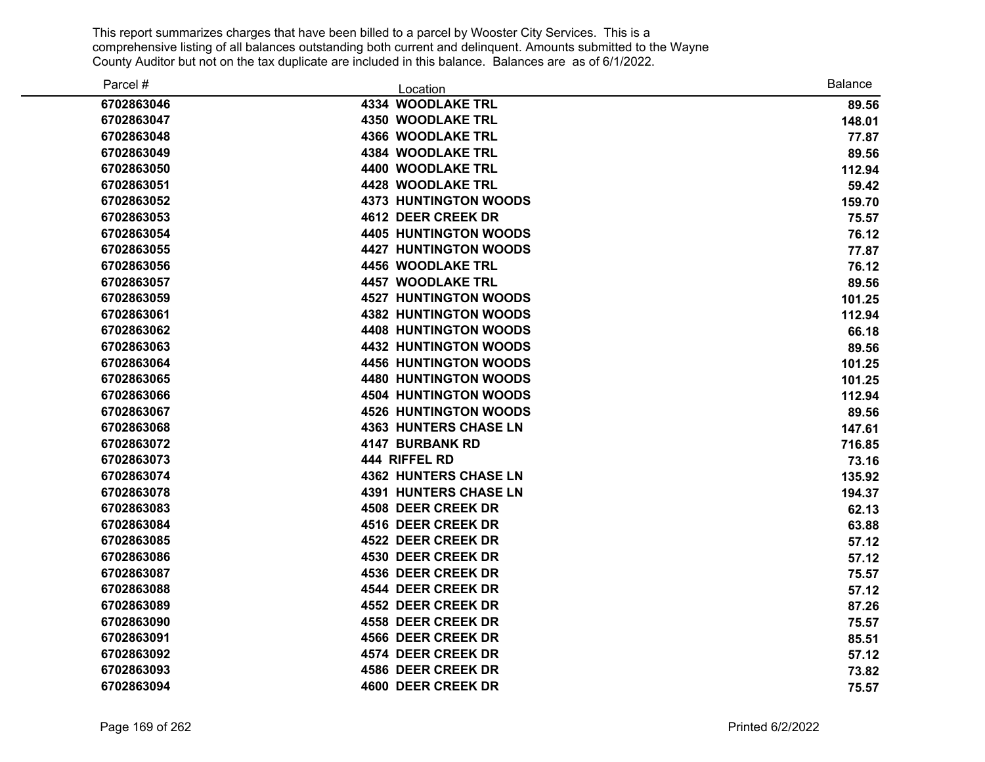| Parcel #   | Location                     | <b>Balance</b> |
|------------|------------------------------|----------------|
| 6702863046 | <b>4334 WOODLAKE TRL</b>     | 89.56          |
| 6702863047 | <b>4350 WOODLAKE TRL</b>     | 148.01         |
| 6702863048 | <b>4366 WOODLAKE TRL</b>     | 77.87          |
| 6702863049 | <b>4384 WOODLAKE TRL</b>     | 89.56          |
| 6702863050 | 4400 WOODLAKE TRL            | 112.94         |
| 6702863051 | 4428 WOODLAKE TRL            | 59.42          |
| 6702863052 | <b>4373 HUNTINGTON WOODS</b> | 159.70         |
| 6702863053 | 4612 DEER CREEK DR           | 75.57          |
| 6702863054 | <b>4405 HUNTINGTON WOODS</b> | 76.12          |
| 6702863055 | <b>4427 HUNTINGTON WOODS</b> | 77.87          |
| 6702863056 | <b>4456 WOODLAKE TRL</b>     | 76.12          |
| 6702863057 | <b>4457 WOODLAKE TRL</b>     | 89.56          |
| 6702863059 | <b>4527 HUNTINGTON WOODS</b> | 101.25         |
| 6702863061 | <b>4382 HUNTINGTON WOODS</b> | 112.94         |
| 6702863062 | <b>4408 HUNTINGTON WOODS</b> | 66.18          |
| 6702863063 | <b>4432 HUNTINGTON WOODS</b> | 89.56          |
| 6702863064 | <b>4456 HUNTINGTON WOODS</b> | 101.25         |
| 6702863065 | <b>4480 HUNTINGTON WOODS</b> | 101.25         |
| 6702863066 | <b>4504 HUNTINGTON WOODS</b> | 112.94         |
| 6702863067 | <b>4526 HUNTINGTON WOODS</b> | 89.56          |
| 6702863068 | <b>4363 HUNTERS CHASE LN</b> | 147.61         |
| 6702863072 | <b>4147 BURBANK RD</b>       | 716.85         |
| 6702863073 | 444 RIFFEL RD                | 73.16          |
| 6702863074 | <b>4362 HUNTERS CHASE LN</b> | 135.92         |
| 6702863078 | <b>4391 HUNTERS CHASE LN</b> | 194.37         |
| 6702863083 | <b>4508 DEER CREEK DR</b>    | 62.13          |
| 6702863084 | 4516 DEER CREEK DR           | 63.88          |
| 6702863085 | 4522 DEER CREEK DR           | 57.12          |
| 6702863086 | <b>4530 DEER CREEK DR</b>    | 57.12          |
| 6702863087 | <b>4536 DEER CREEK DR</b>    | 75.57          |
| 6702863088 | 4544 DEER CREEK DR           | 57.12          |
| 6702863089 | 4552 DEER CREEK DR           | 87.26          |
| 6702863090 | <b>4558 DEER CREEK DR</b>    | 75.57          |
| 6702863091 | 4566 DEER CREEK DR           | 85.51          |
| 6702863092 | 4574 DEER CREEK DR           | 57.12          |
| 6702863093 | 4586 DEER CREEK DR           | 73.82          |
| 6702863094 | 4600 DEER CREEK DR           | 75.57          |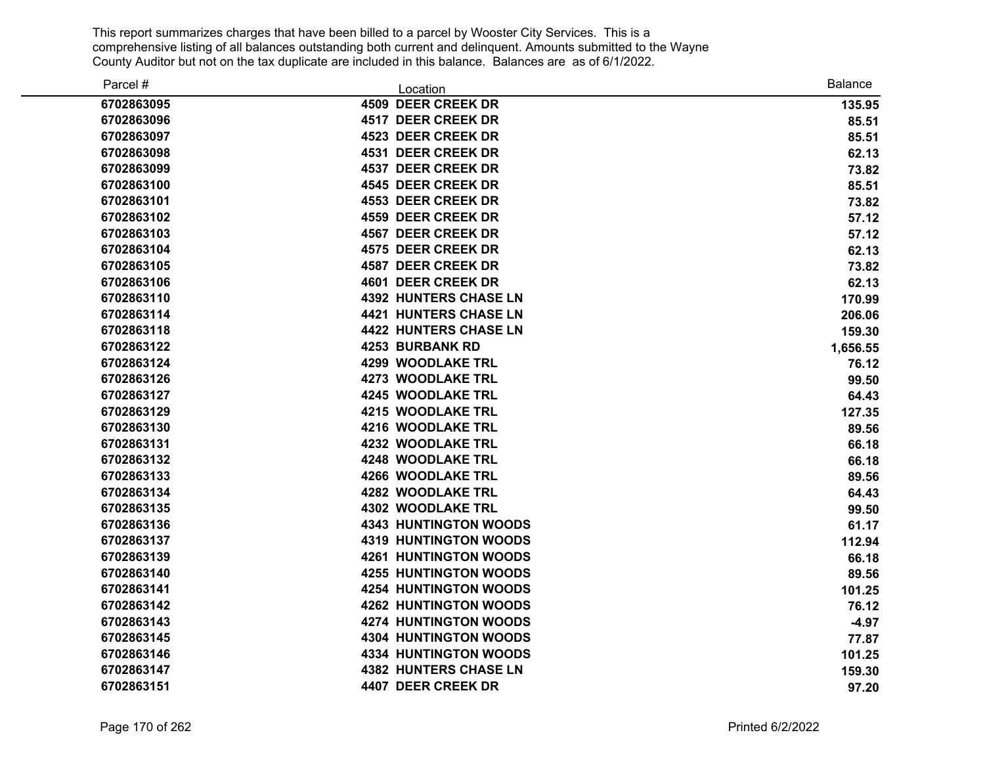| Parcel #   | Location                     | <b>Balance</b> |
|------------|------------------------------|----------------|
| 6702863095 | 4509 DEER CREEK DR           | 135.95         |
| 6702863096 | 4517 DEER CREEK DR           | 85.51          |
| 6702863097 | 4523 DEER CREEK DR           | 85.51          |
| 6702863098 | <b>4531 DEER CREEK DR</b>    | 62.13          |
| 6702863099 | 4537 DEER CREEK DR           | 73.82          |
| 6702863100 | <b>4545 DEER CREEK DR</b>    | 85.51          |
| 6702863101 | <b>4553 DEER CREEK DR</b>    | 73.82          |
| 6702863102 | <b>4559 DEER CREEK DR</b>    | 57.12          |
| 6702863103 | 4567 DEER CREEK DR           | 57.12          |
| 6702863104 | <b>4575 DEER CREEK DR</b>    | 62.13          |
| 6702863105 | 4587 DEER CREEK DR           | 73.82          |
| 6702863106 | 4601 DEER CREEK DR           | 62.13          |
| 6702863110 | <b>4392 HUNTERS CHASE LN</b> | 170.99         |
| 6702863114 | <b>4421 HUNTERS CHASE LN</b> | 206.06         |
| 6702863118 | <b>4422 HUNTERS CHASE LN</b> | 159.30         |
| 6702863122 | <b>4253 BURBANK RD</b>       | 1,656.55       |
| 6702863124 | <b>4299 WOODLAKE TRL</b>     | 76.12          |
| 6702863126 | <b>4273 WOODLAKE TRL</b>     | 99.50          |
| 6702863127 | <b>4245 WOODLAKE TRL</b>     | 64.43          |
| 6702863129 | 4215 WOODLAKE TRL            | 127.35         |
| 6702863130 | 4216 WOODLAKE TRL            | 89.56          |
| 6702863131 | 4232 WOODLAKE TRL            | 66.18          |
| 6702863132 | <b>4248 WOODLAKE TRL</b>     | 66.18          |
| 6702863133 | <b>4266 WOODLAKE TRL</b>     | 89.56          |
| 6702863134 | <b>4282 WOODLAKE TRL</b>     | 64.43          |
| 6702863135 | <b>4302 WOODLAKE TRL</b>     | 99.50          |
| 6702863136 | <b>4343 HUNTINGTON WOODS</b> | 61.17          |
| 6702863137 | <b>4319 HUNTINGTON WOODS</b> | 112.94         |
| 6702863139 | <b>4261 HUNTINGTON WOODS</b> | 66.18          |
| 6702863140 | <b>4255 HUNTINGTON WOODS</b> | 89.56          |
| 6702863141 | <b>4254 HUNTINGTON WOODS</b> | 101.25         |
| 6702863142 | <b>4262 HUNTINGTON WOODS</b> | 76.12          |
| 6702863143 | <b>4274 HUNTINGTON WOODS</b> | $-4.97$        |
| 6702863145 | <b>4304 HUNTINGTON WOODS</b> | 77.87          |
| 6702863146 | <b>4334 HUNTINGTON WOODS</b> | 101.25         |
| 6702863147 | <b>4382 HUNTERS CHASE LN</b> | 159.30         |
| 6702863151 | 4407 DEER CREEK DR           | 97.20          |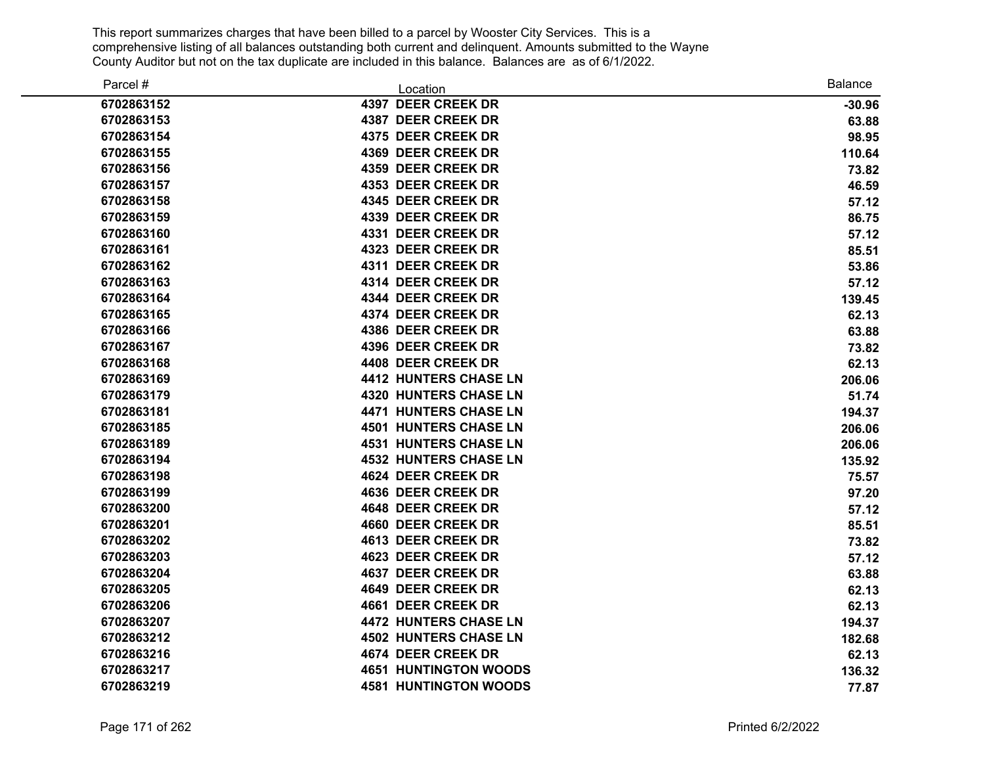| Parcel #   | Location                     | <b>Balance</b> |
|------------|------------------------------|----------------|
| 6702863152 | 4397 DEER CREEK DR           | $-30.96$       |
| 6702863153 | 4387 DEER CREEK DR           | 63.88          |
| 6702863154 | 4375 DEER CREEK DR           | 98.95          |
| 6702863155 | 4369 DEER CREEK DR           | 110.64         |
| 6702863156 | 4359 DEER CREEK DR           | 73.82          |
| 6702863157 | 4353 DEER CREEK DR           | 46.59          |
| 6702863158 | 4345 DEER CREEK DR           | 57.12          |
| 6702863159 | 4339 DEER CREEK DR           | 86.75          |
| 6702863160 | 4331 DEER CREEK DR           | 57.12          |
| 6702863161 | 4323 DEER CREEK DR           | 85.51          |
| 6702863162 | 4311 DEER CREEK DR           | 53.86          |
| 6702863163 | 4314 DEER CREEK DR           | 57.12          |
| 6702863164 | 4344 DEER CREEK DR           | 139.45         |
| 6702863165 | 4374 DEER CREEK DR           | 62.13          |
| 6702863166 | 4386 DEER CREEK DR           | 63.88          |
| 6702863167 | 4396 DEER CREEK DR           | 73.82          |
| 6702863168 | 4408 DEER CREEK DR           | 62.13          |
| 6702863169 | <b>4412 HUNTERS CHASE LN</b> | 206.06         |
| 6702863179 | <b>4320 HUNTERS CHASE LN</b> | 51.74          |
| 6702863181 | <b>4471 HUNTERS CHASE LN</b> | 194.37         |
| 6702863185 | <b>4501 HUNTERS CHASE LN</b> | 206.06         |
| 6702863189 | <b>4531 HUNTERS CHASE LN</b> | 206.06         |
| 6702863194 | <b>4532 HUNTERS CHASE LN</b> | 135.92         |
| 6702863198 | 4624 DEER CREEK DR           | 75.57          |
| 6702863199 | 4636 DEER CREEK DR           | 97.20          |
| 6702863200 | 4648 DEER CREEK DR           | 57.12          |
| 6702863201 | 4660 DEER CREEK DR           | 85.51          |
| 6702863202 | 4613 DEER CREEK DR           | 73.82          |
| 6702863203 | <b>4623 DEER CREEK DR</b>    | 57.12          |
| 6702863204 | <b>4637 DEER CREEK DR</b>    | 63.88          |
| 6702863205 | 4649 DEER CREEK DR           | 62.13          |
| 6702863206 | 4661 DEER CREEK DR           | 62.13          |
| 6702863207 | <b>4472 HUNTERS CHASE LN</b> | 194.37         |
| 6702863212 | <b>4502 HUNTERS CHASE LN</b> | 182.68         |
| 6702863216 | <b>4674 DEER CREEK DR</b>    | 62.13          |
| 6702863217 | <b>4651 HUNTINGTON WOODS</b> | 136.32         |
| 6702863219 | <b>4581 HUNTINGTON WOODS</b> | 77.87          |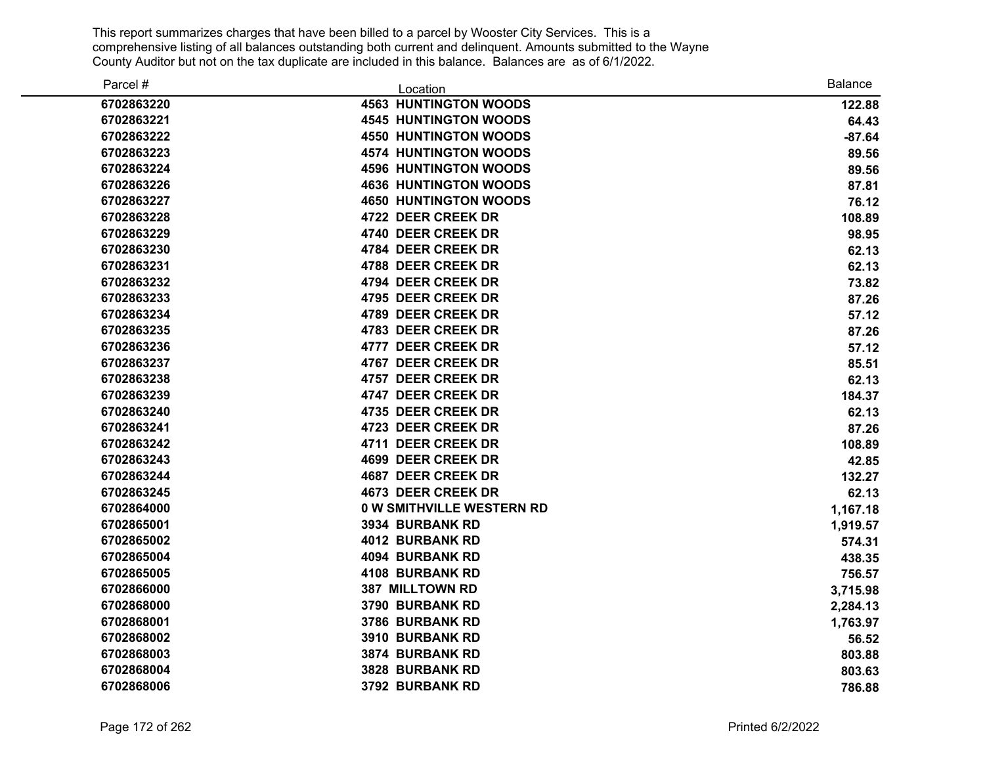| Parcel #   | Location                         | <b>Balance</b> |
|------------|----------------------------------|----------------|
| 6702863220 | <b>4563 HUNTINGTON WOODS</b>     | 122.88         |
| 6702863221 | <b>4545 HUNTINGTON WOODS</b>     | 64.43          |
| 6702863222 | <b>4550 HUNTINGTON WOODS</b>     | $-87.64$       |
| 6702863223 | <b>4574 HUNTINGTON WOODS</b>     | 89.56          |
| 6702863224 | <b>4596 HUNTINGTON WOODS</b>     | 89.56          |
| 6702863226 | <b>4636 HUNTINGTON WOODS</b>     | 87.81          |
| 6702863227 | <b>4650 HUNTINGTON WOODS</b>     | 76.12          |
| 6702863228 | 4722 DEER CREEK DR               | 108.89         |
| 6702863229 | 4740 DEER CREEK DR               | 98.95          |
| 6702863230 | 4784 DEER CREEK DR               | 62.13          |
| 6702863231 | 4788 DEER CREEK DR               | 62.13          |
| 6702863232 | 4794 DEER CREEK DR               | 73.82          |
| 6702863233 | 4795 DEER CREEK DR               | 87.26          |
| 6702863234 | 4789 DEER CREEK DR               | 57.12          |
| 6702863235 | 4783 DEER CREEK DR               | 87.26          |
| 6702863236 | 4777 DEER CREEK DR               | 57.12          |
| 6702863237 | 4767 DEER CREEK DR               | 85.51          |
| 6702863238 | 4757 DEER CREEK DR               | 62.13          |
| 6702863239 | 4747 DEER CREEK DR               | 184.37         |
| 6702863240 | 4735 DEER CREEK DR               | 62.13          |
| 6702863241 | 4723 DEER CREEK DR               | 87.26          |
| 6702863242 | 4711 DEER CREEK DR               | 108.89         |
| 6702863243 | 4699 DEER CREEK DR               | 42.85          |
| 6702863244 | <b>4687 DEER CREEK DR</b>        | 132.27         |
| 6702863245 | <b>4673 DEER CREEK DR</b>        | 62.13          |
| 6702864000 | <b>0 W SMITHVILLE WESTERN RD</b> | 1,167.18       |
| 6702865001 | <b>3934 BURBANK RD</b>           | 1,919.57       |
| 6702865002 | <b>4012 BURBANK RD</b>           | 574.31         |
| 6702865004 | <b>4094 BURBANK RD</b>           | 438.35         |
| 6702865005 | 4108 BURBANK RD                  | 756.57         |
| 6702866000 | 387 MILLTOWN RD                  | 3,715.98       |
| 6702868000 | 3790 BURBANK RD                  | 2,284.13       |
| 6702868001 | 3786 BURBANK RD                  | 1,763.97       |
| 6702868002 | 3910 BURBANK RD                  | 56.52          |
| 6702868003 | 3874 BURBANK RD                  | 803.88         |
| 6702868004 | 3828 BURBANK RD                  | 803.63         |
| 6702868006 | 3792 BURBANK RD                  | 786.88         |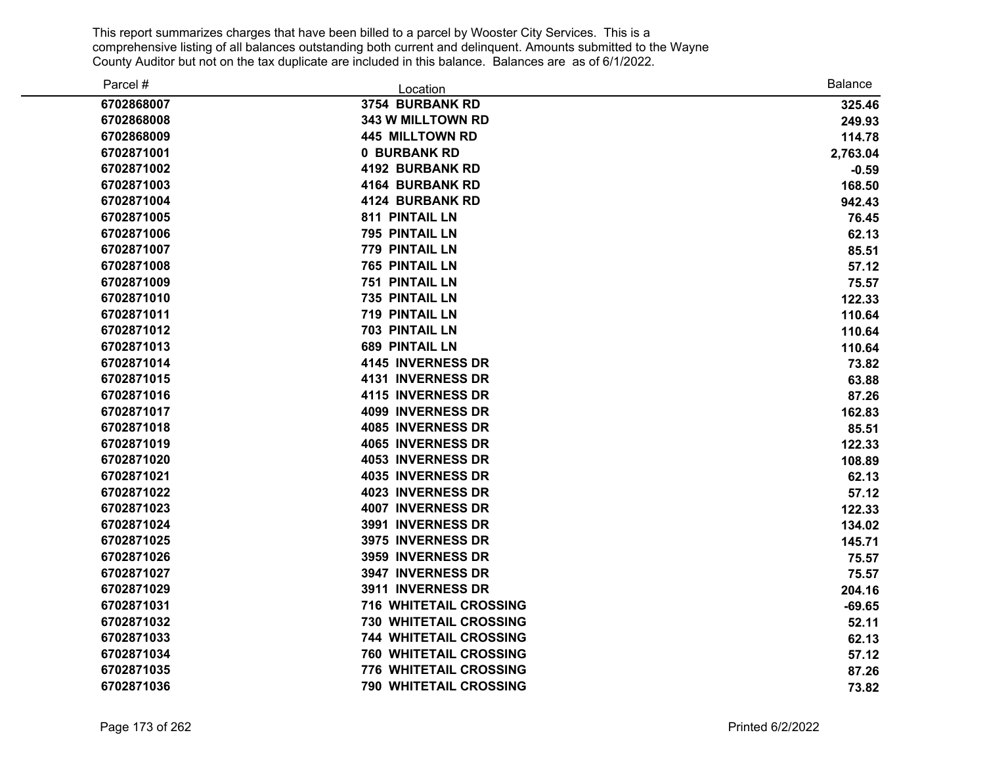| Parcel #   | Location                      | <b>Balance</b> |
|------------|-------------------------------|----------------|
| 6702868007 | 3754 BURBANK RD               | 325.46         |
| 6702868008 | 343 W MILLTOWN RD             | 249.93         |
| 6702868009 | <b>445 MILLTOWN RD</b>        | 114.78         |
| 6702871001 | 0 BURBANK RD                  | 2,763.04       |
| 6702871002 | <b>4192 BURBANK RD</b>        | $-0.59$        |
| 6702871003 | 4164 BURBANK RD               | 168.50         |
| 6702871004 | <b>4124 BURBANK RD</b>        | 942.43         |
| 6702871005 | <b>811 PINTAIL LN</b>         | 76.45          |
| 6702871006 | 795 PINTAIL LN                | 62.13          |
| 6702871007 | 779 PINTAIL LN                | 85.51          |
| 6702871008 | 765 PINTAIL LN                | 57.12          |
| 6702871009 | <b>751 PINTAIL LN</b>         | 75.57          |
| 6702871010 | 735 PINTAIL LN                | 122.33         |
| 6702871011 | <b>719 PINTAIL LN</b>         | 110.64         |
| 6702871012 | 703 PINTAIL LN                | 110.64         |
| 6702871013 | <b>689 PINTAIL LN</b>         | 110.64         |
| 6702871014 | <b>4145 INVERNESS DR</b>      | 73.82          |
| 6702871015 | 4131 INVERNESS DR             | 63.88          |
| 6702871016 | 4115 INVERNESS DR             | 87.26          |
| 6702871017 | 4099 INVERNESS DR             | 162.83         |
| 6702871018 | <b>4085 INVERNESS DR</b>      | 85.51          |
| 6702871019 | 4065 INVERNESS DR             | 122.33         |
| 6702871020 | <b>4053 INVERNESS DR</b>      | 108.89         |
| 6702871021 | <b>4035 INVERNESS DR</b>      | 62.13          |
| 6702871022 | <b>4023 INVERNESS DR</b>      | 57.12          |
| 6702871023 | 4007 INVERNESS DR             | 122.33         |
| 6702871024 | 3991 INVERNESS DR             | 134.02         |
| 6702871025 | 3975 INVERNESS DR             | 145.71         |
| 6702871026 | 3959 INVERNESS DR             | 75.57          |
| 6702871027 | 3947 INVERNESS DR             | 75.57          |
| 6702871029 | 3911 INVERNESS DR             | 204.16         |
| 6702871031 | <b>716 WHITETAIL CROSSING</b> | $-69.65$       |
| 6702871032 | 730 WHITETAIL CROSSING        | 52.11          |
| 6702871033 | <b>744 WHITETAIL CROSSING</b> | 62.13          |
| 6702871034 | <b>760 WHITETAIL CROSSING</b> | 57.12          |
| 6702871035 | 776 WHITETAIL CROSSING        | 87.26          |
| 6702871036 | <b>790 WHITETAIL CROSSING</b> | 73.82          |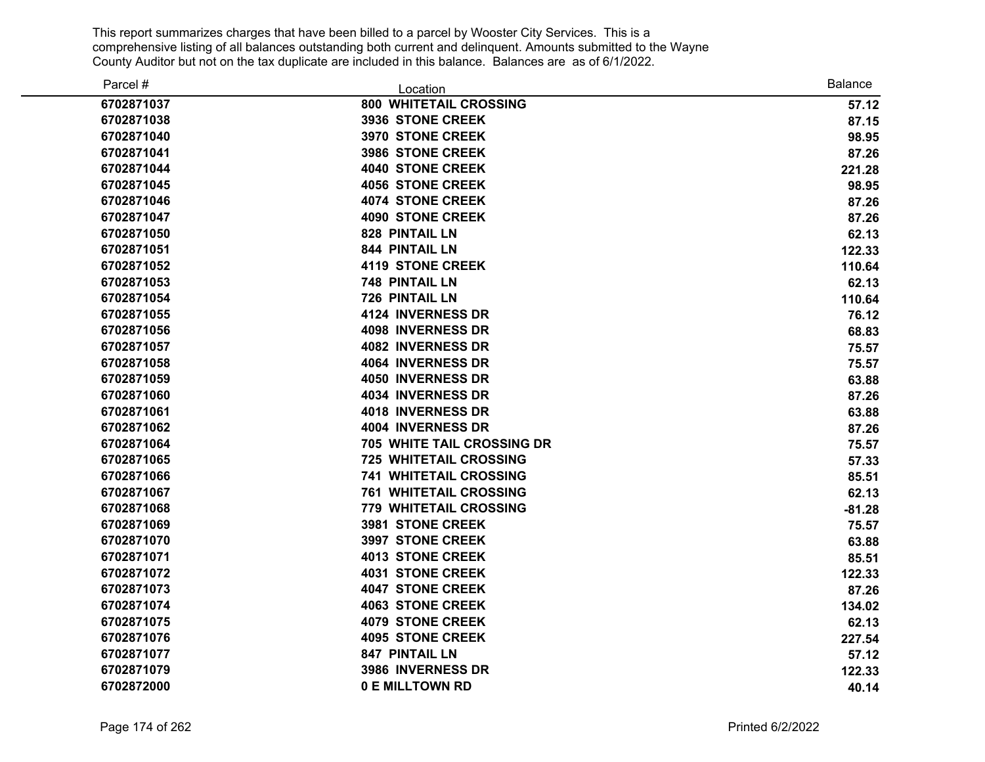| Parcel #   | Location                      | <b>Balance</b> |
|------------|-------------------------------|----------------|
| 6702871037 | 800 WHITETAIL CROSSING        | 57.12          |
| 6702871038 | 3936 STONE CREEK              | 87.15          |
| 6702871040 | 3970 STONE CREEK              | 98.95          |
| 6702871041 | <b>3986 STONE CREEK</b>       | 87.26          |
| 6702871044 | <b>4040 STONE CREEK</b>       | 221.28         |
| 6702871045 | <b>4056 STONE CREEK</b>       | 98.95          |
| 6702871046 | <b>4074 STONE CREEK</b>       | 87.26          |
| 6702871047 | <b>4090 STONE CREEK</b>       | 87.26          |
| 6702871050 | 828 PINTAIL LN                | 62.13          |
| 6702871051 | 844 PINTAIL LN                | 122.33         |
| 6702871052 | <b>4119 STONE CREEK</b>       | 110.64         |
| 6702871053 | 748 PINTAIL LN                | 62.13          |
| 6702871054 | <b>726 PINTAIL LN</b>         | 110.64         |
| 6702871055 | 4124 INVERNESS DR             | 76.12          |
| 6702871056 | <b>4098 INVERNESS DR</b>      | 68.83          |
| 6702871057 | <b>4082 INVERNESS DR</b>      | 75.57          |
| 6702871058 | <b>4064 INVERNESS DR</b>      | 75.57          |
| 6702871059 | <b>4050 INVERNESS DR</b>      | 63.88          |
| 6702871060 | 4034 INVERNESS DR             | 87.26          |
| 6702871061 | 4018 INVERNESS DR             | 63.88          |
| 6702871062 | <b>4004 INVERNESS DR</b>      | 87.26          |
| 6702871064 | 705 WHITE TAIL CROSSING DR    | 75.57          |
| 6702871065 | <b>725 WHITETAIL CROSSING</b> | 57.33          |
| 6702871066 | <b>741 WHITETAIL CROSSING</b> | 85.51          |
| 6702871067 | <b>761 WHITETAIL CROSSING</b> | 62.13          |
| 6702871068 | 779 WHITETAIL CROSSING        | $-81.28$       |
| 6702871069 | <b>3981 STONE CREEK</b>       | 75.57          |
| 6702871070 | 3997 STONE CREEK              | 63.88          |
| 6702871071 | <b>4013 STONE CREEK</b>       | 85.51          |
| 6702871072 | <b>4031 STONE CREEK</b>       | 122.33         |
| 6702871073 | <b>4047 STONE CREEK</b>       | 87.26          |
| 6702871074 | <b>4063 STONE CREEK</b>       | 134.02         |
| 6702871075 | <b>4079 STONE CREEK</b>       | 62.13          |
| 6702871076 | <b>4095 STONE CREEK</b>       | 227.54         |
| 6702871077 | <b>847 PINTAIL LN</b>         | 57.12          |
| 6702871079 | 3986 INVERNESS DR             | 122.33         |
| 6702872000 | 0 E MILLTOWN RD               | 40.14          |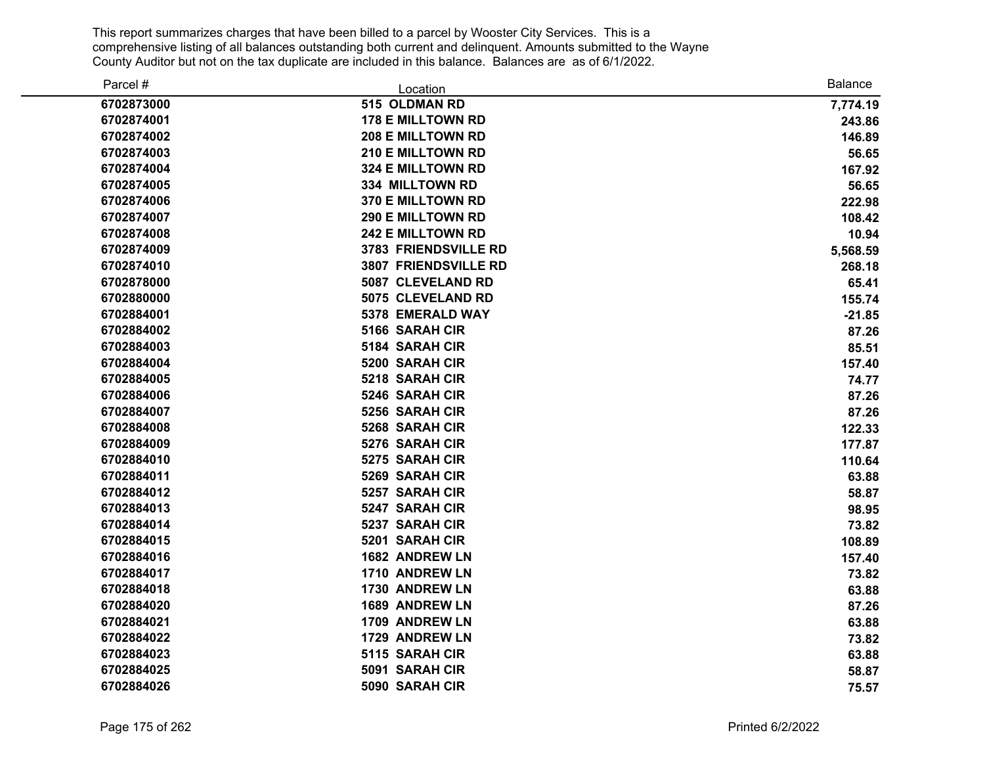| Parcel #   | Location                 | <b>Balance</b> |
|------------|--------------------------|----------------|
| 6702873000 | 515 OLDMAN RD            | 7,774.19       |
| 6702874001 | <b>178 E MILLTOWN RD</b> | 243.86         |
| 6702874002 | <b>208 E MILLTOWN RD</b> | 146.89         |
| 6702874003 | <b>210 E MILLTOWN RD</b> | 56.65          |
| 6702874004 | 324 E MILLTOWN RD        | 167.92         |
| 6702874005 | 334 MILLTOWN RD          | 56.65          |
| 6702874006 | <b>370 E MILLTOWN RD</b> | 222.98         |
| 6702874007 | 290 E MILLTOWN RD        | 108.42         |
| 6702874008 | <b>242 E MILLTOWN RD</b> | 10.94          |
| 6702874009 | 3783 FRIENDSVILLE RD     | 5,568.59       |
| 6702874010 | 3807 FRIENDSVILLE RD     | 268.18         |
| 6702878000 | 5087 CLEVELAND RD        | 65.41          |
| 6702880000 | 5075 CLEVELAND RD        | 155.74         |
| 6702884001 | 5378 EMERALD WAY         | $-21.85$       |
| 6702884002 | 5166 SARAH CIR           | 87.26          |
| 6702884003 | 5184 SARAH CIR           | 85.51          |
| 6702884004 | 5200 SARAH CIR           | 157.40         |
| 6702884005 | 5218 SARAH CIR           | 74.77          |
| 6702884006 | 5246 SARAH CIR           | 87.26          |
| 6702884007 | 5256 SARAH CIR           | 87.26          |
| 6702884008 | 5268 SARAH CIR           | 122.33         |
| 6702884009 | 5276 SARAH CIR           | 177.87         |
| 6702884010 | 5275 SARAH CIR           | 110.64         |
| 6702884011 | 5269 SARAH CIR           | 63.88          |
| 6702884012 | 5257 SARAH CIR           | 58.87          |
| 6702884013 | 5247 SARAH CIR           | 98.95          |
| 6702884014 | 5237 SARAH CIR           | 73.82          |
| 6702884015 | 5201 SARAH CIR           | 108.89         |
| 6702884016 | 1682 ANDREW LN           | 157.40         |
| 6702884017 | 1710 ANDREW LN           | 73.82          |
| 6702884018 | 1730 ANDREW LN           | 63.88          |
| 6702884020 | 1689 ANDREW LN           | 87.26          |
| 6702884021 | 1709 ANDREW LN           | 63.88          |
| 6702884022 | 1729 ANDREW LN           | 73.82          |
| 6702884023 | 5115 SARAH CIR           | 63.88          |
| 6702884025 | 5091 SARAH CIR           | 58.87          |
| 6702884026 | 5090 SARAH CIR           | 75.57          |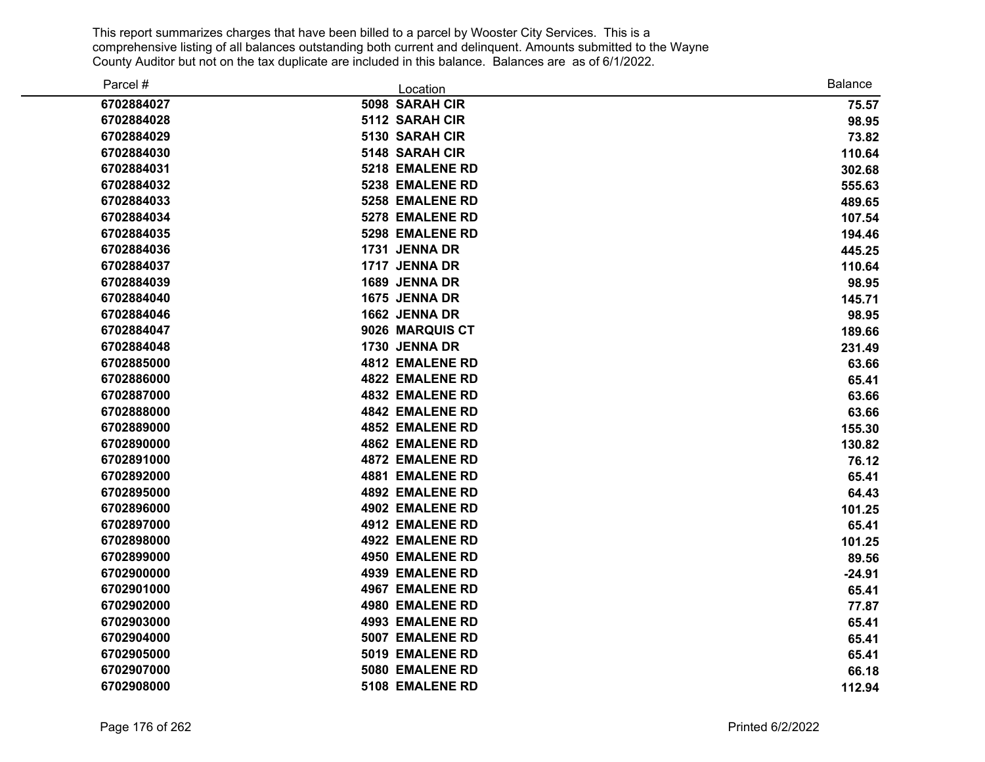| Parcel #   | Location               | <b>Balance</b> |
|------------|------------------------|----------------|
| 6702884027 | 5098 SARAH CIR         | 75.57          |
| 6702884028 | 5112 SARAH CIR         | 98.95          |
| 6702884029 | 5130 SARAH CIR         | 73.82          |
| 6702884030 | 5148 SARAH CIR         | 110.64         |
| 6702884031 | 5218 EMALENE RD        | 302.68         |
| 6702884032 | 5238 EMALENE RD        | 555.63         |
| 6702884033 | 5258 EMALENE RD        | 489.65         |
| 6702884034 | 5278 EMALENE RD        | 107.54         |
| 6702884035 | 5298 EMALENE RD        | 194.46         |
| 6702884036 | 1731 JENNA DR          | 445.25         |
| 6702884037 | 1717 JENNA DR          | 110.64         |
| 6702884039 | 1689 JENNA DR          | 98.95          |
| 6702884040 | 1675 JENNA DR          | 145.71         |
| 6702884046 | 1662 JENNA DR          | 98.95          |
| 6702884047 | 9026 MARQUIS CT        | 189.66         |
| 6702884048 | 1730 JENNA DR          | 231.49         |
| 6702885000 | <b>4812 EMALENE RD</b> | 63.66          |
| 6702886000 | <b>4822 EMALENE RD</b> | 65.41          |
| 6702887000 | <b>4832 EMALENE RD</b> | 63.66          |
| 6702888000 | <b>4842 EMALENE RD</b> | 63.66          |
| 6702889000 | <b>4852 EMALENE RD</b> | 155.30         |
| 6702890000 | <b>4862 EMALENE RD</b> | 130.82         |
| 6702891000 | <b>4872 EMALENE RD</b> | 76.12          |
| 6702892000 | <b>4881 EMALENE RD</b> | 65.41          |
| 6702895000 | <b>4892 EMALENE RD</b> | 64.43          |
| 6702896000 | 4902 EMALENE RD        | 101.25         |
| 6702897000 | <b>4912 EMALENE RD</b> | 65.41          |
| 6702898000 | <b>4922 EMALENE RD</b> | 101.25         |
| 6702899000 | <b>4950 EMALENE RD</b> | 89.56          |
| 6702900000 | <b>4939 EMALENE RD</b> | $-24.91$       |
| 6702901000 | <b>4967 EMALENE RD</b> | 65.41          |
| 6702902000 | <b>4980 EMALENE RD</b> | 77.87          |
| 6702903000 | <b>4993 EMALENE RD</b> | 65.41          |
| 6702904000 | 5007 EMALENE RD        | 65.41          |
| 6702905000 | 5019 EMALENE RD        | 65.41          |
| 6702907000 | 5080 EMALENE RD        | 66.18          |
| 6702908000 | 5108 EMALENE RD        | 112.94         |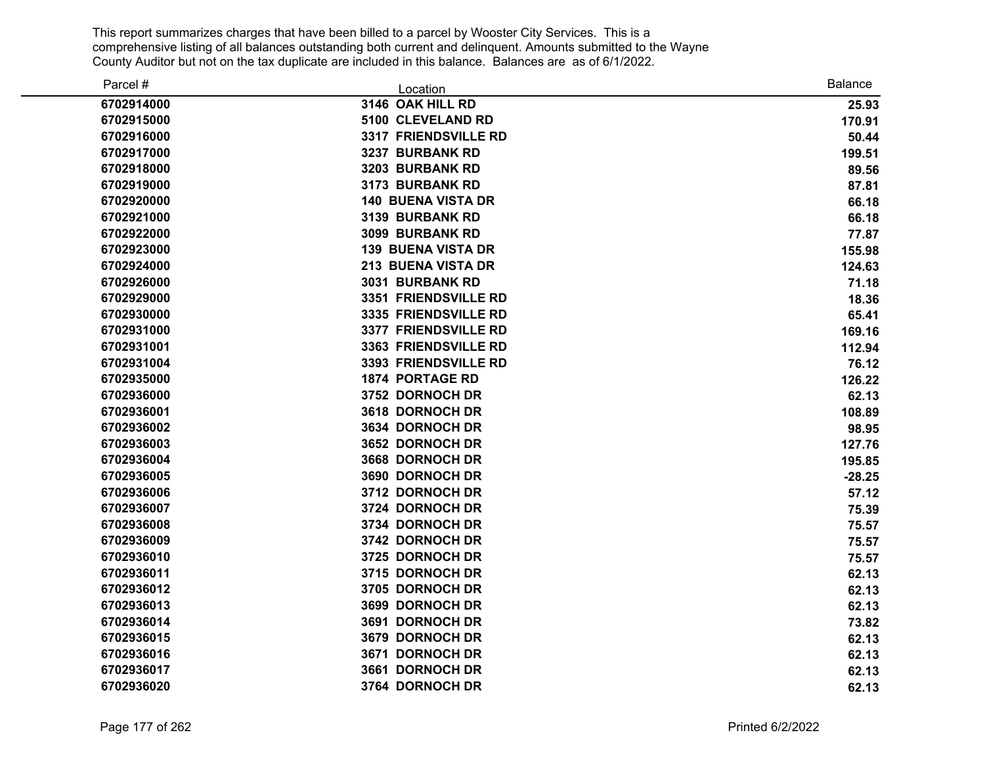| Parcel #   | Location                  | <b>Balance</b> |
|------------|---------------------------|----------------|
| 6702914000 | 3146 OAK HILL RD          | 25.93          |
| 6702915000 | 5100 CLEVELAND RD         | 170.91         |
| 6702916000 | 3317 FRIENDSVILLE RD      | 50.44          |
| 6702917000 | 3237 BURBANK RD           | 199.51         |
| 6702918000 | 3203 BURBANK RD           | 89.56          |
| 6702919000 | 3173 BURBANK RD           | 87.81          |
| 6702920000 | <b>140 BUENA VISTA DR</b> | 66.18          |
| 6702921000 | 3139 BURBANK RD           | 66.18          |
| 6702922000 | 3099 BURBANK RD           | 77.87          |
| 6702923000 | <b>139 BUENA VISTA DR</b> | 155.98         |
| 6702924000 | 213 BUENA VISTA DR        | 124.63         |
| 6702926000 | 3031 BURBANK RD           | 71.18          |
| 6702929000 | 3351 FRIENDSVILLE RD      | 18.36          |
| 6702930000 | 3335 FRIENDSVILLE RD      | 65.41          |
| 6702931000 | 3377 FRIENDSVILLE RD      | 169.16         |
| 6702931001 | 3363 FRIENDSVILLE RD      | 112.94         |
| 6702931004 | 3393 FRIENDSVILLE RD      | 76.12          |
| 6702935000 | <b>1874 PORTAGE RD</b>    | 126.22         |
| 6702936000 | 3752 DORNOCH DR           | 62.13          |
| 6702936001 | 3618 DORNOCH DR           | 108.89         |
| 6702936002 | 3634 DORNOCH DR           | 98.95          |
| 6702936003 | 3652 DORNOCH DR           | 127.76         |
| 6702936004 | 3668 DORNOCH DR           | 195.85         |
| 6702936005 | 3690 DORNOCH DR           | $-28.25$       |
| 6702936006 | 3712 DORNOCH DR           | 57.12          |
| 6702936007 | 3724 DORNOCH DR           | 75.39          |
| 6702936008 | 3734 DORNOCH DR           | 75.57          |
| 6702936009 | 3742 DORNOCH DR           | 75.57          |
| 6702936010 | 3725 DORNOCH DR           | 75.57          |
| 6702936011 | 3715 DORNOCH DR           | 62.13          |
| 6702936012 | 3705 DORNOCH DR           | 62.13          |
| 6702936013 | 3699 DORNOCH DR           | 62.13          |
| 6702936014 | 3691 DORNOCH DR           | 73.82          |
| 6702936015 | 3679 DORNOCH DR           | 62.13          |
| 6702936016 | 3671 DORNOCH DR           | 62.13          |
| 6702936017 | 3661 DORNOCH DR           | 62.13          |
| 6702936020 | 3764 DORNOCH DR           | 62.13          |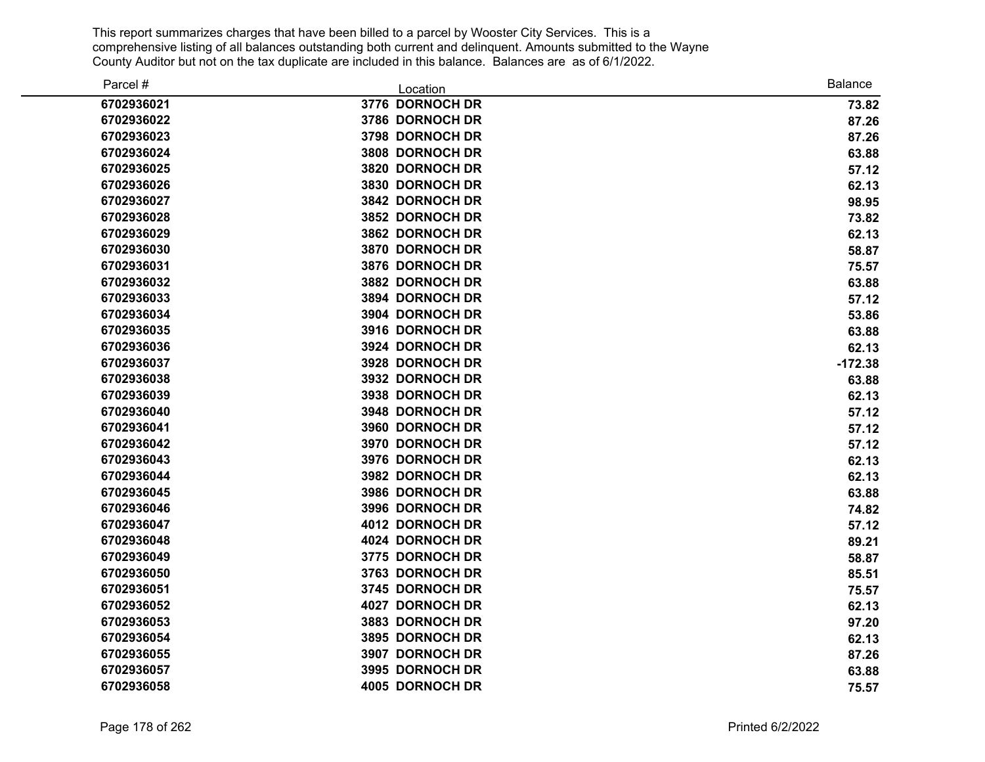| Parcel #   | Location        | <b>Balance</b> |
|------------|-----------------|----------------|
| 6702936021 | 3776 DORNOCH DR | 73.82          |
| 6702936022 | 3786 DORNOCH DR | 87.26          |
| 6702936023 | 3798 DORNOCH DR | 87.26          |
| 6702936024 | 3808 DORNOCH DR | 63.88          |
| 6702936025 | 3820 DORNOCH DR | 57.12          |
| 6702936026 | 3830 DORNOCH DR | 62.13          |
| 6702936027 | 3842 DORNOCH DR | 98.95          |
| 6702936028 | 3852 DORNOCH DR | 73.82          |
| 6702936029 | 3862 DORNOCH DR | 62.13          |
| 6702936030 | 3870 DORNOCH DR | 58.87          |
| 6702936031 | 3876 DORNOCH DR | 75.57          |
| 6702936032 | 3882 DORNOCH DR | 63.88          |
| 6702936033 | 3894 DORNOCH DR | 57.12          |
| 6702936034 | 3904 DORNOCH DR | 53.86          |
| 6702936035 | 3916 DORNOCH DR | 63.88          |
| 6702936036 | 3924 DORNOCH DR | 62.13          |
| 6702936037 | 3928 DORNOCH DR | $-172.38$      |
| 6702936038 | 3932 DORNOCH DR | 63.88          |
| 6702936039 | 3938 DORNOCH DR | 62.13          |
| 6702936040 | 3948 DORNOCH DR | 57.12          |
| 6702936041 | 3960 DORNOCH DR | 57.12          |
| 6702936042 | 3970 DORNOCH DR | 57.12          |
| 6702936043 | 3976 DORNOCH DR | 62.13          |
| 6702936044 | 3982 DORNOCH DR | 62.13          |
| 6702936045 | 3986 DORNOCH DR | 63.88          |
| 6702936046 | 3996 DORNOCH DR | 74.82          |
| 6702936047 | 4012 DORNOCH DR | 57.12          |
| 6702936048 | 4024 DORNOCH DR | 89.21          |
| 6702936049 | 3775 DORNOCH DR | 58.87          |
| 6702936050 | 3763 DORNOCH DR | 85.51          |
| 6702936051 | 3745 DORNOCH DR | 75.57          |
| 6702936052 | 4027 DORNOCH DR | 62.13          |
| 6702936053 | 3883 DORNOCH DR | 97.20          |
| 6702936054 | 3895 DORNOCH DR | 62.13          |
| 6702936055 | 3907 DORNOCH DR | 87.26          |
| 6702936057 | 3995 DORNOCH DR | 63.88          |
| 6702936058 | 4005 DORNOCH DR | 75.57          |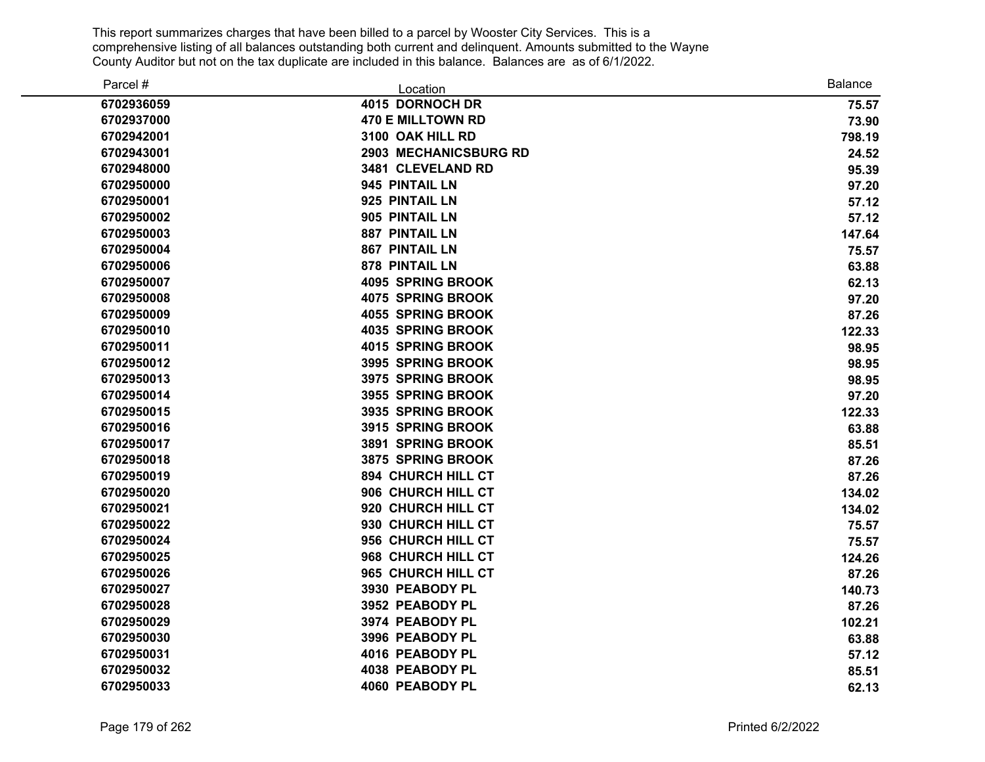| Parcel #   | Location                 | <b>Balance</b> |
|------------|--------------------------|----------------|
| 6702936059 | 4015 DORNOCH DR          | 75.57          |
| 6702937000 | <b>470 E MILLTOWN RD</b> | 73.90          |
| 6702942001 | 3100 OAK HILL RD         | 798.19         |
| 6702943001 | 2903 MECHANICSBURG RD    | 24.52          |
| 6702948000 | 3481 CLEVELAND RD        | 95.39          |
| 6702950000 | 945 PINTAIL LN           | 97.20          |
| 6702950001 | 925 PINTAIL LN           | 57.12          |
| 6702950002 | 905 PINTAIL LN           | 57.12          |
| 6702950003 | <b>887 PINTAIL LN</b>    | 147.64         |
| 6702950004 | <b>867 PINTAIL LN</b>    | 75.57          |
| 6702950006 | 878 PINTAIL LN           | 63.88          |
| 6702950007 | <b>4095 SPRING BROOK</b> | 62.13          |
| 6702950008 | <b>4075 SPRING BROOK</b> | 97.20          |
| 6702950009 | <b>4055 SPRING BROOK</b> | 87.26          |
| 6702950010 | <b>4035 SPRING BROOK</b> | 122.33         |
| 6702950011 | <b>4015 SPRING BROOK</b> | 98.95          |
| 6702950012 | 3995 SPRING BROOK        | 98.95          |
| 6702950013 | 3975 SPRING BROOK        | 98.95          |
| 6702950014 | 3955 SPRING BROOK        | 97.20          |
| 6702950015 | 3935 SPRING BROOK        | 122.33         |
| 6702950016 | 3915 SPRING BROOK        | 63.88          |
| 6702950017 | 3891 SPRING BROOK        | 85.51          |
| 6702950018 | 3875 SPRING BROOK        | 87.26          |
| 6702950019 | 894 CHURCH HILL CT       | 87.26          |
| 6702950020 | 906 CHURCH HILL CT       | 134.02         |
| 6702950021 | 920 CHURCH HILL CT       | 134.02         |
| 6702950022 | 930 CHURCH HILL CT       | 75.57          |
| 6702950024 | 956 CHURCH HILL CT       | 75.57          |
| 6702950025 | 968 CHURCH HILL CT       | 124.26         |
| 6702950026 | 965 CHURCH HILL CT       | 87.26          |
| 6702950027 | 3930 PEABODY PL          | 140.73         |
| 6702950028 | 3952 PEABODY PL          | 87.26          |
| 6702950029 | 3974 PEABODY PL          | 102.21         |
| 6702950030 | 3996 PEABODY PL          | 63.88          |
| 6702950031 | 4016 PEABODY PL          | 57.12          |
| 6702950032 | 4038 PEABODY PL          | 85.51          |
| 6702950033 | 4060 PEABODY PL          | 62.13          |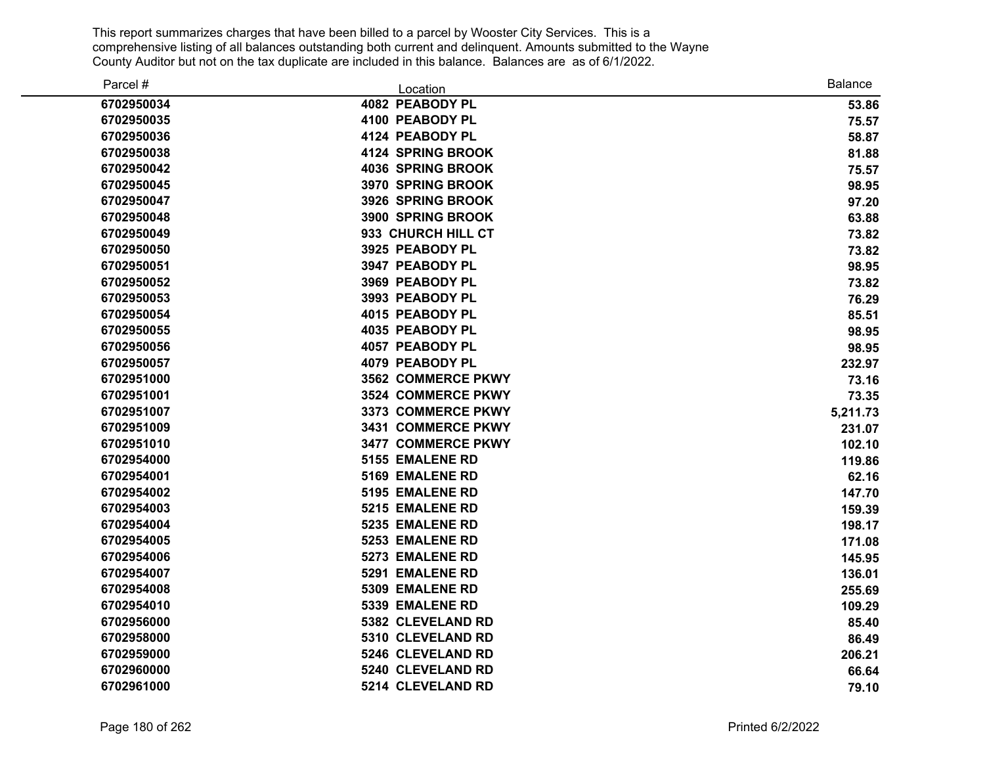| Parcel #   | Location                 | <b>Balance</b> |
|------------|--------------------------|----------------|
| 6702950034 | 4082 PEABODY PL          | 53.86          |
| 6702950035 | 4100 PEABODY PL          | 75.57          |
| 6702950036 | 4124 PEABODY PL          | 58.87          |
| 6702950038 | <b>4124 SPRING BROOK</b> | 81.88          |
| 6702950042 | <b>4036 SPRING BROOK</b> | 75.57          |
| 6702950045 | 3970 SPRING BROOK        | 98.95          |
| 6702950047 | 3926 SPRING BROOK        | 97.20          |
| 6702950048 | 3900 SPRING BROOK        | 63.88          |
| 6702950049 | 933 CHURCH HILL CT       | 73.82          |
| 6702950050 | 3925 PEABODY PL          | 73.82          |
| 6702950051 | 3947 PEABODY PL          | 98.95          |
| 6702950052 | 3969 PEABODY PL          | 73.82          |
| 6702950053 | 3993 PEABODY PL          | 76.29          |
| 6702950054 | 4015 PEABODY PL          | 85.51          |
| 6702950055 | 4035 PEABODY PL          | 98.95          |
| 6702950056 | 4057 PEABODY PL          | 98.95          |
| 6702950057 | 4079 PEABODY PL          | 232.97         |
| 6702951000 | 3562 COMMERCE PKWY       | 73.16          |
| 6702951001 | 3524 COMMERCE PKWY       | 73.35          |
| 6702951007 | 3373 COMMERCE PKWY       | 5,211.73       |
| 6702951009 | 3431 COMMERCE PKWY       | 231.07         |
| 6702951010 | 3477 COMMERCE PKWY       | 102.10         |
| 6702954000 | 5155 EMALENE RD          | 119.86         |
| 6702954001 | 5169 EMALENE RD          | 62.16          |
| 6702954002 | 5195 EMALENE RD          | 147.70         |
| 6702954003 | 5215 EMALENE RD          | 159.39         |
| 6702954004 | 5235 EMALENE RD          | 198.17         |
| 6702954005 | 5253 EMALENE RD          | 171.08         |
| 6702954006 | 5273 EMALENE RD          | 145.95         |
| 6702954007 | 5291 EMALENE RD          | 136.01         |
| 6702954008 | 5309 EMALENE RD          | 255.69         |
| 6702954010 | 5339 EMALENE RD          | 109.29         |
| 6702956000 | 5382 CLEVELAND RD        | 85.40          |
| 6702958000 | 5310 CLEVELAND RD        | 86.49          |
| 6702959000 | 5246 CLEVELAND RD        | 206.21         |
| 6702960000 | 5240 CLEVELAND RD        | 66.64          |
| 6702961000 | 5214 CLEVELAND RD        | 79.10          |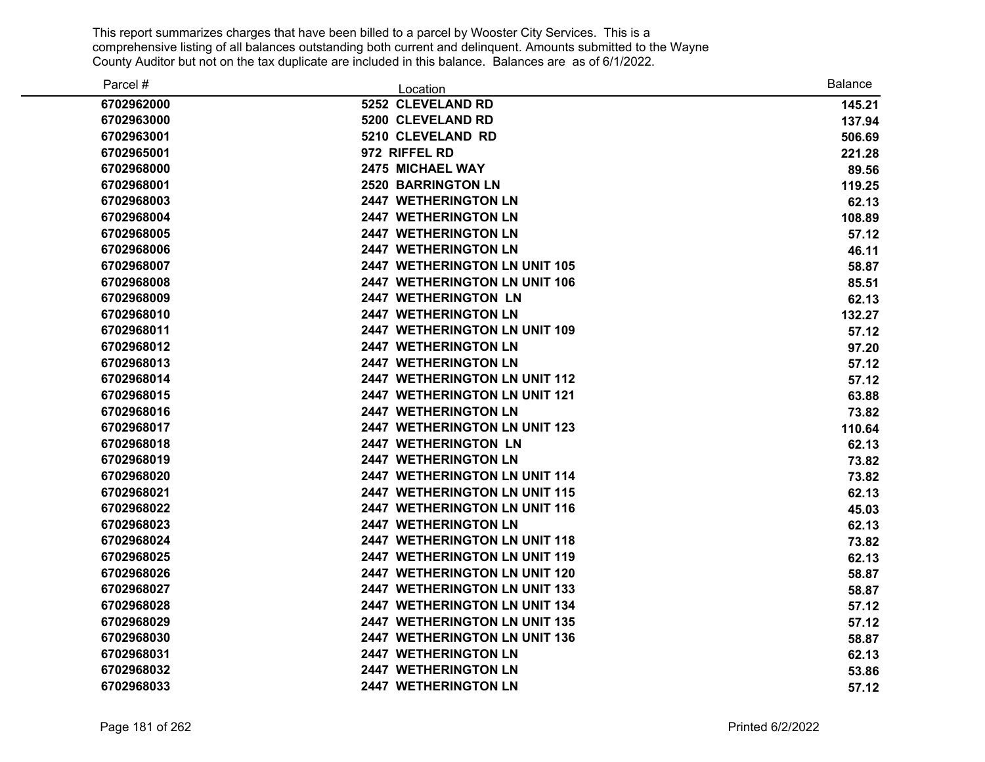| Parcel #   | Location                             | <b>Balance</b> |
|------------|--------------------------------------|----------------|
| 6702962000 | 5252 CLEVELAND RD                    | 145.21         |
| 6702963000 | 5200 CLEVELAND RD                    | 137.94         |
| 6702963001 | 5210 CLEVELAND RD                    | 506.69         |
| 6702965001 | 972 RIFFEL RD                        | 221.28         |
| 6702968000 | 2475 MICHAEL WAY                     | 89.56          |
| 6702968001 | <b>2520 BARRINGTON LN</b>            | 119.25         |
| 6702968003 | <b>2447 WETHERINGTON LN</b>          | 62.13          |
| 6702968004 | <b>2447 WETHERINGTON LN</b>          | 108.89         |
| 6702968005 | 2447 WETHERINGTON LN                 | 57.12          |
| 6702968006 | <b>2447 WETHERINGTON LN</b>          | 46.11          |
| 6702968007 | 2447 WETHERINGTON LN UNIT 105        | 58.87          |
| 6702968008 | <b>2447 WETHERINGTON LN UNIT 106</b> | 85.51          |
| 6702968009 | <b>2447 WETHERINGTON LN</b>          | 62.13          |
| 6702968010 | <b>2447 WETHERINGTON LN</b>          | 132.27         |
| 6702968011 | 2447 WETHERINGTON LN UNIT 109        | 57.12          |
| 6702968012 | 2447 WETHERINGTON LN                 | 97.20          |
| 6702968013 | <b>2447 WETHERINGTON LN</b>          | 57.12          |
| 6702968014 | 2447 WETHERINGTON LN UNIT 112        | 57.12          |
| 6702968015 | 2447 WETHERINGTON LN UNIT 121        | 63.88          |
| 6702968016 | 2447 WETHERINGTON LN                 | 73.82          |
| 6702968017 | 2447 WETHERINGTON LN UNIT 123        | 110.64         |
| 6702968018 | 2447 WETHERINGTON LN                 | 62.13          |
| 6702968019 | <b>2447 WETHERINGTON LN</b>          | 73.82          |
| 6702968020 | 2447 WETHERINGTON LN UNIT 114        | 73.82          |
| 6702968021 | 2447 WETHERINGTON LN UNIT 115        | 62.13          |
| 6702968022 | 2447 WETHERINGTON LN UNIT 116        | 45.03          |
| 6702968023 | 2447 WETHERINGTON LN                 | 62.13          |
| 6702968024 | 2447 WETHERINGTON LN UNIT 118        | 73.82          |
| 6702968025 | 2447 WETHERINGTON LN UNIT 119        | 62.13          |
| 6702968026 | 2447 WETHERINGTON LN UNIT 120        | 58.87          |
| 6702968027 | 2447 WETHERINGTON LN UNIT 133        | 58.87          |
| 6702968028 | 2447 WETHERINGTON LN UNIT 134        | 57.12          |
| 6702968029 | 2447 WETHERINGTON LN UNIT 135        | 57.12          |
| 6702968030 | 2447 WETHERINGTON LN UNIT 136        | 58.87          |
| 6702968031 | <b>2447 WETHERINGTON LN</b>          | 62.13          |
| 6702968032 | 2447 WETHERINGTON LN                 | 53.86          |
| 6702968033 | <b>2447 WETHERINGTON LN</b>          | 57.12          |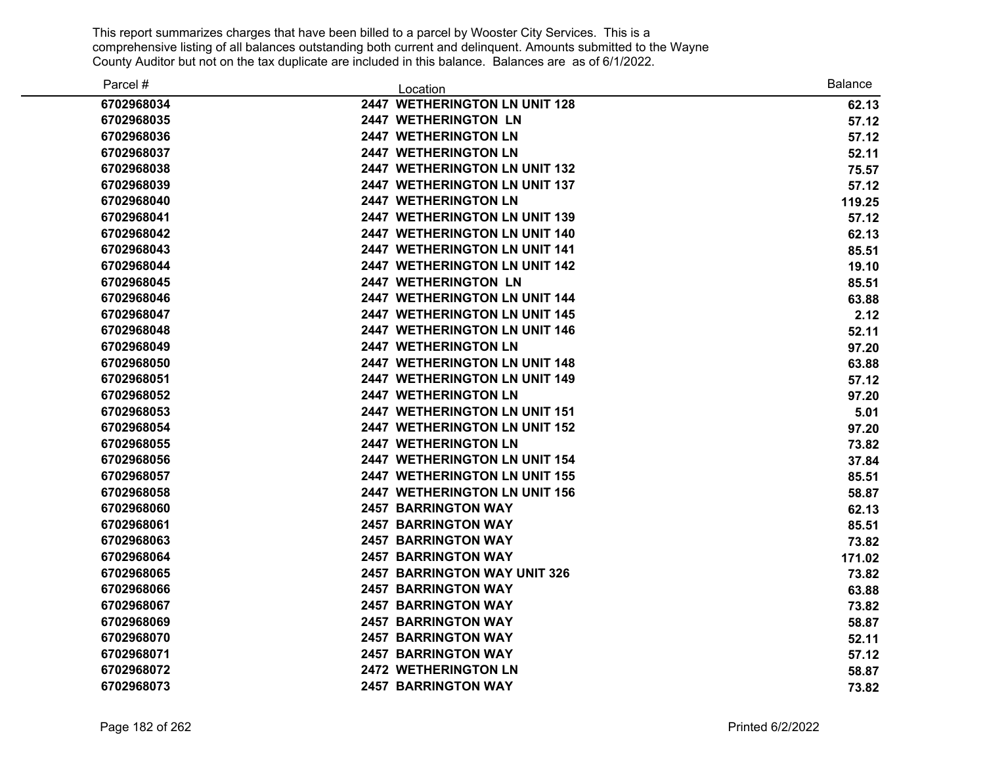| Parcel #   | Location                             | <b>Balance</b> |
|------------|--------------------------------------|----------------|
| 6702968034 | 2447 WETHERINGTON LN UNIT 128        | 62.13          |
| 6702968035 | <b>2447 WETHERINGTON LN</b>          | 57.12          |
| 6702968036 | <b>2447 WETHERINGTON LN</b>          | 57.12          |
| 6702968037 | <b>2447 WETHERINGTON LN</b>          | 52.11          |
| 6702968038 | <b>2447 WETHERINGTON LN UNIT 132</b> | 75.57          |
| 6702968039 | 2447 WETHERINGTON LN UNIT 137        | 57.12          |
| 6702968040 | <b>2447 WETHERINGTON LN</b>          | 119.25         |
| 6702968041 | 2447 WETHERINGTON LN UNIT 139        | 57.12          |
| 6702968042 | 2447 WETHERINGTON LN UNIT 140        | 62.13          |
| 6702968043 | 2447 WETHERINGTON LN UNIT 141        | 85.51          |
| 6702968044 | 2447 WETHERINGTON LN UNIT 142        | 19.10          |
| 6702968045 | 2447 WETHERINGTON LN                 | 85.51          |
| 6702968046 | 2447 WETHERINGTON LN UNIT 144        | 63.88          |
| 6702968047 | 2447 WETHERINGTON LN UNIT 145        | 2.12           |
| 6702968048 | 2447 WETHERINGTON LN UNIT 146        | 52.11          |
| 6702968049 | 2447 WETHERINGTON LN                 | 97.20          |
| 6702968050 | 2447 WETHERINGTON LN UNIT 148        | 63.88          |
| 6702968051 | 2447 WETHERINGTON LN UNIT 149        | 57.12          |
| 6702968052 | <b>2447 WETHERINGTON LN</b>          | 97.20          |
| 6702968053 | 2447 WETHERINGTON LN UNIT 151        | 5.01           |
| 6702968054 | 2447 WETHERINGTON LN UNIT 152        | 97.20          |
| 6702968055 | <b>2447 WETHERINGTON LN</b>          | 73.82          |
| 6702968056 | <b>2447 WETHERINGTON LN UNIT 154</b> | 37.84          |
| 6702968057 | <b>2447 WETHERINGTON LN UNIT 155</b> | 85.51          |
| 6702968058 | 2447 WETHERINGTON LN UNIT 156        | 58.87          |
| 6702968060 | <b>2457 BARRINGTON WAY</b>           | 62.13          |
| 6702968061 | <b>2457 BARRINGTON WAY</b>           | 85.51          |
| 6702968063 | <b>2457 BARRINGTON WAY</b>           | 73.82          |
| 6702968064 | <b>2457 BARRINGTON WAY</b>           | 171.02         |
| 6702968065 | 2457 BARRINGTON WAY UNIT 326         | 73.82          |
| 6702968066 | <b>2457 BARRINGTON WAY</b>           | 63.88          |
| 6702968067 | <b>2457 BARRINGTON WAY</b>           | 73.82          |
| 6702968069 | <b>2457 BARRINGTON WAY</b>           | 58.87          |
| 6702968070 | <b>2457 BARRINGTON WAY</b>           | 52.11          |
| 6702968071 | <b>2457 BARRINGTON WAY</b>           | 57.12          |
| 6702968072 | <b>2472 WETHERINGTON LN</b>          | 58.87          |
| 6702968073 | <b>2457 BARRINGTON WAY</b>           | 73.82          |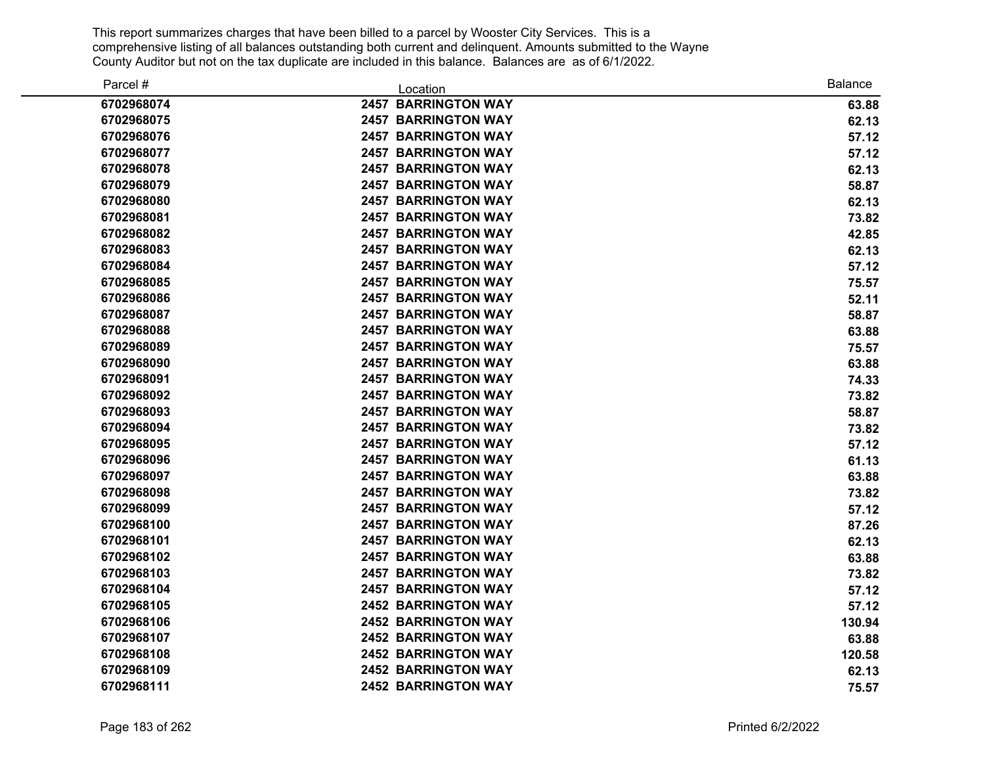| Parcel #   | Location                   | <b>Balance</b> |
|------------|----------------------------|----------------|
| 6702968074 | <b>2457 BARRINGTON WAY</b> | 63.88          |
| 6702968075 | <b>2457 BARRINGTON WAY</b> | 62.13          |
| 6702968076 | <b>2457 BARRINGTON WAY</b> | 57.12          |
| 6702968077 | <b>2457 BARRINGTON WAY</b> | 57.12          |
| 6702968078 | <b>2457 BARRINGTON WAY</b> | 62.13          |
| 6702968079 | <b>2457 BARRINGTON WAY</b> | 58.87          |
| 6702968080 | <b>2457 BARRINGTON WAY</b> | 62.13          |
| 6702968081 | <b>2457 BARRINGTON WAY</b> | 73.82          |
| 6702968082 | <b>2457 BARRINGTON WAY</b> | 42.85          |
| 6702968083 | <b>2457 BARRINGTON WAY</b> | 62.13          |
| 6702968084 | <b>2457 BARRINGTON WAY</b> | 57.12          |
| 6702968085 | <b>2457 BARRINGTON WAY</b> | 75.57          |
| 6702968086 | <b>2457 BARRINGTON WAY</b> | 52.11          |
| 6702968087 | <b>2457 BARRINGTON WAY</b> | 58.87          |
| 6702968088 | <b>2457 BARRINGTON WAY</b> | 63.88          |
| 6702968089 | <b>2457 BARRINGTON WAY</b> | 75.57          |
| 6702968090 | <b>2457 BARRINGTON WAY</b> | 63.88          |
| 6702968091 | <b>2457 BARRINGTON WAY</b> | 74.33          |
| 6702968092 | <b>2457 BARRINGTON WAY</b> | 73.82          |
| 6702968093 | <b>2457 BARRINGTON WAY</b> | 58.87          |
| 6702968094 | <b>2457 BARRINGTON WAY</b> | 73.82          |
| 6702968095 | <b>2457 BARRINGTON WAY</b> | 57.12          |
| 6702968096 | <b>2457 BARRINGTON WAY</b> | 61.13          |
| 6702968097 | <b>2457 BARRINGTON WAY</b> | 63.88          |
| 6702968098 | <b>2457 BARRINGTON WAY</b> | 73.82          |
| 6702968099 | <b>2457 BARRINGTON WAY</b> | 57.12          |
| 6702968100 | <b>2457 BARRINGTON WAY</b> | 87.26          |
| 6702968101 | <b>2457 BARRINGTON WAY</b> | 62.13          |
| 6702968102 | <b>2457 BARRINGTON WAY</b> | 63.88          |
| 6702968103 | <b>2457 BARRINGTON WAY</b> | 73.82          |
| 6702968104 | <b>2457 BARRINGTON WAY</b> | 57.12          |
| 6702968105 | <b>2452 BARRINGTON WAY</b> | 57.12          |
| 6702968106 | <b>2452 BARRINGTON WAY</b> | 130.94         |
| 6702968107 | <b>2452 BARRINGTON WAY</b> | 63.88          |
| 6702968108 | <b>2452 BARRINGTON WAY</b> | 120.58         |
| 6702968109 | <b>2452 BARRINGTON WAY</b> | 62.13          |
| 6702968111 | <b>2452 BARRINGTON WAY</b> | 75.57          |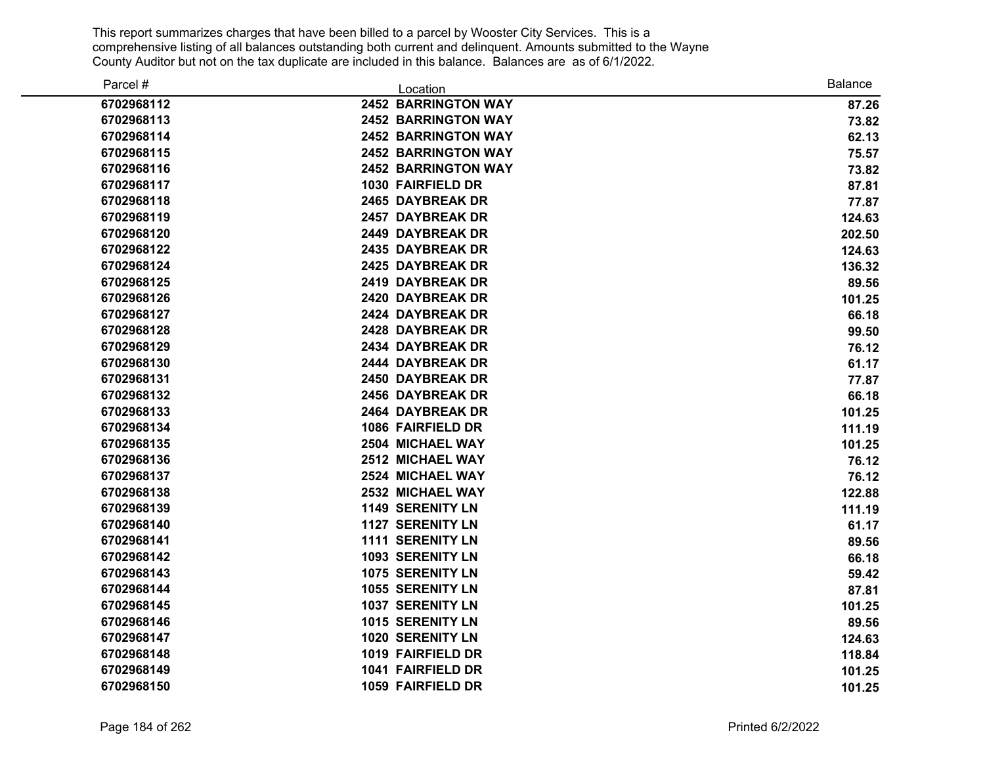| Parcel #   | Location                   | <b>Balance</b> |
|------------|----------------------------|----------------|
| 6702968112 | <b>2452 BARRINGTON WAY</b> | 87.26          |
| 6702968113 | <b>2452 BARRINGTON WAY</b> | 73.82          |
| 6702968114 | <b>2452 BARRINGTON WAY</b> | 62.13          |
| 6702968115 | <b>2452 BARRINGTON WAY</b> | 75.57          |
| 6702968116 | <b>2452 BARRINGTON WAY</b> | 73.82          |
| 6702968117 | 1030 FAIRFIELD DR          | 87.81          |
| 6702968118 | 2465 DAYBREAK DR           | 77.87          |
| 6702968119 | 2457 DAYBREAK DR           | 124.63         |
| 6702968120 | 2449 DAYBREAK DR           | 202.50         |
| 6702968122 | 2435 DAYBREAK DR           | 124.63         |
| 6702968124 | 2425 DAYBREAK DR           | 136.32         |
| 6702968125 | 2419 DAYBREAK DR           | 89.56          |
| 6702968126 | 2420 DAYBREAK DR           | 101.25         |
| 6702968127 | 2424 DAYBREAK DR           | 66.18          |
| 6702968128 | 2428 DAYBREAK DR           | 99.50          |
| 6702968129 | 2434 DAYBREAK DR           | 76.12          |
| 6702968130 | 2444 DAYBREAK DR           | 61.17          |
| 6702968131 | 2450 DAYBREAK DR           | 77.87          |
| 6702968132 | 2456 DAYBREAK DR           | 66.18          |
| 6702968133 | 2464 DAYBREAK DR           | 101.25         |
| 6702968134 | 1086 FAIRFIELD DR          | 111.19         |
| 6702968135 | 2504 MICHAEL WAY           | 101.25         |
| 6702968136 | 2512 MICHAEL WAY           | 76.12          |
| 6702968137 | <b>2524 MICHAEL WAY</b>    | 76.12          |
| 6702968138 | 2532 MICHAEL WAY           | 122.88         |
| 6702968139 | <b>1149 SERENITY LN</b>    | 111.19         |
| 6702968140 | <b>1127 SERENITY LN</b>    | 61.17          |
| 6702968141 | <b>1111 SERENITY LN</b>    | 89.56          |
| 6702968142 | <b>1093 SERENITY LN</b>    | 66.18          |
| 6702968143 | <b>1075 SERENITY LN</b>    | 59.42          |
| 6702968144 | <b>1055 SERENITY LN</b>    | 87.81          |
| 6702968145 | <b>1037 SERENITY LN</b>    | 101.25         |
| 6702968146 | <b>1015 SERENITY LN</b>    | 89.56          |
| 6702968147 | <b>1020 SERENITY LN</b>    | 124.63         |
| 6702968148 | 1019 FAIRFIELD DR          | 118.84         |
| 6702968149 | 1041 FAIRFIELD DR          | 101.25         |
| 6702968150 | 1059 FAIRFIELD DR          | 101.25         |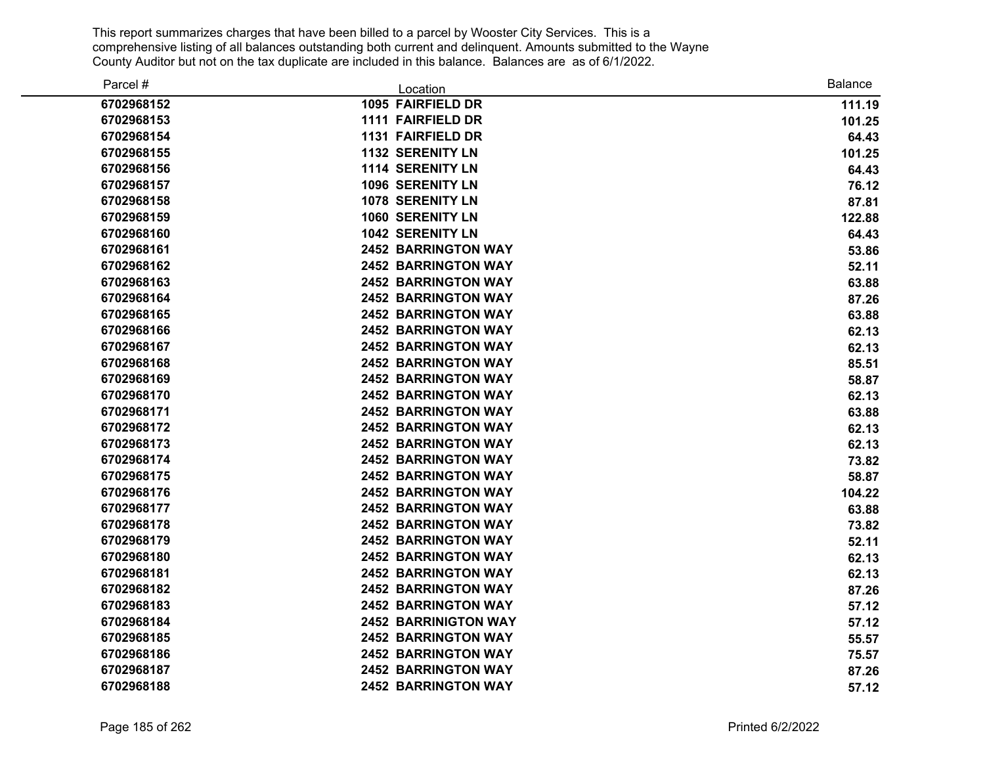| Parcel #   | Location                    | <b>Balance</b> |
|------------|-----------------------------|----------------|
| 6702968152 | 1095 FAIRFIELD DR           | 111.19         |
| 6702968153 | 1111 FAIRFIELD DR           | 101.25         |
| 6702968154 | 1131 FAIRFIELD DR           | 64.43          |
| 6702968155 | <b>1132 SERENITY LN</b>     | 101.25         |
| 6702968156 | <b>1114 SERENITY LN</b>     | 64.43          |
| 6702968157 | <b>1096 SERENITY LN</b>     | 76.12          |
| 6702968158 | <b>1078 SERENITY LN</b>     | 87.81          |
| 6702968159 | <b>1060 SERENITY LN</b>     | 122.88         |
| 6702968160 | <b>1042 SERENITY LN</b>     | 64.43          |
| 6702968161 | <b>2452 BARRINGTON WAY</b>  | 53.86          |
| 6702968162 | <b>2452 BARRINGTON WAY</b>  | 52.11          |
| 6702968163 | <b>2452 BARRINGTON WAY</b>  | 63.88          |
| 6702968164 | <b>2452 BARRINGTON WAY</b>  | 87.26          |
| 6702968165 | <b>2452 BARRINGTON WAY</b>  | 63.88          |
| 6702968166 | <b>2452 BARRINGTON WAY</b>  | 62.13          |
| 6702968167 | <b>2452 BARRINGTON WAY</b>  | 62.13          |
| 6702968168 | <b>2452 BARRINGTON WAY</b>  | 85.51          |
| 6702968169 | <b>2452 BARRINGTON WAY</b>  | 58.87          |
| 6702968170 | <b>2452 BARRINGTON WAY</b>  | 62.13          |
| 6702968171 | <b>2452 BARRINGTON WAY</b>  | 63.88          |
| 6702968172 | <b>2452 BARRINGTON WAY</b>  | 62.13          |
| 6702968173 | <b>2452 BARRINGTON WAY</b>  | 62.13          |
| 6702968174 | <b>2452 BARRINGTON WAY</b>  | 73.82          |
| 6702968175 | <b>2452 BARRINGTON WAY</b>  | 58.87          |
| 6702968176 | <b>2452 BARRINGTON WAY</b>  | 104.22         |
| 6702968177 | <b>2452 BARRINGTON WAY</b>  | 63.88          |
| 6702968178 | <b>2452 BARRINGTON WAY</b>  | 73.82          |
| 6702968179 | <b>2452 BARRINGTON WAY</b>  | 52.11          |
| 6702968180 | <b>2452 BARRINGTON WAY</b>  | 62.13          |
| 6702968181 | <b>2452 BARRINGTON WAY</b>  | 62.13          |
| 6702968182 | <b>2452 BARRINGTON WAY</b>  | 87.26          |
| 6702968183 | <b>2452 BARRINGTON WAY</b>  | 57.12          |
| 6702968184 | <b>2452 BARRINIGTON WAY</b> | 57.12          |
| 6702968185 | <b>2452 BARRINGTON WAY</b>  | 55.57          |
| 6702968186 | <b>2452 BARRINGTON WAY</b>  | 75.57          |
| 6702968187 | <b>2452 BARRINGTON WAY</b>  | 87.26          |
| 6702968188 | <b>2452 BARRINGTON WAY</b>  | 57.12          |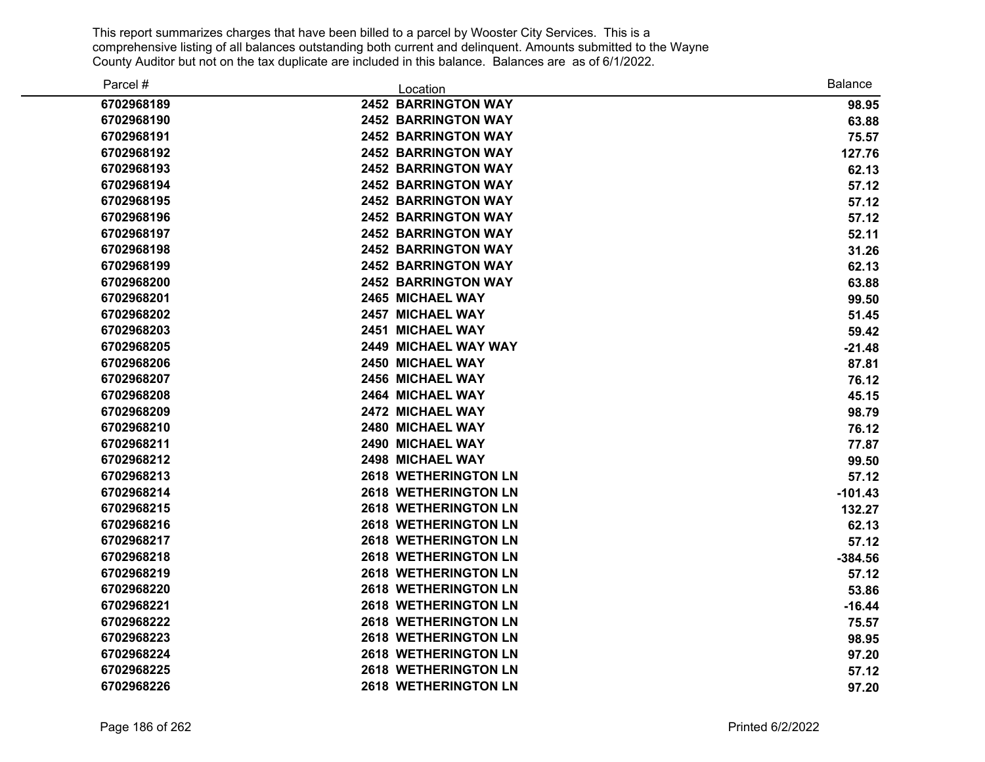| Parcel #   | Location                    | <b>Balance</b> |
|------------|-----------------------------|----------------|
| 6702968189 | <b>2452 BARRINGTON WAY</b>  | 98.95          |
| 6702968190 | <b>2452 BARRINGTON WAY</b>  | 63.88          |
| 6702968191 | <b>2452 BARRINGTON WAY</b>  | 75.57          |
| 6702968192 | <b>2452 BARRINGTON WAY</b>  | 127.76         |
| 6702968193 | <b>2452 BARRINGTON WAY</b>  | 62.13          |
| 6702968194 | <b>2452 BARRINGTON WAY</b>  | 57.12          |
| 6702968195 | <b>2452 BARRINGTON WAY</b>  | 57.12          |
| 6702968196 | <b>2452 BARRINGTON WAY</b>  | 57.12          |
| 6702968197 | <b>2452 BARRINGTON WAY</b>  | 52.11          |
| 6702968198 | <b>2452 BARRINGTON WAY</b>  | 31.26          |
| 6702968199 | <b>2452 BARRINGTON WAY</b>  | 62.13          |
| 6702968200 | <b>2452 BARRINGTON WAY</b>  | 63.88          |
| 6702968201 | 2465 MICHAEL WAY            | 99.50          |
| 6702968202 | <b>2457 MICHAEL WAY</b>     | 51.45          |
| 6702968203 | 2451 MICHAEL WAY            | 59.42          |
| 6702968205 | 2449 MICHAEL WAY WAY        | $-21.48$       |
| 6702968206 | 2450 MICHAEL WAY            | 87.81          |
| 6702968207 | 2456 MICHAEL WAY            | 76.12          |
| 6702968208 | 2464 MICHAEL WAY            | 45.15          |
| 6702968209 | 2472 MICHAEL WAY            | 98.79          |
| 6702968210 | 2480 MICHAEL WAY            | 76.12          |
| 6702968211 | 2490 MICHAEL WAY            | 77.87          |
| 6702968212 | 2498 MICHAEL WAY            | 99.50          |
| 6702968213 | <b>2618 WETHERINGTON LN</b> | 57.12          |
| 6702968214 | <b>2618 WETHERINGTON LN</b> | $-101.43$      |
| 6702968215 | <b>2618 WETHERINGTON LN</b> | 132.27         |
| 6702968216 | <b>2618 WETHERINGTON LN</b> | 62.13          |
| 6702968217 | <b>2618 WETHERINGTON LN</b> | 57.12          |
| 6702968218 | <b>2618 WETHERINGTON LN</b> | $-384.56$      |
| 6702968219 | <b>2618 WETHERINGTON LN</b> | 57.12          |
| 6702968220 | <b>2618 WETHERINGTON LN</b> | 53.86          |
| 6702968221 | <b>2618 WETHERINGTON LN</b> | $-16.44$       |
| 6702968222 | <b>2618 WETHERINGTON LN</b> | 75.57          |
| 6702968223 | <b>2618 WETHERINGTON LN</b> | 98.95          |
| 6702968224 | <b>2618 WETHERINGTON LN</b> | 97.20          |
| 6702968225 | <b>2618 WETHERINGTON LN</b> | 57.12          |
| 6702968226 | <b>2618 WETHERINGTON LN</b> | 97.20          |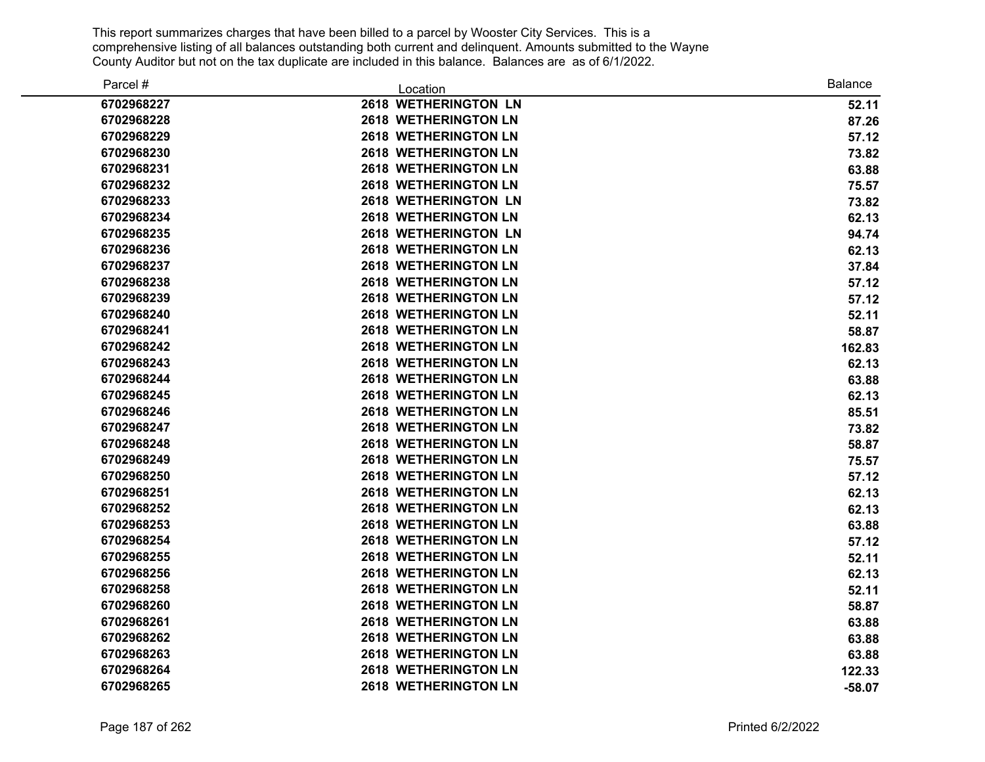| Parcel #   | Location                    | <b>Balance</b> |
|------------|-----------------------------|----------------|
| 6702968227 | 2618 WETHERINGTON LN        | 52.11          |
| 6702968228 | <b>2618 WETHERINGTON LN</b> | 87.26          |
| 6702968229 | <b>2618 WETHERINGTON LN</b> | 57.12          |
| 6702968230 | <b>2618 WETHERINGTON LN</b> | 73.82          |
| 6702968231 | <b>2618 WETHERINGTON LN</b> | 63.88          |
| 6702968232 | <b>2618 WETHERINGTON LN</b> | 75.57          |
| 6702968233 | <b>2618 WETHERINGTON LN</b> | 73.82          |
| 6702968234 | <b>2618 WETHERINGTON LN</b> | 62.13          |
| 6702968235 | <b>2618 WETHERINGTON LN</b> | 94.74          |
| 6702968236 | <b>2618 WETHERINGTON LN</b> | 62.13          |
| 6702968237 | <b>2618 WETHERINGTON LN</b> | 37.84          |
| 6702968238 | <b>2618 WETHERINGTON LN</b> | 57.12          |
| 6702968239 | <b>2618 WETHERINGTON LN</b> | 57.12          |
| 6702968240 | <b>2618 WETHERINGTON LN</b> | 52.11          |
| 6702968241 | <b>2618 WETHERINGTON LN</b> | 58.87          |
| 6702968242 | <b>2618 WETHERINGTON LN</b> | 162.83         |
| 6702968243 | <b>2618 WETHERINGTON LN</b> | 62.13          |
| 6702968244 | <b>2618 WETHERINGTON LN</b> | 63.88          |
| 6702968245 | <b>2618 WETHERINGTON LN</b> | 62.13          |
| 6702968246 | <b>2618 WETHERINGTON LN</b> | 85.51          |
| 6702968247 | <b>2618 WETHERINGTON LN</b> | 73.82          |
| 6702968248 | <b>2618 WETHERINGTON LN</b> | 58.87          |
| 6702968249 | <b>2618 WETHERINGTON LN</b> | 75.57          |
| 6702968250 | <b>2618 WETHERINGTON LN</b> | 57.12          |
| 6702968251 | <b>2618 WETHERINGTON LN</b> | 62.13          |
| 6702968252 | <b>2618 WETHERINGTON LN</b> | 62.13          |
| 6702968253 | <b>2618 WETHERINGTON LN</b> | 63.88          |
| 6702968254 | <b>2618 WETHERINGTON LN</b> | 57.12          |
| 6702968255 | <b>2618 WETHERINGTON LN</b> | 52.11          |
| 6702968256 | <b>2618 WETHERINGTON LN</b> | 62.13          |
| 6702968258 | <b>2618 WETHERINGTON LN</b> | 52.11          |
| 6702968260 | <b>2618 WETHERINGTON LN</b> | 58.87          |
| 6702968261 | <b>2618 WETHERINGTON LN</b> | 63.88          |
| 6702968262 | <b>2618 WETHERINGTON LN</b> | 63.88          |
| 6702968263 | <b>2618 WETHERINGTON LN</b> | 63.88          |
| 6702968264 | <b>2618 WETHERINGTON LN</b> | 122.33         |
| 6702968265 | <b>2618 WETHERINGTON LN</b> | $-58.07$       |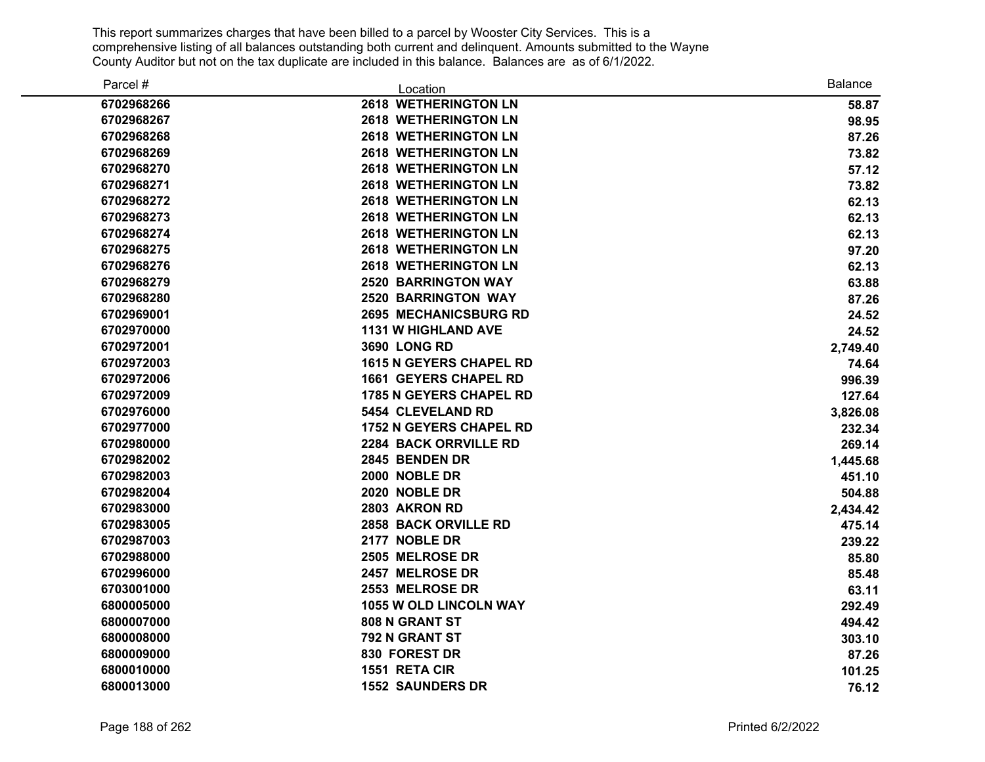| Parcel #   | Location                       | <b>Balance</b> |
|------------|--------------------------------|----------------|
| 6702968266 | <b>2618 WETHERINGTON LN</b>    | 58.87          |
| 6702968267 | <b>2618 WETHERINGTON LN</b>    | 98.95          |
| 6702968268 | <b>2618 WETHERINGTON LN</b>    | 87.26          |
| 6702968269 | <b>2618 WETHERINGTON LN</b>    | 73.82          |
| 6702968270 | <b>2618 WETHERINGTON LN</b>    | 57.12          |
| 6702968271 | <b>2618 WETHERINGTON LN</b>    | 73.82          |
| 6702968272 | <b>2618 WETHERINGTON LN</b>    | 62.13          |
| 6702968273 | <b>2618 WETHERINGTON LN</b>    | 62.13          |
| 6702968274 | <b>2618 WETHERINGTON LN</b>    | 62.13          |
| 6702968275 | <b>2618 WETHERINGTON LN</b>    | 97.20          |
| 6702968276 | <b>2618 WETHERINGTON LN</b>    | 62.13          |
| 6702968279 | <b>2520 BARRINGTON WAY</b>     | 63.88          |
| 6702968280 | <b>2520 BARRINGTON WAY</b>     | 87.26          |
| 6702969001 | <b>2695 MECHANICSBURG RD</b>   | 24.52          |
| 6702970000 | <b>1131 W HIGHLAND AVE</b>     | 24.52          |
| 6702972001 | <b>3690 LONG RD</b>            | 2,749.40       |
| 6702972003 | <b>1615 N GEYERS CHAPEL RD</b> | 74.64          |
| 6702972006 | <b>1661 GEYERS CHAPEL RD</b>   | 996.39         |
| 6702972009 | <b>1785 N GEYERS CHAPEL RD</b> | 127.64         |
| 6702976000 | 5454 CLEVELAND RD              | 3,826.08       |
| 6702977000 | <b>1752 N GEYERS CHAPEL RD</b> | 232.34         |
| 6702980000 | <b>2284 BACK ORRVILLE RD</b>   | 269.14         |
| 6702982002 | 2845 BENDEN DR                 | 1,445.68       |
| 6702982003 | 2000 NOBLE DR                  | 451.10         |
| 6702982004 | 2020 NOBLE DR                  | 504.88         |
| 6702983000 | 2803 AKRON RD                  | 2,434.42       |
| 6702983005 | 2858 BACK ORVILLE RD           | 475.14         |
| 6702987003 | 2177 NOBLE DR                  | 239.22         |
| 6702988000 | 2505 MELROSE DR                | 85.80          |
| 6702996000 | 2457 MELROSE DR                | 85.48          |
| 6703001000 | 2553 MELROSE DR                | 63.11          |
| 6800005000 | <b>1055 W OLD LINCOLN WAY</b>  | 292.49         |
| 6800007000 | 808 N GRANT ST                 | 494.42         |
| 6800008000 | 792 N GRANT ST                 | 303.10         |
| 6800009000 | 830 FOREST DR                  | 87.26          |
| 6800010000 | 1551 RETA CIR                  | 101.25         |
| 6800013000 | <b>1552 SAUNDERS DR</b>        | 76.12          |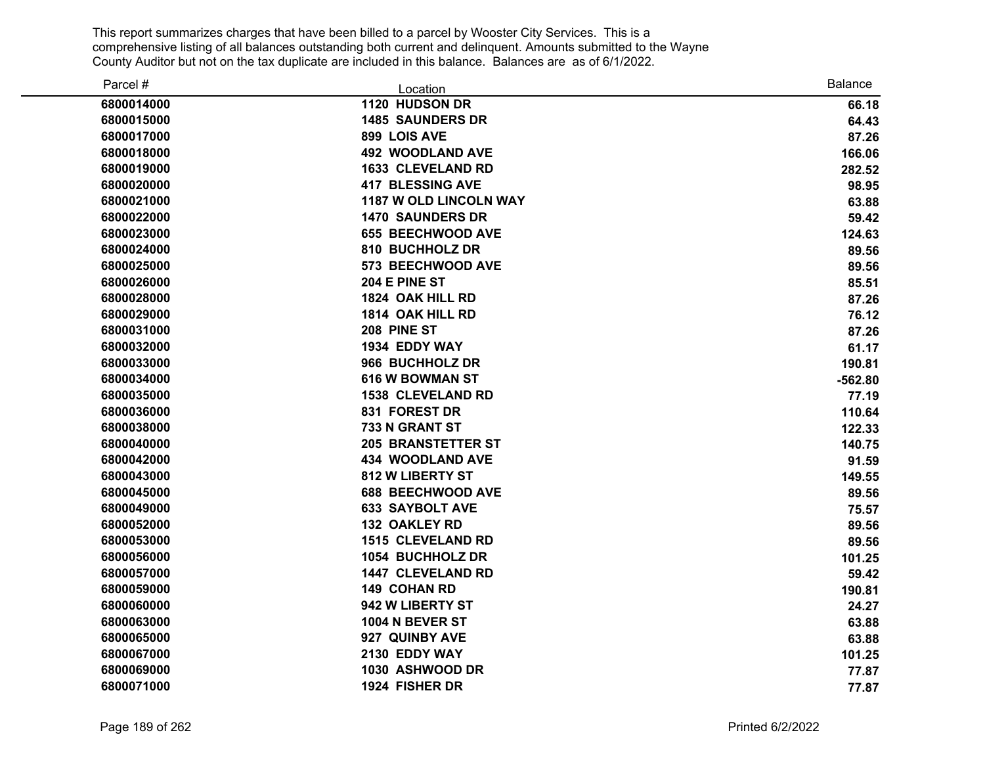| Parcel #   | Location                      | <b>Balance</b> |
|------------|-------------------------------|----------------|
| 6800014000 | 1120 HUDSON DR                | 66.18          |
| 6800015000 | <b>1485 SAUNDERS DR</b>       | 64.43          |
| 6800017000 | 899 LOIS AVE                  | 87.26          |
| 6800018000 | <b>492 WOODLAND AVE</b>       | 166.06         |
| 6800019000 | <b>1633 CLEVELAND RD</b>      | 282.52         |
| 6800020000 | <b>417 BLESSING AVE</b>       | 98.95          |
| 6800021000 | <b>1187 W OLD LINCOLN WAY</b> | 63.88          |
| 6800022000 | <b>1470 SAUNDERS DR</b>       | 59.42          |
| 6800023000 | <b>655 BEECHWOOD AVE</b>      | 124.63         |
| 6800024000 | 810 BUCHHOLZ DR               | 89.56          |
| 6800025000 | 573 BEECHWOOD AVE             | 89.56          |
| 6800026000 | 204 E PINE ST                 | 85.51          |
| 6800028000 | 1824 OAK HILL RD              | 87.26          |
| 6800029000 | 1814 OAK HILL RD              | 76.12          |
| 6800031000 | 208 PINE ST                   | 87.26          |
| 6800032000 | 1934 EDDY WAY                 | 61.17          |
| 6800033000 | 966 BUCHHOLZ DR               | 190.81         |
| 6800034000 | <b>616 W BOWMAN ST</b>        | $-562.80$      |
| 6800035000 | <b>1538 CLEVELAND RD</b>      | 77.19          |
| 6800036000 | 831 FOREST DR                 | 110.64         |
| 6800038000 | 733 N GRANT ST                | 122.33         |
| 6800040000 | <b>205 BRANSTETTER ST</b>     | 140.75         |
| 6800042000 | <b>434 WOODLAND AVE</b>       | 91.59          |
| 6800043000 | 812 W LIBERTY ST              | 149.55         |
| 6800045000 | <b>688 BEECHWOOD AVE</b>      | 89.56          |
| 6800049000 | <b>633 SAYBOLT AVE</b>        | 75.57          |
| 6800052000 | <b>132 OAKLEY RD</b>          | 89.56          |
| 6800053000 | <b>1515 CLEVELAND RD</b>      | 89.56          |
| 6800056000 | 1054 BUCHHOLZ DR              | 101.25         |
| 6800057000 | <b>1447 CLEVELAND RD</b>      | 59.42          |
| 6800059000 | 149 COHAN RD                  | 190.81         |
| 6800060000 | 942 W LIBERTY ST              | 24.27          |
| 6800063000 | <b>1004 N BEVER ST</b>        | 63.88          |
| 6800065000 | 927 QUINBY AVE                | 63.88          |
| 6800067000 | 2130 EDDY WAY                 | 101.25         |
| 6800069000 | 1030 ASHWOOD DR               | 77.87          |
| 6800071000 | 1924 FISHER DR                | 77.87          |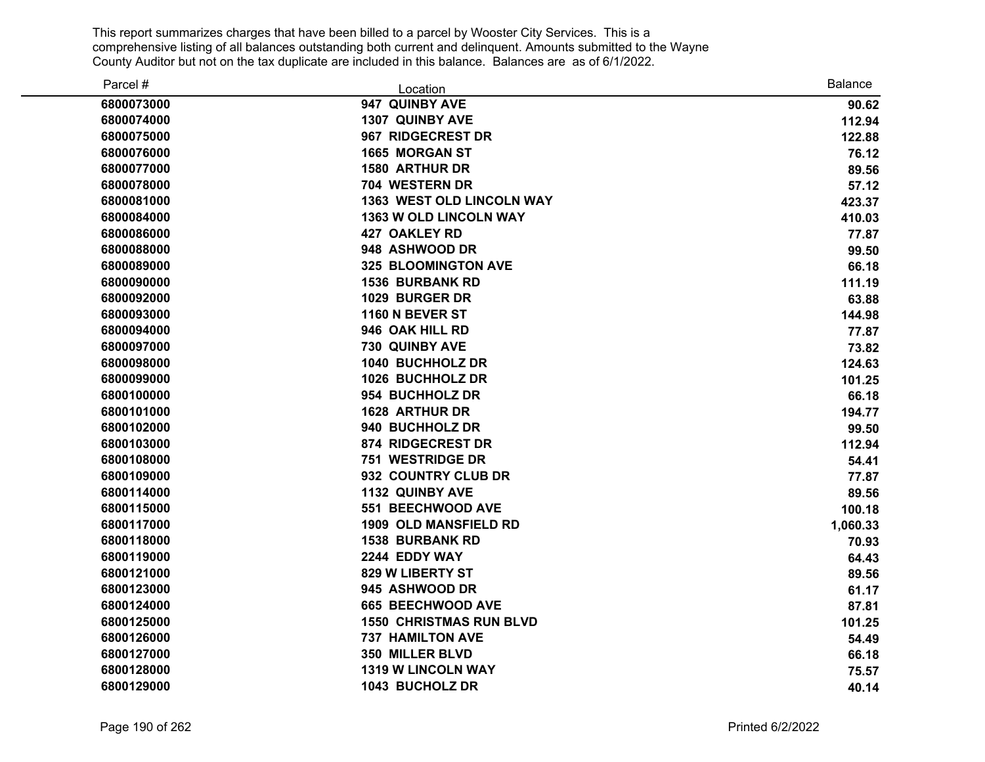| Parcel #   | Location                         | <b>Balance</b> |
|------------|----------------------------------|----------------|
| 6800073000 | 947 QUINBY AVE                   | 90.62          |
| 6800074000 | 1307 QUINBY AVE                  | 112.94         |
| 6800075000 | 967 RIDGECREST DR                | 122.88         |
| 6800076000 | <b>1665 MORGAN ST</b>            | 76.12          |
| 6800077000 | <b>1580 ARTHUR DR</b>            | 89.56          |
| 6800078000 | 704 WESTERN DR                   | 57.12          |
| 6800081000 | <b>1363 WEST OLD LINCOLN WAY</b> | 423.37         |
| 6800084000 | 1363 W OLD LINCOLN WAY           | 410.03         |
| 6800086000 | <b>427 OAKLEY RD</b>             | 77.87          |
| 6800088000 | 948 ASHWOOD DR                   | 99.50          |
| 6800089000 | <b>325 BLOOMINGTON AVE</b>       | 66.18          |
| 6800090000 | <b>1536 BURBANK RD</b>           | 111.19         |
| 6800092000 | 1029 BURGER DR                   | 63.88          |
| 6800093000 | 1160 N BEVER ST                  | 144.98         |
| 6800094000 | 946 OAK HILL RD                  | 77.87          |
| 6800097000 | 730 QUINBY AVE                   | 73.82          |
| 6800098000 | 1040 BUCHHOLZ DR                 | 124.63         |
| 6800099000 | 1026 BUCHHOLZ DR                 | 101.25         |
| 6800100000 | 954 BUCHHOLZ DR                  | 66.18          |
| 6800101000 | <b>1628 ARTHUR DR</b>            | 194.77         |
| 6800102000 | 940 BUCHHOLZ DR                  | 99.50          |
| 6800103000 | 874 RIDGECREST DR                | 112.94         |
| 6800108000 | 751 WESTRIDGE DR                 | 54.41          |
| 6800109000 | 932 COUNTRY CLUB DR              | 77.87          |
| 6800114000 | <b>1132 QUINBY AVE</b>           | 89.56          |
| 6800115000 | 551 BEECHWOOD AVE                | 100.18         |
| 6800117000 | <b>1909 OLD MANSFIELD RD</b>     | 1,060.33       |
| 6800118000 | <b>1538 BURBANK RD</b>           | 70.93          |
| 6800119000 | 2244 EDDY WAY                    | 64.43          |
| 6800121000 | 829 W LIBERTY ST                 | 89.56          |
| 6800123000 | 945 ASHWOOD DR                   | 61.17          |
| 6800124000 | 665 BEECHWOOD AVE                | 87.81          |
| 6800125000 | <b>1550 CHRISTMAS RUN BLVD</b>   | 101.25         |
| 6800126000 | <b>737 HAMILTON AVE</b>          | 54.49          |
| 6800127000 | 350 MILLER BLVD                  | 66.18          |
| 6800128000 | <b>1319 W LINCOLN WAY</b>        | 75.57          |
| 6800129000 | 1043 BUCHOLZ DR                  | 40.14          |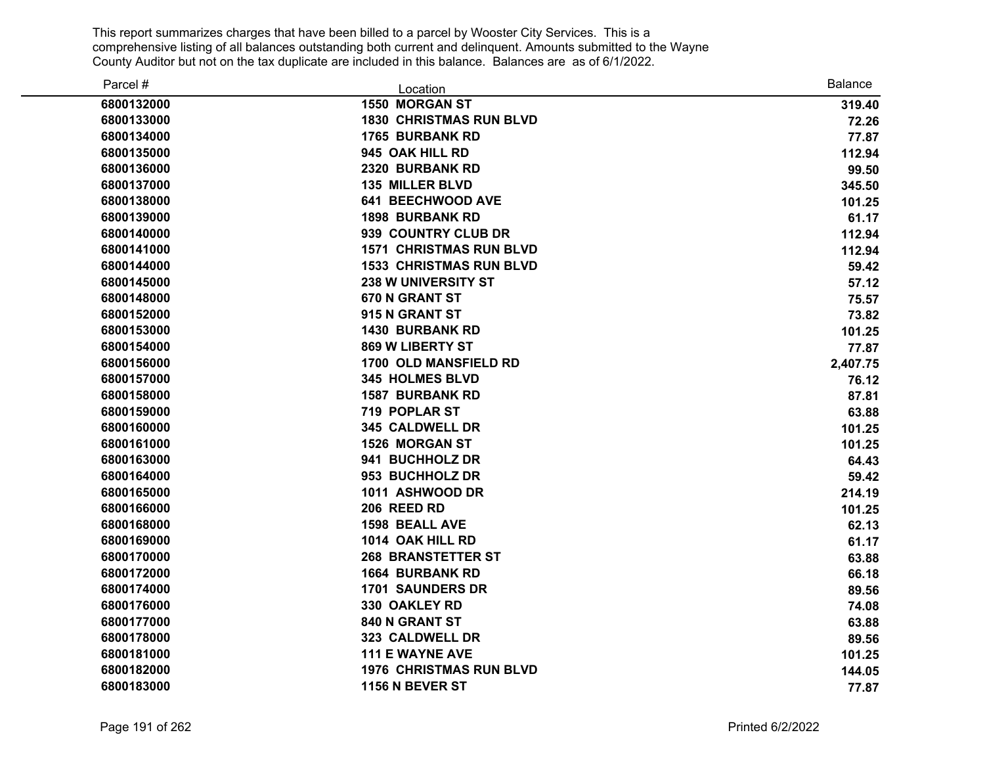| Parcel #   | Location                       | <b>Balance</b> |
|------------|--------------------------------|----------------|
| 6800132000 | <b>1550 MORGAN ST</b>          | 319.40         |
| 6800133000 | <b>1830 CHRISTMAS RUN BLVD</b> | 72.26          |
| 6800134000 | <b>1765 BURBANK RD</b>         | 77.87          |
| 6800135000 | 945 OAK HILL RD                | 112.94         |
| 6800136000 | 2320 BURBANK RD                | 99.50          |
| 6800137000 | <b>135 MILLER BLVD</b>         | 345.50         |
| 6800138000 | <b>641 BEECHWOOD AVE</b>       | 101.25         |
| 6800139000 | <b>1898 BURBANK RD</b>         | 61.17          |
| 6800140000 | 939 COUNTRY CLUB DR            | 112.94         |
| 6800141000 | <b>1571 CHRISTMAS RUN BLVD</b> | 112.94         |
| 6800144000 | <b>1533 CHRISTMAS RUN BLVD</b> | 59.42          |
| 6800145000 | <b>238 W UNIVERSITY ST</b>     | 57.12          |
| 6800148000 | 670 N GRANT ST                 | 75.57          |
| 6800152000 | 915 N GRANT ST                 | 73.82          |
| 6800153000 | <b>1430 BURBANK RD</b>         | 101.25         |
| 6800154000 | 869 W LIBERTY ST               | 77.87          |
| 6800156000 | 1700 OLD MANSFIELD RD          | 2,407.75       |
| 6800157000 | <b>345 HOLMES BLVD</b>         | 76.12          |
| 6800158000 | <b>1587 BURBANK RD</b>         | 87.81          |
| 6800159000 | <b>719 POPLAR ST</b>           | 63.88          |
| 6800160000 | 345 CALDWELL DR                | 101.25         |
| 6800161000 | 1526 MORGAN ST                 | 101.25         |
| 6800163000 | 941 BUCHHOLZ DR                | 64.43          |
| 6800164000 | 953 BUCHHOLZ DR                | 59.42          |
| 6800165000 | 1011 ASHWOOD DR                | 214.19         |
| 6800166000 | 206 REED RD                    | 101.25         |
| 6800168000 | <b>1598 BEALL AVE</b>          | 62.13          |
| 6800169000 | 1014 OAK HILL RD               | 61.17          |
| 6800170000 | <b>268 BRANSTETTER ST</b>      | 63.88          |
| 6800172000 | <b>1664 BURBANK RD</b>         | 66.18          |
| 6800174000 | <b>1701 SAUNDERS DR</b>        | 89.56          |
| 6800176000 | 330 OAKLEY RD                  | 74.08          |
| 6800177000 | 840 N GRANT ST                 | 63.88          |
| 6800178000 | 323 CALDWELL DR                | 89.56          |
| 6800181000 | <b>111 E WAYNE AVE</b>         | 101.25         |
| 6800182000 | <b>1976 CHRISTMAS RUN BLVD</b> | 144.05         |
| 6800183000 | <b>1156 N BEVER ST</b>         | 77.87          |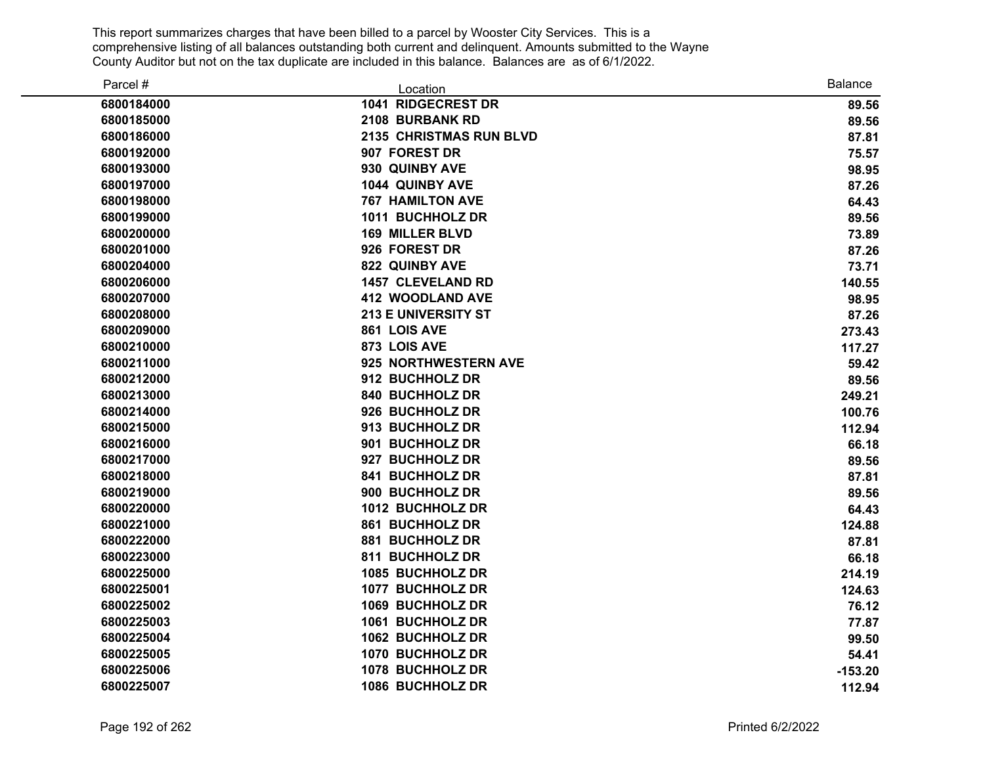| Parcel #   | Location                   | <b>Balance</b> |
|------------|----------------------------|----------------|
| 6800184000 | 1041 RIDGECREST DR         | 89.56          |
| 6800185000 | 2108 BURBANK RD            | 89.56          |
| 6800186000 | 2135 CHRISTMAS RUN BLVD    | 87.81          |
| 6800192000 | 907 FOREST DR              | 75.57          |
| 6800193000 | 930 QUINBY AVE             | 98.95          |
| 6800197000 | 1044 QUINBY AVE            | 87.26          |
| 6800198000 | <b>767 HAMILTON AVE</b>    | 64.43          |
| 6800199000 | 1011 BUCHHOLZ DR           | 89.56          |
| 6800200000 | <b>169 MILLER BLVD</b>     | 73.89          |
| 6800201000 | 926 FOREST DR              | 87.26          |
| 6800204000 | <b>822 QUINBY AVE</b>      | 73.71          |
| 6800206000 | <b>1457 CLEVELAND RD</b>   | 140.55         |
| 6800207000 | <b>412 WOODLAND AVE</b>    | 98.95          |
| 6800208000 | <b>213 E UNIVERSITY ST</b> | 87.26          |
| 6800209000 | 861 LOIS AVE               | 273.43         |
| 6800210000 | 873 LOIS AVE               | 117.27         |
| 6800211000 | 925 NORTHWESTERN AVE       | 59.42          |
| 6800212000 | 912 BUCHHOLZ DR            | 89.56          |
| 6800213000 | 840 BUCHHOLZ DR            | 249.21         |
| 6800214000 | 926 BUCHHOLZ DR            | 100.76         |
| 6800215000 | 913 BUCHHOLZ DR            | 112.94         |
| 6800216000 | 901 BUCHHOLZ DR            | 66.18          |
| 6800217000 | 927 BUCHHOLZ DR            | 89.56          |
| 6800218000 | 841 BUCHHOLZ DR            | 87.81          |
| 6800219000 | 900 BUCHHOLZ DR            | 89.56          |
| 6800220000 | 1012 BUCHHOLZ DR           | 64.43          |
| 6800221000 | 861 BUCHHOLZ DR            | 124.88         |
| 6800222000 | 881 BUCHHOLZ DR            | 87.81          |
| 6800223000 | 811 BUCHHOLZ DR            | 66.18          |
| 6800225000 | 1085 BUCHHOLZ DR           | 214.19         |
| 6800225001 | 1077 BUCHHOLZ DR           | 124.63         |
| 6800225002 | 1069 BUCHHOLZ DR           | 76.12          |
| 6800225003 | 1061 BUCHHOLZ DR           | 77.87          |
| 6800225004 | 1062 BUCHHOLZ DR           | 99.50          |
| 6800225005 | 1070 BUCHHOLZ DR           | 54.41          |
| 6800225006 | 1078 BUCHHOLZ DR           | $-153.20$      |
| 6800225007 | 1086 BUCHHOLZ DR           | 112.94         |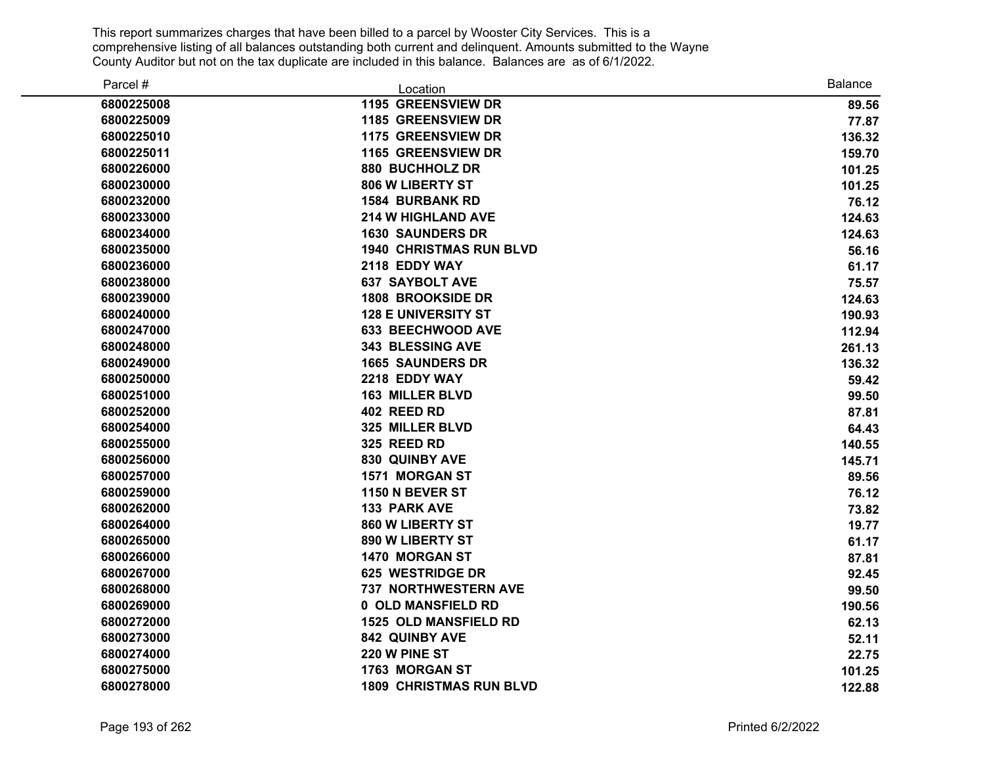| Parcel #   | Location                       | <b>Balance</b> |
|------------|--------------------------------|----------------|
| 6800225008 | 1195 GREENSVIEW DR             | 89.56          |
| 6800225009 | 1185 GREENSVIEW DR             | 77.87          |
| 6800225010 | 1175 GREENSVIEW DR             | 136.32         |
| 6800225011 | <b>1165 GREENSVIEW DR</b>      | 159.70         |
| 6800226000 | 880 BUCHHOLZ DR                | 101.25         |
| 6800230000 | 806 W LIBERTY ST               | 101.25         |
| 6800232000 | <b>1584 BURBANK RD</b>         | 76.12          |
| 6800233000 | <b>214 W HIGHLAND AVE</b>      | 124.63         |
| 6800234000 | <b>1630 SAUNDERS DR</b>        | 124.63         |
| 6800235000 | <b>1940 CHRISTMAS RUN BLVD</b> | 56.16          |
| 6800236000 | 2118 EDDY WAY                  | 61.17          |
| 6800238000 | <b>637 SAYBOLT AVE</b>         | 75.57          |
| 6800239000 | <b>1808 BROOKSIDE DR</b>       | 124.63         |
| 6800240000 | <b>128 E UNIVERSITY ST</b>     | 190.93         |
| 6800247000 | <b>633 BEECHWOOD AVE</b>       | 112.94         |
| 6800248000 | 343 BLESSING AVE               | 261.13         |
| 6800249000 | <b>1665 SAUNDERS DR</b>        | 136.32         |
| 6800250000 | 2218 EDDY WAY                  | 59.42          |
| 6800251000 | <b>163 MILLER BLVD</b>         | 99.50          |
| 6800252000 | 402 REED RD                    | 87.81          |
| 6800254000 | 325 MILLER BLVD                | 64.43          |
| 6800255000 | 325 REED RD                    | 140.55         |
| 6800256000 | 830 QUINBY AVE                 | 145.71         |
| 6800257000 | 1571 MORGAN ST                 | 89.56          |
| 6800259000 | 1150 N BEVER ST                | 76.12          |
| 6800262000 | <b>133 PARK AVE</b>            | 73.82          |
| 6800264000 | 860 W LIBERTY ST               | 19.77          |
| 6800265000 | 890 W LIBERTY ST               | 61.17          |
| 6800266000 | <b>1470 MORGAN ST</b>          | 87.81          |
| 6800267000 | <b>625 WESTRIDGE DR</b>        | 92.45          |
| 6800268000 | 737 NORTHWESTERN AVE           | 99.50          |
| 6800269000 | 0 OLD MANSFIELD RD             | 190.56         |
| 6800272000 | <b>1525 OLD MANSFIELD RD</b>   | 62.13          |
| 6800273000 | 842 QUINBY AVE                 | 52.11          |
| 6800274000 | 220 W PINE ST                  | 22.75          |
| 6800275000 | 1763 MORGAN ST                 | 101.25         |
| 6800278000 | <b>1809 CHRISTMAS RUN BLVD</b> | 122.88         |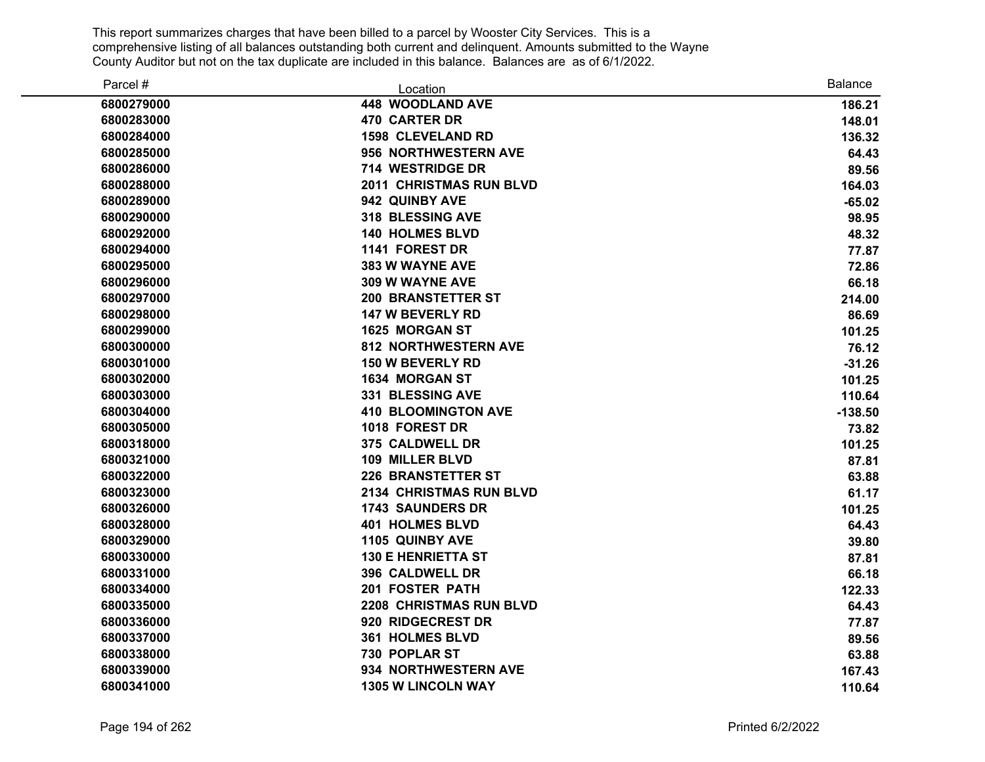| Parcel #   | Location                       | <b>Balance</b> |
|------------|--------------------------------|----------------|
| 6800279000 | <b>448 WOODLAND AVE</b>        | 186.21         |
| 6800283000 | <b>470 CARTER DR</b>           | 148.01         |
| 6800284000 | <b>1598 CLEVELAND RD</b>       | 136.32         |
| 6800285000 | 956 NORTHWESTERN AVE           | 64.43          |
| 6800286000 | 714 WESTRIDGE DR               | 89.56          |
| 6800288000 | <b>2011 CHRISTMAS RUN BLVD</b> | 164.03         |
| 6800289000 | 942 QUINBY AVE                 | $-65.02$       |
| 6800290000 | 318 BLESSING AVE               | 98.95          |
| 6800292000 | <b>140 HOLMES BLVD</b>         | 48.32          |
| 6800294000 | 1141 FOREST DR                 | 77.87          |
| 6800295000 | <b>383 W WAYNE AVE</b>         | 72.86          |
| 6800296000 | 309 W WAYNE AVE                | 66.18          |
| 6800297000 | <b>200 BRANSTETTER ST</b>      | 214.00         |
| 6800298000 | 147 W BEVERLY RD               | 86.69          |
| 6800299000 | <b>1625 MORGAN ST</b>          | 101.25         |
| 6800300000 | <b>812 NORTHWESTERN AVE</b>    | 76.12          |
| 6800301000 | <b>150 W BEVERLY RD</b>        | $-31.26$       |
| 6800302000 | 1634 MORGAN ST                 | 101.25         |
| 6800303000 | 331 BLESSING AVE               | 110.64         |
| 6800304000 | <b>410 BLOOMINGTON AVE</b>     | $-138.50$      |
| 6800305000 | 1018 FOREST DR                 | 73.82          |
| 6800318000 | 375 CALDWELL DR                | 101.25         |
| 6800321000 | 109 MILLER BLVD                | 87.81          |
| 6800322000 | <b>226 BRANSTETTER ST</b>      | 63.88          |
| 6800323000 | <b>2134 CHRISTMAS RUN BLVD</b> | 61.17          |
| 6800326000 | <b>1743 SAUNDERS DR</b>        | 101.25         |
| 6800328000 | <b>401 HOLMES BLVD</b>         | 64.43          |
| 6800329000 | 1105 QUINBY AVE                | 39.80          |
| 6800330000 | <b>130 E HENRIETTA ST</b>      | 87.81          |
| 6800331000 | 396 CALDWELL DR                | 66.18          |
| 6800334000 | 201 FOSTER PATH                | 122.33         |
| 6800335000 | <b>2208 CHRISTMAS RUN BLVD</b> | 64.43          |
| 6800336000 | 920 RIDGECREST DR              | 77.87          |
| 6800337000 | 361 HOLMES BLVD                | 89.56          |
| 6800338000 | 730 POPLAR ST                  | 63.88          |
| 6800339000 | 934 NORTHWESTERN AVE           | 167.43         |
| 6800341000 | <b>1305 W LINCOLN WAY</b>      | 110.64         |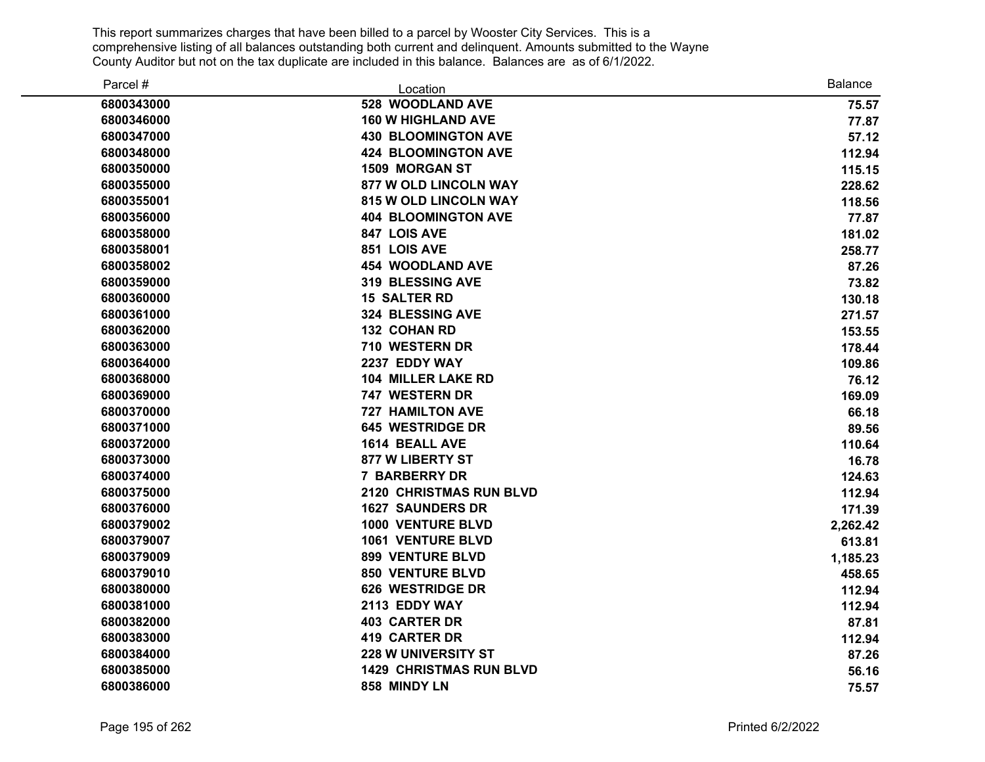| Parcel #   | Location                       | <b>Balance</b> |
|------------|--------------------------------|----------------|
| 6800343000 | 528 WOODLAND AVE               | 75.57          |
| 6800346000 | <b>160 W HIGHLAND AVE</b>      | 77.87          |
| 6800347000 | <b>430 BLOOMINGTON AVE</b>     | 57.12          |
| 6800348000 | <b>424 BLOOMINGTON AVE</b>     | 112.94         |
| 6800350000 | 1509 MORGAN ST                 | 115.15         |
| 6800355000 | <b>877 W OLD LINCOLN WAY</b>   | 228.62         |
| 6800355001 | <b>815 W OLD LINCOLN WAY</b>   | 118.56         |
| 6800356000 | <b>404 BLOOMINGTON AVE</b>     | 77.87          |
| 6800358000 | 847 LOIS AVE                   | 181.02         |
| 6800358001 | 851 LOIS AVE                   | 258.77         |
| 6800358002 | <b>454 WOODLAND AVE</b>        | 87.26          |
| 6800359000 | <b>319 BLESSING AVE</b>        | 73.82          |
| 6800360000 | <b>15 SALTER RD</b>            | 130.18         |
| 6800361000 | 324 BLESSING AVE               | 271.57         |
| 6800362000 | 132 COHAN RD                   | 153.55         |
| 6800363000 | 710 WESTERN DR                 | 178.44         |
| 6800364000 | 2237 EDDY WAY                  | 109.86         |
| 6800368000 | <b>104 MILLER LAKE RD</b>      | 76.12          |
| 6800369000 | 747 WESTERN DR                 | 169.09         |
| 6800370000 | <b>727 HAMILTON AVE</b>        | 66.18          |
| 6800371000 | <b>645 WESTRIDGE DR</b>        | 89.56          |
| 6800372000 | 1614 BEALL AVE                 | 110.64         |
| 6800373000 | <b>877 W LIBERTY ST</b>        | 16.78          |
| 6800374000 | <b>7 BARBERRY DR</b>           | 124.63         |
| 6800375000 | <b>2120 CHRISTMAS RUN BLVD</b> | 112.94         |
| 6800376000 | <b>1627 SAUNDERS DR</b>        | 171.39         |
| 6800379002 | <b>1000 VENTURE BLVD</b>       | 2,262.42       |
| 6800379007 | <b>1061 VENTURE BLVD</b>       | 613.81         |
| 6800379009 | <b>899 VENTURE BLVD</b>        | 1,185.23       |
| 6800379010 | <b>850 VENTURE BLVD</b>        | 458.65         |
| 6800380000 | 626 WESTRIDGE DR               | 112.94         |
| 6800381000 | 2113 EDDY WAY                  | 112.94         |
| 6800382000 | <b>403 CARTER DR</b>           | 87.81          |
| 6800383000 | <b>419 CARTER DR</b>           | 112.94         |
| 6800384000 | <b>228 W UNIVERSITY ST</b>     | 87.26          |
| 6800385000 | <b>1429 CHRISTMAS RUN BLVD</b> | 56.16          |
| 6800386000 | 858 MINDY LN                   | 75.57          |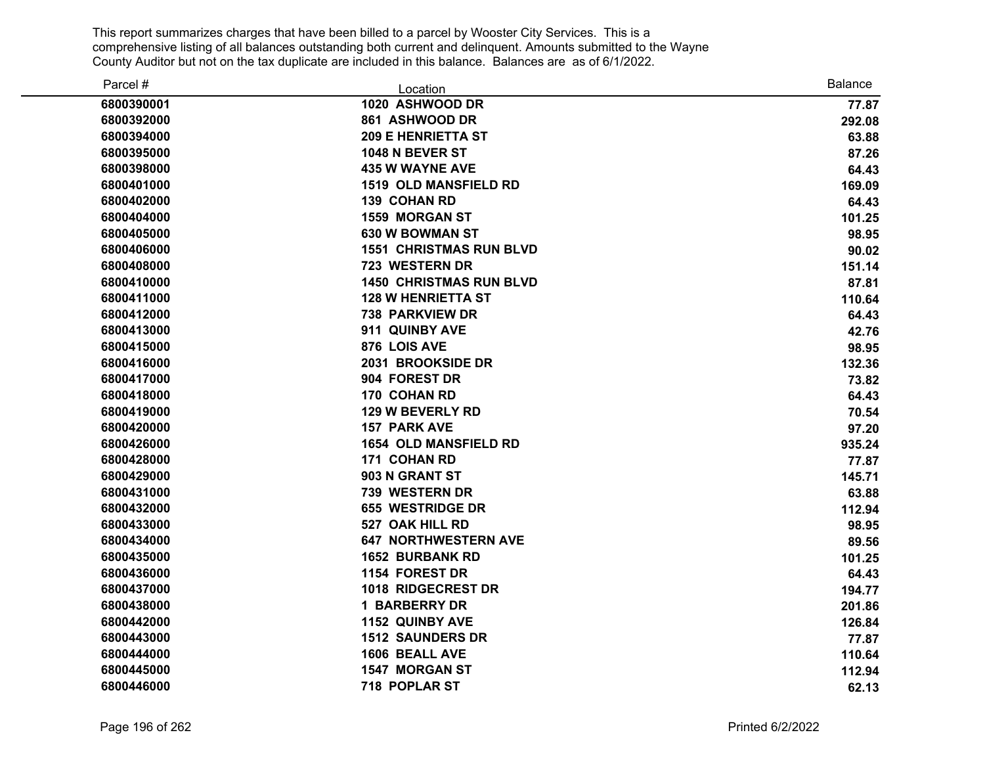| Parcel #   | Location                       | <b>Balance</b> |
|------------|--------------------------------|----------------|
| 6800390001 | 1020 ASHWOOD DR                | 77.87          |
| 6800392000 | 861 ASHWOOD DR                 | 292.08         |
| 6800394000 | <b>209 E HENRIETTA ST</b>      | 63.88          |
| 6800395000 | <b>1048 N BEVER ST</b>         | 87.26          |
| 6800398000 | <b>435 W WAYNE AVE</b>         | 64.43          |
| 6800401000 | <b>1519 OLD MANSFIELD RD</b>   | 169.09         |
| 6800402000 | 139 COHAN RD                   | 64.43          |
| 6800404000 | 1559 MORGAN ST                 | 101.25         |
| 6800405000 | 630 W BOWMAN ST                | 98.95          |
| 6800406000 | <b>1551 CHRISTMAS RUN BLVD</b> | 90.02          |
| 6800408000 | 723 WESTERN DR                 | 151.14         |
| 6800410000 | <b>1450 CHRISTMAS RUN BLVD</b> | 87.81          |
| 6800411000 | <b>128 W HENRIETTA ST</b>      | 110.64         |
| 6800412000 | <b>738 PARKVIEW DR</b>         | 64.43          |
| 6800413000 | 911 QUINBY AVE                 | 42.76          |
| 6800415000 | 876 LOIS AVE                   | 98.95          |
| 6800416000 | 2031 BROOKSIDE DR              | 132.36         |
| 6800417000 | 904 FOREST DR                  | 73.82          |
| 6800418000 | 170 COHAN RD                   | 64.43          |
| 6800419000 | <b>129 W BEVERLY RD</b>        | 70.54          |
| 6800420000 | <b>157 PARK AVE</b>            | 97.20          |
| 6800426000 | <b>1654 OLD MANSFIELD RD</b>   | 935.24         |
| 6800428000 | 171 COHAN RD                   | 77.87          |
| 6800429000 | 903 N GRANT ST                 | 145.71         |
| 6800431000 | 739 WESTERN DR                 | 63.88          |
| 6800432000 | <b>655 WESTRIDGE DR</b>        | 112.94         |
| 6800433000 | 527 OAK HILL RD                | 98.95          |
| 6800434000 | <b>647 NORTHWESTERN AVE</b>    | 89.56          |
| 6800435000 | <b>1652 BURBANK RD</b>         | 101.25         |
| 6800436000 | 1154 FOREST DR                 | 64.43          |
| 6800437000 | 1018 RIDGECREST DR             | 194.77         |
| 6800438000 | <b>1 BARBERRY DR</b>           | 201.86         |
| 6800442000 | <b>1152 QUINBY AVE</b>         | 126.84         |
| 6800443000 | <b>1512 SAUNDERS DR</b>        | 77.87          |
| 6800444000 | 1606 BEALL AVE                 | 110.64         |
| 6800445000 | <b>1547 MORGAN ST</b>          | 112.94         |
| 6800446000 | 718 POPLAR ST                  | 62.13          |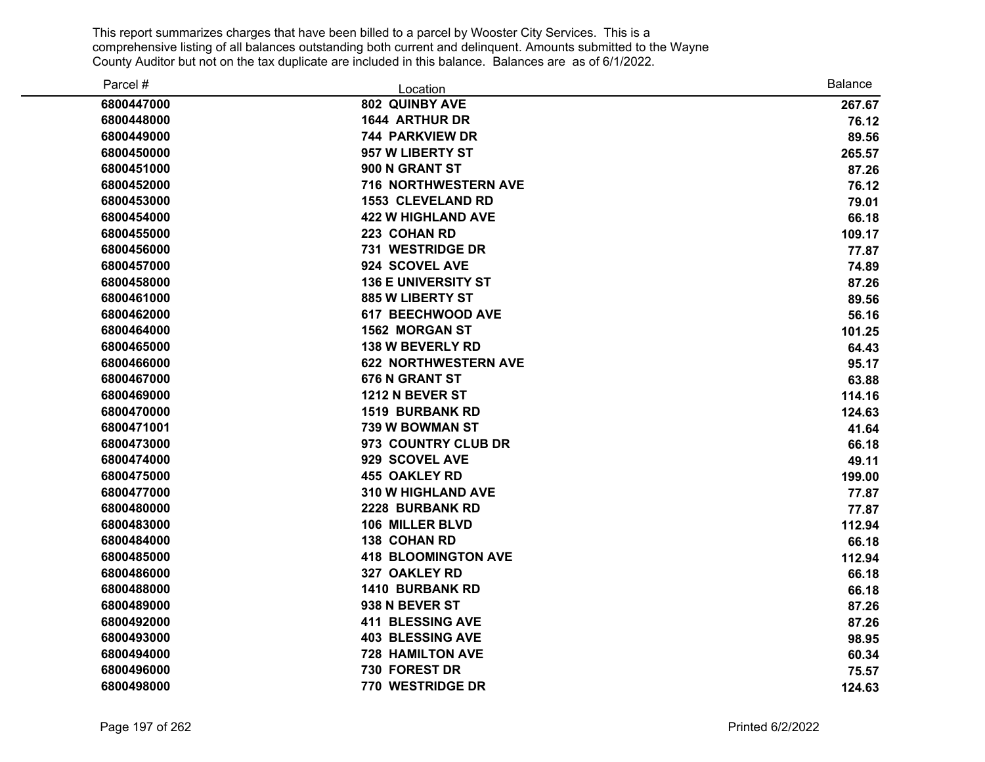| Parcel #   | Location                    | <b>Balance</b> |
|------------|-----------------------------|----------------|
| 6800447000 | 802 QUINBY AVE              | 267.67         |
| 6800448000 | <b>1644 ARTHUR DR</b>       | 76.12          |
| 6800449000 | 744 PARKVIEW DR             | 89.56          |
| 6800450000 | 957 W LIBERTY ST            | 265.57         |
| 6800451000 | 900 N GRANT ST              | 87.26          |
| 6800452000 | 716 NORTHWESTERN AVE        | 76.12          |
| 6800453000 | <b>1553 CLEVELAND RD</b>    | 79.01          |
| 6800454000 | <b>422 W HIGHLAND AVE</b>   | 66.18          |
| 6800455000 | 223 COHAN RD                | 109.17         |
| 6800456000 | 731 WESTRIDGE DR            | 77.87          |
| 6800457000 | 924 SCOVEL AVE              | 74.89          |
| 6800458000 | <b>136 E UNIVERSITY ST</b>  | 87.26          |
| 6800461000 | <b>885 W LIBERTY ST</b>     | 89.56          |
| 6800462000 | <b>617 BEECHWOOD AVE</b>    | 56.16          |
| 6800464000 | <b>1562 MORGAN ST</b>       | 101.25         |
| 6800465000 | <b>138 W BEVERLY RD</b>     | 64.43          |
| 6800466000 | <b>622 NORTHWESTERN AVE</b> | 95.17          |
| 6800467000 | 676 N GRANT ST              | 63.88          |
| 6800469000 | <b>1212 N BEVER ST</b>      | 114.16         |
| 6800470000 | <b>1519 BURBANK RD</b>      | 124.63         |
| 6800471001 | <b>739 W BOWMAN ST</b>      | 41.64          |
| 6800473000 | 973 COUNTRY CLUB DR         | 66.18          |
| 6800474000 | 929 SCOVEL AVE              | 49.11          |
| 6800475000 | <b>455 OAKLEY RD</b>        | 199.00         |
| 6800477000 | 310 W HIGHLAND AVE          | 77.87          |
| 6800480000 | 2228 BURBANK RD             | 77.87          |
| 6800483000 | 106 MILLER BLVD             | 112.94         |
| 6800484000 | <b>138 COHAN RD</b>         | 66.18          |
| 6800485000 | <b>418 BLOOMINGTON AVE</b>  | 112.94         |
| 6800486000 | 327 OAKLEY RD               | 66.18          |
| 6800488000 | <b>1410 BURBANK RD</b>      | 66.18          |
| 6800489000 | 938 N BEVER ST              | 87.26          |
| 6800492000 | <b>411 BLESSING AVE</b>     | 87.26          |
| 6800493000 | <b>403 BLESSING AVE</b>     | 98.95          |
| 6800494000 | <b>728 HAMILTON AVE</b>     | 60.34          |
| 6800496000 | 730 FOREST DR               | 75.57          |
| 6800498000 | 770 WESTRIDGE DR            | 124.63         |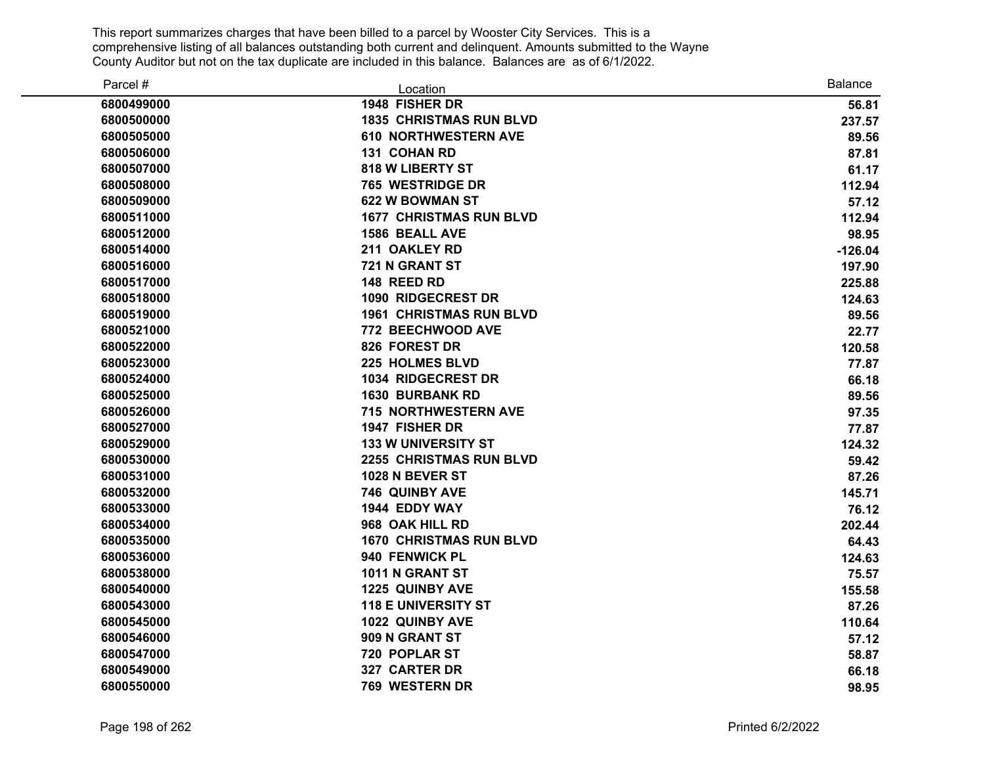| Parcel #   | Location                       | <b>Balance</b> |
|------------|--------------------------------|----------------|
| 6800499000 | 1948 FISHER DR                 | 56.81          |
| 6800500000 | <b>1835 CHRISTMAS RUN BLVD</b> | 237.57         |
| 6800505000 | <b>610 NORTHWESTERN AVE</b>    | 89.56          |
| 6800506000 | 131 COHAN RD                   | 87.81          |
| 6800507000 | <b>818 W LIBERTY ST</b>        | 61.17          |
| 6800508000 | 765 WESTRIDGE DR               | 112.94         |
| 6800509000 | 622 W BOWMAN ST                | 57.12          |
| 6800511000 | <b>1677 CHRISTMAS RUN BLVD</b> | 112.94         |
| 6800512000 | <b>1586 BEALL AVE</b>          | 98.95          |
| 6800514000 | 211 OAKLEY RD                  | $-126.04$      |
| 6800516000 | 721 N GRANT ST                 | 197.90         |
| 6800517000 | 148 REED RD                    | 225.88         |
| 6800518000 | 1090 RIDGECREST DR             | 124.63         |
| 6800519000 | <b>1961 CHRISTMAS RUN BLVD</b> | 89.56          |
| 6800521000 | 772 BEECHWOOD AVE              | 22.77          |
| 6800522000 | 826 FOREST DR                  | 120.58         |
| 6800523000 | <b>225 HOLMES BLVD</b>         | 77.87          |
| 6800524000 | 1034 RIDGECREST DR             | 66.18          |
| 6800525000 | <b>1630 BURBANK RD</b>         | 89.56          |
| 6800526000 | 715 NORTHWESTERN AVE           | 97.35          |
| 6800527000 | 1947 FISHER DR                 | 77.87          |
| 6800529000 | <b>133 W UNIVERSITY ST</b>     | 124.32         |
| 6800530000 | 2255 CHRISTMAS RUN BLVD        | 59.42          |
| 6800531000 | 1028 N BEVER ST                | 87.26          |
| 6800532000 | 746 QUINBY AVE                 | 145.71         |
| 6800533000 | 1944 EDDY WAY                  | 76.12          |
| 6800534000 | 968 OAK HILL RD                | 202.44         |
| 6800535000 | <b>1670 CHRISTMAS RUN BLVD</b> | 64.43          |
| 6800536000 | 940 FENWICK PL                 | 124.63         |
| 6800538000 | 1011 N GRANT ST                | 75.57          |
| 6800540000 | <b>1225 QUINBY AVE</b>         | 155.58         |
| 6800543000 | <b>118 E UNIVERSITY ST</b>     | 87.26          |
| 6800545000 | 1022 QUINBY AVE                | 110.64         |
| 6800546000 | 909 N GRANT ST                 | 57.12          |
| 6800547000 | 720 POPLAR ST                  | 58.87          |
| 6800549000 | 327 CARTER DR                  | 66.18          |
| 6800550000 | 769 WESTERN DR                 | 98.95          |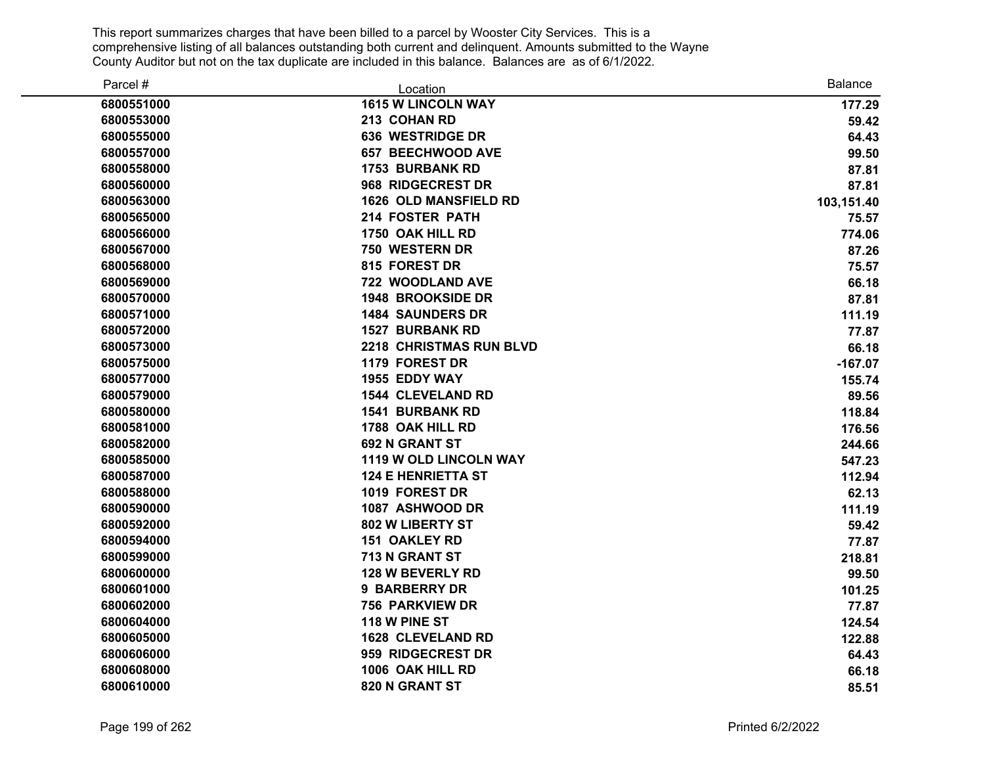| Parcel #   | Location                       | <b>Balance</b> |
|------------|--------------------------------|----------------|
| 6800551000 | <b>1615 W LINCOLN WAY</b>      | 177.29         |
| 6800553000 | 213 COHAN RD                   | 59.42          |
| 6800555000 | <b>636 WESTRIDGE DR</b>        | 64.43          |
| 6800557000 | <b>657 BEECHWOOD AVE</b>       | 99.50          |
| 6800558000 | <b>1753 BURBANK RD</b>         | 87.81          |
| 6800560000 | 968 RIDGECREST DR              | 87.81          |
| 6800563000 | <b>1626 OLD MANSFIELD RD</b>   | 103,151.40     |
| 6800565000 | 214 FOSTER PATH                | 75.57          |
| 6800566000 | 1750 OAK HILL RD               | 774.06         |
| 6800567000 | 750 WESTERN DR                 | 87.26          |
| 6800568000 | 815 FOREST DR                  | 75.57          |
| 6800569000 | 722 WOODLAND AVE               | 66.18          |
| 6800570000 | <b>1948 BROOKSIDE DR</b>       | 87.81          |
| 6800571000 | <b>1484 SAUNDERS DR</b>        | 111.19         |
| 6800572000 | <b>1527 BURBANK RD</b>         | 77.87          |
| 6800573000 | <b>2218 CHRISTMAS RUN BLVD</b> | 66.18          |
| 6800575000 | 1179 FOREST DR                 | $-167.07$      |
| 6800577000 | 1955 EDDY WAY                  | 155.74         |
| 6800579000 | <b>1544 CLEVELAND RD</b>       | 89.56          |
| 6800580000 | <b>1541 BURBANK RD</b>         | 118.84         |
| 6800581000 | 1788 OAK HILL RD               | 176.56         |
| 6800582000 | 692 N GRANT ST                 | 244.66         |
| 6800585000 | 1119 W OLD LINCOLN WAY         | 547.23         |
| 6800587000 | <b>124 E HENRIETTA ST</b>      | 112.94         |
| 6800588000 | 1019 FOREST DR                 | 62.13          |
| 6800590000 | 1087 ASHWOOD DR                | 111.19         |
| 6800592000 | 802 W LIBERTY ST               | 59.42          |
| 6800594000 | <b>151 OAKLEY RD</b>           | 77.87          |
| 6800599000 | 713 N GRANT ST                 | 218.81         |
| 6800600000 | 128 W BEVERLY RD               | 99.50          |
| 6800601000 | <b>9 BARBERRY DR</b>           | 101.25         |
| 6800602000 | <b>756 PARKVIEW DR</b>         | 77.87          |
| 6800604000 | 118 W PINE ST                  | 124.54         |
| 6800605000 | <b>1628 CLEVELAND RD</b>       | 122.88         |
| 6800606000 | 959 RIDGECREST DR              | 64.43          |
| 6800608000 | 1006 OAK HILL RD               | 66.18          |
| 6800610000 | 820 N GRANT ST                 | 85.51          |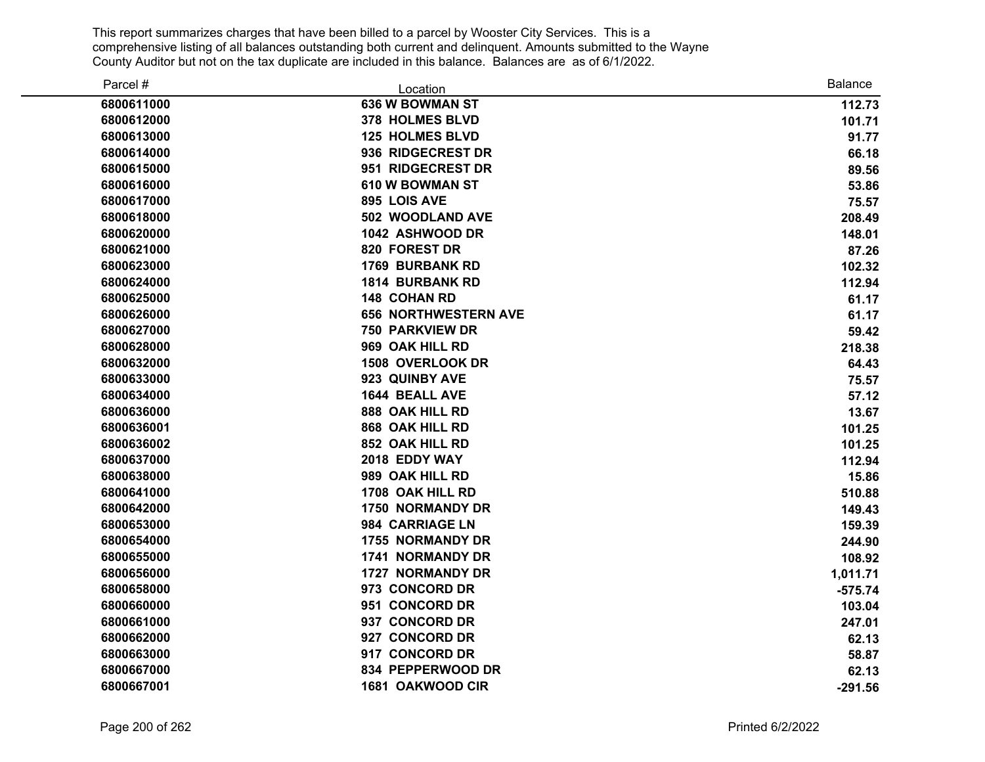| Parcel #   | Location                    | <b>Balance</b> |
|------------|-----------------------------|----------------|
| 6800611000 | <b>636 W BOWMAN ST</b>      | 112.73         |
| 6800612000 | 378 HOLMES BLVD             | 101.71         |
| 6800613000 | <b>125 HOLMES BLVD</b>      | 91.77          |
| 6800614000 | 936 RIDGECREST DR           | 66.18          |
| 6800615000 | 951 RIDGECREST DR           | 89.56          |
| 6800616000 | 610 W BOWMAN ST             | 53.86          |
| 6800617000 | 895 LOIS AVE                | 75.57          |
| 6800618000 | 502 WOODLAND AVE            | 208.49         |
| 6800620000 | 1042 ASHWOOD DR             | 148.01         |
| 6800621000 | 820 FOREST DR               | 87.26          |
| 6800623000 | <b>1769 BURBANK RD</b>      | 102.32         |
| 6800624000 | <b>1814 BURBANK RD</b>      | 112.94         |
| 6800625000 | <b>148 COHAN RD</b>         | 61.17          |
| 6800626000 | <b>656 NORTHWESTERN AVE</b> | 61.17          |
| 6800627000 | <b>750 PARKVIEW DR</b>      | 59.42          |
| 6800628000 | 969 OAK HILL RD             | 218.38         |
| 6800632000 | 1508 OVERLOOK DR            | 64.43          |
| 6800633000 | 923 QUINBY AVE              | 75.57          |
| 6800634000 | <b>1644 BEALL AVE</b>       | 57.12          |
| 6800636000 | 888 OAK HILL RD             | 13.67          |
| 6800636001 | 868 OAK HILL RD             | 101.25         |
| 6800636002 | 852 OAK HILL RD             | 101.25         |
| 6800637000 | 2018 EDDY WAY               | 112.94         |
| 6800638000 | 989 OAK HILL RD             | 15.86          |
| 6800641000 | 1708 OAK HILL RD            | 510.88         |
| 6800642000 | <b>1750 NORMANDY DR</b>     | 149.43         |
| 6800653000 | 984 CARRIAGE LN             | 159.39         |
| 6800654000 | <b>1755 NORMANDY DR</b>     | 244.90         |
| 6800655000 | 1741 NORMANDY DR            | 108.92         |
| 6800656000 | 1727 NORMANDY DR            | 1,011.71       |
| 6800658000 | 973 CONCORD DR              | $-575.74$      |
| 6800660000 | 951 CONCORD DR              | 103.04         |
| 6800661000 | 937 CONCORD DR              | 247.01         |
| 6800662000 | 927 CONCORD DR              | 62.13          |
| 6800663000 | 917 CONCORD DR              | 58.87          |
| 6800667000 | 834 PEPPERWOOD DR           | 62.13          |
| 6800667001 | 1681 OAKWOOD CIR            | $-291.56$      |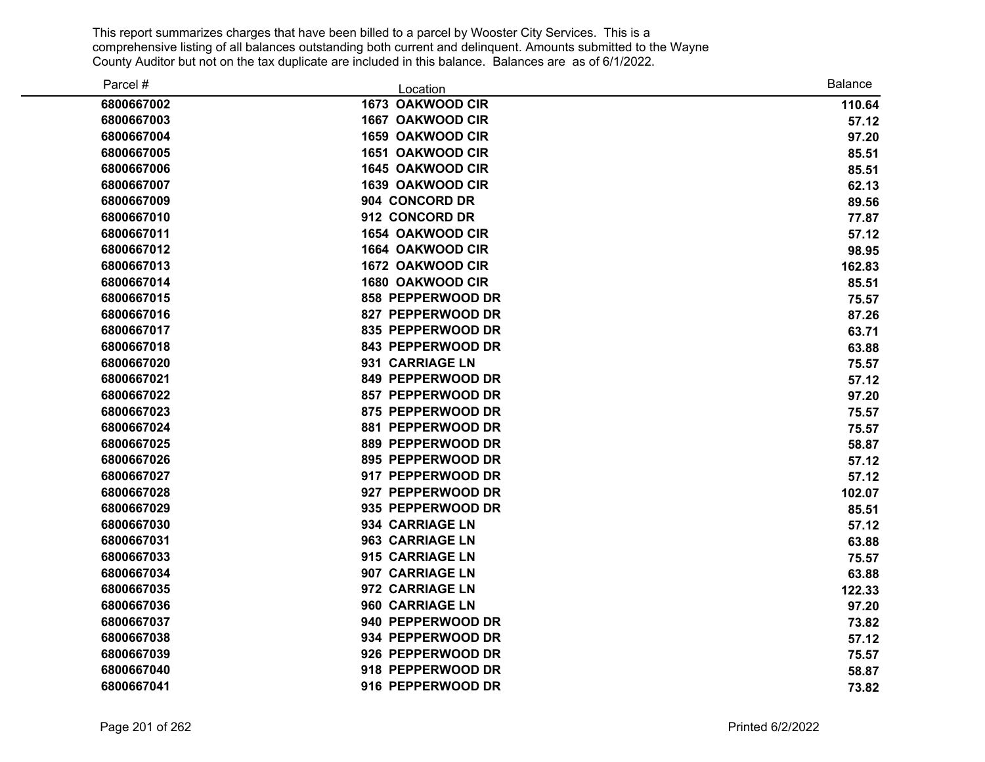| Parcel #   | Location                | <b>Balance</b> |
|------------|-------------------------|----------------|
| 6800667002 | 1673 OAKWOOD CIR        | 110.64         |
| 6800667003 | 1667 OAKWOOD CIR        | 57.12          |
| 6800667004 | 1659 OAKWOOD CIR        | 97.20          |
| 6800667005 | 1651 OAKWOOD CIR        | 85.51          |
| 6800667006 | 1645 OAKWOOD CIR        | 85.51          |
| 6800667007 | 1639 OAKWOOD CIR        | 62.13          |
| 6800667009 | 904 CONCORD DR          | 89.56          |
| 6800667010 | 912 CONCORD DR          | 77.87          |
| 6800667011 | 1654 OAKWOOD CIR        | 57.12          |
| 6800667012 | <b>1664 OAKWOOD CIR</b> | 98.95          |
| 6800667013 | 1672 OAKWOOD CIR        | 162.83         |
| 6800667014 | 1680 OAKWOOD CIR        | 85.51          |
| 6800667015 | 858 PEPPERWOOD DR       | 75.57          |
| 6800667016 | 827 PEPPERWOOD DR       | 87.26          |
| 6800667017 | 835 PEPPERWOOD DR       | 63.71          |
| 6800667018 | 843 PEPPERWOOD DR       | 63.88          |
| 6800667020 | 931 CARRIAGE LN         | 75.57          |
| 6800667021 | 849 PEPPERWOOD DR       | 57.12          |
| 6800667022 | 857 PEPPERWOOD DR       | 97.20          |
| 6800667023 | 875 PEPPERWOOD DR       | 75.57          |
| 6800667024 | 881 PEPPERWOOD DR       | 75.57          |
| 6800667025 | 889 PEPPERWOOD DR       | 58.87          |
| 6800667026 | 895 PEPPERWOOD DR       | 57.12          |
| 6800667027 | 917 PEPPERWOOD DR       | 57.12          |
| 6800667028 | 927 PEPPERWOOD DR       | 102.07         |
| 6800667029 | 935 PEPPERWOOD DR       | 85.51          |
| 6800667030 | 934 CARRIAGE LN         | 57.12          |
| 6800667031 | 963 CARRIAGE LN         | 63.88          |
| 6800667033 | 915 CARRIAGE LN         | 75.57          |
| 6800667034 | 907 CARRIAGE LN         | 63.88          |
| 6800667035 | 972 CARRIAGE LN         | 122.33         |
| 6800667036 | 960 CARRIAGE LN         | 97.20          |
| 6800667037 | 940 PEPPERWOOD DR       | 73.82          |
| 6800667038 | 934 PEPPERWOOD DR       | 57.12          |
| 6800667039 | 926 PEPPERWOOD DR       | 75.57          |
| 6800667040 | 918 PEPPERWOOD DR       | 58.87          |
| 6800667041 | 916 PEPPERWOOD DR       | 73.82          |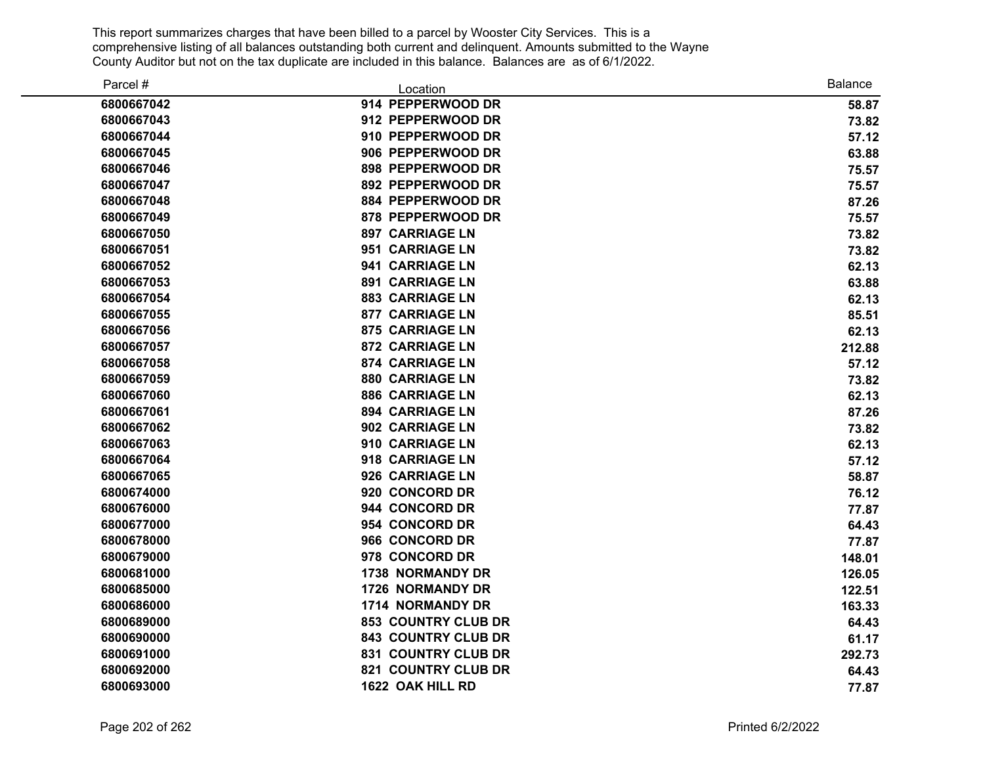| Parcel #   | Location                   | <b>Balance</b> |
|------------|----------------------------|----------------|
| 6800667042 | 914 PEPPERWOOD DR          | 58.87          |
| 6800667043 | 912 PEPPERWOOD DR          | 73.82          |
| 6800667044 | 910 PEPPERWOOD DR          | 57.12          |
| 6800667045 | 906 PEPPERWOOD DR          | 63.88          |
| 6800667046 | 898 PEPPERWOOD DR          | 75.57          |
| 6800667047 | 892 PEPPERWOOD DR          | 75.57          |
| 6800667048 | 884 PEPPERWOOD DR          | 87.26          |
| 6800667049 | 878 PEPPERWOOD DR          | 75.57          |
| 6800667050 | <b>897 CARRIAGE LN</b>     | 73.82          |
| 6800667051 | 951 CARRIAGE LN            | 73.82          |
| 6800667052 | 941 CARRIAGE LN            | 62.13          |
| 6800667053 | <b>891 CARRIAGE LN</b>     | 63.88          |
| 6800667054 | <b>883 CARRIAGE LN</b>     | 62.13          |
| 6800667055 | <b>877 CARRIAGE LN</b>     | 85.51          |
| 6800667056 | <b>875 CARRIAGE LN</b>     | 62.13          |
| 6800667057 | <b>872 CARRIAGE LN</b>     | 212.88         |
| 6800667058 | <b>874 CARRIAGE LN</b>     | 57.12          |
| 6800667059 | <b>880 CARRIAGE LN</b>     | 73.82          |
| 6800667060 | <b>886 CARRIAGE LN</b>     | 62.13          |
| 6800667061 | <b>894 CARRIAGE LN</b>     | 87.26          |
| 6800667062 | 902 CARRIAGE LN            | 73.82          |
| 6800667063 | 910 CARRIAGE LN            | 62.13          |
| 6800667064 | 918 CARRIAGE LN            | 57.12          |
| 6800667065 | 926 CARRIAGE LN            | 58.87          |
| 6800674000 | 920 CONCORD DR             | 76.12          |
| 6800676000 | 944 CONCORD DR             | 77.87          |
| 6800677000 | 954 CONCORD DR             | 64.43          |
| 6800678000 | 966 CONCORD DR             | 77.87          |
| 6800679000 | 978 CONCORD DR             | 148.01         |
| 6800681000 | <b>1738 NORMANDY DR</b>    | 126.05         |
| 6800685000 | 1726 NORMANDY DR           | 122.51         |
| 6800686000 | 1714 NORMANDY DR           | 163.33         |
| 6800689000 | <b>853 COUNTRY CLUB DR</b> | 64.43          |
| 6800690000 | 843 COUNTRY CLUB DR        | 61.17          |
| 6800691000 | <b>831 COUNTRY CLUB DR</b> | 292.73         |
| 6800692000 | 821 COUNTRY CLUB DR        | 64.43          |
| 6800693000 | 1622 OAK HILL RD           | 77.87          |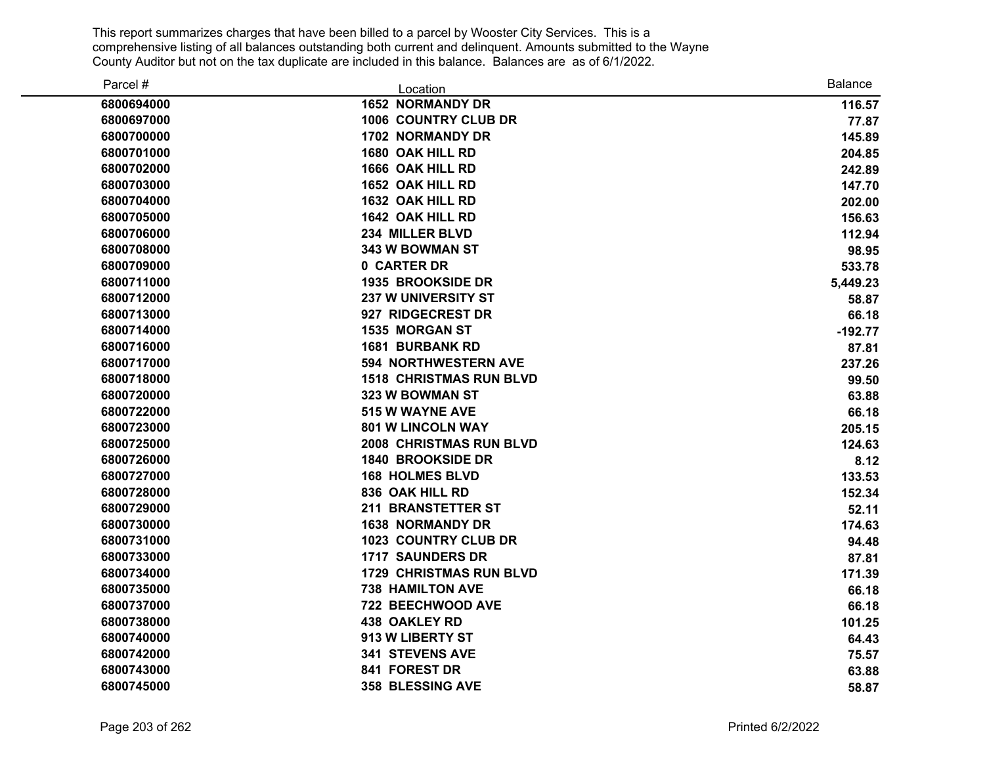| Parcel #   | Location                       | <b>Balance</b> |
|------------|--------------------------------|----------------|
| 6800694000 | <b>1652 NORMANDY DR</b>        | 116.57         |
| 6800697000 | <b>1006 COUNTRY CLUB DR</b>    | 77.87          |
| 6800700000 | 1702 NORMANDY DR               | 145.89         |
| 6800701000 | 1680 OAK HILL RD               | 204.85         |
| 6800702000 | 1666 OAK HILL RD               | 242.89         |
| 6800703000 | <b>1652 OAK HILL RD</b>        | 147.70         |
| 6800704000 | 1632 OAK HILL RD               | 202.00         |
| 6800705000 | 1642 OAK HILL RD               | 156.63         |
| 6800706000 | 234 MILLER BLVD                | 112.94         |
| 6800708000 | 343 W BOWMAN ST                | 98.95          |
| 6800709000 | 0 CARTER DR                    | 533.78         |
| 6800711000 | <b>1935 BROOKSIDE DR</b>       | 5,449.23       |
| 6800712000 | <b>237 W UNIVERSITY ST</b>     | 58.87          |
| 6800713000 | 927 RIDGECREST DR              | 66.18          |
| 6800714000 | 1535 MORGAN ST                 | $-192.77$      |
| 6800716000 | <b>1681 BURBANK RD</b>         | 87.81          |
| 6800717000 | <b>594 NORTHWESTERN AVE</b>    | 237.26         |
| 6800718000 | <b>1518 CHRISTMAS RUN BLVD</b> | 99.50          |
| 6800720000 | 323 W BOWMAN ST                | 63.88          |
| 6800722000 | <b>515 W WAYNE AVE</b>         | 66.18          |
| 6800723000 | <b>801 W LINCOLN WAY</b>       | 205.15         |
| 6800725000 | <b>2008 CHRISTMAS RUN BLVD</b> | 124.63         |
| 6800726000 | <b>1840 BROOKSIDE DR</b>       | 8.12           |
| 6800727000 | <b>168 HOLMES BLVD</b>         | 133.53         |
| 6800728000 | 836 OAK HILL RD                | 152.34         |
| 6800729000 | 211 BRANSTETTER ST             | 52.11          |
| 6800730000 | <b>1638 NORMANDY DR</b>        | 174.63         |
| 6800731000 | <b>1023 COUNTRY CLUB DR</b>    | 94.48          |
| 6800733000 | <b>1717 SAUNDERS DR</b>        | 87.81          |
| 6800734000 | <b>1729 CHRISTMAS RUN BLVD</b> | 171.39         |
| 6800735000 | <b>738 HAMILTON AVE</b>        | 66.18          |
| 6800737000 | 722 BEECHWOOD AVE              | 66.18          |
| 6800738000 | <b>438 OAKLEY RD</b>           | 101.25         |
| 6800740000 | 913 W LIBERTY ST               | 64.43          |
| 6800742000 | <b>341 STEVENS AVE</b>         | 75.57          |
| 6800743000 | 841 FOREST DR                  | 63.88          |
| 6800745000 | <b>358 BLESSING AVE</b>        | 58.87          |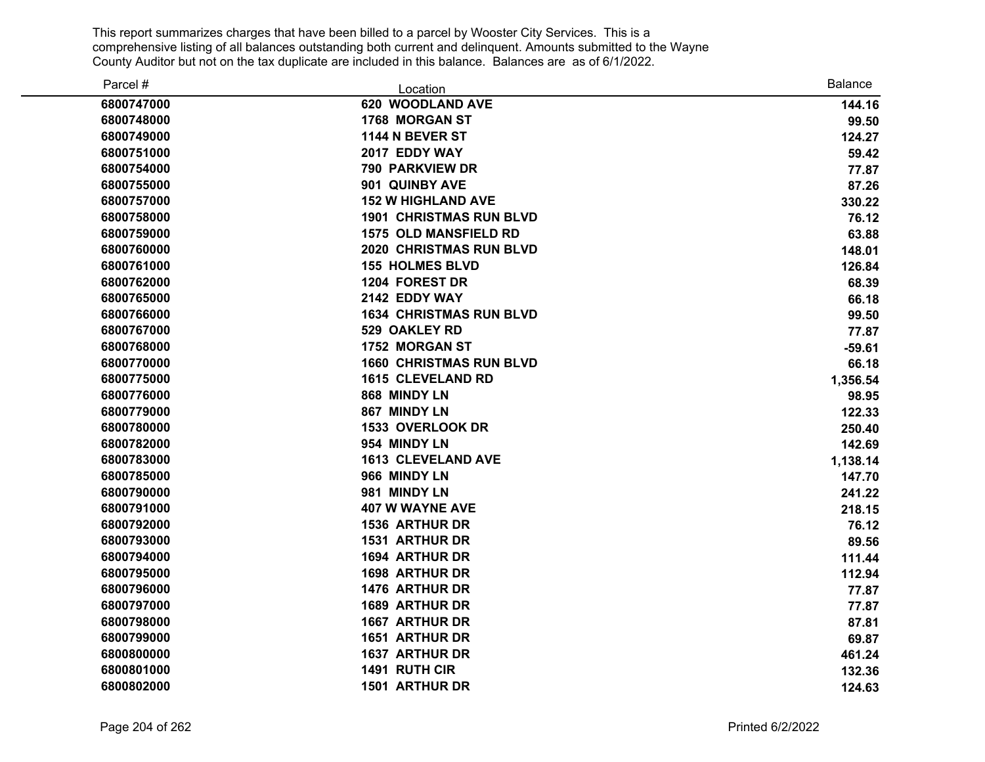| Parcel #   | Location                       | <b>Balance</b> |
|------------|--------------------------------|----------------|
| 6800747000 | 620 WOODLAND AVE               | 144.16         |
| 6800748000 | 1768 MORGAN ST                 | 99.50          |
| 6800749000 | 1144 N BEVER ST                | 124.27         |
| 6800751000 | 2017 EDDY WAY                  | 59.42          |
| 6800754000 | 790 PARKVIEW DR                | 77.87          |
| 6800755000 | 901 QUINBY AVE                 | 87.26          |
| 6800757000 | <b>152 W HIGHLAND AVE</b>      | 330.22         |
| 6800758000 | <b>1901 CHRISTMAS RUN BLVD</b> | 76.12          |
| 6800759000 | <b>1575 OLD MANSFIELD RD</b>   | 63.88          |
| 6800760000 | <b>2020 CHRISTMAS RUN BLVD</b> | 148.01         |
| 6800761000 | <b>155 HOLMES BLVD</b>         | 126.84         |
| 6800762000 | 1204 FOREST DR                 | 68.39          |
| 6800765000 | 2142 EDDY WAY                  | 66.18          |
| 6800766000 | <b>1634 CHRISTMAS RUN BLVD</b> | 99.50          |
| 6800767000 | 529 OAKLEY RD                  | 77.87          |
| 6800768000 | 1752 MORGAN ST                 | $-59.61$       |
| 6800770000 | <b>1660 CHRISTMAS RUN BLVD</b> | 66.18          |
| 6800775000 | <b>1615 CLEVELAND RD</b>       | 1,356.54       |
| 6800776000 | 868 MINDY LN                   | 98.95          |
| 6800779000 | 867 MINDY LN                   | 122.33         |
| 6800780000 | 1533 OVERLOOK DR               | 250.40         |
| 6800782000 | 954 MINDY LN                   | 142.69         |
| 6800783000 | <b>1613 CLEVELAND AVE</b>      | 1,138.14       |
| 6800785000 | 966 MINDY LN                   | 147.70         |
| 6800790000 | 981 MINDY LN                   | 241.22         |
| 6800791000 | <b>407 W WAYNE AVE</b>         | 218.15         |
| 6800792000 | <b>1536 ARTHUR DR</b>          | 76.12          |
| 6800793000 | <b>1531 ARTHUR DR</b>          | 89.56          |
| 6800794000 | <b>1694 ARTHUR DR</b>          | 111.44         |
| 6800795000 | 1698 ARTHUR DR                 | 112.94         |
| 6800796000 | 1476 ARTHUR DR                 | 77.87          |
| 6800797000 | <b>1689 ARTHUR DR</b>          | 77.87          |
| 6800798000 | <b>1667 ARTHUR DR</b>          | 87.81          |
| 6800799000 | <b>1651 ARTHUR DR</b>          | 69.87          |
| 6800800000 | <b>1637 ARTHUR DR</b>          | 461.24         |
| 6800801000 | 1491 RUTH CIR                  | 132.36         |
| 6800802000 | <b>1501 ARTHUR DR</b>          | 124.63         |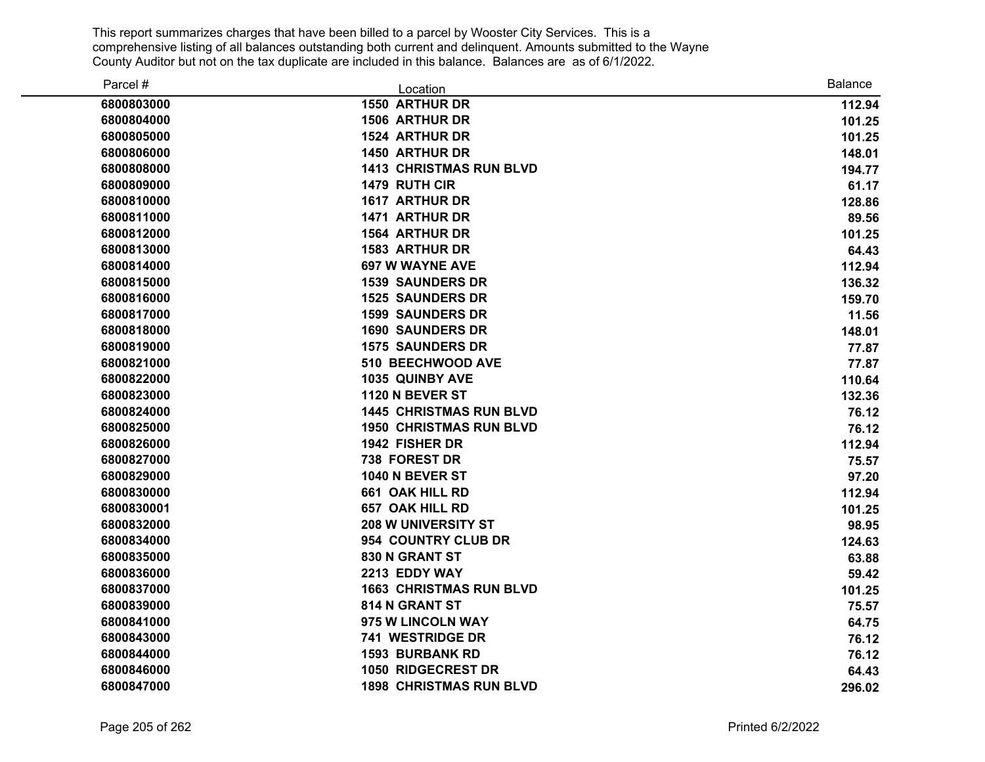| Parcel #   | Location                       | <b>Balance</b> |
|------------|--------------------------------|----------------|
| 6800803000 | <b>1550 ARTHUR DR</b>          | 112.94         |
| 6800804000 | <b>1506 ARTHUR DR</b>          | 101.25         |
| 6800805000 | 1524 ARTHUR DR                 | 101.25         |
| 6800806000 | <b>1450 ARTHUR DR</b>          | 148.01         |
| 6800808000 | <b>1413 CHRISTMAS RUN BLVD</b> | 194.77         |
| 6800809000 | 1479 RUTH CIR                  | 61.17          |
| 6800810000 | 1617 ARTHUR DR                 | 128.86         |
| 6800811000 | 1471 ARTHUR DR                 | 89.56          |
| 6800812000 | <b>1564 ARTHUR DR</b>          | 101.25         |
| 6800813000 | <b>1583 ARTHUR DR</b>          | 64.43          |
| 6800814000 | <b>697 W WAYNE AVE</b>         | 112.94         |
| 6800815000 | <b>1539 SAUNDERS DR</b>        | 136.32         |
| 6800816000 | <b>1525 SAUNDERS DR</b>        | 159.70         |
| 6800817000 | <b>1599 SAUNDERS DR</b>        | 11.56          |
| 6800818000 | <b>1690 SAUNDERS DR</b>        | 148.01         |
| 6800819000 | <b>1575 SAUNDERS DR</b>        | 77.87          |
| 6800821000 | 510 BEECHWOOD AVE              | 77.87          |
| 6800822000 | 1035 QUINBY AVE                | 110.64         |
| 6800823000 | 1120 N BEVER ST                | 132.36         |
| 6800824000 | <b>1445 CHRISTMAS RUN BLVD</b> | 76.12          |
| 6800825000 | <b>1950 CHRISTMAS RUN BLVD</b> | 76.12          |
| 6800826000 | 1942 FISHER DR                 | 112.94         |
| 6800827000 | 738 FOREST DR                  | 75.57          |
| 6800829000 | <b>1040 N BEVER ST</b>         | 97.20          |
| 6800830000 | 661 OAK HILL RD                | 112.94         |
| 6800830001 | <b>657 OAK HILL RD</b>         | 101.25         |
| 6800832000 | <b>208 W UNIVERSITY ST</b>     | 98.95          |
| 6800834000 | 954 COUNTRY CLUB DR            | 124.63         |
| 6800835000 | 830 N GRANT ST                 | 63.88          |
| 6800836000 | 2213 EDDY WAY                  | 59.42          |
| 6800837000 | <b>1663 CHRISTMAS RUN BLVD</b> | 101.25         |
| 6800839000 | 814 N GRANT ST                 | 75.57          |
| 6800841000 | 975 W LINCOLN WAY              | 64.75          |
| 6800843000 | 741 WESTRIDGE DR               | 76.12          |
| 6800844000 | <b>1593 BURBANK RD</b>         | 76.12          |
| 6800846000 | <b>1050 RIDGECREST DR</b>      | 64.43          |
| 6800847000 | <b>1898 CHRISTMAS RUN BLVD</b> | 296.02         |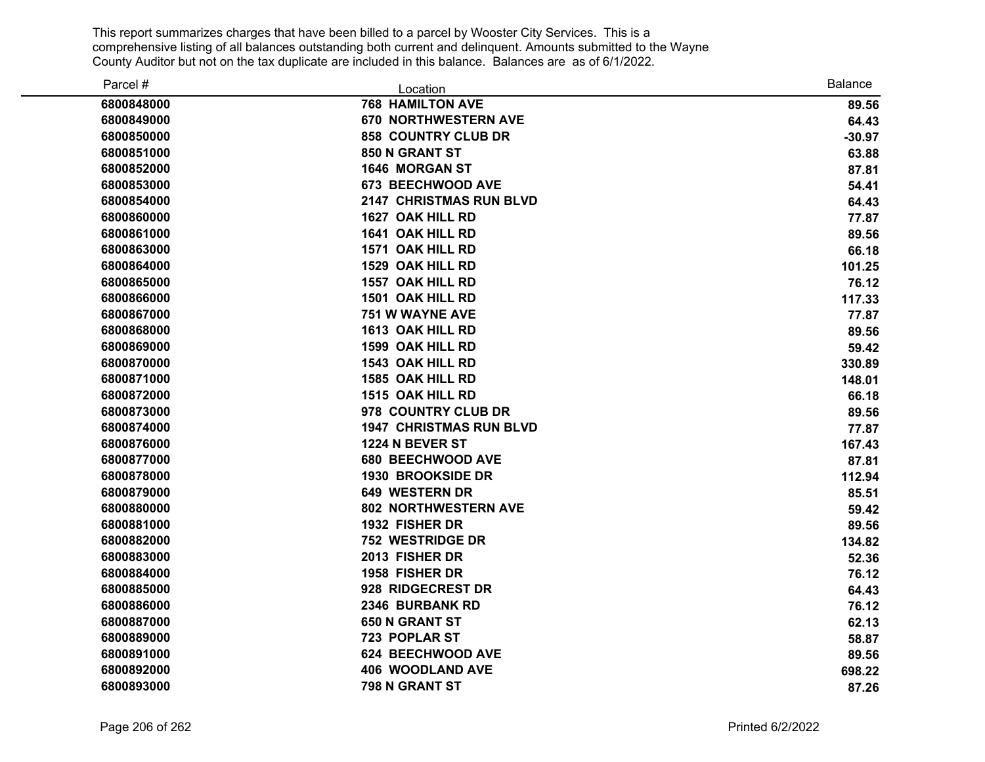| Parcel #   | Location                       | <b>Balance</b> |
|------------|--------------------------------|----------------|
| 6800848000 | <b>768 HAMILTON AVE</b>        | 89.56          |
| 6800849000 | <b>670 NORTHWESTERN AVE</b>    | 64.43          |
| 6800850000 | <b>858 COUNTRY CLUB DR</b>     | $-30.97$       |
| 6800851000 | 850 N GRANT ST                 | 63.88          |
| 6800852000 | 1646 MORGAN ST                 | 87.81          |
| 6800853000 | 673 BEECHWOOD AVE              | 54.41          |
| 6800854000 | <b>2147 CHRISTMAS RUN BLVD</b> | 64.43          |
| 6800860000 | 1627 OAK HILL RD               | 77.87          |
| 6800861000 | 1641 OAK HILL RD               | 89.56          |
| 6800863000 | 1571 OAK HILL RD               | 66.18          |
| 6800864000 | 1529 OAK HILL RD               | 101.25         |
| 6800865000 | 1557 OAK HILL RD               | 76.12          |
| 6800866000 | 1501 OAK HILL RD               | 117.33         |
| 6800867000 | 751 W WAYNE AVE                | 77.87          |
| 6800868000 | 1613 OAK HILL RD               | 89.56          |
| 6800869000 | 1599 OAK HILL RD               | 59.42          |
| 6800870000 | 1543 OAK HILL RD               | 330.89         |
| 6800871000 | 1585 OAK HILL RD               | 148.01         |
| 6800872000 | 1515 OAK HILL RD               | 66.18          |
| 6800873000 | 978 COUNTRY CLUB DR            | 89.56          |
| 6800874000 | <b>1947 CHRISTMAS RUN BLVD</b> | 77.87          |
| 6800876000 | 1224 N BEVER ST                | 167.43         |
| 6800877000 | 680 BEECHWOOD AVE              | 87.81          |
| 6800878000 | <b>1930 BROOKSIDE DR</b>       | 112.94         |
| 6800879000 | <b>649 WESTERN DR</b>          | 85.51          |
| 6800880000 | <b>802 NORTHWESTERN AVE</b>    | 59.42          |
| 6800881000 | 1932 FISHER DR                 | 89.56          |
| 6800882000 | <b>752 WESTRIDGE DR</b>        | 134.82         |
| 6800883000 | 2013 FISHER DR                 | 52.36          |
| 6800884000 | 1958 FISHER DR                 | 76.12          |
| 6800885000 | 928 RIDGECREST DR              | 64.43          |
| 6800886000 | 2346 BURBANK RD                | 76.12          |
| 6800887000 | 650 N GRANT ST                 | 62.13          |
| 6800889000 | 723 POPLAR ST                  | 58.87          |
| 6800891000 | 624 BEECHWOOD AVE              | 89.56          |
| 6800892000 | <b>406 WOODLAND AVE</b>        | 698.22         |
| 6800893000 | 798 N GRANT ST                 | 87.26          |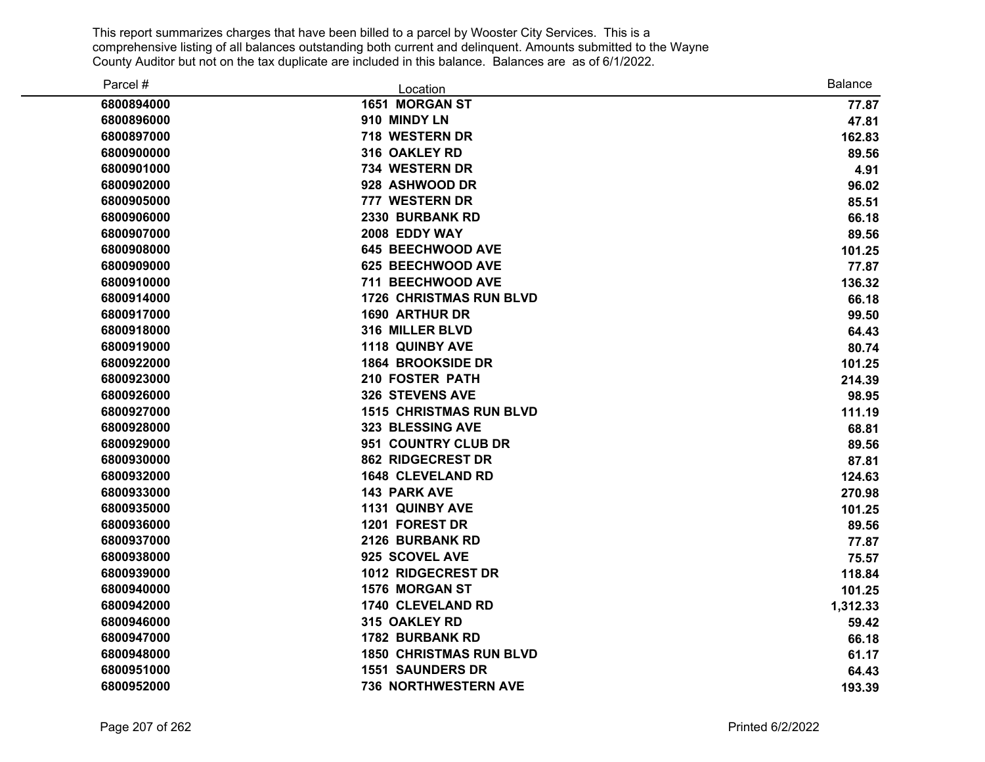| Parcel #   | Location                       | <b>Balance</b> |
|------------|--------------------------------|----------------|
| 6800894000 | 1651 MORGAN ST                 | 77.87          |
| 6800896000 | 910 MINDY LN                   | 47.81          |
| 6800897000 | 718 WESTERN DR                 | 162.83         |
| 6800900000 | 316 OAKLEY RD                  | 89.56          |
| 6800901000 | 734 WESTERN DR                 | 4.91           |
| 6800902000 | 928 ASHWOOD DR                 | 96.02          |
| 6800905000 | 777 WESTERN DR                 | 85.51          |
| 6800906000 | 2330 BURBANK RD                | 66.18          |
| 6800907000 | 2008 EDDY WAY                  | 89.56          |
| 6800908000 | <b>645 BEECHWOOD AVE</b>       | 101.25         |
| 6800909000 | 625 BEECHWOOD AVE              | 77.87          |
| 6800910000 | 711 BEECHWOOD AVE              | 136.32         |
| 6800914000 | <b>1726 CHRISTMAS RUN BLVD</b> | 66.18          |
| 6800917000 | <b>1690 ARTHUR DR</b>          | 99.50          |
| 6800918000 | 316 MILLER BLVD                | 64.43          |
| 6800919000 | 1118 QUINBY AVE                | 80.74          |
| 6800922000 | <b>1864 BROOKSIDE DR</b>       | 101.25         |
| 6800923000 | 210 FOSTER PATH                | 214.39         |
| 6800926000 | <b>326 STEVENS AVE</b>         | 98.95          |
| 6800927000 | <b>1515 CHRISTMAS RUN BLVD</b> | 111.19         |
| 6800928000 | 323 BLESSING AVE               | 68.81          |
| 6800929000 | 951 COUNTRY CLUB DR            | 89.56          |
| 6800930000 | <b>862 RIDGECREST DR</b>       | 87.81          |
| 6800932000 | <b>1648 CLEVELAND RD</b>       | 124.63         |
| 6800933000 | <b>143 PARK AVE</b>            | 270.98         |
| 6800935000 | 1131 QUINBY AVE                | 101.25         |
| 6800936000 | 1201 FOREST DR                 | 89.56          |
| 6800937000 | 2126 BURBANK RD                | 77.87          |
| 6800938000 | 925 SCOVEL AVE                 | 75.57          |
| 6800939000 | <b>1012 RIDGECREST DR</b>      | 118.84         |
| 6800940000 | <b>1576 MORGAN ST</b>          | 101.25         |
| 6800942000 | <b>1740 CLEVELAND RD</b>       | 1,312.33       |
| 6800946000 | 315 OAKLEY RD                  | 59.42          |
| 6800947000 | <b>1782 BURBANK RD</b>         | 66.18          |
| 6800948000 | <b>1850 CHRISTMAS RUN BLVD</b> | 61.17          |
| 6800951000 | <b>1551 SAUNDERS DR</b>        | 64.43          |
| 6800952000 | 736 NORTHWESTERN AVE           | 193.39         |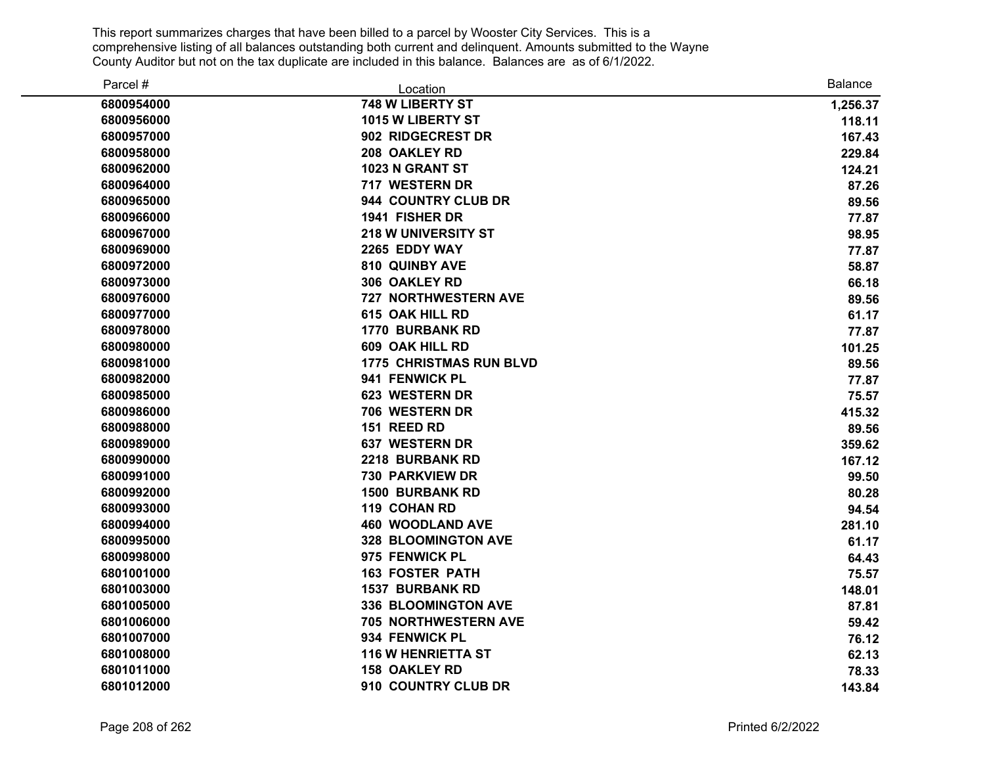| Parcel #   | Location                       | <b>Balance</b> |
|------------|--------------------------------|----------------|
| 6800954000 | 748 W LIBERTY ST               | 1,256.37       |
| 6800956000 | 1015 W LIBERTY ST              | 118.11         |
| 6800957000 | 902 RIDGECREST DR              | 167.43         |
| 6800958000 | 208 OAKLEY RD                  | 229.84         |
| 6800962000 | 1023 N GRANT ST                | 124.21         |
| 6800964000 | 717 WESTERN DR                 | 87.26          |
| 6800965000 | 944 COUNTRY CLUB DR            | 89.56          |
| 6800966000 | 1941 FISHER DR                 | 77.87          |
| 6800967000 | <b>218 W UNIVERSITY ST</b>     | 98.95          |
| 6800969000 | 2265 EDDY WAY                  | 77.87          |
| 6800972000 | 810 QUINBY AVE                 | 58.87          |
| 6800973000 | 306 OAKLEY RD                  | 66.18          |
| 6800976000 | 727 NORTHWESTERN AVE           | 89.56          |
| 6800977000 | 615 OAK HILL RD                | 61.17          |
| 6800978000 | <b>1770 BURBANK RD</b>         | 77.87          |
| 6800980000 | 609 OAK HILL RD                | 101.25         |
| 6800981000 | <b>1775 CHRISTMAS RUN BLVD</b> | 89.56          |
| 6800982000 | 941 FENWICK PL                 | 77.87          |
| 6800985000 | 623 WESTERN DR                 | 75.57          |
| 6800986000 | 706 WESTERN DR                 | 415.32         |
| 6800988000 | 151 REED RD                    | 89.56          |
| 6800989000 | <b>637 WESTERN DR</b>          | 359.62         |
| 6800990000 | 2218 BURBANK RD                | 167.12         |
| 6800991000 | <b>730 PARKVIEW DR</b>         | 99.50          |
| 6800992000 | <b>1500 BURBANK RD</b>         | 80.28          |
| 6800993000 | 119 COHAN RD                   | 94.54          |
| 6800994000 | <b>460 WOODLAND AVE</b>        | 281.10         |
| 6800995000 | <b>328 BLOOMINGTON AVE</b>     | 61.17          |
| 6800998000 | 975 FENWICK PL                 | 64.43          |
| 6801001000 | <b>163 FOSTER PATH</b>         | 75.57          |
| 6801003000 | <b>1537 BURBANK RD</b>         | 148.01         |
| 6801005000 | 336 BLOOMINGTON AVE            | 87.81          |
| 6801006000 | 705 NORTHWESTERN AVE           | 59.42          |
| 6801007000 | 934 FENWICK PL                 | 76.12          |
| 6801008000 | <b>116 W HENRIETTA ST</b>      | 62.13          |
| 6801011000 | <b>158 OAKLEY RD</b>           | 78.33          |
| 6801012000 | 910 COUNTRY CLUB DR            | 143.84         |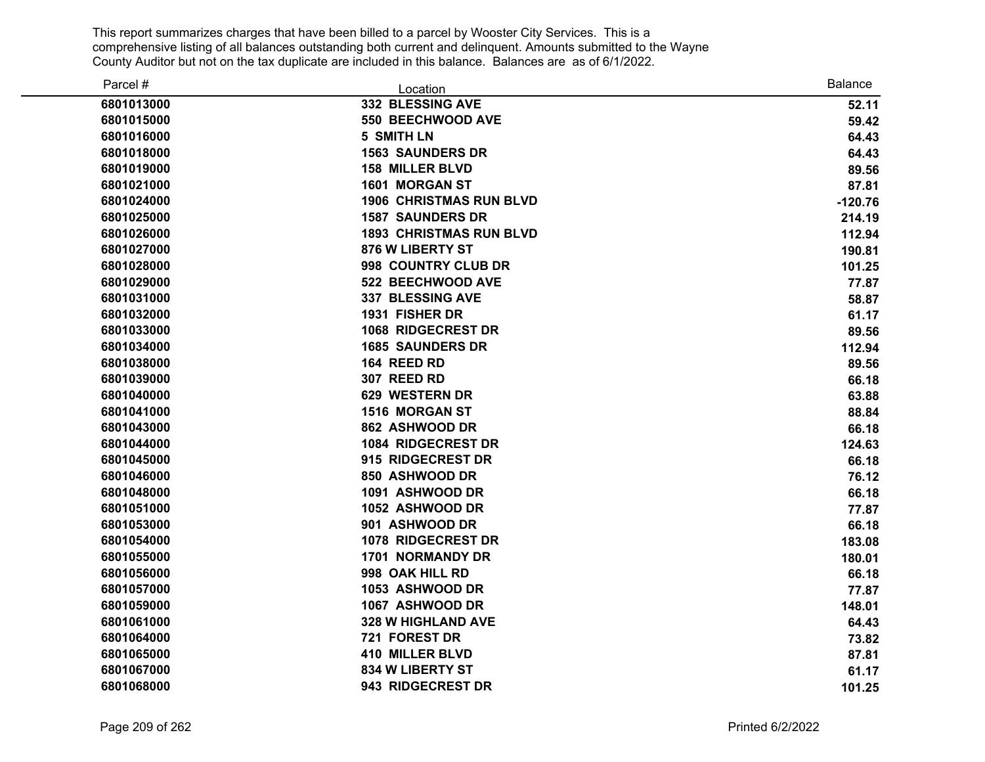| Parcel #   | Location                       | <b>Balance</b> |
|------------|--------------------------------|----------------|
| 6801013000 | 332 BLESSING AVE               | 52.11          |
| 6801015000 | 550 BEECHWOOD AVE              | 59.42          |
| 6801016000 | <b>5 SMITH LN</b>              | 64.43          |
| 6801018000 | <b>1563 SAUNDERS DR</b>        | 64.43          |
| 6801019000 | <b>158 MILLER BLVD</b>         | 89.56          |
| 6801021000 | 1601 MORGAN ST                 | 87.81          |
| 6801024000 | <b>1906 CHRISTMAS RUN BLVD</b> | $-120.76$      |
| 6801025000 | <b>1587 SAUNDERS DR</b>        | 214.19         |
| 6801026000 | <b>1893 CHRISTMAS RUN BLVD</b> | 112.94         |
| 6801027000 | 876 W LIBERTY ST               | 190.81         |
| 6801028000 | 998 COUNTRY CLUB DR            | 101.25         |
| 6801029000 | 522 BEECHWOOD AVE              | 77.87          |
| 6801031000 | <b>337 BLESSING AVE</b>        | 58.87          |
| 6801032000 | 1931 FISHER DR                 | 61.17          |
| 6801033000 | 1068 RIDGECREST DR             | 89.56          |
| 6801034000 | <b>1685 SAUNDERS DR</b>        | 112.94         |
| 6801038000 | 164 REED RD                    | 89.56          |
| 6801039000 | 307 REED RD                    | 66.18          |
| 6801040000 | 629 WESTERN DR                 | 63.88          |
| 6801041000 | 1516 MORGAN ST                 | 88.84          |
| 6801043000 | 862 ASHWOOD DR                 | 66.18          |
| 6801044000 | 1084 RIDGECREST DR             | 124.63         |
| 6801045000 | 915 RIDGECREST DR              | 66.18          |
| 6801046000 | 850 ASHWOOD DR                 | 76.12          |
| 6801048000 | 1091 ASHWOOD DR                | 66.18          |
| 6801051000 | 1052 ASHWOOD DR                | 77.87          |
| 6801053000 | 901 ASHWOOD DR                 | 66.18          |
| 6801054000 | 1078 RIDGECREST DR             | 183.08         |
| 6801055000 | <b>1701 NORMANDY DR</b>        | 180.01         |
| 6801056000 | 998 OAK HILL RD                | 66.18          |
| 6801057000 | 1053 ASHWOOD DR                | 77.87          |
| 6801059000 | 1067 ASHWOOD DR                | 148.01         |
| 6801061000 | <b>328 W HIGHLAND AVE</b>      | 64.43          |
| 6801064000 | 721 FOREST DR                  | 73.82          |
| 6801065000 | <b>410 MILLER BLVD</b>         | 87.81          |
| 6801067000 | <b>834 W LIBERTY ST</b>        | 61.17          |
| 6801068000 | 943 RIDGECREST DR              | 101.25         |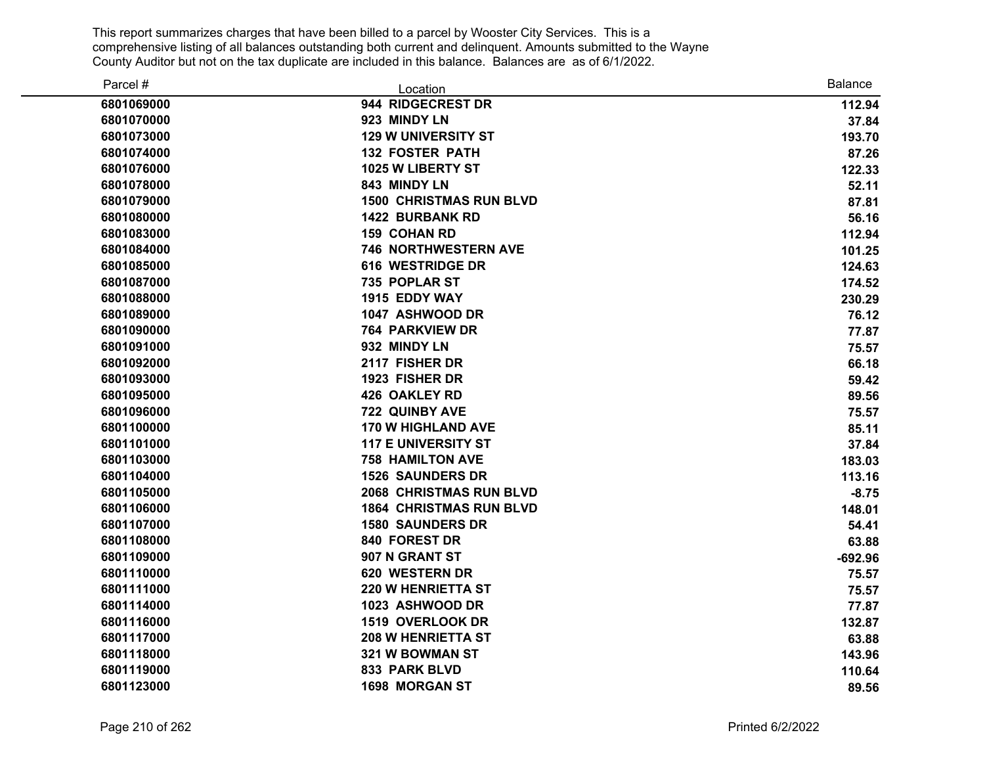| Parcel #   | Location                       | <b>Balance</b> |
|------------|--------------------------------|----------------|
| 6801069000 | 944 RIDGECREST DR              | 112.94         |
| 6801070000 | 923 MINDY LN                   | 37.84          |
| 6801073000 | <b>129 W UNIVERSITY ST</b>     | 193.70         |
| 6801074000 | <b>132 FOSTER PATH</b>         | 87.26          |
| 6801076000 | 1025 W LIBERTY ST              | 122.33         |
| 6801078000 | 843 MINDY LN                   | 52.11          |
| 6801079000 | <b>1500 CHRISTMAS RUN BLVD</b> | 87.81          |
| 6801080000 | <b>1422 BURBANK RD</b>         | 56.16          |
| 6801083000 | <b>159 COHAN RD</b>            | 112.94         |
| 6801084000 | 746 NORTHWESTERN AVE           | 101.25         |
| 6801085000 | <b>616 WESTRIDGE DR</b>        | 124.63         |
| 6801087000 | 735 POPLAR ST                  | 174.52         |
| 6801088000 | 1915 EDDY WAY                  | 230.29         |
| 6801089000 | 1047 ASHWOOD DR                | 76.12          |
| 6801090000 | <b>764 PARKVIEW DR</b>         | 77.87          |
| 6801091000 | 932 MINDY LN                   | 75.57          |
| 6801092000 | 2117 FISHER DR                 | 66.18          |
| 6801093000 | 1923 FISHER DR                 | 59.42          |
| 6801095000 | <b>426 OAKLEY RD</b>           | 89.56          |
| 6801096000 | 722 QUINBY AVE                 | 75.57          |
| 6801100000 | <b>170 W HIGHLAND AVE</b>      | 85.11          |
| 6801101000 | <b>117 E UNIVERSITY ST</b>     | 37.84          |
| 6801103000 | <b>758 HAMILTON AVE</b>        | 183.03         |
| 6801104000 | <b>1526 SAUNDERS DR</b>        | 113.16         |
| 6801105000 | <b>2068 CHRISTMAS RUN BLVD</b> | $-8.75$        |
| 6801106000 | <b>1864 CHRISTMAS RUN BLVD</b> | 148.01         |
| 6801107000 | <b>1580 SAUNDERS DR</b>        | 54.41          |
| 6801108000 | 840 FOREST DR                  | 63.88          |
| 6801109000 | 907 N GRANT ST                 | $-692.96$      |
| 6801110000 | 620 WESTERN DR                 | 75.57          |
| 6801111000 | <b>220 W HENRIETTA ST</b>      | 75.57          |
| 6801114000 | 1023 ASHWOOD DR                | 77.87          |
| 6801116000 | 1519 OVERLOOK DR               | 132.87         |
| 6801117000 | <b>208 W HENRIETTA ST</b>      | 63.88          |
| 6801118000 | 321 W BOWMAN ST                | 143.96         |
| 6801119000 | 833 PARK BLVD                  | 110.64         |
| 6801123000 | <b>1698 MORGAN ST</b>          | 89.56          |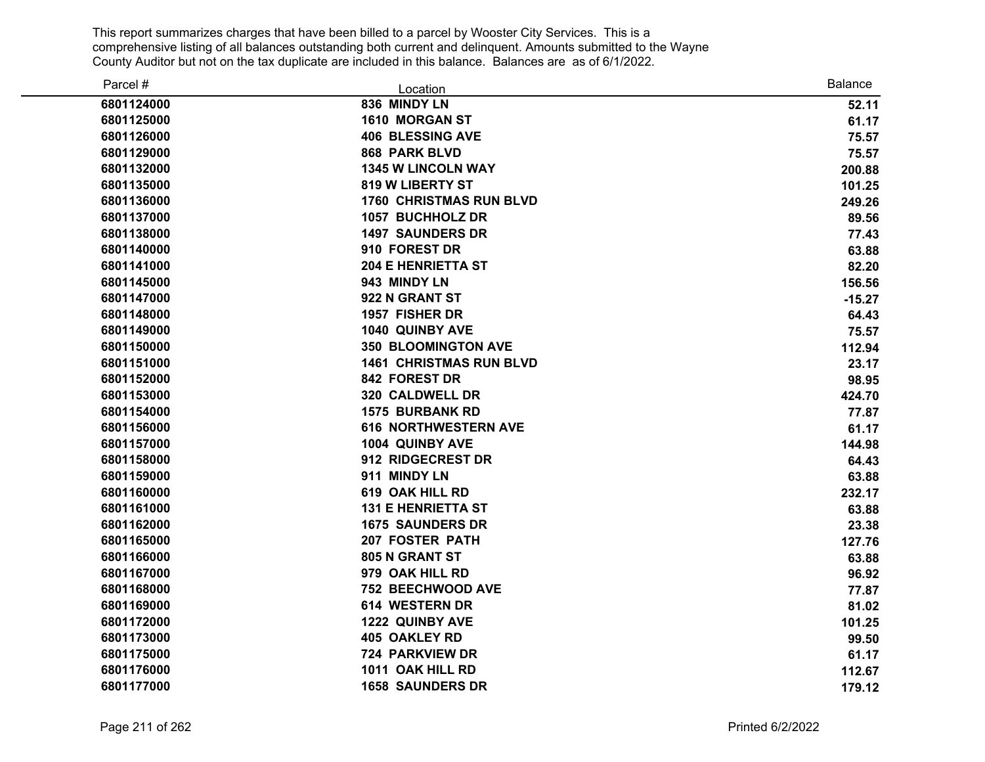| Parcel #   | Location                       | <b>Balance</b> |
|------------|--------------------------------|----------------|
| 6801124000 | 836 MINDY LN                   | 52.11          |
| 6801125000 | 1610 MORGAN ST                 | 61.17          |
| 6801126000 | <b>406 BLESSING AVE</b>        | 75.57          |
| 6801129000 | 868 PARK BLVD                  | 75.57          |
| 6801132000 | <b>1345 W LINCOLN WAY</b>      | 200.88         |
| 6801135000 | 819 W LIBERTY ST               | 101.25         |
| 6801136000 | <b>1760 CHRISTMAS RUN BLVD</b> | 249.26         |
| 6801137000 | 1057 BUCHHOLZ DR               | 89.56          |
| 6801138000 | <b>1497 SAUNDERS DR</b>        | 77.43          |
| 6801140000 | 910 FOREST DR                  | 63.88          |
| 6801141000 | <b>204 E HENRIETTA ST</b>      | 82.20          |
| 6801145000 | 943 MINDY LN                   | 156.56         |
| 6801147000 | 922 N GRANT ST                 | $-15.27$       |
| 6801148000 | 1957 FISHER DR                 | 64.43          |
| 6801149000 | 1040 QUINBY AVE                | 75.57          |
| 6801150000 | <b>350 BLOOMINGTON AVE</b>     | 112.94         |
| 6801151000 | <b>1461 CHRISTMAS RUN BLVD</b> | 23.17          |
| 6801152000 | 842 FOREST DR                  | 98.95          |
| 6801153000 | 320 CALDWELL DR                | 424.70         |
| 6801154000 | <b>1575 BURBANK RD</b>         | 77.87          |
| 6801156000 | <b>616 NORTHWESTERN AVE</b>    | 61.17          |
| 6801157000 | 1004 QUINBY AVE                | 144.98         |
| 6801158000 | 912 RIDGECREST DR              | 64.43          |
| 6801159000 | 911 MINDY LN                   | 63.88          |
| 6801160000 | 619 OAK HILL RD                | 232.17         |
| 6801161000 | <b>131 E HENRIETTA ST</b>      | 63.88          |
| 6801162000 | <b>1675 SAUNDERS DR</b>        | 23.38          |
| 6801165000 | <b>207 FOSTER PATH</b>         | 127.76         |
| 6801166000 | 805 N GRANT ST                 | 63.88          |
| 6801167000 | 979 OAK HILL RD                | 96.92          |
| 6801168000 | 752 BEECHWOOD AVE              | 77.87          |
| 6801169000 | 614 WESTERN DR                 | 81.02          |
| 6801172000 | 1222 QUINBY AVE                | 101.25         |
| 6801173000 | 405 OAKLEY RD                  | 99.50          |
| 6801175000 | 724 PARKVIEW DR                | 61.17          |
| 6801176000 | 1011 OAK HILL RD               | 112.67         |
| 6801177000 | <b>1658 SAUNDERS DR</b>        | 179.12         |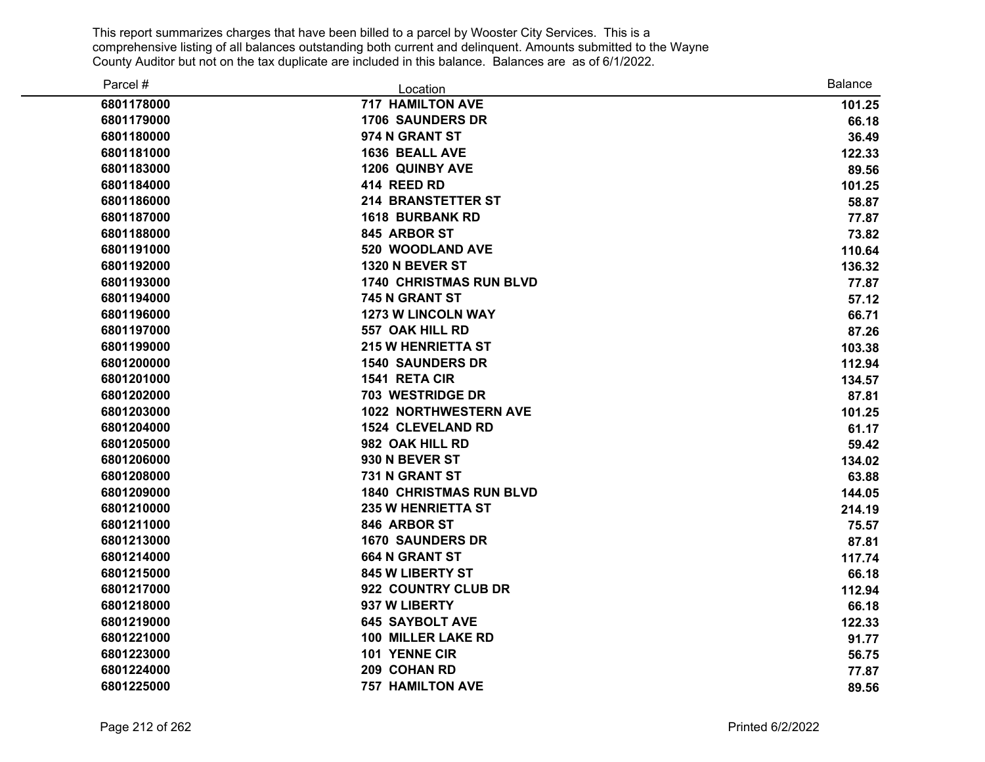| Parcel #   | Location                       | <b>Balance</b> |
|------------|--------------------------------|----------------|
| 6801178000 | <b>717 HAMILTON AVE</b>        | 101.25         |
| 6801179000 | <b>1706 SAUNDERS DR</b>        | 66.18          |
| 6801180000 | 974 N GRANT ST                 | 36.49          |
| 6801181000 | 1636 BEALL AVE                 | 122.33         |
| 6801183000 | 1206 QUINBY AVE                | 89.56          |
| 6801184000 | 414 REED RD                    | 101.25         |
| 6801186000 | <b>214 BRANSTETTER ST</b>      | 58.87          |
| 6801187000 | <b>1618 BURBANK RD</b>         | 77.87          |
| 6801188000 | 845 ARBOR ST                   | 73.82          |
| 6801191000 | 520 WOODLAND AVE               | 110.64         |
| 6801192000 | 1320 N BEVER ST                | 136.32         |
| 6801193000 | <b>1740 CHRISTMAS RUN BLVD</b> | 77.87          |
| 6801194000 | 745 N GRANT ST                 | 57.12          |
| 6801196000 | <b>1273 W LINCOLN WAY</b>      | 66.71          |
| 6801197000 | 557 OAK HILL RD                | 87.26          |
| 6801199000 | <b>215 W HENRIETTA ST</b>      | 103.38         |
| 6801200000 | <b>1540 SAUNDERS DR</b>        | 112.94         |
| 6801201000 | 1541 RETA CIR                  | 134.57         |
| 6801202000 | <b>703 WESTRIDGE DR</b>        | 87.81          |
| 6801203000 | <b>1022 NORTHWESTERN AVE</b>   | 101.25         |
| 6801204000 | <b>1524 CLEVELAND RD</b>       | 61.17          |
| 6801205000 | 982 OAK HILL RD                | 59.42          |
| 6801206000 | 930 N BEVER ST                 | 134.02         |
| 6801208000 | 731 N GRANT ST                 | 63.88          |
| 6801209000 | <b>1840 CHRISTMAS RUN BLVD</b> | 144.05         |
| 6801210000 | <b>235 W HENRIETTA ST</b>      | 214.19         |
| 6801211000 | 846 ARBOR ST                   | 75.57          |
| 6801213000 | <b>1670 SAUNDERS DR</b>        | 87.81          |
| 6801214000 | <b>664 N GRANT ST</b>          | 117.74         |
| 6801215000 | <b>845 W LIBERTY ST</b>        | 66.18          |
| 6801217000 | 922 COUNTRY CLUB DR            | 112.94         |
| 6801218000 | 937 W LIBERTY                  | 66.18          |
| 6801219000 | <b>645 SAYBOLT AVE</b>         | 122.33         |
| 6801221000 | 100 MILLER LAKE RD             | 91.77          |
| 6801223000 | 101 YENNE CIR                  | 56.75          |
| 6801224000 | 209 COHAN RD                   | 77.87          |
| 6801225000 | <b>757 HAMILTON AVE</b>        | 89.56          |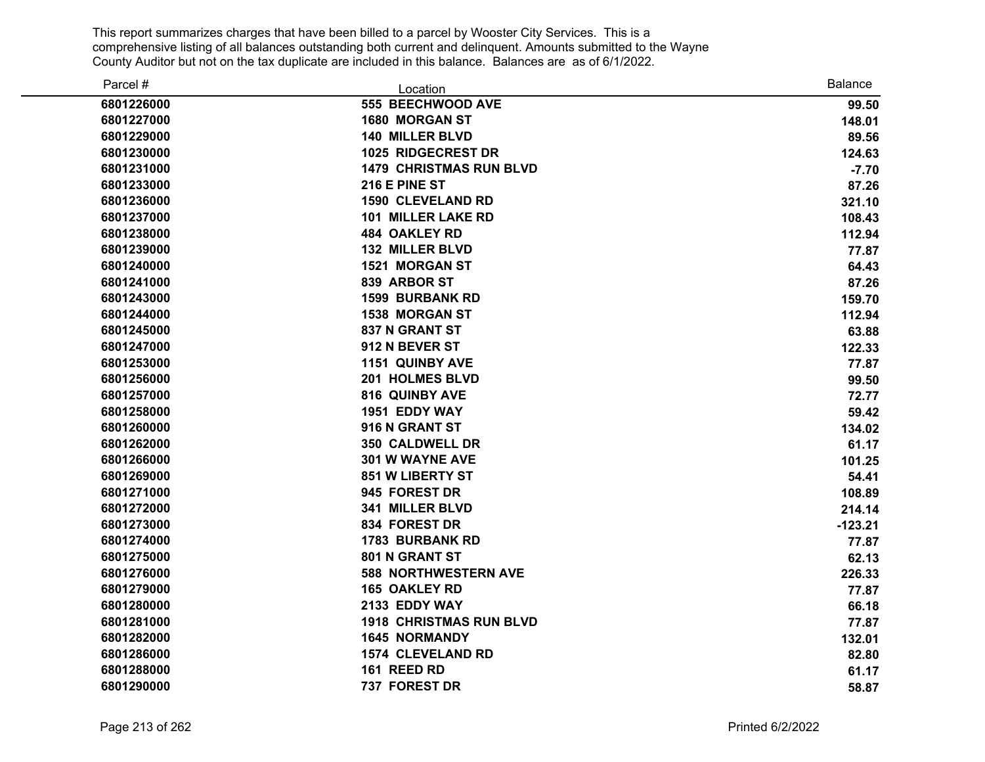| Parcel #   | Location                       | Balance   |
|------------|--------------------------------|-----------|
| 6801226000 | 555 BEECHWOOD AVE              | 99.50     |
| 6801227000 | <b>1680 MORGAN ST</b>          | 148.01    |
| 6801229000 | <b>140 MILLER BLVD</b>         | 89.56     |
| 6801230000 | 1025 RIDGECREST DR             | 124.63    |
| 6801231000 | <b>1479 CHRISTMAS RUN BLVD</b> | $-7.70$   |
| 6801233000 | 216 E PINE ST                  | 87.26     |
| 6801236000 | <b>1590 CLEVELAND RD</b>       | 321.10    |
| 6801237000 | <b>101 MILLER LAKE RD</b>      | 108.43    |
| 6801238000 | <b>484 OAKLEY RD</b>           | 112.94    |
| 6801239000 | <b>132 MILLER BLVD</b>         | 77.87     |
| 6801240000 | <b>1521 MORGAN ST</b>          | 64.43     |
| 6801241000 | 839 ARBOR ST                   | 87.26     |
| 6801243000 | <b>1599 BURBANK RD</b>         | 159.70    |
| 6801244000 | 1538 MORGAN ST                 | 112.94    |
| 6801245000 | 837 N GRANT ST                 | 63.88     |
| 6801247000 | 912 N BEVER ST                 | 122.33    |
| 6801253000 | <b>1151 QUINBY AVE</b>         | 77.87     |
| 6801256000 | 201 HOLMES BLVD                | 99.50     |
| 6801257000 | <b>816 QUINBY AVE</b>          | 72.77     |
| 6801258000 | 1951 EDDY WAY                  | 59.42     |
| 6801260000 | 916 N GRANT ST                 | 134.02    |
| 6801262000 | <b>350 CALDWELL DR</b>         | 61.17     |
| 6801266000 | 301 W WAYNE AVE                | 101.25    |
| 6801269000 | 851 W LIBERTY ST               | 54.41     |
| 6801271000 | 945 FOREST DR                  | 108.89    |
| 6801272000 | 341 MILLER BLVD                | 214.14    |
| 6801273000 | 834 FOREST DR                  | $-123.21$ |
| 6801274000 | <b>1783 BURBANK RD</b>         | 77.87     |
| 6801275000 | 801 N GRANT ST                 | 62.13     |
| 6801276000 | <b>588 NORTHWESTERN AVE</b>    | 226.33    |
| 6801279000 | <b>165 OAKLEY RD</b>           | 77.87     |
| 6801280000 | 2133 EDDY WAY                  | 66.18     |
| 6801281000 | <b>1918 CHRISTMAS RUN BLVD</b> | 77.87     |
| 6801282000 | <b>1645 NORMANDY</b>           | 132.01    |
| 6801286000 | <b>1574 CLEVELAND RD</b>       | 82.80     |
| 6801288000 | 161 REED RD                    | 61.17     |
| 6801290000 | 737 FOREST DR                  | 58.87     |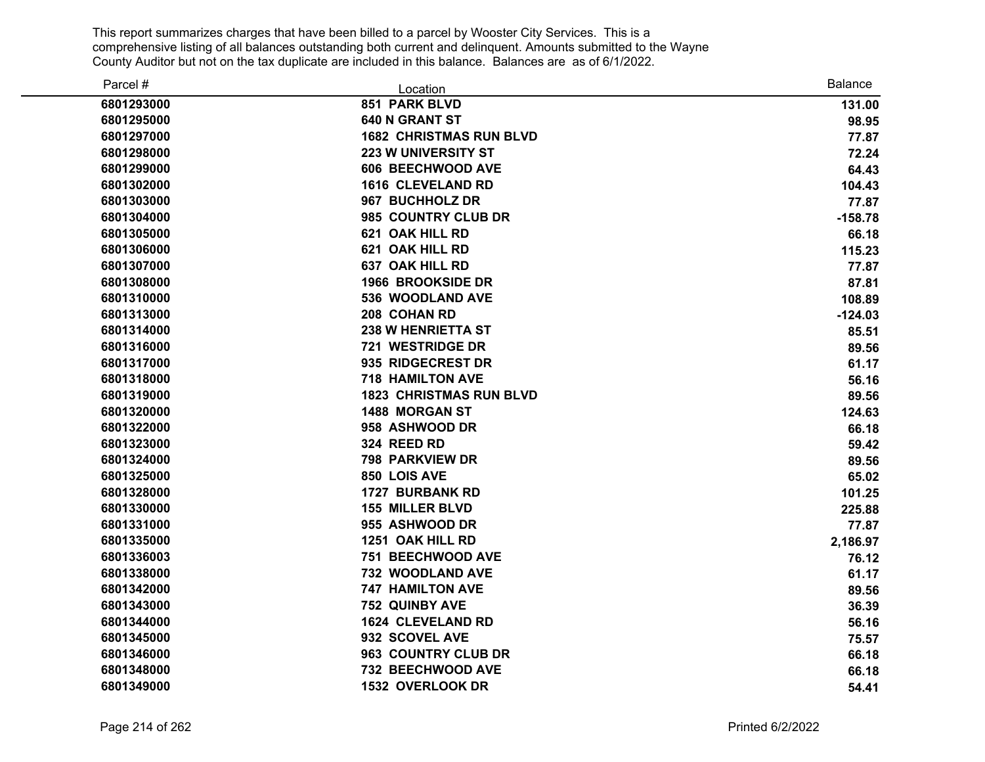| Parcel #   | Location                       | <b>Balance</b> |
|------------|--------------------------------|----------------|
| 6801293000 | 851 PARK BLVD                  | 131.00         |
| 6801295000 | <b>640 N GRANT ST</b>          | 98.95          |
| 6801297000 | <b>1682 CHRISTMAS RUN BLVD</b> | 77.87          |
| 6801298000 | <b>223 W UNIVERSITY ST</b>     | 72.24          |
| 6801299000 | 606 BEECHWOOD AVE              | 64.43          |
| 6801302000 | <b>1616 CLEVELAND RD</b>       | 104.43         |
| 6801303000 | 967 BUCHHOLZ DR                | 77.87          |
| 6801304000 | 985 COUNTRY CLUB DR            | $-158.78$      |
| 6801305000 | 621 OAK HILL RD                | 66.18          |
| 6801306000 | 621 OAK HILL RD                | 115.23         |
| 6801307000 | <b>637 OAK HILL RD</b>         | 77.87          |
| 6801308000 | <b>1966 BROOKSIDE DR</b>       | 87.81          |
| 6801310000 | 536 WOODLAND AVE               | 108.89         |
| 6801313000 | 208 COHAN RD                   | $-124.03$      |
| 6801314000 | <b>238 W HENRIETTA ST</b>      | 85.51          |
| 6801316000 | 721 WESTRIDGE DR               | 89.56          |
| 6801317000 | 935 RIDGECREST DR              | 61.17          |
| 6801318000 | <b>718 HAMILTON AVE</b>        | 56.16          |
| 6801319000 | <b>1823 CHRISTMAS RUN BLVD</b> | 89.56          |
| 6801320000 | <b>1488 MORGAN ST</b>          | 124.63         |
| 6801322000 | 958 ASHWOOD DR                 | 66.18          |
| 6801323000 | 324 REED RD                    | 59.42          |
| 6801324000 | <b>798 PARKVIEW DR</b>         | 89.56          |
| 6801325000 | 850 LOIS AVE                   | 65.02          |
| 6801328000 | <b>1727 BURBANK RD</b>         | 101.25         |
| 6801330000 | <b>155 MILLER BLVD</b>         | 225.88         |
| 6801331000 | 955 ASHWOOD DR                 | 77.87          |
| 6801335000 | 1251 OAK HILL RD               | 2,186.97       |
| 6801336003 | 751 BEECHWOOD AVE              | 76.12          |
| 6801338000 | 732 WOODLAND AVE               | 61.17          |
| 6801342000 | <b>747 HAMILTON AVE</b>        | 89.56          |
| 6801343000 | 752 QUINBY AVE                 | 36.39          |
| 6801344000 | <b>1624 CLEVELAND RD</b>       | 56.16          |
| 6801345000 | 932 SCOVEL AVE                 | 75.57          |
| 6801346000 | 963 COUNTRY CLUB DR            | 66.18          |
| 6801348000 | 732 BEECHWOOD AVE              | 66.18          |
| 6801349000 | 1532 OVERLOOK DR               | 54.41          |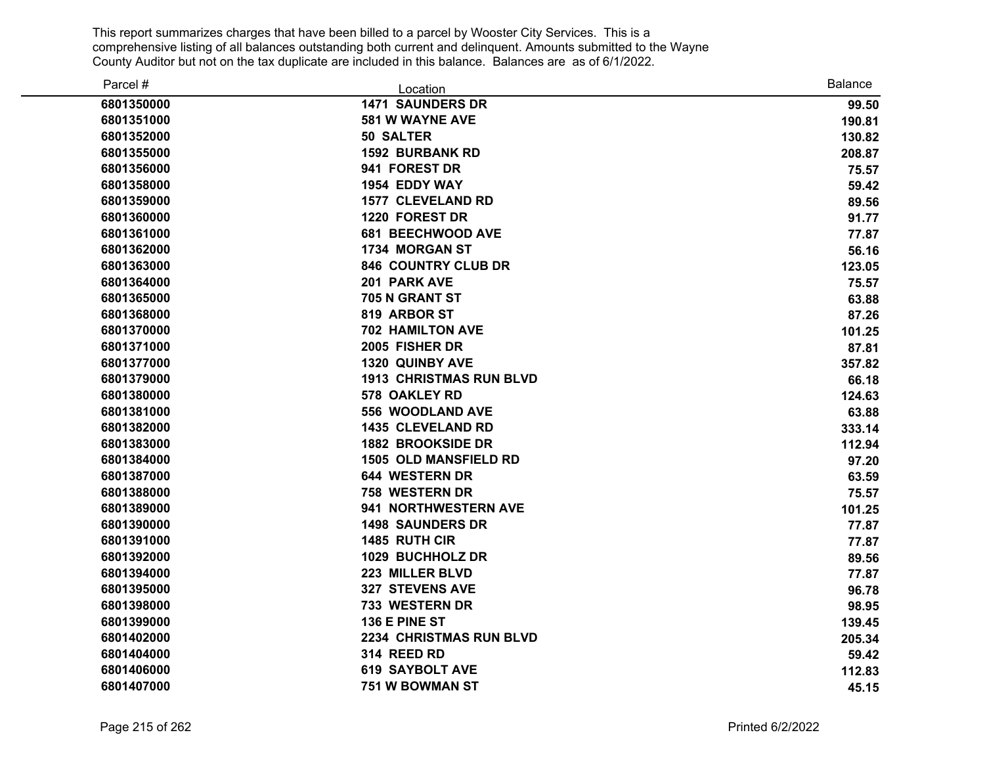| Parcel #   | Location                       | <b>Balance</b> |
|------------|--------------------------------|----------------|
| 6801350000 | <b>1471 SAUNDERS DR</b>        | 99.50          |
| 6801351000 | 581 W WAYNE AVE                | 190.81         |
| 6801352000 | <b>50 SALTER</b>               | 130.82         |
| 6801355000 | <b>1592 BURBANK RD</b>         | 208.87         |
| 6801356000 | 941 FOREST DR                  | 75.57          |
| 6801358000 | 1954 EDDY WAY                  | 59.42          |
| 6801359000 | <b>1577 CLEVELAND RD</b>       | 89.56          |
| 6801360000 | 1220 FOREST DR                 | 91.77          |
| 6801361000 | <b>681 BEECHWOOD AVE</b>       | 77.87          |
| 6801362000 | 1734 MORGAN ST                 | 56.16          |
| 6801363000 | 846 COUNTRY CLUB DR            | 123.05         |
| 6801364000 | 201 PARK AVE                   | 75.57          |
| 6801365000 | 705 N GRANT ST                 | 63.88          |
| 6801368000 | 819 ARBOR ST                   | 87.26          |
| 6801370000 | <b>702 HAMILTON AVE</b>        | 101.25         |
| 6801371000 | 2005 FISHER DR                 | 87.81          |
| 6801377000 | <b>1320 QUINBY AVE</b>         | 357.82         |
| 6801379000 | <b>1913 CHRISTMAS RUN BLVD</b> | 66.18          |
| 6801380000 | 578 OAKLEY RD                  | 124.63         |
| 6801381000 | 556 WOODLAND AVE               | 63.88          |
| 6801382000 | <b>1435 CLEVELAND RD</b>       | 333.14         |
| 6801383000 | <b>1882 BROOKSIDE DR</b>       | 112.94         |
| 6801384000 | <b>1505 OLD MANSFIELD RD</b>   | 97.20          |
| 6801387000 | 644 WESTERN DR                 | 63.59          |
| 6801388000 | 758 WESTERN DR                 | 75.57          |
| 6801389000 | 941 NORTHWESTERN AVE           | 101.25         |
| 6801390000 | <b>1498 SAUNDERS DR</b>        | 77.87          |
| 6801391000 | 1485 RUTH CIR                  | 77.87          |
| 6801392000 | 1029 BUCHHOLZ DR               | 89.56          |
| 6801394000 | 223 MILLER BLVD                | 77.87          |
| 6801395000 | <b>327 STEVENS AVE</b>         | 96.78          |
| 6801398000 | 733 WESTERN DR                 | 98.95          |
| 6801399000 | 136 E PINE ST                  | 139.45         |
| 6801402000 | 2234 CHRISTMAS RUN BLVD        | 205.34         |
| 6801404000 | 314 REED RD                    | 59.42          |
| 6801406000 | <b>619 SAYBOLT AVE</b>         | 112.83         |
| 6801407000 | <b>751 W BOWMAN ST</b>         | 45.15          |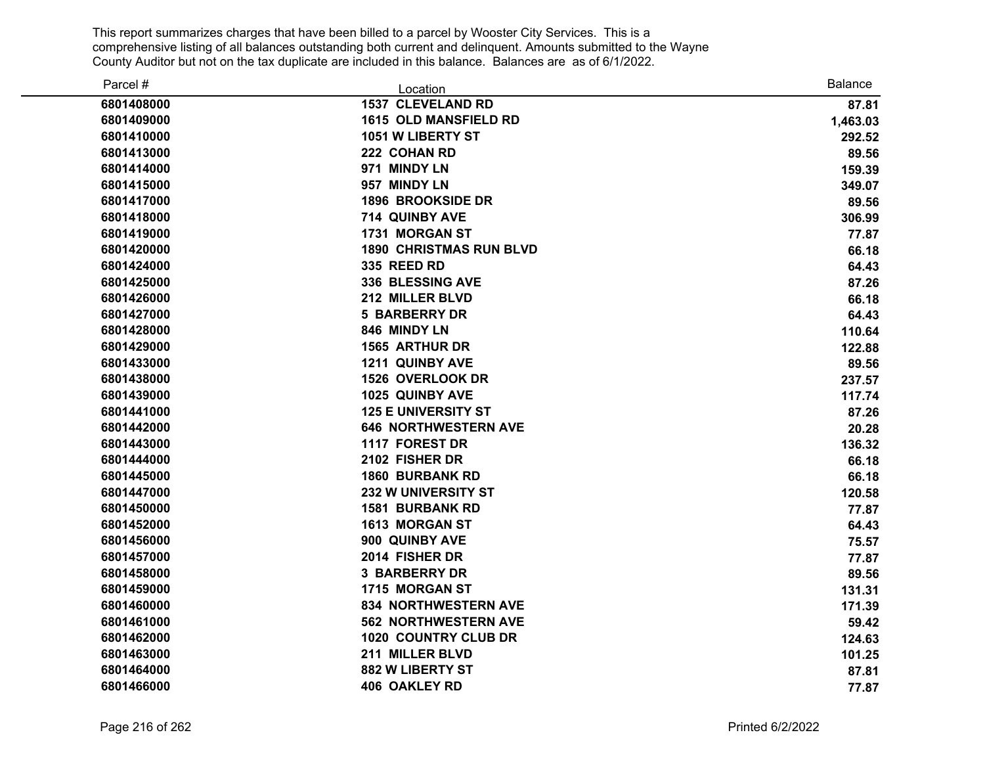| Parcel #   | Location                       | <b>Balance</b> |
|------------|--------------------------------|----------------|
| 6801408000 | <b>1537 CLEVELAND RD</b>       | 87.81          |
| 6801409000 | 1615 OLD MANSFIELD RD          | 1,463.03       |
| 6801410000 | 1051 W LIBERTY ST              | 292.52         |
| 6801413000 | 222 COHAN RD                   | 89.56          |
| 6801414000 | 971 MINDY LN                   | 159.39         |
| 6801415000 | 957 MINDY LN                   | 349.07         |
| 6801417000 | <b>1896 BROOKSIDE DR</b>       | 89.56          |
| 6801418000 | 714 QUINBY AVE                 | 306.99         |
| 6801419000 | 1731 MORGAN ST                 | 77.87          |
| 6801420000 | <b>1890 CHRISTMAS RUN BLVD</b> | 66.18          |
| 6801424000 | 335 REED RD                    | 64.43          |
| 6801425000 | 336 BLESSING AVE               | 87.26          |
| 6801426000 | 212 MILLER BLVD                | 66.18          |
| 6801427000 | <b>5 BARBERRY DR</b>           | 64.43          |
| 6801428000 | 846 MINDY LN                   | 110.64         |
| 6801429000 | <b>1565 ARTHUR DR</b>          | 122.88         |
| 6801433000 | 1211 QUINBY AVE                | 89.56          |
| 6801438000 | 1526 OVERLOOK DR               | 237.57         |
| 6801439000 | 1025 QUINBY AVE                | 117.74         |
| 6801441000 | <b>125 E UNIVERSITY ST</b>     | 87.26          |
| 6801442000 | <b>646 NORTHWESTERN AVE</b>    | 20.28          |
| 6801443000 | 1117 FOREST DR                 | 136.32         |
| 6801444000 | 2102 FISHER DR                 | 66.18          |
| 6801445000 | <b>1860 BURBANK RD</b>         | 66.18          |
| 6801447000 | <b>232 W UNIVERSITY ST</b>     | 120.58         |
| 6801450000 | <b>1581 BURBANK RD</b>         | 77.87          |
| 6801452000 | <b>1613 MORGAN ST</b>          | 64.43          |
| 6801456000 | 900 QUINBY AVE                 | 75.57          |
| 6801457000 | 2014 FISHER DR                 | 77.87          |
| 6801458000 | <b>3 BARBERRY DR</b>           | 89.56          |
| 6801459000 | 1715 MORGAN ST                 | 131.31         |
| 6801460000 | 834 NORTHWESTERN AVE           | 171.39         |
| 6801461000 | <b>562 NORTHWESTERN AVE</b>    | 59.42          |
| 6801462000 | <b>1020 COUNTRY CLUB DR</b>    | 124.63         |
| 6801463000 | 211 MILLER BLVD                | 101.25         |
| 6801464000 | 882 W LIBERTY ST               | 87.81          |
| 6801466000 | <b>406 OAKLEY RD</b>           | 77.87          |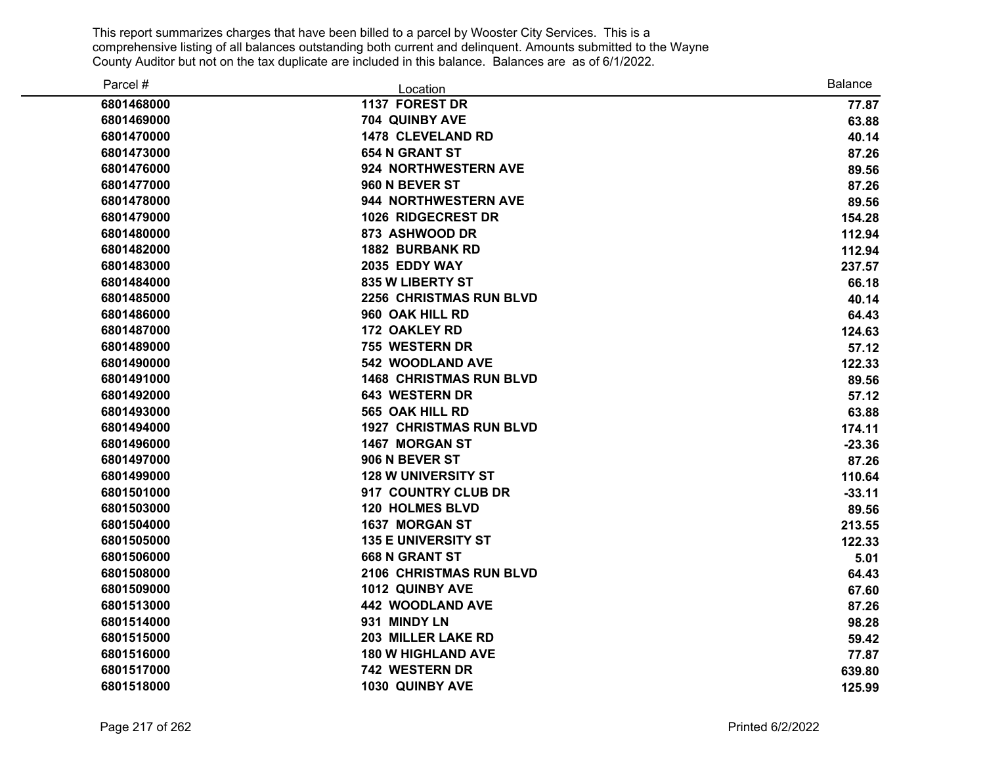| Parcel #   | Location                       | <b>Balance</b> |
|------------|--------------------------------|----------------|
| 6801468000 | 1137 FOREST DR                 | 77.87          |
| 6801469000 | 704 QUINBY AVE                 | 63.88          |
| 6801470000 | <b>1478 CLEVELAND RD</b>       | 40.14          |
| 6801473000 | <b>654 N GRANT ST</b>          | 87.26          |
| 6801476000 | 924 NORTHWESTERN AVE           | 89.56          |
| 6801477000 | 960 N BEVER ST                 | 87.26          |
| 6801478000 | 944 NORTHWESTERN AVE           | 89.56          |
| 6801479000 | <b>1026 RIDGECREST DR</b>      | 154.28         |
| 6801480000 | 873 ASHWOOD DR                 | 112.94         |
| 6801482000 | <b>1882 BURBANK RD</b>         | 112.94         |
| 6801483000 | 2035 EDDY WAY                  | 237.57         |
| 6801484000 | 835 W LIBERTY ST               | 66.18          |
| 6801485000 | <b>2256 CHRISTMAS RUN BLVD</b> | 40.14          |
| 6801486000 | 960 OAK HILL RD                | 64.43          |
| 6801487000 | 172 OAKLEY RD                  | 124.63         |
| 6801489000 | 755 WESTERN DR                 | 57.12          |
| 6801490000 | 542 WOODLAND AVE               | 122.33         |
| 6801491000 | <b>1468 CHRISTMAS RUN BLVD</b> | 89.56          |
| 6801492000 | 643 WESTERN DR                 | 57.12          |
| 6801493000 | 565 OAK HILL RD                | 63.88          |
| 6801494000 | <b>1927 CHRISTMAS RUN BLVD</b> | 174.11         |
| 6801496000 | <b>1467 MORGAN ST</b>          | $-23.36$       |
| 6801497000 | 906 N BEVER ST                 | 87.26          |
| 6801499000 | <b>128 W UNIVERSITY ST</b>     | 110.64         |
| 6801501000 | 917 COUNTRY CLUB DR            | $-33.11$       |
| 6801503000 | <b>120 HOLMES BLVD</b>         | 89.56          |
| 6801504000 | <b>1637 MORGAN ST</b>          | 213.55         |
| 6801505000 | <b>135 E UNIVERSITY ST</b>     | 122.33         |
| 6801506000 | <b>668 N GRANT ST</b>          | 5.01           |
| 6801508000 | 2106 CHRISTMAS RUN BLVD        | 64.43          |
| 6801509000 | 1012 QUINBY AVE                | 67.60          |
| 6801513000 | 442 WOODLAND AVE               | 87.26          |
| 6801514000 | 931 MINDY LN                   | 98.28          |
| 6801515000 | 203 MILLER LAKE RD             | 59.42          |
| 6801516000 | <b>180 W HIGHLAND AVE</b>      | 77.87          |
| 6801517000 | 742 WESTERN DR                 | 639.80         |
| 6801518000 | 1030 QUINBY AVE                | 125.99         |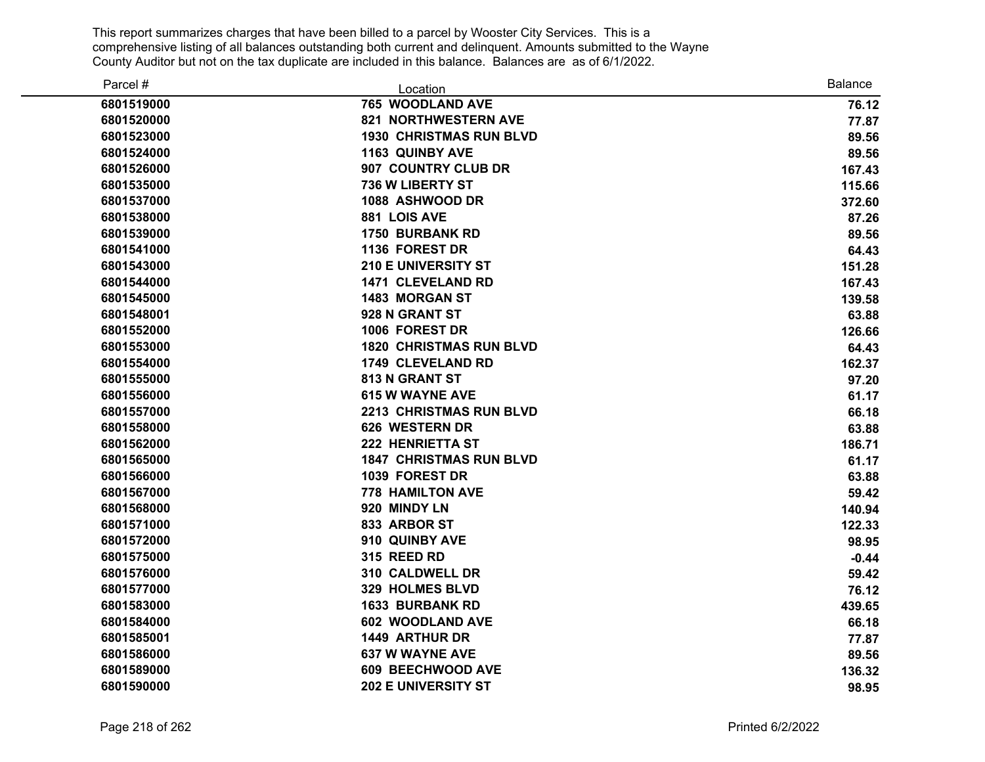| Parcel #   | Location                       | <b>Balance</b> |
|------------|--------------------------------|----------------|
| 6801519000 | 765 WOODLAND AVE               | 76.12          |
| 6801520000 | 821 NORTHWESTERN AVE           | 77.87          |
| 6801523000 | <b>1930 CHRISTMAS RUN BLVD</b> | 89.56          |
| 6801524000 | <b>1163 QUINBY AVE</b>         | 89.56          |
| 6801526000 | 907 COUNTRY CLUB DR            | 167.43         |
| 6801535000 | <b>736 W LIBERTY ST</b>        | 115.66         |
| 6801537000 | 1088 ASHWOOD DR                | 372.60         |
| 6801538000 | 881 LOIS AVE                   | 87.26          |
| 6801539000 | <b>1750 BURBANK RD</b>         | 89.56          |
| 6801541000 | 1136 FOREST DR                 | 64.43          |
| 6801543000 | <b>210 E UNIVERSITY ST</b>     | 151.28         |
| 6801544000 | <b>1471 CLEVELAND RD</b>       | 167.43         |
| 6801545000 | <b>1483 MORGAN ST</b>          | 139.58         |
| 6801548001 | 928 N GRANT ST                 | 63.88          |
| 6801552000 | 1006 FOREST DR                 | 126.66         |
| 6801553000 | <b>1820 CHRISTMAS RUN BLVD</b> | 64.43          |
| 6801554000 | 1749 CLEVELAND RD              | 162.37         |
| 6801555000 | 813 N GRANT ST                 | 97.20          |
| 6801556000 | <b>615 W WAYNE AVE</b>         | 61.17          |
| 6801557000 | <b>2213 CHRISTMAS RUN BLVD</b> | 66.18          |
| 6801558000 | 626 WESTERN DR                 | 63.88          |
| 6801562000 | <b>222 HENRIETTA ST</b>        | 186.71         |
| 6801565000 | <b>1847 CHRISTMAS RUN BLVD</b> | 61.17          |
| 6801566000 | 1039 FOREST DR                 | 63.88          |
| 6801567000 | <b>778 HAMILTON AVE</b>        | 59.42          |
| 6801568000 | 920 MINDY LN                   | 140.94         |
| 6801571000 | 833 ARBOR ST                   | 122.33         |
| 6801572000 | 910 QUINBY AVE                 | 98.95          |
| 6801575000 | 315 REED RD                    | $-0.44$        |
| 6801576000 | 310 CALDWELL DR                | 59.42          |
| 6801577000 | 329 HOLMES BLVD                | 76.12          |
| 6801583000 | 1633 BURBANK RD                | 439.65         |
| 6801584000 | 602 WOODLAND AVE               | 66.18          |
| 6801585001 | 1449 ARTHUR DR                 | 77.87          |
| 6801586000 | <b>637 W WAYNE AVE</b>         | 89.56          |
| 6801589000 | <b>609 BEECHWOOD AVE</b>       | 136.32         |
| 6801590000 | <b>202 E UNIVERSITY ST</b>     | 98.95          |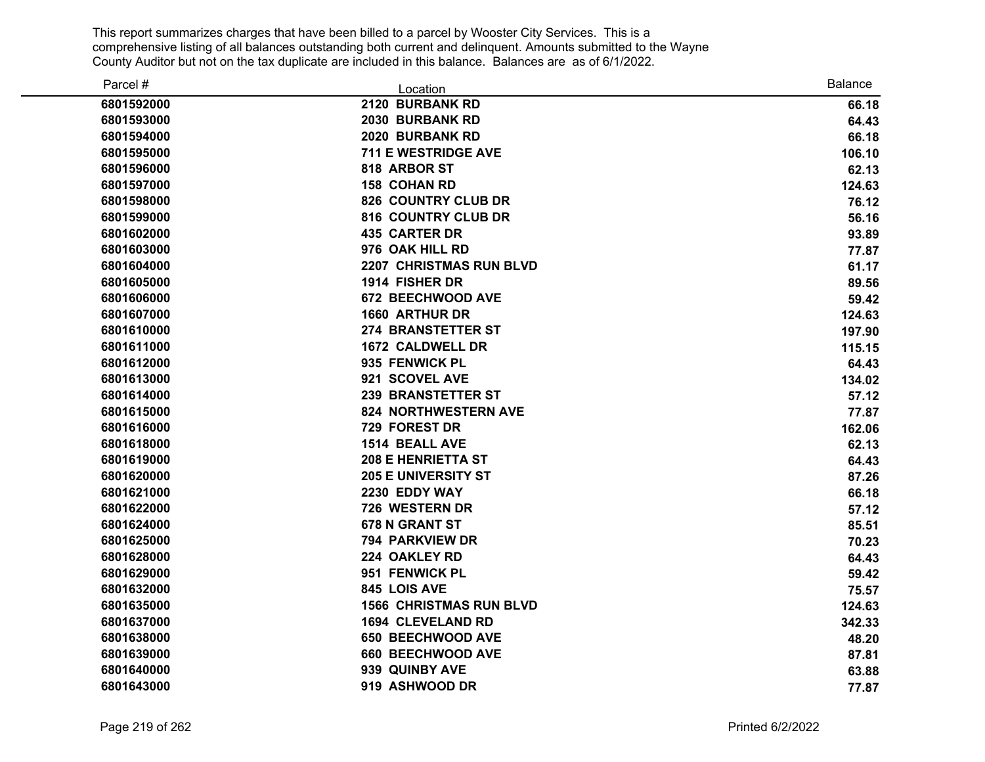| Parcel #   | Location                       | <b>Balance</b> |
|------------|--------------------------------|----------------|
| 6801592000 | 2120 BURBANK RD                | 66.18          |
| 6801593000 | 2030 BURBANK RD                | 64.43          |
| 6801594000 | 2020 BURBANK RD                | 66.18          |
| 6801595000 | <b>711 E WESTRIDGE AVE</b>     | 106.10         |
| 6801596000 | 818 ARBOR ST                   | 62.13          |
| 6801597000 | <b>158 COHAN RD</b>            | 124.63         |
| 6801598000 | <b>826 COUNTRY CLUB DR</b>     | 76.12          |
| 6801599000 | <b>816 COUNTRY CLUB DR</b>     | 56.16          |
| 6801602000 | <b>435 CARTER DR</b>           | 93.89          |
| 6801603000 | 976 OAK HILL RD                | 77.87          |
| 6801604000 | <b>2207 CHRISTMAS RUN BLVD</b> | 61.17          |
| 6801605000 | 1914 FISHER DR                 | 89.56          |
| 6801606000 | 672 BEECHWOOD AVE              | 59.42          |
| 6801607000 | <b>1660 ARTHUR DR</b>          | 124.63         |
| 6801610000 | 274 BRANSTETTER ST             | 197.90         |
| 6801611000 | <b>1672 CALDWELL DR</b>        | 115.15         |
| 6801612000 | 935 FENWICK PL                 | 64.43          |
| 6801613000 | 921 SCOVEL AVE                 | 134.02         |
| 6801614000 | <b>239 BRANSTETTER ST</b>      | 57.12          |
| 6801615000 | <b>824 NORTHWESTERN AVE</b>    | 77.87          |
| 6801616000 | 729 FOREST DR                  | 162.06         |
| 6801618000 | 1514 BEALL AVE                 | 62.13          |
| 6801619000 | <b>208 E HENRIETTA ST</b>      | 64.43          |
| 6801620000 | <b>205 E UNIVERSITY ST</b>     | 87.26          |
| 6801621000 | 2230 EDDY WAY                  | 66.18          |
| 6801622000 | 726 WESTERN DR                 | 57.12          |
| 6801624000 | 678 N GRANT ST                 | 85.51          |
| 6801625000 | <b>794 PARKVIEW DR</b>         | 70.23          |
| 6801628000 | 224 OAKLEY RD                  | 64.43          |
| 6801629000 | 951 FENWICK PL                 | 59.42          |
| 6801632000 | 845 LOIS AVE                   | 75.57          |
| 6801635000 | <b>1566 CHRISTMAS RUN BLVD</b> | 124.63         |
| 6801637000 | <b>1694 CLEVELAND RD</b>       | 342.33         |
| 6801638000 | <b>650 BEECHWOOD AVE</b>       | 48.20          |
| 6801639000 | 660 BEECHWOOD AVE              | 87.81          |
| 6801640000 | 939 QUINBY AVE                 | 63.88          |
| 6801643000 | 919 ASHWOOD DR                 | 77.87          |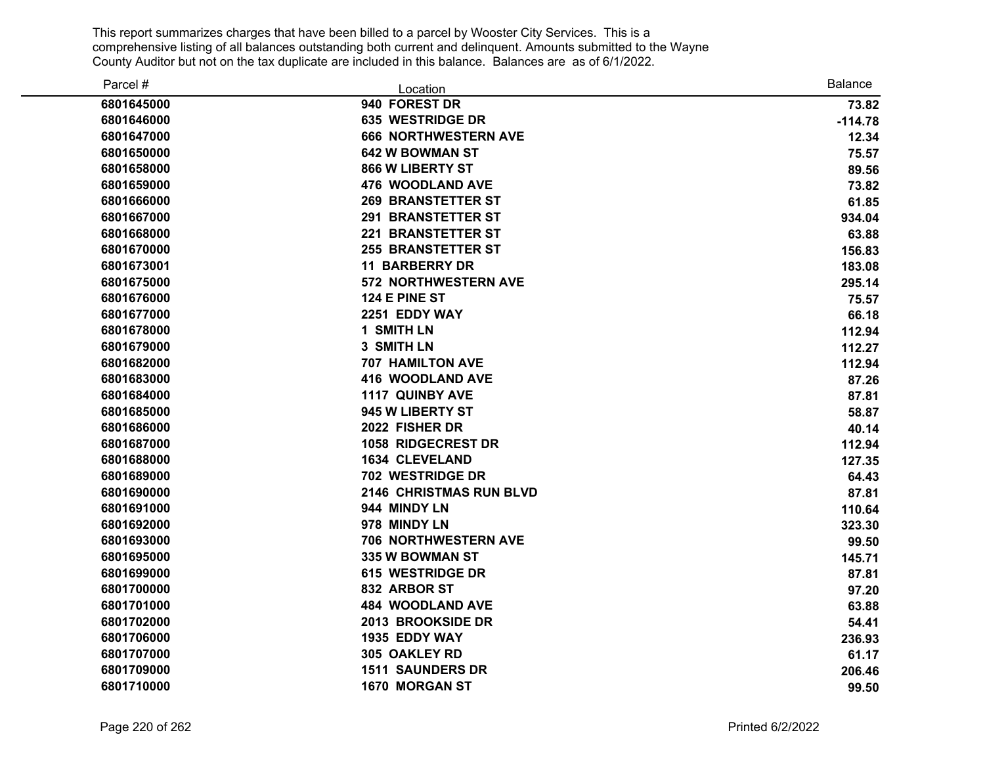| Parcel #   | Location                       | <b>Balance</b> |
|------------|--------------------------------|----------------|
| 6801645000 | 940 FOREST DR                  | 73.82          |
| 6801646000 | <b>635 WESTRIDGE DR</b>        | $-114.78$      |
| 6801647000 | <b>666 NORTHWESTERN AVE</b>    | 12.34          |
| 6801650000 | <b>642 W BOWMAN ST</b>         | 75.57          |
| 6801658000 | 866 W LIBERTY ST               | 89.56          |
| 6801659000 | 476 WOODLAND AVE               | 73.82          |
| 6801666000 | <b>269 BRANSTETTER ST</b>      | 61.85          |
| 6801667000 | <b>291 BRANSTETTER ST</b>      | 934.04         |
| 6801668000 | <b>221 BRANSTETTER ST</b>      | 63.88          |
| 6801670000 | <b>255 BRANSTETTER ST</b>      | 156.83         |
| 6801673001 | <b>11 BARBERRY DR</b>          | 183.08         |
| 6801675000 | <b>572 NORTHWESTERN AVE</b>    | 295.14         |
| 6801676000 | 124 E PINE ST                  | 75.57          |
| 6801677000 | 2251 EDDY WAY                  | 66.18          |
| 6801678000 | 1 SMITH LN                     | 112.94         |
| 6801679000 | 3 SMITH LN                     | 112.27         |
| 6801682000 | <b>707 HAMILTON AVE</b>        | 112.94         |
| 6801683000 | <b>416 WOODLAND AVE</b>        | 87.26          |
| 6801684000 | 1117 QUINBY AVE                | 87.81          |
| 6801685000 | 945 W LIBERTY ST               | 58.87          |
| 6801686000 | 2022 FISHER DR                 | 40.14          |
| 6801687000 | <b>1058 RIDGECREST DR</b>      | 112.94         |
| 6801688000 | <b>1634 CLEVELAND</b>          | 127.35         |
| 6801689000 | 702 WESTRIDGE DR               | 64.43          |
| 6801690000 | <b>2146 CHRISTMAS RUN BLVD</b> | 87.81          |
| 6801691000 | 944 MINDY LN                   | 110.64         |
| 6801692000 | 978 MINDY LN                   | 323.30         |
| 6801693000 | 706 NORTHWESTERN AVE           | 99.50          |
| 6801695000 | 335 W BOWMAN ST                | 145.71         |
| 6801699000 | <b>615 WESTRIDGE DR</b>        | 87.81          |
| 6801700000 | 832 ARBOR ST                   | 97.20          |
| 6801701000 | <b>484 WOODLAND AVE</b>        | 63.88          |
| 6801702000 | 2013 BROOKSIDE DR              | 54.41          |
| 6801706000 | 1935 EDDY WAY                  | 236.93         |
| 6801707000 | 305 OAKLEY RD                  | 61.17          |
| 6801709000 | <b>1511 SAUNDERS DR</b>        | 206.46         |
| 6801710000 | <b>1670 MORGAN ST</b>          | 99.50          |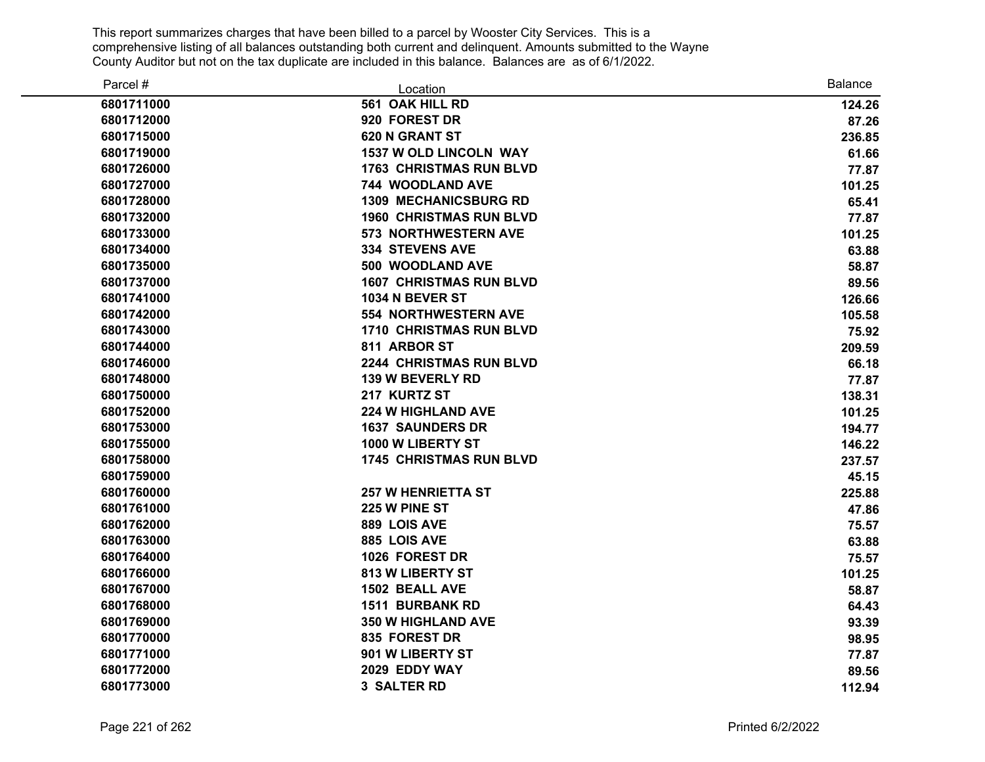| Parcel #   | Location                       | <b>Balance</b> |
|------------|--------------------------------|----------------|
| 6801711000 | 561 OAK HILL RD                | 124.26         |
| 6801712000 | 920 FOREST DR                  | 87.26          |
| 6801715000 | 620 N GRANT ST                 | 236.85         |
| 6801719000 | <b>1537 W OLD LINCOLN WAY</b>  | 61.66          |
| 6801726000 | <b>1763 CHRISTMAS RUN BLVD</b> | 77.87          |
| 6801727000 | <b>744 WOODLAND AVE</b>        | 101.25         |
| 6801728000 | <b>1309 MECHANICSBURG RD</b>   | 65.41          |
| 6801732000 | <b>1960 CHRISTMAS RUN BLVD</b> | 77.87          |
| 6801733000 | <b>573 NORTHWESTERN AVE</b>    | 101.25         |
| 6801734000 | <b>334 STEVENS AVE</b>         | 63.88          |
| 6801735000 | 500 WOODLAND AVE               | 58.87          |
| 6801737000 | <b>1607 CHRISTMAS RUN BLVD</b> | 89.56          |
| 6801741000 | <b>1034 N BEVER ST</b>         | 126.66         |
| 6801742000 | <b>554 NORTHWESTERN AVE</b>    | 105.58         |
| 6801743000 | <b>1710 CHRISTMAS RUN BLVD</b> | 75.92          |
| 6801744000 | 811 ARBOR ST                   | 209.59         |
| 6801746000 | <b>2244 CHRISTMAS RUN BLVD</b> | 66.18          |
| 6801748000 | <b>139 W BEVERLY RD</b>        | 77.87          |
| 6801750000 | 217 KURTZ ST                   | 138.31         |
| 6801752000 | <b>224 W HIGHLAND AVE</b>      | 101.25         |
| 6801753000 | <b>1637 SAUNDERS DR</b>        | 194.77         |
| 6801755000 | 1000 W LIBERTY ST              | 146.22         |
| 6801758000 | <b>1745 CHRISTMAS RUN BLVD</b> | 237.57         |
| 6801759000 |                                | 45.15          |
| 6801760000 | <b>257 W HENRIETTA ST</b>      | 225.88         |
| 6801761000 | 225 W PINE ST                  | 47.86          |
| 6801762000 | 889 LOIS AVE                   | 75.57          |
| 6801763000 | 885 LOIS AVE                   | 63.88          |
| 6801764000 | 1026 FOREST DR                 | 75.57          |
| 6801766000 | <b>813 W LIBERTY ST</b>        | 101.25         |
| 6801767000 | 1502 BEALL AVE                 | 58.87          |
| 6801768000 | <b>1511 BURBANK RD</b>         | 64.43          |
| 6801769000 | <b>350 W HIGHLAND AVE</b>      | 93.39          |
| 6801770000 | 835 FOREST DR                  | 98.95          |
| 6801771000 | 901 W LIBERTY ST               | 77.87          |
| 6801772000 | 2029 EDDY WAY                  | 89.56          |
| 6801773000 | <b>3 SALTER RD</b>             | 112.94         |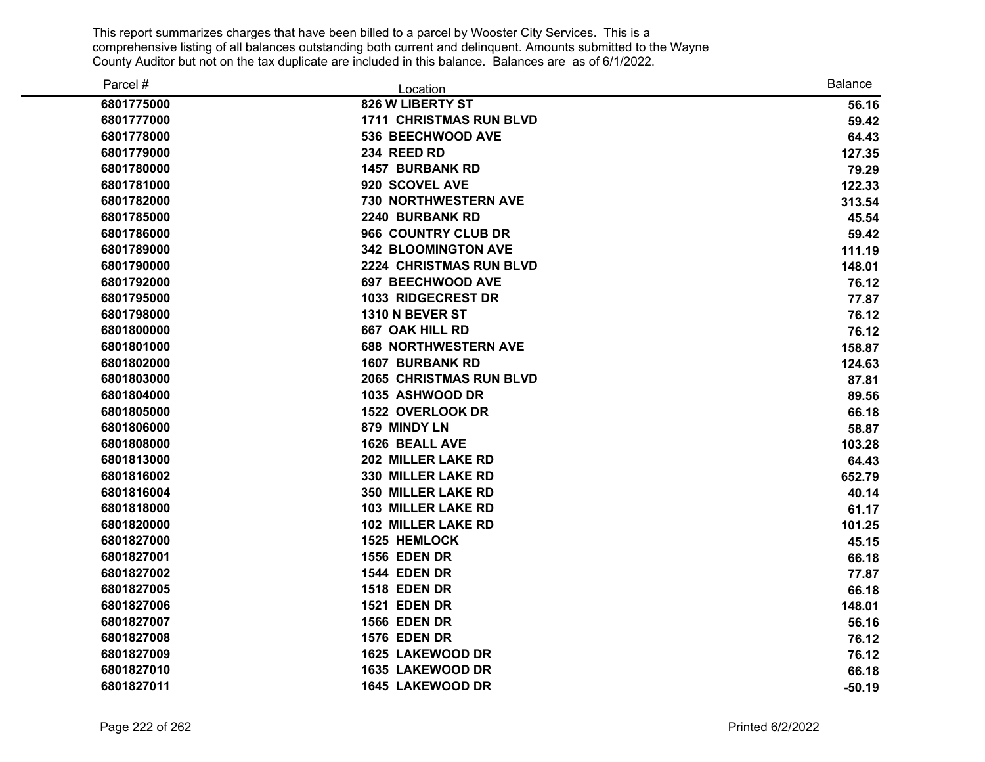| Parcel #   | Location                       | <b>Balance</b> |
|------------|--------------------------------|----------------|
| 6801775000 | 826 W LIBERTY ST               | 56.16          |
| 6801777000 | <b>1711 CHRISTMAS RUN BLVD</b> | 59.42          |
| 6801778000 | 536 BEECHWOOD AVE              | 64.43          |
| 6801779000 | 234 REED RD                    | 127.35         |
| 6801780000 | <b>1457 BURBANK RD</b>         | 79.29          |
| 6801781000 | 920 SCOVEL AVE                 | 122.33         |
| 6801782000 | <b>730 NORTHWESTERN AVE</b>    | 313.54         |
| 6801785000 | 2240 BURBANK RD                | 45.54          |
| 6801786000 | 966 COUNTRY CLUB DR            | 59.42          |
| 6801789000 | <b>342 BLOOMINGTON AVE</b>     | 111.19         |
| 6801790000 | 2224 CHRISTMAS RUN BLVD        | 148.01         |
| 6801792000 | <b>697 BEECHWOOD AVE</b>       | 76.12          |
| 6801795000 | <b>1033 RIDGECREST DR</b>      | 77.87          |
| 6801798000 | 1310 N BEVER ST                | 76.12          |
| 6801800000 | 667 OAK HILL RD                | 76.12          |
| 6801801000 | <b>688 NORTHWESTERN AVE</b>    | 158.87         |
| 6801802000 | <b>1607 BURBANK RD</b>         | 124.63         |
| 6801803000 | <b>2065 CHRISTMAS RUN BLVD</b> | 87.81          |
| 6801804000 | 1035 ASHWOOD DR                | 89.56          |
| 6801805000 | 1522 OVERLOOK DR               | 66.18          |
| 6801806000 | 879 MINDY LN                   | 58.87          |
| 6801808000 | 1626 BEALL AVE                 | 103.28         |
| 6801813000 | 202 MILLER LAKE RD             | 64.43          |
| 6801816002 | 330 MILLER LAKE RD             | 652.79         |
| 6801816004 | 350 MILLER LAKE RD             | 40.14          |
| 6801818000 | <b>103 MILLER LAKE RD</b>      | 61.17          |
| 6801820000 | <b>102 MILLER LAKE RD</b>      | 101.25         |
| 6801827000 | 1525 HEMLOCK                   | 45.15          |
| 6801827001 | <b>1556 EDEN DR</b>            | 66.18          |
| 6801827002 | <b>1544 EDEN DR</b>            | 77.87          |
| 6801827005 | <b>1518 EDEN DR</b>            | 66.18          |
| 6801827006 | <b>1521 EDEN DR</b>            | 148.01         |
| 6801827007 | <b>1566 EDEN DR</b>            | 56.16          |
| 6801827008 | <b>1576 EDEN DR</b>            | 76.12          |
| 6801827009 | 1625 LAKEWOOD DR               | 76.12          |
| 6801827010 | 1635 LAKEWOOD DR               | 66.18          |
| 6801827011 | 1645 LAKEWOOD DR               | $-50.19$       |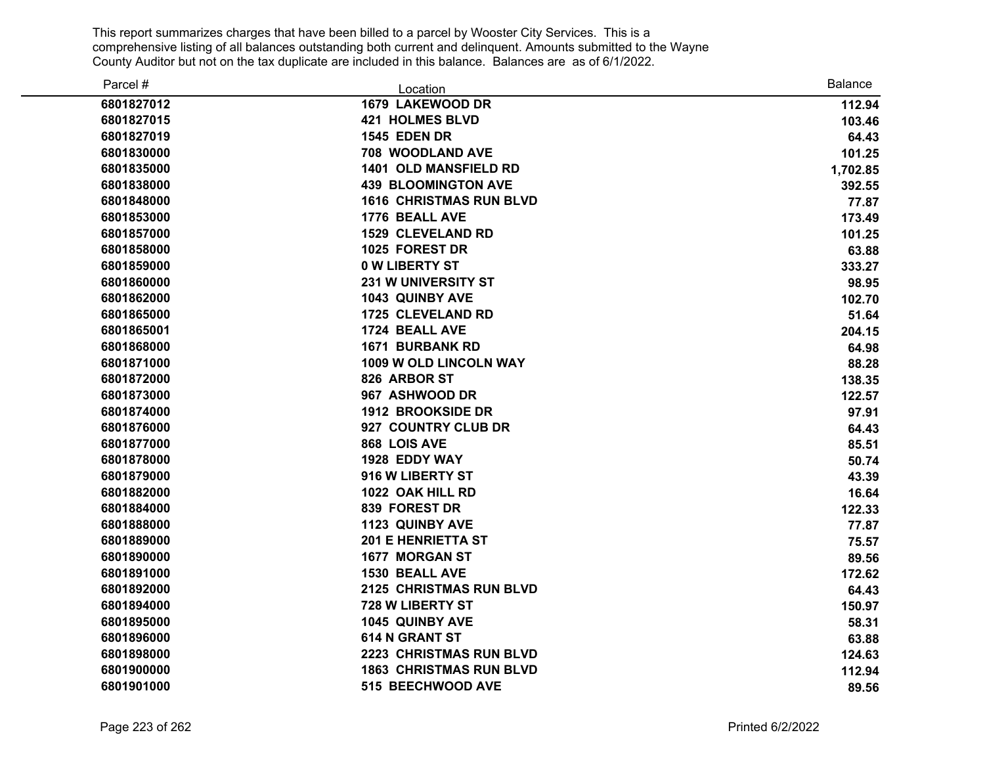| Parcel #   | Location                       | <b>Balance</b> |
|------------|--------------------------------|----------------|
| 6801827012 | 1679 LAKEWOOD DR               | 112.94         |
| 6801827015 | <b>421 HOLMES BLVD</b>         | 103.46         |
| 6801827019 | <b>1545 EDEN DR</b>            | 64.43          |
| 6801830000 | 708 WOODLAND AVE               | 101.25         |
| 6801835000 | <b>1401 OLD MANSFIELD RD</b>   | 1,702.85       |
| 6801838000 | <b>439 BLOOMINGTON AVE</b>     | 392.55         |
| 6801848000 | <b>1616 CHRISTMAS RUN BLVD</b> | 77.87          |
| 6801853000 | 1776 BEALL AVE                 | 173.49         |
| 6801857000 | <b>1529 CLEVELAND RD</b>       | 101.25         |
| 6801858000 | 1025 FOREST DR                 | 63.88          |
| 6801859000 | <b>0 W LIBERTY ST</b>          | 333.27         |
| 6801860000 | <b>231 W UNIVERSITY ST</b>     | 98.95          |
| 6801862000 | 1043 QUINBY AVE                | 102.70         |
| 6801865000 | <b>1725 CLEVELAND RD</b>       | 51.64          |
| 6801865001 | 1724 BEALL AVE                 | 204.15         |
| 6801868000 | <b>1671 BURBANK RD</b>         | 64.98          |
| 6801871000 | 1009 W OLD LINCOLN WAY         | 88.28          |
| 6801872000 | 826 ARBOR ST                   | 138.35         |
| 6801873000 | 967 ASHWOOD DR                 | 122.57         |
| 6801874000 | 1912 BROOKSIDE DR              | 97.91          |
| 6801876000 | 927 COUNTRY CLUB DR            | 64.43          |
| 6801877000 | 868 LOIS AVE                   | 85.51          |
| 6801878000 | 1928 EDDY WAY                  | 50.74          |
| 6801879000 | 916 W LIBERTY ST               | 43.39          |
| 6801882000 | 1022 OAK HILL RD               | 16.64          |
| 6801884000 | 839 FOREST DR                  | 122.33         |
| 6801888000 | <b>1123 QUINBY AVE</b>         | 77.87          |
| 6801889000 | <b>201 E HENRIETTA ST</b>      | 75.57          |
| 6801890000 | 1677 MORGAN ST                 | 89.56          |
| 6801891000 | 1530 BEALL AVE                 | 172.62         |
| 6801892000 | 2125 CHRISTMAS RUN BLVD        | 64.43          |
| 6801894000 | 728 W LIBERTY ST               | 150.97         |
| 6801895000 | 1045 QUINBY AVE                | 58.31          |
| 6801896000 | <b>614 N GRANT ST</b>          | 63.88          |
| 6801898000 | <b>2223 CHRISTMAS RUN BLVD</b> | 124.63         |
| 6801900000 | <b>1863 CHRISTMAS RUN BLVD</b> | 112.94         |
| 6801901000 | 515 BEECHWOOD AVE              | 89.56          |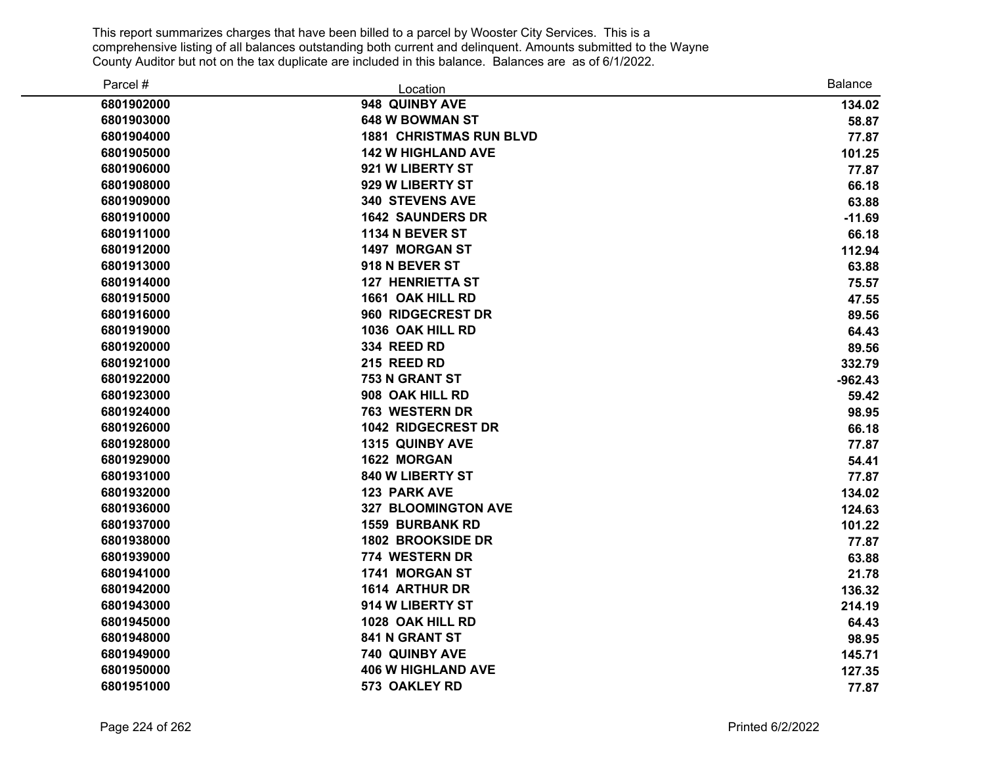| Parcel #   | Location                       | <b>Balance</b> |
|------------|--------------------------------|----------------|
| 6801902000 | 948 QUINBY AVE                 | 134.02         |
| 6801903000 | <b>648 W BOWMAN ST</b>         | 58.87          |
| 6801904000 | <b>1881 CHRISTMAS RUN BLVD</b> | 77.87          |
| 6801905000 | <b>142 W HIGHLAND AVE</b>      | 101.25         |
| 6801906000 | 921 W LIBERTY ST               | 77.87          |
| 6801908000 | 929 W LIBERTY ST               | 66.18          |
| 6801909000 | <b>340 STEVENS AVE</b>         | 63.88          |
| 6801910000 | <b>1642 SAUNDERS DR</b>        | $-11.69$       |
| 6801911000 | <b>1134 N BEVER ST</b>         | 66.18          |
| 6801912000 | 1497 MORGAN ST                 | 112.94         |
| 6801913000 | 918 N BEVER ST                 | 63.88          |
| 6801914000 | <b>127 HENRIETTA ST</b>        | 75.57          |
| 6801915000 | 1661 OAK HILL RD               | 47.55          |
| 6801916000 | 960 RIDGECREST DR              | 89.56          |
| 6801919000 | 1036 OAK HILL RD               | 64.43          |
| 6801920000 | 334 REED RD                    | 89.56          |
| 6801921000 | 215 REED RD                    | 332.79         |
| 6801922000 | 753 N GRANT ST                 | $-962.43$      |
| 6801923000 | 908 OAK HILL RD                | 59.42          |
| 6801924000 | <b>763 WESTERN DR</b>          | 98.95          |
| 6801926000 | 1042 RIDGECREST DR             | 66.18          |
| 6801928000 | 1315 QUINBY AVE                | 77.87          |
| 6801929000 | 1622 MORGAN                    | 54.41          |
| 6801931000 | 840 W LIBERTY ST               | 77.87          |
| 6801932000 | <b>123 PARK AVE</b>            | 134.02         |
| 6801936000 | 327 BLOOMINGTON AVE            | 124.63         |
| 6801937000 | <b>1559 BURBANK RD</b>         | 101.22         |
| 6801938000 | 1802 BROOKSIDE DR              | 77.87          |
| 6801939000 | 774 WESTERN DR                 | 63.88          |
| 6801941000 | 1741 MORGAN ST                 | 21.78          |
| 6801942000 | 1614 ARTHUR DR                 | 136.32         |
| 6801943000 | 914 W LIBERTY ST               | 214.19         |
| 6801945000 | 1028 OAK HILL RD               | 64.43          |
| 6801948000 | 841 N GRANT ST                 | 98.95          |
| 6801949000 | 740 QUINBY AVE                 | 145.71         |
| 6801950000 | <b>406 W HIGHLAND AVE</b>      | 127.35         |
| 6801951000 | 573 OAKLEY RD                  | 77.87          |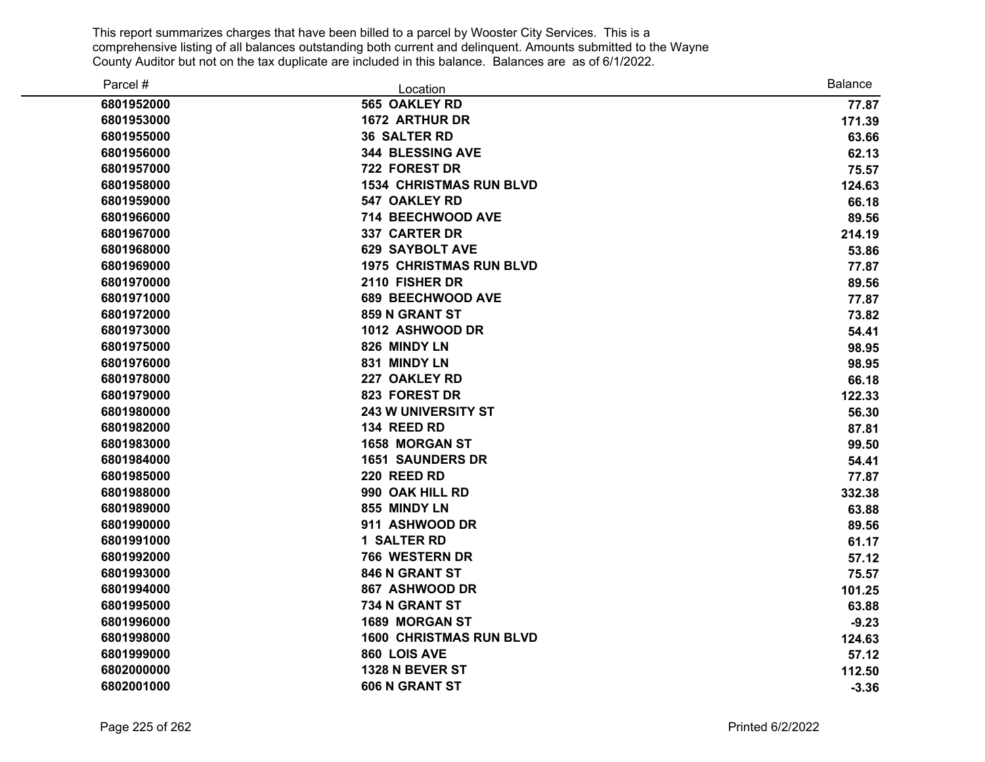| Parcel #   | Location                       | <b>Balance</b> |
|------------|--------------------------------|----------------|
| 6801952000 | 565 OAKLEY RD                  | 77.87          |
| 6801953000 | <b>1672 ARTHUR DR</b>          | 171.39         |
| 6801955000 | <b>36 SALTER RD</b>            | 63.66          |
| 6801956000 | <b>344 BLESSING AVE</b>        | 62.13          |
| 6801957000 | 722 FOREST DR                  | 75.57          |
| 6801958000 | <b>1534 CHRISTMAS RUN BLVD</b> | 124.63         |
| 6801959000 | <b>547 OAKLEY RD</b>           | 66.18          |
| 6801966000 | 714 BEECHWOOD AVE              | 89.56          |
| 6801967000 | 337 CARTER DR                  | 214.19         |
| 6801968000 | <b>629 SAYBOLT AVE</b>         | 53.86          |
| 6801969000 | <b>1975 CHRISTMAS RUN BLVD</b> | 77.87          |
| 6801970000 | 2110 FISHER DR                 | 89.56          |
| 6801971000 | <b>689 BEECHWOOD AVE</b>       | 77.87          |
| 6801972000 | 859 N GRANT ST                 | 73.82          |
| 6801973000 | 1012 ASHWOOD DR                | 54.41          |
| 6801975000 | 826 MINDY LN                   | 98.95          |
| 6801976000 | 831 MINDY LN                   | 98.95          |
| 6801978000 | 227 OAKLEY RD                  | 66.18          |
| 6801979000 | 823 FOREST DR                  | 122.33         |
| 6801980000 | <b>243 W UNIVERSITY ST</b>     | 56.30          |
| 6801982000 | 134 REED RD                    | 87.81          |
| 6801983000 | <b>1658 MORGAN ST</b>          | 99.50          |
| 6801984000 | <b>1651 SAUNDERS DR</b>        | 54.41          |
| 6801985000 | 220 REED RD                    | 77.87          |
| 6801988000 | 990 OAK HILL RD                | 332.38         |
| 6801989000 | 855 MINDY LN                   | 63.88          |
| 6801990000 | 911 ASHWOOD DR                 | 89.56          |
| 6801991000 | 1 SALTER RD                    | 61.17          |
| 6801992000 | 766 WESTERN DR                 | 57.12          |
| 6801993000 | 846 N GRANT ST                 | 75.57          |
| 6801994000 | 867 ASHWOOD DR                 | 101.25         |
| 6801995000 | 734 N GRANT ST                 | 63.88          |
| 6801996000 | 1689 MORGAN ST                 | $-9.23$        |
| 6801998000 | <b>1600 CHRISTMAS RUN BLVD</b> | 124.63         |
| 6801999000 | 860 LOIS AVE                   | 57.12          |
| 6802000000 | 1328 N BEVER ST                | 112.50         |
| 6802001000 | 606 N GRANT ST                 | $-3.36$        |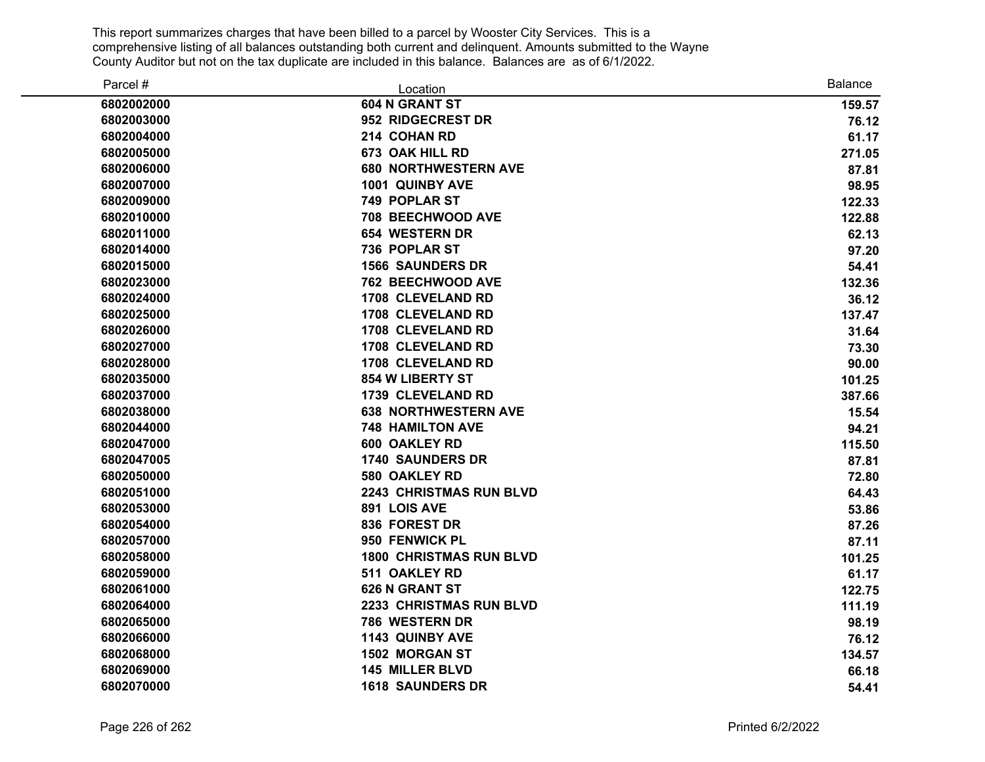| Parcel #   | Location                       | <b>Balance</b> |
|------------|--------------------------------|----------------|
| 6802002000 | 604 N GRANT ST                 | 159.57         |
| 6802003000 | 952 RIDGECREST DR              | 76.12          |
| 6802004000 | 214 COHAN RD                   | 61.17          |
| 6802005000 | 673 OAK HILL RD                | 271.05         |
| 6802006000 | <b>680 NORTHWESTERN AVE</b>    | 87.81          |
| 6802007000 | 1001 QUINBY AVE                | 98.95          |
| 6802009000 | 749 POPLAR ST                  | 122.33         |
| 6802010000 | 708 BEECHWOOD AVE              | 122.88         |
| 6802011000 | <b>654 WESTERN DR</b>          | 62.13          |
| 6802014000 | 736 POPLAR ST                  | 97.20          |
| 6802015000 | <b>1566 SAUNDERS DR</b>        | 54.41          |
| 6802023000 | <b>762 BEECHWOOD AVE</b>       | 132.36         |
| 6802024000 | <b>1708 CLEVELAND RD</b>       | 36.12          |
| 6802025000 | <b>1708 CLEVELAND RD</b>       | 137.47         |
| 6802026000 | 1708 CLEVELAND RD              | 31.64          |
| 6802027000 | 1708 CLEVELAND RD              | 73.30          |
| 6802028000 | 1708 CLEVELAND RD              | 90.00          |
| 6802035000 | 854 W LIBERTY ST               | 101.25         |
| 6802037000 | <b>1739 CLEVELAND RD</b>       | 387.66         |
| 6802038000 | <b>638 NORTHWESTERN AVE</b>    | 15.54          |
| 6802044000 | <b>748 HAMILTON AVE</b>        | 94.21          |
| 6802047000 | 600 OAKLEY RD                  | 115.50         |
| 6802047005 | <b>1740 SAUNDERS DR</b>        | 87.81          |
| 6802050000 | 580 OAKLEY RD                  | 72.80          |
| 6802051000 | <b>2243 CHRISTMAS RUN BLVD</b> | 64.43          |
| 6802053000 | 891 LOIS AVE                   | 53.86          |
| 6802054000 | 836 FOREST DR                  | 87.26          |
| 6802057000 | 950 FENWICK PL                 | 87.11          |
| 6802058000 | <b>1800 CHRISTMAS RUN BLVD</b> | 101.25         |
| 6802059000 | 511 OAKLEY RD                  | 61.17          |
| 6802061000 | <b>626 N GRANT ST</b>          | 122.75         |
| 6802064000 | 2233 CHRISTMAS RUN BLVD        | 111.19         |
| 6802065000 | 786 WESTERN DR                 | 98.19          |
| 6802066000 | 1143 QUINBY AVE                | 76.12          |
| 6802068000 | 1502 MORGAN ST                 | 134.57         |
| 6802069000 | <b>145 MILLER BLVD</b>         | 66.18          |
| 6802070000 | <b>1618 SAUNDERS DR</b>        | 54.41          |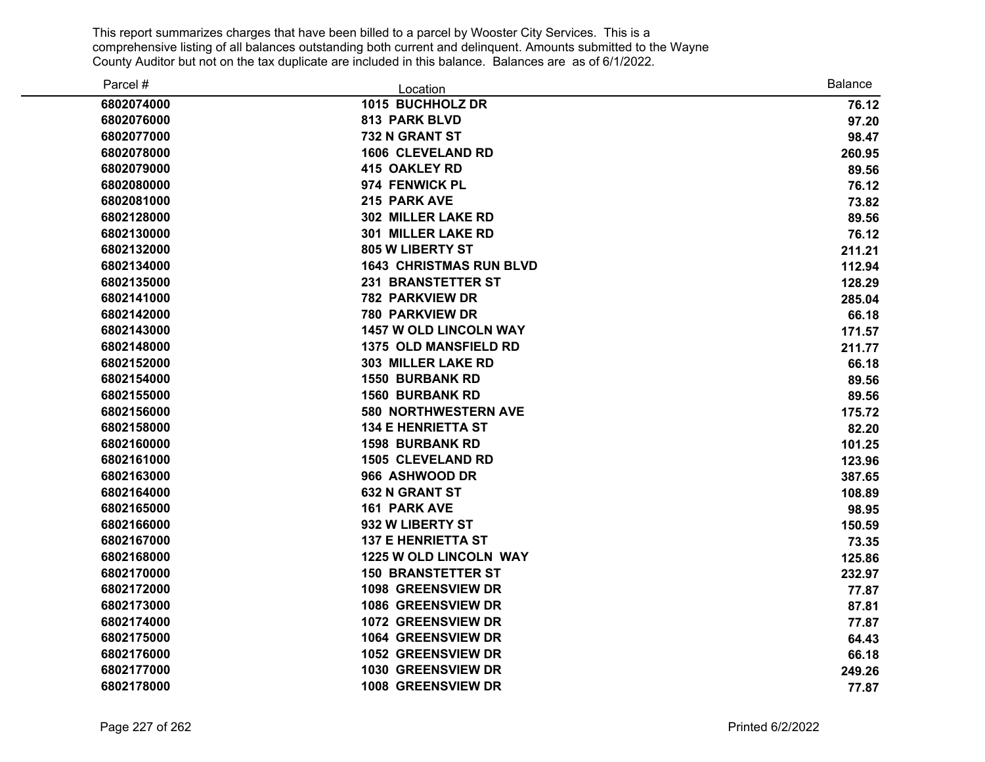| Parcel #   | Location                       | <b>Balance</b> |
|------------|--------------------------------|----------------|
| 6802074000 | 1015 BUCHHOLZ DR               | 76.12          |
| 6802076000 | 813 PARK BLVD                  | 97.20          |
| 6802077000 | 732 N GRANT ST                 | 98.47          |
| 6802078000 | <b>1606 CLEVELAND RD</b>       | 260.95         |
| 6802079000 | <b>415 OAKLEY RD</b>           | 89.56          |
| 6802080000 | 974 FENWICK PL                 | 76.12          |
| 6802081000 | 215 PARK AVE                   | 73.82          |
| 6802128000 | 302 MILLER LAKE RD             | 89.56          |
| 6802130000 | <b>301 MILLER LAKE RD</b>      | 76.12          |
| 6802132000 | 805 W LIBERTY ST               | 211.21         |
| 6802134000 | <b>1643 CHRISTMAS RUN BLVD</b> | 112.94         |
| 6802135000 | <b>231 BRANSTETTER ST</b>      | 128.29         |
| 6802141000 | <b>782 PARKVIEW DR</b>         | 285.04         |
| 6802142000 | <b>780 PARKVIEW DR</b>         | 66.18          |
| 6802143000 | <b>1457 W OLD LINCOLN WAY</b>  | 171.57         |
| 6802148000 | 1375 OLD MANSFIELD RD          | 211.77         |
| 6802152000 | 303 MILLER LAKE RD             | 66.18          |
| 6802154000 | <b>1550 BURBANK RD</b>         | 89.56          |
| 6802155000 | <b>1560 BURBANK RD</b>         | 89.56          |
| 6802156000 | <b>580 NORTHWESTERN AVE</b>    | 175.72         |
| 6802158000 | <b>134 E HENRIETTA ST</b>      | 82.20          |
| 6802160000 | <b>1598 BURBANK RD</b>         | 101.25         |
| 6802161000 | <b>1505 CLEVELAND RD</b>       | 123.96         |
| 6802163000 | 966 ASHWOOD DR                 | 387.65         |
| 6802164000 | <b>632 N GRANT ST</b>          | 108.89         |
| 6802165000 | <b>161 PARK AVE</b>            | 98.95          |
| 6802166000 | 932 W LIBERTY ST               | 150.59         |
| 6802167000 | <b>137 E HENRIETTA ST</b>      | 73.35          |
| 6802168000 | 1225 W OLD LINCOLN WAY         | 125.86         |
| 6802170000 | <b>150 BRANSTETTER ST</b>      | 232.97         |
| 6802172000 | 1098 GREENSVIEW DR             | 77.87          |
| 6802173000 | 1086 GREENSVIEW DR             | 87.81          |
| 6802174000 | 1072 GREENSVIEW DR             | 77.87          |
| 6802175000 | 1064 GREENSVIEW DR             | 64.43          |
| 6802176000 | 1052 GREENSVIEW DR             | 66.18          |
| 6802177000 | <b>1030 GREENSVIEW DR</b>      | 249.26         |
| 6802178000 | 1008 GREENSVIEW DR             | 77.87          |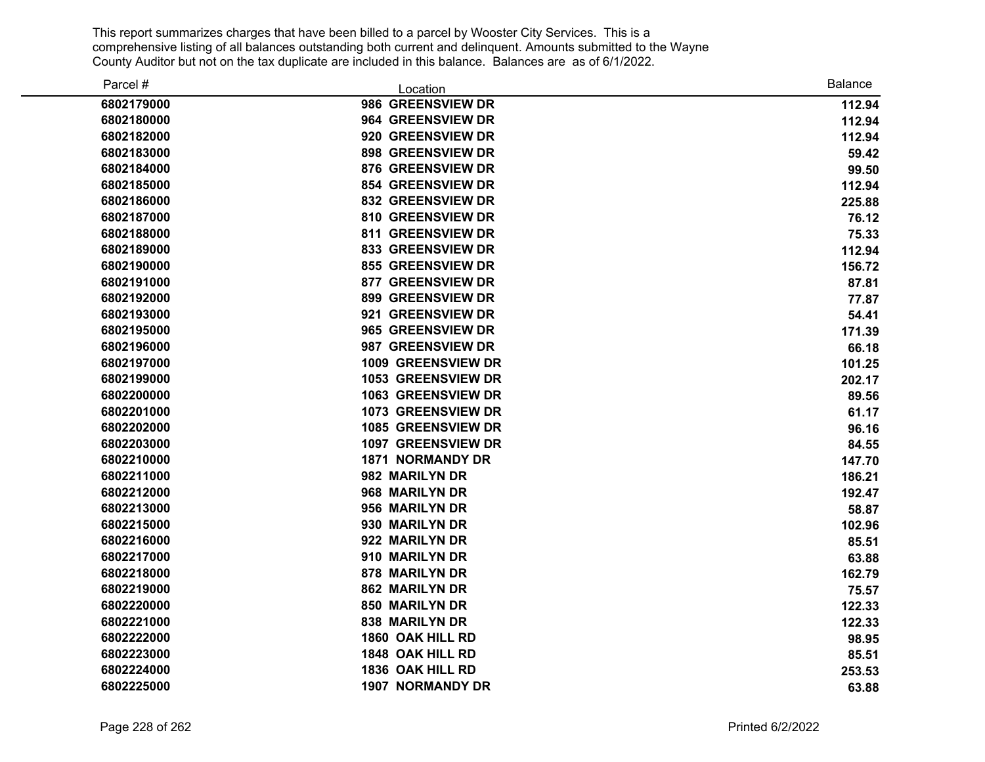| Parcel #   | Location                  | <b>Balance</b> |
|------------|---------------------------|----------------|
| 6802179000 | 986 GREENSVIEW DR         | 112.94         |
| 6802180000 | 964 GREENSVIEW DR         | 112.94         |
| 6802182000 | 920 GREENSVIEW DR         | 112.94         |
| 6802183000 | <b>898 GREENSVIEW DR</b>  | 59.42          |
| 6802184000 | <b>876 GREENSVIEW DR</b>  | 99.50          |
| 6802185000 | <b>854 GREENSVIEW DR</b>  | 112.94         |
| 6802186000 | <b>832 GREENSVIEW DR</b>  | 225.88         |
| 6802187000 | 810 GREENSVIEW DR         | 76.12          |
| 6802188000 | <b>811 GREENSVIEW DR</b>  | 75.33          |
| 6802189000 | <b>833 GREENSVIEW DR</b>  | 112.94         |
| 6802190000 | <b>855 GREENSVIEW DR</b>  | 156.72         |
| 6802191000 | 877 GREENSVIEW DR         | 87.81          |
| 6802192000 | 899 GREENSVIEW DR         | 77.87          |
| 6802193000 | 921 GREENSVIEW DR         | 54.41          |
| 6802195000 | 965 GREENSVIEW DR         | 171.39         |
| 6802196000 | 987 GREENSVIEW DR         | 66.18          |
| 6802197000 | 1009 GREENSVIEW DR        | 101.25         |
| 6802199000 | 1053 GREENSVIEW DR        | 202.17         |
| 6802200000 | 1063 GREENSVIEW DR        | 89.56          |
| 6802201000 | 1073 GREENSVIEW DR        | 61.17          |
| 6802202000 | <b>1085 GREENSVIEW DR</b> | 96.16          |
| 6802203000 | <b>1097 GREENSVIEW DR</b> | 84.55          |
| 6802210000 | <b>1871 NORMANDY DR</b>   | 147.70         |
| 6802211000 | 982 MARILYN DR            | 186.21         |
| 6802212000 | 968 MARILYN DR            | 192.47         |
| 6802213000 | 956 MARILYN DR            | 58.87          |
| 6802215000 | 930 MARILYN DR            | 102.96         |
| 6802216000 | 922 MARILYN DR            | 85.51          |
| 6802217000 | 910 MARILYN DR            | 63.88          |
| 6802218000 | 878 MARILYN DR            | 162.79         |
| 6802219000 | <b>862 MARILYN DR</b>     | 75.57          |
| 6802220000 | 850 MARILYN DR            | 122.33         |
| 6802221000 | 838 MARILYN DR            | 122.33         |
| 6802222000 | 1860 OAK HILL RD          | 98.95          |
| 6802223000 | 1848 OAK HILL RD          | 85.51          |
| 6802224000 | 1836 OAK HILL RD          | 253.53         |
| 6802225000 | <b>1907 NORMANDY DR</b>   | 63.88          |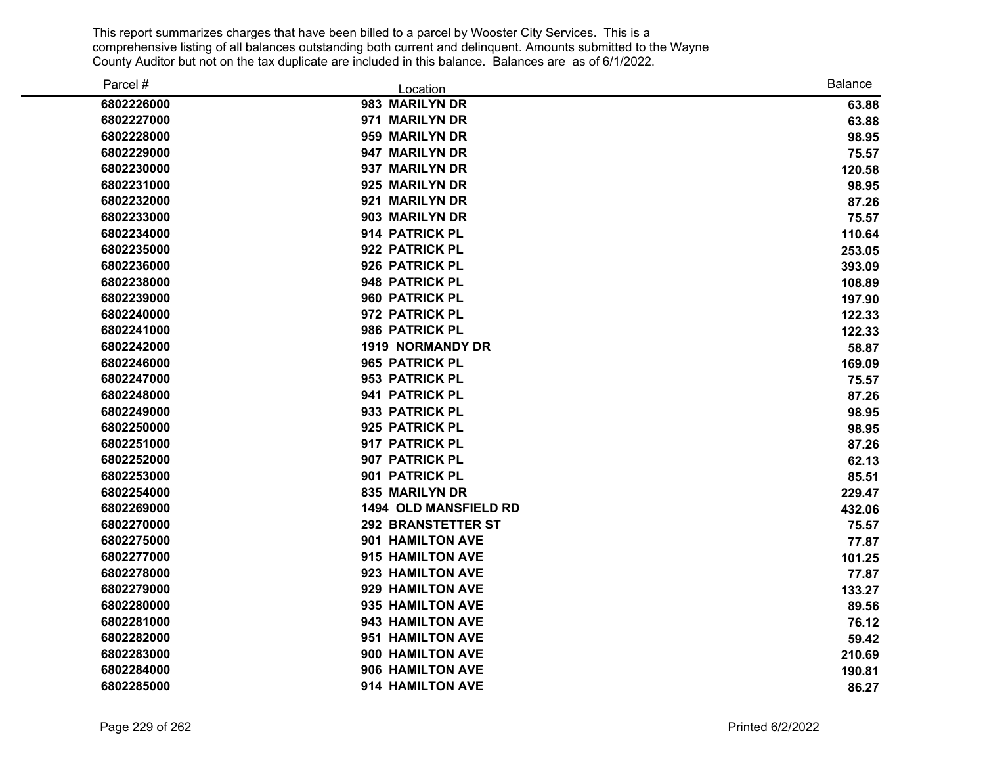| Parcel #   | Location                     | <b>Balance</b> |
|------------|------------------------------|----------------|
| 6802226000 | 983 MARILYN DR               | 63.88          |
| 6802227000 | 971 MARILYN DR               | 63.88          |
| 6802228000 | 959 MARILYN DR               | 98.95          |
| 6802229000 | 947 MARILYN DR               | 75.57          |
| 6802230000 | 937 MARILYN DR               | 120.58         |
| 6802231000 | 925 MARILYN DR               | 98.95          |
| 6802232000 | 921 MARILYN DR               | 87.26          |
| 6802233000 | 903 MARILYN DR               | 75.57          |
| 6802234000 | 914 PATRICK PL               | 110.64         |
| 6802235000 | 922 PATRICK PL               | 253.05         |
| 6802236000 | 926 PATRICK PL               | 393.09         |
| 6802238000 | 948 PATRICK PL               | 108.89         |
| 6802239000 | 960 PATRICK PL               | 197.90         |
| 6802240000 | 972 PATRICK PL               | 122.33         |
| 6802241000 | 986 PATRICK PL               | 122.33         |
| 6802242000 | <b>1919 NORMANDY DR</b>      | 58.87          |
| 6802246000 | 965 PATRICK PL               | 169.09         |
| 6802247000 | 953 PATRICK PL               | 75.57          |
| 6802248000 | 941 PATRICK PL               | 87.26          |
| 6802249000 | 933 PATRICK PL               | 98.95          |
| 6802250000 | 925 PATRICK PL               | 98.95          |
| 6802251000 | 917 PATRICK PL               | 87.26          |
| 6802252000 | 907 PATRICK PL               | 62.13          |
| 6802253000 | 901 PATRICK PL               | 85.51          |
| 6802254000 | 835 MARILYN DR               | 229.47         |
| 6802269000 | <b>1494 OLD MANSFIELD RD</b> | 432.06         |
| 6802270000 | <b>292 BRANSTETTER ST</b>    | 75.57          |
| 6802275000 | 901 HAMILTON AVE             | 77.87          |
| 6802277000 | 915 HAMILTON AVE             | 101.25         |
| 6802278000 | 923 HAMILTON AVE             | 77.87          |
| 6802279000 | 929 HAMILTON AVE             | 133.27         |
| 6802280000 | 935 HAMILTON AVE             | 89.56          |
| 6802281000 | 943 HAMILTON AVE             | 76.12          |
| 6802282000 | 951 HAMILTON AVE             | 59.42          |
| 6802283000 | 900 HAMILTON AVE             | 210.69         |
| 6802284000 | 906 HAMILTON AVE             | 190.81         |
| 6802285000 | 914 HAMILTON AVE             | 86.27          |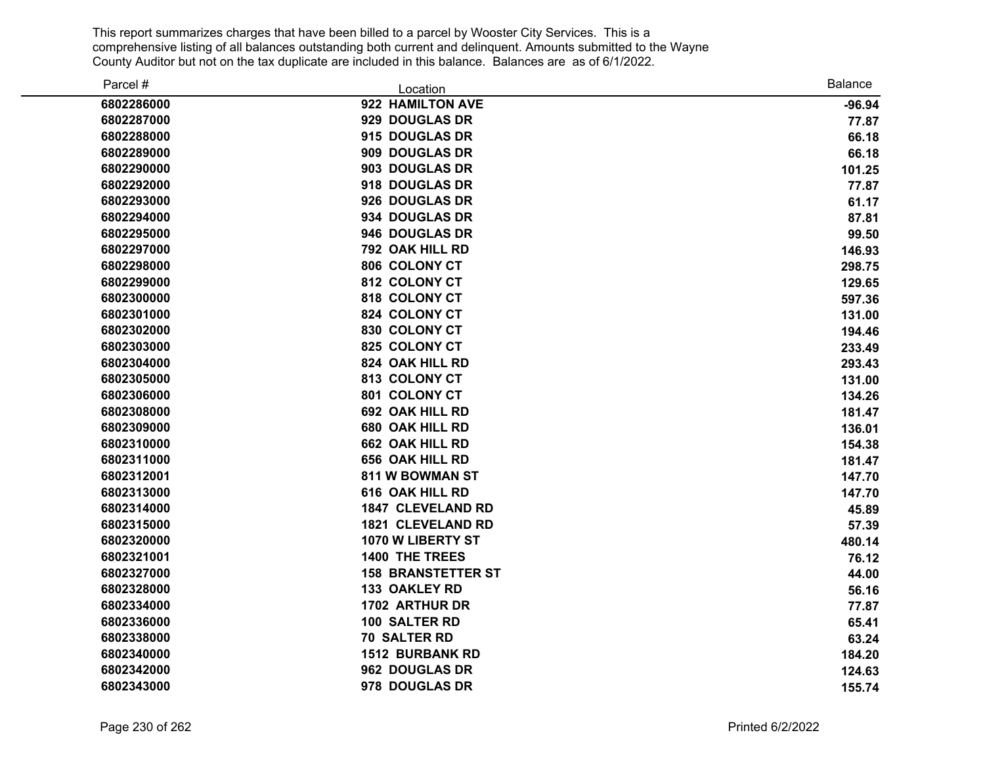| Parcel #   | Location                  | <b>Balance</b> |
|------------|---------------------------|----------------|
| 6802286000 | 922 HAMILTON AVE          | $-96.94$       |
| 6802287000 | 929 DOUGLAS DR            | 77.87          |
| 6802288000 | 915 DOUGLAS DR            | 66.18          |
| 6802289000 | 909 DOUGLAS DR            | 66.18          |
| 6802290000 | 903 DOUGLAS DR            | 101.25         |
| 6802292000 | 918 DOUGLAS DR            | 77.87          |
| 6802293000 | 926 DOUGLAS DR            | 61.17          |
| 6802294000 | 934 DOUGLAS DR            | 87.81          |
| 6802295000 | 946 DOUGLAS DR            | 99.50          |
| 6802297000 | 792 OAK HILL RD           | 146.93         |
| 6802298000 | 806 COLONY CT             | 298.75         |
| 6802299000 | 812 COLONY CT             | 129.65         |
| 6802300000 | 818 COLONY CT             | 597.36         |
| 6802301000 | 824 COLONY CT             | 131.00         |
| 6802302000 | 830 COLONY CT             | 194.46         |
| 6802303000 | 825 COLONY CT             | 233.49         |
| 6802304000 | 824 OAK HILL RD           | 293.43         |
| 6802305000 | 813 COLONY CT             | 131.00         |
| 6802306000 | 801 COLONY CT             | 134.26         |
| 6802308000 | 692 OAK HILL RD           | 181.47         |
| 6802309000 | 680 OAK HILL RD           | 136.01         |
| 6802310000 | 662 OAK HILL RD           | 154.38         |
| 6802311000 | 656 OAK HILL RD           | 181.47         |
| 6802312001 | 811 W BOWMAN ST           | 147.70         |
| 6802313000 | 616 OAK HILL RD           | 147.70         |
| 6802314000 | <b>1847 CLEVELAND RD</b>  | 45.89          |
| 6802315000 | <b>1821 CLEVELAND RD</b>  | 57.39          |
| 6802320000 | 1070 W LIBERTY ST         | 480.14         |
| 6802321001 | <b>1400 THE TREES</b>     | 76.12          |
| 6802327000 | <b>158 BRANSTETTER ST</b> | 44.00          |
| 6802328000 | 133 OAKLEY RD             | 56.16          |
| 6802334000 | 1702 ARTHUR DR            | 77.87          |
| 6802336000 | 100 SALTER RD             | 65.41          |
| 6802338000 | 70 SALTER RD              | 63.24          |
| 6802340000 | <b>1512 BURBANK RD</b>    | 184.20         |
| 6802342000 | 962 DOUGLAS DR            | 124.63         |
| 6802343000 | 978 DOUGLAS DR            | 155.74         |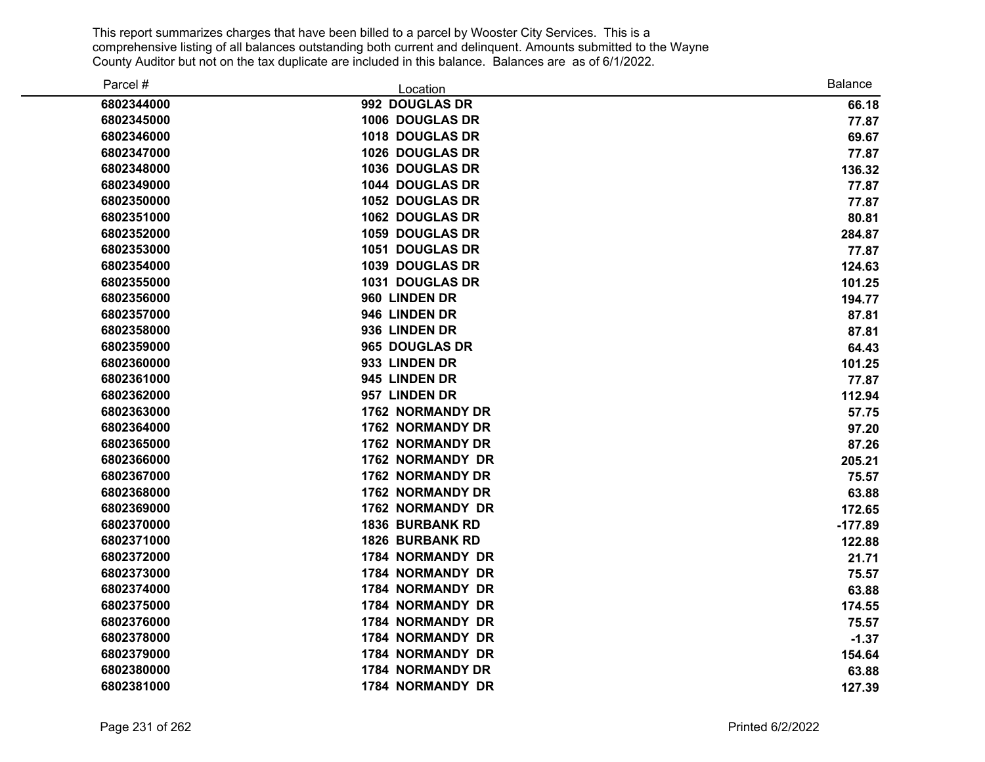| Parcel #   | Location                | <b>Balance</b> |
|------------|-------------------------|----------------|
| 6802344000 | 992 DOUGLAS DR          | 66.18          |
| 6802345000 | 1006 DOUGLAS DR         | 77.87          |
| 6802346000 | 1018 DOUGLAS DR         | 69.67          |
| 6802347000 | 1026 DOUGLAS DR         | 77.87          |
| 6802348000 | 1036 DOUGLAS DR         | 136.32         |
| 6802349000 | 1044 DOUGLAS DR         | 77.87          |
| 6802350000 | 1052 DOUGLAS DR         | 77.87          |
| 6802351000 | 1062 DOUGLAS DR         | 80.81          |
| 6802352000 | <b>1059 DOUGLAS DR</b>  | 284.87         |
| 6802353000 | <b>1051 DOUGLAS DR</b>  | 77.87          |
| 6802354000 | 1039 DOUGLAS DR         | 124.63         |
| 6802355000 | 1031 DOUGLAS DR         | 101.25         |
| 6802356000 | 960 LINDEN DR           | 194.77         |
| 6802357000 | 946 LINDEN DR           | 87.81          |
| 6802358000 | 936 LINDEN DR           | 87.81          |
| 6802359000 | 965 DOUGLAS DR          | 64.43          |
| 6802360000 | 933 LINDEN DR           | 101.25         |
| 6802361000 | 945 LINDEN DR           | 77.87          |
| 6802362000 | 957 LINDEN DR           | 112.94         |
| 6802363000 | <b>1762 NORMANDY DR</b> | 57.75          |
| 6802364000 | <b>1762 NORMANDY DR</b> | 97.20          |
| 6802365000 | <b>1762 NORMANDY DR</b> | 87.26          |
| 6802366000 | 1762 NORMANDY DR        | 205.21         |
| 6802367000 | <b>1762 NORMANDY DR</b> | 75.57          |
| 6802368000 | <b>1762 NORMANDY DR</b> | 63.88          |
| 6802369000 | 1762 NORMANDY DR        | 172.65         |
| 6802370000 | <b>1836 BURBANK RD</b>  | $-177.89$      |
| 6802371000 | <b>1826 BURBANK RD</b>  | 122.88         |
| 6802372000 | <b>1784 NORMANDY DR</b> | 21.71          |
| 6802373000 | 1784 NORMANDY DR        | 75.57          |
| 6802374000 | 1784 NORMANDY DR        | 63.88          |
| 6802375000 | 1784 NORMANDY DR        | 174.55         |
| 6802376000 | 1784 NORMANDY DR        | 75.57          |
| 6802378000 | 1784 NORMANDY DR        | $-1.37$        |
| 6802379000 | 1784 NORMANDY DR        | 154.64         |
| 6802380000 | 1784 NORMANDY DR        | 63.88          |
| 6802381000 | 1784 NORMANDY DR        | 127.39         |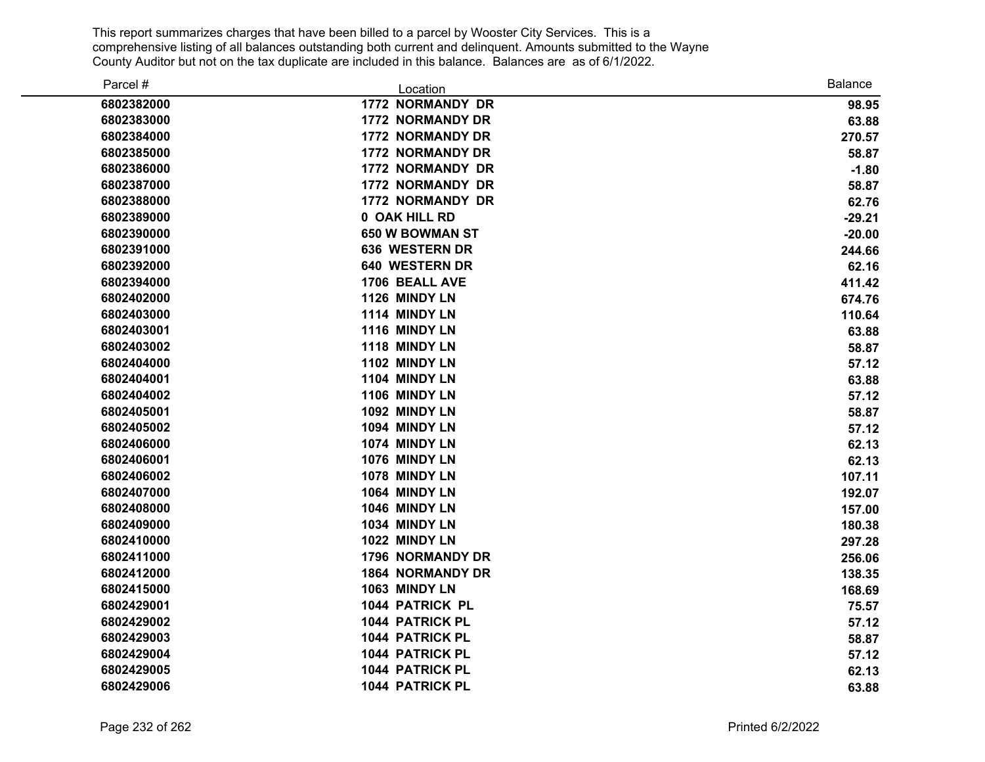| Parcel #   | Location                | <b>Balance</b> |
|------------|-------------------------|----------------|
| 6802382000 | 1772 NORMANDY DR        | 98.95          |
| 6802383000 | <b>1772 NORMANDY DR</b> | 63.88          |
| 6802384000 | <b>1772 NORMANDY DR</b> | 270.57         |
| 6802385000 | <b>1772 NORMANDY DR</b> | 58.87          |
| 6802386000 | 1772 NORMANDY DR        | $-1.80$        |
| 6802387000 | <b>1772 NORMANDY DR</b> | 58.87          |
| 6802388000 | 1772 NORMANDY DR        | 62.76          |
| 6802389000 | 0 OAK HILL RD           | $-29.21$       |
| 6802390000 | 650 W BOWMAN ST         | $-20.00$       |
| 6802391000 | 636 WESTERN DR          | 244.66         |
| 6802392000 | 640 WESTERN DR          | 62.16          |
| 6802394000 | 1706 BEALL AVE          | 411.42         |
| 6802402000 | 1126 MINDY LN           | 674.76         |
| 6802403000 | 1114 MINDY LN           | 110.64         |
| 6802403001 | 1116 MINDY LN           | 63.88          |
| 6802403002 | 1118 MINDY LN           | 58.87          |
| 6802404000 | 1102 MINDY LN           | 57.12          |
| 6802404001 | 1104 MINDY LN           | 63.88          |
| 6802404002 | 1106 MINDY LN           | 57.12          |
| 6802405001 | 1092 MINDY LN           | 58.87          |
| 6802405002 | 1094 MINDY LN           | 57.12          |
| 6802406000 | 1074 MINDY LN           | 62.13          |
| 6802406001 | 1076 MINDY LN           | 62.13          |
| 6802406002 | 1078 MINDY LN           | 107.11         |
| 6802407000 | 1064 MINDY LN           | 192.07         |
| 6802408000 | 1046 MINDY LN           | 157.00         |
| 6802409000 | 1034 MINDY LN           | 180.38         |
| 6802410000 | 1022 MINDY LN           | 297.28         |
| 6802411000 | 1796 NORMANDY DR        | 256.06         |
| 6802412000 | <b>1864 NORMANDY DR</b> | 138.35         |
| 6802415000 | 1063 MINDY LN           | 168.69         |
| 6802429001 | 1044 PATRICK PL         | 75.57          |
| 6802429002 | 1044 PATRICK PL         | 57.12          |
| 6802429003 | 1044 PATRICK PL         | 58.87          |
| 6802429004 | 1044 PATRICK PL         | 57.12          |
| 6802429005 | 1044 PATRICK PL         | 62.13          |
| 6802429006 | 1044 PATRICK PL         | 63.88          |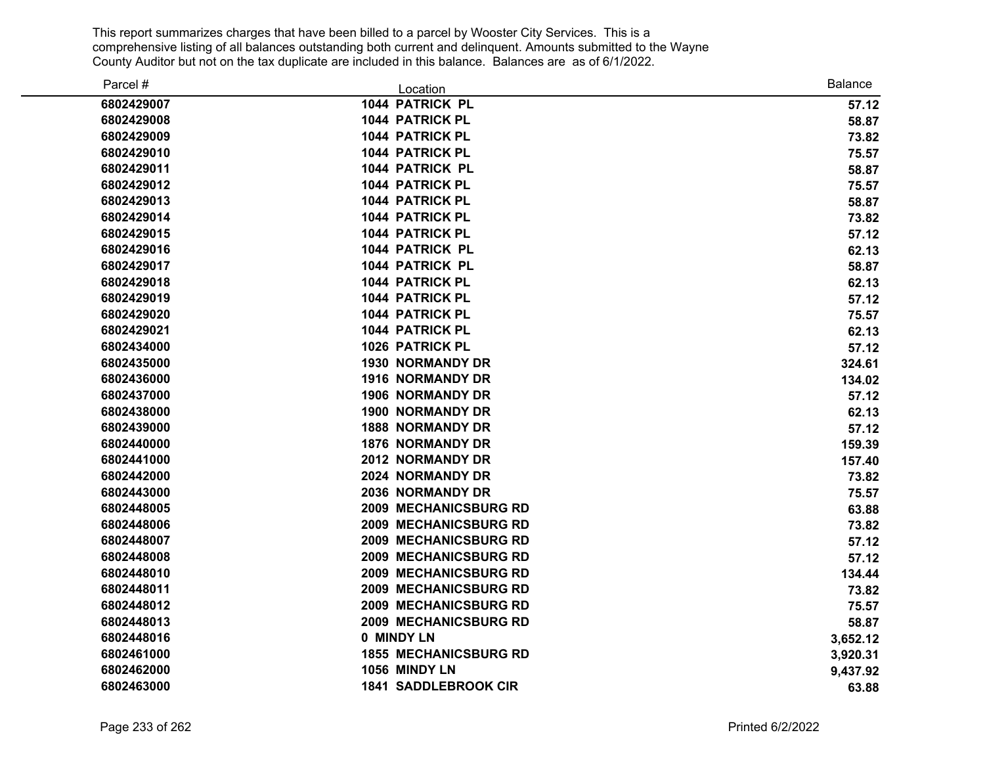| Parcel #   | Location                     | <b>Balance</b> |
|------------|------------------------------|----------------|
| 6802429007 | 1044 PATRICK PL              | 57.12          |
| 6802429008 | 1044 PATRICK PL              | 58.87          |
| 6802429009 | 1044 PATRICK PL              | 73.82          |
| 6802429010 | 1044 PATRICK PL              | 75.57          |
| 6802429011 | 1044 PATRICK PL              | 58.87          |
| 6802429012 | 1044 PATRICK PL              | 75.57          |
| 6802429013 | <b>1044 PATRICK PL</b>       | 58.87          |
| 6802429014 | <b>1044 PATRICK PL</b>       | 73.82          |
| 6802429015 | 1044 PATRICK PL              | 57.12          |
| 6802429016 | <b>1044 PATRICK PL</b>       | 62.13          |
| 6802429017 | 1044 PATRICK PL              | 58.87          |
| 6802429018 | <b>1044 PATRICK PL</b>       | 62.13          |
| 6802429019 | <b>1044 PATRICK PL</b>       | 57.12          |
| 6802429020 | <b>1044 PATRICK PL</b>       | 75.57          |
| 6802429021 | 1044 PATRICK PL              | 62.13          |
| 6802434000 | <b>1026 PATRICK PL</b>       | 57.12          |
| 6802435000 | <b>1930 NORMANDY DR</b>      | 324.61         |
| 6802436000 | <b>1916 NORMANDY DR</b>      | 134.02         |
| 6802437000 | <b>1906 NORMANDY DR</b>      | 57.12          |
| 6802438000 | <b>1900 NORMANDY DR</b>      | 62.13          |
| 6802439000 | <b>1888 NORMANDY DR</b>      | 57.12          |
| 6802440000 | <b>1876 NORMANDY DR</b>      | 159.39         |
| 6802441000 | 2012 NORMANDY DR             | 157.40         |
| 6802442000 | 2024 NORMANDY DR             | 73.82          |
| 6802443000 | 2036 NORMANDY DR             | 75.57          |
| 6802448005 | <b>2009 MECHANICSBURG RD</b> | 63.88          |
| 6802448006 | <b>2009 MECHANICSBURG RD</b> | 73.82          |
| 6802448007 | 2009 MECHANICSBURG RD        | 57.12          |
| 6802448008 | 2009 MECHANICSBURG RD        | 57.12          |
| 6802448010 | <b>2009 MECHANICSBURG RD</b> | 134.44         |
| 6802448011 | 2009 MECHANICSBURG RD        | 73.82          |
| 6802448012 | 2009 MECHANICSBURG RD        | 75.57          |
| 6802448013 | 2009 MECHANICSBURG RD        | 58.87          |
| 6802448016 | 0 MINDY LN                   | 3,652.12       |
| 6802461000 | <b>1855 MECHANICSBURG RD</b> | 3,920.31       |
| 6802462000 | 1056 MINDY LN                | 9,437.92       |
| 6802463000 | <b>1841 SADDLEBROOK CIR</b>  | 63.88          |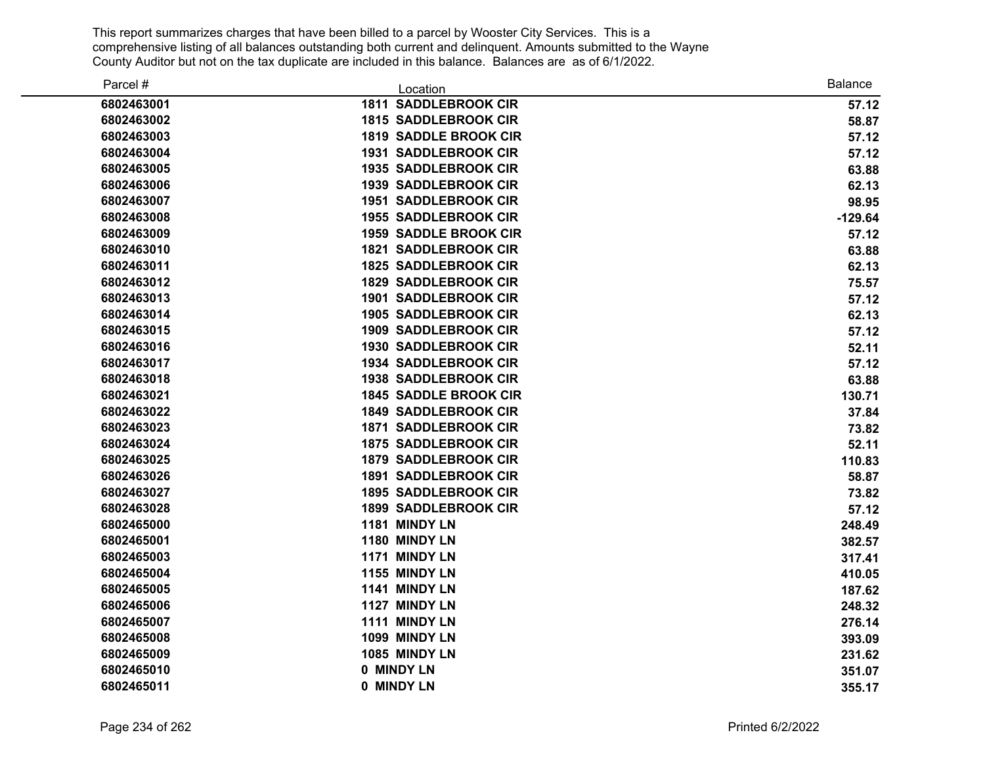| Parcel #   | Location                     | <b>Balance</b> |
|------------|------------------------------|----------------|
| 6802463001 | <b>1811 SADDLEBROOK CIR</b>  | 57.12          |
| 6802463002 | <b>1815 SADDLEBROOK CIR</b>  | 58.87          |
| 6802463003 | <b>1819 SADDLE BROOK CIR</b> | 57.12          |
| 6802463004 | <b>1931 SADDLEBROOK CIR</b>  | 57.12          |
| 6802463005 | <b>1935 SADDLEBROOK CIR</b>  | 63.88          |
| 6802463006 | <b>1939 SADDLEBROOK CIR</b>  | 62.13          |
| 6802463007 | <b>1951 SADDLEBROOK CIR</b>  | 98.95          |
| 6802463008 | <b>1955 SADDLEBROOK CIR</b>  | $-129.64$      |
| 6802463009 | <b>1959 SADDLE BROOK CIR</b> | 57.12          |
| 6802463010 | <b>1821 SADDLEBROOK CIR</b>  | 63.88          |
| 6802463011 | <b>1825 SADDLEBROOK CIR</b>  | 62.13          |
| 6802463012 | <b>1829 SADDLEBROOK CIR</b>  | 75.57          |
| 6802463013 | <b>1901 SADDLEBROOK CIR</b>  | 57.12          |
| 6802463014 | <b>1905 SADDLEBROOK CIR</b>  | 62.13          |
| 6802463015 | <b>1909 SADDLEBROOK CIR</b>  | 57.12          |
| 6802463016 | <b>1930 SADDLEBROOK CIR</b>  | 52.11          |
| 6802463017 | <b>1934 SADDLEBROOK CIR</b>  | 57.12          |
| 6802463018 | 1938 SADDLEBROOK CIR         | 63.88          |
| 6802463021 | <b>1845 SADDLE BROOK CIR</b> | 130.71         |
| 6802463022 | <b>1849 SADDLEBROOK CIR</b>  | 37.84          |
| 6802463023 | <b>1871 SADDLEBROOK CIR</b>  | 73.82          |
| 6802463024 | <b>1875 SADDLEBROOK CIR</b>  | 52.11          |
| 6802463025 | <b>1879 SADDLEBROOK CIR</b>  | 110.83         |
| 6802463026 | <b>1891 SADDLEBROOK CIR</b>  | 58.87          |
| 6802463027 | <b>1895 SADDLEBROOK CIR</b>  | 73.82          |
| 6802463028 | <b>1899 SADDLEBROOK CIR</b>  | 57.12          |
| 6802465000 | 1181 MINDY LN                | 248.49         |
| 6802465001 | 1180 MINDY LN                | 382.57         |
| 6802465003 | 1171 MINDY LN                | 317.41         |
| 6802465004 | 1155 MINDY LN                | 410.05         |
| 6802465005 | 1141 MINDY LN                | 187.62         |
| 6802465006 | 1127 MINDY LN                | 248.32         |
| 6802465007 | 1111 MINDY LN                | 276.14         |
| 6802465008 | 1099 MINDY LN                | 393.09         |
| 6802465009 | 1085 MINDY LN                | 231.62         |
| 6802465010 | 0 MINDY LN                   | 351.07         |
| 6802465011 | 0 MINDY LN                   | 355.17         |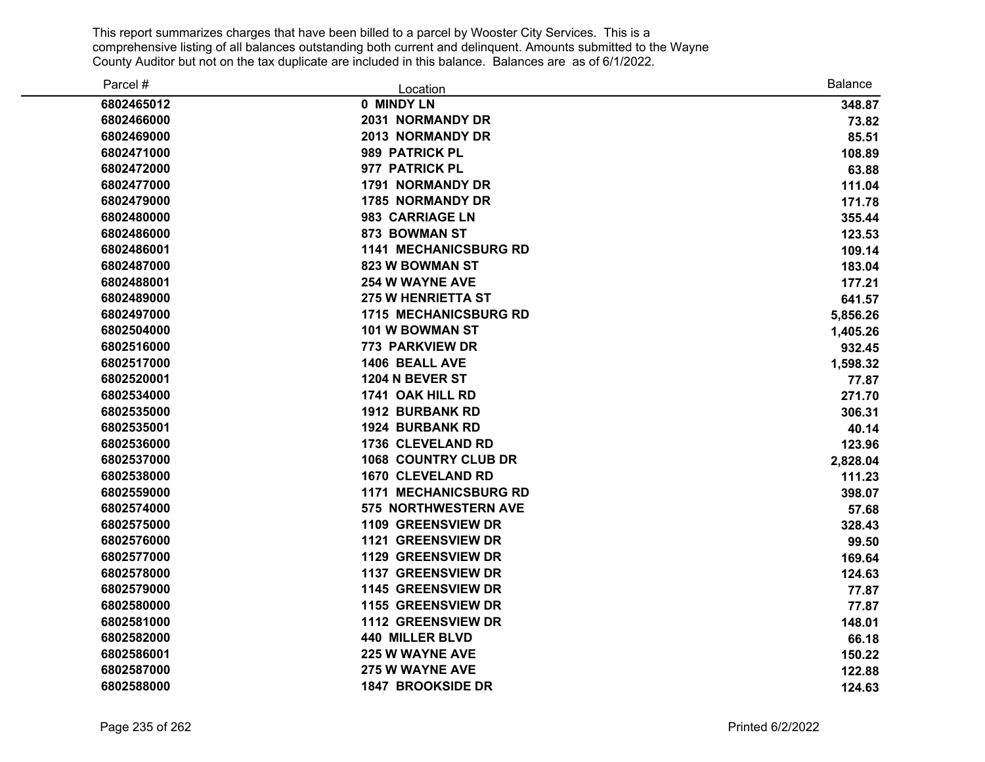| Parcel #   | Location                     | Balance  |
|------------|------------------------------|----------|
| 6802465012 | 0 MINDY LN                   | 348.87   |
| 6802466000 | 2031 NORMANDY DR             | 73.82    |
| 6802469000 | 2013 NORMANDY DR             | 85.51    |
| 6802471000 | 989 PATRICK PL               | 108.89   |
| 6802472000 | 977 PATRICK PL               | 63.88    |
| 6802477000 | 1791 NORMANDY DR             | 111.04   |
| 6802479000 | <b>1785 NORMANDY DR</b>      | 171.78   |
| 6802480000 | 983 CARRIAGE LN              | 355.44   |
| 6802486000 | 873 BOWMAN ST                | 123.53   |
| 6802486001 | <b>1141 MECHANICSBURG RD</b> | 109.14   |
| 6802487000 | <b>823 W BOWMAN ST</b>       | 183.04   |
| 6802488001 | <b>254 W WAYNE AVE</b>       | 177.21   |
| 6802489000 | <b>275 W HENRIETTA ST</b>    | 641.57   |
| 6802497000 | <b>1715 MECHANICSBURG RD</b> | 5,856.26 |
| 6802504000 | 101 W BOWMAN ST              | 1,405.26 |
| 6802516000 | <b>773 PARKVIEW DR</b>       | 932.45   |
| 6802517000 | 1406 BEALL AVE               | 1,598.32 |
| 6802520001 | 1204 N BEVER ST              | 77.87    |
| 6802534000 | 1741 OAK HILL RD             | 271.70   |
| 6802535000 | 1912 BURBANK RD              | 306.31   |
| 6802535001 | <b>1924 BURBANK RD</b>       | 40.14    |
| 6802536000 | 1736 CLEVELAND RD            | 123.96   |
| 6802537000 | <b>1068 COUNTRY CLUB DR</b>  | 2,828.04 |
| 6802538000 | <b>1670 CLEVELAND RD</b>     | 111.23   |
| 6802559000 | <b>1171 MECHANICSBURG RD</b> | 398.07   |
| 6802574000 | <b>575 NORTHWESTERN AVE</b>  | 57.68    |
| 6802575000 | 1109 GREENSVIEW DR           | 328.43   |
| 6802576000 | 1121 GREENSVIEW DR           | 99.50    |
| 6802577000 | 1129 GREENSVIEW DR           | 169.64   |
| 6802578000 | 1137 GREENSVIEW DR           | 124.63   |
| 6802579000 | 1145 GREENSVIEW DR           | 77.87    |
| 6802580000 | 1155 GREENSVIEW DR           | 77.87    |
| 6802581000 | 1112 GREENSVIEW DR           | 148.01   |
| 6802582000 | 440 MILLER BLVD              | 66.18    |
| 6802586001 | 225 W WAYNE AVE              | 150.22   |
| 6802587000 | 275 W WAYNE AVE              | 122.88   |
| 6802588000 | <b>1847 BROOKSIDE DR</b>     | 124.63   |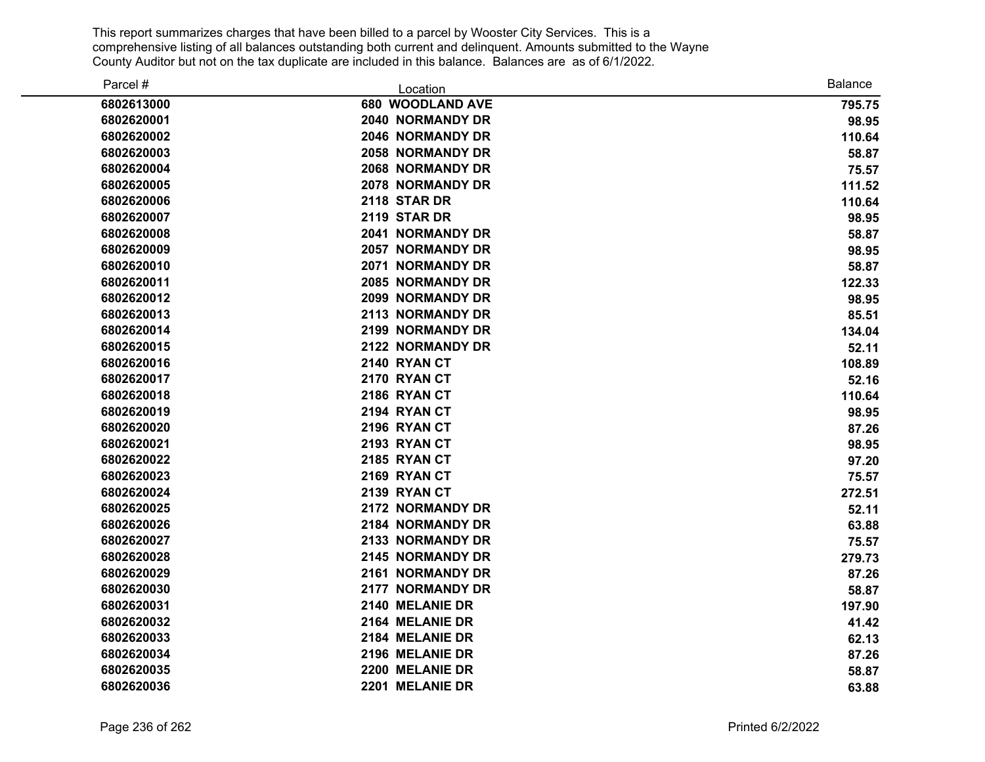| Parcel #   | Location                | <b>Balance</b> |
|------------|-------------------------|----------------|
| 6802613000 | 680 WOODLAND AVE        | 795.75         |
| 6802620001 | 2040 NORMANDY DR        | 98.95          |
| 6802620002 | 2046 NORMANDY DR        | 110.64         |
| 6802620003 | <b>2058 NORMANDY DR</b> | 58.87          |
| 6802620004 | 2068 NORMANDY DR        | 75.57          |
| 6802620005 | 2078 NORMANDY DR        | 111.52         |
| 6802620006 | <b>2118 STAR DR</b>     | 110.64         |
| 6802620007 | 2119 STAR DR            | 98.95          |
| 6802620008 | 2041 NORMANDY DR        | 58.87          |
| 6802620009 | <b>2057 NORMANDY DR</b> | 98.95          |
| 6802620010 | 2071 NORMANDY DR        | 58.87          |
| 6802620011 | 2085 NORMANDY DR        | 122.33         |
| 6802620012 | <b>2099 NORMANDY DR</b> | 98.95          |
| 6802620013 | 2113 NORMANDY DR        | 85.51          |
| 6802620014 | 2199 NORMANDY DR        | 134.04         |
| 6802620015 | 2122 NORMANDY DR        | 52.11          |
| 6802620016 | 2140 RYAN CT            | 108.89         |
| 6802620017 | 2170 RYAN CT            | 52.16          |
| 6802620018 | 2186 RYAN CT            | 110.64         |
| 6802620019 | 2194 RYAN CT            | 98.95          |
| 6802620020 | 2196 RYAN CT            | 87.26          |
| 6802620021 | 2193 RYAN CT            | 98.95          |
| 6802620022 | 2185 RYAN CT            | 97.20          |
| 6802620023 | 2169 RYAN CT            | 75.57          |
| 6802620024 | 2139 RYAN CT            | 272.51         |
| 6802620025 | 2172 NORMANDY DR        | 52.11          |
| 6802620026 | 2184 NORMANDY DR        | 63.88          |
| 6802620027 | 2133 NORMANDY DR        | 75.57          |
| 6802620028 | 2145 NORMANDY DR        | 279.73         |
| 6802620029 | 2161 NORMANDY DR        | 87.26          |
| 6802620030 | 2177 NORMANDY DR        | 58.87          |
| 6802620031 | 2140 MELANIE DR         | 197.90         |
| 6802620032 | 2164 MELANIE DR         | 41.42          |
| 6802620033 | 2184 MELANIE DR         | 62.13          |
| 6802620034 | 2196 MELANIE DR         | 87.26          |
| 6802620035 | 2200 MELANIE DR         | 58.87          |
| 6802620036 | 2201 MELANIE DR         | 63.88          |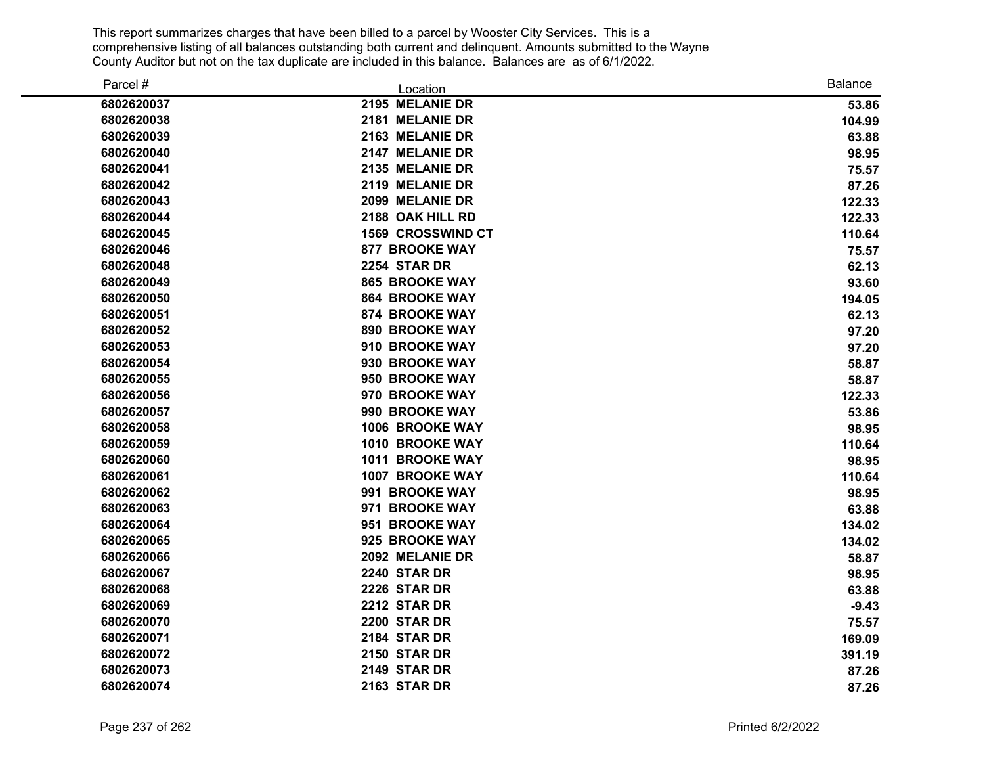| Parcel #   | Location                 | <b>Balance</b> |
|------------|--------------------------|----------------|
| 6802620037 | 2195 MELANIE DR          | 53.86          |
| 6802620038 | 2181 MELANIE DR          | 104.99         |
| 6802620039 | 2163 MELANIE DR          | 63.88          |
| 6802620040 | 2147 MELANIE DR          | 98.95          |
| 6802620041 | 2135 MELANIE DR          | 75.57          |
| 6802620042 | 2119 MELANIE DR          | 87.26          |
| 6802620043 | 2099 MELANIE DR          | 122.33         |
| 6802620044 | 2188 OAK HILL RD         | 122.33         |
| 6802620045 | <b>1569 CROSSWIND CT</b> | 110.64         |
| 6802620046 | <b>877 BROOKE WAY</b>    | 75.57          |
| 6802620048 | <b>2254 STAR DR</b>      | 62.13          |
| 6802620049 | <b>865 BROOKE WAY</b>    | 93.60          |
| 6802620050 | <b>864 BROOKE WAY</b>    | 194.05         |
| 6802620051 | <b>874 BROOKE WAY</b>    | 62.13          |
| 6802620052 | 890 BROOKE WAY           | 97.20          |
| 6802620053 | 910 BROOKE WAY           | 97.20          |
| 6802620054 | 930 BROOKE WAY           | 58.87          |
| 6802620055 | 950 BROOKE WAY           | 58.87          |
| 6802620056 | 970 BROOKE WAY           | 122.33         |
| 6802620057 | 990 BROOKE WAY           | 53.86          |
| 6802620058 | 1006 BROOKE WAY          | 98.95          |
| 6802620059 | <b>1010 BROOKE WAY</b>   | 110.64         |
| 6802620060 | 1011 BROOKE WAY          | 98.95          |
| 6802620061 | 1007 BROOKE WAY          | 110.64         |
| 6802620062 | 991 BROOKE WAY           | 98.95          |
| 6802620063 | 971 BROOKE WAY           | 63.88          |
| 6802620064 | 951 BROOKE WAY           | 134.02         |
| 6802620065 | 925 BROOKE WAY           | 134.02         |
| 6802620066 | 2092 MELANIE DR          | 58.87          |
| 6802620067 | <b>2240 STAR DR</b>      | 98.95          |
| 6802620068 | 2226 STAR DR             | 63.88          |
| 6802620069 | 2212 STAR DR             | $-9.43$        |
| 6802620070 | <b>2200 STAR DR</b>      | 75.57          |
| 6802620071 | <b>2184 STAR DR</b>      | 169.09         |
| 6802620072 | <b>2150 STAR DR</b>      | 391.19         |
| 6802620073 | 2149 STAR DR             | 87.26          |
| 6802620074 | 2163 STAR DR             | 87.26          |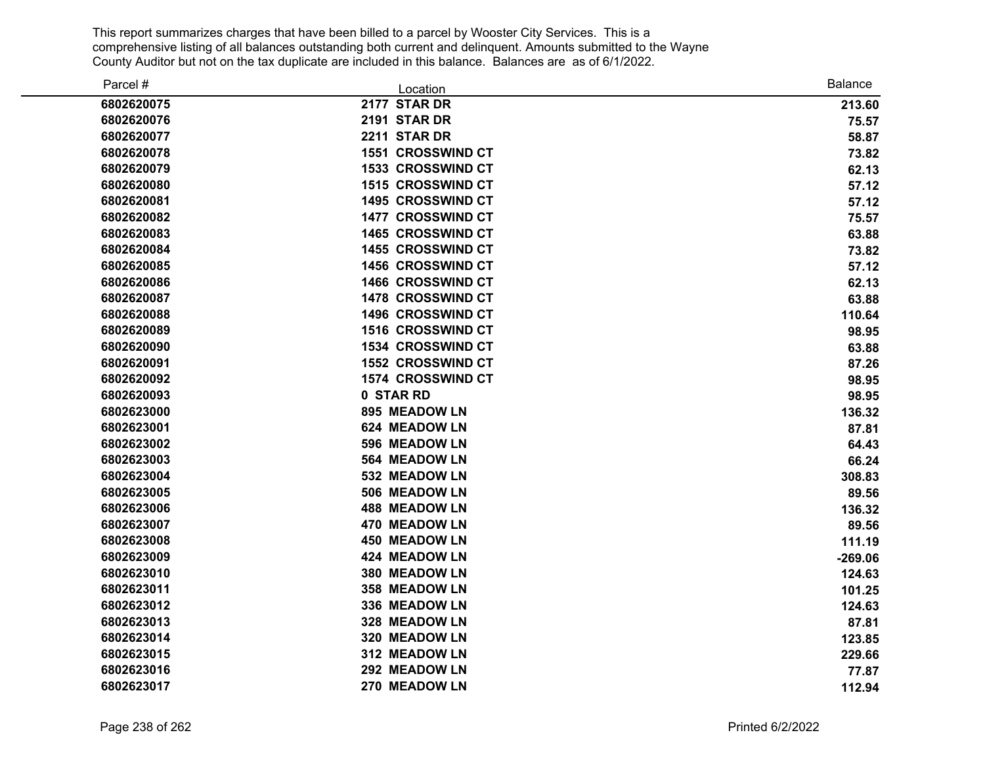| Parcel #   | Location                 | <b>Balance</b> |
|------------|--------------------------|----------------|
| 6802620075 | 2177 STAR DR             | 213.60         |
| 6802620076 | 2191 STAR DR             | 75.57          |
| 6802620077 | <b>2211 STAR DR</b>      | 58.87          |
| 6802620078 | <b>1551 CROSSWIND CT</b> | 73.82          |
| 6802620079 | 1533 CROSSWIND CT        | 62.13          |
| 6802620080 | 1515 CROSSWIND CT        | 57.12          |
| 6802620081 | <b>1495 CROSSWIND CT</b> | 57.12          |
| 6802620082 | 1477 CROSSWIND CT        | 75.57          |
| 6802620083 | <b>1465 CROSSWIND CT</b> | 63.88          |
| 6802620084 | 1455 CROSSWIND CT        | 73.82          |
| 6802620085 | 1456 CROSSWIND CT        | 57.12          |
| 6802620086 | 1466 CROSSWIND CT        | 62.13          |
| 6802620087 | <b>1478 CROSSWIND CT</b> | 63.88          |
| 6802620088 | <b>1496 CROSSWIND CT</b> | 110.64         |
| 6802620089 | 1516 CROSSWIND CT        | 98.95          |
| 6802620090 | 1534 CROSSWIND CT        | 63.88          |
| 6802620091 | 1552 CROSSWIND CT        | 87.26          |
| 6802620092 | 1574 CROSSWIND CT        | 98.95          |
| 6802620093 | 0 STAR RD                | 98.95          |
| 6802623000 | <b>895 MEADOW LN</b>     | 136.32         |
| 6802623001 | 624 MEADOW LN            | 87.81          |
| 6802623002 | 596 MEADOW LN            | 64.43          |
| 6802623003 | 564 MEADOW LN            | 66.24          |
| 6802623004 | 532 MEADOW LN            | 308.83         |
| 6802623005 | 506 MEADOW LN            | 89.56          |
| 6802623006 | <b>488 MEADOW LN</b>     | 136.32         |
| 6802623007 | 470 MEADOW LN            | 89.56          |
| 6802623008 | <b>450 MEADOW LN</b>     | 111.19         |
| 6802623009 | 424 MEADOW LN            | $-269.06$      |
| 6802623010 | 380 MEADOW LN            | 124.63         |
| 6802623011 | 358 MEADOW LN            | 101.25         |
| 6802623012 | 336 MEADOW LN            | 124.63         |
| 6802623013 | 328 MEADOW LN            | 87.81          |
| 6802623014 | 320 MEADOW LN            | 123.85         |
| 6802623015 | 312 MEADOW LN            | 229.66         |
| 6802623016 | 292 MEADOW LN            | 77.87          |
| 6802623017 | 270 MEADOW LN            | 112.94         |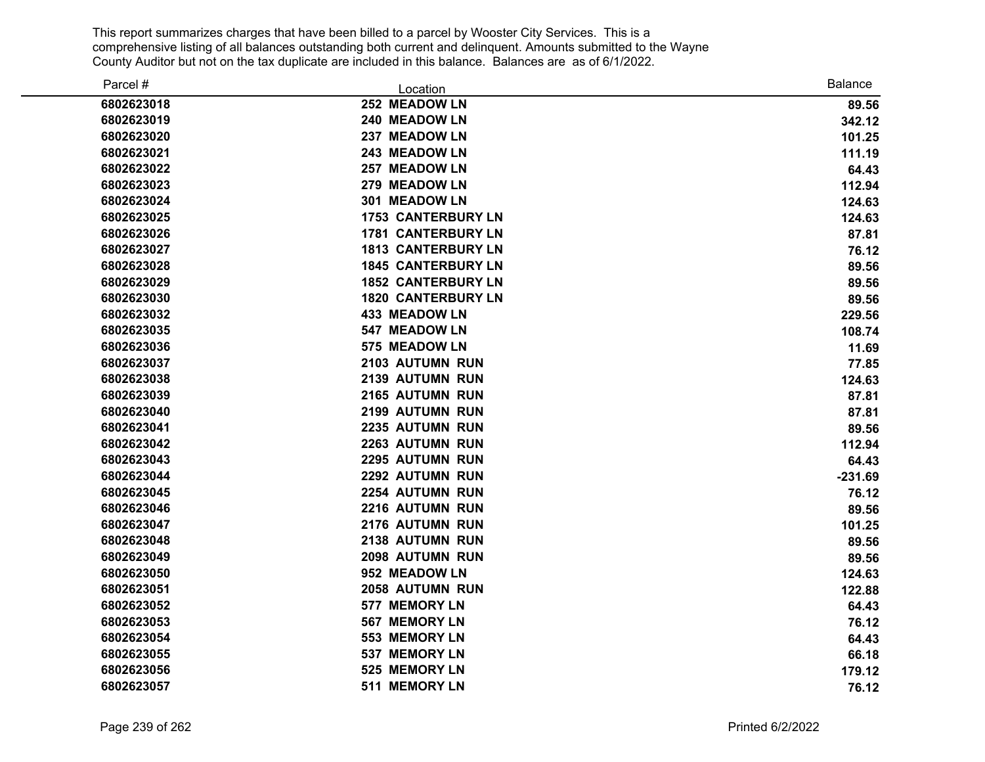| Parcel #   | Location                  | <b>Balance</b> |
|------------|---------------------------|----------------|
| 6802623018 | 252 MEADOW LN             | 89.56          |
| 6802623019 | 240 MEADOW LN             | 342.12         |
| 6802623020 | 237 MEADOW LN             | 101.25         |
| 6802623021 | 243 MEADOW LN             | 111.19         |
| 6802623022 | 257 MEADOW LN             | 64.43          |
| 6802623023 | 279 MEADOW LN             | 112.94         |
| 6802623024 | 301 MEADOW LN             | 124.63         |
| 6802623025 | <b>1753 CANTERBURY LN</b> | 124.63         |
| 6802623026 | <b>1781 CANTERBURY LN</b> | 87.81          |
| 6802623027 | <b>1813 CANTERBURY LN</b> | 76.12          |
| 6802623028 | <b>1845 CANTERBURY LN</b> | 89.56          |
| 6802623029 | <b>1852 CANTERBURY LN</b> | 89.56          |
| 6802623030 | <b>1820 CANTERBURY LN</b> | 89.56          |
| 6802623032 | <b>433 MEADOW LN</b>      | 229.56         |
| 6802623035 | 547 MEADOW LN             | 108.74         |
| 6802623036 | 575 MEADOW LN             | 11.69          |
| 6802623037 | 2103 AUTUMN RUN           | 77.85          |
| 6802623038 | 2139 AUTUMN RUN           | 124.63         |
| 6802623039 | 2165 AUTUMN RUN           | 87.81          |
| 6802623040 | 2199 AUTUMN RUN           | 87.81          |
| 6802623041 | 2235 AUTUMN RUN           | 89.56          |
| 6802623042 | 2263 AUTUMN RUN           | 112.94         |
| 6802623043 | 2295 AUTUMN RUN           | 64.43          |
| 6802623044 | 2292 AUTUMN RUN           | $-231.69$      |
| 6802623045 | 2254 AUTUMN RUN           | 76.12          |
| 6802623046 | 2216 AUTUMN RUN           | 89.56          |
| 6802623047 | 2176 AUTUMN RUN           | 101.25         |
| 6802623048 | 2138 AUTUMN RUN           | 89.56          |
| 6802623049 | 2098 AUTUMN RUN           | 89.56          |
| 6802623050 | 952 MEADOW LN             | 124.63         |
| 6802623051 | 2058 AUTUMN RUN           | 122.88         |
| 6802623052 | 577 MEMORY LN             | 64.43          |
| 6802623053 | 567 MEMORY LN             | 76.12          |
| 6802623054 | 553 MEMORY LN             | 64.43          |
| 6802623055 | 537 MEMORY LN             | 66.18          |
| 6802623056 | 525 MEMORY LN             | 179.12         |
| 6802623057 | 511 MEMORY LN             | 76.12          |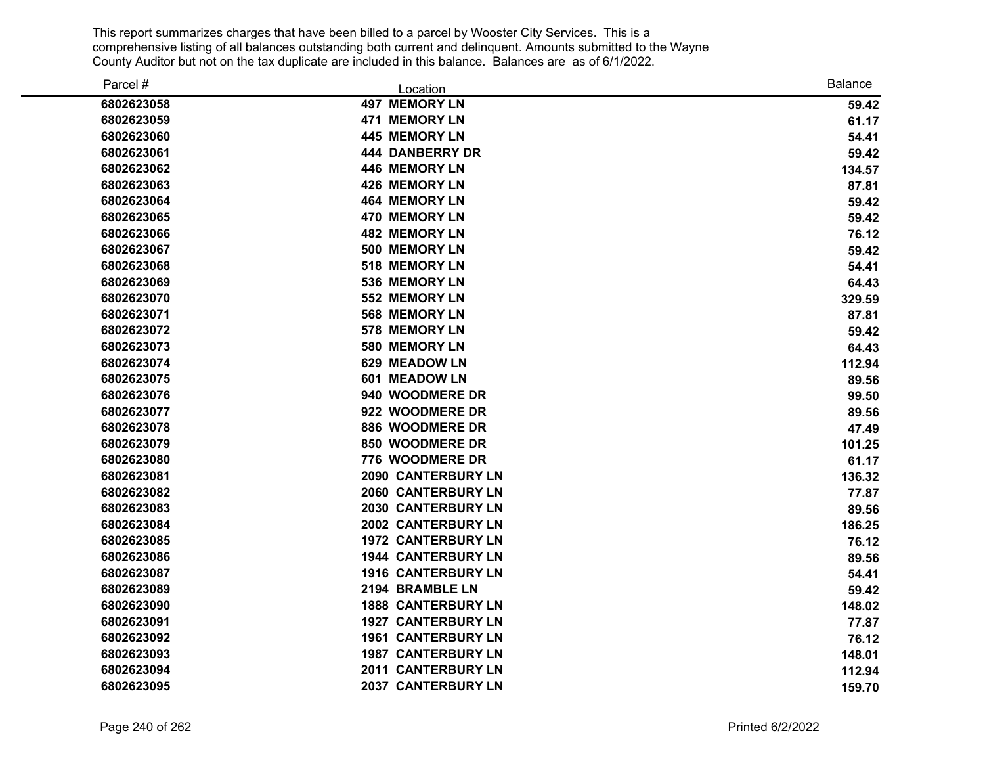| Parcel #   | Location                  | <b>Balance</b> |
|------------|---------------------------|----------------|
| 6802623058 | <b>497 MEMORY LN</b>      | 59.42          |
| 6802623059 | 471 MEMORY LN             | 61.17          |
| 6802623060 | 445 MEMORY LN             | 54.41          |
| 6802623061 | <b>444 DANBERRY DR</b>    | 59.42          |
| 6802623062 | 446 MEMORY LN             | 134.57         |
| 6802623063 | 426 MEMORY LN             | 87.81          |
| 6802623064 | <b>464 MEMORY LN</b>      | 59.42          |
| 6802623065 | 470 MEMORY LN             | 59.42          |
| 6802623066 | <b>482 MEMORY LN</b>      | 76.12          |
| 6802623067 | 500 MEMORY LN             | 59.42          |
| 6802623068 | 518 MEMORY LN             | 54.41          |
| 6802623069 | 536 MEMORY LN             | 64.43          |
| 6802623070 | 552 MEMORY LN             | 329.59         |
| 6802623071 | 568 MEMORY LN             | 87.81          |
| 6802623072 | 578 MEMORY LN             | 59.42          |
| 6802623073 | 580 MEMORY LN             | 64.43          |
| 6802623074 | 629 MEADOW LN             | 112.94         |
| 6802623075 | 601 MEADOW LN             | 89.56          |
| 6802623076 | 940 WOODMERE DR           | 99.50          |
| 6802623077 | 922 WOODMERE DR           | 89.56          |
| 6802623078 | 886 WOODMERE DR           | 47.49          |
| 6802623079 | 850 WOODMERE DR           | 101.25         |
| 6802623080 | 776 WOODMERE DR           | 61.17          |
| 6802623081 | 2090 CANTERBURY LN        | 136.32         |
| 6802623082 | 2060 CANTERBURY LN        | 77.87          |
| 6802623083 | 2030 CANTERBURY LN        | 89.56          |
| 6802623084 | 2002 CANTERBURY LN        | 186.25         |
| 6802623085 | <b>1972 CANTERBURY LN</b> | 76.12          |
| 6802623086 | <b>1944 CANTERBURY LN</b> | 89.56          |
| 6802623087 | <b>1916 CANTERBURY LN</b> | 54.41          |
| 6802623089 | 2194 BRAMBLE LN           | 59.42          |
| 6802623090 | <b>1888 CANTERBURY LN</b> | 148.02         |
| 6802623091 | <b>1927 CANTERBURY LN</b> | 77.87          |
| 6802623092 | <b>1961 CANTERBURY LN</b> | 76.12          |
| 6802623093 | <b>1987 CANTERBURY LN</b> | 148.01         |
| 6802623094 | 2011 CANTERBURY LN        | 112.94         |
| 6802623095 | 2037 CANTERBURY LN        | 159.70         |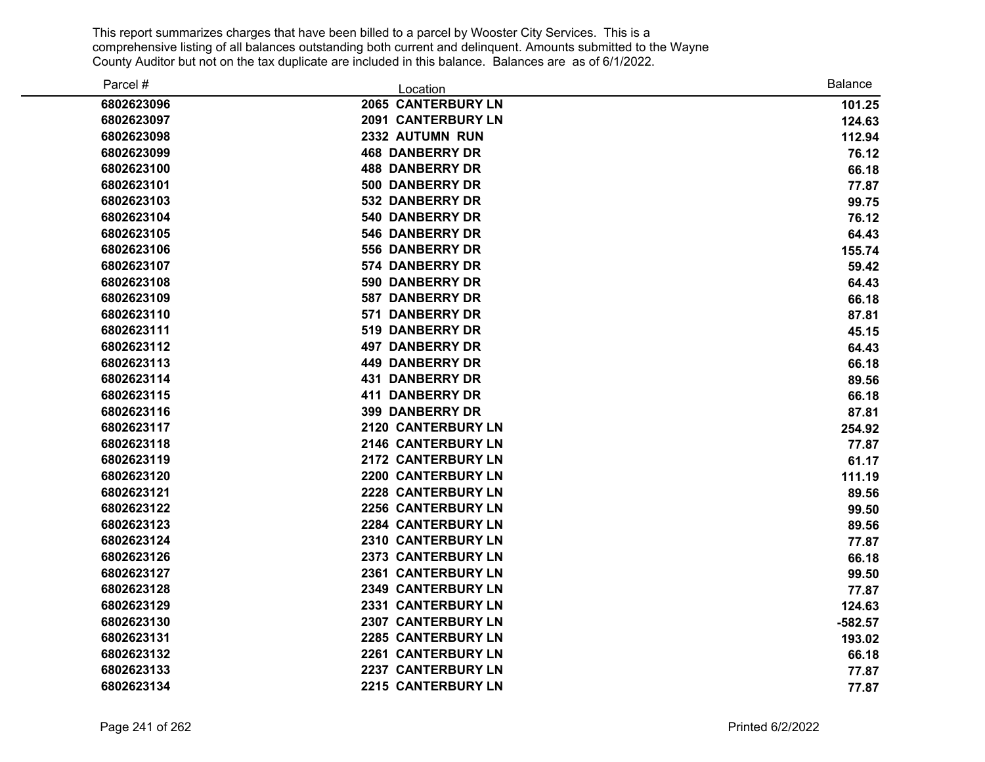| Parcel #   | Location                  | <b>Balance</b> |
|------------|---------------------------|----------------|
| 6802623096 | 2065 CANTERBURY LN        | 101.25         |
| 6802623097 | 2091 CANTERBURY LN        | 124.63         |
| 6802623098 | 2332 AUTUMN RUN           | 112.94         |
| 6802623099 | <b>468 DANBERRY DR</b>    | 76.12          |
| 6802623100 | <b>488 DANBERRY DR</b>    | 66.18          |
| 6802623101 | 500 DANBERRY DR           | 77.87          |
| 6802623103 | <b>532 DANBERRY DR</b>    | 99.75          |
| 6802623104 | <b>540 DANBERRY DR</b>    | 76.12          |
| 6802623105 | <b>546 DANBERRY DR</b>    | 64.43          |
| 6802623106 | <b>556 DANBERRY DR</b>    | 155.74         |
| 6802623107 | <b>574 DANBERRY DR</b>    | 59.42          |
| 6802623108 | 590 DANBERRY DR           | 64.43          |
| 6802623109 | <b>587 DANBERRY DR</b>    | 66.18          |
| 6802623110 | 571 DANBERRY DR           | 87.81          |
| 6802623111 | <b>519 DANBERRY DR</b>    | 45.15          |
| 6802623112 | <b>497 DANBERRY DR</b>    | 64.43          |
| 6802623113 | <b>449 DANBERRY DR</b>    | 66.18          |
| 6802623114 | <b>431 DANBERRY DR</b>    | 89.56          |
| 6802623115 | <b>411 DANBERRY DR</b>    | 66.18          |
| 6802623116 | <b>399 DANBERRY DR</b>    | 87.81          |
| 6802623117 | 2120 CANTERBURY LN        | 254.92         |
| 6802623118 | 2146 CANTERBURY LN        | 77.87          |
| 6802623119 | 2172 CANTERBURY LN        | 61.17          |
| 6802623120 | 2200 CANTERBURY LN        | 111.19         |
| 6802623121 | 2228 CANTERBURY LN        | 89.56          |
| 6802623122 | 2256 CANTERBURY LN        | 99.50          |
| 6802623123 | 2284 CANTERBURY LN        | 89.56          |
| 6802623124 | <b>2310 CANTERBURY LN</b> | 77.87          |
| 6802623126 | 2373 CANTERBURY LN        | 66.18          |
| 6802623127 | 2361 CANTERBURY LN        | 99.50          |
| 6802623128 | 2349 CANTERBURY LN        | 77.87          |
| 6802623129 | 2331 CANTERBURY LN        | 124.63         |
| 6802623130 | 2307 CANTERBURY LN        | $-582.57$      |
| 6802623131 | 2285 CANTERBURY LN        | 193.02         |
| 6802623132 | 2261 CANTERBURY LN        | 66.18          |
| 6802623133 | 2237 CANTERBURY LN        | 77.87          |
| 6802623134 | 2215 CANTERBURY LN        | 77.87          |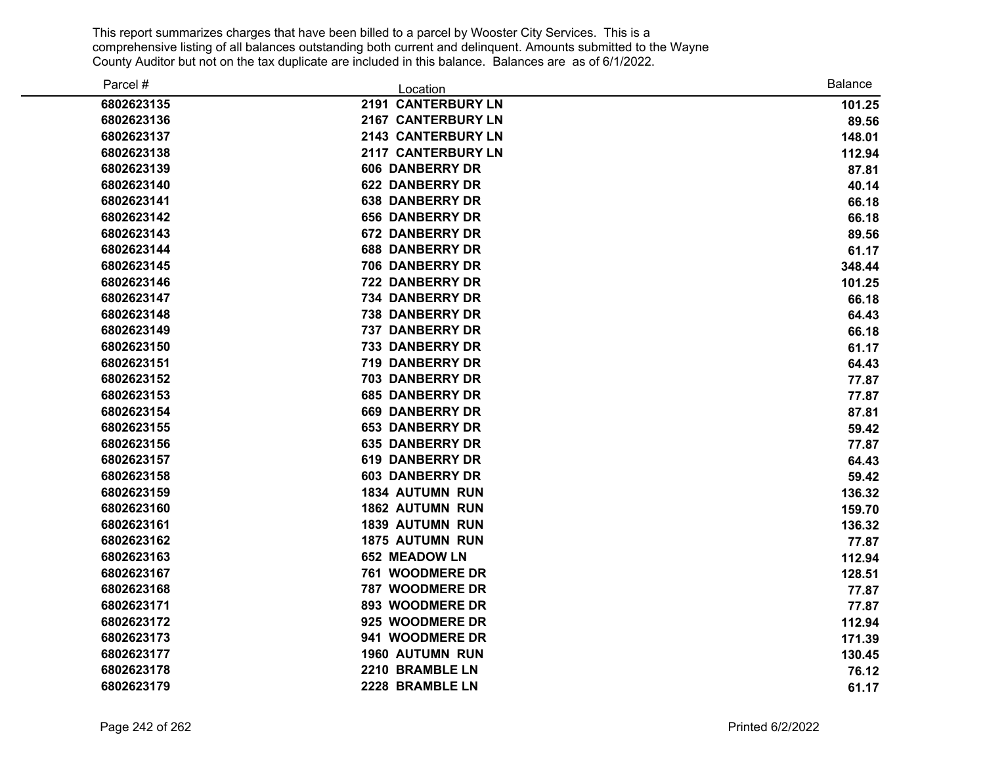| Parcel #   | Location                  | <b>Balance</b> |
|------------|---------------------------|----------------|
| 6802623135 | 2191 CANTERBURY LN        | 101.25         |
| 6802623136 | 2167 CANTERBURY LN        | 89.56          |
| 6802623137 | 2143 CANTERBURY LN        | 148.01         |
| 6802623138 | <b>2117 CANTERBURY LN</b> | 112.94         |
| 6802623139 | <b>606 DANBERRY DR</b>    | 87.81          |
| 6802623140 | <b>622 DANBERRY DR</b>    | 40.14          |
| 6802623141 | <b>638 DANBERRY DR</b>    | 66.18          |
| 6802623142 | <b>656 DANBERRY DR</b>    | 66.18          |
| 6802623143 | <b>672 DANBERRY DR</b>    | 89.56          |
| 6802623144 | <b>688 DANBERRY DR</b>    | 61.17          |
| 6802623145 | 706 DANBERRY DR           | 348.44         |
| 6802623146 | <b>722 DANBERRY DR</b>    | 101.25         |
| 6802623147 | <b>734 DANBERRY DR</b>    | 66.18          |
| 6802623148 | <b>738 DANBERRY DR</b>    | 64.43          |
| 6802623149 | 737 DANBERRY DR           | 66.18          |
| 6802623150 | <b>733 DANBERRY DR</b>    | 61.17          |
| 6802623151 | 719 DANBERRY DR           | 64.43          |
| 6802623152 | <b>703 DANBERRY DR</b>    | 77.87          |
| 6802623153 | <b>685 DANBERRY DR</b>    | 77.87          |
| 6802623154 | <b>669 DANBERRY DR</b>    | 87.81          |
| 6802623155 | <b>653 DANBERRY DR</b>    | 59.42          |
| 6802623156 | <b>635 DANBERRY DR</b>    | 77.87          |
| 6802623157 | <b>619 DANBERRY DR</b>    | 64.43          |
| 6802623158 | <b>603 DANBERRY DR</b>    | 59.42          |
| 6802623159 | <b>1834 AUTUMN RUN</b>    | 136.32         |
| 6802623160 | 1862 AUTUMN RUN           | 159.70         |
| 6802623161 | <b>1839 AUTUMN RUN</b>    | 136.32         |
| 6802623162 | <b>1875 AUTUMN RUN</b>    | 77.87          |
| 6802623163 | 652 MEADOW LN             | 112.94         |
| 6802623167 | 761 WOODMERE DR           | 128.51         |
| 6802623168 | 787 WOODMERE DR           | 77.87          |
| 6802623171 | 893 WOODMERE DR           | 77.87          |
| 6802623172 | 925 WOODMERE DR           | 112.94         |
| 6802623173 | 941 WOODMERE DR           | 171.39         |
| 6802623177 | <b>1960 AUTUMN RUN</b>    | 130.45         |
| 6802623178 | 2210 BRAMBLE LN           | 76.12          |
| 6802623179 | 2228 BRAMBLE LN           | 61.17          |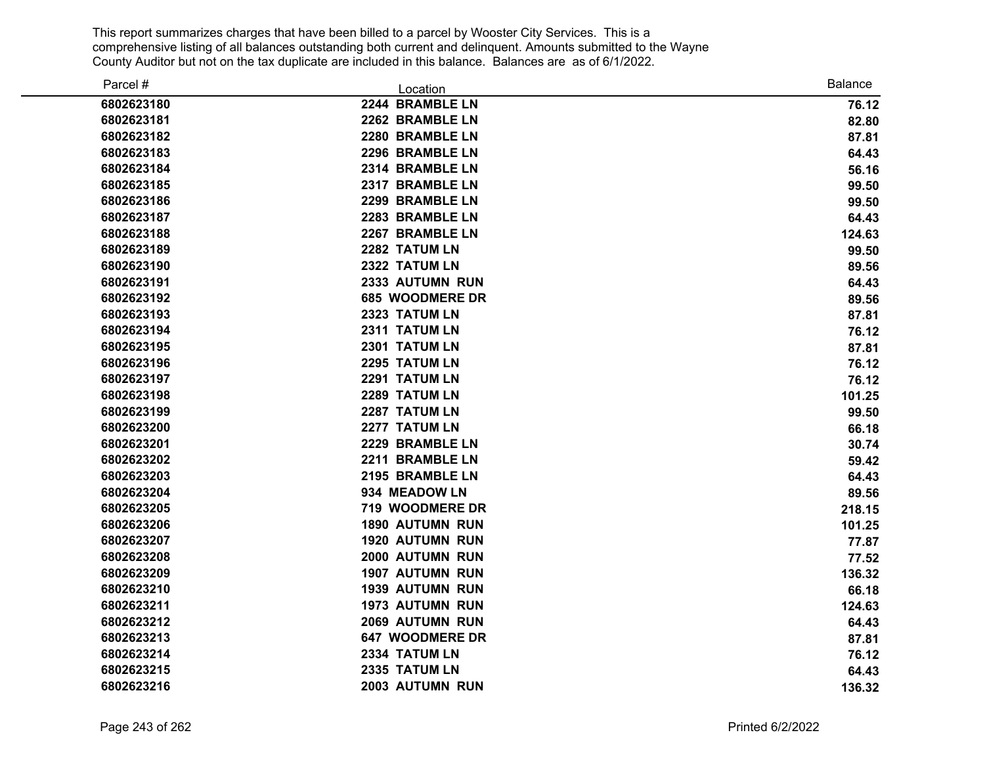| Parcel #   | Location               | <b>Balance</b> |
|------------|------------------------|----------------|
| 6802623180 | 2244 BRAMBLE LN        | 76.12          |
| 6802623181 | 2262 BRAMBLE LN        | 82.80          |
| 6802623182 | 2280 BRAMBLE LN        | 87.81          |
| 6802623183 | 2296 BRAMBLE LN        | 64.43          |
| 6802623184 | 2314 BRAMBLE LN        | 56.16          |
| 6802623185 | 2317 BRAMBLE LN        | 99.50          |
| 6802623186 | 2299 BRAMBLE LN        | 99.50          |
| 6802623187 | 2283 BRAMBLE LN        | 64.43          |
| 6802623188 | 2267 BRAMBLE LN        | 124.63         |
| 6802623189 | 2282 TATUM LN          | 99.50          |
| 6802623190 | 2322 TATUM LN          | 89.56          |
| 6802623191 | 2333 AUTUMN RUN        | 64.43          |
| 6802623192 | 685 WOODMERE DR        | 89.56          |
| 6802623193 | 2323 TATUM LN          | 87.81          |
| 6802623194 | 2311 TATUM LN          | 76.12          |
| 6802623195 | 2301 TATUM LN          | 87.81          |
| 6802623196 | 2295 TATUM LN          | 76.12          |
| 6802623197 | 2291 TATUM LN          | 76.12          |
| 6802623198 | 2289 TATUM LN          | 101.25         |
| 6802623199 | 2287 TATUM LN          | 99.50          |
| 6802623200 | 2277 TATUM LN          | 66.18          |
| 6802623201 | 2229 BRAMBLE LN        | 30.74          |
| 6802623202 | 2211 BRAMBLE LN        | 59.42          |
| 6802623203 | 2195 BRAMBLE LN        | 64.43          |
| 6802623204 | 934 MEADOW LN          | 89.56          |
| 6802623205 | 719 WOODMERE DR        | 218.15         |
| 6802623206 | <b>1890 AUTUMN RUN</b> | 101.25         |
| 6802623207 | <b>1920 AUTUMN RUN</b> | 77.87          |
| 6802623208 | 2000 AUTUMN RUN        | 77.52          |
| 6802623209 | 1907 AUTUMN RUN        | 136.32         |
| 6802623210 | <b>1939 AUTUMN RUN</b> | 66.18          |
| 6802623211 | <b>1973 AUTUMN RUN</b> | 124.63         |
| 6802623212 | 2069 AUTUMN RUN        | 64.43          |
| 6802623213 | <b>647 WOODMERE DR</b> | 87.81          |
| 6802623214 | 2334 TATUM LN          | 76.12          |
| 6802623215 | 2335 TATUM LN          | 64.43          |
| 6802623216 | 2003 AUTUMN RUN        | 136.32         |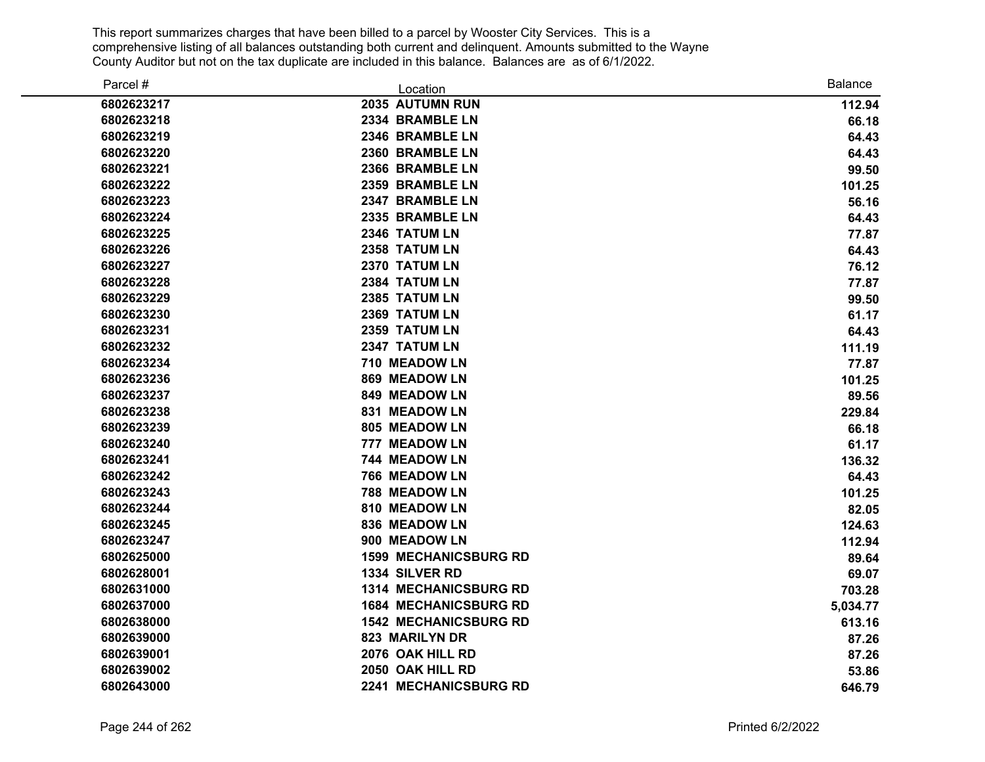| Parcel #   | Location                     | <b>Balance</b> |
|------------|------------------------------|----------------|
| 6802623217 | 2035 AUTUMN RUN              | 112.94         |
| 6802623218 | 2334 BRAMBLE LN              | 66.18          |
| 6802623219 | 2346 BRAMBLE LN              | 64.43          |
| 6802623220 | 2360 BRAMBLE LN              | 64.43          |
| 6802623221 | 2366 BRAMBLE LN              | 99.50          |
| 6802623222 | 2359 BRAMBLE LN              | 101.25         |
| 6802623223 | 2347 BRAMBLE LN              | 56.16          |
| 6802623224 | 2335 BRAMBLE LN              | 64.43          |
| 6802623225 | 2346 TATUM LN                | 77.87          |
| 6802623226 | 2358 TATUM LN                | 64.43          |
| 6802623227 | 2370 TATUM LN                | 76.12          |
| 6802623228 | 2384 TATUM LN                | 77.87          |
| 6802623229 | 2385 TATUM LN                | 99.50          |
| 6802623230 | 2369 TATUM LN                | 61.17          |
| 6802623231 | 2359 TATUM LN                | 64.43          |
| 6802623232 | 2347 TATUM LN                | 111.19         |
| 6802623234 | 710 MEADOW LN                | 77.87          |
| 6802623236 | 869 MEADOW LN                | 101.25         |
| 6802623237 | 849 MEADOW LN                | 89.56          |
| 6802623238 | <b>831 MEADOW LN</b>         | 229.84         |
| 6802623239 | 805 MEADOW LN                | 66.18          |
| 6802623240 | 777 MEADOW LN                | 61.17          |
| 6802623241 | 744 MEADOW LN                | 136.32         |
| 6802623242 | 766 MEADOW LN                | 64.43          |
| 6802623243 | 788 MEADOW LN                | 101.25         |
| 6802623244 | 810 MEADOW LN                | 82.05          |
| 6802623245 | 836 MEADOW LN                | 124.63         |
| 6802623247 | 900 MEADOW LN                | 112.94         |
| 6802625000 | <b>1599 MECHANICSBURG RD</b> | 89.64          |
| 6802628001 | 1334 SILVER RD               | 69.07          |
| 6802631000 | 1314 MECHANICSBURG RD        | 703.28         |
| 6802637000 | <b>1684 MECHANICSBURG RD</b> | 5,034.77       |
| 6802638000 | <b>1542 MECHANICSBURG RD</b> | 613.16         |
| 6802639000 | 823 MARILYN DR               | 87.26          |
| 6802639001 | 2076 OAK HILL RD             | 87.26          |
| 6802639002 | 2050 OAK HILL RD             | 53.86          |
| 6802643000 | 2241 MECHANICSBURG RD        | 646.79         |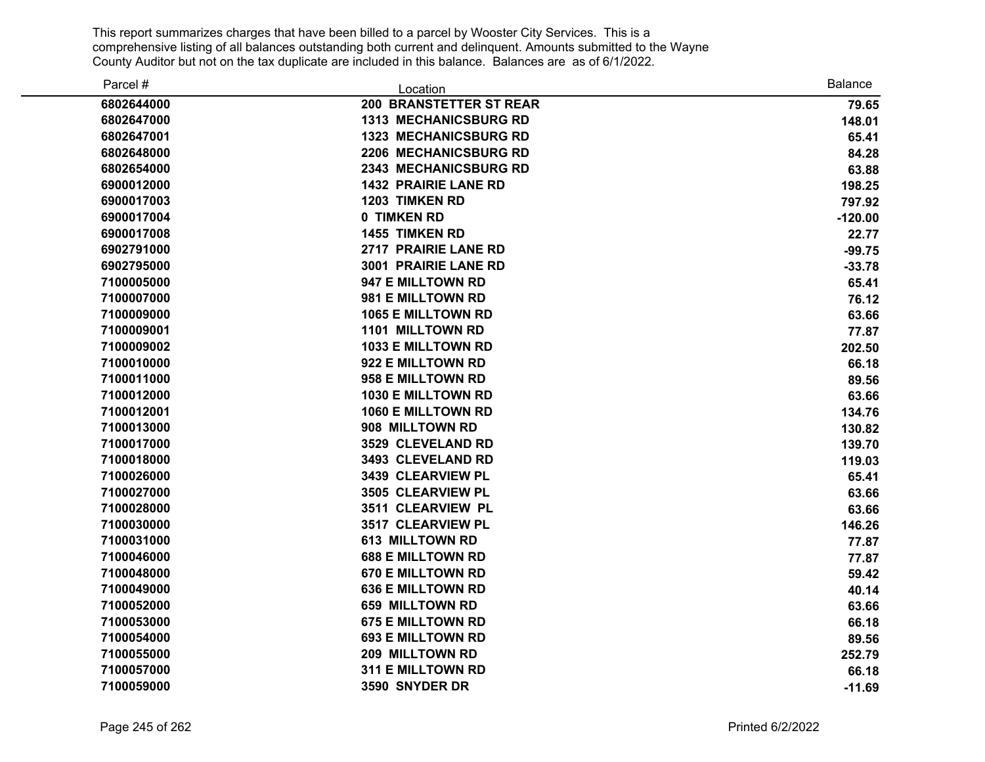| Parcel #   | Location                       | <b>Balance</b> |
|------------|--------------------------------|----------------|
| 6802644000 | <b>200 BRANSTETTER ST REAR</b> | 79.65          |
| 6802647000 | 1313 MECHANICSBURG RD          | 148.01         |
| 6802647001 | <b>1323 MECHANICSBURG RD</b>   | 65.41          |
| 6802648000 | 2206 MECHANICSBURG RD          | 84.28          |
| 6802654000 | <b>2343 MECHANICSBURG RD</b>   | 63.88          |
| 6900012000 | <b>1432 PRAIRIE LANE RD</b>    | 198.25         |
| 6900017003 | <b>1203 TIMKEN RD</b>          | 797.92         |
| 6900017004 | 0 TIMKEN RD                    | $-120.00$      |
| 6900017008 | 1455 TIMKEN RD                 | 22.77          |
| 6902791000 | 2717 PRAIRIE LANE RD           | $-99.75$       |
| 6902795000 | 3001 PRAIRIE LANE RD           | $-33.78$       |
| 7100005000 | 947 E MILLTOWN RD              | 65.41          |
| 7100007000 | 981 E MILLTOWN RD              | 76.12          |
| 7100009000 | 1065 E MILLTOWN RD             | 63.66          |
| 7100009001 | 1101 MILLTOWN RD               | 77.87          |
| 7100009002 | 1033 E MILLTOWN RD             | 202.50         |
| 7100010000 | 922 E MILLTOWN RD              | 66.18          |
| 7100011000 | 958 E MILLTOWN RD              | 89.56          |
| 7100012000 | <b>1030 E MILLTOWN RD</b>      | 63.66          |
| 7100012001 | <b>1060 E MILLTOWN RD</b>      | 134.76         |
| 7100013000 | 908 MILLTOWN RD                | 130.82         |
| 7100017000 | 3529 CLEVELAND RD              | 139.70         |
| 7100018000 | 3493 CLEVELAND RD              | 119.03         |
| 7100026000 | 3439 CLEARVIEW PL              | 65.41          |
| 7100027000 | 3505 CLEARVIEW PL              | 63.66          |
| 7100028000 | 3511 CLEARVIEW PL              | 63.66          |
| 7100030000 | 3517 CLEARVIEW PL              | 146.26         |
| 7100031000 | <b>613 MILLTOWN RD</b>         | 77.87          |
| 7100046000 | <b>688 E MILLTOWN RD</b>       | 77.87          |
| 7100048000 | <b>670 E MILLTOWN RD</b>       | 59.42          |
| 7100049000 | <b>636 E MILLTOWN RD</b>       | 40.14          |
| 7100052000 | <b>659 MILLTOWN RD</b>         | 63.66          |
| 7100053000 | <b>675 E MILLTOWN RD</b>       | 66.18          |
| 7100054000 | <b>693 E MILLTOWN RD</b>       | 89.56          |
| 7100055000 | 209 MILLTOWN RD                | 252.79         |
| 7100057000 | <b>311 E MILLTOWN RD</b>       | 66.18          |
| 7100059000 | 3590 SNYDER DR                 | $-11.69$       |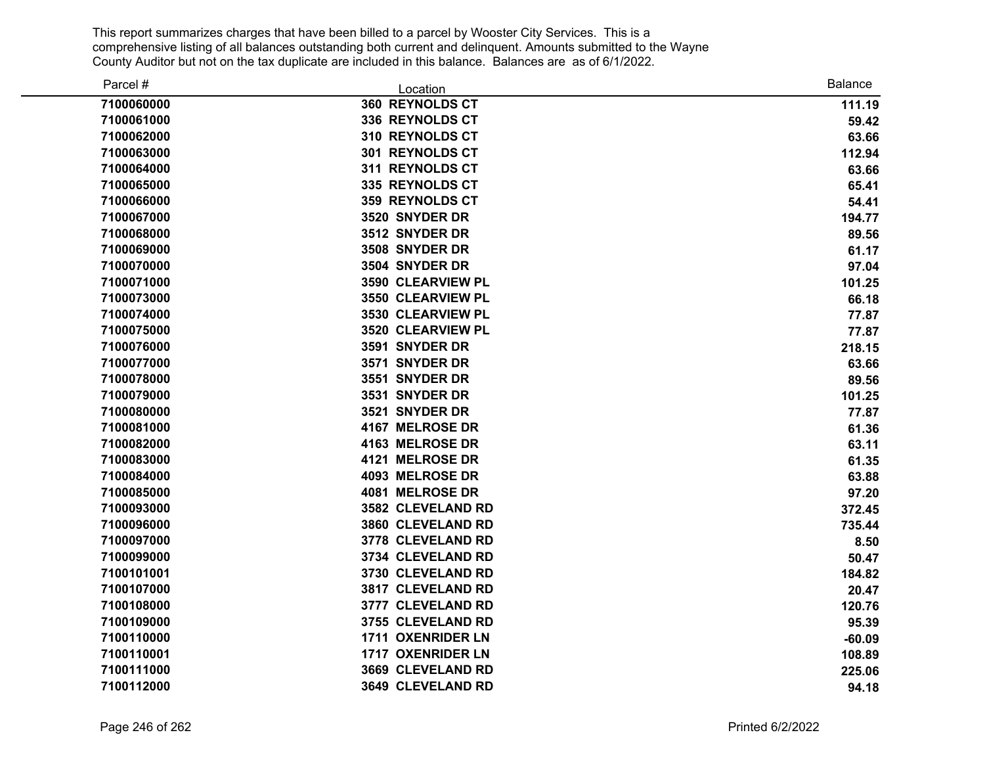| Parcel #   | Location               | <b>Balance</b> |
|------------|------------------------|----------------|
| 7100060000 | 360 REYNOLDS CT        | 111.19         |
| 7100061000 | 336 REYNOLDS CT        | 59.42          |
| 7100062000 | 310 REYNOLDS CT        | 63.66          |
| 7100063000 | 301 REYNOLDS CT        | 112.94         |
| 7100064000 | 311 REYNOLDS CT        | 63.66          |
| 7100065000 | 335 REYNOLDS CT        | 65.41          |
| 7100066000 | <b>359 REYNOLDS CT</b> | 54.41          |
| 7100067000 | 3520 SNYDER DR         | 194.77         |
| 7100068000 | 3512 SNYDER DR         | 89.56          |
| 7100069000 | 3508 SNYDER DR         | 61.17          |
| 7100070000 | 3504 SNYDER DR         | 97.04          |
| 7100071000 | 3590 CLEARVIEW PL      | 101.25         |
| 7100073000 | 3550 CLEARVIEW PL      | 66.18          |
| 7100074000 | 3530 CLEARVIEW PL      | 77.87          |
| 7100075000 | 3520 CLEARVIEW PL      | 77.87          |
| 7100076000 | 3591 SNYDER DR         | 218.15         |
| 7100077000 | 3571 SNYDER DR         | 63.66          |
| 7100078000 | 3551 SNYDER DR         | 89.56          |
| 7100079000 | 3531 SNYDER DR         | 101.25         |
| 7100080000 | 3521 SNYDER DR         | 77.87          |
| 7100081000 | 4167 MELROSE DR        | 61.36          |
| 7100082000 | 4163 MELROSE DR        | 63.11          |
| 7100083000 | 4121 MELROSE DR        | 61.35          |
| 7100084000 | 4093 MELROSE DR        | 63.88          |
| 7100085000 | 4081 MELROSE DR        | 97.20          |
| 7100093000 | 3582 CLEVELAND RD      | 372.45         |
| 7100096000 | 3860 CLEVELAND RD      | 735.44         |
| 7100097000 | 3778 CLEVELAND RD      | 8.50           |
| 7100099000 | 3734 CLEVELAND RD      | 50.47          |
| 7100101001 | 3730 CLEVELAND RD      | 184.82         |
| 7100107000 | 3817 CLEVELAND RD      | 20.47          |
| 7100108000 | 3777 CLEVELAND RD      | 120.76         |
| 7100109000 | 3755 CLEVELAND RD      | 95.39          |
| 7100110000 | 1711 OXENRIDER LN      | $-60.09$       |
| 7100110001 | 1717 OXENRIDER LN      | 108.89         |
| 7100111000 | 3669 CLEVELAND RD      | 225.06         |
| 7100112000 | 3649 CLEVELAND RD      | 94.18          |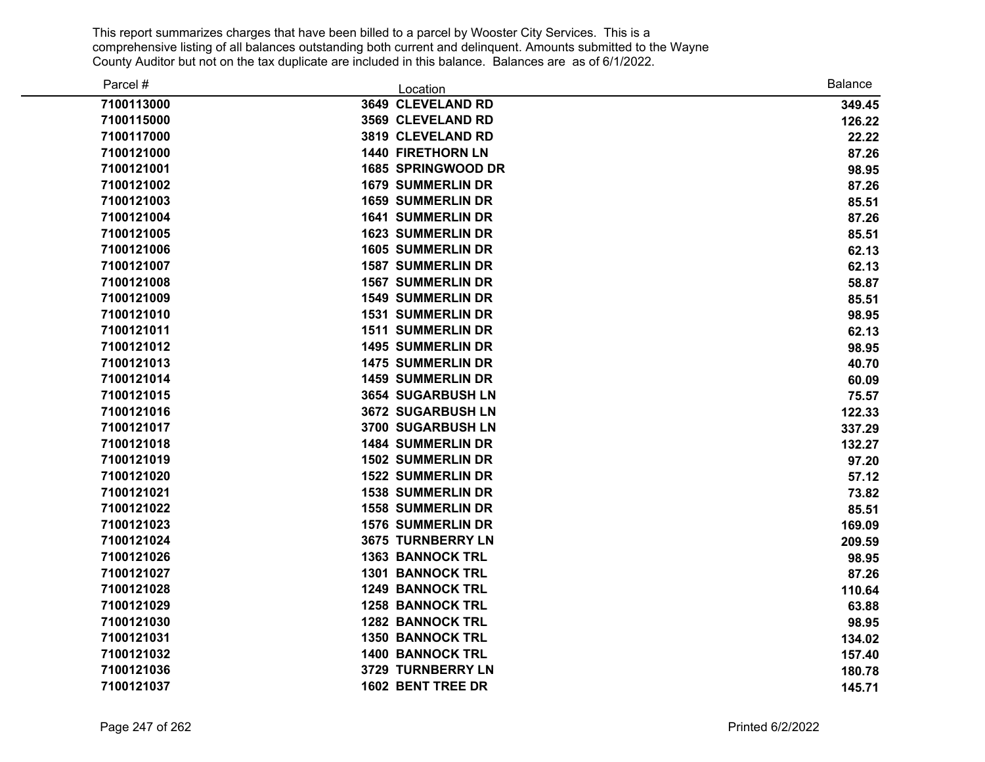| Parcel #   | Location                  | <b>Balance</b> |
|------------|---------------------------|----------------|
| 7100113000 | 3649 CLEVELAND RD         | 349.45         |
| 7100115000 | 3569 CLEVELAND RD         | 126.22         |
| 7100117000 | 3819 CLEVELAND RD         | 22.22          |
| 7100121000 | <b>1440 FIRETHORN LN</b>  | 87.26          |
| 7100121001 | <b>1685 SPRINGWOOD DR</b> | 98.95          |
| 7100121002 | <b>1679 SUMMERLIN DR</b>  | 87.26          |
| 7100121003 | <b>1659 SUMMERLIN DR</b>  | 85.51          |
| 7100121004 | <b>1641 SUMMERLIN DR</b>  | 87.26          |
| 7100121005 | <b>1623 SUMMERLIN DR</b>  | 85.51          |
| 7100121006 | <b>1605 SUMMERLIN DR</b>  | 62.13          |
| 7100121007 | <b>1587 SUMMERLIN DR</b>  | 62.13          |
| 7100121008 | <b>1567 SUMMERLIN DR</b>  | 58.87          |
| 7100121009 | <b>1549 SUMMERLIN DR</b>  | 85.51          |
| 7100121010 | <b>1531 SUMMERLIN DR</b>  | 98.95          |
| 7100121011 | <b>1511 SUMMERLIN DR</b>  | 62.13          |
| 7100121012 | <b>1495 SUMMERLIN DR</b>  | 98.95          |
| 7100121013 | <b>1475 SUMMERLIN DR</b>  | 40.70          |
| 7100121014 | <b>1459 SUMMERLIN DR</b>  | 60.09          |
| 7100121015 | 3654 SUGARBUSH LN         | 75.57          |
| 7100121016 | 3672 SUGARBUSH LN         | 122.33         |
| 7100121017 | 3700 SUGARBUSH LN         | 337.29         |
| 7100121018 | <b>1484 SUMMERLIN DR</b>  | 132.27         |
| 7100121019 | <b>1502 SUMMERLIN DR</b>  | 97.20          |
| 7100121020 | <b>1522 SUMMERLIN DR</b>  | 57.12          |
| 7100121021 | <b>1538 SUMMERLIN DR</b>  | 73.82          |
| 7100121022 | <b>1558 SUMMERLIN DR</b>  | 85.51          |
| 7100121023 | <b>1576 SUMMERLIN DR</b>  | 169.09         |
| 7100121024 | <b>3675 TURNBERRY LN</b>  | 209.59         |
| 7100121026 | <b>1363 BANNOCK TRL</b>   | 98.95          |
| 7100121027 | <b>1301 BANNOCK TRL</b>   | 87.26          |
| 7100121028 | <b>1249 BANNOCK TRL</b>   | 110.64         |
| 7100121029 | <b>1258 BANNOCK TRL</b>   | 63.88          |
| 7100121030 | <b>1282 BANNOCK TRL</b>   | 98.95          |
| 7100121031 | <b>1350 BANNOCK TRL</b>   | 134.02         |
| 7100121032 | <b>1400 BANNOCK TRL</b>   | 157.40         |
| 7100121036 | 3729 TURNBERRY LN         | 180.78         |
| 7100121037 | 1602 BENT TREE DR         | 145.71         |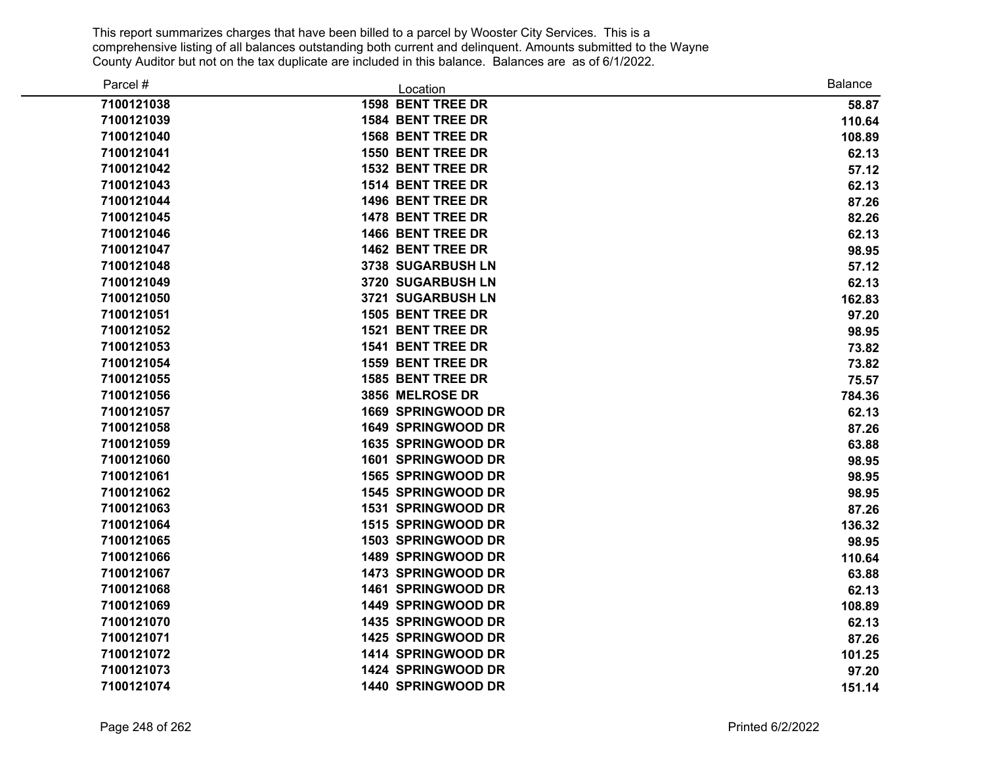| Parcel #   | Location                  | <b>Balance</b> |
|------------|---------------------------|----------------|
| 7100121038 | <b>1598 BENT TREE DR</b>  | 58.87          |
| 7100121039 | <b>1584 BENT TREE DR</b>  | 110.64         |
| 7100121040 | <b>1568 BENT TREE DR</b>  | 108.89         |
| 7100121041 | <b>1550 BENT TREE DR</b>  | 62.13          |
| 7100121042 | <b>1532 BENT TREE DR</b>  | 57.12          |
| 7100121043 | <b>1514 BENT TREE DR</b>  | 62.13          |
| 7100121044 | 1496 BENT TREE DR         | 87.26          |
| 7100121045 | 1478 BENT TREE DR         | 82.26          |
| 7100121046 | 1466 BENT TREE DR         | 62.13          |
| 7100121047 | 1462 BENT TREE DR         | 98.95          |
| 7100121048 | 3738 SUGARBUSH LN         | 57.12          |
| 7100121049 | 3720 SUGARBUSH LN         | 62.13          |
| 7100121050 | 3721 SUGARBUSH LN         | 162.83         |
| 7100121051 | 1505 BENT TREE DR         | 97.20          |
| 7100121052 | 1521 BENT TREE DR         | 98.95          |
| 7100121053 | <b>1541 BENT TREE DR</b>  | 73.82          |
| 7100121054 | <b>1559 BENT TREE DR</b>  | 73.82          |
| 7100121055 | <b>1585 BENT TREE DR</b>  | 75.57          |
| 7100121056 | 3856 MELROSE DR           | 784.36         |
| 7100121057 | 1669 SPRINGWOOD DR        | 62.13          |
| 7100121058 | 1649 SPRINGWOOD DR        | 87.26          |
| 7100121059 | <b>1635 SPRINGWOOD DR</b> | 63.88          |
| 7100121060 | 1601 SPRINGWOOD DR        | 98.95          |
| 7100121061 | 1565 SPRINGWOOD DR        | 98.95          |
| 7100121062 | 1545 SPRINGWOOD DR        | 98.95          |
| 7100121063 | 1531 SPRINGWOOD DR        | 87.26          |
| 7100121064 | 1515 SPRINGWOOD DR        | 136.32         |
| 7100121065 | <b>1503 SPRINGWOOD DR</b> | 98.95          |
| 7100121066 | 1489 SPRINGWOOD DR        | 110.64         |
| 7100121067 | 1473 SPRINGWOOD DR        | 63.88          |
| 7100121068 | 1461 SPRINGWOOD DR        | 62.13          |
| 7100121069 | 1449 SPRINGWOOD DR        | 108.89         |
| 7100121070 | 1435 SPRINGWOOD DR        | 62.13          |
| 7100121071 | 1425 SPRINGWOOD DR        | 87.26          |
| 7100121072 | 1414 SPRINGWOOD DR        | 101.25         |
| 7100121073 | 1424 SPRINGWOOD DR        | 97.20          |
| 7100121074 | 1440 SPRINGWOOD DR        | 151.14         |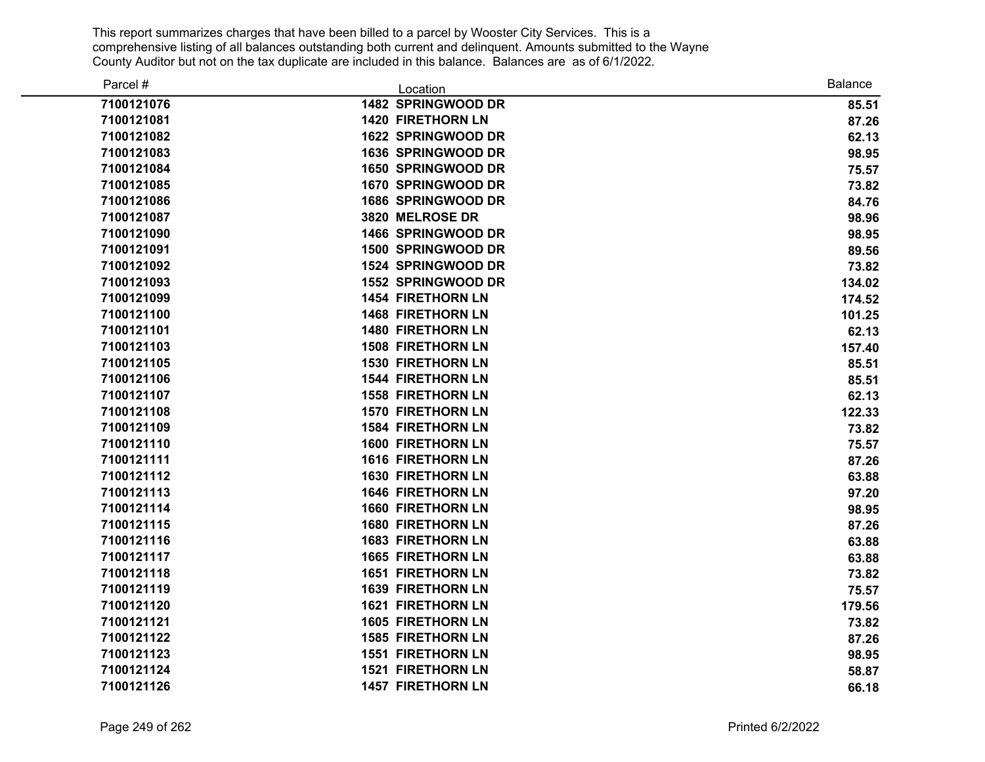| Parcel #   | Location                  | <b>Balance</b> |
|------------|---------------------------|----------------|
| 7100121076 | 1482 SPRINGWOOD DR        | 85.51          |
| 7100121081 | <b>1420 FIRETHORN LN</b>  | 87.26          |
| 7100121082 | 1622 SPRINGWOOD DR        | 62.13          |
| 7100121083 | 1636 SPRINGWOOD DR        | 98.95          |
| 7100121084 | 1650 SPRINGWOOD DR        | 75.57          |
| 7100121085 | 1670 SPRINGWOOD DR        | 73.82          |
| 7100121086 | 1686 SPRINGWOOD DR        | 84.76          |
| 7100121087 | 3820 MELROSE DR           | 98.96          |
| 7100121090 | 1466 SPRINGWOOD DR        | 98.95          |
| 7100121091 | <b>1500 SPRINGWOOD DR</b> | 89.56          |
| 7100121092 | <b>1524 SPRINGWOOD DR</b> | 73.82          |
| 7100121093 | 1552 SPRINGWOOD DR        | 134.02         |
| 7100121099 | <b>1454 FIRETHORN LN</b>  | 174.52         |
| 7100121100 | <b>1468 FIRETHORN LN</b>  | 101.25         |
| 7100121101 | <b>1480 FIRETHORN LN</b>  | 62.13          |
| 7100121103 | <b>1508 FIRETHORN LN</b>  | 157.40         |
| 7100121105 | <b>1530 FIRETHORN LN</b>  | 85.51          |
| 7100121106 | <b>1544 FIRETHORN LN</b>  | 85.51          |
| 7100121107 | <b>1558 FIRETHORN LN</b>  | 62.13          |
| 7100121108 | <b>1570 FIRETHORN LN</b>  | 122.33         |
| 7100121109 | <b>1584 FIRETHORN LN</b>  | 73.82          |
| 7100121110 | <b>1600 FIRETHORN LN</b>  | 75.57          |
| 7100121111 | <b>1616 FIRETHORN LN</b>  | 87.26          |
| 7100121112 | <b>1630 FIRETHORN LN</b>  | 63.88          |
| 7100121113 | <b>1646 FIRETHORN LN</b>  | 97.20          |
| 7100121114 | <b>1660 FIRETHORN LN</b>  | 98.95          |
| 7100121115 | <b>1680 FIRETHORN LN</b>  | 87.26          |
| 7100121116 | <b>1683 FIRETHORN LN</b>  | 63.88          |
| 7100121117 | <b>1665 FIRETHORN LN</b>  | 63.88          |
| 7100121118 | <b>1651 FIRETHORN LN</b>  | 73.82          |
| 7100121119 | <b>1639 FIRETHORN LN</b>  | 75.57          |
| 7100121120 | <b>1621 FIRETHORN LN</b>  | 179.56         |
| 7100121121 | <b>1605 FIRETHORN LN</b>  | 73.82          |
| 7100121122 | <b>1585 FIRETHORN LN</b>  | 87.26          |
| 7100121123 | <b>1551 FIRETHORN LN</b>  | 98.95          |
| 7100121124 | <b>1521 FIRETHORN LN</b>  | 58.87          |
| 7100121126 | <b>1457 FIRETHORN LN</b>  | 66.18          |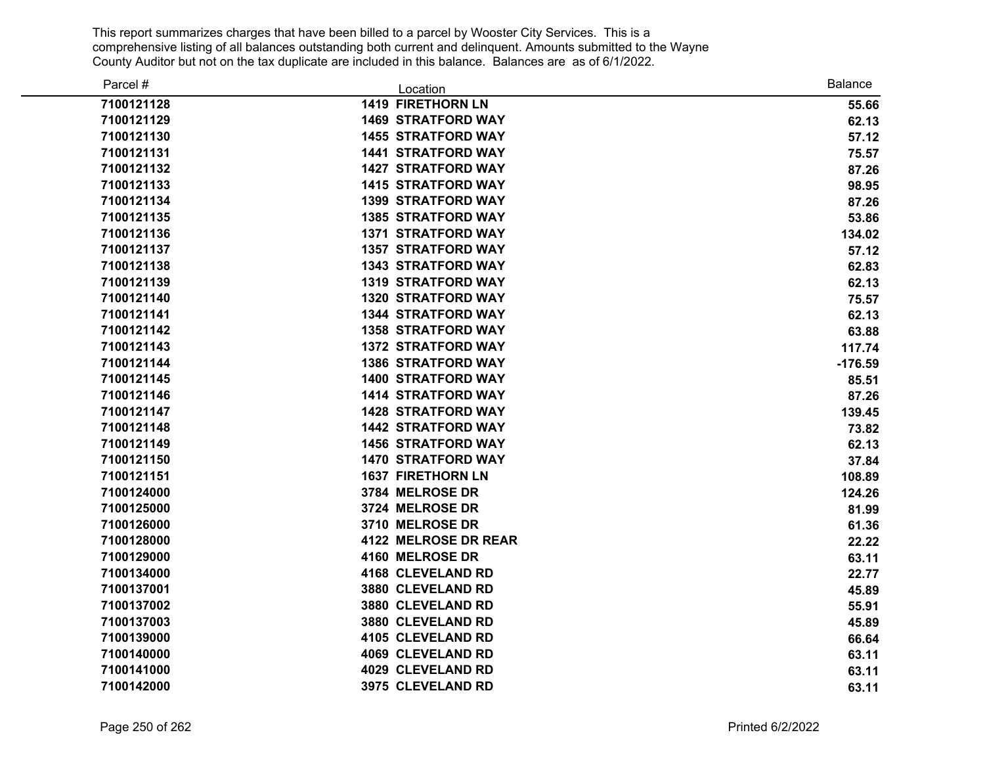| Parcel #   | Location                    | <b>Balance</b> |
|------------|-----------------------------|----------------|
| 7100121128 | <b>1419 FIRETHORN LN</b>    | 55.66          |
| 7100121129 | <b>1469 STRATFORD WAY</b>   | 62.13          |
| 7100121130 | <b>1455 STRATFORD WAY</b>   | 57.12          |
| 7100121131 | <b>1441 STRATFORD WAY</b>   | 75.57          |
| 7100121132 | <b>1427 STRATFORD WAY</b>   | 87.26          |
| 7100121133 | <b>1415 STRATFORD WAY</b>   | 98.95          |
| 7100121134 | <b>1399 STRATFORD WAY</b>   | 87.26          |
| 7100121135 | <b>1385 STRATFORD WAY</b>   | 53.86          |
| 7100121136 | <b>1371 STRATFORD WAY</b>   | 134.02         |
| 7100121137 | <b>1357 STRATFORD WAY</b>   | 57.12          |
| 7100121138 | <b>1343 STRATFORD WAY</b>   | 62.83          |
| 7100121139 | <b>1319 STRATFORD WAY</b>   | 62.13          |
| 7100121140 | <b>1320 STRATFORD WAY</b>   | 75.57          |
| 7100121141 | <b>1344 STRATFORD WAY</b>   | 62.13          |
| 7100121142 | <b>1358 STRATFORD WAY</b>   | 63.88          |
| 7100121143 | <b>1372 STRATFORD WAY</b>   | 117.74         |
| 7100121144 | <b>1386 STRATFORD WAY</b>   | $-176.59$      |
| 7100121145 | <b>1400 STRATFORD WAY</b>   | 85.51          |
| 7100121146 | <b>1414 STRATFORD WAY</b>   | 87.26          |
| 7100121147 | <b>1428 STRATFORD WAY</b>   | 139.45         |
| 7100121148 | <b>1442 STRATFORD WAY</b>   | 73.82          |
| 7100121149 | <b>1456 STRATFORD WAY</b>   | 62.13          |
| 7100121150 | <b>1470 STRATFORD WAY</b>   | 37.84          |
| 7100121151 | <b>1637 FIRETHORN LN</b>    | 108.89         |
| 7100124000 | 3784 MELROSE DR             | 124.26         |
| 7100125000 | 3724 MELROSE DR             | 81.99          |
| 7100126000 | 3710 MELROSE DR             | 61.36          |
| 7100128000 | <b>4122 MELROSE DR REAR</b> | 22.22          |
| 7100129000 | 4160 MELROSE DR             | 63.11          |
| 7100134000 | 4168 CLEVELAND RD           | 22.77          |
| 7100137001 | 3880 CLEVELAND RD           | 45.89          |
| 7100137002 | 3880 CLEVELAND RD           | 55.91          |
| 7100137003 | 3880 CLEVELAND RD           | 45.89          |
| 7100139000 | 4105 CLEVELAND RD           | 66.64          |
| 7100140000 | 4069 CLEVELAND RD           | 63.11          |
| 7100141000 | 4029 CLEVELAND RD           | 63.11          |
| 7100142000 | 3975 CLEVELAND RD           | 63.11          |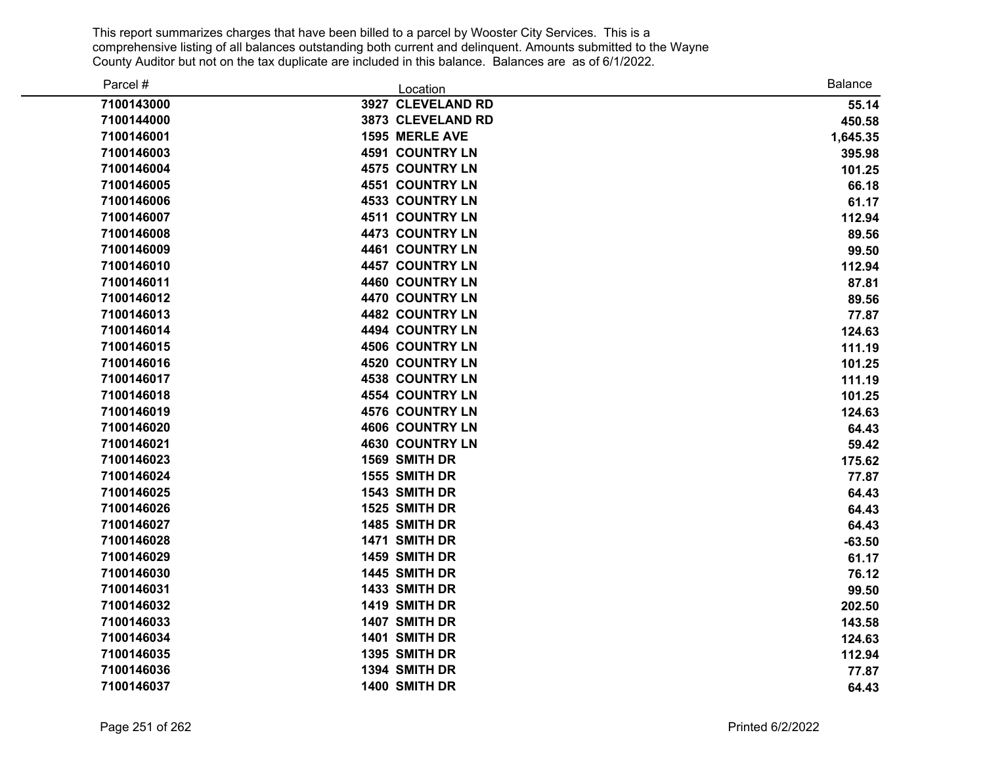| Parcel #   | Location               | <b>Balance</b> |
|------------|------------------------|----------------|
| 7100143000 | 3927 CLEVELAND RD      | 55.14          |
| 7100144000 | 3873 CLEVELAND RD      | 450.58         |
| 7100146001 | 1595 MERLE AVE         | 1,645.35       |
| 7100146003 | <b>4591 COUNTRY LN</b> | 395.98         |
| 7100146004 | <b>4575 COUNTRY LN</b> | 101.25         |
| 7100146005 | 4551 COUNTRY LN        | 66.18          |
| 7100146006 | <b>4533 COUNTRY LN</b> | 61.17          |
| 7100146007 | <b>4511 COUNTRY LN</b> | 112.94         |
| 7100146008 | <b>4473 COUNTRY LN</b> | 89.56          |
| 7100146009 | <b>4461 COUNTRY LN</b> | 99.50          |
| 7100146010 | 4457 COUNTRY LN        | 112.94         |
| 7100146011 | 4460 COUNTRY LN        | 87.81          |
| 7100146012 | 4470 COUNTRY LN        | 89.56          |
| 7100146013 | 4482 COUNTRY LN        | 77.87          |
| 7100146014 | 4494 COUNTRY LN        | 124.63         |
| 7100146015 | <b>4506 COUNTRY LN</b> | 111.19         |
| 7100146016 | 4520 COUNTRY LN        | 101.25         |
| 7100146017 | <b>4538 COUNTRY LN</b> | 111.19         |
| 7100146018 | <b>4554 COUNTRY LN</b> | 101.25         |
| 7100146019 | <b>4576 COUNTRY LN</b> | 124.63         |
| 7100146020 | <b>4606 COUNTRY LN</b> | 64.43          |
| 7100146021 | <b>4630 COUNTRY LN</b> | 59.42          |
| 7100146023 | 1569 SMITH DR          | 175.62         |
| 7100146024 | 1555 SMITH DR          | 77.87          |
| 7100146025 | 1543 SMITH DR          | 64.43          |
| 7100146026 | 1525 SMITH DR          | 64.43          |
| 7100146027 | 1485 SMITH DR          | 64.43          |
| 7100146028 | 1471 SMITH DR          | $-63.50$       |
| 7100146029 | 1459 SMITH DR          | 61.17          |
| 7100146030 | 1445 SMITH DR          | 76.12          |
| 7100146031 | 1433 SMITH DR          | 99.50          |
| 7100146032 | 1419 SMITH DR          | 202.50         |
| 7100146033 | 1407 SMITH DR          | 143.58         |
| 7100146034 | 1401 SMITH DR          | 124.63         |
| 7100146035 | 1395 SMITH DR          | 112.94         |
| 7100146036 | 1394 SMITH DR          | 77.87          |
| 7100146037 | 1400 SMITH DR          | 64.43          |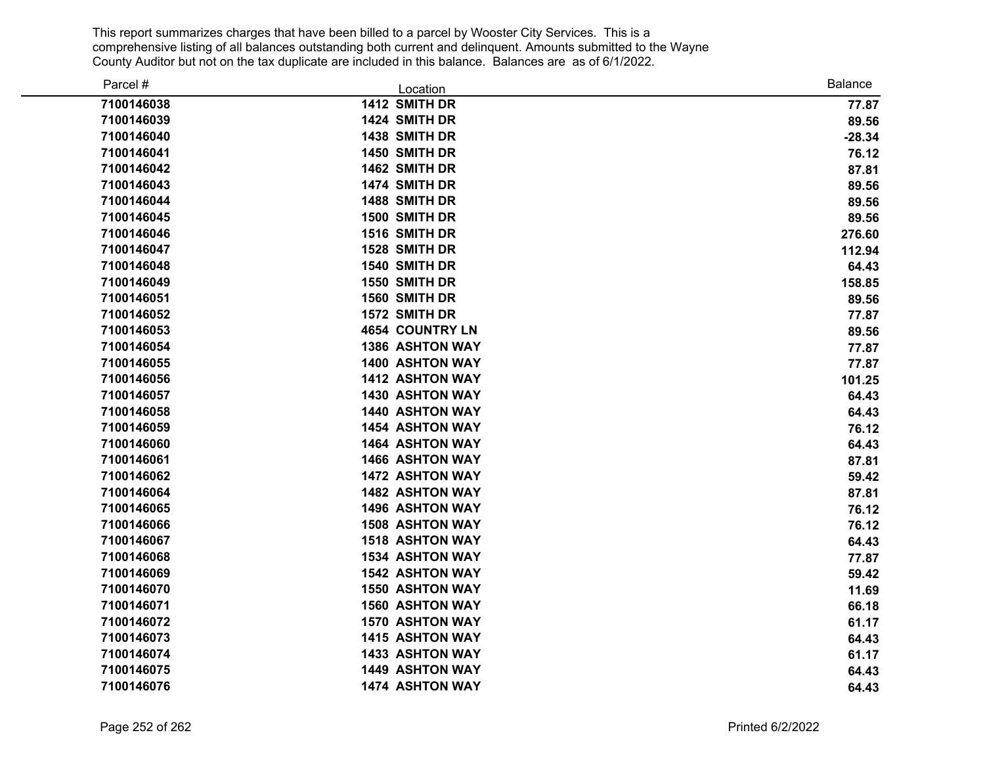| Parcel #   | Location               | <b>Balance</b> |
|------------|------------------------|----------------|
| 7100146038 | 1412 SMITH DR          | 77.87          |
| 7100146039 | 1424 SMITH DR          | 89.56          |
| 7100146040 | 1438 SMITH DR          | $-28.34$       |
| 7100146041 | 1450 SMITH DR          | 76.12          |
| 7100146042 | 1462 SMITH DR          | 87.81          |
| 7100146043 | 1474 SMITH DR          | 89.56          |
| 7100146044 | 1488 SMITH DR          | 89.56          |
| 7100146045 | 1500 SMITH DR          | 89.56          |
| 7100146046 | 1516 SMITH DR          | 276.60         |
| 7100146047 | 1528 SMITH DR          | 112.94         |
| 7100146048 | 1540 SMITH DR          | 64.43          |
| 7100146049 | 1550 SMITH DR          | 158.85         |
| 7100146051 | 1560 SMITH DR          | 89.56          |
| 7100146052 | 1572 SMITH DR          | 77.87          |
| 7100146053 | <b>4654 COUNTRY LN</b> | 89.56          |
| 7100146054 | <b>1386 ASHTON WAY</b> | 77.87          |
| 7100146055 | <b>1400 ASHTON WAY</b> | 77.87          |
| 7100146056 | <b>1412 ASHTON WAY</b> | 101.25         |
| 7100146057 | 1430 ASHTON WAY        | 64.43          |
| 7100146058 | 1440 ASHTON WAY        | 64.43          |
| 7100146059 | <b>1454 ASHTON WAY</b> | 76.12          |
| 7100146060 | <b>1464 ASHTON WAY</b> | 64.43          |
| 7100146061 | <b>1466 ASHTON WAY</b> | 87.81          |
| 7100146062 | <b>1472 ASHTON WAY</b> | 59.42          |
| 7100146064 | <b>1482 ASHTON WAY</b> | 87.81          |
| 7100146065 | <b>1496 ASHTON WAY</b> | 76.12          |
| 7100146066 | <b>1508 ASHTON WAY</b> | 76.12          |
| 7100146067 | <b>1518 ASHTON WAY</b> | 64.43          |
| 7100146068 | <b>1534 ASHTON WAY</b> | 77.87          |
| 7100146069 | <b>1542 ASHTON WAY</b> | 59.42          |
| 7100146070 | <b>1550 ASHTON WAY</b> | 11.69          |
| 7100146071 | <b>1560 ASHTON WAY</b> | 66.18          |
| 7100146072 | <b>1570 ASHTON WAY</b> | 61.17          |
| 7100146073 | <b>1415 ASHTON WAY</b> | 64.43          |
| 7100146074 | 1433 ASHTON WAY        | 61.17          |
| 7100146075 | 1449 ASHTON WAY        | 64.43          |
| 7100146076 | <b>1474 ASHTON WAY</b> | 64.43          |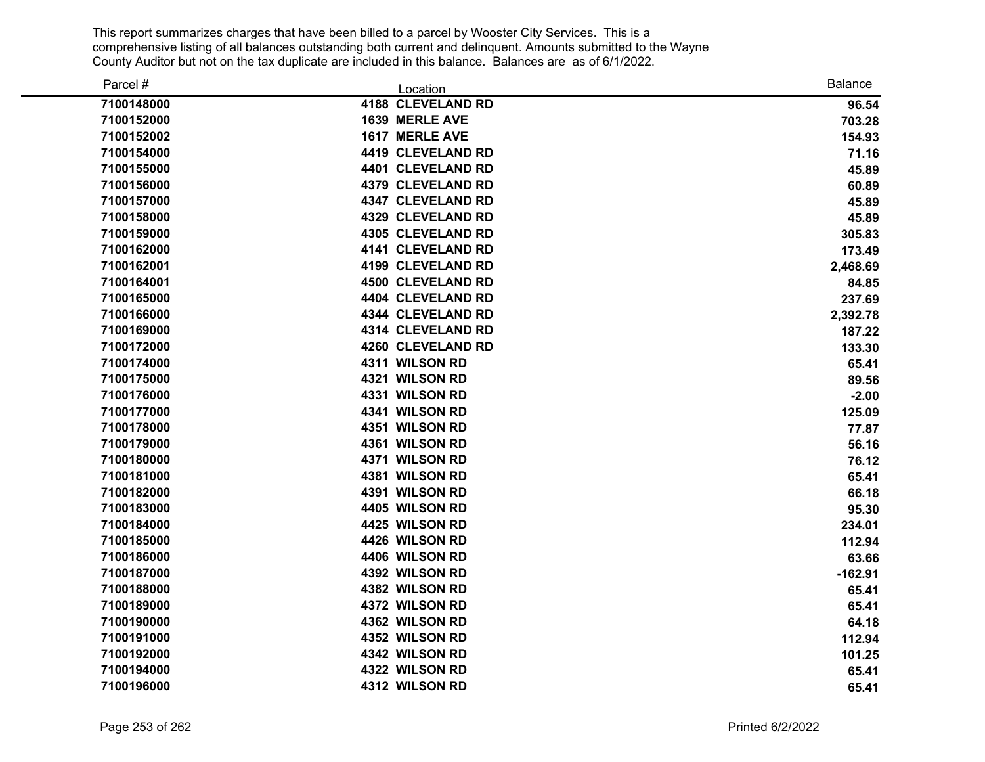| Parcel #   | Location                 | <b>Balance</b> |
|------------|--------------------------|----------------|
| 7100148000 | 4188 CLEVELAND RD        | 96.54          |
| 7100152000 | 1639 MERLE AVE           | 703.28         |
| 7100152002 | 1617 MERLE AVE           | 154.93         |
| 7100154000 | 4419 CLEVELAND RD        | 71.16          |
| 7100155000 | 4401 CLEVELAND RD        | 45.89          |
| 7100156000 | 4379 CLEVELAND RD        | 60.89          |
| 7100157000 | 4347 CLEVELAND RD        | 45.89          |
| 7100158000 | 4329 CLEVELAND RD        | 45.89          |
| 7100159000 | <b>4305 CLEVELAND RD</b> | 305.83         |
| 7100162000 | 4141 CLEVELAND RD        | 173.49         |
| 7100162001 | 4199 CLEVELAND RD        | 2,468.69       |
| 7100164001 | <b>4500 CLEVELAND RD</b> | 84.85          |
| 7100165000 | 4404 CLEVELAND RD        | 237.69         |
| 7100166000 | 4344 CLEVELAND RD        | 2,392.78       |
| 7100169000 | 4314 CLEVELAND RD        | 187.22         |
| 7100172000 | 4260 CLEVELAND RD        | 133.30         |
| 7100174000 | 4311 WILSON RD           | 65.41          |
| 7100175000 | 4321 WILSON RD           | 89.56          |
| 7100176000 | 4331 WILSON RD           | $-2.00$        |
| 7100177000 | 4341 WILSON RD           | 125.09         |
| 7100178000 | 4351 WILSON RD           | 77.87          |
| 7100179000 | 4361 WILSON RD           | 56.16          |
| 7100180000 | 4371 WILSON RD           | 76.12          |
| 7100181000 | 4381 WILSON RD           | 65.41          |
| 7100182000 | 4391 WILSON RD           | 66.18          |
| 7100183000 | 4405 WILSON RD           | 95.30          |
| 7100184000 | 4425 WILSON RD           | 234.01         |
| 7100185000 | 4426 WILSON RD           | 112.94         |
| 7100186000 | 4406 WILSON RD           | 63.66          |
| 7100187000 | 4392 WILSON RD           | $-162.91$      |
| 7100188000 | 4382 WILSON RD           | 65.41          |
| 7100189000 | 4372 WILSON RD           | 65.41          |
| 7100190000 | 4362 WILSON RD           | 64.18          |
| 7100191000 | 4352 WILSON RD           | 112.94         |
| 7100192000 | 4342 WILSON RD           | 101.25         |
| 7100194000 | 4322 WILSON RD           | 65.41          |
| 7100196000 | 4312 WILSON RD           | 65.41          |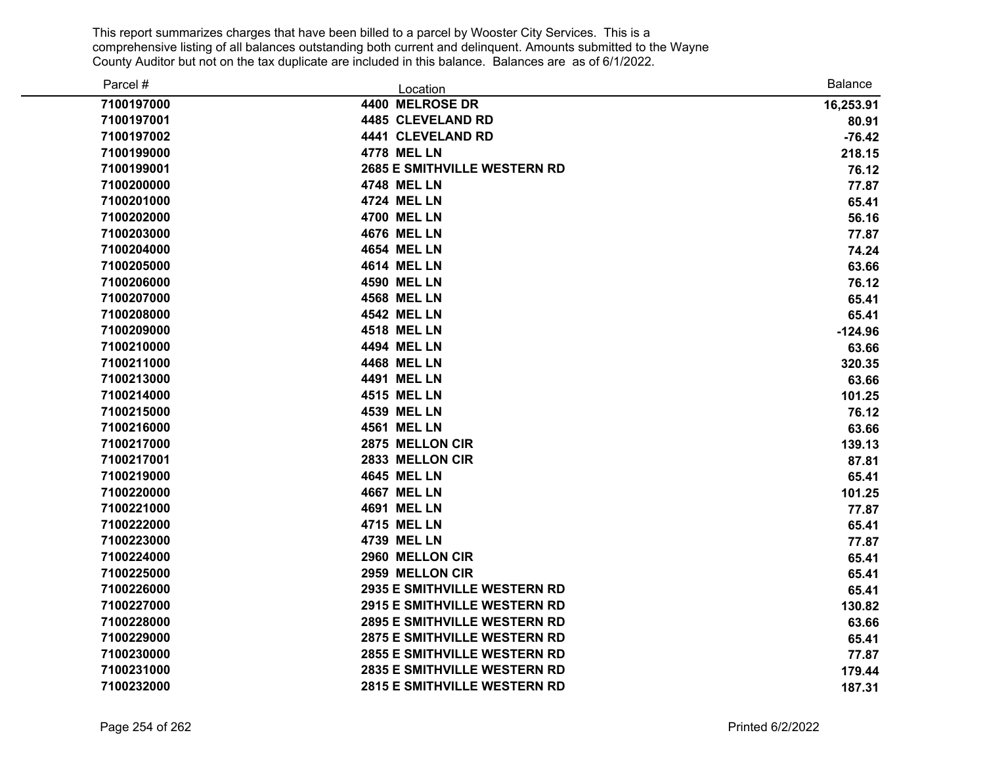| Parcel #   | Location                            | <b>Balance</b> |
|------------|-------------------------------------|----------------|
| 7100197000 | 4400 MELROSE DR                     | 16,253.91      |
| 7100197001 | 4485 CLEVELAND RD                   | 80.91          |
| 7100197002 | 4441 CLEVELAND RD                   | $-76.42$       |
| 7100199000 | <b>4778 MEL LN</b>                  | 218.15         |
| 7100199001 | <b>2685 E SMITHVILLE WESTERN RD</b> | 76.12          |
| 7100200000 | <b>4748 MEL LN</b>                  | 77.87          |
| 7100201000 | <b>4724 MEL LN</b>                  | 65.41          |
| 7100202000 | <b>4700 MEL LN</b>                  | 56.16          |
| 7100203000 | <b>4676 MEL LN</b>                  | 77.87          |
| 7100204000 | <b>4654 MEL LN</b>                  | 74.24          |
| 7100205000 | <b>4614 MEL LN</b>                  | 63.66          |
| 7100206000 | <b>4590 MEL LN</b>                  | 76.12          |
| 7100207000 | <b>4568 MEL LN</b>                  | 65.41          |
| 7100208000 | <b>4542 MEL LN</b>                  | 65.41          |
| 7100209000 | <b>4518 MEL LN</b>                  | $-124.96$      |
| 7100210000 | 4494 MEL LN                         | 63.66          |
| 7100211000 | <b>4468 MEL LN</b>                  | 320.35         |
| 7100213000 | 4491 MEL LN                         | 63.66          |
| 7100214000 | <b>4515 MEL LN</b>                  | 101.25         |
| 7100215000 | 4539 MEL LN                         | 76.12          |
| 7100216000 | <b>4561 MEL LN</b>                  | 63.66          |
| 7100217000 | 2875 MELLON CIR                     | 139.13         |
| 7100217001 | 2833 MELLON CIR                     | 87.81          |
| 7100219000 | <b>4645 MEL LN</b>                  | 65.41          |
| 7100220000 | <b>4667 MEL LN</b>                  | 101.25         |
| 7100221000 | <b>4691 MEL LN</b>                  | 77.87          |
| 7100222000 | 4715 MEL LN                         | 65.41          |
| 7100223000 | <b>4739 MEL LN</b>                  | 77.87          |
| 7100224000 | 2960 MELLON CIR                     | 65.41          |
| 7100225000 | 2959 MELLON CIR                     | 65.41          |
| 7100226000 | <b>2935 E SMITHVILLE WESTERN RD</b> | 65.41          |
| 7100227000 | <b>2915 E SMITHVILLE WESTERN RD</b> | 130.82         |
| 7100228000 | <b>2895 E SMITHVILLE WESTERN RD</b> | 63.66          |
| 7100229000 | <b>2875 E SMITHVILLE WESTERN RD</b> | 65.41          |
| 7100230000 | <b>2855 E SMITHVILLE WESTERN RD</b> | 77.87          |
| 7100231000 | <b>2835 E SMITHVILLE WESTERN RD</b> | 179.44         |
| 7100232000 | <b>2815 E SMITHVILLE WESTERN RD</b> | 187.31         |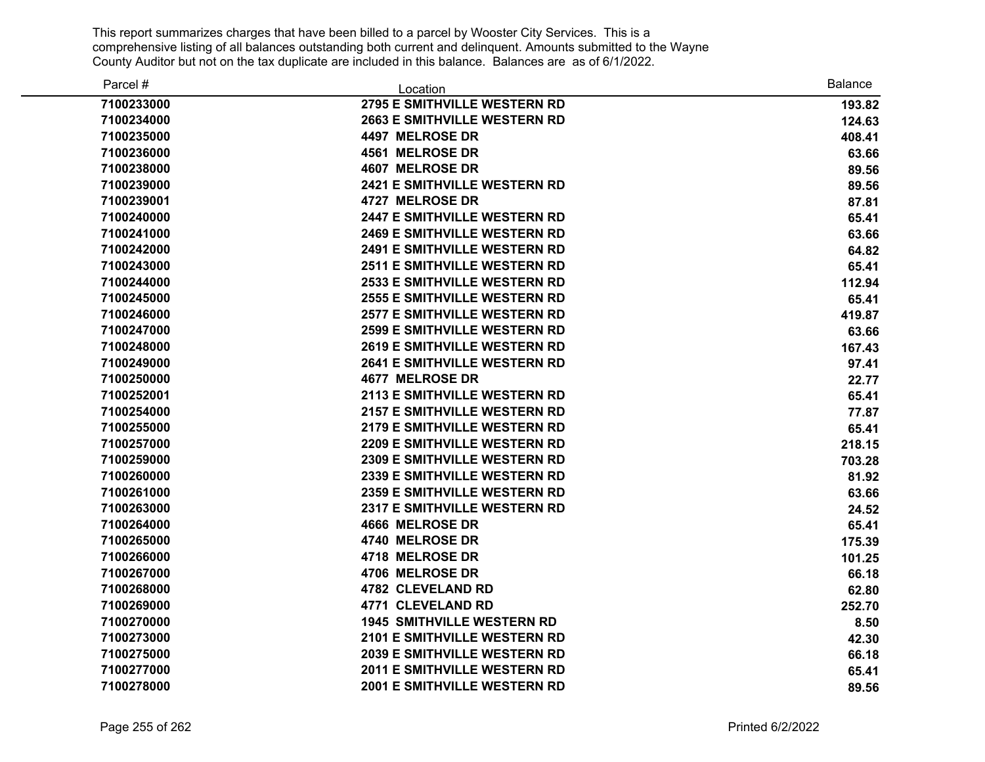| Parcel #   | Location                            | <b>Balance</b> |
|------------|-------------------------------------|----------------|
| 7100233000 | <b>2795 E SMITHVILLE WESTERN RD</b> | 193.82         |
| 7100234000 | <b>2663 E SMITHVILLE WESTERN RD</b> | 124.63         |
| 7100235000 | 4497 MELROSE DR                     | 408.41         |
| 7100236000 | <b>4561 MELROSE DR</b>              | 63.66          |
| 7100238000 | 4607 MELROSE DR                     | 89.56          |
| 7100239000 | <b>2421 E SMITHVILLE WESTERN RD</b> | 89.56          |
| 7100239001 | 4727 MELROSE DR                     | 87.81          |
| 7100240000 | <b>2447 E SMITHVILLE WESTERN RD</b> | 65.41          |
| 7100241000 | <b>2469 E SMITHVILLE WESTERN RD</b> | 63.66          |
| 7100242000 | <b>2491 E SMITHVILLE WESTERN RD</b> | 64.82          |
| 7100243000 | <b>2511 E SMITHVILLE WESTERN RD</b> | 65.41          |
| 7100244000 | <b>2533 E SMITHVILLE WESTERN RD</b> | 112.94         |
| 7100245000 | <b>2555 E SMITHVILLE WESTERN RD</b> | 65.41          |
| 7100246000 | <b>2577 E SMITHVILLE WESTERN RD</b> | 419.87         |
| 7100247000 | <b>2599 E SMITHVILLE WESTERN RD</b> | 63.66          |
| 7100248000 | <b>2619 E SMITHVILLE WESTERN RD</b> | 167.43         |
| 7100249000 | <b>2641 E SMITHVILLE WESTERN RD</b> | 97.41          |
| 7100250000 | <b>4677 MELROSE DR</b>              | 22.77          |
| 7100252001 | <b>2113 E SMITHVILLE WESTERN RD</b> | 65.41          |
| 7100254000 | <b>2157 E SMITHVILLE WESTERN RD</b> | 77.87          |
| 7100255000 | <b>2179 E SMITHVILLE WESTERN RD</b> | 65.41          |
| 7100257000 | 2209 E SMITHVILLE WESTERN RD        | 218.15         |
| 7100259000 | <b>2309 E SMITHVILLE WESTERN RD</b> | 703.28         |
| 7100260000 | 2339 E SMITHVILLE WESTERN RD        | 81.92          |
| 7100261000 | <b>2359 E SMITHVILLE WESTERN RD</b> | 63.66          |
| 7100263000 | 2317 E SMITHVILLE WESTERN RD        | 24.52          |
| 7100264000 | <b>4666 MELROSE DR</b>              | 65.41          |
| 7100265000 | 4740 MELROSE DR                     | 175.39         |
| 7100266000 | 4718 MELROSE DR                     | 101.25         |
| 7100267000 | 4706 MELROSE DR                     | 66.18          |
| 7100268000 | 4782 CLEVELAND RD                   | 62.80          |
| 7100269000 | 4771 CLEVELAND RD                   | 252.70         |
| 7100270000 | <b>1945 SMITHVILLE WESTERN RD</b>   | 8.50           |
| 7100273000 | 2101 E SMITHVILLE WESTERN RD        | 42.30          |
| 7100275000 | <b>2039 E SMITHVILLE WESTERN RD</b> | 66.18          |
| 7100277000 | <b>2011 E SMITHVILLE WESTERN RD</b> | 65.41          |
| 7100278000 | <b>2001 E SMITHVILLE WESTERN RD</b> | 89.56          |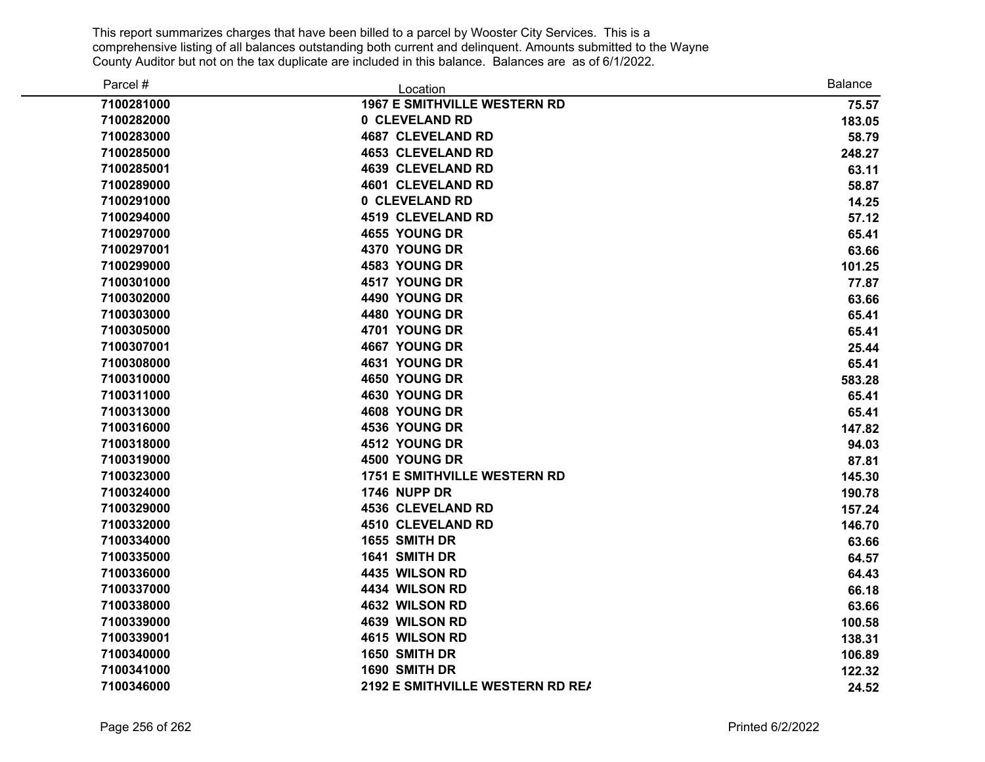| Parcel #   | Location                            | <b>Balance</b> |
|------------|-------------------------------------|----------------|
| 7100281000 | <b>1967 E SMITHVILLE WESTERN RD</b> | 75.57          |
| 7100282000 | 0 CLEVELAND RD                      | 183.05         |
| 7100283000 | <b>4687 CLEVELAND RD</b>            | 58.79          |
| 7100285000 | <b>4653 CLEVELAND RD</b>            | 248.27         |
| 7100285001 | <b>4639 CLEVELAND RD</b>            | 63.11          |
| 7100289000 | <b>4601 CLEVELAND RD</b>            | 58.87          |
| 7100291000 | 0 CLEVELAND RD                      | 14.25          |
| 7100294000 | <b>4519 CLEVELAND RD</b>            | 57.12          |
| 7100297000 | 4655 YOUNG DR                       | 65.41          |
| 7100297001 | 4370 YOUNG DR                       | 63.66          |
| 7100299000 | 4583 YOUNG DR                       | 101.25         |
| 7100301000 | 4517 YOUNG DR                       | 77.87          |
| 7100302000 | 4490 YOUNG DR                       | 63.66          |
| 7100303000 | 4480 YOUNG DR                       | 65.41          |
| 7100305000 | 4701 YOUNG DR                       | 65.41          |
| 7100307001 | 4667 YOUNG DR                       | 25.44          |
| 7100308000 | 4631 YOUNG DR                       | 65.41          |
| 7100310000 | 4650 YOUNG DR                       | 583.28         |
| 7100311000 | 4630 YOUNG DR                       | 65.41          |
| 7100313000 | 4608 YOUNG DR                       | 65.41          |
| 7100316000 | 4536 YOUNG DR                       | 147.82         |
| 7100318000 | 4512 YOUNG DR                       | 94.03          |
| 7100319000 | 4500 YOUNG DR                       | 87.81          |
| 7100323000 | <b>1751 E SMITHVILLE WESTERN RD</b> | 145.30         |
| 7100324000 | <b>1746 NUPP DR</b>                 | 190.78         |
| 7100329000 | <b>4536 CLEVELAND RD</b>            | 157.24         |
| 7100332000 | <b>4510 CLEVELAND RD</b>            | 146.70         |
| 7100334000 | 1655 SMITH DR                       | 63.66          |
| 7100335000 | 1641 SMITH DR                       | 64.57          |
| 7100336000 | 4435 WILSON RD                      | 64.43          |
| 7100337000 | 4434 WILSON RD                      | 66.18          |
| 7100338000 | 4632 WILSON RD                      | 63.66          |
| 7100339000 | 4639 WILSON RD                      | 100.58         |
| 7100339001 | 4615 WILSON RD                      | 138.31         |
| 7100340000 | 1650 SMITH DR                       | 106.89         |
| 7100341000 | 1690 SMITH DR                       | 122.32         |
| 7100346000 | 2192 E SMITHVILLE WESTERN RD REA    | 24.52          |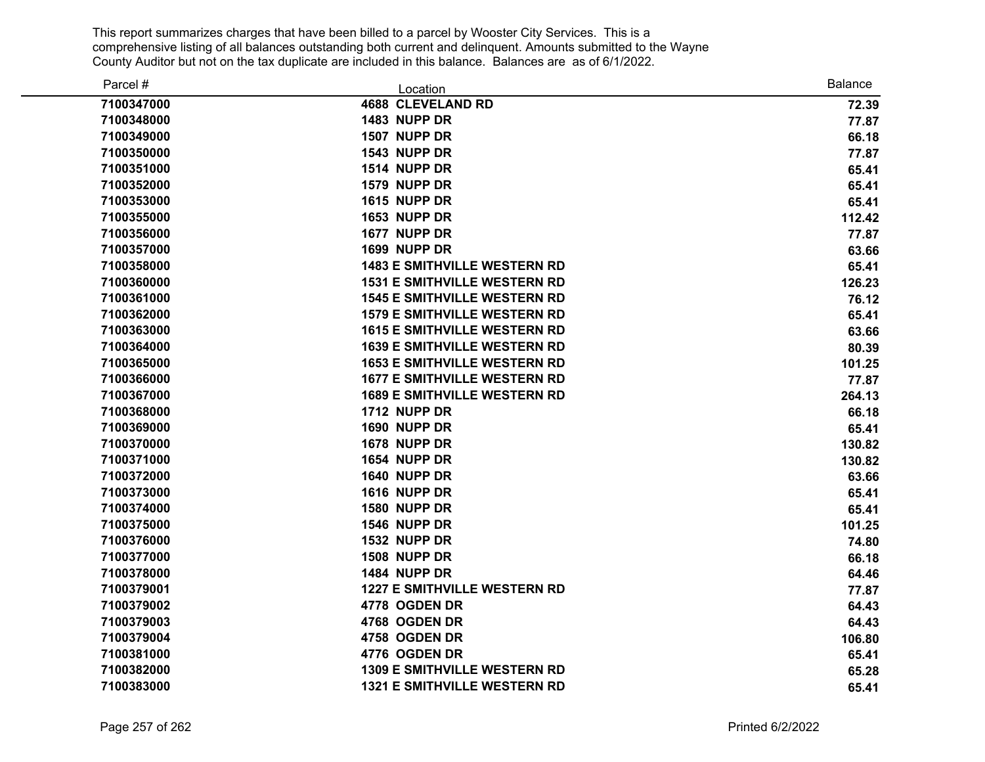| Parcel #   | Location                            | <b>Balance</b> |
|------------|-------------------------------------|----------------|
| 7100347000 | 4688 CLEVELAND RD                   | 72.39          |
| 7100348000 | <b>1483 NUPP DR</b>                 | 77.87          |
| 7100349000 | <b>1507 NUPP DR</b>                 | 66.18          |
| 7100350000 | <b>1543 NUPP DR</b>                 | 77.87          |
| 7100351000 | <b>1514 NUPP DR</b>                 | 65.41          |
| 7100352000 | <b>1579 NUPP DR</b>                 | 65.41          |
| 7100353000 | <b>1615 NUPP DR</b>                 | 65.41          |
| 7100355000 | <b>1653 NUPP DR</b>                 | 112.42         |
| 7100356000 | 1677 NUPP DR                        | 77.87          |
| 7100357000 | <b>1699 NUPP DR</b>                 | 63.66          |
| 7100358000 | <b>1483 E SMITHVILLE WESTERN RD</b> | 65.41          |
| 7100360000 | <b>1531 E SMITHVILLE WESTERN RD</b> | 126.23         |
| 7100361000 | <b>1545 E SMITHVILLE WESTERN RD</b> | 76.12          |
| 7100362000 | <b>1579 E SMITHVILLE WESTERN RD</b> | 65.41          |
| 7100363000 | <b>1615 E SMITHVILLE WESTERN RD</b> | 63.66          |
| 7100364000 | <b>1639 E SMITHVILLE WESTERN RD</b> | 80.39          |
| 7100365000 | <b>1653 E SMITHVILLE WESTERN RD</b> | 101.25         |
| 7100366000 | <b>1677 E SMITHVILLE WESTERN RD</b> | 77.87          |
| 7100367000 | <b>1689 E SMITHVILLE WESTERN RD</b> | 264.13         |
| 7100368000 | <b>1712 NUPP DR</b>                 | 66.18          |
| 7100369000 | <b>1690 NUPP DR</b>                 | 65.41          |
| 7100370000 | <b>1678 NUPP DR</b>                 | 130.82         |
| 7100371000 | 1654 NUPP DR                        | 130.82         |
| 7100372000 | <b>1640 NUPP DR</b>                 | 63.66          |
| 7100373000 | <b>1616 NUPP DR</b>                 | 65.41          |
| 7100374000 | 1580 NUPP DR                        | 65.41          |
| 7100375000 | <b>1546 NUPP DR</b>                 | 101.25         |
| 7100376000 | <b>1532 NUPP DR</b>                 | 74.80          |
| 7100377000 | <b>1508 NUPP DR</b>                 | 66.18          |
| 7100378000 | <b>1484 NUPP DR</b>                 | 64.46          |
| 7100379001 | <b>1227 E SMITHVILLE WESTERN RD</b> | 77.87          |
| 7100379002 | 4778 OGDEN DR                       | 64.43          |
| 7100379003 | 4768 OGDEN DR                       | 64.43          |
| 7100379004 | 4758 OGDEN DR                       | 106.80         |
| 7100381000 | 4776 OGDEN DR                       | 65.41          |
| 7100382000 | <b>1309 E SMITHVILLE WESTERN RD</b> | 65.28          |
| 7100383000 | <b>1321 E SMITHVILLE WESTERN RD</b> | 65.41          |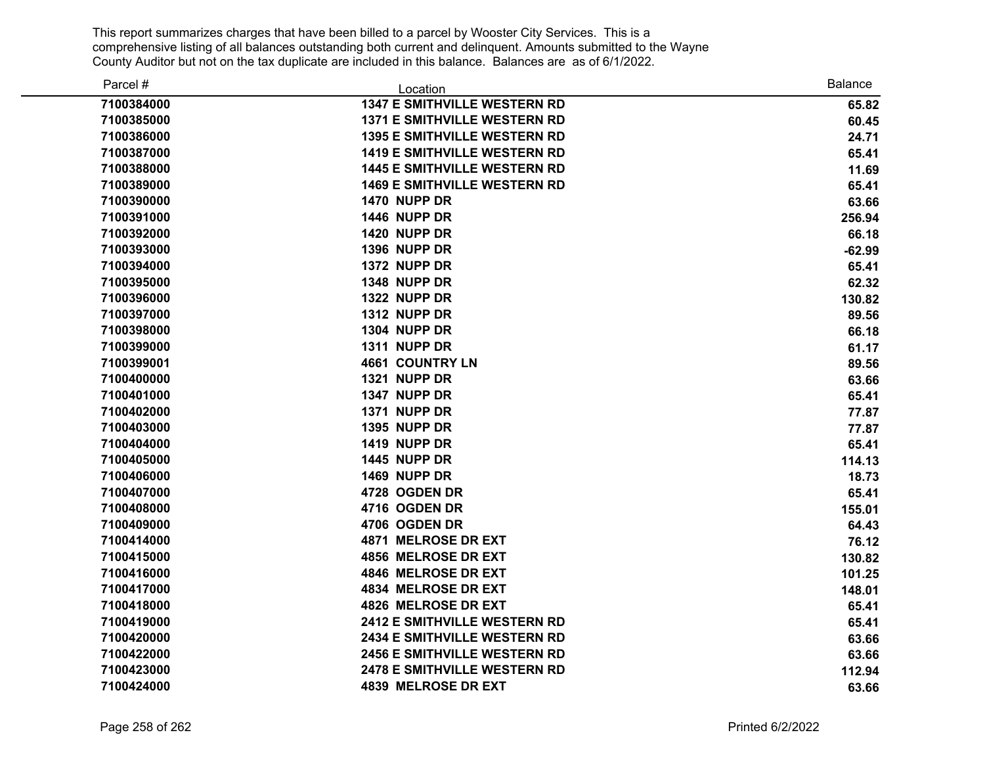| Parcel #   | Location                            | Balance  |
|------------|-------------------------------------|----------|
| 7100384000 | <b>1347 E SMITHVILLE WESTERN RD</b> | 65.82    |
| 7100385000 | <b>1371 E SMITHVILLE WESTERN RD</b> | 60.45    |
| 7100386000 | <b>1395 E SMITHVILLE WESTERN RD</b> | 24.71    |
| 7100387000 | <b>1419 E SMITHVILLE WESTERN RD</b> | 65.41    |
| 7100388000 | <b>1445 E SMITHVILLE WESTERN RD</b> | 11.69    |
| 7100389000 | <b>1469 E SMITHVILLE WESTERN RD</b> | 65.41    |
| 7100390000 | <b>1470 NUPP DR</b>                 | 63.66    |
| 7100391000 | <b>1446 NUPP DR</b>                 | 256.94   |
| 7100392000 | <b>1420 NUPP DR</b>                 | 66.18    |
| 7100393000 | <b>1396 NUPP DR</b>                 | $-62.99$ |
| 7100394000 | 1372 NUPP DR                        | 65.41    |
| 7100395000 | 1348 NUPP DR                        | 62.32    |
| 7100396000 | <b>1322 NUPP DR</b>                 | 130.82   |
| 7100397000 | <b>1312 NUPP DR</b>                 | 89.56    |
| 7100398000 | <b>1304 NUPP DR</b>                 | 66.18    |
| 7100399000 | <b>1311 NUPP DR</b>                 | 61.17    |
| 7100399001 | <b>4661 COUNTRY LN</b>              | 89.56    |
| 7100400000 | <b>1321 NUPP DR</b>                 | 63.66    |
| 7100401000 | 1347 NUPP DR                        | 65.41    |
| 7100402000 | <b>1371 NUPP DR</b>                 | 77.87    |
| 7100403000 | <b>1395 NUPP DR</b>                 | 77.87    |
| 7100404000 | <b>1419 NUPP DR</b>                 | 65.41    |
| 7100405000 | <b>1445 NUPP DR</b>                 | 114.13   |
| 7100406000 | <b>1469 NUPP DR</b>                 | 18.73    |
| 7100407000 | 4728 OGDEN DR                       | 65.41    |
| 7100408000 | 4716 OGDEN DR                       | 155.01   |
| 7100409000 | 4706 OGDEN DR                       | 64.43    |
| 7100414000 | <b>4871 MELROSE DR EXT</b>          | 76.12    |
| 7100415000 | 4856 MELROSE DR EXT                 | 130.82   |
| 7100416000 | 4846 MELROSE DR EXT                 | 101.25   |
| 7100417000 | 4834 MELROSE DR EXT                 | 148.01   |
| 7100418000 | 4826 MELROSE DR EXT                 | 65.41    |
| 7100419000 | <b>2412 E SMITHVILLE WESTERN RD</b> | 65.41    |
| 7100420000 | <b>2434 E SMITHVILLE WESTERN RD</b> | 63.66    |
| 7100422000 | <b>2456 E SMITHVILLE WESTERN RD</b> | 63.66    |
| 7100423000 | <b>2478 E SMITHVILLE WESTERN RD</b> | 112.94   |
| 7100424000 | 4839 MELROSE DR EXT                 | 63.66    |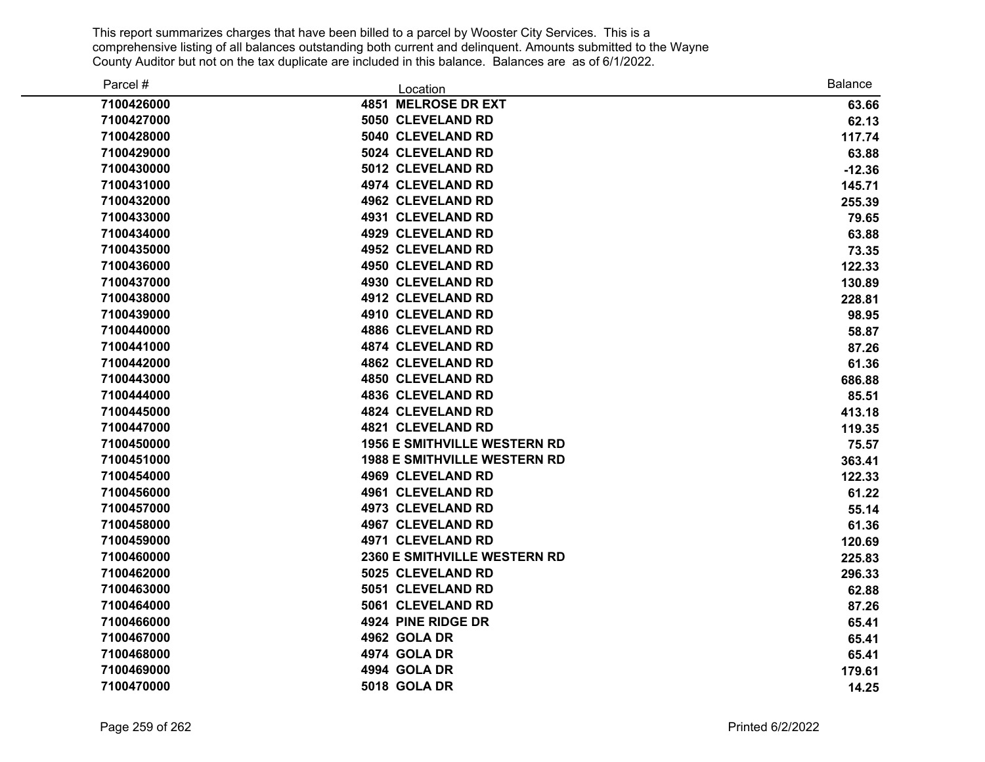| Parcel #   | Location                            | <b>Balance</b> |
|------------|-------------------------------------|----------------|
| 7100426000 | 4851 MELROSE DR EXT                 | 63.66          |
| 7100427000 | 5050 CLEVELAND RD                   | 62.13          |
| 7100428000 | 5040 CLEVELAND RD                   | 117.74         |
| 7100429000 | 5024 CLEVELAND RD                   | 63.88          |
| 7100430000 | 5012 CLEVELAND RD                   | $-12.36$       |
| 7100431000 | 4974 CLEVELAND RD                   | 145.71         |
| 7100432000 | <b>4962 CLEVELAND RD</b>            | 255.39         |
| 7100433000 | 4931 CLEVELAND RD                   | 79.65          |
| 7100434000 | 4929 CLEVELAND RD                   | 63.88          |
| 7100435000 | 4952 CLEVELAND RD                   | 73.35          |
| 7100436000 | 4950 CLEVELAND RD                   | 122.33         |
| 7100437000 | 4930 CLEVELAND RD                   | 130.89         |
| 7100438000 | 4912 CLEVELAND RD                   | 228.81         |
| 7100439000 | 4910 CLEVELAND RD                   | 98.95          |
| 7100440000 | <b>4886 CLEVELAND RD</b>            | 58.87          |
| 7100441000 | 4874 CLEVELAND RD                   | 87.26          |
| 7100442000 | <b>4862 CLEVELAND RD</b>            | 61.36          |
| 7100443000 | <b>4850 CLEVELAND RD</b>            | 686.88         |
| 7100444000 | <b>4836 CLEVELAND RD</b>            | 85.51          |
| 7100445000 | <b>4824 CLEVELAND RD</b>            | 413.18         |
| 7100447000 | <b>4821 CLEVELAND RD</b>            | 119.35         |
| 7100450000 | <b>1956 E SMITHVILLE WESTERN RD</b> | 75.57          |
| 7100451000 | <b>1988 E SMITHVILLE WESTERN RD</b> | 363.41         |
| 7100454000 | 4969 CLEVELAND RD                   | 122.33         |
| 7100456000 | 4961 CLEVELAND RD                   | 61.22          |
| 7100457000 | 4973 CLEVELAND RD                   | 55.14          |
| 7100458000 | 4967 CLEVELAND RD                   | 61.36          |
| 7100459000 | 4971 CLEVELAND RD                   | 120.69         |
| 7100460000 | 2360 E SMITHVILLE WESTERN RD        | 225.83         |
| 7100462000 | 5025 CLEVELAND RD                   | 296.33         |
| 7100463000 | 5051 CLEVELAND RD                   | 62.88          |
| 7100464000 | 5061 CLEVELAND RD                   | 87.26          |
| 7100466000 | 4924 PINE RIDGE DR                  | 65.41          |
| 7100467000 | 4962 GOLA DR                        | 65.41          |
| 7100468000 | 4974 GOLA DR                        | 65.41          |
| 7100469000 | 4994 GOLA DR                        | 179.61         |
| 7100470000 | <b>5018 GOLA DR</b>                 | 14.25          |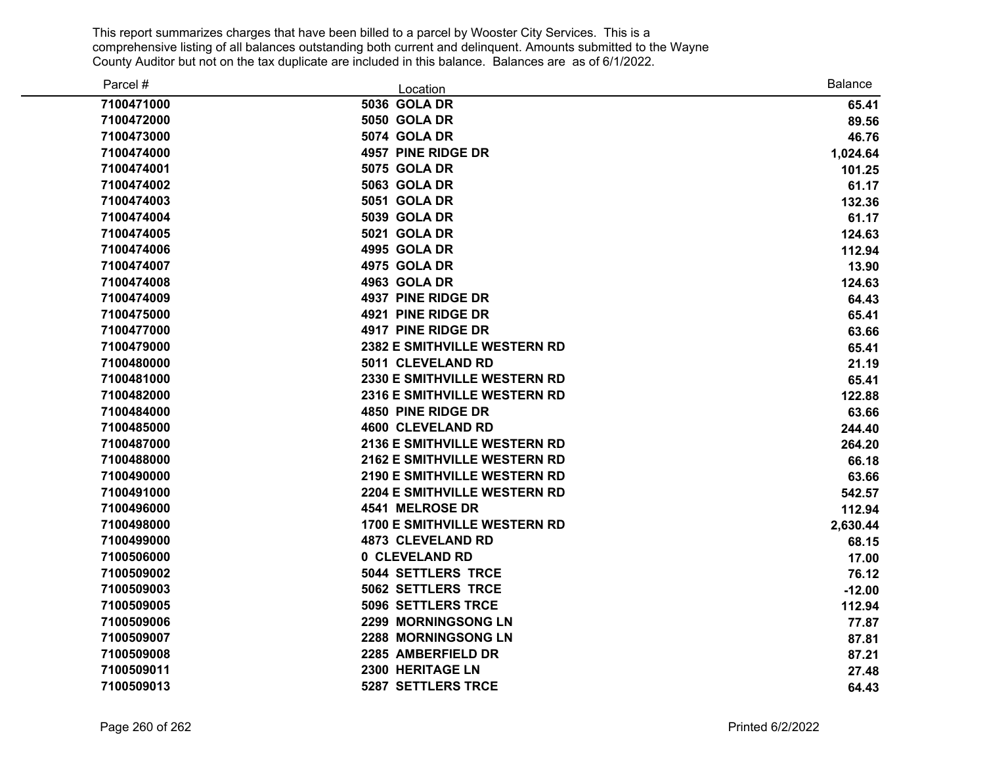| Parcel #   | Location                            | <b>Balance</b> |
|------------|-------------------------------------|----------------|
| 7100471000 | <b>5036 GOLA DR</b>                 | 65.41          |
| 7100472000 | <b>5050 GOLA DR</b>                 | 89.56          |
| 7100473000 | <b>5074 GOLA DR</b>                 | 46.76          |
| 7100474000 | 4957 PINE RIDGE DR                  | 1,024.64       |
| 7100474001 | <b>5075 GOLA DR</b>                 | 101.25         |
| 7100474002 | <b>5063 GOLA DR</b>                 | 61.17          |
| 7100474003 | <b>5051 GOLA DR</b>                 | 132.36         |
| 7100474004 | 5039 GOLA DR                        | 61.17          |
| 7100474005 | <b>5021 GOLA DR</b>                 | 124.63         |
| 7100474006 | 4995 GOLA DR                        | 112.94         |
| 7100474007 | 4975 GOLA DR                        | 13.90          |
| 7100474008 | 4963 GOLA DR                        | 124.63         |
| 7100474009 | 4937 PINE RIDGE DR                  | 64.43          |
| 7100475000 | 4921 PINE RIDGE DR                  | 65.41          |
| 7100477000 | 4917 PINE RIDGE DR                  | 63.66          |
| 7100479000 | 2382 E SMITHVILLE WESTERN RD        | 65.41          |
| 7100480000 | 5011 CLEVELAND RD                   | 21.19          |
| 7100481000 | 2330 E SMITHVILLE WESTERN RD        | 65.41          |
| 7100482000 | 2316 E SMITHVILLE WESTERN RD        | 122.88         |
| 7100484000 | 4850 PINE RIDGE DR                  | 63.66          |
| 7100485000 | <b>4600 CLEVELAND RD</b>            | 244.40         |
| 7100487000 | <b>2136 E SMITHVILLE WESTERN RD</b> | 264.20         |
| 7100488000 | 2162 E SMITHVILLE WESTERN RD        | 66.18          |
| 7100490000 | 2190 E SMITHVILLE WESTERN RD        | 63.66          |
| 7100491000 | <b>2204 E SMITHVILLE WESTERN RD</b> | 542.57         |
| 7100496000 | 4541 MELROSE DR                     | 112.94         |
| 7100498000 | <b>1700 E SMITHVILLE WESTERN RD</b> | 2,630.44       |
| 7100499000 | <b>4873 CLEVELAND RD</b>            | 68.15          |
| 7100506000 | 0 CLEVELAND RD                      | 17.00          |
| 7100509002 | <b>5044 SETTLERS TRCE</b>           | 76.12          |
| 7100509003 | <b>5062 SETTLERS TRCE</b>           | $-12.00$       |
| 7100509005 | <b>5096 SETTLERS TRCE</b>           | 112.94         |
| 7100509006 | 2299 MORNINGSONG LN                 | 77.87          |
| 7100509007 | <b>2288 MORNINGSONG LN</b>          | 87.81          |
| 7100509008 | 2285 AMBERFIELD DR                  | 87.21          |
| 7100509011 | 2300 HERITAGE LN                    | 27.48          |
| 7100509013 | <b>5287 SETTLERS TRCE</b>           | 64.43          |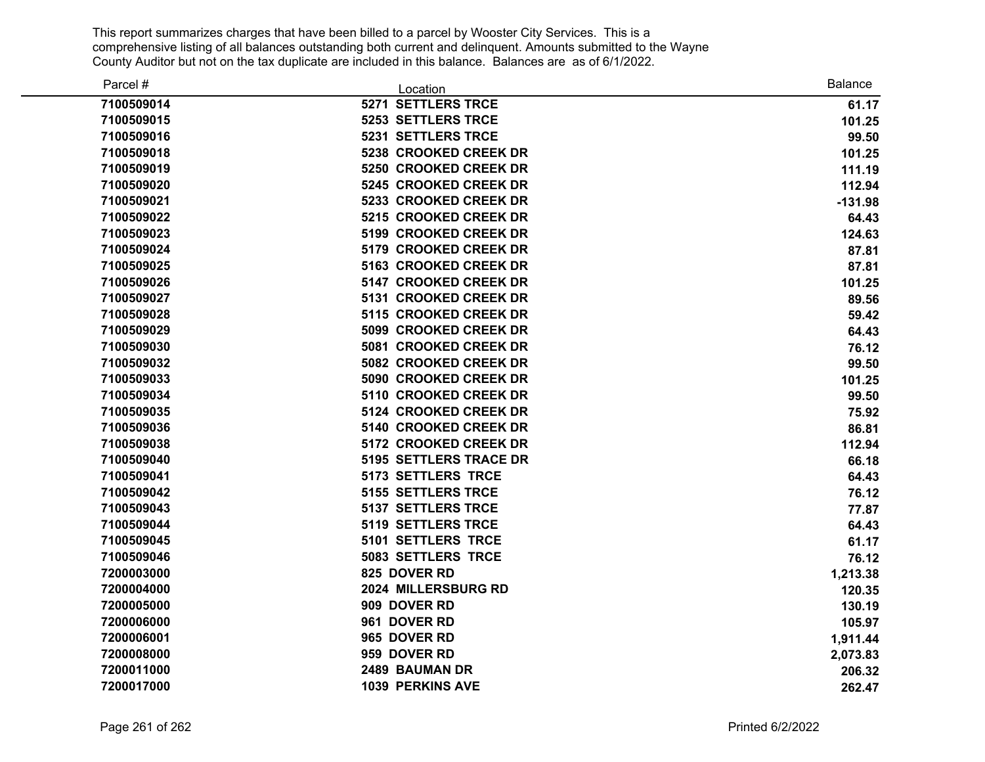| Parcel #   | Location                  | <b>Balance</b> |
|------------|---------------------------|----------------|
| 7100509014 | 5271 SETTLERS TRCE        | 61.17          |
| 7100509015 | <b>5253 SETTLERS TRCE</b> | 101.25         |
| 7100509016 | 5231 SETTLERS TRCE        | 99.50          |
| 7100509018 | 5238 CROOKED CREEK DR     | 101.25         |
| 7100509019 | 5250 CROOKED CREEK DR     | 111.19         |
| 7100509020 | 5245 CROOKED CREEK DR     | 112.94         |
| 7100509021 | 5233 CROOKED CREEK DR     | $-131.98$      |
| 7100509022 | 5215 CROOKED CREEK DR     | 64.43          |
| 7100509023 | 5199 CROOKED CREEK DR     | 124.63         |
| 7100509024 | 5179 CROOKED CREEK DR     | 87.81          |
| 7100509025 | 5163 CROOKED CREEK DR     | 87.81          |
| 7100509026 | 5147 CROOKED CREEK DR     | 101.25         |
| 7100509027 | 5131 CROOKED CREEK DR     | 89.56          |
| 7100509028 | 5115 CROOKED CREEK DR     | 59.42          |
| 7100509029 | 5099 CROOKED CREEK DR     | 64.43          |
| 7100509030 | 5081 CROOKED CREEK DR     | 76.12          |
| 7100509032 | 5082 CROOKED CREEK DR     | 99.50          |
| 7100509033 | 5090 CROOKED CREEK DR     | 101.25         |
| 7100509034 | 5110 CROOKED CREEK DR     | 99.50          |
| 7100509035 | 5124 CROOKED CREEK DR     | 75.92          |
| 7100509036 | 5140 CROOKED CREEK DR     | 86.81          |
| 7100509038 | 5172 CROOKED CREEK DR     | 112.94         |
| 7100509040 | 5195 SETTLERS TRACE DR    | 66.18          |
| 7100509041 | <b>5173 SETTLERS TRCE</b> | 64.43          |
| 7100509042 | <b>5155 SETTLERS TRCE</b> | 76.12          |
| 7100509043 | <b>5137 SETTLERS TRCE</b> | 77.87          |
| 7100509044 | <b>5119 SETTLERS TRCE</b> | 64.43          |
| 7100509045 | 5101 SETTLERS TRCE        | 61.17          |
| 7100509046 | 5083 SETTLERS TRCE        | 76.12          |
| 7200003000 | 825 DOVER RD              | 1,213.38       |
| 7200004000 | 2024 MILLERSBURG RD       | 120.35         |
| 7200005000 | 909 DOVER RD              | 130.19         |
| 7200006000 | 961 DOVER RD              | 105.97         |
| 7200006001 | 965 DOVER RD              | 1,911.44       |
| 7200008000 | 959 DOVER RD              | 2,073.83       |
| 7200011000 | 2489 BAUMAN DR            | 206.32         |
| 7200017000 | <b>1039 PERKINS AVE</b>   | 262.47         |